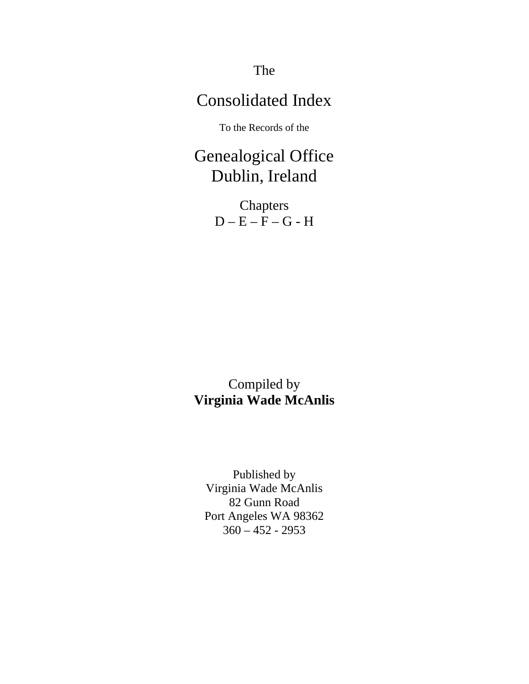The

# Consolidated Index

To the Records of the

Genealogical Office Dublin, Ireland

> Chapters  $D - E - F - G - H$

Compiled by **Virginia Wade McAnlis** 

Published by Virginia Wade McAnlis 82 Gunn Road Port Angeles WA 98362 360 – 452 - 2953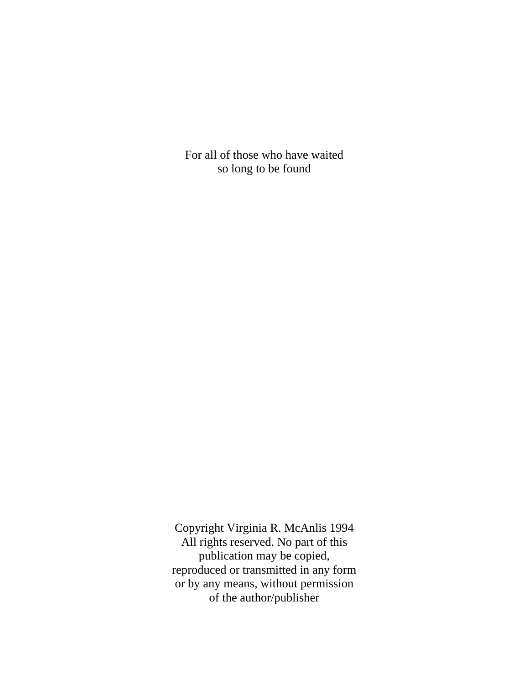For all of those who have waited so long to be found

Copyright Virginia R. McAnlis 1994 All rights reserved. No part of this publication may be copied, reproduced or transmitted in any form or by any means, without permission of the author/publisher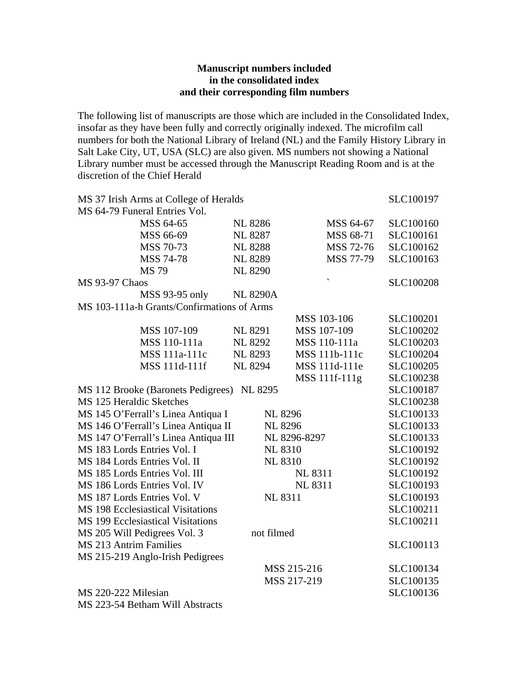### **Manuscript numbers included in the consolidated index and their corresponding film numbers**

The following list of manuscripts are those which are included in the Consolidated Index, insofar as they have been fully and correctly originally indexed. The microfilm call numbers for both the National Library of Ireland (NL) and the Family History Library in Salt Lake City, UT, USA (SLC) are also given. MS numbers not showing a National Library number must be accessed through the Manuscript Reading Room and is at the discretion of the Chief Herald

| MS 37 Irish Arms at College of Heralds     |                                            |                 | SLC100197                |           |
|--------------------------------------------|--------------------------------------------|-----------------|--------------------------|-----------|
|                                            | MS 64-79 Funeral Entries Vol.              |                 |                          |           |
|                                            | MSS 64-65                                  | <b>NL 8286</b>  | MSS 64-67                | SLC100160 |
|                                            | MSS 66-69                                  | <b>NL 8287</b>  | MSS 68-71                | SLC100161 |
|                                            | MSS 70-73                                  | <b>NL 8288</b>  | MSS 72-76                | SLC100162 |
|                                            | MSS 74-78                                  | <b>NL 8289</b>  | MSS 77-79                | SLC100163 |
|                                            | <b>MS 79</b>                               | <b>NL 8290</b>  |                          |           |
| <b>MS 93-97 Chaos</b>                      |                                            |                 | $\overline{\phantom{0}}$ | SLC100208 |
|                                            | MSS 93-95 only                             | <b>NL 8290A</b> |                          |           |
|                                            | MS 103-111a-h Grants/Confirmations of Arms |                 |                          |           |
|                                            |                                            |                 | MSS 103-106              | SLC100201 |
|                                            | MSS 107-109                                | <b>NL 8291</b>  | MSS 107-109              | SLC100202 |
|                                            | MSS 110-111a                               | <b>NL 8292</b>  | MSS 110-111a             | SLC100203 |
|                                            | MSS 111a-111c                              | <b>NL 8293</b>  | MSS 111b-111c            | SLC100204 |
|                                            | MSS 111d-111f                              | <b>NL 8294</b>  | MSS 111d-111e            | SLC100205 |
|                                            |                                            |                 | MSS 111f-111g            | SLC100238 |
| MS 112 Brooke (Baronets Pedigrees) NL 8295 | SLC100187                                  |                 |                          |           |
| MS 125 Heraldic Sketches                   |                                            |                 |                          | SLC100238 |
|                                            | MS 145 O'Ferrall's Linea Antiqua I         | <b>NL 8296</b>  |                          | SLC100133 |
|                                            | MS 146 O'Ferrall's Linea Antiqua II        | <b>NL 8296</b>  |                          | SLC100133 |
|                                            | MS 147 O'Ferrall's Linea Antiqua III       |                 | NL 8296-8297             | SLC100133 |
|                                            | MS 183 Lords Entries Vol. I                | <b>NL 8310</b>  |                          | SLC100192 |
|                                            | MS 184 Lords Entries Vol. II               | <b>NL 8310</b>  |                          | SLC100192 |
|                                            | MS 185 Lords Entries Vol. III              |                 | <b>NL 8311</b>           | SLC100192 |
|                                            | MS 186 Lords Entries Vol. IV               |                 | <b>NL 8311</b>           | SLC100193 |
|                                            | MS 187 Lords Entries Vol. V                | <b>NL 8311</b>  |                          | SLC100193 |
|                                            | <b>MS</b> 198 Ecclesiastical Visitations   |                 |                          | SLC100211 |
|                                            | <b>MS 199 Ecclesiastical Visitations</b>   |                 |                          | SLC100211 |
|                                            | MS 205 Will Pedigrees Vol. 3               | not filmed      |                          |           |
| MS 213 Antrim Families                     |                                            |                 |                          | SLC100113 |
|                                            | MS 215-219 Anglo-Irish Pedigrees           |                 |                          |           |
|                                            |                                            |                 | MSS 215-216              | SLC100134 |
|                                            |                                            |                 | MSS 217-219              | SLC100135 |
| MS 220-222 Milesian                        |                                            |                 |                          | SLC100136 |
| $150,000,515,1$ $17711,11$                 |                                            |                 |                          |           |

MS 223-54 Betham Will Abstracts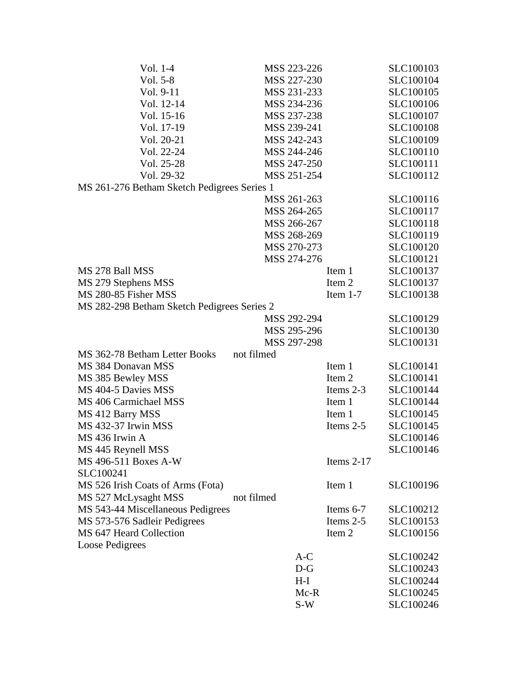| Vol. 1-4                                    | MSS 223-226 |              | SLC100103        |
|---------------------------------------------|-------------|--------------|------------------|
| Vol. 5-8                                    | MSS 227-230 |              | SLC100104        |
| Vol. 9-11                                   | MSS 231-233 |              | SLC100105        |
| Vol. 12-14                                  | MSS 234-236 |              | SLC100106        |
| Vol. 15-16                                  | MSS 237-238 |              | SLC100107        |
| Vol. 17-19                                  | MSS 239-241 |              | <b>SLC100108</b> |
| Vol. 20-21                                  | MSS 242-243 |              | SLC100109        |
| Vol. 22-24                                  | MSS 244-246 |              | SLC100110        |
| Vol. 25-28                                  | MSS 247-250 |              | SLC100111        |
| Vol. 29-32                                  | MSS 251-254 |              | SLC100112        |
| MS 261-276 Betham Sketch Pedigrees Series 1 |             |              |                  |
|                                             | MSS 261-263 |              | SLC100116        |
|                                             | MSS 264-265 |              | SLC100117        |
|                                             | MSS 266-267 |              | SLC100118        |
|                                             | MSS 268-269 |              | SLC100119        |
|                                             | MSS 270-273 |              | SLC100120        |
|                                             | MSS 274-276 |              | SLC100121        |
| MS 278 Ball MSS                             |             | Item 1       | SLC100137        |
| MS 279 Stephens MSS                         |             | Item 2       | SLC100137        |
| MS 280-85 Fisher MSS                        |             | Item $1-7$   | SLC100138        |
| MS 282-298 Betham Sketch Pedigrees Series 2 |             |              |                  |
|                                             | MSS 292-294 |              | SLC100129        |
|                                             | MSS 295-296 |              | SLC100130        |
|                                             | MSS 297-298 |              | SLC100131        |
| MS 362-78 Betham Letter Books               | not filmed  |              |                  |
| MS 384 Donavan MSS                          |             | Item 1       | SLC100141        |
| MS 385 Bewley MSS                           |             | Item 2       | SLC100141        |
| MS 404-5 Davies MSS                         |             | Items 2-3    | SLC100144        |
| MS 406 Carmichael MSS                       |             | Item 1       | SLC100144        |
| MS 412 Barry MSS                            |             | Item 1       | SLC100145        |
| MS 432-37 Irwin MSS                         |             | Items 2-5    | SLC100145        |
| MS 436 Irwin A                              |             |              | SLC100146        |
| MS 445 Reynell MSS                          |             |              | SLC100146        |
| MS 496-511 Boxes A-W                        |             | Items $2-17$ |                  |
| SLC100241                                   |             |              |                  |
| MS 526 Irish Coats of Arms (Fota)           |             | Item 1       | SLC100196        |
| MS 527 McLysaght MSS                        | not filmed  |              |                  |
| MS 543-44 Miscellaneous Pedigrees           |             | Items 6-7    | SLC100212        |
| MS 573-576 Sadleir Pedigrees                |             | Items 2-5    | SLC100153        |
| MS 647 Heard Collection                     |             | Item 2       | SLC100156        |
| <b>Loose Pedigrees</b>                      |             |              |                  |
|                                             | $A-C$       |              | SLC100242        |
|                                             | $D-G$       |              | SLC100243        |
|                                             | H-I         |              | SLC100244        |
|                                             | $Mc-R$      |              | SLC100245        |
|                                             | $S-W$       |              | SLC100246        |
|                                             |             |              |                  |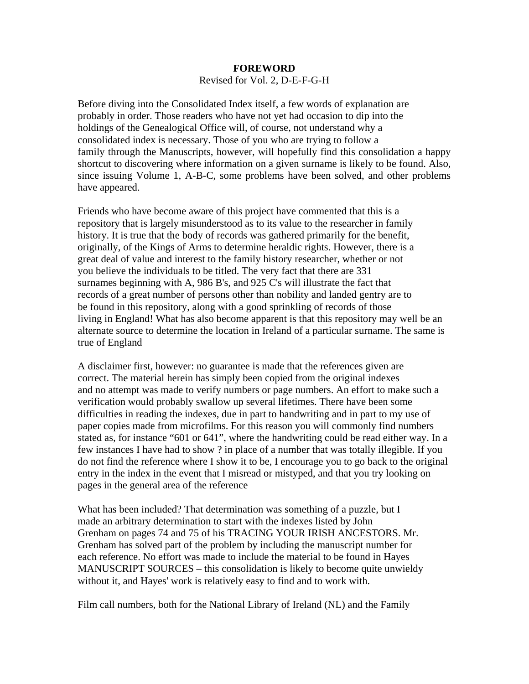## **FOREWORD**  Revised for Vol. 2, D-E-F-G-H

Before diving into the Consolidated Index itself, a few words of explanation are probably in order. Those readers who have not yet had occasion to dip into the holdings of the Genealogical Office will, of course, not understand why a consolidated index is necessary. Those of you who are trying to follow a family through the Manuscripts, however, will hopefully find this consolidation a happy shortcut to discovering where information on a given surname is likely to be found. Also, since issuing Volume 1, A-B-C, some problems have been solved, and other problems have appeared.

Friends who have become aware of this project have commented that this is a repository that is largely misunderstood as to its value to the researcher in family history. It is true that the body of records was gathered primarily for the benefit, originally, of the Kings of Arms to determine heraldic rights. However, there is a great deal of value and interest to the family history researcher, whether or not you believe the individuals to be titled. The very fact that there are 331 surnames beginning with A, 986 B's, and 925 C's will illustrate the fact that records of a great number of persons other than nobility and landed gentry are to be found in this repository, along with a good sprinkling of records of those living in England! What has also become apparent is that this repository may well be an alternate source to determine the location in Ireland of a particular surname. The same is true of England

A disclaimer first, however: no guarantee is made that the references given are correct. The material herein has simply been copied from the original indexes and no attempt was made to verify numbers or page numbers. An effort to make such a verification would probably swallow up several lifetimes. There have been some difficulties in reading the indexes, due in part to handwriting and in part to my use of paper copies made from microfilms. For this reason you will commonly find numbers stated as, for instance "601 or 641", where the handwriting could be read either way. In a few instances I have had to show ? in place of a number that was totally illegible. If you do not find the reference where I show it to be, I encourage you to go back to the original entry in the index in the event that I misread or mistyped, and that you try looking on pages in the general area of the reference

What has been included? That determination was something of a puzzle, but I made an arbitrary determination to start with the indexes listed by John Grenham on pages 74 and 75 of his TRACING YOUR IRISH ANCESTORS. Mr. Grenham has solved part of the problem by including the manuscript number for each reference. No effort was made to include the material to be found in Hayes MANUSCRIPT SOURCES – this consolidation is likely to become quite unwieldy without it, and Hayes' work is relatively easy to find and to work with.

Film call numbers, both for the National Library of Ireland (NL) and the Family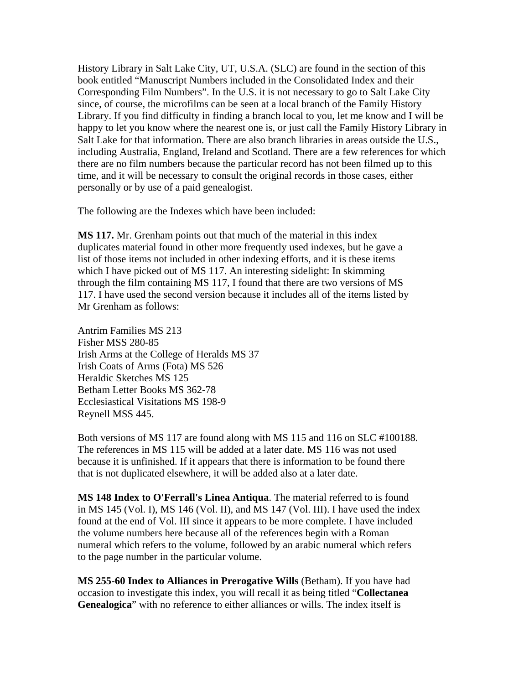History Library in Salt Lake City, UT, U.S.A. (SLC) are found in the section of this book entitled "Manuscript Numbers included in the Consolidated Index and their Corresponding Film Numbers". In the U.S. it is not necessary to go to Salt Lake City since, of course, the microfilms can be seen at a local branch of the Family History Library. If you find difficulty in finding a branch local to you, let me know and I will be happy to let you know where the nearest one is, or just call the Family History Library in Salt Lake for that information. There are also branch libraries in areas outside the U.S., including Australia, England, Ireland and Scotland. There are a few references for which there are no film numbers because the particular record has not been filmed up to this time, and it will be necessary to consult the original records in those cases, either personally or by use of a paid genealogist.

The following are the Indexes which have been included:

**MS 117.** Mr. Grenham points out that much of the material in this index duplicates material found in other more frequently used indexes, but he gave a list of those items not included in other indexing efforts, and it is these items which I have picked out of MS 117. An interesting sidelight: In skimming through the film containing MS 117, I found that there are two versions of MS 117. I have used the second version because it includes all of the items listed by Mr Grenham as follows:

Antrim Families MS 213 Fisher MSS 280-85 Irish Arms at the College of Heralds MS 37 Irish Coats of Arms (Fota) MS 526 Heraldic Sketches MS 125 Betham Letter Books MS 362-78 Ecclesiastical Visitations MS 198-9 Reynell MSS 445.

Both versions of MS 117 are found along with MS 115 and 116 on SLC #100188. The references in MS 115 will be added at a later date. MS 116 was not used because it is unfinished. If it appears that there is information to be found there that is not duplicated elsewhere, it will be added also at a later date.

**MS 148 Index to O'Ferrall's Linea Antiqua**. The material referred to is found in MS 145 (Vol. I), MS 146 (Vol. II), and MS 147 (Vol. III). I have used the index found at the end of Vol. III since it appears to be more complete. I have included the volume numbers here because all of the references begin with a Roman numeral which refers to the volume, followed by an arabic numeral which refers to the page number in the particular volume.

**MS 255-60 Index to Alliances in Prerogative Wills** (Betham). If you have had occasion to investigate this index, you will recall it as being titled "**Collectanea Genealogica**" with no reference to either alliances or wills. The index itself is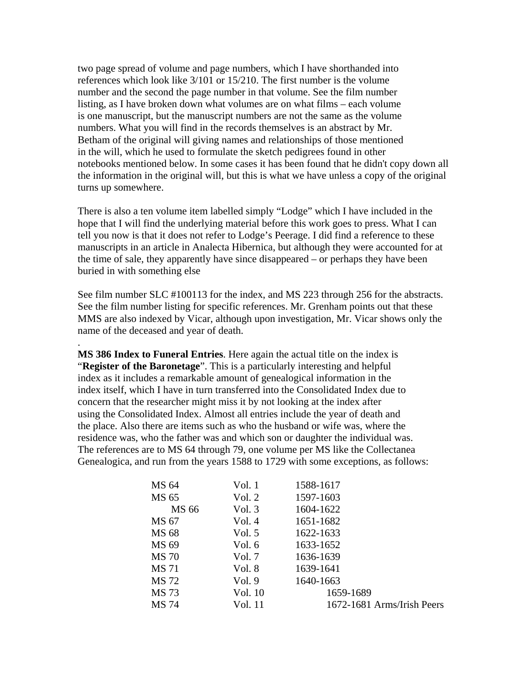two page spread of volume and page numbers, which I have shorthanded into references which look like 3/101 or 15/210. The first number is the volume number and the second the page number in that volume. See the film number listing, as I have broken down what volumes are on what films – each volume is one manuscript, but the manuscript numbers are not the same as the volume numbers. What you will find in the records themselves is an abstract by Mr. Betham of the original will giving names and relationships of those mentioned in the will, which he used to formulate the sketch pedigrees found in other notebooks mentioned below. In some cases it has been found that he didn't copy down all the information in the original will, but this is what we have unless a copy of the original turns up somewhere.

There is also a ten volume item labelled simply "Lodge" which I have included in the hope that I will find the underlying material before this work goes to press. What I can tell you now is that it does not refer to Lodge's Peerage. I did find a reference to these manuscripts in an article in Analecta Hibernica, but although they were accounted for at the time of sale, they apparently have since disappeared – or perhaps they have been buried in with something else

See film number SLC #100113 for the index, and MS 223 through 256 for the abstracts. See the film number listing for specific references. Mr. Grenham points out that these MMS are also indexed by Vicar, although upon investigation, Mr. Vicar shows only the name of the deceased and year of death.

**MS 386 Index to Funeral Entries**. Here again the actual title on the index is "**Register of the Baronetage**". This is a particularly interesting and helpful index as it includes a remarkable amount of genealogical information in the index itself, which I have in turn transferred into the Consolidated Index due to concern that the researcher might miss it by not looking at the index after using the Consolidated Index. Almost all entries include the year of death and the place. Also there are items such as who the husband or wife was, where the residence was, who the father was and which son or daughter the individual was. The references are to MS 64 through 79, one volume per MS like the Collectanea Genealogica, and run from the years 1588 to 1729 with some exceptions, as follows:

.

| MS 64        | Vol. 1   | 1588-1617                  |
|--------------|----------|----------------------------|
| MS 65        | Vol. 2   | 1597-1603                  |
| MS 66        | Vol. $3$ | 1604-1622                  |
| MS 67        | Vol.4    | 1651-1682                  |
| MS 68        | Vol. 5   | 1622-1633                  |
| MS 69        | Vol. 6   | 1633-1652                  |
| <b>MS 70</b> | Vol. 7   | 1636-1639                  |
| <b>MS</b> 71 | Vol. 8   | 1639-1641                  |
| MS 72        | Vol.9    | 1640-1663                  |
| <b>MS 73</b> | Vol. 10  | 1659-1689                  |
| MS 74        | Vol. 11  | 1672-1681 Arms/Irish Peers |
|              |          |                            |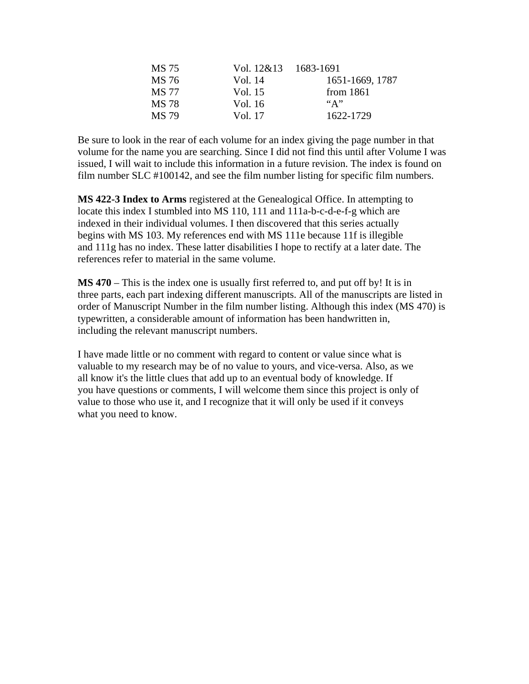| MS 75 | Vol. $12\&13$ 1683-1691 |                 |
|-------|-------------------------|-----------------|
| MS 76 | Vol. 14                 | 1651-1669, 1787 |
| MS 77 | Vol. 15                 | from $1861$     |
| MS 78 | Vol. 16                 | $\mathbf{A}$ "  |
| MS 79 | Vol. 17                 | 1622-1729       |

Be sure to look in the rear of each volume for an index giving the page number in that volume for the name you are searching. Since I did not find this until after Volume I was issued, I will wait to include this information in a future revision. The index is found on film number SLC #100142, and see the film number listing for specific film numbers.

**MS 422-3 Index to Arms** registered at the Genealogical Office. In attempting to locate this index I stumbled into MS 110, 111 and 111a-b-c-d-e-f-g which are indexed in their individual volumes. I then discovered that this series actually begins with MS 103. My references end with MS 111e because 11f is illegible and 111g has no index. These latter disabilities I hope to rectify at a later date. The references refer to material in the same volume.

**MS 470** – This is the index one is usually first referred to, and put off by! It is in three parts, each part indexing different manuscripts. All of the manuscripts are listed in order of Manuscript Number in the film number listing. Although this index (MS 470) is typewritten, a considerable amount of information has been handwritten in, including the relevant manuscript numbers.

I have made little or no comment with regard to content or value since what is valuable to my research may be of no value to yours, and vice-versa. Also, as we all know it's the little clues that add up to an eventual body of knowledge. If you have questions or comments, I will welcome them since this project is only of value to those who use it, and I recognize that it will only be used if it conveys what you need to know.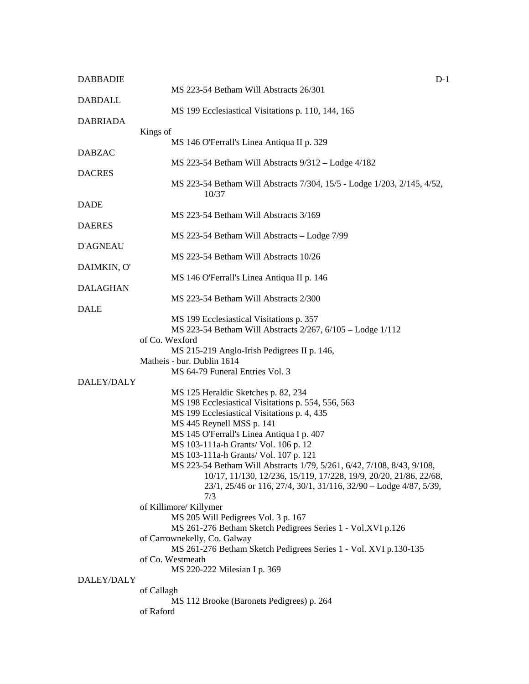| <b>DABBADIE</b> | $D-1$                                                                                                  |
|-----------------|--------------------------------------------------------------------------------------------------------|
|                 | MS 223-54 Betham Will Abstracts 26/301                                                                 |
| <b>DABDALL</b>  |                                                                                                        |
| <b>DABRIADA</b> | MS 199 Ecclesiastical Visitations p. 110, 144, 165                                                     |
|                 | Kings of                                                                                               |
|                 | MS 146 O'Ferrall's Linea Antiqua II p. 329                                                             |
| <b>DABZAC</b>   |                                                                                                        |
|                 | $MS$ 223-54 Betham Will Abstracts $9/312 -$ Lodge $4/182$                                              |
| <b>DACRES</b>   | MS 223-54 Betham Will Abstracts 7/304, 15/5 - Lodge 1/203, 2/145, 4/52,<br>10/37                       |
| <b>DADE</b>     |                                                                                                        |
|                 | MS 223-54 Betham Will Abstracts 3/169                                                                  |
| <b>DAERES</b>   |                                                                                                        |
| <b>D'AGNEAU</b> | MS 223-54 Betham Will Abstracts - Lodge 7/99                                                           |
|                 | MS 223-54 Betham Will Abstracts 10/26                                                                  |
| DAIMKIN, O'     |                                                                                                        |
|                 | MS 146 O'Ferrall's Linea Antiqua II p. 146                                                             |
| <b>DALAGHAN</b> |                                                                                                        |
|                 | MS 223-54 Betham Will Abstracts 2/300                                                                  |
| <b>DALE</b>     |                                                                                                        |
|                 | MS 199 Ecclesiastical Visitations p. 357<br>MS 223-54 Betham Will Abstracts 2/267, 6/105 - Lodge 1/112 |
|                 | of Co. Wexford                                                                                         |
|                 | MS 215-219 Anglo-Irish Pedigrees II p. 146,                                                            |
|                 | Matheis - bur. Dublin 1614                                                                             |
|                 | MS 64-79 Funeral Entries Vol. 3                                                                        |
| DALEY/DALY      |                                                                                                        |
|                 | MS 125 Heraldic Sketches p. 82, 234                                                                    |
|                 | MS 198 Ecclesiastical Visitations p. 554, 556, 563                                                     |
|                 | MS 199 Ecclesiastical Visitations p. 4, 435                                                            |
|                 | MS 445 Reynell MSS p. 141<br>MS 145 O'Ferrall's Linea Antiqua I p. 407                                 |
|                 | MS 103-111a-h Grants/ Vol. 106 p. 12                                                                   |
|                 | MS 103-111a-h Grants/ Vol. 107 p. 121                                                                  |
|                 | MS 223-54 Betham Will Abstracts 1/79, 5/261, 6/42, 7/108, 8/43, 9/108,                                 |
|                 | 10/17, 11/130, 12/236, 15/119, 17/228, 19/9, 20/20, 21/86, 22/68,                                      |
|                 | 23/1, 25/46 or 116, 27/4, 30/1, 31/116, 32/90 - Lodge 4/87, 5/39,                                      |
|                 | 7/3                                                                                                    |
|                 | of Killimore/ Killymer<br>MS 205 Will Pedigrees Vol. 3 p. 167                                          |
|                 | MS 261-276 Betham Sketch Pedigrees Series 1 - Vol.XVI p.126                                            |
|                 | of Carrownekelly, Co. Galway                                                                           |
|                 | MS 261-276 Betham Sketch Pedigrees Series 1 - Vol. XVI p.130-135                                       |
|                 | of Co. Westmeath                                                                                       |
|                 | MS 220-222 Milesian I p. 369                                                                           |
| DALEY/DALY      |                                                                                                        |
|                 | of Callagh                                                                                             |
|                 | MS 112 Brooke (Baronets Pedigrees) p. 264<br>of Raford                                                 |
|                 |                                                                                                        |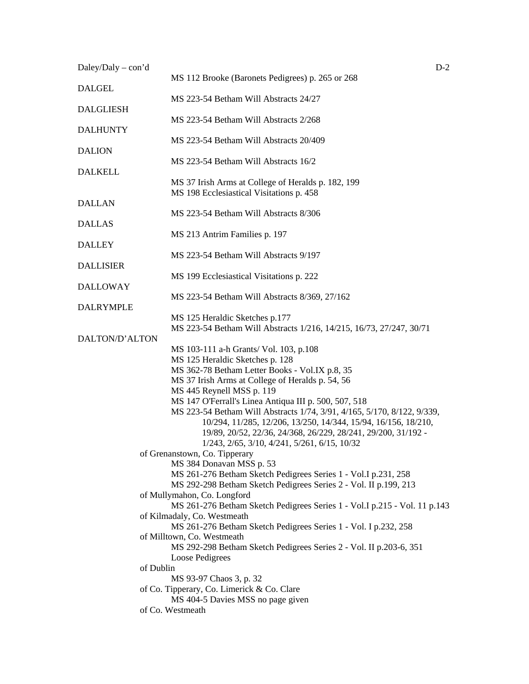| Daley/Daly - con'd | $D-2$                                                                                                 |
|--------------------|-------------------------------------------------------------------------------------------------------|
| <b>DALGEL</b>      | MS 112 Brooke (Baronets Pedigrees) p. 265 or 268                                                      |
| <b>DALGLIESH</b>   | MS 223-54 Betham Will Abstracts 24/27                                                                 |
| <b>DALHUNTY</b>    | MS 223-54 Betham Will Abstracts 2/268                                                                 |
|                    | MS 223-54 Betham Will Abstracts 20/409                                                                |
| <b>DALION</b>      | MS 223-54 Betham Will Abstracts 16/2                                                                  |
| <b>DALKELL</b>     | MS 37 Irish Arms at College of Heralds p. 182, 199<br>MS 198 Ecclesiastical Visitations p. 458        |
| <b>DALLAN</b>      |                                                                                                       |
| <b>DALLAS</b>      | MS 223-54 Betham Will Abstracts 8/306                                                                 |
| <b>DALLEY</b>      | MS 213 Antrim Families p. 197                                                                         |
|                    | MS 223-54 Betham Will Abstracts 9/197                                                                 |
| <b>DALLISIER</b>   | MS 199 Ecclesiastical Visitations p. 222                                                              |
| <b>DALLOWAY</b>    | MS 223-54 Betham Will Abstracts 8/369, 27/162                                                         |
| <b>DALRYMPLE</b>   |                                                                                                       |
|                    | MS 125 Heraldic Sketches p.177<br>MS 223-54 Betham Will Abstracts 1/216, 14/215, 16/73, 27/247, 30/71 |
| DALTON/D'ALTON     |                                                                                                       |
|                    | MS 103-111 a-h Grants/ Vol. 103, p.108<br>MS 125 Heraldic Sketches p. 128                             |
|                    | MS 362-78 Betham Letter Books - Vol.IX p.8, 35                                                        |
|                    | MS 37 Irish Arms at College of Heralds p. 54, 56                                                      |
|                    | MS 445 Reynell MSS p. 119                                                                             |
|                    | MS 147 O'Ferrall's Linea Antiqua III p. 500, 507, 518                                                 |
|                    | MS 223-54 Betham Will Abstracts 1/74, 3/91, 4/165, 5/170, 8/122, 9/339,                               |
|                    | 10/294, 11/285, 12/206, 13/250, 14/344, 15/94, 16/156, 18/210,                                        |
|                    | 19/89, 20/52, 22/36, 24/368, 26/229, 28/241, 29/200, 31/192 -                                         |
|                    | 1/243, 2/65, 3/10, 4/241, 5/261, 6/15, 10/32                                                          |
|                    | of Grenanstown, Co. Tipperary                                                                         |
|                    | MS 384 Donavan MSS p. 53                                                                              |
|                    | MS 261-276 Betham Sketch Pedigrees Series 1 - Vol. I p.231, 258                                       |
|                    | MS 292-298 Betham Sketch Pedigrees Series 2 - Vol. II p.199, 213                                      |
|                    | of Mullymahon, Co. Longford                                                                           |
|                    | MS 261-276 Betham Sketch Pedigrees Series 1 - Vol.I p.215 - Vol. 11 p.143                             |
|                    | of Kilmadaly, Co. Westmeath                                                                           |
|                    | MS 261-276 Betham Sketch Pedigrees Series 1 - Vol. I p.232, 258                                       |
|                    | of Milltown, Co. Westmeath                                                                            |
|                    | MS 292-298 Betham Sketch Pedigrees Series 2 - Vol. II p.203-6, 351                                    |
|                    | Loose Pedigrees                                                                                       |
|                    | of Dublin                                                                                             |
|                    | MS 93-97 Chaos 3, p. 32                                                                               |
|                    | of Co. Tipperary, Co. Limerick & Co. Clare<br>MS 404-5 Davies MSS no page given                       |
|                    | of Co. Westmeath                                                                                      |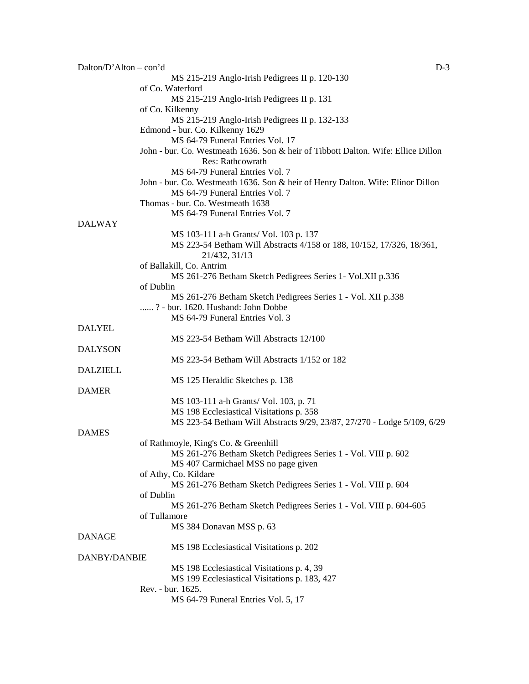| Dalton/D'Alton – con'd | $D-3$                                                                             |  |
|------------------------|-----------------------------------------------------------------------------------|--|
|                        | MS 215-219 Anglo-Irish Pedigrees II p. 120-130                                    |  |
|                        | of Co. Waterford                                                                  |  |
|                        | MS 215-219 Anglo-Irish Pedigrees II p. 131                                        |  |
|                        | of Co. Kilkenny                                                                   |  |
|                        | MS 215-219 Anglo-Irish Pedigrees II p. 132-133                                    |  |
|                        | Edmond - bur. Co. Kilkenny 1629                                                   |  |
|                        | MS 64-79 Funeral Entries Vol. 17                                                  |  |
|                        |                                                                                   |  |
|                        | John - bur. Co. Westmeath 1636. Son & heir of Tibbott Dalton. Wife: Ellice Dillon |  |
|                        | <b>Res: Rathcowrath</b>                                                           |  |
|                        | MS 64-79 Funeral Entries Vol. 7                                                   |  |
|                        | John - bur. Co. Westmeath 1636. Son & heir of Henry Dalton. Wife: Elinor Dillon   |  |
|                        | MS 64-79 Funeral Entries Vol. 7                                                   |  |
|                        | Thomas - bur. Co. Westmeath 1638                                                  |  |
|                        | MS 64-79 Funeral Entries Vol. 7                                                   |  |
| <b>DALWAY</b>          |                                                                                   |  |
|                        | MS 103-111 a-h Grants/ Vol. 103 p. 137                                            |  |
|                        | MS 223-54 Betham Will Abstracts 4/158 or 188, 10/152, 17/326, 18/361,             |  |
|                        | 21/432, 31/13                                                                     |  |
|                        | of Ballakill, Co. Antrim                                                          |  |
|                        |                                                                                   |  |
|                        | MS 261-276 Betham Sketch Pedigrees Series 1- Vol.XII p.336                        |  |
|                        | of Dublin                                                                         |  |
|                        | MS 261-276 Betham Sketch Pedigrees Series 1 - Vol. XII p.338                      |  |
|                        | ? - bur. 1620. Husband: John Dobbe                                                |  |
|                        | MS 64-79 Funeral Entries Vol. 3                                                   |  |
| <b>DALYEL</b>          |                                                                                   |  |
|                        | MS 223-54 Betham Will Abstracts 12/100                                            |  |
| <b>DALYSON</b>         |                                                                                   |  |
|                        | MS 223-54 Betham Will Abstracts 1/152 or 182                                      |  |
| <b>DALZIELL</b>        |                                                                                   |  |
|                        | MS 125 Heraldic Sketches p. 138                                                   |  |
| <b>DAMER</b>           |                                                                                   |  |
|                        | MS 103-111 a-h Grants/ Vol. 103, p. 71                                            |  |
|                        |                                                                                   |  |
|                        | MS 198 Ecclesiastical Visitations p. 358                                          |  |
|                        | MS 223-54 Betham Will Abstracts 9/29, 23/87, 27/270 - Lodge 5/109, 6/29           |  |
| <b>DAMES</b>           |                                                                                   |  |
|                        | of Rathmoyle, King's Co. & Greenhill                                              |  |
|                        | MS 261-276 Betham Sketch Pedigrees Series 1 - Vol. VIII p. 602                    |  |
|                        | MS 407 Carmichael MSS no page given                                               |  |
|                        | of Athy, Co. Kildare                                                              |  |
|                        | MS 261-276 Betham Sketch Pedigrees Series 1 - Vol. VIII p. 604                    |  |
|                        | of Dublin                                                                         |  |
|                        | MS 261-276 Betham Sketch Pedigrees Series 1 - Vol. VIII p. 604-605                |  |
|                        | of Tullamore                                                                      |  |
|                        | MS 384 Donavan MSS p. 63                                                          |  |
| <b>DANAGE</b>          |                                                                                   |  |
|                        | MS 198 Ecclesiastical Visitations p. 202                                          |  |
|                        |                                                                                   |  |
| DANBY/DANBIE           |                                                                                   |  |
|                        | MS 198 Ecclesiastical Visitations p. 4, 39                                        |  |
|                        | MS 199 Ecclesiastical Visitations p. 183, 427                                     |  |
|                        | Rev. - bur. 1625.                                                                 |  |
|                        | MS 64-79 Funeral Entries Vol. 5, 17                                               |  |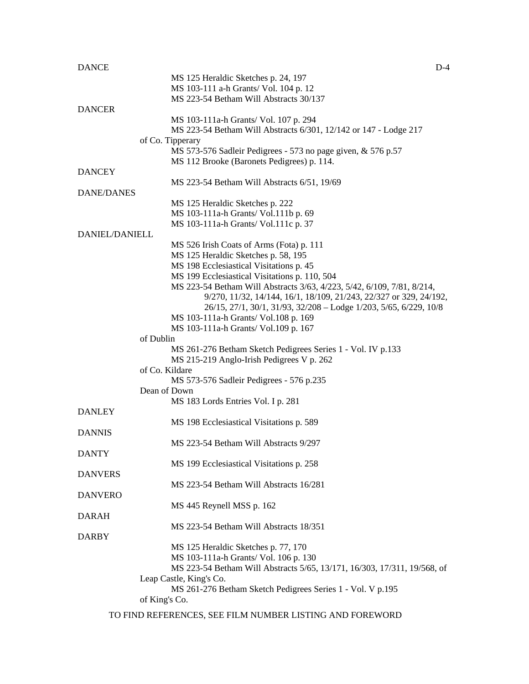| <b>DANCE</b>          | $D-4$                                                                    |
|-----------------------|--------------------------------------------------------------------------|
|                       | MS 125 Heraldic Sketches p. 24, 197                                      |
|                       | MS 103-111 a-h Grants/ Vol. 104 p. 12                                    |
|                       | MS 223-54 Betham Will Abstracts 30/137                                   |
| <b>DANCER</b>         |                                                                          |
|                       | MS 103-111a-h Grants/ Vol. 107 p. 294                                    |
|                       | MS 223-54 Betham Will Abstracts 6/301, 12/142 or 147 - Lodge 217         |
|                       | of Co. Tipperary                                                         |
|                       | MS 573-576 Sadleir Pedigrees - 573 no page given, & 576 p.57             |
|                       | MS 112 Brooke (Baronets Pedigrees) p. 114.                               |
| <b>DANCEY</b>         |                                                                          |
|                       | MS 223-54 Betham Will Abstracts 6/51, 19/69                              |
| DANE/DANES            |                                                                          |
|                       | MS 125 Heraldic Sketches p. 222                                          |
|                       | MS 103-111a-h Grants/ Vol.111b p. 69                                     |
|                       | MS 103-111a-h Grants/ Vol.111c p. 37                                     |
| <b>DANIEL/DANIELL</b> |                                                                          |
|                       |                                                                          |
|                       | MS 526 Irish Coats of Arms (Fota) p. 111                                 |
|                       | MS 125 Heraldic Sketches p. 58, 195                                      |
|                       | MS 198 Ecclesiastical Visitations p. 45                                  |
|                       | MS 199 Ecclesiastical Visitations p. 110, 504                            |
|                       | MS 223-54 Betham Will Abstracts 3/63, 4/223, 5/42, 6/109, 7/81, 8/214,   |
|                       | 9/270, 11/32, 14/144, 16/1, 18/109, 21/243, 22/327 or 329, 24/192,       |
|                       | 26/15, 27/1, 30/1, 31/93, 32/208 - Lodge 1/203, 5/65, 6/229, 10/8        |
|                       | MS 103-111a-h Grants/ Vol.108 p. 169                                     |
|                       | MS 103-111a-h Grants/ Vol.109 p. 167                                     |
|                       | of Dublin                                                                |
|                       | MS 261-276 Betham Sketch Pedigrees Series 1 - Vol. IV p.133              |
|                       | MS 215-219 Anglo-Irish Pedigrees V p. 262                                |
|                       | of Co. Kildare                                                           |
|                       | MS 573-576 Sadleir Pedigrees - 576 p.235                                 |
|                       | Dean of Down                                                             |
|                       | MS 183 Lords Entries Vol. I p. 281                                       |
| <b>DANLEY</b>         |                                                                          |
|                       | MS 198 Ecclesiastical Visitations p. 589                                 |
| <b>DANNIS</b>         |                                                                          |
|                       | MS 223-54 Betham Will Abstracts 9/297                                    |
| <b>DANTY</b>          |                                                                          |
|                       | MS 199 Ecclesiastical Visitations p. 258                                 |
| <b>DANVERS</b>        |                                                                          |
|                       |                                                                          |
|                       | MS 223-54 Betham Will Abstracts 16/281                                   |
| <b>DANVERO</b>        |                                                                          |
|                       | MS 445 Reynell MSS p. 162                                                |
| DARAH                 |                                                                          |
|                       | MS 223-54 Betham Will Abstracts 18/351                                   |
| <b>DARBY</b>          |                                                                          |
|                       | MS 125 Heraldic Sketches p. 77, 170                                      |
|                       | MS 103-111a-h Grants/ Vol. 106 p. 130                                    |
|                       | MS 223-54 Betham Will Abstracts 5/65, 13/171, 16/303, 17/311, 19/568, of |
|                       | Leap Castle, King's Co.                                                  |
|                       | MS 261-276 Betham Sketch Pedigrees Series 1 - Vol. V p.195               |
|                       | of King's Co.                                                            |
|                       |                                                                          |
|                       | TO FIND REFERENCES, SEE FILM NUMBER LISTING AND FOREWORD                 |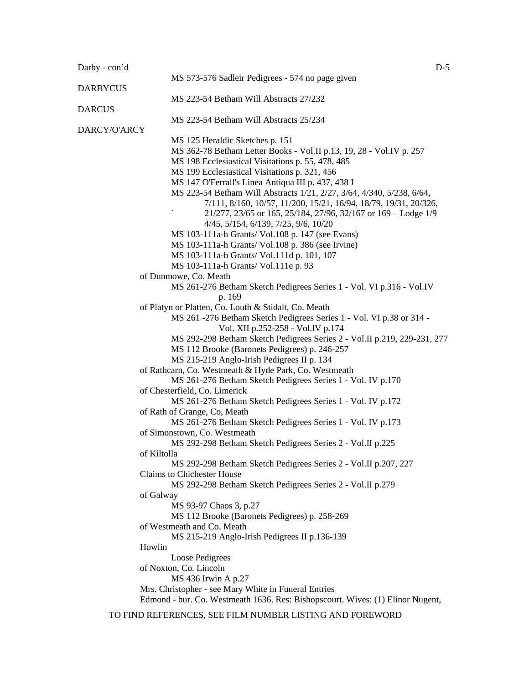| Darby - con'd   |                                                                                                                                                                    | $D-5$ |
|-----------------|--------------------------------------------------------------------------------------------------------------------------------------------------------------------|-------|
| <b>DARBYCUS</b> | MS 573-576 Sadleir Pedigrees - 574 no page given                                                                                                                   |       |
| <b>DARCUS</b>   | MS 223-54 Betham Will Abstracts 27/232                                                                                                                             |       |
| DARCY/O'ARCY    | MS 223-54 Betham Will Abstracts 25/234                                                                                                                             |       |
|                 | MS 125 Heraldic Sketches p. 151                                                                                                                                    |       |
|                 | MS 362-78 Betham Letter Books - Vol.II p.13, 19, 28 - Vol.IV p. 257                                                                                                |       |
|                 | MS 198 Ecclesiastical Visitations p. 55, 478, 485                                                                                                                  |       |
|                 | MS 199 Ecclesiastical Visitations p. 321, 456                                                                                                                      |       |
|                 | MS 147 O'Ferrall's Linea Antiqua III p. 437, 438 I                                                                                                                 |       |
|                 | MS 223-54 Betham Will Abstracts 1/21, 2/27, 3/64, 4/340, 5/238, 6/64,                                                                                              |       |
|                 | 7/111, 8/160, 10/57, 11/200, 15/21, 16/94, 18/79, 19/31, 20/326,                                                                                                   |       |
|                 | 21/277, 23/65 or 165, 25/184, 27/96, 32/167 or 169 – Lodge 1/9                                                                                                     |       |
|                 | 4/45, 5/154, 6/139, 7/25, 9/6, 10/20                                                                                                                               |       |
|                 | MS 103-111a-h Grants/ Vol.108 p. 147 (see Evans)                                                                                                                   |       |
|                 | MS 103-111a-h Grants/ Vol.108 p. 386 (see Irvine)                                                                                                                  |       |
|                 | MS 103-111a-h Grants/ Vol.111d p. 101, 107                                                                                                                         |       |
|                 | MS 103-111a-h Grants/ Vol.111e p. 93                                                                                                                               |       |
|                 | of Dunmowe, Co. Meath                                                                                                                                              |       |
|                 | MS 261-276 Betham Sketch Pedigrees Series 1 - Vol. VI p.316 - Vol.IV                                                                                               |       |
|                 | p. 169                                                                                                                                                             |       |
|                 | of Platyn or Platten, Co. Louth & Stidalt, Co. Meath<br>MS 261 -276 Betham Sketch Pedigrees Series 1 - Vol. VI p.38 or 314 -<br>Vol. XII p.252-258 - Vol. IV p.174 |       |
|                 | MS 292-298 Betham Sketch Pedigrees Series 2 - Vol.II p.219, 229-231, 277<br>MS 112 Brooke (Baronets Pedigrees) p. 246-257                                          |       |
|                 | MS 215-219 Anglo-Irish Pedigrees II p. 134                                                                                                                         |       |
|                 | of Rathcarn, Co. Westmeath & Hyde Park, Co. Westmeath                                                                                                              |       |
|                 | MS 261-276 Betham Sketch Pedigrees Series 1 - Vol. IV p.170                                                                                                        |       |
|                 | of Chesterfield, Co. Limerick                                                                                                                                      |       |
|                 | MS 261-276 Betham Sketch Pedigrees Series 1 - Vol. IV p.172<br>of Rath of Grange, Co, Meath                                                                        |       |
|                 | MS 261-276 Betham Sketch Pedigrees Series 1 - Vol. IV p.173                                                                                                        |       |
|                 | of Simonstown, Co. Westmeath                                                                                                                                       |       |
|                 | MS 292-298 Betham Sketch Pedigrees Series 2 - Vol.II p.225                                                                                                         |       |
|                 | of Kiltolla                                                                                                                                                        |       |
|                 | MS 292-298 Betham Sketch Pedigrees Series 2 - Vol.II p.207, 227                                                                                                    |       |
|                 | Claims to Chichester House<br>MS 292-298 Betham Sketch Pedigrees Series 2 - Vol.II p.279                                                                           |       |
|                 | of Galway                                                                                                                                                          |       |
|                 | MS 93-97 Chaos 3, p.27                                                                                                                                             |       |
|                 | MS 112 Brooke (Baronets Pedigrees) p. 258-269                                                                                                                      |       |
|                 | of Westmeath and Co. Meath                                                                                                                                         |       |
|                 | MS 215-219 Anglo-Irish Pedigrees II p.136-139                                                                                                                      |       |
|                 | Howlin                                                                                                                                                             |       |
|                 | Loose Pedigrees                                                                                                                                                    |       |
|                 | of Noxton, Co. Lincoln                                                                                                                                             |       |
|                 | MS 436 Irwin A p.27<br>Mrs. Christopher - see Mary White in Funeral Entries                                                                                        |       |
|                 | Edmond - bur. Co. Westmeath 1636. Res: Bishopscourt. Wives: (1) Elinor Nugent,                                                                                     |       |

TO FIND REFERENCES, SEE FILM NUMBER LISTING AND FOREWORD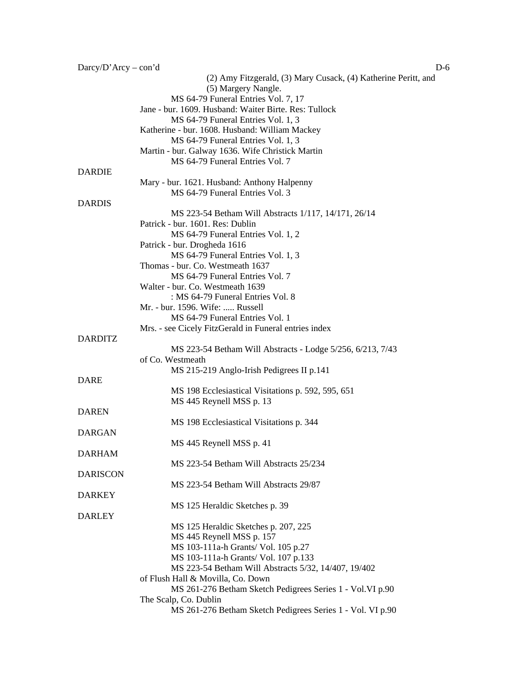| $Darcy/D'Arcy - con'd$ | $D-6$                                                                                    |
|------------------------|------------------------------------------------------------------------------------------|
|                        | (2) Amy Fitzgerald, (3) Mary Cusack, (4) Katherine Peritt, and                           |
|                        | (5) Margery Nangle.                                                                      |
|                        | MS 64-79 Funeral Entries Vol. 7, 17                                                      |
|                        | Jane - bur. 1609. Husband: Waiter Birte. Res: Tullock                                    |
|                        | MS 64-79 Funeral Entries Vol. 1, 3                                                       |
|                        | Katherine - bur. 1608. Husband: William Mackey                                           |
|                        | MS 64-79 Funeral Entries Vol. 1, 3                                                       |
|                        | Martin - bur. Galway 1636. Wife Christick Martin                                         |
|                        | MS 64-79 Funeral Entries Vol. 7                                                          |
| <b>DARDIE</b>          |                                                                                          |
|                        | Mary - bur. 1621. Husband: Anthony Halpenny                                              |
|                        | MS 64-79 Funeral Entries Vol. 3                                                          |
| <b>DARDIS</b>          |                                                                                          |
|                        | MS 223-54 Betham Will Abstracts 1/117, 14/171, 26/14<br>Patrick - bur. 1601. Res: Dublin |
|                        | MS 64-79 Funeral Entries Vol. 1, 2                                                       |
|                        | Patrick - bur. Drogheda 1616                                                             |
|                        | MS 64-79 Funeral Entries Vol. 1, 3                                                       |
|                        | Thomas - bur. Co. Westmeath 1637                                                         |
|                        | MS 64-79 Funeral Entries Vol. 7                                                          |
|                        | Walter - bur. Co. Westmeath 1639                                                         |
|                        | : MS 64-79 Funeral Entries Vol. 8                                                        |
|                        | Mr. - bur. 1596. Wife:  Russell                                                          |
|                        | MS 64-79 Funeral Entries Vol. 1                                                          |
|                        | Mrs. - see Cicely FitzGerald in Funeral entries index                                    |
| <b>DARDITZ</b>         |                                                                                          |
|                        | MS 223-54 Betham Will Abstracts - Lodge 5/256, 6/213, 7/43                               |
|                        | of Co. Westmeath                                                                         |
|                        | MS 215-219 Anglo-Irish Pedigrees II p.141                                                |
| <b>DARE</b>            |                                                                                          |
|                        | MS 198 Ecclesiastical Visitations p. 592, 595, 651                                       |
|                        | MS 445 Reynell MSS p. 13                                                                 |
| <b>DAREN</b>           |                                                                                          |
|                        | MS 198 Ecclesiastical Visitations p. 344                                                 |
| <b>DARGAN</b>          |                                                                                          |
|                        | MS 445 Reynell MSS p. 41                                                                 |
| <b>DARHAM</b>          |                                                                                          |
|                        | MS 223-54 Betham Will Abstracts 25/234                                                   |
| <b>DARISCON</b>        |                                                                                          |
|                        | MS 223-54 Betham Will Abstracts 29/87                                                    |
| <b>DARKEY</b>          |                                                                                          |
|                        | MS 125 Heraldic Sketches p. 39                                                           |
| <b>DARLEY</b>          |                                                                                          |
|                        | MS 125 Heraldic Sketches p. 207, 225                                                     |
|                        | MS 445 Reynell MSS p. 157                                                                |
|                        | MS 103-111a-h Grants/ Vol. 105 p.27                                                      |
|                        | MS 103-111a-h Grants/ Vol. 107 p.133                                                     |
|                        | MS 223-54 Betham Will Abstracts 5/32, 14/407, 19/402                                     |
|                        | of Flush Hall & Movilla, Co. Down                                                        |
|                        | MS 261-276 Betham Sketch Pedigrees Series 1 - Vol. VI p.90                               |
|                        | The Scalp, Co. Dublin                                                                    |
|                        | MS 261-276 Betham Sketch Pedigrees Series 1 - Vol. VI p.90                               |
|                        |                                                                                          |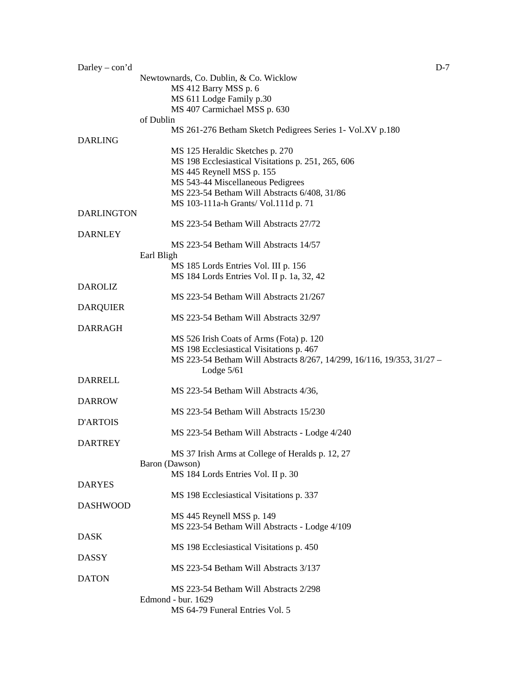| Newtownards, Co. Dublin, & Co. Wicklow<br>MS 412 Barry MSS p. 6<br>MS 611 Lodge Family p.30<br>MS 407 Carmichael MSS p. 630<br>of Dublin<br>MS 261-276 Betham Sketch Pedigrees Series 1- Vol.XV p.180<br>MS 125 Heraldic Sketches p. 270<br>MS 198 Ecclesiastical Visitations p. 251, 265, 606<br>MS 445 Reynell MSS p. 155<br>MS 543-44 Miscellaneous Pedigrees<br>MS 223-54 Betham Will Abstracts 6/408, 31/86<br>MS 103-111a-h Grants/ Vol.111d p. 71<br><b>DARLINGTON</b><br>MS 223-54 Betham Will Abstracts 27/72<br><b>DARNLEY</b><br>MS 223-54 Betham Will Abstracts 14/57<br>Earl Bligh<br>MS 185 Lords Entries Vol. III p. 156<br>MS 184 Lords Entries Vol. II p. 1a, 32, 42<br><b>DAROLIZ</b><br>MS 223-54 Betham Will Abstracts 21/267<br><b>DARQUIER</b><br>MS 223-54 Betham Will Abstracts 32/97<br>MS 526 Irish Coats of Arms (Fota) p. 120<br>MS 198 Ecclesiastical Visitations p. 467<br>MS 223-54 Betham Will Abstracts 8/267, 14/299, 16/116, 19/353, 31/27 -<br>Lodge $5/61$<br><b>DARRELL</b><br>MS 223-54 Betham Will Abstracts 4/36,<br>MS 223-54 Betham Will Abstracts 15/230<br>D'ARTOIS<br>MS 223-54 Betham Will Abstracts - Lodge 4/240<br><b>DARTREY</b><br>MS 37 Irish Arms at College of Heralds p. 12, 27<br>Baron (Dawson)<br>MS 184 Lords Entries Vol. II p. 30<br><b>DARYES</b><br>MS 198 Ecclesiastical Visitations p. 337<br><b>DASHWOOD</b><br>MS 445 Reynell MSS p. 149<br>MS 223-54 Betham Will Abstracts - Lodge 4/109<br><b>DASK</b><br>MS 198 Ecclesiastical Visitations p. 450<br><b>DASSY</b><br>MS 223-54 Betham Will Abstracts 3/137<br><b>DATON</b><br>MS 223-54 Betham Will Abstracts 2/298<br>Edmond - bur. 1629 | Darley – $con'd$ | $D-7$                           |
|------------------------------------------------------------------------------------------------------------------------------------------------------------------------------------------------------------------------------------------------------------------------------------------------------------------------------------------------------------------------------------------------------------------------------------------------------------------------------------------------------------------------------------------------------------------------------------------------------------------------------------------------------------------------------------------------------------------------------------------------------------------------------------------------------------------------------------------------------------------------------------------------------------------------------------------------------------------------------------------------------------------------------------------------------------------------------------------------------------------------------------------------------------------------------------------------------------------------------------------------------------------------------------------------------------------------------------------------------------------------------------------------------------------------------------------------------------------------------------------------------------------------------------------------------------------------------------------------------------------------------------------------------------------|------------------|---------------------------------|
|                                                                                                                                                                                                                                                                                                                                                                                                                                                                                                                                                                                                                                                                                                                                                                                                                                                                                                                                                                                                                                                                                                                                                                                                                                                                                                                                                                                                                                                                                                                                                                                                                                                                  |                  |                                 |
|                                                                                                                                                                                                                                                                                                                                                                                                                                                                                                                                                                                                                                                                                                                                                                                                                                                                                                                                                                                                                                                                                                                                                                                                                                                                                                                                                                                                                                                                                                                                                                                                                                                                  |                  |                                 |
|                                                                                                                                                                                                                                                                                                                                                                                                                                                                                                                                                                                                                                                                                                                                                                                                                                                                                                                                                                                                                                                                                                                                                                                                                                                                                                                                                                                                                                                                                                                                                                                                                                                                  |                  |                                 |
|                                                                                                                                                                                                                                                                                                                                                                                                                                                                                                                                                                                                                                                                                                                                                                                                                                                                                                                                                                                                                                                                                                                                                                                                                                                                                                                                                                                                                                                                                                                                                                                                                                                                  |                  |                                 |
|                                                                                                                                                                                                                                                                                                                                                                                                                                                                                                                                                                                                                                                                                                                                                                                                                                                                                                                                                                                                                                                                                                                                                                                                                                                                                                                                                                                                                                                                                                                                                                                                                                                                  |                  |                                 |
|                                                                                                                                                                                                                                                                                                                                                                                                                                                                                                                                                                                                                                                                                                                                                                                                                                                                                                                                                                                                                                                                                                                                                                                                                                                                                                                                                                                                                                                                                                                                                                                                                                                                  |                  |                                 |
|                                                                                                                                                                                                                                                                                                                                                                                                                                                                                                                                                                                                                                                                                                                                                                                                                                                                                                                                                                                                                                                                                                                                                                                                                                                                                                                                                                                                                                                                                                                                                                                                                                                                  |                  |                                 |
|                                                                                                                                                                                                                                                                                                                                                                                                                                                                                                                                                                                                                                                                                                                                                                                                                                                                                                                                                                                                                                                                                                                                                                                                                                                                                                                                                                                                                                                                                                                                                                                                                                                                  | <b>DARLING</b>   |                                 |
|                                                                                                                                                                                                                                                                                                                                                                                                                                                                                                                                                                                                                                                                                                                                                                                                                                                                                                                                                                                                                                                                                                                                                                                                                                                                                                                                                                                                                                                                                                                                                                                                                                                                  |                  |                                 |
|                                                                                                                                                                                                                                                                                                                                                                                                                                                                                                                                                                                                                                                                                                                                                                                                                                                                                                                                                                                                                                                                                                                                                                                                                                                                                                                                                                                                                                                                                                                                                                                                                                                                  |                  |                                 |
|                                                                                                                                                                                                                                                                                                                                                                                                                                                                                                                                                                                                                                                                                                                                                                                                                                                                                                                                                                                                                                                                                                                                                                                                                                                                                                                                                                                                                                                                                                                                                                                                                                                                  |                  |                                 |
|                                                                                                                                                                                                                                                                                                                                                                                                                                                                                                                                                                                                                                                                                                                                                                                                                                                                                                                                                                                                                                                                                                                                                                                                                                                                                                                                                                                                                                                                                                                                                                                                                                                                  |                  |                                 |
|                                                                                                                                                                                                                                                                                                                                                                                                                                                                                                                                                                                                                                                                                                                                                                                                                                                                                                                                                                                                                                                                                                                                                                                                                                                                                                                                                                                                                                                                                                                                                                                                                                                                  |                  |                                 |
|                                                                                                                                                                                                                                                                                                                                                                                                                                                                                                                                                                                                                                                                                                                                                                                                                                                                                                                                                                                                                                                                                                                                                                                                                                                                                                                                                                                                                                                                                                                                                                                                                                                                  |                  |                                 |
|                                                                                                                                                                                                                                                                                                                                                                                                                                                                                                                                                                                                                                                                                                                                                                                                                                                                                                                                                                                                                                                                                                                                                                                                                                                                                                                                                                                                                                                                                                                                                                                                                                                                  |                  |                                 |
|                                                                                                                                                                                                                                                                                                                                                                                                                                                                                                                                                                                                                                                                                                                                                                                                                                                                                                                                                                                                                                                                                                                                                                                                                                                                                                                                                                                                                                                                                                                                                                                                                                                                  |                  |                                 |
|                                                                                                                                                                                                                                                                                                                                                                                                                                                                                                                                                                                                                                                                                                                                                                                                                                                                                                                                                                                                                                                                                                                                                                                                                                                                                                                                                                                                                                                                                                                                                                                                                                                                  |                  |                                 |
|                                                                                                                                                                                                                                                                                                                                                                                                                                                                                                                                                                                                                                                                                                                                                                                                                                                                                                                                                                                                                                                                                                                                                                                                                                                                                                                                                                                                                                                                                                                                                                                                                                                                  |                  |                                 |
|                                                                                                                                                                                                                                                                                                                                                                                                                                                                                                                                                                                                                                                                                                                                                                                                                                                                                                                                                                                                                                                                                                                                                                                                                                                                                                                                                                                                                                                                                                                                                                                                                                                                  |                  |                                 |
|                                                                                                                                                                                                                                                                                                                                                                                                                                                                                                                                                                                                                                                                                                                                                                                                                                                                                                                                                                                                                                                                                                                                                                                                                                                                                                                                                                                                                                                                                                                                                                                                                                                                  |                  |                                 |
|                                                                                                                                                                                                                                                                                                                                                                                                                                                                                                                                                                                                                                                                                                                                                                                                                                                                                                                                                                                                                                                                                                                                                                                                                                                                                                                                                                                                                                                                                                                                                                                                                                                                  |                  |                                 |
|                                                                                                                                                                                                                                                                                                                                                                                                                                                                                                                                                                                                                                                                                                                                                                                                                                                                                                                                                                                                                                                                                                                                                                                                                                                                                                                                                                                                                                                                                                                                                                                                                                                                  |                  |                                 |
|                                                                                                                                                                                                                                                                                                                                                                                                                                                                                                                                                                                                                                                                                                                                                                                                                                                                                                                                                                                                                                                                                                                                                                                                                                                                                                                                                                                                                                                                                                                                                                                                                                                                  |                  |                                 |
|                                                                                                                                                                                                                                                                                                                                                                                                                                                                                                                                                                                                                                                                                                                                                                                                                                                                                                                                                                                                                                                                                                                                                                                                                                                                                                                                                                                                                                                                                                                                                                                                                                                                  |                  |                                 |
|                                                                                                                                                                                                                                                                                                                                                                                                                                                                                                                                                                                                                                                                                                                                                                                                                                                                                                                                                                                                                                                                                                                                                                                                                                                                                                                                                                                                                                                                                                                                                                                                                                                                  |                  |                                 |
|                                                                                                                                                                                                                                                                                                                                                                                                                                                                                                                                                                                                                                                                                                                                                                                                                                                                                                                                                                                                                                                                                                                                                                                                                                                                                                                                                                                                                                                                                                                                                                                                                                                                  |                  |                                 |
|                                                                                                                                                                                                                                                                                                                                                                                                                                                                                                                                                                                                                                                                                                                                                                                                                                                                                                                                                                                                                                                                                                                                                                                                                                                                                                                                                                                                                                                                                                                                                                                                                                                                  |                  |                                 |
|                                                                                                                                                                                                                                                                                                                                                                                                                                                                                                                                                                                                                                                                                                                                                                                                                                                                                                                                                                                                                                                                                                                                                                                                                                                                                                                                                                                                                                                                                                                                                                                                                                                                  |                  |                                 |
|                                                                                                                                                                                                                                                                                                                                                                                                                                                                                                                                                                                                                                                                                                                                                                                                                                                                                                                                                                                                                                                                                                                                                                                                                                                                                                                                                                                                                                                                                                                                                                                                                                                                  | <b>DARRAGH</b>   |                                 |
|                                                                                                                                                                                                                                                                                                                                                                                                                                                                                                                                                                                                                                                                                                                                                                                                                                                                                                                                                                                                                                                                                                                                                                                                                                                                                                                                                                                                                                                                                                                                                                                                                                                                  |                  |                                 |
|                                                                                                                                                                                                                                                                                                                                                                                                                                                                                                                                                                                                                                                                                                                                                                                                                                                                                                                                                                                                                                                                                                                                                                                                                                                                                                                                                                                                                                                                                                                                                                                                                                                                  |                  |                                 |
|                                                                                                                                                                                                                                                                                                                                                                                                                                                                                                                                                                                                                                                                                                                                                                                                                                                                                                                                                                                                                                                                                                                                                                                                                                                                                                                                                                                                                                                                                                                                                                                                                                                                  |                  |                                 |
|                                                                                                                                                                                                                                                                                                                                                                                                                                                                                                                                                                                                                                                                                                                                                                                                                                                                                                                                                                                                                                                                                                                                                                                                                                                                                                                                                                                                                                                                                                                                                                                                                                                                  |                  |                                 |
|                                                                                                                                                                                                                                                                                                                                                                                                                                                                                                                                                                                                                                                                                                                                                                                                                                                                                                                                                                                                                                                                                                                                                                                                                                                                                                                                                                                                                                                                                                                                                                                                                                                                  |                  |                                 |
|                                                                                                                                                                                                                                                                                                                                                                                                                                                                                                                                                                                                                                                                                                                                                                                                                                                                                                                                                                                                                                                                                                                                                                                                                                                                                                                                                                                                                                                                                                                                                                                                                                                                  |                  |                                 |
|                                                                                                                                                                                                                                                                                                                                                                                                                                                                                                                                                                                                                                                                                                                                                                                                                                                                                                                                                                                                                                                                                                                                                                                                                                                                                                                                                                                                                                                                                                                                                                                                                                                                  |                  |                                 |
|                                                                                                                                                                                                                                                                                                                                                                                                                                                                                                                                                                                                                                                                                                                                                                                                                                                                                                                                                                                                                                                                                                                                                                                                                                                                                                                                                                                                                                                                                                                                                                                                                                                                  | <b>DARROW</b>    |                                 |
|                                                                                                                                                                                                                                                                                                                                                                                                                                                                                                                                                                                                                                                                                                                                                                                                                                                                                                                                                                                                                                                                                                                                                                                                                                                                                                                                                                                                                                                                                                                                                                                                                                                                  |                  |                                 |
|                                                                                                                                                                                                                                                                                                                                                                                                                                                                                                                                                                                                                                                                                                                                                                                                                                                                                                                                                                                                                                                                                                                                                                                                                                                                                                                                                                                                                                                                                                                                                                                                                                                                  |                  |                                 |
|                                                                                                                                                                                                                                                                                                                                                                                                                                                                                                                                                                                                                                                                                                                                                                                                                                                                                                                                                                                                                                                                                                                                                                                                                                                                                                                                                                                                                                                                                                                                                                                                                                                                  |                  |                                 |
|                                                                                                                                                                                                                                                                                                                                                                                                                                                                                                                                                                                                                                                                                                                                                                                                                                                                                                                                                                                                                                                                                                                                                                                                                                                                                                                                                                                                                                                                                                                                                                                                                                                                  |                  |                                 |
|                                                                                                                                                                                                                                                                                                                                                                                                                                                                                                                                                                                                                                                                                                                                                                                                                                                                                                                                                                                                                                                                                                                                                                                                                                                                                                                                                                                                                                                                                                                                                                                                                                                                  |                  |                                 |
|                                                                                                                                                                                                                                                                                                                                                                                                                                                                                                                                                                                                                                                                                                                                                                                                                                                                                                                                                                                                                                                                                                                                                                                                                                                                                                                                                                                                                                                                                                                                                                                                                                                                  |                  |                                 |
|                                                                                                                                                                                                                                                                                                                                                                                                                                                                                                                                                                                                                                                                                                                                                                                                                                                                                                                                                                                                                                                                                                                                                                                                                                                                                                                                                                                                                                                                                                                                                                                                                                                                  |                  |                                 |
|                                                                                                                                                                                                                                                                                                                                                                                                                                                                                                                                                                                                                                                                                                                                                                                                                                                                                                                                                                                                                                                                                                                                                                                                                                                                                                                                                                                                                                                                                                                                                                                                                                                                  |                  |                                 |
|                                                                                                                                                                                                                                                                                                                                                                                                                                                                                                                                                                                                                                                                                                                                                                                                                                                                                                                                                                                                                                                                                                                                                                                                                                                                                                                                                                                                                                                                                                                                                                                                                                                                  |                  |                                 |
|                                                                                                                                                                                                                                                                                                                                                                                                                                                                                                                                                                                                                                                                                                                                                                                                                                                                                                                                                                                                                                                                                                                                                                                                                                                                                                                                                                                                                                                                                                                                                                                                                                                                  |                  |                                 |
|                                                                                                                                                                                                                                                                                                                                                                                                                                                                                                                                                                                                                                                                                                                                                                                                                                                                                                                                                                                                                                                                                                                                                                                                                                                                                                                                                                                                                                                                                                                                                                                                                                                                  |                  |                                 |
|                                                                                                                                                                                                                                                                                                                                                                                                                                                                                                                                                                                                                                                                                                                                                                                                                                                                                                                                                                                                                                                                                                                                                                                                                                                                                                                                                                                                                                                                                                                                                                                                                                                                  |                  |                                 |
|                                                                                                                                                                                                                                                                                                                                                                                                                                                                                                                                                                                                                                                                                                                                                                                                                                                                                                                                                                                                                                                                                                                                                                                                                                                                                                                                                                                                                                                                                                                                                                                                                                                                  |                  |                                 |
|                                                                                                                                                                                                                                                                                                                                                                                                                                                                                                                                                                                                                                                                                                                                                                                                                                                                                                                                                                                                                                                                                                                                                                                                                                                                                                                                                                                                                                                                                                                                                                                                                                                                  |                  |                                 |
|                                                                                                                                                                                                                                                                                                                                                                                                                                                                                                                                                                                                                                                                                                                                                                                                                                                                                                                                                                                                                                                                                                                                                                                                                                                                                                                                                                                                                                                                                                                                                                                                                                                                  |                  |                                 |
|                                                                                                                                                                                                                                                                                                                                                                                                                                                                                                                                                                                                                                                                                                                                                                                                                                                                                                                                                                                                                                                                                                                                                                                                                                                                                                                                                                                                                                                                                                                                                                                                                                                                  |                  |                                 |
|                                                                                                                                                                                                                                                                                                                                                                                                                                                                                                                                                                                                                                                                                                                                                                                                                                                                                                                                                                                                                                                                                                                                                                                                                                                                                                                                                                                                                                                                                                                                                                                                                                                                  |                  |                                 |
|                                                                                                                                                                                                                                                                                                                                                                                                                                                                                                                                                                                                                                                                                                                                                                                                                                                                                                                                                                                                                                                                                                                                                                                                                                                                                                                                                                                                                                                                                                                                                                                                                                                                  |                  |                                 |
|                                                                                                                                                                                                                                                                                                                                                                                                                                                                                                                                                                                                                                                                                                                                                                                                                                                                                                                                                                                                                                                                                                                                                                                                                                                                                                                                                                                                                                                                                                                                                                                                                                                                  |                  |                                 |
|                                                                                                                                                                                                                                                                                                                                                                                                                                                                                                                                                                                                                                                                                                                                                                                                                                                                                                                                                                                                                                                                                                                                                                                                                                                                                                                                                                                                                                                                                                                                                                                                                                                                  |                  |                                 |
|                                                                                                                                                                                                                                                                                                                                                                                                                                                                                                                                                                                                                                                                                                                                                                                                                                                                                                                                                                                                                                                                                                                                                                                                                                                                                                                                                                                                                                                                                                                                                                                                                                                                  |                  |                                 |
|                                                                                                                                                                                                                                                                                                                                                                                                                                                                                                                                                                                                                                                                                                                                                                                                                                                                                                                                                                                                                                                                                                                                                                                                                                                                                                                                                                                                                                                                                                                                                                                                                                                                  |                  |                                 |
|                                                                                                                                                                                                                                                                                                                                                                                                                                                                                                                                                                                                                                                                                                                                                                                                                                                                                                                                                                                                                                                                                                                                                                                                                                                                                                                                                                                                                                                                                                                                                                                                                                                                  |                  | MS 64-79 Funeral Entries Vol. 5 |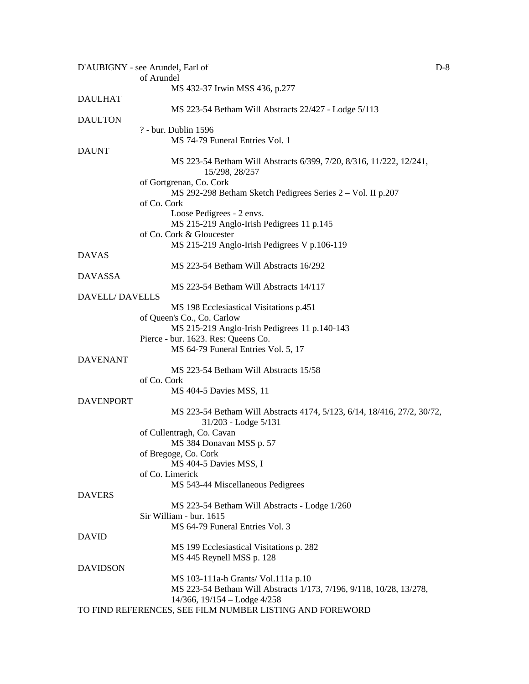|                  | $D-8$<br>D'AUBIGNY - see Arundel, Earl of                                                       |  |
|------------------|-------------------------------------------------------------------------------------------------|--|
|                  | of Arundel                                                                                      |  |
|                  | MS 432-37 Irwin MSS 436, p.277                                                                  |  |
| <b>DAULHAT</b>   |                                                                                                 |  |
|                  | MS 223-54 Betham Will Abstracts 22/427 - Lodge 5/113                                            |  |
| <b>DAULTON</b>   |                                                                                                 |  |
|                  | ? - bur. Dublin 1596                                                                            |  |
|                  | MS 74-79 Funeral Entries Vol. 1                                                                 |  |
| <b>DAUNT</b>     |                                                                                                 |  |
|                  | MS 223-54 Betham Will Abstracts 6/399, 7/20, 8/316, 11/222, 12/241,<br>15/298, 28/257           |  |
|                  | of Gortgrenan, Co. Cork                                                                         |  |
|                  | MS 292-298 Betham Sketch Pedigrees Series 2 - Vol. II p.207                                     |  |
|                  | of Co. Cork                                                                                     |  |
|                  | Loose Pedigrees - 2 envs.                                                                       |  |
|                  | MS 215-219 Anglo-Irish Pedigrees 11 p.145                                                       |  |
|                  | of Co. Cork & Gloucester                                                                        |  |
|                  | MS 215-219 Anglo-Irish Pedigrees V p.106-119                                                    |  |
|                  |                                                                                                 |  |
| <b>DAVAS</b>     |                                                                                                 |  |
|                  | MS 223-54 Betham Will Abstracts 16/292                                                          |  |
| <b>DAVASSA</b>   |                                                                                                 |  |
|                  | MS 223-54 Betham Will Abstracts 14/117                                                          |  |
| DAVELL/DAVELLS   |                                                                                                 |  |
|                  | MS 198 Ecclesiastical Visitations p.451                                                         |  |
|                  | of Queen's Co., Co. Carlow                                                                      |  |
|                  | MS 215-219 Anglo-Irish Pedigrees 11 p.140-143                                                   |  |
|                  | Pierce - bur. 1623. Res: Queens Co.                                                             |  |
|                  | MS 64-79 Funeral Entries Vol. 5, 17                                                             |  |
| <b>DAVENANT</b>  |                                                                                                 |  |
|                  | MS 223-54 Betham Will Abstracts 15/58                                                           |  |
|                  | of Co. Cork                                                                                     |  |
|                  | MS 404-5 Davies MSS, 11                                                                         |  |
| <b>DAVENPORT</b> |                                                                                                 |  |
|                  | MS 223-54 Betham Will Abstracts 4174, 5/123, 6/14, 18/416, 27/2, 30/72,<br>31/203 - Lodge 5/131 |  |
|                  | of Cullentragh, Co. Cavan                                                                       |  |
|                  | MS 384 Donavan MSS p. 57                                                                        |  |
|                  | of Bregoge, Co. Cork                                                                            |  |
|                  | MS 404-5 Davies MSS, I                                                                          |  |
|                  | of Co. Limerick                                                                                 |  |
|                  | MS 543-44 Miscellaneous Pedigrees                                                               |  |
| <b>DAVERS</b>    |                                                                                                 |  |
|                  | MS 223-54 Betham Will Abstracts - Lodge 1/260                                                   |  |
|                  | Sir William - bur. 1615                                                                         |  |
|                  | MS 64-79 Funeral Entries Vol. 3                                                                 |  |
| <b>DAVID</b>     |                                                                                                 |  |
|                  | MS 199 Ecclesiastical Visitations p. 282                                                        |  |
|                  | MS 445 Reynell MSS p. 128                                                                       |  |
| <b>DAVIDSON</b>  |                                                                                                 |  |
|                  | MS 103-111a-h Grants/ Vol.111a p.10                                                             |  |
|                  | MS 223-54 Betham Will Abstracts 1/173, 7/196, 9/118, 10/28, 13/278,                             |  |
|                  | $14/366$ , $19/154 -$ Lodge $4/258$                                                             |  |
|                  | TO FIND REFERENCES, SEE FILM NUMBER LISTING AND FOREWORD                                        |  |
|                  |                                                                                                 |  |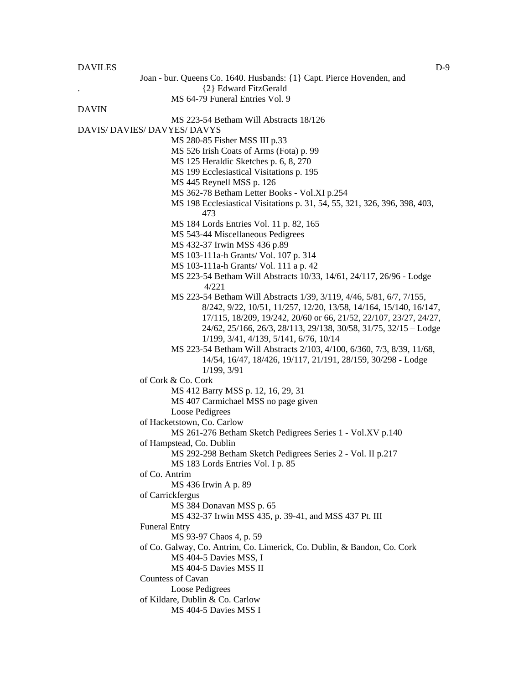#### DAVILES DESCRIPTION OF THE CONTRACTOR OF THE CONTRACTOR OF THE CONTRACTOR OF THE CONTRACTOR OF THE CONTRACTOR OF THE CONTRACTOR OF THE CONTRACTOR OF THE CONTRACTOR OF THE CONTRACTOR OF THE CONTRACTOR OF THE CONTRACTOR OF T

Joan - bur. Queens Co. 1640. Husbands: {1} Capt. Pierce Hovenden, and . {2} Edward FitzGerald MS 64-79 Funeral Entries Vol. 9 DAVIN MS 223-54 Betham Will Abstracts 18/126 DAVIS/ DAVIES/ DAVYES/ DAVYS MS 280-85 Fisher MSS III p.33 MS 526 Irish Coats of Arms (Fota) p. 99 MS 125 Heraldic Sketches p. 6, 8, 270 MS 199 Ecclesiastical Visitations p. 195 MS 445 Reynell MSS p. 126 MS 362-78 Betham Letter Books - Vol.XI p.254 MS 198 Ecclesiastical Visitations p. 31, 54, 55, 321, 326, 396, 398, 403, 473 MS 184 Lords Entries Vol. 11 p. 82, 165 MS 543-44 Miscellaneous Pedigrees MS 432-37 Irwin MSS 436 p.89 MS 103-111a-h Grants/ Vol. 107 p. 314 MS 103-111a-h Grants/ Vol. 111 a p. 42 MS 223-54 Betham Will Abstracts 10/33, 14/61, 24/117, 26/96 - Lodge 4/221 MS 223-54 Betham Will Abstracts 1/39, 3/119, 4/46, 5/81, 6/7, 7/155, 8/242, 9/22, 10/51, 11/257, 12/20, 13/58, 14/164, 15/140, 16/147, 17/115, 18/209, 19/242, 20/60 or 66, 21/52, 22/107, 23/27, 24/27, 24/62, 25/166, 26/3, 28/113, 29/138, 30/58, 31/75, 32/15 – Lodge 1/199, 3/41, 4/139, 5/141, 6/76, 10/14 MS 223-54 Betham Will Abstracts 2/103, 4/100, 6/360, 7/3, 8/39, 11/68, 14/54, 16/47, 18/426, 19/117, 21/191, 28/159, 30/298 - Lodge 1/199, 3/91 of Cork & Co. Cork MS 412 Barry MSS p. 12, 16, 29, 31 MS 407 Carmichael MSS no page given Loose Pedigrees of Hacketstown, Co. Carlow MS 261-276 Betham Sketch Pedigrees Series 1 - Vol.XV p.140 of Hampstead, Co. Dublin MS 292-298 Betham Sketch Pedigrees Series 2 - Vol. II p.217 MS 183 Lords Entries Vol. I p. 85 of Co. Antrim MS 436 Irwin A p. 89 of Carrickfergus MS 384 Donavan MSS p. 65 MS 432-37 Irwin MSS 435, p. 39-41, and MSS 437 Pt. III Funeral Entry MS 93-97 Chaos 4, p. 59 of Co. Galway, Co. Antrim, Co. Limerick, Co. Dublin, & Bandon, Co. Cork MS 404-5 Davies MSS, I MS 404-5 Davies MSS II Countess of Cavan Loose Pedigrees of Kildare, Dublin & Co. Carlow MS 404-5 Davies MSS I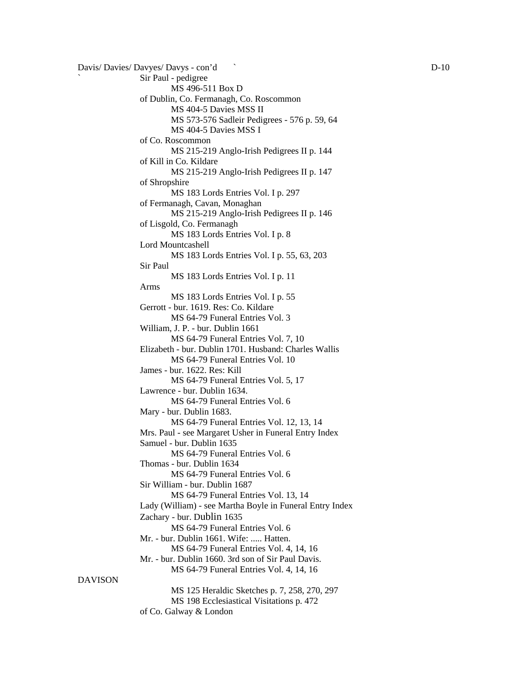```
Davis/ Davies/ Davyes/ Davys - con'd D-10Sir Paul - pedigree
                        MS 496-511 Box D 
                of Dublin, Co. Fermanagh, Co. Roscommon 
                        MS 404-5 Davies MSS II 
                        MS 573-576 Sadleir Pedigrees - 576 p. 59, 64 
                        MS 404-5 Davies MSS I 
                of Co. Roscommon 
                        MS 215-219 Anglo-Irish Pedigrees II p. 144 
                of Kill in Co. Kildare 
                        MS 215-219 Anglo-Irish Pedigrees II p. 147 
                of Shropshire 
                        MS 183 Lords Entries Vol. I p. 297 
                of Fermanagh, Cavan, Monaghan 
                        MS 215-219 Anglo-Irish Pedigrees II p. 146 
                of Lisgold, Co. Fermanagh 
                        MS 183 Lords Entries Vol. I p. 8 
                Lord Mountcashell 
                        MS 183 Lords Entries Vol. I p. 55, 63, 203 
                Sir Paul 
                        MS 183 Lords Entries Vol. I p. 11 
                Arms 
                        MS 183 Lords Entries Vol. I p. 55 
                Gerrott - bur. 1619. Res: Co. Kildare 
                        MS 64-79 Funeral Entries Vol. 3 
                William, J. P. - bur. Dublin 1661 
                        MS 64-79 Funeral Entries Vol. 7, 10 
                Elizabeth - bur. Dublin 1701. Husband: Charles Wallis 
                        MS 64-79 Funeral Entries Vol. 10 
                James - bur. 1622. Res: Kill 
                        MS 64-79 Funeral Entries Vol. 5, 17 
                Lawrence - bur. Dublin 1634. 
                        MS 64-79 Funeral Entries Vol. 6 
                Mary - bur. Dublin 1683. 
                        MS 64-79 Funeral Entries Vol. 12, 13, 14 
                Mrs. Paul - see Margaret Usher in Funeral Entry Index 
                Samuel - bur. Dublin 1635 
                        MS 64-79 Funeral Entries Vol. 6 
                Thomas - bur. Dublin 1634 
                        MS 64-79 Funeral Entries Vol. 6 
                Sir William - bur. Dublin 1687 
                        MS 64-79 Funeral Entries Vol. 13, 14 
                Lady (William) - see Martha Boyle in Funeral Entry Index 
                Zachary - bur. Dublin 1635
                        MS 64-79 Funeral Entries Vol. 6 
                Mr. - bur. Dublin 1661. Wife: ..... Hatten.
                        MS 64-79 Funeral Entries Vol. 4, 14, 16 
                Mr. - bur. Dublin 1660. 3rd son of Sir Paul Davis. 
                         MS 64-79 Funeral Entries Vol. 4, 14, 16 
DAVISON 
                        MS 125 Heraldic Sketches p. 7, 258, 270, 297 
                        MS 198 Ecclesiastical Visitations p. 472
```
of Co. Galway & London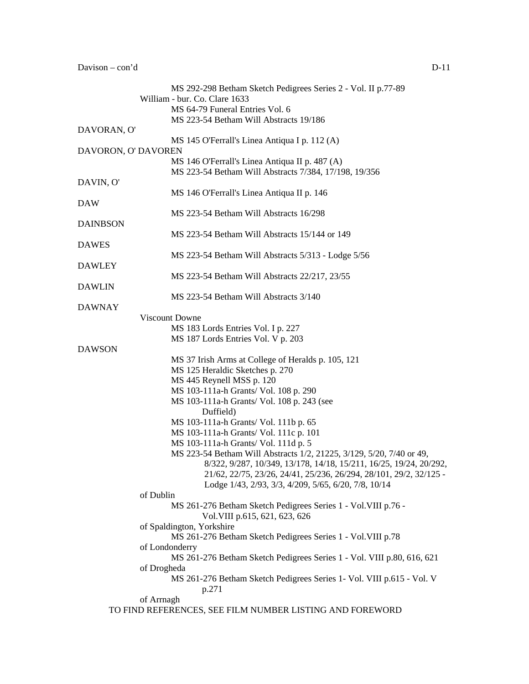|                     | MS 292-298 Betham Sketch Pedigrees Series 2 - Vol. II p.77-89          |
|---------------------|------------------------------------------------------------------------|
|                     | William - bur. Co. Clare 1633                                          |
|                     | MS 64-79 Funeral Entries Vol. 6                                        |
|                     | MS 223-54 Betham Will Abstracts 19/186                                 |
| DAVORAN, O'         |                                                                        |
|                     | MS 145 O'Ferrall's Linea Antiqua I p. 112 (A)                          |
| DAVORON, O' DAVOREN |                                                                        |
|                     | MS 146 O'Ferrall's Linea Antiqua II p. 487 (A)                         |
|                     | MS 223-54 Betham Will Abstracts 7/384, 17/198, 19/356                  |
| DAVIN, O'           |                                                                        |
|                     | MS 146 O'Ferrall's Linea Antiqua II p. 146                             |
| DAW                 |                                                                        |
|                     | MS 223-54 Betham Will Abstracts 16/298                                 |
| <b>DAINBSON</b>     |                                                                        |
|                     | MS 223-54 Betham Will Abstracts 15/144 or 149                          |
| <b>DAWES</b>        |                                                                        |
|                     | MS 223-54 Betham Will Abstracts 5/313 - Lodge 5/56                     |
| <b>DAWLEY</b>       |                                                                        |
|                     | MS 223-54 Betham Will Abstracts 22/217, 23/55                          |
| <b>DAWLIN</b>       |                                                                        |
|                     | MS 223-54 Betham Will Abstracts 3/140                                  |
| <b>DAWNAY</b>       |                                                                        |
|                     | Viscount Downe                                                         |
|                     | MS 183 Lords Entries Vol. I p. 227                                     |
|                     | MS 187 Lords Entries Vol. V p. 203                                     |
| <b>DAWSON</b>       |                                                                        |
|                     | MS 37 Irish Arms at College of Heralds p. 105, 121                     |
|                     | MS 125 Heraldic Sketches p. 270                                        |
|                     | MS 445 Reynell MSS p. 120                                              |
|                     | MS 103-111a-h Grants/ Vol. 108 p. 290                                  |
|                     | MS 103-111a-h Grants/ Vol. 108 p. 243 (see                             |
|                     | Duffield)                                                              |
|                     | MS 103-111a-h Grants/ Vol. 111b p. 65                                  |
|                     | MS 103-111a-h Grants/ Vol. 111c p. 101                                 |
|                     | MS 103-111a-h Grants/ Vol. 111d p. 5                                   |
|                     | MS 223-54 Betham Will Abstracts 1/2, 21225, 3/129, 5/20, 7/40 or 49,   |
|                     | 8/322, 9/287, 10/349, 13/178, 14/18, 15/211, 16/25, 19/24, 20/292,     |
|                     | 21/62, 22/75, 23/26, 24/41, 25/236, 26/294, 28/101, 29/2, 32/125 -     |
|                     | Lodge 1/43, 2/93, 3/3, 4/209, 5/65, 6/20, 7/8, 10/14                   |
| of Dublin           |                                                                        |
|                     | MS 261-276 Betham Sketch Pedigrees Series 1 - Vol. VIII p.76 -         |
|                     | Vol. VIII p.615, 621, 623, 626                                         |
|                     | of Spaldington, Yorkshire                                              |
|                     | MS 261-276 Betham Sketch Pedigrees Series 1 - Vol. VIII p.78           |
|                     | of Londonderry                                                         |
|                     | MS 261-276 Betham Sketch Pedigrees Series 1 - Vol. VIII p.80, 616, 621 |
| of Drogheda         |                                                                        |
|                     | MS 261-276 Betham Sketch Pedigrees Series 1- Vol. VIII p.615 - Vol. V  |
|                     | p.271                                                                  |
| of Arrnagh          |                                                                        |
|                     | TO FIND REFERENCES, SEE FILM NUMBER LISTING AND FOREWORD               |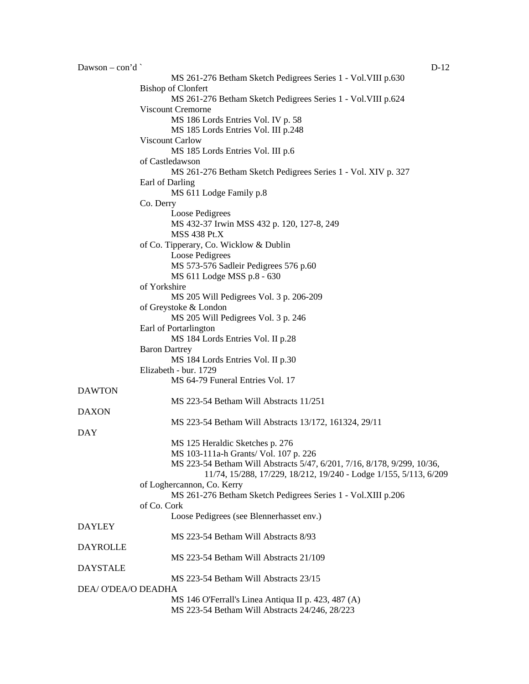| Dawson – con'd     | $D-12$                                                                  |
|--------------------|-------------------------------------------------------------------------|
|                    | MS 261-276 Betham Sketch Pedigrees Series 1 - Vol. VIII p.630           |
|                    | <b>Bishop of Clonfert</b>                                               |
|                    | MS 261-276 Betham Sketch Pedigrees Series 1 - Vol. VIII p.624           |
|                    | <b>Viscount Cremorne</b>                                                |
|                    | MS 186 Lords Entries Vol. IV p. 58                                      |
|                    | MS 185 Lords Entries Vol. III p.248                                     |
|                    | Viscount Carlow                                                         |
|                    | MS 185 Lords Entries Vol. III p.6                                       |
|                    | of Castledawson                                                         |
|                    | MS 261-276 Betham Sketch Pedigrees Series 1 - Vol. XIV p. 327           |
|                    | Earl of Darling                                                         |
|                    | MS 611 Lodge Family p.8                                                 |
|                    | Co. Derry                                                               |
|                    | Loose Pedigrees                                                         |
|                    | MS 432-37 Irwin MSS 432 p. 120, 127-8, 249                              |
|                    | <b>MSS 438 Pt.X</b>                                                     |
|                    |                                                                         |
|                    | of Co. Tipperary, Co. Wicklow & Dublin                                  |
|                    | Loose Pedigrees                                                         |
|                    | MS 573-576 Sadleir Pedigrees 576 p.60                                   |
|                    | MS 611 Lodge MSS p.8 - 630                                              |
|                    | of Yorkshire                                                            |
|                    | MS 205 Will Pedigrees Vol. 3 p. 206-209                                 |
|                    | of Greystoke & London                                                   |
|                    | MS 205 Will Pedigrees Vol. 3 p. 246                                     |
|                    | Earl of Portarlington                                                   |
|                    | MS 184 Lords Entries Vol. II p.28                                       |
|                    | <b>Baron Dartrey</b>                                                    |
|                    | MS 184 Lords Entries Vol. II p.30                                       |
|                    | Elizabeth - bur. 1729                                                   |
|                    | MS 64-79 Funeral Entries Vol. 17                                        |
| <b>DAWTON</b>      |                                                                         |
|                    | MS 223-54 Betham Will Abstracts 11/251                                  |
| <b>DAXON</b>       |                                                                         |
|                    | MS 223-54 Betham Will Abstracts 13/172, 161324, 29/11                   |
| DAY                |                                                                         |
|                    | MS 125 Heraldic Sketches p. 276                                         |
|                    | MS 103-111a-h Grants/ Vol. 107 p. 226                                   |
|                    | MS 223-54 Betham Will Abstracts 5/47, 6/201, 7/16, 8/178, 9/299, 10/36, |
|                    | 11/74, 15/288, 17/229, 18/212, 19/240 - Lodge 1/155, 5/113, 6/209       |
|                    | of Loghercannon, Co. Kerry                                              |
|                    | MS 261-276 Betham Sketch Pedigrees Series 1 - Vol.XIII p.206            |
|                    | of Co. Cork                                                             |
|                    | Loose Pedigrees (see Blennerhasset env.)                                |
| <b>DAYLEY</b>      |                                                                         |
|                    | MS 223-54 Betham Will Abstracts 8/93                                    |
| <b>DAYROLLE</b>    |                                                                         |
|                    | MS 223-54 Betham Will Abstracts 21/109                                  |
| <b>DAYSTALE</b>    |                                                                         |
|                    | MS 223-54 Betham Will Abstracts 23/15                                   |
| DEA/O'DEA/O DEADHA |                                                                         |
|                    |                                                                         |
|                    | MS 146 O'Ferrall's Linea Antiqua II p. 423, 487 (A)                     |
|                    | MS 223-54 Betham Will Abstracts 24/246, 28/223                          |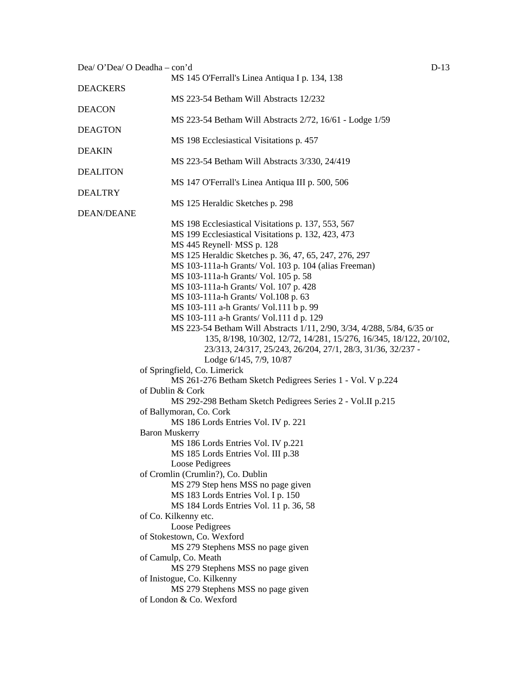| Dea/ O'Dea/ O Deadha - con'd |                                                                        | $D-13$ |
|------------------------------|------------------------------------------------------------------------|--------|
|                              | MS 145 O'Ferrall's Linea Antiqua I p. 134, 138                         |        |
| <b>DEACKERS</b>              |                                                                        |        |
|                              | MS 223-54 Betham Will Abstracts 12/232                                 |        |
| <b>DEACON</b>                |                                                                        |        |
|                              | MS 223-54 Betham Will Abstracts 2/72, 16/61 - Lodge 1/59               |        |
| <b>DEAGTON</b>               |                                                                        |        |
|                              | MS 198 Ecclesiastical Visitations p. 457                               |        |
| <b>DEAKIN</b>                |                                                                        |        |
|                              | MS 223-54 Betham Will Abstracts 3/330, 24/419                          |        |
| <b>DEALITON</b>              |                                                                        |        |
|                              | MS 147 O'Ferrall's Linea Antiqua III p. 500, 506                       |        |
| <b>DEALTRY</b>               |                                                                        |        |
| DEAN/DEANE                   | MS 125 Heraldic Sketches p. 298                                        |        |
|                              | MS 198 Ecclesiastical Visitations p. 137, 553, 567                     |        |
|                              | MS 199 Ecclesiastical Visitations p. 132, 423, 473                     |        |
|                              | MS 445 Reynell MSS p. 128                                              |        |
|                              | MS 125 Heraldic Sketches p. 36, 47, 65, 247, 276, 297                  |        |
|                              | MS 103-111a-h Grants/ Vol. 103 p. 104 (alias Freeman)                  |        |
|                              | MS 103-111a-h Grants/ Vol. 105 p. 58                                   |        |
|                              | MS 103-111a-h Grants/ Vol. 107 p. 428                                  |        |
|                              | MS 103-111a-h Grants/ Vol.108 p. 63                                    |        |
|                              | MS 103-111 a-h Grants/ Vol.111 b p. 99                                 |        |
|                              | MS 103-111 a-h Grants/ Vol.111 d p. 129                                |        |
|                              | MS 223-54 Betham Will Abstracts 1/11, 2/90, 3/34, 4/288, 5/84, 6/35 or |        |
|                              | 135, 8/198, 10/302, 12/72, 14/281, 15/276, 16/345, 18/122, 20/102,     |        |
|                              | 23/313, 24/317, 25/243, 26/204, 27/1, 28/3, 31/36, 32/237 -            |        |
|                              | Lodge 6/145, 7/9, 10/87                                                |        |
|                              | of Springfield, Co. Limerick                                           |        |
|                              | MS 261-276 Betham Sketch Pedigrees Series 1 - Vol. V p.224             |        |
|                              | of Dublin & Cork                                                       |        |
|                              | MS 292-298 Betham Sketch Pedigrees Series 2 - Vol.II p.215             |        |
|                              | of Ballymoran, Co. Cork                                                |        |
|                              | MS 186 Lords Entries Vol. IV p. 221                                    |        |
|                              | <b>Baron Muskerry</b>                                                  |        |
|                              | MS 186 Lords Entries Vol. IV p.221                                     |        |
|                              | MS 185 Lords Entries Vol. III p.38                                     |        |
|                              | Loose Pedigrees                                                        |        |
|                              | of Cromlin (Crumlin?), Co. Dublin                                      |        |
|                              | MS 279 Step hens MSS no page given                                     |        |
|                              | MS 183 Lords Entries Vol. I p. 150                                     |        |
|                              | MS 184 Lords Entries Vol. 11 p. 36, 58                                 |        |
|                              | of Co. Kilkenny etc.                                                   |        |
|                              | Loose Pedigrees                                                        |        |
|                              | of Stokestown, Co. Wexford                                             |        |
|                              | MS 279 Stephens MSS no page given                                      |        |
|                              | of Camulp, Co. Meath                                                   |        |
|                              | MS 279 Stephens MSS no page given                                      |        |
|                              | of Inistogue, Co. Kilkenny                                             |        |
|                              | MS 279 Stephens MSS no page given                                      |        |
|                              | of London & Co. Wexford                                                |        |
|                              |                                                                        |        |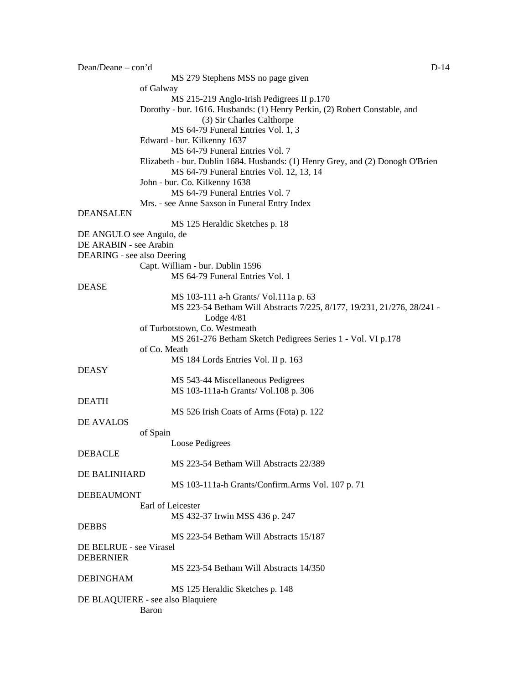| Dean/Deane – con'd         | $D-14$                                                                         |
|----------------------------|--------------------------------------------------------------------------------|
|                            | MS 279 Stephens MSS no page given                                              |
|                            | of Galway                                                                      |
|                            | MS 215-219 Anglo-Irish Pedigrees II p.170                                      |
|                            | Dorothy - bur. 1616. Husbands: (1) Henry Perkin, (2) Robert Constable, and     |
|                            | (3) Sir Charles Calthorpe                                                      |
|                            | MS 64-79 Funeral Entries Vol. 1, 3                                             |
|                            | Edward - bur. Kilkenny 1637                                                    |
|                            | MS 64-79 Funeral Entries Vol. 7                                                |
|                            | Elizabeth - bur. Dublin 1684. Husbands: (1) Henry Grey, and (2) Donogh O'Brien |
|                            | MS 64-79 Funeral Entries Vol. 12, 13, 14                                       |
|                            | John - bur. Co. Kilkenny 1638                                                  |
|                            | MS 64-79 Funeral Entries Vol. 7                                                |
|                            | Mrs. - see Anne Saxson in Funeral Entry Index                                  |
| <b>DEANSALEN</b>           | MS 125 Heraldic Sketches p. 18                                                 |
| DE ANGULO see Angulo, de   |                                                                                |
| DE ARABIN - see Arabin     |                                                                                |
| DEARING - see also Deering |                                                                                |
|                            | Capt. William - bur. Dublin 1596                                               |
|                            | MS 64-79 Funeral Entries Vol. 1                                                |
| <b>DEASE</b>               |                                                                                |
|                            | MS 103-111 a-h Grants/ Vol.111a p. 63                                          |
|                            | MS 223-54 Betham Will Abstracts 7/225, 8/177, 19/231, 21/276, 28/241 -         |
|                            | Lodge $4/81$                                                                   |
|                            | of Turbotstown, Co. Westmeath                                                  |
|                            | MS 261-276 Betham Sketch Pedigrees Series 1 - Vol. VI p.178                    |
|                            | of Co. Meath                                                                   |
|                            | MS 184 Lords Entries Vol. II p. 163                                            |
| <b>DEASY</b>               |                                                                                |
|                            | MS 543-44 Miscellaneous Pedigrees                                              |
|                            | MS 103-111a-h Grants/ Vol.108 p. 306                                           |
| <b>DEATH</b>               |                                                                                |
|                            | MS 526 Irish Coats of Arms (Fota) p. 122                                       |
| DE AVALOS                  |                                                                                |
|                            | of Spain                                                                       |
|                            | Loose Pedigrees                                                                |
| <b>DEBACLE</b>             |                                                                                |
|                            | MS 223-54 Betham Will Abstracts 22/389                                         |
| <b>DE BALINHARD</b>        |                                                                                |
|                            | MS 103-111a-h Grants/Confirm.Arms Vol. 107 p. 71                               |
| <b>DEBEAUMONT</b>          |                                                                                |
|                            | Earl of Leicester                                                              |
|                            | MS 432-37 Irwin MSS 436 p. 247                                                 |
| <b>DEBBS</b>               |                                                                                |
|                            | MS 223-54 Betham Will Abstracts 15/187                                         |
| DE BELRUE - see Virasel    |                                                                                |
| <b>DEBERNIER</b>           |                                                                                |
|                            | MS 223-54 Betham Will Abstracts 14/350                                         |
| <b>DEBINGHAM</b>           |                                                                                |
|                            | MS 125 Heraldic Sketches p. 148                                                |
|                            | DE BLAQUIERE - see also Blaquiere                                              |
|                            |                                                                                |
|                            | <b>Baron</b>                                                                   |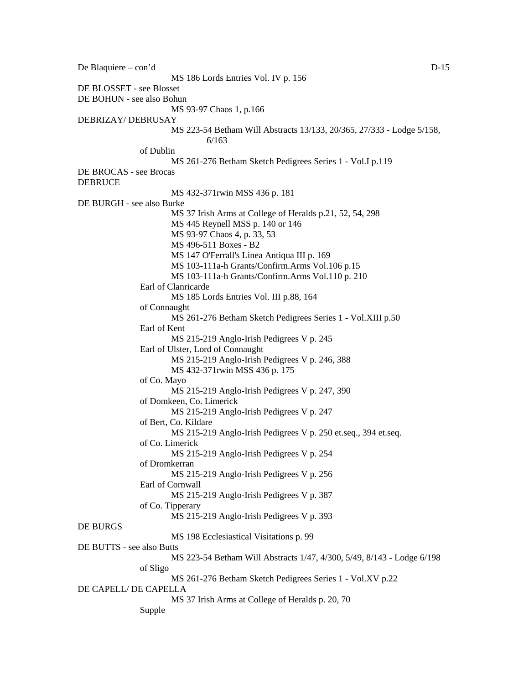De Blaquiere – con'd D-15 MS 186 Lords Entries Vol. IV p. 156 DE BLOSSET - see Blosset DE BOHUN - see also Bohun MS 93-97 Chaos 1, p.166 DEBRIZAY/ DEBRUSAY MS 223-54 Betham Will Abstracts 13/133, 20/365, 27/333 - Lodge 5/158, 6/163 of Dublin MS 261-276 Betham Sketch Pedigrees Series 1 - Vol.I p.119 DE BROCAS - see Brocas **DEBRUCE** MS 432-371rwin MSS 436 p. 181 DE BURGH - see also Burke MS 37 Irish Arms at College of Heralds p.21, 52, 54, 298 MS 445 Reynell MSS p. 140 or 146 MS 93-97 Chaos 4, p. 33, 53 MS 496-511 Boxes - B2 MS 147 O'Ferrall's Linea Antiqua III p. 169 MS 103-111a-h Grants/Confirm.Arms Vol.106 p.15 MS 103-111a-h Grants/Confirm.Arms Vol.110 p. 210 Earl of Clanricarde MS 185 Lords Entries Vol. III p.88, 164 of Connaught MS 261-276 Betham Sketch Pedigrees Series 1 - Vol.XIII p.50 Earl of Kent MS 215-219 Anglo-Irish Pedigrees V p. 245 Earl of Ulster, Lord of Connaught MS 215-219 Anglo-Irish Pedigrees V p. 246, 388 MS 432-371rwin MSS 436 p. 175 of Co. Mayo MS 215-219 Anglo-Irish Pedigrees V p. 247, 390 of Domkeen, Co. Limerick MS 215-219 Anglo-Irish Pedigrees V p. 247 of Bert, Co. Kildare MS 215-219 Anglo-Irish Pedigrees V p. 250 et.seq., 394 et.seq. of Co. Limerick MS 215-219 Anglo-Irish Pedigrees V p. 254 of Dromkerran MS 215-219 Anglo-Irish Pedigrees V p. 256 Earl of Cornwall MS 215-219 Anglo-Irish Pedigrees V p. 387 of Co. Tipperary MS 215-219 Anglo-Irish Pedigrees V p. 393 DE BURGS MS 198 Ecclesiastical Visitations p. 99 DE BUTTS - see also Butts MS 223-54 Betham Will Abstracts 1/47, 4/300, 5/49, 8/143 - Lodge 6/198 of Sligo MS 261-276 Betham Sketch Pedigrees Series 1 - Vol.XV p.22 DE CAPELL/ DE CAPELLA MS 37 Irish Arms at College of Heralds p. 20, 70 Supple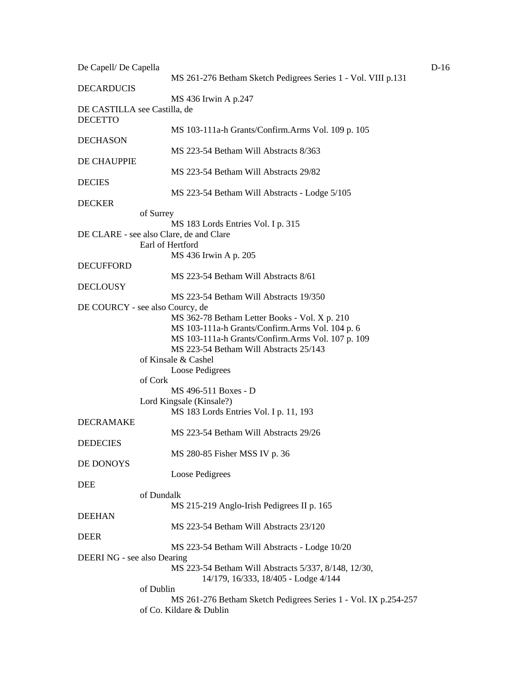| De Capell/ De Capella                          |                                                                                              | $D-16$ |
|------------------------------------------------|----------------------------------------------------------------------------------------------|--------|
| <b>DECARDUCIS</b>                              | MS 261-276 Betham Sketch Pedigrees Series 1 - Vol. VIII p.131                                |        |
|                                                | MS 436 Irwin A p.247                                                                         |        |
| DE CASTILLA see Castilla, de<br><b>DECETTO</b> |                                                                                              |        |
| <b>DECHASON</b>                                | MS 103-111a-h Grants/Confirm.Arms Vol. 109 p. 105                                            |        |
| DE CHAUPPIE                                    | MS 223-54 Betham Will Abstracts 8/363                                                        |        |
|                                                | MS 223-54 Betham Will Abstracts 29/82                                                        |        |
| <b>DECIES</b>                                  | MS 223-54 Betham Will Abstracts - Lodge 5/105                                                |        |
| <b>DECKER</b>                                  |                                                                                              |        |
| of Surrey                                      |                                                                                              |        |
|                                                | MS 183 Lords Entries Vol. I p. 315                                                           |        |
| DE CLARE - see also Clare, de and Clare        | Earl of Hertford                                                                             |        |
| <b>DECUFFORD</b>                               | MS 436 Irwin A p. 205                                                                        |        |
|                                                | MS 223-54 Betham Will Abstracts 8/61                                                         |        |
| <b>DECLOUSY</b>                                | MS 223-54 Betham Will Abstracts 19/350                                                       |        |
| DE COURCY - see also Courcy, de                |                                                                                              |        |
|                                                | MS 362-78 Betham Letter Books - Vol. X p. 210                                                |        |
|                                                | MS 103-111a-h Grants/Confirm.Arms Vol. 104 p. 6                                              |        |
|                                                | MS 103-111a-h Grants/Confirm.Arms Vol. 107 p. 109                                            |        |
|                                                | MS 223-54 Betham Will Abstracts 25/143                                                       |        |
|                                                | of Kinsale & Cashel                                                                          |        |
|                                                | Loose Pedigrees                                                                              |        |
| of Cork                                        |                                                                                              |        |
|                                                | MS 496-511 Boxes - D                                                                         |        |
|                                                |                                                                                              |        |
|                                                | Lord Kingsale (Kinsale?)                                                                     |        |
| <b>DECRAMAKE</b>                               | MS 183 Lords Entries Vol. I p. 11, 193                                                       |        |
|                                                | MS 223-54 Betham Will Abstracts 29/26                                                        |        |
| <b>DEDECIES</b>                                | MS 280-85 Fisher MSS IV p. 36                                                                |        |
| DE DONOYS                                      |                                                                                              |        |
|                                                | Loose Pedigrees                                                                              |        |
| <b>DEE</b>                                     |                                                                                              |        |
| of Dundalk                                     |                                                                                              |        |
|                                                | MS 215-219 Anglo-Irish Pedigrees II p. 165                                                   |        |
| <b>DEEHAN</b>                                  |                                                                                              |        |
|                                                | MS 223-54 Betham Will Abstracts 23/120                                                       |        |
| <b>DEER</b>                                    | MS 223-54 Betham Will Abstracts - Lodge 10/20                                                |        |
| DEERI NG - see also Dearing                    |                                                                                              |        |
|                                                | MS 223-54 Betham Will Abstracts 5/337, 8/148, 12/30,<br>14/179, 16/333, 18/405 - Lodge 4/144 |        |
| of Dublin                                      |                                                                                              |        |
|                                                | MS 261-276 Betham Sketch Pedigrees Series 1 - Vol. IX p.254-257<br>of Co. Kildare & Dublin   |        |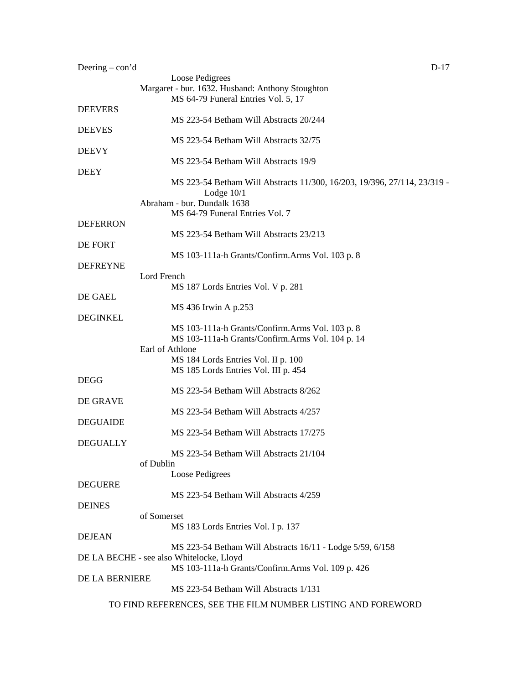| Deering $-$ con'd | $D-17$                                                                                   |
|-------------------|------------------------------------------------------------------------------------------|
|                   | Loose Pedigrees                                                                          |
|                   | Margaret - bur. 1632. Husband: Anthony Stoughton<br>MS 64-79 Funeral Entries Vol. 5, 17  |
| <b>DEEVERS</b>    |                                                                                          |
| <b>DEEVES</b>     | MS 223-54 Betham Will Abstracts 20/244                                                   |
|                   | MS 223-54 Betham Will Abstracts 32/75                                                    |
| <b>DEEVY</b>      |                                                                                          |
| <b>DEEY</b>       | MS 223-54 Betham Will Abstracts 19/9                                                     |
|                   | MS 223-54 Betham Will Abstracts 11/300, 16/203, 19/396, 27/114, 23/319 -<br>Lodge $10/1$ |
|                   | Abraham - bur. Dundalk 1638                                                              |
| <b>DEFERRON</b>   | MS 64-79 Funeral Entries Vol. 7                                                          |
|                   | MS 223-54 Betham Will Abstracts 23/213                                                   |
| DE FORT           |                                                                                          |
| <b>DEFREYNE</b>   | MS 103-111a-h Grants/Confirm.Arms Vol. 103 p. 8                                          |
|                   | Lord French                                                                              |
|                   | MS 187 Lords Entries Vol. V p. 281                                                       |
| DE GAEL           | MS 436 Irwin A p.253                                                                     |
| <b>DEGINKEL</b>   |                                                                                          |
|                   | MS 103-111a-h Grants/Confirm.Arms Vol. 103 p. 8                                          |
|                   | MS 103-111a-h Grants/Confirm.Arms Vol. 104 p. 14<br>Earl of Athlone                      |
|                   | MS 184 Lords Entries Vol. II p. 100                                                      |
| <b>DEGG</b>       | MS 185 Lords Entries Vol. III p. 454                                                     |
|                   | MS 223-54 Betham Will Abstracts 8/262                                                    |
| DE GRAVE          |                                                                                          |
| <b>DEGUAIDE</b>   | MS 223-54 Betham Will Abstracts 4/257                                                    |
|                   | MS 223-54 Betham Will Abstracts 17/275                                                   |
| <b>DEGUALLY</b>   | MS 223-54 Betham Will Abstracts 21/104                                                   |
|                   | of Dublin                                                                                |
|                   | Loose Pedigrees                                                                          |
| <b>DEGUERE</b>    | MS 223-54 Betham Will Abstracts 4/259                                                    |
| <b>DEINES</b>     |                                                                                          |
|                   | of Somerset                                                                              |
| <b>DEJEAN</b>     | MS 183 Lords Entries Vol. I p. 137                                                       |
|                   | MS 223-54 Betham Will Abstracts 16/11 - Lodge 5/59, 6/158                                |
|                   | DE LA BECHE - see also Whitelocke, Lloyd                                                 |
| DE LA BERNIERE    | MS 103-111a-h Grants/Confirm.Arms Vol. 109 p. 426                                        |
|                   | MS 223-54 Betham Will Abstracts 1/131                                                    |
|                   | TO FIND REFERENCES, SEE THE FILM NUMBER LISTING AND FOREWORD                             |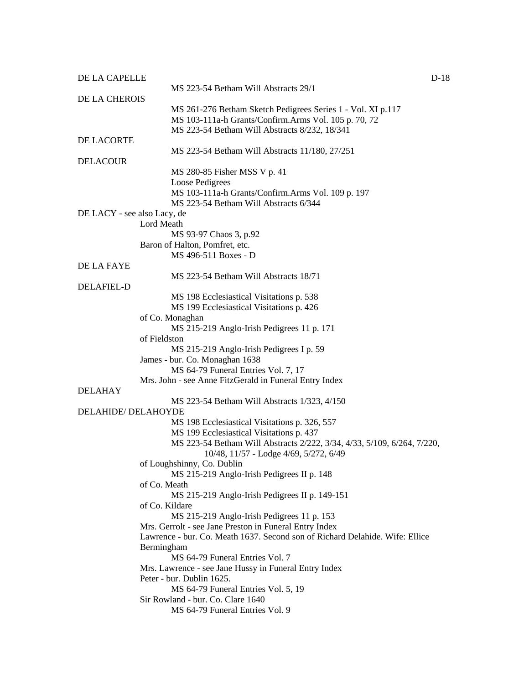| DE LA CAPELLE               |                                                                                                                   | $D-18$ |
|-----------------------------|-------------------------------------------------------------------------------------------------------------------|--------|
| DE LA CHEROIS               | MS 223-54 Betham Will Abstracts 29/1                                                                              |        |
|                             | MS 261-276 Betham Sketch Pedigrees Series 1 - Vol. XI p.117                                                       |        |
|                             | MS 103-111a-h Grants/Confirm.Arms Vol. 105 p. 70, 72                                                              |        |
|                             | MS 223-54 Betham Will Abstracts 8/232, 18/341                                                                     |        |
| DE LACORTE                  |                                                                                                                   |        |
|                             | MS 223-54 Betham Will Abstracts 11/180, 27/251                                                                    |        |
| <b>DELACOUR</b>             |                                                                                                                   |        |
|                             | MS 280-85 Fisher MSS V p. 41                                                                                      |        |
|                             | Loose Pedigrees<br>MS 103-111a-h Grants/Confirm.Arms Vol. 109 p. 197                                              |        |
|                             | MS 223-54 Betham Will Abstracts 6/344                                                                             |        |
| DE LACY - see also Lacy, de |                                                                                                                   |        |
|                             | Lord Meath                                                                                                        |        |
|                             | MS 93-97 Chaos 3, p.92                                                                                            |        |
|                             | Baron of Halton, Pomfret, etc.                                                                                    |        |
|                             | MS 496-511 Boxes - D                                                                                              |        |
| DE LA FAYE                  |                                                                                                                   |        |
|                             | MS 223-54 Betham Will Abstracts 18/71                                                                             |        |
| <b>DELAFIEL-D</b>           |                                                                                                                   |        |
|                             | MS 198 Ecclesiastical Visitations p. 538                                                                          |        |
|                             | MS 199 Ecclesiastical Visitations p. 426                                                                          |        |
|                             | of Co. Monaghan<br>MS 215-219 Anglo-Irish Pedigrees 11 p. 171                                                     |        |
|                             | of Fieldston                                                                                                      |        |
|                             | MS 215-219 Anglo-Irish Pedigrees I p. 59                                                                          |        |
|                             | James - bur. Co. Monaghan 1638                                                                                    |        |
|                             | MS 64-79 Funeral Entries Vol. 7, 17                                                                               |        |
|                             | Mrs. John - see Anne FitzGerald in Funeral Entry Index                                                            |        |
| <b>DELAHAY</b>              |                                                                                                                   |        |
|                             | MS 223-54 Betham Will Abstracts 1/323, 4/150                                                                      |        |
| DELAHIDE/DELAHOYDE          |                                                                                                                   |        |
|                             | MS 198 Ecclesiastical Visitations p. 326, 557                                                                     |        |
|                             | MS 199 Ecclesiastical Visitations p. 437                                                                          |        |
|                             | MS 223-54 Betham Will Abstracts 2/222, 3/34, 4/33, 5/109, 6/264, 7/220,<br>10/48, 11/57 - Lodge 4/69, 5/272, 6/49 |        |
|                             | of Loughshinny, Co. Dublin                                                                                        |        |
|                             | MS 215-219 Anglo-Irish Pedigrees II p. 148                                                                        |        |
|                             | of Co. Meath                                                                                                      |        |
|                             | MS 215-219 Anglo-Irish Pedigrees II p. 149-151                                                                    |        |
|                             | of Co. Kildare                                                                                                    |        |
|                             | MS 215-219 Anglo-Irish Pedigrees 11 p. 153                                                                        |        |
|                             | Mrs. Gerrolt - see Jane Preston in Funeral Entry Index                                                            |        |
|                             | Lawrence - bur. Co. Meath 1637. Second son of Richard Delahide. Wife: Ellice                                      |        |
|                             | Bermingham                                                                                                        |        |
|                             | MS 64-79 Funeral Entries Vol. 7                                                                                   |        |
|                             | Mrs. Lawrence - see Jane Hussy in Funeral Entry Index<br>Peter - bur. Dublin 1625.                                |        |
|                             | MS 64-79 Funeral Entries Vol. 5, 19                                                                               |        |
|                             | Sir Rowland - bur. Co. Clare 1640                                                                                 |        |
|                             | MS 64-79 Funeral Entries Vol. 9                                                                                   |        |
|                             |                                                                                                                   |        |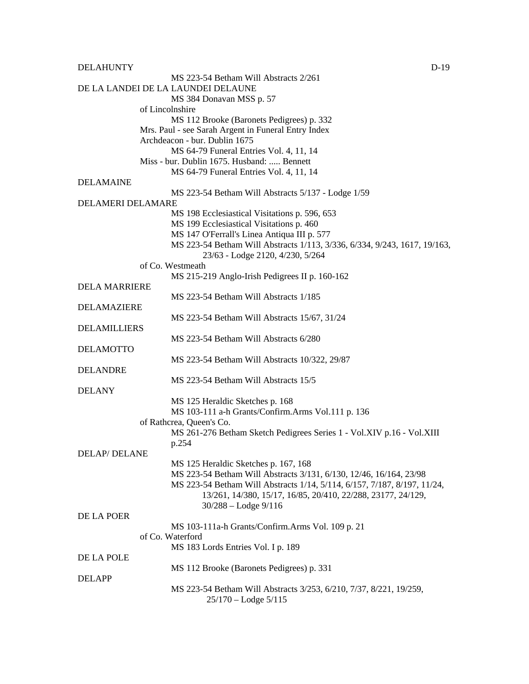DELAHUNTY DELAHUNTY

MS 223-54 Betham Will Abstracts 2/261 DE LA LANDEI DE LA LAUNDEI DELAUNE MS 384 Donavan MSS p. 57 of Lincolnshire MS 112 Brooke (Baronets Pedigrees) p. 332 Mrs. Paul - see Sarah Argent in Funeral Entry Index Archdeacon - bur. Dublin 1675 MS 64-79 Funeral Entries Vol. 4, 11, 14 Miss - bur. Dublin 1675. Husband: ..... Bennett MS 64-79 Funeral Entries Vol. 4, 11, 14 DELAMAINE MS 223-54 Betham Will Abstracts 5/137 - Lodge 1/59 DELAMERI DELAMARE MS 198 Ecclesiastical Visitations p. 596, 653 MS 199 Ecclesiastical Visitations p. 460 MS 147 O'Ferrall's Linea Antiqua III p. 577 MS 223-54 Betham Will Abstracts 1/113, 3/336, 6/334, 9/243, 1617, 19/163, 23/63 - Lodge 2120, 4/230, 5/264 of Co. Westmeath MS 215-219 Anglo-Irish Pedigrees II p. 160-162 DELA MARRIERE MS 223-54 Betham Will Abstracts 1/185 DELAMAZIERE MS 223-54 Betham Will Abstracts 15/67, 31/24 DELAMILLIERS MS 223-54 Betham Will Abstracts 6/280 DELAMOTTO MS 223-54 Betham Will Abstracts 10/322, 29/87 DELANDRE MS 223-54 Betham Will Abstracts 15/5 DELANY MS 125 Heraldic Sketches p. 168 MS 103-111 a-h Grants/Confirm.Arms Vol.111 p. 136 of Rathcrea, Queen's Co. MS 261-276 Betham Sketch Pedigrees Series 1 - Vol.XIV p.16 - Vol.XIII p.254 DELAP/ DELANE MS 125 Heraldic Sketches p. 167, 168 MS 223-54 Betham Will Abstracts 3/131*,* 6/130, 12/46, 16/164, 23/98 MS 223-54 Betham Will Abstracts 1/14, 5/114, 6/157, 7/187, 8/197, 11/24, 13/261, 14/380, 15/17, 16/85, 20/410, 22/288, 23177, 24/129, 30/288 – Lodge 9/116 DE LA POER MS 103-111a-h Grants/Confirm.Arms Vol. 109 p. 21 of Co. Waterford MS 183 Lords Entries Vol. I p. 189 DE LA POLE MS 112 Brooke (Baronets Pedigrees) p. 331 DELAPP MS 223-54 Betham Will Abstracts 3/253, 6/210, 7/37, 8/221, 19/259, 25/170 – Lodge 5/115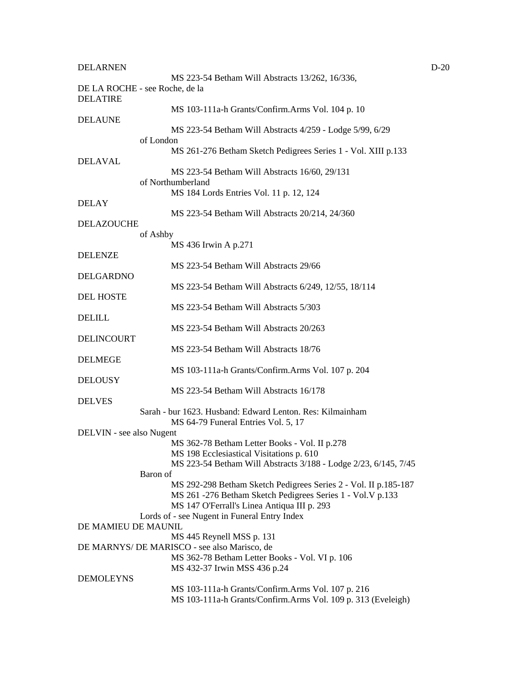| <b>DELARNEN</b>          |                                                                                             | $D-20$ |
|--------------------------|---------------------------------------------------------------------------------------------|--------|
|                          | MS 223-54 Betham Will Abstracts 13/262, 16/336,<br>DE LA ROCHE - see Roche, de la           |        |
| <b>DELATIRE</b>          | MS 103-111a-h Grants/Confirm.Arms Vol. 104 p. 10                                            |        |
| <b>DELAUNE</b>           |                                                                                             |        |
|                          | MS 223-54 Betham Will Abstracts 4/259 - Lodge 5/99, 6/29                                    |        |
|                          | of London                                                                                   |        |
|                          | MS 261-276 Betham Sketch Pedigrees Series 1 - Vol. XIII p.133                               |        |
| <b>DELAVAL</b>           |                                                                                             |        |
|                          | MS 223-54 Betham Will Abstracts 16/60, 29/131<br>of Northumberland                          |        |
|                          | MS 184 Lords Entries Vol. 11 p. 12, 124                                                     |        |
| DELAY                    |                                                                                             |        |
|                          | MS 223-54 Betham Will Abstracts 20/214, 24/360                                              |        |
| DELAZOUCHE               |                                                                                             |        |
|                          | of Ashby                                                                                    |        |
|                          | MS 436 Irwin A p.271                                                                        |        |
| <b>DELENZE</b>           | MS 223-54 Betham Will Abstracts 29/66                                                       |        |
| <b>DELGARDNO</b>         |                                                                                             |        |
|                          | MS 223-54 Betham Will Abstracts 6/249, 12/55, 18/114                                        |        |
| <b>DEL HOSTE</b>         |                                                                                             |        |
|                          | MS 223-54 Betham Will Abstracts 5/303                                                       |        |
| <b>DELILL</b>            |                                                                                             |        |
|                          | MS 223-54 Betham Will Abstracts 20/263                                                      |        |
| DELINCOURT               | MS 223-54 Betham Will Abstracts 18/76                                                       |        |
| <b>DELMEGE</b>           |                                                                                             |        |
|                          | MS 103-111a-h Grants/Confirm.Arms Vol. 107 p. 204                                           |        |
| <b>DELOUSY</b>           |                                                                                             |        |
|                          | MS 223-54 Betham Will Abstracts 16/178                                                      |        |
| <b>DELVES</b>            |                                                                                             |        |
|                          | Sarah - bur 1623. Husband: Edward Lenton. Res: Kilmainham                                   |        |
| DELVIN - see also Nugent | MS 64-79 Funeral Entries Vol. 5, 17                                                         |        |
|                          | MS 362-78 Betham Letter Books - Vol. II p.278                                               |        |
|                          | MS 198 Ecclesiastical Visitations p. 610                                                    |        |
|                          | MS 223-54 Betham Will Abstracts 3/188 - Lodge 2/23, 6/145, 7/45                             |        |
|                          | Baron of                                                                                    |        |
|                          | MS 292-298 Betham Sketch Pedigrees Series 2 - Vol. II p.185-187                             |        |
|                          | MS 261 - 276 Betham Sketch Pedigrees Series 1 - Vol. V p.133                                |        |
|                          | MS 147 O'Ferrall's Linea Antiqua III p. 293<br>Lords of - see Nugent in Funeral Entry Index |        |
| DE MAMIEU DE MAUNIL      |                                                                                             |        |
|                          | MS 445 Reynell MSS p. 131                                                                   |        |
|                          | DE MARNYS/ DE MARISCO - see also Marisco, de                                                |        |
|                          | MS 362-78 Betham Letter Books - Vol. VI p. 106                                              |        |
|                          | MS 432-37 Irwin MSS 436 p.24                                                                |        |
| <b>DEMOLEYNS</b>         | MS 103-111a-h Grants/Confirm.Arms Vol. 107 p. 216                                           |        |
|                          | MS 103-111a-h Grants/Confirm.Arms Vol. 109 p. 313 (Eveleigh)                                |        |
|                          |                                                                                             |        |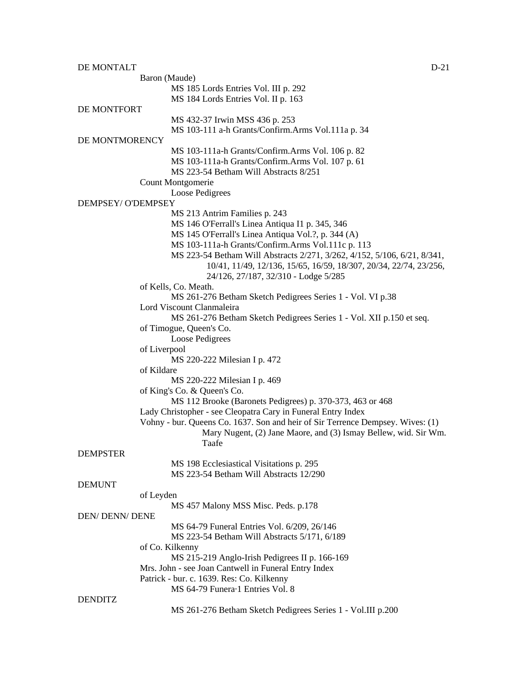| DE MONTALT             |                                                                                | $D-21$ |
|------------------------|--------------------------------------------------------------------------------|--------|
|                        | Baron (Maude)                                                                  |        |
|                        | MS 185 Lords Entries Vol. III p. 292                                           |        |
|                        | MS 184 Lords Entries Vol. II p. 163                                            |        |
| DE MONTFORT            |                                                                                |        |
|                        | MS 432-37 Irwin MSS 436 p. 253                                                 |        |
|                        | MS 103-111 a-h Grants/Confirm.Arms Vol.111a p. 34                              |        |
| DE MONTMORENCY         |                                                                                |        |
|                        | MS 103-111a-h Grants/Confirm.Arms Vol. 106 p. 82                               |        |
|                        | MS 103-111a-h Grants/Confirm.Arms Vol. 107 p. 61                               |        |
|                        | MS 223-54 Betham Will Abstracts 8/251                                          |        |
|                        | Count Montgomerie                                                              |        |
|                        | Loose Pedigrees                                                                |        |
| DEMPSEY/ O'DEMPSEY     |                                                                                |        |
|                        | MS 213 Antrim Families p. 243                                                  |        |
|                        | MS 146 O'Ferrall's Linea Antiqua I1 p. 345, 346                                |        |
|                        | MS 145 O'Ferrall's Linea Antiqua Vol.?, p. 344 (A)                             |        |
|                        | MS 103-111a-h Grants/Confirm.Arms Vol.111c p. 113                              |        |
|                        | MS 223-54 Betham Will Abstracts 2/271, 3/262, 4/152, 5/106, 6/21, 8/341,       |        |
|                        | 10/41, 11/49, 12/136, 15/65, 16/59, 18/307, 20/34, 22/74, 23/256,              |        |
|                        | 24/126, 27/187, 32/310 - Lodge 5/285<br>of Kells, Co. Meath.                   |        |
|                        | MS 261-276 Betham Sketch Pedigrees Series 1 - Vol. VI p.38                     |        |
|                        | Lord Viscount Clanmaleira                                                      |        |
|                        | MS 261-276 Betham Sketch Pedigrees Series 1 - Vol. XII p.150 et seq.           |        |
|                        | of Timogue, Queen's Co.                                                        |        |
|                        | Loose Pedigrees                                                                |        |
| of Liverpool           |                                                                                |        |
|                        | MS 220-222 Milesian I p. 472                                                   |        |
| of Kildare             |                                                                                |        |
|                        | MS 220-222 Milesian I p. 469                                                   |        |
|                        | of King's Co. & Queen's Co.                                                    |        |
|                        | MS 112 Brooke (Baronets Pedigrees) p. 370-373, 463 or 468                      |        |
|                        | Lady Christopher - see Cleopatra Cary in Funeral Entry Index                   |        |
|                        | Vohny - bur. Queens Co. 1637. Son and heir of Sir Terrence Dempsey. Wives: (1) |        |
|                        | Mary Nugent, (2) Jane Maore, and (3) Ismay Bellew, wid. Sir Wm.                |        |
|                        | Taafe                                                                          |        |
| <b>DEMPSTER</b>        |                                                                                |        |
|                        | MS 198 Ecclesiastical Visitations p. 295                                       |        |
|                        | MS 223-54 Betham Will Abstracts 12/290                                         |        |
| <b>DEMUNT</b>          |                                                                                |        |
| of Leyden              |                                                                                |        |
|                        | MS 457 Malony MSS Misc. Peds. p.178                                            |        |
| <b>DEN/ DENN/ DENE</b> |                                                                                |        |
|                        | MS 64-79 Funeral Entries Vol. 6/209, 26/146                                    |        |
|                        | MS 223-54 Betham Will Abstracts 5/171, 6/189                                   |        |
|                        | of Co. Kilkenny                                                                |        |
|                        | MS 215-219 Anglo-Irish Pedigrees II p. 166-169                                 |        |
|                        | Mrs. John - see Joan Cantwell in Funeral Entry Index                           |        |
|                        | Patrick - bur. c. 1639. Res: Co. Kilkenny<br>MS 64-79 Funera 1 Entries Vol. 8  |        |
| <b>DENDITZ</b>         |                                                                                |        |
|                        | MS 261-276 Betham Sketch Pedigrees Series 1 - Vol.III p.200                    |        |
|                        |                                                                                |        |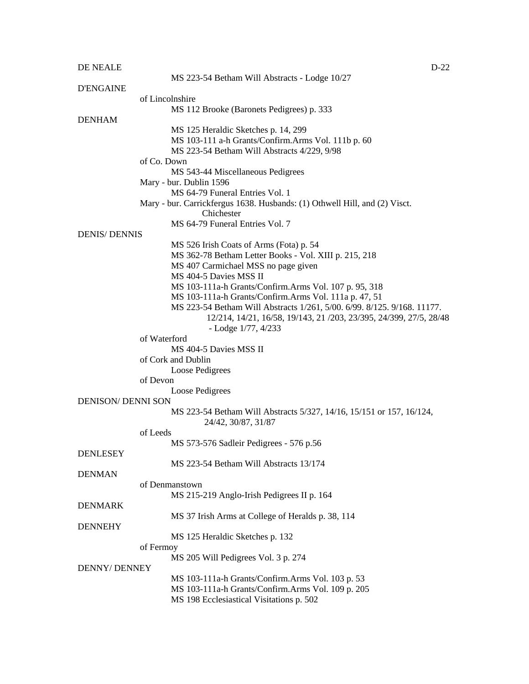#### DE NEALE D-22

|                           | MS 223-54 Betham Will Abstracts - Lodge 10/27                                               |
|---------------------------|---------------------------------------------------------------------------------------------|
| <b>D'ENGAINE</b>          |                                                                                             |
|                           | of Lincolnshire                                                                             |
|                           | MS 112 Brooke (Baronets Pedigrees) p. 333                                                   |
| <b>DENHAM</b>             |                                                                                             |
|                           | MS 125 Heraldic Sketches p. 14, 299                                                         |
|                           | MS 103-111 a-h Grants/Confirm.Arms Vol. 111b p. 60                                          |
|                           | MS 223-54 Betham Will Abstracts 4/229, 9/98                                                 |
|                           | of Co. Down                                                                                 |
|                           | MS 543-44 Miscellaneous Pedigrees                                                           |
|                           | Mary - bur. Dublin 1596                                                                     |
|                           | MS 64-79 Funeral Entries Vol. 1                                                             |
|                           | Mary - bur. Carrickfergus 1638. Husbands: (1) Othwell Hill, and (2) Visct.<br>Chichester    |
|                           | MS 64-79 Funeral Entries Vol. 7                                                             |
| <b>DENIS/ DENNIS</b>      |                                                                                             |
|                           | MS 526 Irish Coats of Arms (Fota) p. 54                                                     |
|                           | MS 362-78 Betham Letter Books - Vol. XIII p. 215, 218                                       |
|                           | MS 407 Carmichael MSS no page given                                                         |
|                           | MS 404-5 Davies MSS II                                                                      |
|                           | MS 103-111a-h Grants/Confirm.Arms Vol. 107 p. 95, 318                                       |
|                           | MS 103-111a-h Grants/Confirm.Arms Vol. 111a p. 47, 51                                       |
|                           | MS 223-54 Betham Will Abstracts 1/261, 5/00. 6/99. 8/125. 9/168. 11177.                     |
|                           | 12/214, 14/21, 16/58, 19/143, 21/203, 23/395, 24/399, 27/5, 28/48                           |
|                           | - Lodge $1/77, 4/233$                                                                       |
|                           | of Waterford                                                                                |
|                           | MS 404-5 Davies MSS II                                                                      |
|                           | of Cork and Dublin                                                                          |
|                           | Loose Pedigrees                                                                             |
|                           | of Devon                                                                                    |
|                           | Loose Pedigrees                                                                             |
| <b>DENISON/ DENNI SON</b> |                                                                                             |
|                           | MS 223-54 Betham Will Abstracts 5/327, 14/16, 15/151 or 157, 16/124,<br>24/42, 30/87, 31/87 |
|                           | of Leeds                                                                                    |
|                           | MS 573-576 Sadleir Pedigrees - 576 p.56                                                     |
| <b>DENLESEY</b>           |                                                                                             |
|                           | MS 223-54 Betham Will Abstracts 13/174                                                      |
| <b>DENMAN</b>             |                                                                                             |
|                           | of Denmanstown                                                                              |
|                           | MS 215-219 Anglo-Irish Pedigrees II p. 164                                                  |
| <b>DENMARK</b>            |                                                                                             |
|                           | MS 37 Irish Arms at College of Heralds p. 38, 114                                           |
| <b>DENNEHY</b>            |                                                                                             |
|                           | MS 125 Heraldic Sketches p. 132                                                             |
|                           | of Fermoy                                                                                   |
|                           | MS 205 Will Pedigrees Vol. 3 p. 274                                                         |
| <b>DENNY/ DENNEY</b>      |                                                                                             |
|                           | MS 103-111a-h Grants/Confirm.Arms Vol. 103 p. 53                                            |
|                           | MS 103-111a-h Grants/Confirm.Arms Vol. 109 p. 205                                           |
|                           | MS 198 Ecclesiastical Visitations p. 502                                                    |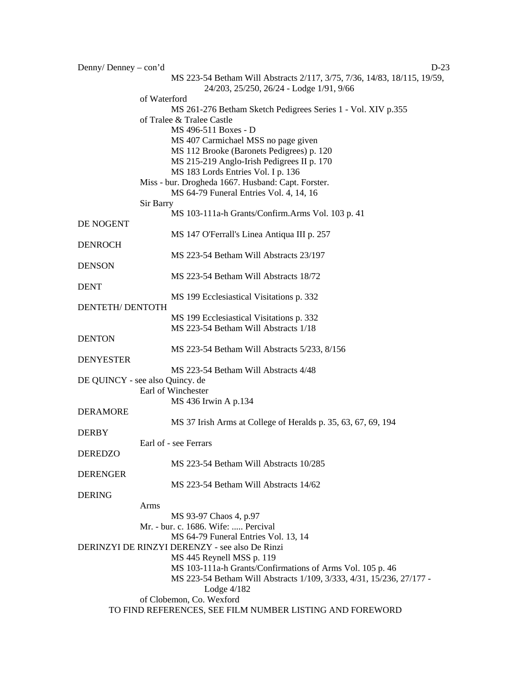| Denny/Denney $-$ con'd          | $D-23$                                                                                                               |
|---------------------------------|----------------------------------------------------------------------------------------------------------------------|
|                                 | MS 223-54 Betham Will Abstracts 2/117, 3/75, 7/36, 14/83, 18/115, 19/59,<br>24/203, 25/250, 26/24 - Lodge 1/91, 9/66 |
| of Waterford                    |                                                                                                                      |
|                                 | MS 261-276 Betham Sketch Pedigrees Series 1 - Vol. XIV p.355                                                         |
|                                 | of Tralee & Tralee Castle                                                                                            |
|                                 | MS 496-511 Boxes - D                                                                                                 |
|                                 | MS 407 Carmichael MSS no page given                                                                                  |
|                                 | MS 112 Brooke (Baronets Pedigrees) p. 120                                                                            |
|                                 | MS 215-219 Anglo-Irish Pedigrees II p. 170                                                                           |
|                                 | MS 183 Lords Entries Vol. I p. 136                                                                                   |
|                                 | Miss - bur. Drogheda 1667. Husband: Capt. Forster.<br>MS 64-79 Funeral Entries Vol. 4, 14, 16                        |
| Sir Barry                       |                                                                                                                      |
|                                 | MS 103-111a-h Grants/Confirm.Arms Vol. 103 p. 41                                                                     |
| DE NOGENT                       |                                                                                                                      |
|                                 | MS 147 O'Ferrall's Linea Antiqua III p. 257                                                                          |
| <b>DENROCH</b>                  |                                                                                                                      |
|                                 | MS 223-54 Betham Will Abstracts 23/197                                                                               |
| <b>DENSON</b>                   |                                                                                                                      |
|                                 | MS 223-54 Betham Will Abstracts 18/72                                                                                |
| <b>DENT</b>                     |                                                                                                                      |
|                                 | MS 199 Ecclesiastical Visitations p. 332                                                                             |
| DENTETH/DENTOTH                 |                                                                                                                      |
|                                 | MS 199 Ecclesiastical Visitations p. 332                                                                             |
|                                 | MS 223-54 Betham Will Abstracts 1/18                                                                                 |
| <b>DENTON</b>                   |                                                                                                                      |
|                                 | MS 223-54 Betham Will Abstracts 5/233, 8/156                                                                         |
| <b>DENYESTER</b>                |                                                                                                                      |
|                                 | MS 223-54 Betham Will Abstracts 4/48                                                                                 |
| DE QUINCY - see also Quincy. de |                                                                                                                      |
|                                 | Earl of Winchester                                                                                                   |
|                                 | MS 436 Irwin A p.134                                                                                                 |
| <b>DERAMORE</b>                 |                                                                                                                      |
|                                 | MS 37 Irish Arms at College of Heralds p. 35, 63, 67, 69, 194                                                        |
| <b>DERBY</b>                    |                                                                                                                      |
|                                 | Earl of - see Ferrars                                                                                                |
| <b>DEREDZO</b>                  | MS 223-54 Betham Will Abstracts 10/285                                                                               |
| <b>DERENGER</b>                 |                                                                                                                      |
|                                 | MS 223-54 Betham Will Abstracts 14/62                                                                                |
| <b>DERING</b>                   |                                                                                                                      |
| Arms                            |                                                                                                                      |
|                                 | MS 93-97 Chaos 4, p.97                                                                                               |
|                                 | Mr. - bur. c. 1686. Wife:  Percival                                                                                  |
|                                 | MS 64-79 Funeral Entries Vol. 13, 14                                                                                 |
|                                 | DERINZYI DE RINZYI DERENZY - see also De Rinzi                                                                       |
|                                 | MS 445 Reynell MSS p. 119                                                                                            |
|                                 | MS 103-111a-h Grants/Confirmations of Arms Vol. 105 p. 46                                                            |
|                                 | MS 223-54 Betham Will Abstracts 1/109, 3/333, 4/31, 15/236, 27/177 -                                                 |
|                                 | Lodge $4/182$                                                                                                        |
|                                 | of Clobemon, Co. Wexford                                                                                             |
|                                 | TO FIND REFERENCES, SEE FILM NUMBER LISTING AND FOREWORD                                                             |
|                                 |                                                                                                                      |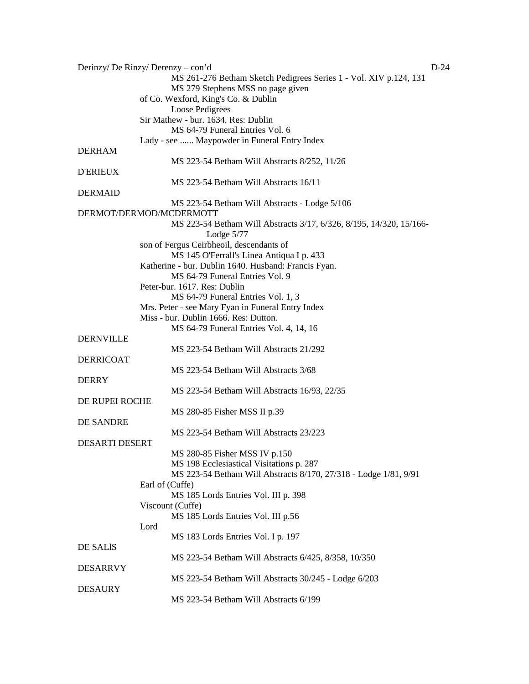| Derinzy/ De Rinzy/ Derenzy – con'd<br>$D-24$ |                                                                     |  |
|----------------------------------------------|---------------------------------------------------------------------|--|
|                                              | MS 261-276 Betham Sketch Pedigrees Series 1 - Vol. XIV p.124, 131   |  |
|                                              | MS 279 Stephens MSS no page given                                   |  |
|                                              | of Co. Wexford, King's Co. & Dublin                                 |  |
|                                              | Loose Pedigrees                                                     |  |
|                                              | Sir Mathew - bur. 1634. Res: Dublin                                 |  |
|                                              | MS 64-79 Funeral Entries Vol. 6                                     |  |
|                                              | Lady - see  Maypowder in Funeral Entry Index                        |  |
| <b>DERHAM</b>                                |                                                                     |  |
|                                              | MS 223-54 Betham Will Abstracts 8/252, 11/26                        |  |
| <b>D'ERIEUX</b>                              |                                                                     |  |
|                                              | MS 223-54 Betham Will Abstracts 16/11                               |  |
| <b>DERMAID</b>                               |                                                                     |  |
|                                              | MS 223-54 Betham Will Abstracts - Lodge 5/106                       |  |
|                                              | DERMOT/DERMOD/MCDERMOTT                                             |  |
|                                              | MS 223-54 Betham Will Abstracts 3/17, 6/326, 8/195, 14/320, 15/166- |  |
|                                              | Lodge $5/77$                                                        |  |
|                                              |                                                                     |  |
|                                              | son of Fergus Ceirbheoil, descendants of                            |  |
|                                              | MS 145 O'Ferrall's Linea Antiqua I p. 433                           |  |
|                                              | Katherine - bur. Dublin 1640. Husband: Francis Fyan.                |  |
|                                              | MS 64-79 Funeral Entries Vol. 9                                     |  |
|                                              | Peter-bur. 1617. Res: Dublin                                        |  |
|                                              | MS 64-79 Funeral Entries Vol. 1, 3                                  |  |
|                                              | Mrs. Peter - see Mary Fyan in Funeral Entry Index                   |  |
|                                              | Miss - bur. Dublin 1666. Res: Dutton.                               |  |
|                                              | MS 64-79 Funeral Entries Vol. 4, 14, 16                             |  |
| <b>DERNVILLE</b>                             |                                                                     |  |
|                                              | MS 223-54 Betham Will Abstracts 21/292                              |  |
| <b>DERRICOAT</b>                             |                                                                     |  |
|                                              | MS 223-54 Betham Will Abstracts 3/68                                |  |
| <b>DERRY</b>                                 |                                                                     |  |
|                                              | MS 223-54 Betham Will Abstracts 16/93, 22/35                        |  |
| DE RUPEI ROCHE                               |                                                                     |  |
|                                              | MS 280-85 Fisher MSS II p.39                                        |  |
| <b>DE SANDRE</b>                             |                                                                     |  |
|                                              | MS 223-54 Betham Will Abstracts 23/223                              |  |
| <b>DESARTI DESERT</b>                        |                                                                     |  |
|                                              | MS 280-85 Fisher MSS IV p.150                                       |  |
|                                              | MS 198 Ecclesiastical Visitations p. 287                            |  |
|                                              | MS 223-54 Betham Will Abstracts 8/170, 27/318 - Lodge 1/81, 9/91    |  |
|                                              | Earl of (Cuffe)                                                     |  |
|                                              | MS 185 Lords Entries Vol. III p. 398                                |  |
|                                              | Viscount (Cuffe)                                                    |  |
|                                              | MS 185 Lords Entries Vol. III p.56                                  |  |
|                                              | Lord                                                                |  |
|                                              | MS 183 Lords Entries Vol. I p. 197                                  |  |
| DE SALIS                                     |                                                                     |  |
|                                              |                                                                     |  |
|                                              | MS 223-54 Betham Will Abstracts 6/425, 8/358, 10/350                |  |
| <b>DESARRVY</b>                              |                                                                     |  |
|                                              | MS 223-54 Betham Will Abstracts 30/245 - Lodge 6/203                |  |
| <b>DESAURY</b>                               |                                                                     |  |
|                                              | MS 223-54 Betham Will Abstracts 6/199                               |  |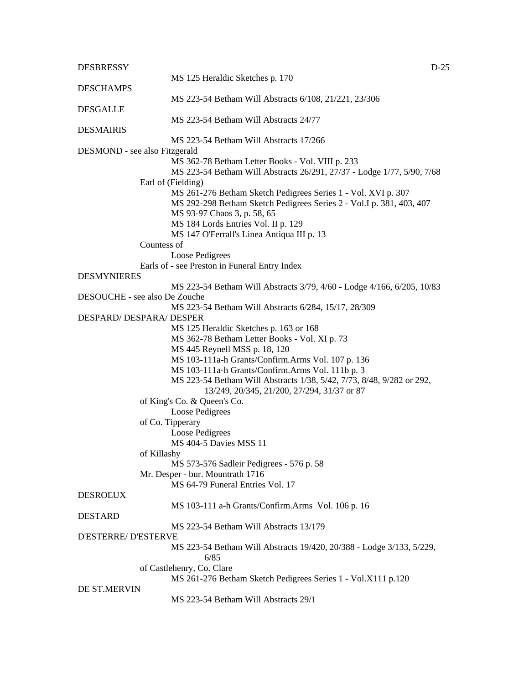| <b>DESBRESSY</b>                |                                                                              | $D-25$ |
|---------------------------------|------------------------------------------------------------------------------|--------|
|                                 | MS 125 Heraldic Sketches p. 170                                              |        |
| <b>DESCHAMPS</b>                | MS 223-54 Betham Will Abstracts 6/108, 21/221, 23/306                        |        |
| <b>DESGALLE</b>                 |                                                                              |        |
| <b>DESMAIRIS</b>                | MS 223-54 Betham Will Abstracts 24/77                                        |        |
|                                 | MS 223-54 Betham Will Abstracts 17/266                                       |        |
| DESMOND - see also Fitzgerald   |                                                                              |        |
|                                 | MS 362-78 Betham Letter Books - Vol. VIII p. 233                             |        |
|                                 | MS 223-54 Betham Will Abstracts 26/291, 27/37 - Lodge 1/77, 5/90, 7/68       |        |
|                                 | Earl of (Fielding)                                                           |        |
|                                 | MS 261-276 Betham Sketch Pedigrees Series 1 - Vol. XVI p. 307                |        |
|                                 | MS 292-298 Betham Sketch Pedigrees Series 2 - Vol. I p. 381, 403, 407        |        |
|                                 | MS 93-97 Chaos 3, p. 58, 65                                                  |        |
|                                 | MS 184 Lords Entries Vol. II p. 129                                          |        |
|                                 | MS 147 O'Ferrall's Linea Antiqua III p. 13                                   |        |
|                                 | Countess of                                                                  |        |
|                                 | Loose Pedigrees                                                              |        |
|                                 | Earls of - see Preston in Funeral Entry Index                                |        |
| <b>DESMYNIERES</b>              |                                                                              |        |
|                                 | MS 223-54 Betham Will Abstracts 3/79, 4/60 - Lodge 4/166, 6/205, 10/83       |        |
| DESOUCHE - see also De Zouche   |                                                                              |        |
|                                 | MS 223-54 Betham Will Abstracts 6/284, 15/17, 28/309                         |        |
| <b>DESPARD/ DESPARA/ DESPER</b> |                                                                              |        |
|                                 | MS 125 Heraldic Sketches p. 163 or 168                                       |        |
|                                 | MS 362-78 Betham Letter Books - Vol. XI p. 73                                |        |
|                                 | MS 445 Reynell MSS p. 18, 120                                                |        |
|                                 | MS 103-111a-h Grants/Confirm.Arms Vol. 107 p. 136                            |        |
|                                 | MS 103-111a-h Grants/Confirm.Arms Vol. 111b p. 3                             |        |
|                                 | MS 223-54 Betham Will Abstracts 1/38, 5/42, 7/73, 8/48, 9/282 or 292,        |        |
|                                 | 13/249, 20/345, 21/200, 27/294, 31/37 or 87                                  |        |
|                                 | of King's Co. & Queen's Co.                                                  |        |
|                                 | Loose Pedigrees                                                              |        |
|                                 | of Co. Tipperary                                                             |        |
|                                 | Loose Pedigrees                                                              |        |
|                                 | <b>MS 404-5 Davies MSS 11</b>                                                |        |
|                                 | of Killashy                                                                  |        |
|                                 |                                                                              |        |
|                                 | MS 573-576 Sadleir Pedigrees - 576 p. 58                                     |        |
|                                 | Mr. Desper - bur. Mountrath 1716                                             |        |
|                                 | MS 64-79 Funeral Entries Vol. 17                                             |        |
| <b>DESROEUX</b>                 |                                                                              |        |
|                                 | MS 103-111 a-h Grants/Confirm.Arms Vol. 106 p. 16                            |        |
| <b>DESTARD</b>                  |                                                                              |        |
| <b>D'ESTERRE/ D'ESTERVE</b>     | MS 223-54 Betham Will Abstracts 13/179                                       |        |
|                                 | MS 223-54 Betham Will Abstracts 19/420, 20/388 - Lodge 3/133, 5/229,<br>6/85 |        |
|                                 | of Castlehenry, Co. Clare                                                    |        |
|                                 | MS 261-276 Betham Sketch Pedigrees Series 1 - Vol.X111 p.120                 |        |
| DE ST.MERVIN                    |                                                                              |        |
|                                 | MS 223-54 Betham Will Abstracts 29/1                                         |        |
|                                 |                                                                              |        |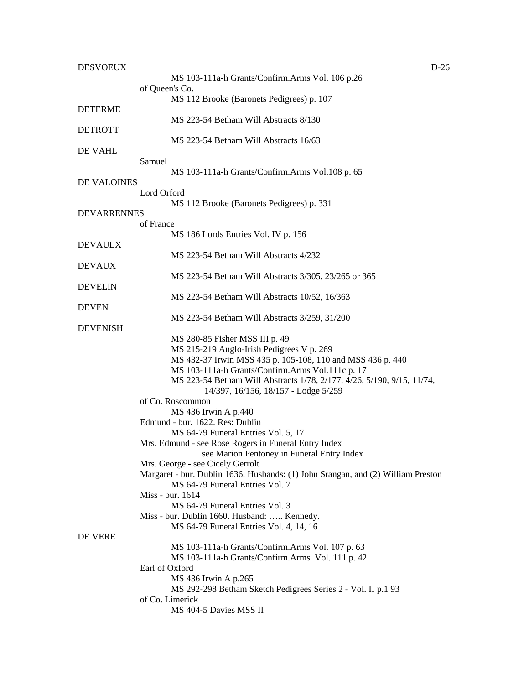| <b>DESVOEUX</b>    | $D-26$                                                                                                               |  |
|--------------------|----------------------------------------------------------------------------------------------------------------------|--|
|                    | MS 103-111a-h Grants/Confirm.Arms Vol. 106 p.26                                                                      |  |
|                    | of Queen's Co.                                                                                                       |  |
|                    | MS 112 Brooke (Baronets Pedigrees) p. 107                                                                            |  |
| <b>DETERME</b>     |                                                                                                                      |  |
|                    | MS 223-54 Betham Will Abstracts 8/130                                                                                |  |
| <b>DETROTT</b>     |                                                                                                                      |  |
|                    | MS 223-54 Betham Will Abstracts 16/63                                                                                |  |
| DE VAHL            |                                                                                                                      |  |
|                    | Samuel                                                                                                               |  |
|                    | MS 103-111a-h Grants/Confirm.Arms Vol.108 p. 65                                                                      |  |
| DE VALOINES        | Lord Orford                                                                                                          |  |
|                    | MS 112 Brooke (Baronets Pedigrees) p. 331                                                                            |  |
| <b>DEVARRENNES</b> |                                                                                                                      |  |
|                    | of France                                                                                                            |  |
|                    | MS 186 Lords Entries Vol. IV p. 156                                                                                  |  |
| <b>DEVAULX</b>     |                                                                                                                      |  |
|                    | MS 223-54 Betham Will Abstracts 4/232                                                                                |  |
| <b>DEVAUX</b>      |                                                                                                                      |  |
|                    | MS 223-54 Betham Will Abstracts 3/305, 23/265 or 365                                                                 |  |
| <b>DEVELIN</b>     |                                                                                                                      |  |
|                    | MS 223-54 Betham Will Abstracts 10/52, 16/363                                                                        |  |
| <b>DEVEN</b>       |                                                                                                                      |  |
|                    | MS 223-54 Betham Will Abstracts 3/259, 31/200                                                                        |  |
| <b>DEVENISH</b>    |                                                                                                                      |  |
|                    | MS 280-85 Fisher MSS III p. 49                                                                                       |  |
|                    | MS 215-219 Anglo-Irish Pedigrees V p. 269                                                                            |  |
|                    | MS 432-37 Irwin MSS 435 p. 105-108, 110 and MSS 436 p. 440                                                           |  |
|                    | MS 103-111a-h Grants/Confirm.Arms Vol.111c p. 17                                                                     |  |
|                    | MS 223-54 Betham Will Abstracts 1/78, 2/177, 4/26, 5/190, 9/15, 11/74,                                               |  |
|                    | 14/397, 16/156, 18/157 - Lodge 5/259                                                                                 |  |
|                    | of Co. Roscommon                                                                                                     |  |
|                    | MS 436 Irwin A p.440                                                                                                 |  |
|                    | Edmund - bur. 1622. Res: Dublin                                                                                      |  |
|                    | MS 64-79 Funeral Entries Vol. 5, 17                                                                                  |  |
|                    | Mrs. Edmund - see Rose Rogers in Funeral Entry Index                                                                 |  |
|                    | see Marion Pentoney in Funeral Entry Index                                                                           |  |
|                    | Mrs. George - see Cicely Gerrolt<br>Margaret - bur. Dublin 1636. Husbands: (1) John Srangan, and (2) William Preston |  |
|                    | MS 64-79 Funeral Entries Vol. 7                                                                                      |  |
|                    | Miss - bur. 1614                                                                                                     |  |
|                    | MS 64-79 Funeral Entries Vol. 3                                                                                      |  |
|                    | Miss - bur. Dublin 1660. Husband:  Kennedy.                                                                          |  |
|                    | MS 64-79 Funeral Entries Vol. 4, 14, 16                                                                              |  |
| DE VERE            |                                                                                                                      |  |
|                    | MS 103-111a-h Grants/Confirm.Arms Vol. 107 p. 63                                                                     |  |
|                    | MS 103-111a-h Grants/Confirm.Arms Vol. 111 p. 42                                                                     |  |
|                    | Earl of Oxford                                                                                                       |  |
|                    | MS 436 Irwin A p.265                                                                                                 |  |
|                    | MS 292-298 Betham Sketch Pedigrees Series 2 - Vol. II p.1 93                                                         |  |
|                    | of Co. Limerick                                                                                                      |  |
|                    | MS 404-5 Davies MSS II                                                                                               |  |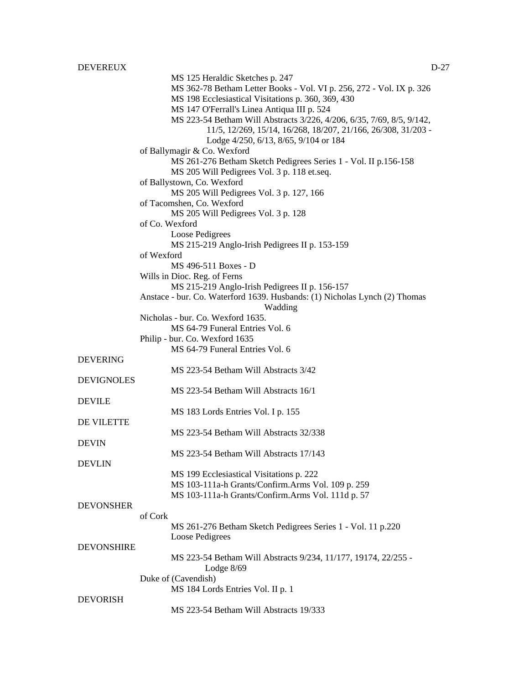DEVEREUX DEVELOPED AND DEVELOPED AND DEVELOPED AND DEVELOPED AND DEVELOPED AND DEVELOPED AND DEVELOPED AND DEVELOPED AND DEVELOPED AND DEVELOPED AND DEVELOPED AND DEVELOPED AND DEVELOPED AND DEVELOPED AND DEVELOPED AND DEV MS 125 Heraldic Sketches p. 247 MS 362-78 Betham Letter Books - Vol. VI p. 256, 272 - Vol. IX p. 326 MS 198 Ecclesiastical Visitations p. 360, 369, 430 MS 147 O'Ferrall's Linea Antiqua III p. 524 MS 223-54 Betham Will Abstracts 3/226, 4/206, 6/35, 7/69, 8/5, 9/142, 11/5, 12/269, 15/14, 16/268, 18/207, 21/166, 26/308, 31/203 - Lodge 4/250, 6/13, 8/65, 9/104 or 184 of Ballymagir & Co. Wexford MS 261-276 Betham Sketch Pedigrees Series 1 - Vol. II p.156-158 MS 205 Will Pedigrees Vol. 3 p. 118 et.seq. of Ballystown, Co. Wexford MS 205 Will Pedigrees Vol. 3 p. 127, 166 of Tacomshen, Co. Wexford MS 205 Will Pedigrees Vol. 3 p. 128 of Co. Wexford Loose Pedigrees MS 215-219 Anglo-Irish Pedigrees II p. 153-159 of Wexford MS 496-511 Boxes - D Wills in Dioc. Reg. of Ferns MS 215-219 Anglo-Irish Pedigrees II p. 156-157 Anstace - bur. Co. Waterford 1639. Husbands: (1) Nicholas Lynch (2) Thomas Wadding Nicholas - bur. Co. Wexford 1635. MS 64-79 Funeral Entries Vol. 6 Philip - bur. Co. Wexford 1635 MS 64-79 Funeral Entries Vol. 6 DEVERING MS 223-54 Betham Will Abstracts 3/42 DEVIGNOLES MS 223-54 Betham Will Abstracts 16/1 DEVILE MS 183 Lords Entries Vol. I p. 155 DE VILETTE MS 223-54 Betham Will Abstracts 32/338 DEVIN MS 223-54 Betham Will Abstracts 17/143 DEVLIN MS 199 Ecclesiastical Visitations p. 222 MS 103-111a-h Grants/Confirm.Arms Vol. 109 p. 259 MS 103-111a-h Grants/Confirm.Arms Vol. 111d p. 57 **DEVONSHER** of Cork MS 261-276 Betham Sketch Pedigrees Series 1 - Vol. 11 p.220 Loose Pedigrees DEVONSHIRE MS 223-54 Betham Will Abstracts 9/234, 11/177, 19174, 22/255 - Lodge 8/69 Duke of (Cavendish) MS 184 Lords Entries Vol. II p. 1 DEVORISH

MS 223-54 Betham Will Abstracts 19/333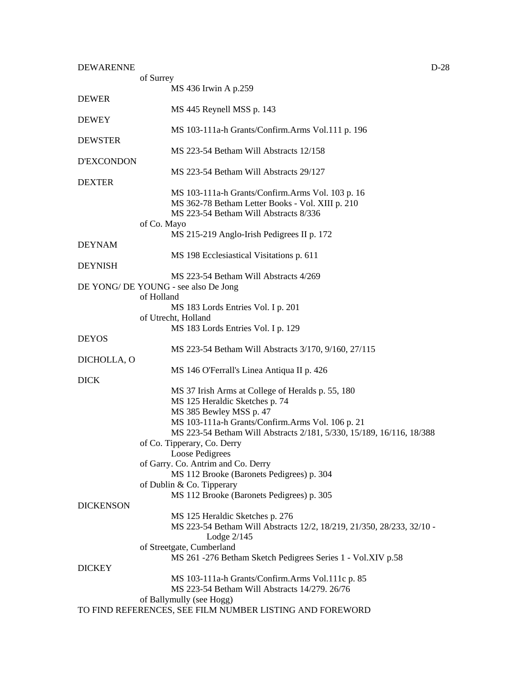| $D-28$ |
|--------|
|        |

|                   | of Surrey                                                                                 |
|-------------------|-------------------------------------------------------------------------------------------|
|                   | MS 436 Irwin A p.259                                                                      |
| <b>DEWER</b>      |                                                                                           |
|                   | MS 445 Reynell MSS p. 143                                                                 |
| <b>DEWEY</b>      |                                                                                           |
|                   | MS 103-111a-h Grants/Confirm.Arms Vol.111 p. 196                                          |
| <b>DEWSTER</b>    |                                                                                           |
|                   | MS 223-54 Betham Will Abstracts 12/158                                                    |
| <b>D'EXCONDON</b> |                                                                                           |
|                   | MS 223-54 Betham Will Abstracts 29/127                                                    |
| <b>DEXTER</b>     |                                                                                           |
|                   | MS 103-111a-h Grants/Confirm.Arms Vol. 103 p. 16                                          |
|                   |                                                                                           |
|                   | MS 362-78 Betham Letter Books - Vol. XIII p. 210<br>MS 223-54 Betham Will Abstracts 8/336 |
|                   |                                                                                           |
|                   | of Co. Mayo                                                                               |
|                   | MS 215-219 Anglo-Irish Pedigrees II p. 172                                                |
| <b>DEYNAM</b>     |                                                                                           |
|                   | MS 198 Ecclesiastical Visitations p. 611                                                  |
| <b>DEYNISH</b>    |                                                                                           |
|                   | MS 223-54 Betham Will Abstracts 4/269                                                     |
|                   | DE YONG/ DE YOUNG - see also De Jong                                                      |
|                   | of Holland                                                                                |
|                   | MS 183 Lords Entries Vol. I p. 201                                                        |
|                   | of Utrecht, Holland                                                                       |
|                   | MS 183 Lords Entries Vol. I p. 129                                                        |
| <b>DEYOS</b>      |                                                                                           |
|                   | MS 223-54 Betham Will Abstracts 3/170, 9/160, 27/115                                      |
| DICHOLLA, O       |                                                                                           |
|                   |                                                                                           |
| <b>DICK</b>       | MS 146 O'Ferrall's Linea Antiqua II p. 426                                                |
|                   |                                                                                           |
|                   | MS 37 Irish Arms at College of Heralds p. 55, 180                                         |
|                   | MS 125 Heraldic Sketches p. 74                                                            |
|                   | MS 385 Bewley MSS p. 47                                                                   |
|                   | MS 103-111a-h Grants/Confirm.Arms Vol. 106 p. 21                                          |
|                   | MS 223-54 Betham Will Abstracts 2/181, 5/330, 15/189, 16/116, 18/388                      |
|                   | of Co. Tipperary, Co. Derry                                                               |
|                   | Loose Pedigrees                                                                           |
|                   | of Garry. Co. Antrim and Co. Derry                                                        |
|                   | MS 112 Brooke (Baronets Pedigrees) p. 304                                                 |
|                   | of Dublin & Co. Tipperary                                                                 |
|                   | MS 112 Brooke (Baronets Pedigrees) p. 305                                                 |
| <b>DICKENSON</b>  |                                                                                           |
|                   | MS 125 Heraldic Sketches p. 276                                                           |
|                   | MS 223-54 Betham Will Abstracts 12/2, 18/219, 21/350, 28/233, 32/10 -                     |
|                   | Lodge $2/145$                                                                             |
|                   | of Streetgate, Cumberland                                                                 |
|                   | MS 261 -276 Betham Sketch Pedigrees Series 1 - Vol.XIV p.58                               |
| <b>DICKEY</b>     |                                                                                           |
|                   | MS 103-111a-h Grants/Confirm.Arms Vol.111c p. 85                                          |
|                   | MS 223-54 Betham Will Abstracts 14/279. 26/76                                             |
|                   |                                                                                           |
|                   | of Ballymully (see Hogg)                                                                  |
|                   | TO FIND REFERENCES, SEE FILM NUMBER LISTING AND FOREWORD                                  |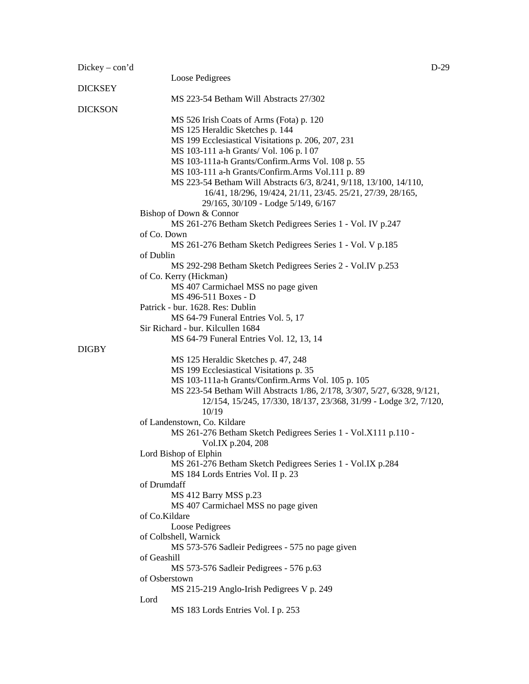| $Dickey - con'd$ |                                                                         | $D-29$ |
|------------------|-------------------------------------------------------------------------|--------|
|                  | Loose Pedigrees                                                         |        |
| <b>DICKSEY</b>   |                                                                         |        |
|                  | MS 223-54 Betham Will Abstracts 27/302                                  |        |
| <b>DICKSON</b>   |                                                                         |        |
|                  | MS 526 Irish Coats of Arms (Fota) p. 120                                |        |
|                  | MS 125 Heraldic Sketches p. 144                                         |        |
|                  | MS 199 Ecclesiastical Visitations p. 206, 207, 231                      |        |
|                  | MS 103-111 a-h Grants/ Vol. 106 p. 107                                  |        |
|                  | MS 103-111a-h Grants/Confirm.Arms Vol. 108 p. 55                        |        |
|                  | MS 103-111 a-h Grants/Confirm.Arms Vol.111 p. 89                        |        |
|                  | MS 223-54 Betham Will Abstracts 6/3, 8/241, 9/118, 13/100, 14/110,      |        |
|                  | 16/41, 18/296, 19/424, 21/11, 23/45. 25/21, 27/39, 28/165,              |        |
|                  | 29/165, 30/109 - Lodge 5/149, 6/167                                     |        |
|                  | Bishop of Down & Connor                                                 |        |
|                  | MS 261-276 Betham Sketch Pedigrees Series 1 - Vol. IV p.247             |        |
|                  | of Co. Down                                                             |        |
|                  | MS 261-276 Betham Sketch Pedigrees Series 1 - Vol. V p.185              |        |
|                  | of Dublin                                                               |        |
|                  | MS 292-298 Betham Sketch Pedigrees Series 2 - Vol.IV p.253              |        |
|                  | of Co. Kerry (Hickman)                                                  |        |
|                  | MS 407 Carmichael MSS no page given                                     |        |
|                  | MS 496-511 Boxes - D                                                    |        |
|                  | Patrick - bur. 1628. Res: Dublin                                        |        |
|                  | MS 64-79 Funeral Entries Vol. 5, 17                                     |        |
|                  | Sir Richard - bur. Kilcullen 1684                                       |        |
|                  | MS 64-79 Funeral Entries Vol. 12, 13, 14                                |        |
| <b>DIGBY</b>     |                                                                         |        |
|                  | MS 125 Heraldic Sketches p. 47, 248                                     |        |
|                  | MS 199 Ecclesiastical Visitations p. 35                                 |        |
|                  | MS 103-111a-h Grants/Confirm.Arms Vol. 105 p. 105                       |        |
|                  | MS 223-54 Betham Will Abstracts 1/86, 2/178, 3/307, 5/27, 6/328, 9/121, |        |
|                  | 12/154, 15/245, 17/330, 18/137, 23/368, 31/99 - Lodge 3/2, 7/120,       |        |
|                  | 10/19                                                                   |        |
|                  | of Landenstown, Co. Kildare                                             |        |
|                  | MS 261-276 Betham Sketch Pedigrees Series 1 - Vol.X111 p.110 -          |        |
|                  | Vol.IX p.204, 208                                                       |        |
|                  | Lord Bishop of Elphin                                                   |        |
|                  | MS 261-276 Betham Sketch Pedigrees Series 1 - Vol.IX p.284              |        |
|                  | MS 184 Lords Entries Vol. II p. 23                                      |        |
|                  | of Drumdaff                                                             |        |
|                  | MS 412 Barry MSS p.23                                                   |        |
|                  | MS 407 Carmichael MSS no page given                                     |        |
|                  | of Co.Kildare                                                           |        |
|                  | Loose Pedigrees                                                         |        |
|                  | of Colbshell, Warnick                                                   |        |
|                  | MS 573-576 Sadleir Pedigrees - 575 no page given                        |        |
|                  | of Geashill                                                             |        |
|                  | MS 573-576 Sadleir Pedigrees - 576 p.63                                 |        |
|                  | of Osberstown                                                           |        |
|                  | MS 215-219 Anglo-Irish Pedigrees V p. 249                               |        |
|                  | Lord                                                                    |        |
|                  | MS 183 Lords Entries Vol. I p. 253                                      |        |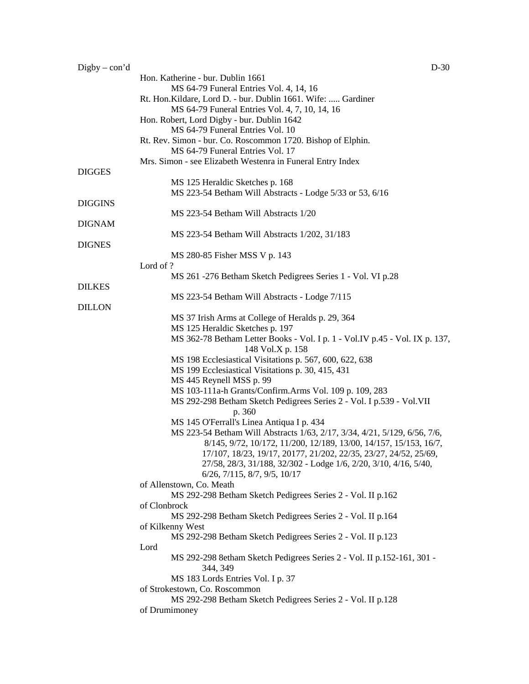| $Digitby - con'd$ | $D-30$                                                                                                                               |
|-------------------|--------------------------------------------------------------------------------------------------------------------------------------|
|                   | Hon. Katherine - bur. Dublin 1661                                                                                                    |
|                   | MS 64-79 Funeral Entries Vol. 4, 14, 16                                                                                              |
|                   | Rt. Hon.Kildare, Lord D. - bur. Dublin 1661. Wife:  Gardiner                                                                         |
|                   | MS 64-79 Funeral Entries Vol. 4, 7, 10, 14, 16                                                                                       |
|                   | Hon. Robert, Lord Digby - bur. Dublin 1642                                                                                           |
|                   | MS 64-79 Funeral Entries Vol. 10                                                                                                     |
|                   | Rt. Rev. Simon - bur. Co. Roscommon 1720. Bishop of Elphin.                                                                          |
|                   | MS 64-79 Funeral Entries Vol. 17                                                                                                     |
|                   | Mrs. Simon - see Elizabeth Westenra in Funeral Entry Index                                                                           |
| <b>DIGGES</b>     |                                                                                                                                      |
|                   | MS 125 Heraldic Sketches p. 168                                                                                                      |
| <b>DIGGINS</b>    | MS 223-54 Betham Will Abstracts - Lodge 5/33 or 53, 6/16                                                                             |
|                   | MS 223-54 Betham Will Abstracts 1/20                                                                                                 |
| <b>DIGNAM</b>     |                                                                                                                                      |
|                   | MS 223-54 Betham Will Abstracts 1/202, 31/183                                                                                        |
| <b>DIGNES</b>     |                                                                                                                                      |
|                   | MS 280-85 Fisher MSS V p. 143                                                                                                        |
|                   | Lord of ?                                                                                                                            |
|                   | MS 261 -276 Betham Sketch Pedigrees Series 1 - Vol. VI p.28                                                                          |
| <b>DILKES</b>     |                                                                                                                                      |
|                   | MS 223-54 Betham Will Abstracts - Lodge 7/115                                                                                        |
| <b>DILLON</b>     |                                                                                                                                      |
|                   | MS 37 Irish Arms at College of Heralds p. 29, 364                                                                                    |
|                   | MS 125 Heraldic Sketches p. 197                                                                                                      |
|                   | MS 362-78 Betham Letter Books - Vol. I p. 1 - Vol. IV p. 45 - Vol. IX p. 137,                                                        |
|                   | 148 Vol.X p. 158                                                                                                                     |
|                   | MS 198 Ecclesiastical Visitations p. 567, 600, 622, 638                                                                              |
|                   | MS 199 Ecclesiastical Visitations p. 30, 415, 431                                                                                    |
|                   | MS 445 Reynell MSS p. 99                                                                                                             |
|                   | MS 103-111a-h Grants/Confirm.Arms Vol. 109 p. 109, 283                                                                               |
|                   | MS 292-298 Betham Sketch Pedigrees Series 2 - Vol. I p.539 - Vol. VII                                                                |
|                   | p. 360                                                                                                                               |
|                   | MS 145 O'Ferrall's Linea Antiqua I p. 434                                                                                            |
|                   | MS 223-54 Betham Will Abstracts 1/63, 2/17, 3/34, 4/21, 5/129, 6/56, 7/6,                                                            |
|                   | 8/145, 9/72, 10/172, 11/200, 12/189, 13/00, 14/157, 15/153, 16/7,                                                                    |
|                   | 17/107, 18/23, 19/17, 20177, 21/202, 22/35, 23/27, 24/52, 25/69,<br>27/58, 28/3, 31/188, 32/302 - Lodge 1/6, 2/20, 3/10, 4/16, 5/40, |
|                   | $6/26$ , $7/115$ , $8/7$ , $9/5$ , $10/17$                                                                                           |
|                   | of Allenstown, Co. Meath                                                                                                             |
|                   | MS 292-298 Betham Sketch Pedigrees Series 2 - Vol. II p.162                                                                          |
|                   | of Clonbrock                                                                                                                         |
|                   | MS 292-298 Betham Sketch Pedigrees Series 2 - Vol. II p.164                                                                          |
|                   | of Kilkenny West                                                                                                                     |
|                   | MS 292-298 Betham Sketch Pedigrees Series 2 - Vol. II p.123                                                                          |
|                   | Lord                                                                                                                                 |
|                   | MS 292-298 8etham Sketch Pedigrees Series 2 - Vol. II p.152-161, 301 -                                                               |
|                   | 344, 349                                                                                                                             |
|                   | MS 183 Lords Entries Vol. I p. 37                                                                                                    |
|                   | of Strokestown, Co. Roscommon                                                                                                        |
|                   | MS 292-298 Betham Sketch Pedigrees Series 2 - Vol. II p.128                                                                          |
|                   | of Drumimoney                                                                                                                        |
|                   |                                                                                                                                      |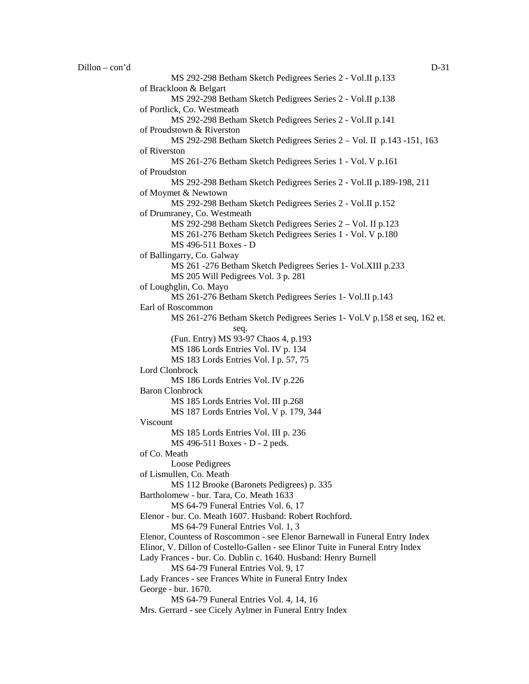MS 292-298 Betham Sketch Pedigrees Series 2 - Vol.II p.133 of Brackloon & Belgart MS 292-298 Betham Sketch Pedigrees Series 2 - Vol.II p.138 of Portlick, Co. Westmeath MS 292-298 Betham Sketch Pedigrees Series 2 - Vol.II p.141 of Proudstown & Riverston MS 292-298 Betham Sketch Pedigrees Series 2 – Vol. II p.143 -151, 163 of Riverston MS 261-276 Betham Sketch Pedigrees Series 1 - Vol. V p.161 of Proudston MS 292-298 Betham Sketch Pedigrees Series 2 - Vol.II p.189-198, 211 of Moymet & Newtown MS 292-298 Betham Sketch Pedigrees Series 2 - Vol.II p.152 of Drumraney, Co. Westmeath MS 292-298 Betham Sketch Pedigrees Series 2 – Vol. II p.123 MS 261-276 Betham Sketch Pedigrees Series 1 - Vol. V p.180 MS 496-511 Boxes - D of Ballingarry, Co. Galway MS 261 -276 Betham Sketch Pedigrees Series 1- Vol.XIII p.233 MS 205 Will Pedigrees Vol. 3 p. 281 of Loughglin, Co. Mayo MS 261-276 Betham Sketch Pedigrees Series 1- Vol.II p.143 Earl of Roscommon MS 261-276 Betham Sketch Pedigrees Series 1- Vol.V p.158 et seq, 162 et. seq. (Fun. Entry) MS 93-97 Chaos 4, p.193 MS 186 Lords Entries Vol. IV p. 134 MS 183 Lords Entries Vol. I p. 57, 75 Lord Clonbrock MS 186 Lords Entries Vol. IV p.226 Baron Clonbrock MS 185 Lords Entries Vol. III p.268 MS 187 Lords Entries Vol. V p. 179, 344 Viscount MS 185 Lords Entries Vol. III p. 236 MS 496-511 Boxes - D - 2 peds. of Co. Meath Loose Pedigrees of Lismullen, Co. Meath MS 112 Brooke (Baronets Pedigrees) p. 335 Bartholomew - bur. Tara, Co. Meath 1633 MS 64-79 Funeral Entries Vol. 6, 17 Elenor - bur. Co. Meath 1607. Husband: Robert Rochford. MS 64-79 Funeral Entries Vol. 1, 3 Elenor, Countess of Roscommon - see Elenor Barnewall in Funeral Entry Index Elinor, V. Dillon of Costello-Gallen - see Elinor Tuite in Funeral Entry Index Lady Frances - bur. Co. Dublin c. 1640. Husband: Henry Burnell MS 64-79 Funeral Entries Vol. 9, 17 Lady Frances - see Frances White in Funeral Entry Index George - bur. 1670. MS 64-79 Funeral Entries Vol. 4, 14, 16 Mrs. Gerrard - see Cicely Aylmer in Funeral Entry Index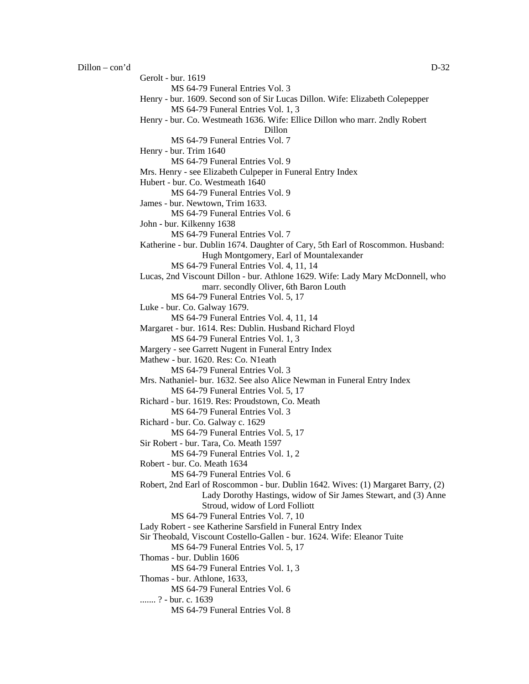$D$ illon – con'd  $D-32$ 

Gerolt - bur. 1619 MS 64-79 Funeral Entries Vol. 3 Henry - bur. 1609. Second son of Sir Lucas Dillon. Wife: Elizabeth Colepepper MS 64-79 Funeral Entries Vol. 1, 3 Henry - bur. Co. Westmeath 1636. Wife: Ellice Dillon who marr. 2ndly Robert Dillon MS 64-79 Funeral Entries Vol. 7 Henry - bur. Trim 1640 MS 64-79 Funeral Entries Vol. 9 Mrs. Henry - see Elizabeth Culpeper in Funeral Entry Index Hubert - bur. Co. Westmeath 1640 MS 64-79 Funeral Entries Vol. 9 James - bur. Newtown, Trim 1633. MS 64-79 Funeral Entries Vol. 6 John - bur. Kilkenny 1638 MS 64-79 Funeral Entries Vol. 7 Katherine - bur. Dublin 1674. Daughter of Cary, 5th Earl of Roscommon. Husband: Hugh Montgomery, Earl of Mountalexander MS 64-79 Funeral Entries Vol. 4, 11, 14 Lucas, 2nd Viscount Dillon - bur. Athlone 1629. Wife: Lady Mary McDonnell, who marr. secondly Oliver, 6th Baron Louth

MS 64-79 Funeral Entries Vol. 5, 17

Luke - bur. Co. Galway 1679.

MS 64-79 Funeral Entries Vol. 4, 11, 14

Margaret - bur. 1614. Res: Dublin. Husband Richard Floyd

MS 64-79 Funeral Entries Vol. 1, 3

Margery - see Garrett Nugent in Funeral Entry Index

Mathew - bur. 1620. Res: Co. N1eath

MS 64-79 Funeral Entries Vol. 3

Mrs. Nathaniel- bur. 1632. See also Alice Newman in Funeral Entry Index MS 64-79 Funeral Entries Vol. 5, 17

Richard - bur. 1619. Res: Proudstown, Co. Meath

MS 64-79 Funeral Entries Vol. 3

Richard - bur. Co. Galway c. 1629

MS 64-79 Funeral Entries Vol. 5, 17

Sir Robert - bur. Tara, Co. Meath 1597

MS 64-79 Funeral Entries Vol. 1, 2

```
Robert - bur. Co. Meath 1634
```
MS 64-79 Funeral Entries Vol. 6

Robert, 2nd Earl of Roscommon - bur. Dublin 1642. Wives: (1) Margaret Barry, (2) Lady Dorothy Hastings, widow of Sir James Stewart, and (3) Anne Stroud, widow of Lord Folliott

MS 64-79 Funeral Entries Vol. 7, 10

Lady Robert - see Katherine Sarsfield in Funeral Entry Index

Sir Theobald, Viscount Costello-Gallen - bur. 1624. Wife: Eleanor Tuite

MS 64-79 Funeral Entries Vol. 5, 17

Thomas - bur. Dublin 1606

MS 64-79 Funeral Entries Vol. 1, 3

Thomas - bur. Athlone, 1633,

MS 64-79 Funeral Entries Vol. 6

....... ? - bur. c. 1639

MS 64-79 Funeral Entries Vol. 8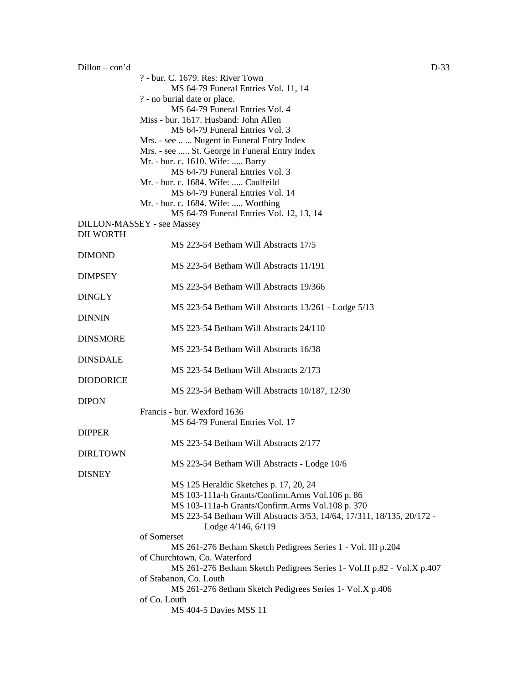Dillon – con'd D-33 ? - bur. C. 1679. Res: River Town MS 64-79 Funeral Entries Vol. 11, 14 ? - no burial date or place. MS 64-79 Funeral Entries Vol. 4 Miss - bur. 1617. Husband: John Allen MS 64-79 Funeral Entries Vol. 3 Mrs. - see .. ... Nugent in Funeral Entry Index Mrs. - see ..... St. George in Funeral Entry Index Mr. - bur. c. 1610. Wife: ..... Barry MS 64-79 Funeral Entries Vol. 3 Mr. - bur. c. 1684. Wife: ..... Caulfeild MS 64-79 Funeral Entries Vol. 14 Mr. - bur. c. 1684. Wife: ..... Worthing MS 64-79 Funeral Entries Vol. 12, 13, 14 DILLON-MASSEY - see Massey DILWORTH MS 223-54 Betham Will Abstracts 17/5 DIMOND MS 223-54 Betham Will Abstracts 11/191 DIMPSEY MS 223-54 Betham Will Abstracts 19/366 DINGLY MS 223-54 Betham Will Abstracts 13/261 - Lodge 5/13 DINNIN MS 223-54 Betham Will Abstracts 24/110 DINSMORE MS 223-54 Betham Will Abstracts 16/38 DINSDALE MS 223-54 Betham Will Abstracts 2/173 DIODORICE MS 223-54 Betham Will Abstracts 10/187, 12/30 DIPON Francis - bur. Wexford 1636 MS 64-79 Funeral Entries Vol. 17 DIPPER MS 223-54 Betham Will Abstracts 2/177 DIRLTOWN MS 223-54 Betham Will Abstracts - Lodge 10/6 **DISNEY** MS 125 Heraldic Sketches p. 17, 20, 24 MS 103-111a-h Grants/Confirm.Arms Vol.106 p. 86 MS 103-111a-h Grants/Confirm.Arms Vol.108 p. 370 MS 223-54 Betham Will Abstracts 3/53, 14/64, 17/311, 18/135, 20/172 - Lodge 4/146, 6/119 of Somerset MS 261-276 Betham Sketch Pedigrees Series 1 - Vol. III p.204 of Churchtown, Co. Waterford MS 261-276 Betham Sketch Pedigrees Series 1- Vol.II p.82 - Vol.X p.407 of Stabanon, Co. Louth MS 261-276 8etham Sketch Pedigrees Series 1- Vol.X p.406 of Co. Louth MS 404-5 Davies MSS 11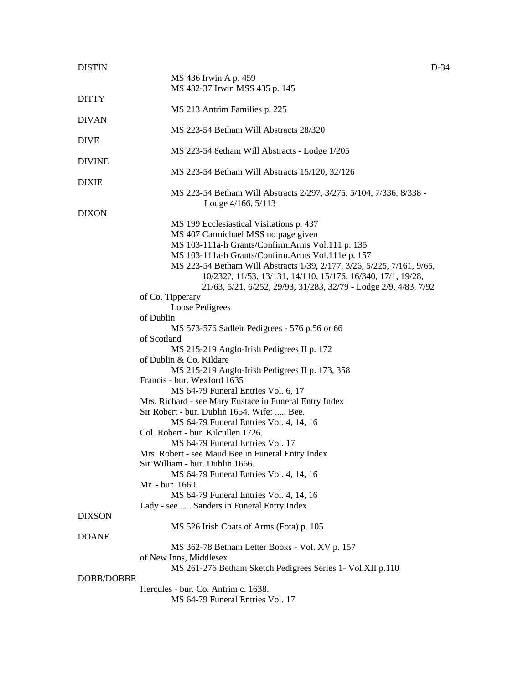| <b>DISTIN</b> | $D-34$                                                                 |
|---------------|------------------------------------------------------------------------|
|               | MS 436 Irwin A p. 459                                                  |
|               | MS 432-37 Irwin MSS 435 p. 145                                         |
| <b>DITTY</b>  |                                                                        |
|               | MS 213 Antrim Families p. 225                                          |
| <b>DIVAN</b>  |                                                                        |
|               | MS 223-54 Betham Will Abstracts 28/320                                 |
| <b>DIVE</b>   |                                                                        |
|               |                                                                        |
|               | MS 223-54 8etham Will Abstracts - Lodge 1/205                          |
| <b>DIVINE</b> |                                                                        |
|               | MS 223-54 Betham Will Abstracts 15/120, 32/126                         |
| <b>DIXIE</b>  |                                                                        |
|               | MS 223-54 Betham Will Abstracts 2/297, 3/275, 5/104, 7/336, 8/338 -    |
|               | Lodge 4/166, 5/113                                                     |
| <b>DIXON</b>  |                                                                        |
|               | MS 199 Ecclesiastical Visitations p. 437                               |
|               | MS 407 Carmichael MSS no page given                                    |
|               | MS 103-111a-h Grants/Confirm.Arms Vol.111 p. 135                       |
|               | MS 103-111a-h Grants/Confirm.Arms Vol.111e p. 157                      |
|               |                                                                        |
|               | MS 223-54 Betham Will Abstracts 1/39, 2/177, 3/26, 5/225, 7/161, 9/65, |
|               | 10/232?, 11/53, 13/131, 14/110, 15/176, 16/340, 17/1, 19/28,           |
|               | 21/63, 5/21, 6/252, 29/93, 31/283, 32/79 - Lodge 2/9, 4/83, 7/92       |
|               | of Co. Tipperary                                                       |
|               | Loose Pedigrees                                                        |
|               | of Dublin                                                              |
|               | MS 573-576 Sadleir Pedigrees - 576 p.56 or 66                          |
|               | of Scotland                                                            |
|               | MS 215-219 Anglo-Irish Pedigrees II p. 172                             |
|               | of Dublin & Co. Kildare                                                |
|               |                                                                        |
|               | MS 215-219 Anglo-Irish Pedigrees II p. 173, 358                        |
|               | Francis - bur. Wexford 1635                                            |
|               | MS 64-79 Funeral Entries Vol. 6, 17                                    |
|               | Mrs. Richard - see Mary Eustace in Funeral Entry Index                 |
|               | Sir Robert - bur. Dublin 1654. Wife:  Bee.                             |
|               | MS 64-79 Funeral Entries Vol. 4, 14, 16                                |
|               | Col. Robert - bur. Kilcullen 1726.                                     |
|               | MS 64-79 Funeral Entries Vol. 17                                       |
|               | Mrs. Robert - see Maud Bee in Funeral Entry Index                      |
|               | Sir William - bur. Dublin 1666.                                        |
|               |                                                                        |
|               | MS 64-79 Funeral Entries Vol. 4, 14, 16                                |
|               | Mr. - bur. 1660.                                                       |
|               | MS 64-79 Funeral Entries Vol. 4, 14, 16                                |
|               | Lady - see  Sanders in Funeral Entry Index                             |
| <b>DIXSON</b> |                                                                        |
|               | MS 526 Irish Coats of Arms (Fota) p. 105                               |
| <b>DOANE</b>  |                                                                        |
|               | MS 362-78 Betham Letter Books - Vol. XV p. 157                         |
|               | of New Inns, Middlesex                                                 |
|               | MS 261-276 Betham Sketch Pedigrees Series 1- Vol.XII p.110             |
|               |                                                                        |
| DOBB/DOBBE    |                                                                        |
|               | Hercules - bur. Co. Antrim c. 1638.                                    |
|               | MS 64-79 Funeral Entries Vol. 17                                       |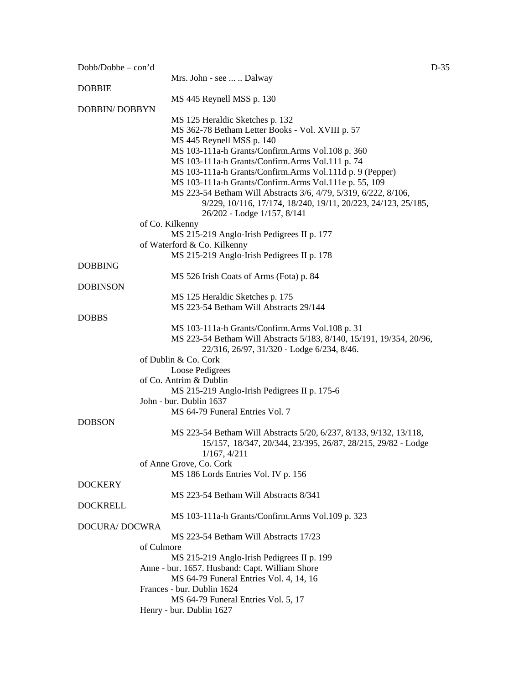| $Dobb/Dobbe - con'd$ |                                                                               | $D-35$ |
|----------------------|-------------------------------------------------------------------------------|--------|
|                      | Mrs. John - see   Dalway                                                      |        |
| <b>DOBBIE</b>        |                                                                               |        |
|                      | MS 445 Reynell MSS p. 130                                                     |        |
| <b>DOBBIN/DOBBYN</b> |                                                                               |        |
|                      | MS 125 Heraldic Sketches p. 132                                               |        |
|                      | MS 362-78 Betham Letter Books - Vol. XVIII p. 57<br>MS 445 Reynell MSS p. 140 |        |
|                      | MS 103-111a-h Grants/Confirm.Arms Vol.108 p. 360                              |        |
|                      | MS 103-111a-h Grants/Confirm.Arms Vol.111 p. 74                               |        |
|                      | MS 103-111a-h Grants/Confirm.Arms Vol.111d p. 9 (Pepper)                      |        |
|                      | MS 103-111a-h Grants/Confirm.Arms Vol.111e p. 55, 109                         |        |
|                      | MS 223-54 Betham Will Abstracts 3/6, 4/79, 5/319, 6/222, 8/106,               |        |
|                      | 9/229, 10/116, 17/174, 18/240, 19/11, 20/223, 24/123, 25/185,                 |        |
|                      | 26/202 - Lodge 1/157, 8/141                                                   |        |
|                      | of Co. Kilkenny                                                               |        |
|                      | MS 215-219 Anglo-Irish Pedigrees II p. 177                                    |        |
|                      | of Waterford & Co. Kilkenny                                                   |        |
|                      | MS 215-219 Anglo-Irish Pedigrees II p. 178                                    |        |
| <b>DOBBING</b>       |                                                                               |        |
|                      | MS 526 Irish Coats of Arms (Fota) p. 84                                       |        |
| <b>DOBINSON</b>      |                                                                               |        |
|                      | MS 125 Heraldic Sketches p. 175                                               |        |
|                      | MS 223-54 Betham Will Abstracts 29/144                                        |        |
| <b>DOBBS</b>         |                                                                               |        |
|                      | MS 103-111a-h Grants/Confirm.Arms Vol.108 p. 31                               |        |
|                      | MS 223-54 Betham Will Abstracts 5/183, 8/140, 15/191, 19/354, 20/96,          |        |
|                      | 22/316, 26/97, 31/320 - Lodge 6/234, 8/46.                                    |        |
|                      | of Dublin & Co. Cork                                                          |        |
|                      | Loose Pedigrees                                                               |        |
|                      | of Co. Antrim & Dublin                                                        |        |
|                      | MS 215-219 Anglo-Irish Pedigrees II p. 175-6                                  |        |
|                      | John - bur. Dublin 1637                                                       |        |
|                      | MS 64-79 Funeral Entries Vol. 7                                               |        |
| <b>DOBSON</b>        |                                                                               |        |
|                      | MS 223-54 Betham Will Abstracts 5/20, 6/237, 8/133, 9/132, 13/118,            |        |
|                      | 15/157, 18/347, 20/344, 23/395, 26/87, 28/215, 29/82 - Lodge                  |        |
|                      | 1/167, 4/211                                                                  |        |
|                      | of Anne Grove, Co. Cork                                                       |        |
|                      | MS 186 Lords Entries Vol. IV p. 156                                           |        |
| <b>DOCKERY</b>       |                                                                               |        |
|                      | MS 223-54 Betham Will Abstracts 8/341                                         |        |
| <b>DOCKRELL</b>      |                                                                               |        |
|                      | MS 103-111a-h Grants/Confirm.Arms Vol.109 p. 323                              |        |
| DOCURA/DOCWRA        |                                                                               |        |
|                      | MS 223-54 Betham Will Abstracts 17/23                                         |        |
|                      | of Culmore                                                                    |        |
|                      | MS 215-219 Anglo-Irish Pedigrees II p. 199                                    |        |
|                      | Anne - bur. 1657. Husband: Capt. William Shore                                |        |
|                      | MS 64-79 Funeral Entries Vol. 4, 14, 16                                       |        |
|                      | Frances - bur. Dublin 1624                                                    |        |
|                      | MS 64-79 Funeral Entries Vol. 5, 17                                           |        |
|                      | Henry - bur. Dublin 1627                                                      |        |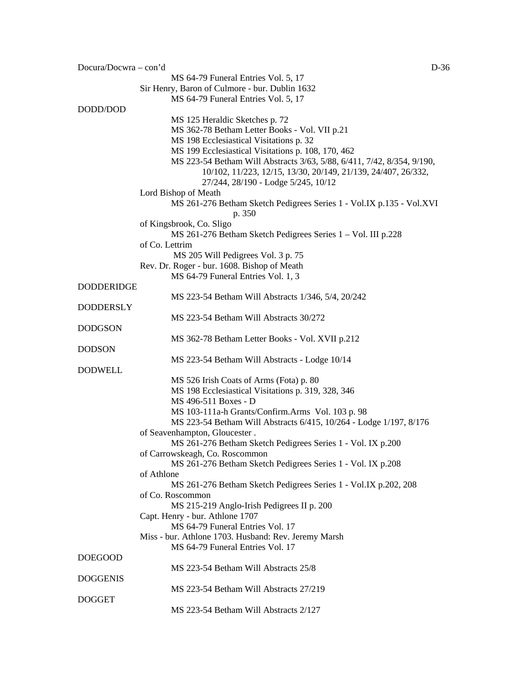| Docura/Docwra – con'd | $D-36$                                                                 |
|-----------------------|------------------------------------------------------------------------|
|                       | MS 64-79 Funeral Entries Vol. 5, 17                                    |
|                       | Sir Henry, Baron of Culmore - bur. Dublin 1632                         |
|                       | MS 64-79 Funeral Entries Vol. 5, 17                                    |
| DODD/DOD              |                                                                        |
|                       | MS 125 Heraldic Sketches p. 72                                         |
|                       | MS 362-78 Betham Letter Books - Vol. VII p.21                          |
|                       | MS 198 Ecclesiastical Visitations p. 32                                |
|                       | MS 199 Ecclesiastical Visitations p. 108, 170, 462                     |
|                       | MS 223-54 Betham Will Abstracts 3/63, 5/88, 6/411, 7/42, 8/354, 9/190, |
|                       | 10/102, 11/223, 12/15, 13/30, 20/149, 21/139, 24/407, 26/332,          |
|                       | 27/244, 28/190 - Lodge 5/245, 10/12                                    |
|                       | Lord Bishop of Meath                                                   |
|                       | MS 261-276 Betham Sketch Pedigrees Series 1 - Vol.IX p.135 - Vol.XVI   |
|                       | p. 350                                                                 |
|                       | of Kingsbrook, Co. Sligo                                               |
|                       | MS 261-276 Betham Sketch Pedigrees Series 1 – Vol. III p.228           |
|                       | of Co. Lettrim                                                         |
|                       | MS 205 Will Pedigrees Vol. 3 p. 75                                     |
|                       | Rev. Dr. Roger - bur. 1608. Bishop of Meath                            |
|                       | MS 64-79 Funeral Entries Vol. 1, 3                                     |
| <b>DODDERIDGE</b>     |                                                                        |
|                       | MS 223-54 Betham Will Abstracts 1/346, 5/4, 20/242                     |
| <b>DODDERSLY</b>      |                                                                        |
|                       | MS 223-54 Betham Will Abstracts 30/272                                 |
| <b>DODGSON</b>        |                                                                        |
|                       | MS 362-78 Betham Letter Books - Vol. XVII p.212                        |
| <b>DODSON</b>         |                                                                        |
|                       | MS 223-54 Betham Will Abstracts - Lodge 10/14                          |
| <b>DODWELL</b>        |                                                                        |
|                       | MS 526 Irish Coats of Arms (Fota) p. 80                                |
|                       | MS 198 Ecclesiastical Visitations p. 319, 328, 346                     |
|                       | MS 496-511 Boxes - D                                                   |
|                       | MS 103-111a-h Grants/Confirm.Arms Vol. 103 p. 98                       |
|                       | MS 223-54 Betham Will Abstracts 6/415, 10/264 - Lodge 1/197, 8/176     |
|                       | of Seavenhampton, Gloucester.                                          |
|                       | MS 261-276 Betham Sketch Pedigrees Series 1 - Vol. IX p.200            |
|                       | of Carrowskeagh, Co. Roscommon                                         |
|                       | MS 261-276 Betham Sketch Pedigrees Series 1 - Vol. IX p.208            |
|                       | of Athlone                                                             |
|                       | MS 261-276 Betham Sketch Pedigrees Series 1 - Vol.IX p.202, 208        |
|                       | of Co. Roscommon                                                       |
|                       | MS 215-219 Anglo-Irish Pedigrees II p. 200                             |
|                       | Capt. Henry - bur. Athlone 1707                                        |
|                       | MS 64-79 Funeral Entries Vol. 17                                       |
|                       | Miss - bur. Athlone 1703. Husband: Rev. Jeremy Marsh                   |
|                       | MS 64-79 Funeral Entries Vol. 17                                       |
| <b>DOEGOOD</b>        |                                                                        |
|                       | MS 223-54 Betham Will Abstracts 25/8                                   |
| <b>DOGGENIS</b>       |                                                                        |
|                       | MS 223-54 Betham Will Abstracts 27/219                                 |
| <b>DOGGET</b>         |                                                                        |
|                       | MS 223-54 Betham Will Abstracts 2/127                                  |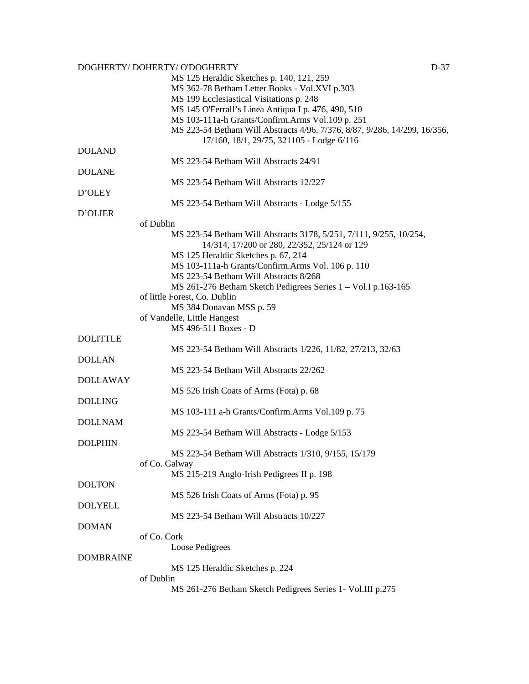## DOGHERTY/ DOHERTY/ O'DOGHERTY DESCRIPTION OF A STREET ASSEMBLY DESCRIPTION OF A STREET AND DESCRIPTION OF A STREET AND DESCRIPTION OF A STREET AND DESCRIPTION OF A STREET AND DESCRIPTION OF A STREET AND DESCRIPTION OF A ST

|                  | MS 125 Heraldic Sketches p. 140, 121, 259                                 |
|------------------|---------------------------------------------------------------------------|
|                  | MS 362-78 Betham Letter Books - Vol.XVI p.303                             |
|                  | MS 199 Ecclesiastical Visitations p. 248                                  |
|                  | MS 145 O'Ferrall's Linea Antiqua I p. 476, 490, 510                       |
|                  | MS 103-111a-h Grants/Confirm.Arms Vol.109 p. 251                          |
|                  | MS 223-54 Betham Will Abstracts 4/96, 7/376, 8/87, 9/286, 14/299, 16/356, |
|                  | 17/160, 18/1, 29/75, 321105 - Lodge 6/116                                 |
| <b>DOLAND</b>    |                                                                           |
|                  | MS 223-54 Betham Will Abstracts 24/91                                     |
|                  |                                                                           |
| <b>DOLANE</b>    |                                                                           |
|                  | MS 223-54 Betham Will Abstracts 12/227                                    |
| D'OLEY           |                                                                           |
|                  | MS 223-54 Betham Will Abstracts - Lodge 5/155                             |
| D'OLIER          |                                                                           |
|                  | of Dublin                                                                 |
|                  | MS 223-54 Betham Will Abstracts 3178, 5/251, 7/111, 9/255, 10/254,        |
|                  | 14/314, 17/200 or 280, 22/352, 25/124 or 129                              |
|                  | MS 125 Heraldic Sketches p. 67, 214                                       |
|                  | MS 103-111a-h Grants/Confirm.Arms Vol. 106 p. 110                         |
|                  | MS 223-54 Betham Will Abstracts 8/268                                     |
|                  | MS 261-276 Betham Sketch Pedigrees Series 1 - Vol. I p.163-165            |
|                  | of little Forest, Co. Dublin                                              |
|                  | MS 384 Donavan MSS p. 59                                                  |
|                  | of Vandelle, Little Hangest                                               |
|                  | MS 496-511 Boxes - D                                                      |
| <b>DOLITTLE</b>  |                                                                           |
|                  | MS 223-54 Betham Will Abstracts 1/226, 11/82, 27/213, 32/63               |
| <b>DOLLAN</b>    |                                                                           |
|                  | MS 223-54 Betham Will Abstracts 22/262                                    |
|                  |                                                                           |
| <b>DOLLAWAY</b>  |                                                                           |
|                  | MS 526 Irish Coats of Arms (Fota) p. 68                                   |
| <b>DOLLING</b>   |                                                                           |
|                  | MS 103-111 a-h Grants/Confirm.Arms Vol.109 p. 75                          |
| <b>DOLLNAM</b>   |                                                                           |
|                  | MS 223-54 Betham Will Abstracts - Lodge 5/153                             |
| <b>DOLPHIN</b>   |                                                                           |
|                  | MS 223-54 Betham Will Abstracts 1/310, 9/155, 15/179                      |
|                  | of Co. Galway                                                             |
|                  | MS 215-219 Anglo-Irish Pedigrees II p. 198                                |
| <b>DOLTON</b>    |                                                                           |
|                  | MS 526 Irish Coats of Arms (Fota) p. 95                                   |
| <b>DOLYELL</b>   |                                                                           |
|                  | MS 223-54 Betham Will Abstracts 10/227                                    |
| <b>DOMAN</b>     |                                                                           |
|                  | of Co. Cork                                                               |
|                  | Loose Pedigrees                                                           |
| <b>DOMBRAINE</b> |                                                                           |
|                  | MS 125 Heraldic Sketches p. 224                                           |
|                  | of Dublin                                                                 |
|                  |                                                                           |
|                  | MS 261-276 Betham Sketch Pedigrees Series 1- Vol.III p.275                |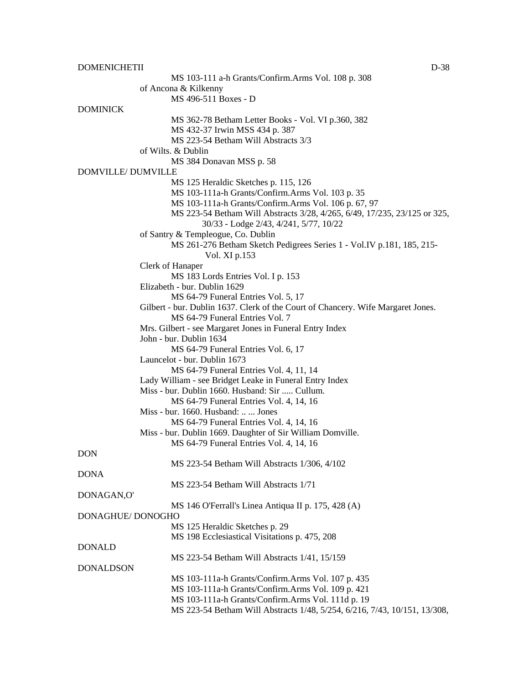DOMENICHETII D-38 MS 103-111 a-h Grants/Confirm.Arms Vol. 108 p. 308 of Ancona & Kilkenny MS 496-511 Boxes - D DOMINICK MS 362-78 Betham Letter Books - Vol. VI p.360, 382 MS 432-37 Irwin MSS 434 p. 387 MS 223-54 Betham Will Abstracts 3/3 of Wilts. & Dublin MS 384 Donavan MSS p. 58 DOMVILLE/ DUMVILLE MS 125 Heraldic Sketches p. 115, 126 MS 103-111a-h Grants/Confirm.Arms Vol. 103 p. 35 MS 103-111a-h Grants/Confirm.Arms Vol. 106 p. 67, 97 MS 223-54 Betham Will Abstracts 3/28, 4/265, 6/49, 17/235, 23/125 or 325, 30/33 - Lodge 2/43, 4/241, 5/77*,* 10/22 of Santry & Templeogue, Co. Dublin MS 261-276 Betham Sketch Pedigrees Series 1 - Vol.IV p.181, 185, 215- Vol. XI p.153 Clerk of Hanaper MS 183 Lords Entries Vol. I p. 153 Elizabeth - bur. Dublin 1629 MS 64-79 Funeral Entries Vol. 5, 17 Gilbert - bur. Dublin 1637. Clerk of the Court of Chancery. Wife Margaret Jones. MS 64-79 Funeral Entries Vol. 7 Mrs. Gilbert - see Margaret Jones in Funeral Entry Index John - bur. Dublin 1634 MS 64-79 Funeral Entries Vol. 6, 17 Launcelot - bur. Dublin 1673 MS 64-79 Funeral Entries Vol. 4, 11, 14 Lady William - see Bridget Leake in Funeral Entry Index Miss - bur. Dublin 1660. Husband: Sir ..... Cullum. MS 64-79 Funeral Entries Vol. 4, 14, 16 Miss - bur. 1660. Husband: .. ... Jones MS 64-79 Funeral Entries Vol. 4, 14, 16 Miss - bur. Dublin 1669. Daughter of Sir William Domville. MS 64-79 Funeral Entries Vol. 4, 14, 16 DON MS 223-54 Betham Will Abstracts 1/306, 4/102 DONA MS 223-54 Betham Will Abstracts 1/71 DONAGAN,O' MS 146 O'Ferrall's Linea Antiqua II p. 175, 428 (A) DONAGHUE/ DONOGHO MS 125 Heraldic Sketches p. 29 MS 198 Ecclesiastical Visitations p. 475, 208 DONALD MS 223-54 Betham Will Abstracts 1/41, 15/159 DONALDSON MS 103-111a-h Grants/Confirm.Arms Vol. 107 p. 435 MS 103-111a-h Grants/Confirm.Arms Vol. 109 p. 421 MS 103-111a-h Grants/Confirm.Arms Vol. 111d p. 19 MS 223-54 Betham Will Abstracts 1/48, 5/254, 6/216, 7/43, 10/151, 13/308,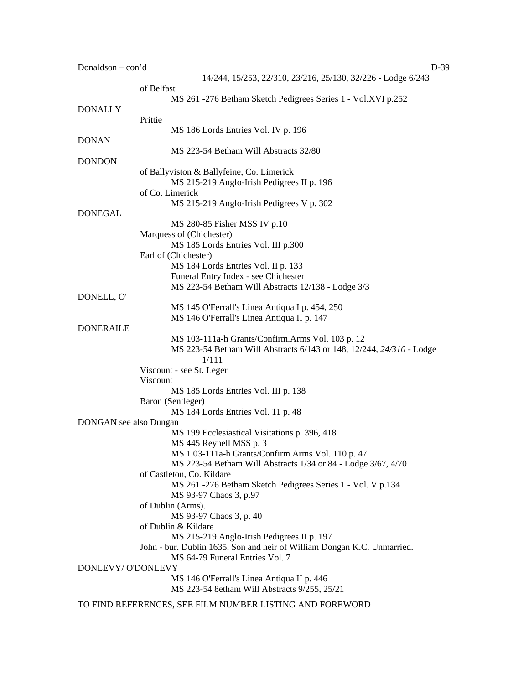Donaldson – con'd D-39 14/244, 15/253, 22/310, 23/216, 25/130, 32/226 - Lodge 6/243 of Belfast MS 261 -276 Betham Sketch Pedigrees Series 1 - Vol.XVI p.252 DONALLY Prittie MS 186 Lords Entries Vol. IV p. 196 DONAN MS 223-54 Betham Will Abstracts 32/80 DONDON of Ballyviston & Ballyfeine, Co. Limerick MS 215-219 Anglo-Irish Pedigrees II p. 196 of Co. Limerick MS 215-219 Anglo-Irish Pedigrees V p. 302 DONEGAL MS 280-85 Fisher MSS IV p.10 Marquess of (Chichester) MS 185 Lords Entries Vol. III p.300 Earl of (Chichester) MS 184 Lords Entries Vol. II p. 133 Funeral Entry Index - see Chichester MS 223-54 Betham Will Abstracts 12/138 - Lodge 3/3 DONELL, O' MS 145 O'Ferrall's Linea Antiqua I p. 454, 250 MS 146 O'Ferrall's Linea Antiqua II p. 147 DONERAILE MS 103-111a-h Grants/Confirm.Arms Vol. 103 p. 12 MS 223-54 Betham Will Abstracts 6/143 or 148, 12/244, *24/310* - Lodge 1/111 Viscount - see St. Leger Viscount MS 185 Lords Entries Vol. III p. 138 Baron (Sentleger) MS 184 Lords Entries Vol. 11 p. 48 DONGAN see also Dungan MS 199 Ecclesiastical Visitations p. 396, 418 MS 445 Reynell MSS p. 3 MS 1 03-111a-h Grants/Confirm.Arms Vol. 110 p. 47 MS 223-54 Betham Will Abstracts 1/34 or 84 - Lodge 3/67, 4/70 of Castleton, Co. Kildare MS 261 -276 Betham Sketch Pedigrees Series 1 - Vol. V p.134 MS 93-97 Chaos 3, p.97 of Dublin (Arms). MS 93-97 Chaos 3, p. 40 of Dublin & Kildare MS 215-219 Anglo-Irish Pedigrees II p. 197 John - bur. Dublin 1635. Son and heir of William Dongan K.C. Unmarried. MS 64-79 Funeral Entries Vol. 7 DONLEVY/ O'DONLEVY MS 146 O'Ferrall's Linea Antiqua II p. 446 MS 223-54 8etham Will Abstracts 9/255, 25/21 TO FIND REFERENCES, SEE FILM NUMBER LISTING AND FOREWORD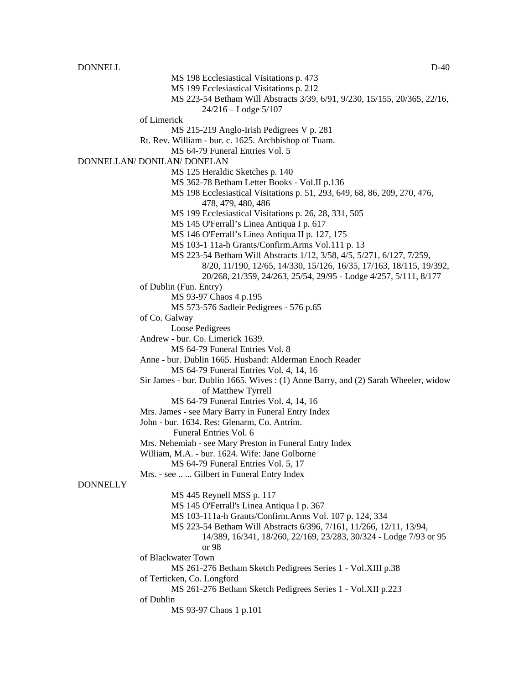DONNELL D-40 MS 198 Ecclesiastical Visitations p. 473 MS 199 Ecclesiastical Visitations p. 212 MS 223-54 Betham Will Abstracts 3/39, 6/91, 9/230, 15/155, 20/365, 22/16, 24/216 – Lodge 5/107 of Limerick MS 215-219 Anglo-Irish Pedigrees V p. 281 Rt. Rev. William - bur. c. 1625. Archbishop of Tuam. MS 64-79 Funeral Entries Vol. 5 DONNELLAN/ DONILAN/ DONELAN MS 125 Heraldic Sketches p. 140 MS 362-78 Betham Letter Books - Vol.II p.136 MS 198 Ecclesiastical Visitations p. 51, 293, 649, 68, 86, 209, 270, 476, 478, 479, 480, 486 MS 199 Ecclesiastical Visitations p. 26, 28, 331, 505 MS 145 O'Ferrall's Linea Antiqua I p. 617 MS 146 O'Ferrall's Linea Antiqua II p. 127, 175 MS 103-1 11a-h Grants/Confirm.Arms Vol.111 p. 13 MS 223-54 Betham Will Abstracts 1/12, 3/58, 4/5, 5/271, 6/127, 7/259, 8/20, 11/190, 12/65, 14/330, 15/126, 16/35, 17/163, 18/115, 19/392, 20/268, 21/359, 24/263, 25/54, 29/95 - Lodge 4/257, 5/111, 8/177 of Dublin (Fun. Entry) MS 93-97 Chaos 4 p.195 MS 573-576 Sadleir Pedigrees - 576 p.65 of Co. Galway Loose Pedigrees Andrew - bur. Co. Limerick 1639. MS 64-79 Funeral Entries Vol. 8 Anne - bur. Dublin 1665. Husband: Alderman Enoch Reader MS 64-79 Funeral Entries Vol. 4, 14, 16 Sir James - bur. Dublin 1665. Wives : (1) Anne Barry, and (2) Sarah Wheeler, widow of Matthew Tyrrell MS 64-79 Funeral Entries Vol. 4, 14, 16 Mrs. James - see Mary Barry in Funeral Entry Index John - bur. 1634. Res: Glenarm, Co. Antrim. Funeral Entries Vol. 6 Mrs. Nehemiah - see Mary Preston in Funeral Entry Index William, M.A. - bur. 1624. Wife: Jane Golborne MS 64-79 Funeral Entries Vol. 5, 17 Mrs. - see .. ... Gilbert in Funeral Entry Index **DONNELLY** MS 445 Reynell MSS p. 117 MS 145 O'Ferrall's Linea Antiqua I p. 367 MS 103-111a-h Grants/Confirm.Arms Vol. 107 p. 124, 334 MS 223-54 Betham Will Abstracts 6/396, 7/161, 11/266, 12/11, 13/94, 14/389, 16/341, 18/260, 22/169, 23/283, 30/324 - Lodge 7/93 or 95 or 98 of Blackwater Town MS 261-276 Betham Sketch Pedigrees Series 1 - Vol.XIII p.38

of Terticken, Co. Longford

MS 261-276 Betham Sketch Pedigrees Series 1 - Vol.XII p.223 of Dublin

MS 93-97 Chaos 1 p.101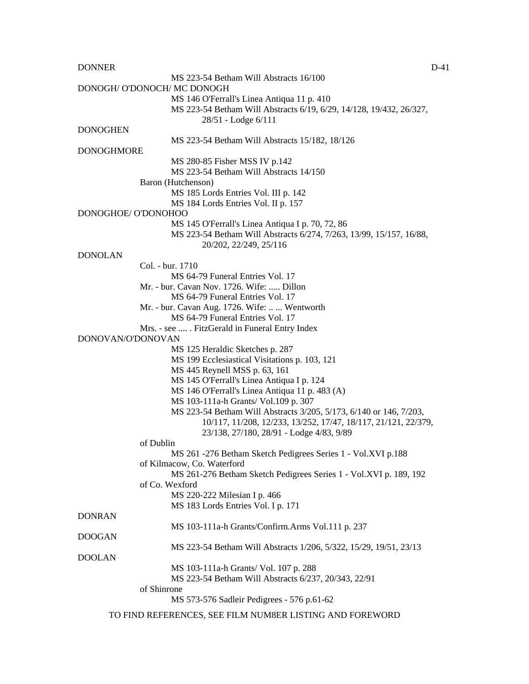DONNER DESCRIPTION OF THE CONNER DESCRIPTION OF THE CONNER DESCRIPTION OF THE CONNER OF THE CONNE

MS 223-54 Betham Will Abstracts 16/100 DONOGH/ O'DONOCH/ MC DONOGH MS 146 O'Ferrall's Linea Antiqua 11 p. 410 MS 223-54 Betham Will Abstracts 6/19, 6/29, 14/128, 19/432, 26/327, 28/51 - Lodge 6/111 DONOGHEN MS 223-54 Betham Will Abstracts 15/182, 18/126 DONOGHMORE MS 280-85 Fisher MSS IV p.142 MS 223-54 Betham Will Abstracts 14/150 Baron (Hutchenson) MS 185 Lords Entries Vol. III p. 142 MS 184 Lords Entries Vol. II p. 157 DONOGHOE/ O'DONOHOO MS 145 O'Ferrall's Linea Antiqua I p. 70, 72, 86 MS 223-54 Betham Will Abstracts 6/274, 7/263, 13/99, 15/157, 16/88, 20/202, 22/249, 25/116 DONOLAN Col. - bur. 1710 MS 64-79 Funeral Entries Vol. 17 Mr. - bur. Cavan Nov. 1726. Wife: ..... Dillon MS 64-79 Funeral Entries Vol. 17 Mr. - bur. Cavan Aug. 1726. Wife: .. ... Wentworth MS 64-79 Funeral Entries Vol. 17 Mrs. - see .... . FitzGerald in Funeral Entry Index DONOVAN/O'DONOVAN MS 125 Heraldic Sketches p. 287 MS 199 Ecclesiastical Visitations p. 103, 121 MS 445 Reynell MSS p. 63, 161 MS 145 O'Ferrall's Linea Antiqua I p. 124 MS 146 O'Ferrall's Linea Antiqua 11 p. 483 (A) MS 103-111a-h Grants/ Vol.109 p. 307 MS 223-54 Betham Will Abstracts 3/205, 5/173, 6/140 or 146, 7/203, 10/117, 11/208, 12/233, 13/252, 17/47, 18/117, 21/121, 22/379, 23/138, 27/180, 28/91 - Lodge 4/83, 9/89 of Dublin MS 261 -276 Betham Sketch Pedigrees Series 1 - Vol.XVI p.188 of Kilmacow, Co. Waterford MS 261-276 Betham Sketch Pedigrees Series 1 - Vol.XVI p. 189, 192 of Co. Wexford MS 220-222 Milesian I p. 466 MS 183 Lords Entries Vol. I p. 171 DONRAN MS 103-111a-h Grants/Confirm.Arms Vol.111 p. 237 DOOGAN MS 223-54 Betham Will Abstracts 1/206, 5/322, 15/29, 19/51, 23/13 DOOLAN MS 103-111a-h Grants/ Vol. 107 p. 288 MS 223-54 Betham Will Abstracts 6/237, 20/343, 22/91 of Shinrone MS 573-576 Sadleir Pedigrees - 576 p.61-62

TO FIND REFERENCES, SEE FILM NUM8ER LISTING AND FOREWORD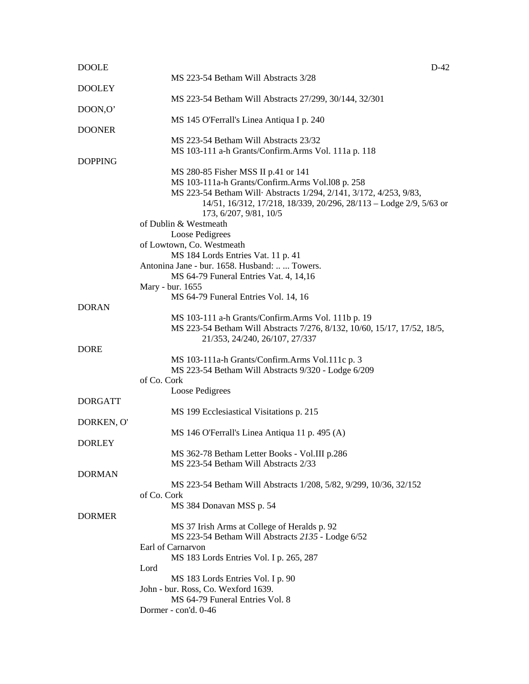| <b>DOOLE</b>   | $D-42$                                                                                                                |
|----------------|-----------------------------------------------------------------------------------------------------------------------|
|                | MS 223-54 Betham Will Abstracts 3/28                                                                                  |
| <b>DOOLEY</b>  |                                                                                                                       |
|                | MS 223-54 Betham Will Abstracts 27/299, 30/144, 32/301                                                                |
| DOON,O'        |                                                                                                                       |
|                | MS 145 O'Ferrall's Linea Antiqua I p. 240                                                                             |
| <b>DOONER</b>  |                                                                                                                       |
|                | MS 223-54 Betham Will Abstracts 23/32                                                                                 |
|                | MS 103-111 a-h Grants/Confirm.Arms Vol. 111a p. 118                                                                   |
| <b>DOPPING</b> |                                                                                                                       |
|                | MS 280-85 Fisher MSS II p.41 or 141                                                                                   |
|                | MS 103-111a-h Grants/Confirm.Arms Vol.108 p. 258<br>MS 223-54 Betham Will Abstracts 1/294, 2/141, 3/172, 4/253, 9/83, |
|                | 14/51, 16/312, 17/218, 18/339, 20/296, 28/113 – Lodge 2/9, 5/63 or                                                    |
|                | 173, 6/207, 9/81, 10/5                                                                                                |
|                | of Dublin & Westmeath                                                                                                 |
|                | Loose Pedigrees                                                                                                       |
|                | of Lowtown, Co. Westmeath                                                                                             |
|                | MS 184 Lords Entries Vat. 11 p. 41                                                                                    |
|                | Antonina Jane - bur. 1658. Husband:   Towers.                                                                         |
|                | MS 64-79 Funeral Entries Vat. 4, 14,16                                                                                |
|                | Mary - bur. 1655                                                                                                      |
|                | MS 64-79 Funeral Entries Vol. 14, 16                                                                                  |
| <b>DORAN</b>   |                                                                                                                       |
|                | MS 103-111 a-h Grants/Confirm.Arms Vol. 111b p. 19                                                                    |
|                | MS 223-54 Betham Will Abstracts 7/276, 8/132, 10/60, 15/17, 17/52, 18/5,                                              |
|                | 21/353, 24/240, 26/107, 27/337                                                                                        |
| <b>DORE</b>    |                                                                                                                       |
|                | MS 103-111a-h Grants/Confirm.Arms Vol.111c p. 3                                                                       |
|                | MS 223-54 Betham Will Abstracts 9/320 - Lodge 6/209                                                                   |
|                | of Co. Cork                                                                                                           |
|                | Loose Pedigrees                                                                                                       |
| <b>DORGATT</b> |                                                                                                                       |
|                | MS 199 Ecclesiastical Visitations p. 215                                                                              |
| DORKEN, O'     |                                                                                                                       |
|                | MS 146 O'Ferrall's Linea Antiqua 11 p. 495 (A)                                                                        |
| <b>DORLEY</b>  |                                                                                                                       |
|                | MS 362-78 Betham Letter Books - Vol.III p.286<br>MS 223-54 Betham Will Abstracts 2/33                                 |
| <b>DORMAN</b>  |                                                                                                                       |
|                | MS 223-54 Betham Will Abstracts 1/208, 5/82, 9/299, 10/36, 32/152                                                     |
|                | of Co. Cork                                                                                                           |
|                | MS 384 Donavan MSS p. 54                                                                                              |
| <b>DORMER</b>  |                                                                                                                       |
|                | MS 37 Irish Arms at College of Heralds p. 92                                                                          |
|                | MS 223-54 Betham Will Abstracts 2135 - Lodge 6/52                                                                     |
|                | Earl of Carnarvon                                                                                                     |
|                | MS 183 Lords Entries Vol. I p. 265, 287                                                                               |
|                | Lord                                                                                                                  |
|                | MS 183 Lords Entries Vol. I p. 90                                                                                     |
|                | John - bur. Ross, Co. Wexford 1639.                                                                                   |
|                | MS 64-79 Funeral Entries Vol. 8                                                                                       |
|                | Dormer - con'd. 0-46                                                                                                  |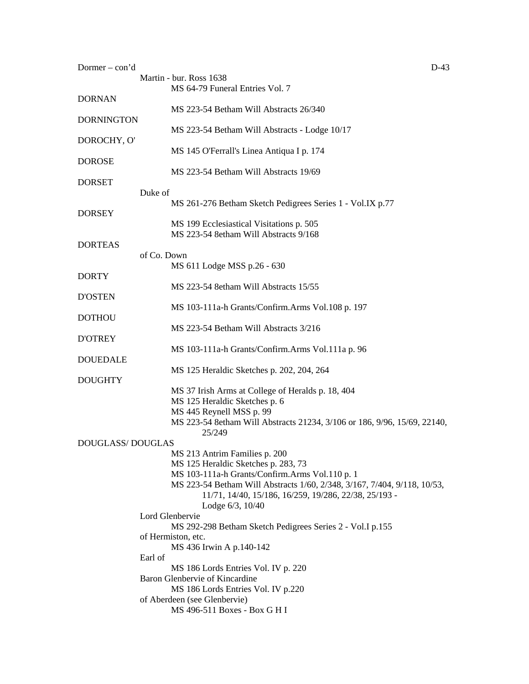| Dormer $-$ con'd  |                                                                                                      | $D-43$ |
|-------------------|------------------------------------------------------------------------------------------------------|--------|
|                   | Martin - bur. Ross 1638                                                                              |        |
|                   | MS 64-79 Funeral Entries Vol. 7                                                                      |        |
| <b>DORNAN</b>     |                                                                                                      |        |
| <b>DORNINGTON</b> | MS 223-54 Betham Will Abstracts 26/340                                                               |        |
|                   | MS 223-54 Betham Will Abstracts - Lodge 10/17                                                        |        |
| DOROCHY, O'       |                                                                                                      |        |
|                   | MS 145 O'Ferrall's Linea Antiqua I p. 174                                                            |        |
| <b>DOROSE</b>     |                                                                                                      |        |
|                   | MS 223-54 Betham Will Abstracts 19/69                                                                |        |
| <b>DORSET</b>     |                                                                                                      |        |
| Duke of           |                                                                                                      |        |
|                   | MS 261-276 Betham Sketch Pedigrees Series 1 - Vol.IX p.77                                            |        |
| <b>DORSEY</b>     | MS 199 Ecclesiastical Visitations p. 505                                                             |        |
|                   | MS 223-54 8etham Will Abstracts 9/168                                                                |        |
| <b>DORTEAS</b>    |                                                                                                      |        |
|                   | of Co. Down                                                                                          |        |
|                   | MS 611 Lodge MSS p.26 - 630                                                                          |        |
| <b>DORTY</b>      |                                                                                                      |        |
|                   | MS 223-54 8etham Will Abstracts 15/55                                                                |        |
| <b>D'OSTEN</b>    |                                                                                                      |        |
|                   | MS 103-111a-h Grants/Confirm.Arms Vol.108 p. 197                                                     |        |
| <b>DOTHOU</b>     | MS 223-54 Betham Will Abstracts 3/216                                                                |        |
| <b>D'OTREY</b>    |                                                                                                      |        |
|                   | MS 103-111a-h Grants/Confirm.Arms Vol.111a p. 96                                                     |        |
| <b>DOUEDALE</b>   |                                                                                                      |        |
|                   | MS 125 Heraldic Sketches p. 202, 204, 264                                                            |        |
| <b>DOUGHTY</b>    |                                                                                                      |        |
|                   | MS 37 Irish Arms at College of Heralds p. 18, 404                                                    |        |
|                   | MS 125 Heraldic Sketches p. 6                                                                        |        |
|                   | MS 445 Reynell MSS p. 99<br>MS 223-54 8etham Will Abstracts 21234, 3/106 or 186, 9/96, 15/69, 22140, |        |
|                   | 25/249                                                                                               |        |
| DOUGLASS/DOUGLAS  |                                                                                                      |        |
|                   | MS 213 Antrim Families p. 200                                                                        |        |
|                   | MS 125 Heraldic Sketches p. 283, 73                                                                  |        |
|                   | MS 103-111a-h Grants/Confirm.Arms Vol.110 p. 1                                                       |        |
|                   | MS 223-54 Betham Will Abstracts 1/60, 2/348, 3/167, 7/404, 9/118, 10/53,                             |        |
|                   | 11/71, 14/40, 15/186, 16/259, 19/286, 22/38, 25/193 -                                                |        |
|                   | Lodge 6/3, 10/40                                                                                     |        |
|                   | Lord Glenbervie<br>MS 292-298 Betham Sketch Pedigrees Series 2 - Vol. Ip. 155                        |        |
|                   | of Hermiston, etc.                                                                                   |        |
|                   | MS 436 Irwin A p.140-142                                                                             |        |
| Earl of           |                                                                                                      |        |
|                   | MS 186 Lords Entries Vol. IV p. 220                                                                  |        |
|                   | Baron Glenbervie of Kincardine                                                                       |        |
|                   | MS 186 Lords Entries Vol. IV p.220                                                                   |        |
|                   | of Aberdeen (see Glenbervie)                                                                         |        |
|                   | MS 496-511 Boxes - Box G H I                                                                         |        |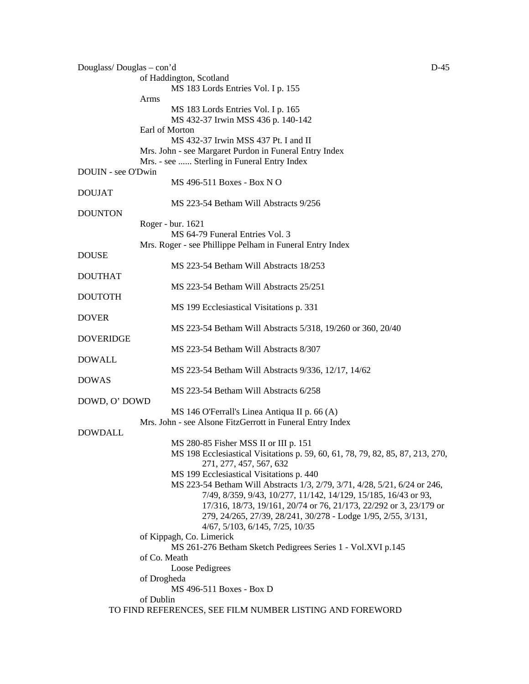| Douglass/Douglas - con'd |                                                                                         | $D-45$ |
|--------------------------|-----------------------------------------------------------------------------------------|--------|
|                          | of Haddington, Scotland                                                                 |        |
|                          | MS 183 Lords Entries Vol. I p. 155                                                      |        |
|                          | Arms                                                                                    |        |
|                          | MS 183 Lords Entries Vol. I p. 165                                                      |        |
|                          | MS 432-37 Irwin MSS 436 p. 140-142                                                      |        |
|                          | Earl of Morton                                                                          |        |
|                          | MS 432-37 Irwin MSS 437 Pt. I and II                                                    |        |
|                          | Mrs. John - see Margaret Purdon in Funeral Entry Index                                  |        |
|                          | Mrs. - see  Sterling in Funeral Entry Index                                             |        |
| DOUIN - see O'Dwin       |                                                                                         |        |
|                          | MS 496-511 Boxes - Box N O                                                              |        |
| <b>DOUJAT</b>            |                                                                                         |        |
|                          | MS 223-54 Betham Will Abstracts 9/256                                                   |        |
| <b>DOUNTON</b>           |                                                                                         |        |
|                          | Roger - bur. 1621                                                                       |        |
|                          | MS 64-79 Funeral Entries Vol. 3                                                         |        |
|                          | Mrs. Roger - see Phillippe Pelham in Funeral Entry Index                                |        |
| <b>DOUSE</b>             | MS 223-54 Betham Will Abstracts 18/253                                                  |        |
| <b>DOUTHAT</b>           |                                                                                         |        |
|                          | MS 223-54 Betham Will Abstracts 25/251                                                  |        |
| <b>DOUTOTH</b>           |                                                                                         |        |
|                          | MS 199 Ecclesiastical Visitations p. 331                                                |        |
| <b>DOVER</b>             |                                                                                         |        |
|                          | MS 223-54 Betham Will Abstracts 5/318, 19/260 or 360, 20/40                             |        |
| DOVERIDGE                |                                                                                         |        |
|                          | MS 223-54 Betham Will Abstracts 8/307                                                   |        |
| <b>DOWALL</b>            |                                                                                         |        |
|                          | MS 223-54 Betham Will Abstracts 9/336, 12/17, 14/62                                     |        |
| <b>DOWAS</b>             |                                                                                         |        |
|                          | MS 223-54 Betham Will Abstracts 6/258                                                   |        |
| DOWD, O' DOWD            |                                                                                         |        |
|                          | MS 146 O'Ferrall's Linea Antiqua II p. 66 (A)                                           |        |
|                          | Mrs. John - see Alsone FitzGerrott in Funeral Entry Index                               |        |
| <b>DOWDALL</b>           |                                                                                         |        |
|                          | MS 280-85 Fisher MSS II or III p. 151                                                   |        |
|                          | MS 198 Ecclesiastical Visitations p. 59, 60, 61, 78, 79, 82, 85, 87, 213, 270,          |        |
|                          | 271, 277, 457, 567, 632                                                                 |        |
|                          | MS 199 Ecclesiastical Visitations p. 440                                                |        |
|                          | MS 223-54 Betham Will Abstracts 1/3, 2/79, 3/71, 4/28, 5/21, 6/24 or 246,               |        |
|                          | 7/49, 8/359, 9/43, 10/277, 11/142, 14/129, 15/185, 16/43 or 93,                         |        |
|                          | 17/316, 18/73, 19/161, 20/74 or 76, 21/173, 22/292 or 3, 23/179 or                      |        |
|                          | 279, 24/265, 27/39, 28/241, 30/278 - Lodge 1/95, 2/55, 3/131,                           |        |
|                          | 4/67, 5/103, 6/145, 7/25, 10/35                                                         |        |
|                          | of Kippagh, Co. Limerick<br>MS 261-276 Betham Sketch Pedigrees Series 1 - Vol.XVI p.145 |        |
|                          | of Co. Meath                                                                            |        |
|                          | Loose Pedigrees                                                                         |        |
|                          | of Drogheda                                                                             |        |
|                          | MS 496-511 Boxes - Box D                                                                |        |
|                          | of Dublin                                                                               |        |
|                          | TO FIND REFERENCES, SEE FILM NUMBER LISTING AND FOREWORD                                |        |
|                          |                                                                                         |        |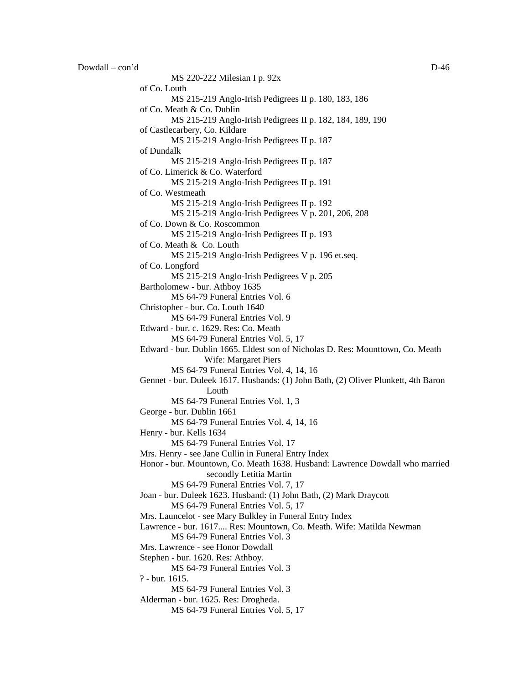MS 220-222 Milesian I p. 92x

of Co. Louth MS 215-219 Anglo-Irish Pedigrees II p. 180, 183, 186 of Co. Meath & Co. Dublin MS 215-219 Anglo-Irish Pedigrees II p. 182, 184, 189, 190 of Castlecarbery, Co. Kildare MS 215-219 Anglo-Irish Pedigrees II p. 187 of Dundalk MS 215-219 Anglo-Irish Pedigrees II p. 187 of Co. Limerick & Co. Waterford MS 215-219 Anglo-Irish Pedigrees II p. 191 of Co. Westmeath MS 215-219 Anglo-Irish Pedigrees II p. 192 MS 215-219 Anglo-Irish Pedigrees V p. 201, 206, 208 of Co. Down & Co. Roscommon MS 215-219 Anglo-Irish Pedigrees II p. 193 of Co. Meath & Co. Louth MS 215-219 Anglo-Irish Pedigrees V p. 196 et.seq. of Co. Longford MS 215-219 Anglo-Irish Pedigrees V p. 205 Bartholomew - bur. Athboy 1635 MS 64-79 Funeral Entries Vol. 6 Christopher - bur. Co. Louth 1640 MS 64-79 Funeral Entries Vol. 9 Edward - bur. c. 1629. Res: Co. Meath MS 64-79 Funeral Entries Vol. 5, 17 Edward - bur. Dublin 1665. Eldest son of Nicholas D. Res: Mounttown, Co. Meath Wife: Margaret Piers MS 64-79 Funeral Entries Vol. 4, 14, 16 Gennet - bur. Duleek 1617. Husbands: (1) John Bath, (2) Oliver Plunkett, 4th Baron Louth MS 64-79 Funeral Entries Vol. 1, 3 George - bur. Dublin 1661 MS 64-79 Funeral Entries Vol. 4, 14, 16 Henry - bur. Kells 1634 MS 64-79 Funeral Entries Vol. 17 Mrs. Henry - see Jane Cullin in Funeral Entry Index Honor - bur. Mountown, Co. Meath 1638. Husband: Lawrence Dowdall who married secondly Letitia Martin MS 64-79 Funeral Entries Vol. 7, 17 Joan - bur. Duleek 1623. Husband: (1) John Bath, (2) Mark Draycott MS 64-79 Funeral Entries Vol. 5, 17 Mrs. Launcelot - see Mary Bulkley in Funeral Entry Index Lawrence - bur. 1617.... Res: Mountown, Co. Meath. Wife: Matilda Newman MS 64-79 Funeral Entries Vol. 3 Mrs. Lawrence - see Honor Dowdall Stephen - bur. 1620. Res: Athboy. MS 64-79 Funeral Entries Vol. 3 ? - bur. 1615. MS 64-79 Funeral Entries Vol. 3 Alderman - bur. 1625. Res: Drogheda. MS 64-79 Funeral Entries Vol. 5, 17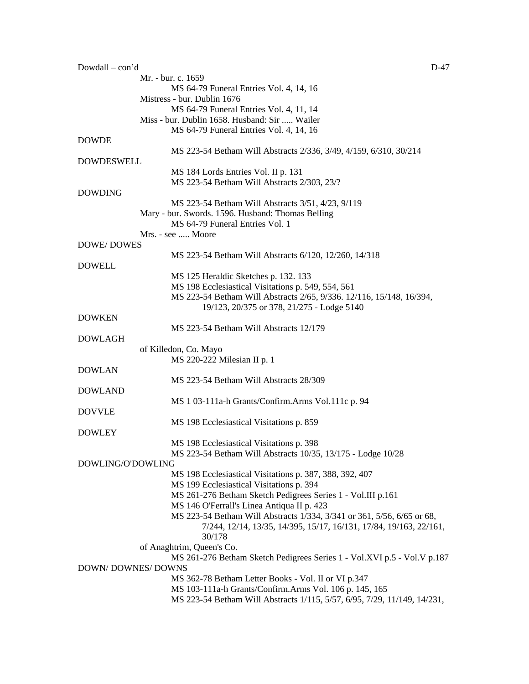| Dowdall - con'd          |                                                                                                         | D-47 |
|--------------------------|---------------------------------------------------------------------------------------------------------|------|
|                          | Mr. - bur. c. 1659                                                                                      |      |
|                          | MS 64-79 Funeral Entries Vol. 4, 14, 16                                                                 |      |
|                          | Mistress - bur. Dublin 1676                                                                             |      |
|                          | MS 64-79 Funeral Entries Vol. 4, 11, 14                                                                 |      |
|                          | Miss - bur. Dublin 1658. Husband: Sir  Wailer                                                           |      |
|                          | MS 64-79 Funeral Entries Vol. 4, 14, 16                                                                 |      |
| <b>DOWDE</b>             |                                                                                                         |      |
|                          | MS 223-54 Betham Will Abstracts 2/336, 3/49, 4/159, 6/310, 30/214                                       |      |
| <b>DOWDESWELL</b>        |                                                                                                         |      |
|                          | MS 184 Lords Entries Vol. II p. 131                                                                     |      |
|                          | MS 223-54 Betham Will Abstracts 2/303, 23/?                                                             |      |
| <b>DOWDING</b>           |                                                                                                         |      |
|                          | MS 223-54 Betham Will Abstracts 3/51, 4/23, 9/119                                                       |      |
|                          | Mary - bur. Swords. 1596. Husband: Thomas Belling                                                       |      |
|                          | MS 64-79 Funeral Entries Vol. 1                                                                         |      |
|                          | Mrs. - see  Moore                                                                                       |      |
| <b>DOWE/DOWES</b>        |                                                                                                         |      |
|                          | MS 223-54 Betham Will Abstracts 6/120, 12/260, 14/318                                                   |      |
| <b>DOWELL</b>            |                                                                                                         |      |
|                          | MS 125 Heraldic Sketches p. 132. 133                                                                    |      |
|                          | MS 198 Ecclesiastical Visitations p. 549, 554, 561                                                      |      |
|                          | MS 223-54 Betham Will Abstracts 2/65, 9/336. 12/116, 15/148, 16/394,                                    |      |
|                          | 19/123, 20/375 or 378, 21/275 - Lodge 5140                                                              |      |
| <b>DOWKEN</b>            |                                                                                                         |      |
|                          | MS 223-54 Betham Will Abstracts 12/179                                                                  |      |
| <b>DOWLAGH</b>           |                                                                                                         |      |
|                          | of Killedon, Co. Mayo                                                                                   |      |
|                          | MS 220-222 Milesian II p. 1                                                                             |      |
| <b>DOWLAN</b>            |                                                                                                         |      |
|                          | MS 223-54 Betham Will Abstracts 28/309                                                                  |      |
| <b>DOWLAND</b>           |                                                                                                         |      |
|                          | MS 1 03-111a-h Grants/Confirm.Arms Vol.111c p. 94                                                       |      |
| <b>DOVVLE</b>            |                                                                                                         |      |
|                          |                                                                                                         |      |
| <b>DOWLEY</b>            | MS 198 Ecclesiastical Visitations p. 859                                                                |      |
|                          |                                                                                                         |      |
|                          | MS 198 Ecclesiastical Visitations p. 398                                                                |      |
| DOWLING/O'DOWLING        | MS 223-54 Betham Will Abstracts 10/35, 13/175 - Lodge 10/28                                             |      |
|                          |                                                                                                         |      |
|                          | MS 198 Ecclesiastical Visitations p. 387, 388, 392, 407                                                 |      |
|                          | MS 199 Ecclesiastical Visitations p. 394<br>MS 261-276 Betham Sketch Pedigrees Series 1 - Vol.III p.161 |      |
|                          |                                                                                                         |      |
|                          | MS 146 O'Ferrall's Linea Antiqua II p. 423                                                              |      |
|                          | MS 223-54 Betham Will Abstracts 1/334, 3/341 or 361, 5/56, 6/65 or 68,                                  |      |
|                          | 7/244, 12/14, 13/35, 14/395, 15/17, 16/131, 17/84, 19/163, 22/161,                                      |      |
|                          | 30/178                                                                                                  |      |
|                          | of Anaghtrim, Queen's Co.                                                                               |      |
|                          | MS 261-276 Betham Sketch Pedigrees Series 1 - Vol.XVI p.5 - Vol.V p.187                                 |      |
| <b>DOWN/DOWNES/DOWNS</b> |                                                                                                         |      |
|                          | MS 362-78 Betham Letter Books - Vol. II or VI p.347                                                     |      |
|                          | MS 103-111a-h Grants/Confirm.Arms Vol. 106 p. 145, 165                                                  |      |
|                          | MS 223-54 Betham Will Abstracts 1/115, 5/57, 6/95, 7/29, 11/149, 14/231,                                |      |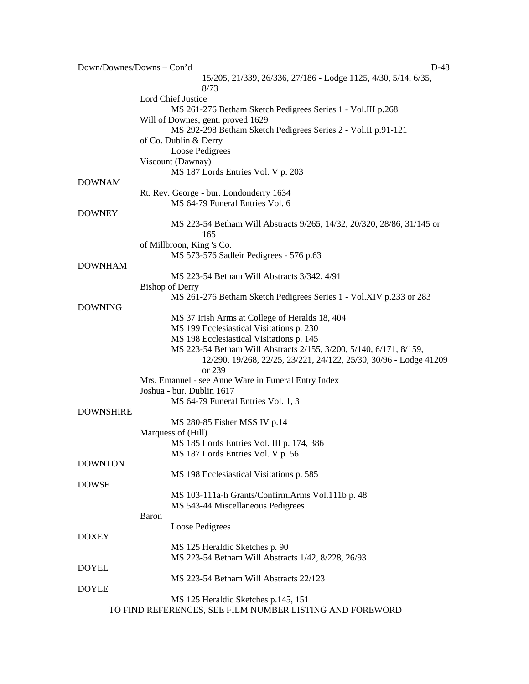| Down/Downes/Downs - Con'd | D-48                                                                                         |
|---------------------------|----------------------------------------------------------------------------------------------|
|                           | 15/205, 21/339, 26/336, 27/186 - Lodge 1125, 4/30, 5/14, 6/35,                               |
|                           | 8/73                                                                                         |
|                           | Lord Chief Justice                                                                           |
|                           | MS 261-276 Betham Sketch Pedigrees Series 1 - Vol.III p.268                                  |
|                           | Will of Downes, gent. proved 1629                                                            |
|                           | MS 292-298 Betham Sketch Pedigrees Series 2 - Vol.II p.91-121                                |
|                           | of Co. Dublin & Derry                                                                        |
|                           | Loose Pedigrees                                                                              |
|                           | Viscount (Dawnay)                                                                            |
|                           | MS 187 Lords Entries Vol. V p. 203                                                           |
| <b>DOWNAM</b>             |                                                                                              |
|                           | Rt. Rev. George - bur. Londonderry 1634                                                      |
|                           | MS 64-79 Funeral Entries Vol. 6                                                              |
| <b>DOWNEY</b>             |                                                                                              |
|                           | MS 223-54 Betham Will Abstracts 9/265, 14/32, 20/320, 28/86, 31/145 or                       |
|                           | 165                                                                                          |
|                           | of Millbroon, King 's Co.                                                                    |
| <b>DOWNHAM</b>            | MS 573-576 Sadleir Pedigrees - 576 p.63                                                      |
|                           |                                                                                              |
|                           | MS 223-54 Betham Will Abstracts 3/342, 4/91                                                  |
|                           | <b>Bishop of Derry</b><br>MS 261-276 Betham Sketch Pedigrees Series 1 - Vol.XIV p.233 or 283 |
| <b>DOWNING</b>            |                                                                                              |
|                           | MS 37 Irish Arms at College of Heralds 18, 404                                               |
|                           | MS 199 Ecclesiastical Visitations p. 230                                                     |
|                           | MS 198 Ecclesiastical Visitations p. 145                                                     |
|                           | MS 223-54 Betham Will Abstracts 2/155, 3/200, 5/140, 6/171, 8/159,                           |
|                           | 12/290, 19/268, 22/25, 23/221, 24/122, 25/30, 30/96 - Lodge 41209                            |
|                           | or 239                                                                                       |
|                           | Mrs. Emanuel - see Anne Ware in Funeral Entry Index                                          |
|                           | Joshua - bur. Dublin 1617                                                                    |
|                           | MS 64-79 Funeral Entries Vol. 1, 3                                                           |
| <b>DOWNSHIRE</b>          |                                                                                              |
|                           | MS 280-85 Fisher MSS IV p.14                                                                 |
|                           | Marquess of (Hill)                                                                           |
|                           | MS 185 Lords Entries Vol. III p. 174, 386                                                    |
|                           | MS 187 Lords Entries Vol. V p. 56                                                            |
| <b>DOWNTON</b>            |                                                                                              |
|                           | MS 198 Ecclesiastical Visitations p. 585                                                     |
| <b>DOWSE</b>              |                                                                                              |
|                           | MS 103-111a-h Grants/Confirm.Arms Vol.111b p. 48                                             |
|                           | MS 543-44 Miscellaneous Pedigrees                                                            |
|                           | Baron                                                                                        |
|                           | Loose Pedigrees                                                                              |
| <b>DOXEY</b>              |                                                                                              |
|                           | MS 125 Heraldic Sketches p. 90                                                               |
|                           | MS 223-54 Betham Will Abstracts 1/42, 8/228, 26/93                                           |
| <b>DOYEL</b>              |                                                                                              |
|                           | MS 223-54 Betham Will Abstracts 22/123                                                       |
| <b>DOYLE</b>              |                                                                                              |
|                           | MS 125 Heraldic Sketches p.145, 151                                                          |
|                           | TO FIND REFERENCES, SEE FILM NUMBER LISTING AND FOREWORD                                     |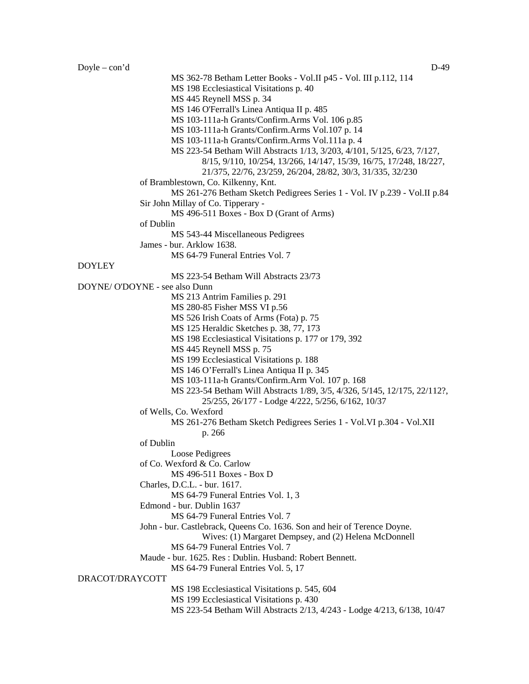| $Doyle - con'd$ | $D-49$                                                                    |
|-----------------|---------------------------------------------------------------------------|
|                 | MS 362-78 Betham Letter Books - Vol.II p45 - Vol. III p.112, 114          |
|                 | MS 198 Ecclesiastical Visitations p. 40                                   |
|                 | MS 445 Reynell MSS p. 34                                                  |
|                 | MS 146 O'Ferrall's Linea Antiqua II p. 485                                |
|                 | MS 103-111a-h Grants/Confirm.Arms Vol. 106 p.85                           |
|                 | MS 103-111a-h Grants/Confirm.Arms Vol.107 p. 14                           |
|                 | MS 103-111a-h Grants/Confirm.Arms Vol.111a p. 4                           |
|                 | MS 223-54 Betham Will Abstracts 1/13, 3/203, 4/101, 5/125, 6/23, 7/127,   |
|                 | 8/15, 9/110, 10/254, 13/266, 14/147, 15/39, 16/75, 17/248, 18/227,        |
|                 | 21/375, 22/76, 23/259, 26/204, 28/82, 30/3, 31/335, 32/230                |
|                 | of Bramblestown, Co. Kilkenny, Knt.                                       |
|                 | MS 261-276 Betham Sketch Pedigrees Series 1 - Vol. IV p.239 - Vol.II p.84 |
|                 | Sir John Millay of Co. Tipperary -                                        |
|                 | MS 496-511 Boxes - Box D (Grant of Arms)                                  |
|                 | of Dublin                                                                 |
|                 | MS 543-44 Miscellaneous Pedigrees                                         |
|                 | James - bur. Arklow 1638.                                                 |
|                 | MS 64-79 Funeral Entries Vol. 7                                           |
| <b>DOYLEY</b>   |                                                                           |
|                 | MS 223-54 Betham Will Abstracts 23/73                                     |
|                 | DOYNE/ O'DOYNE - see also Dunn                                            |
|                 | MS 213 Antrim Families p. 291                                             |
|                 | MS 280-85 Fisher MSS VI p.56                                              |
|                 | MS 526 Irish Coats of Arms (Fota) p. 75                                   |
|                 | MS 125 Heraldic Sketches p. 38, 77, 173                                   |
|                 | MS 198 Ecclesiastical Visitations p. 177 or 179, 392                      |
|                 | MS 445 Reynell MSS p. 75                                                  |
|                 | MS 199 Ecclesiastical Visitations p. 188                                  |
|                 | MS 146 O'Ferrall's Linea Antiqua II p. 345                                |
|                 | MS 103-111a-h Grants/Confirm.Arm Vol. 107 p. 168                          |
|                 | MS 223-54 Betham Will Abstracts 1/89, 3/5, 4/326, 5/145, 12/175, 22/112?, |
|                 | 25/255, 26/177 - Lodge 4/222, 5/256, 6/162, 10/37                         |

of Wells, Co. Wexford

MS 261-276 Betham Sketch Pedigrees Series 1 - Vol.VI p.304 - Vol.XII

p. 266

of Dublin

Loose Pedigrees

of Co. Wexford & Co. Carlow

MS 496-511 Boxes - Box D

Charles, D.C.L. - bur. 1617. MS 64-79 Funeral Entries Vol. 1, 3

Edmond - bur. Dublin 1637

MS 64-79 Funeral Entries Vol. 7

John - bur. Castlebrack, Queens Co. 1636. Son and heir of Terence Doyne.

Wives: (1) Margaret Dempsey, and (2) Helena McDonnell

MS 64-79 Funeral Entries Vol. 7

Maude - bur. 1625. Res : Dublin. Husband: Robert Bennett.

MS 64-79 Funeral Entries Vol. 5, 17

DRACOT/DRAYCOTT

MS 198 Ecclesiastical Visitations p. 545, 604

MS 199 Ecclesiastical Visitations p. 430

MS 223-54 Betham Will Abstracts 2/13, 4/243 - Lodge 4/213, 6/138, 10/47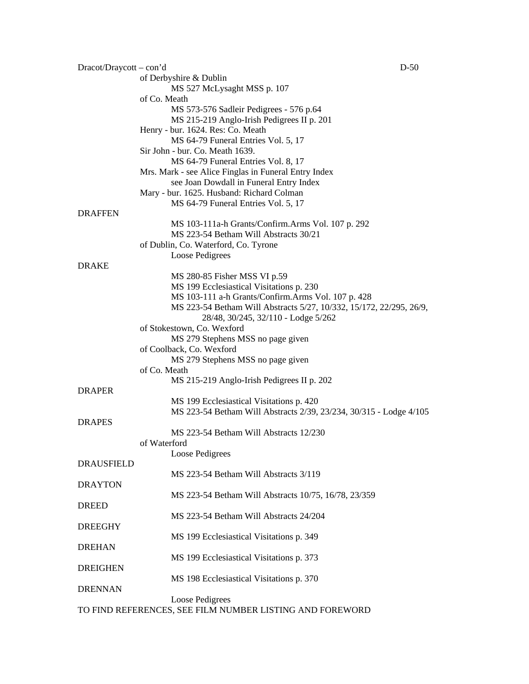| Dracot/Draycott – con'd |                                                                     | $D-50$ |
|-------------------------|---------------------------------------------------------------------|--------|
|                         | of Derbyshire & Dublin                                              |        |
|                         | MS 527 McLysaght MSS p. 107                                         |        |
|                         | of Co. Meath                                                        |        |
|                         | MS 573-576 Sadleir Pedigrees - 576 p.64                             |        |
|                         | MS 215-219 Anglo-Irish Pedigrees II p. 201                          |        |
|                         | Henry - bur. 1624. Res: Co. Meath                                   |        |
|                         | MS 64-79 Funeral Entries Vol. 5, 17                                 |        |
|                         | Sir John - bur. Co. Meath 1639.                                     |        |
|                         | MS 64-79 Funeral Entries Vol. 8, 17                                 |        |
|                         | Mrs. Mark - see Alice Finglas in Funeral Entry Index                |        |
|                         | see Joan Dowdall in Funeral Entry Index                             |        |
|                         | Mary - bur. 1625. Husband: Richard Colman                           |        |
|                         | MS 64-79 Funeral Entries Vol. 5, 17                                 |        |
| <b>DRAFFEN</b>          |                                                                     |        |
|                         | MS 103-111a-h Grants/Confirm.Arms Vol. 107 p. 292                   |        |
|                         | MS 223-54 Betham Will Abstracts 30/21                               |        |
|                         | of Dublin, Co. Waterford, Co. Tyrone                                |        |
|                         | Loose Pedigrees                                                     |        |
| <b>DRAKE</b>            |                                                                     |        |
|                         | MS 280-85 Fisher MSS VI p.59                                        |        |
|                         | MS 199 Ecclesiastical Visitations p. 230                            |        |
|                         | MS 103-111 a-h Grants/Confirm.Arms Vol. 107 p. 428                  |        |
|                         | MS 223-54 Betham Will Abstracts 5/27, 10/332, 15/172, 22/295, 26/9, |        |
|                         | 28/48, 30/245, 32/110 - Lodge 5/262                                 |        |
|                         | of Stokestown, Co. Wexford                                          |        |
|                         | MS 279 Stephens MSS no page given                                   |        |
|                         | of Coolback, Co. Wexford                                            |        |
|                         | MS 279 Stephens MSS no page given                                   |        |
|                         | of Co. Meath                                                        |        |
|                         | MS 215-219 Anglo-Irish Pedigrees II p. 202                          |        |
| <b>DRAPER</b>           |                                                                     |        |
|                         | MS 199 Ecclesiastical Visitations p. 420                            |        |
|                         | MS 223-54 Betham Will Abstracts 2/39, 23/234, 30/315 - Lodge 4/105  |        |
| <b>DRAPES</b>           |                                                                     |        |
|                         | MS 223-54 Betham Will Abstracts 12/230                              |        |
|                         | of Waterford                                                        |        |
| <b>DRAUSFIELD</b>       | Loose Pedigrees                                                     |        |
|                         | MS 223-54 Betham Will Abstracts 3/119                               |        |
| <b>DRAYTON</b>          |                                                                     |        |
|                         |                                                                     |        |
|                         | MS 223-54 Betham Will Abstracts 10/75, 16/78, 23/359                |        |
| <b>DREED</b>            | MS 223-54 Betham Will Abstracts 24/204                              |        |
| <b>DREEGHY</b>          |                                                                     |        |
|                         |                                                                     |        |
| <b>DREHAN</b>           | MS 199 Ecclesiastical Visitations p. 349                            |        |
|                         | MS 199 Ecclesiastical Visitations p. 373                            |        |
| <b>DREIGHEN</b>         |                                                                     |        |
|                         | MS 198 Ecclesiastical Visitations p. 370                            |        |
| <b>DRENNAN</b>          |                                                                     |        |
|                         | Loose Pedigrees                                                     |        |
|                         | TO FIND REFERENCES, SEE FILM NUMBER LISTING AND FOREWORD            |        |
|                         |                                                                     |        |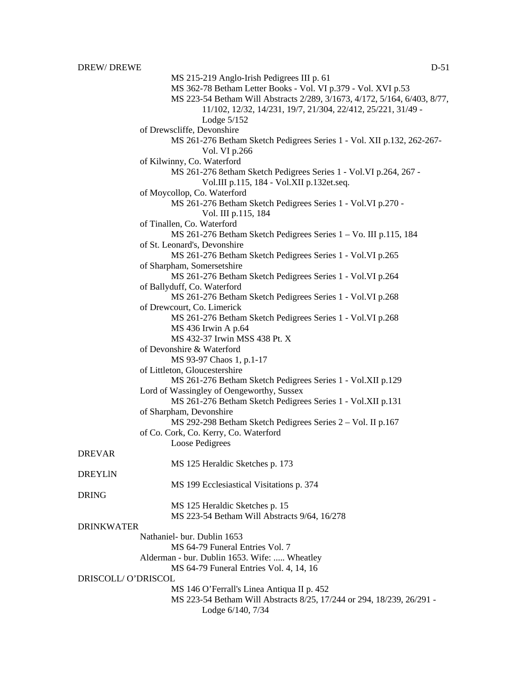MS 215-219 Anglo-Irish Pedigrees III p. 61 MS 362-78 Betham Letter Books - Vol. VI p.379 - Vol. XVI p.53 MS 223-54 Betham Will Abstracts 2/289, 3/1673, 4/172, 5/164, 6/403, 8/77, 11/102, 12/32, 14/231, 19/7, 21/304, 22/412, 25/221, 31/49 - Lodge 5/152 of Drewscliffe, Devonshire MS 261-276 Betham Sketch Pedigrees Series 1 - Vol. XII p.132, 262-267- Vol. VI p.266 of Kilwinny, Co. Waterford MS 261-276 8etham Sketch Pedigrees Series 1 - Vol.VI p.264, 267 - Vol.III p.115, 184 - Vol.XII p.132et.seq. of Moycollop, Co. Waterford MS 261-276 Betham Sketch Pedigrees Series 1 - Vol.VI p.270 - Vol. III p.115, 184 of Tinallen, Co. Waterford MS 261-276 Betham Sketch Pedigrees Series 1 – Vo. III p.115, 184 of St. Leonard's, Devonshire MS 261-276 Betham Sketch Pedigrees Series 1 - Vol.VI p.265 of Sharpham, Somersetshire MS 261-276 Betham Sketch Pedigrees Series 1 - Vol.VI p.264 of Ballyduff, Co. Waterford MS 261-276 Betham Sketch Pedigrees Series 1 - Vol.VI p.268 of Drewcourt, Co. Limerick MS 261-276 Betham Sketch Pedigrees Series 1 - Vol.VI p.268 MS 436 Irwin A p.64 MS 432-37 Irwin MSS 438 Pt. X of Devonshire & Waterford MS 93-97 Chaos 1, p.1-17 of Littleton, Gloucestershire MS 261-276 Betham Sketch Pedigrees Series 1 - Vol.XII p.129 Lord of Wassingley of Oengeworthy, Sussex MS 261-276 Betham Sketch Pedigrees Series 1 - Vol.XII p.131 of Sharpham, Devonshire MS 292-298 Betham Sketch Pedigrees Series 2 – Vol. II p.167 of Co. Cork, Co. Kerry, Co. Waterford Loose Pedigrees DREVAR MS 125 Heraldic Sketches p. 173 DREYLlN MS 199 Ecclesiastical Visitations p. 374 DRING MS 125 Heraldic Sketches p. 15 MS 223-54 Betham Will Abstracts 9/64, 16/278 DRINKWATER Nathaniel- bur. Dublin 1653 MS 64-79 Funeral Entries Vol. 7 Alderman - bur. Dublin 1653. Wife: ..... Wheatley MS 64-79 Funeral Entries Vol. 4, 14, 16 DRISCOLL/ O'DRISCOL MS 146 O'Ferrall's Linea Antiqua II p. 452 MS 223-54 Betham Will Abstracts 8/25, 17/244 or 294, 18/239, 26/291 - Lodge 6/140, 7/34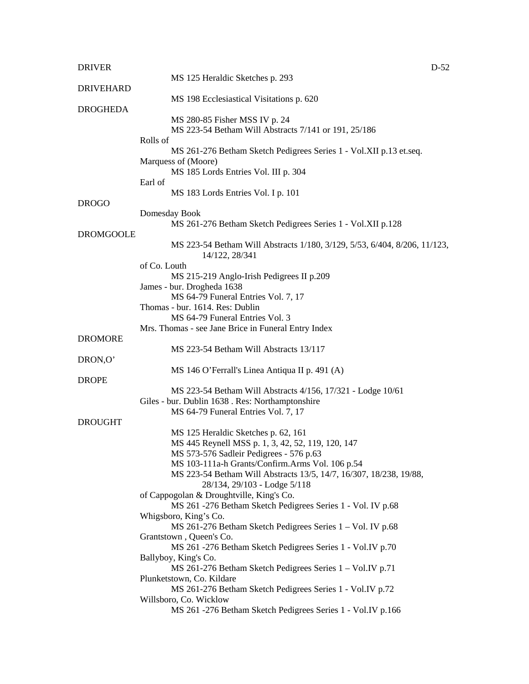| <b>DRIVER</b>    | $D-52$                                                                    |
|------------------|---------------------------------------------------------------------------|
|                  | MS 125 Heraldic Sketches p. 293                                           |
| <b>DRIVEHARD</b> |                                                                           |
|                  | MS 198 Ecclesiastical Visitations p. 620                                  |
| <b>DROGHEDA</b>  |                                                                           |
|                  | MS 280-85 Fisher MSS IV p. 24                                             |
|                  | MS 223-54 Betham Will Abstracts 7/141 or 191, 25/186                      |
|                  | Rolls of                                                                  |
|                  | MS 261-276 Betham Sketch Pedigrees Series 1 - Vol.XII p.13 et.seq.        |
|                  | Marquess of (Moore)                                                       |
|                  | MS 185 Lords Entries Vol. III p. 304                                      |
|                  | Earl of                                                                   |
|                  | MS 183 Lords Entries Vol. I p. 101                                        |
| <b>DROGO</b>     |                                                                           |
|                  | Domesday Book                                                             |
|                  | MS 261-276 Betham Sketch Pedigrees Series 1 - Vol.XII p.128               |
| <b>DROMGOOLE</b> |                                                                           |
|                  | MS 223-54 Betham Will Abstracts 1/180, 3/129, 5/53, 6/404, 8/206, 11/123, |
|                  | 14/122, 28/341                                                            |
|                  | of Co. Louth                                                              |
|                  | MS 215-219 Anglo-Irish Pedigrees II p.209                                 |
|                  | James - bur. Drogheda 1638                                                |
|                  | MS 64-79 Funeral Entries Vol. 7, 17                                       |
|                  | Thomas - bur. 1614. Res: Dublin                                           |
|                  | MS 64-79 Funeral Entries Vol. 3                                           |
|                  | Mrs. Thomas - see Jane Brice in Funeral Entry Index                       |
| <b>DROMORE</b>   |                                                                           |
|                  | MS 223-54 Betham Will Abstracts 13/117                                    |
| DRON,O'          |                                                                           |
|                  | MS 146 O'Ferrall's Linea Antiqua II p. 491 (A)                            |
| <b>DROPE</b>     |                                                                           |
|                  | MS 223-54 Betham Will Abstracts 4/156, 17/321 - Lodge 10/61               |
|                  | Giles - bur. Dublin 1638 . Res: Northamptonshire                          |
|                  | MS 64-79 Funeral Entries Vol. 7, 17                                       |
| <b>DROUGHT</b>   |                                                                           |
|                  | MS 125 Heraldic Sketches p. 62, 161                                       |
|                  | MS 445 Reynell MSS p. 1, 3, 42, 52, 119, 120, 147                         |
|                  | MS 573-576 Sadleir Pedigrees - 576 p.63                                   |
|                  | MS 103-111a-h Grants/Confirm.Arms Vol. 106 p.54                           |
|                  | MS 223-54 Betham Will Abstracts 13/5, 14/7, 16/307, 18/238, 19/88,        |
|                  | 28/134, 29/103 - Lodge 5/118                                              |
|                  | of Cappogolan & Droughtville, King's Co.                                  |
|                  | MS 261 -276 Betham Sketch Pedigrees Series 1 - Vol. IV p.68               |
|                  | Whigsboro, King's Co.                                                     |
|                  | MS 261-276 Betham Sketch Pedigrees Series 1 - Vol. IV p.68                |
|                  | Grantstown, Queen's Co.                                                   |
|                  | MS 261 -276 Betham Sketch Pedigrees Series 1 - Vol.IV p.70                |
|                  | Ballyboy, King's Co.                                                      |
|                  | MS 261-276 Betham Sketch Pedigrees Series 1 - Vol.IV p.71                 |
|                  | Plunketstown, Co. Kildare                                                 |
|                  | MS 261-276 Betham Sketch Pedigrees Series 1 - Vol.IV p.72                 |
|                  | Willsboro, Co. Wicklow                                                    |
|                  | MS 261 -276 Betham Sketch Pedigrees Series 1 - Vol.IV p.166               |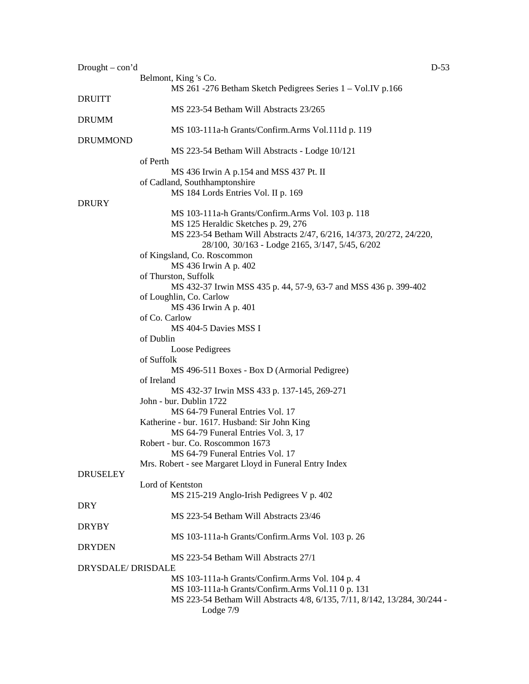| $Drought - con'd$ | Belmont, King 's Co.                                                                                                                                                                           | $D-53$ |
|-------------------|------------------------------------------------------------------------------------------------------------------------------------------------------------------------------------------------|--------|
| <b>DRUITT</b>     | MS 261 -276 Betham Sketch Pedigrees Series 1 - Vol.IV p.166                                                                                                                                    |        |
|                   | MS 223-54 Betham Will Abstracts 23/265                                                                                                                                                         |        |
| <b>DRUMM</b>      | MS 103-111a-h Grants/Confirm.Arms Vol.111d p. 119                                                                                                                                              |        |
| <b>DRUMMOND</b>   | MS 223-54 Betham Will Abstracts - Lodge 10/121                                                                                                                                                 |        |
|                   | of Perth<br>MS 436 Irwin A p.154 and MSS 437 Pt. II                                                                                                                                            |        |
|                   | of Cadland, Southhamptonshire<br>MS 184 Lords Entries Vol. II p. 169                                                                                                                           |        |
| <b>DRURY</b>      |                                                                                                                                                                                                |        |
|                   | MS 103-111a-h Grants/Confirm.Arms Vol. 103 p. 118<br>MS 125 Heraldic Sketches p. 29, 276                                                                                                       |        |
|                   | MS 223-54 Betham Will Abstracts 2/47, 6/216, 14/373, 20/272, 24/220,<br>28/100, 30/163 - Lodge 2165, 3/147, 5/45, 6/202                                                                        |        |
|                   | of Kingsland, Co. Roscommon<br>MS 436 Irwin A p. 402                                                                                                                                           |        |
|                   | of Thurston, Suffolk                                                                                                                                                                           |        |
|                   | MS 432-37 Irwin MSS 435 p. 44, 57-9, 63-7 and MSS 436 p. 399-402<br>of Loughlin, Co. Carlow                                                                                                    |        |
|                   | MS 436 Irwin A p. 401<br>of Co. Carlow                                                                                                                                                         |        |
|                   | MS 404-5 Davies MSS I<br>of Dublin                                                                                                                                                             |        |
|                   | Loose Pedigrees                                                                                                                                                                                |        |
|                   | of Suffolk<br>MS 496-511 Boxes - Box D (Armorial Pedigree)                                                                                                                                     |        |
|                   | of Ireland                                                                                                                                                                                     |        |
|                   | MS 432-37 Irwin MSS 433 p. 137-145, 269-271<br>John - bur. Dublin 1722                                                                                                                         |        |
|                   | MS 64-79 Funeral Entries Vol. 17                                                                                                                                                               |        |
|                   | Katherine - bur. 1617. Husband: Sir John King<br>MS 64-79 Funeral Entries Vol. 3, 17                                                                                                           |        |
|                   | Robert - bur. Co. Roscommon 1673<br>MS 64-79 Funeral Entries Vol. 17                                                                                                                           |        |
|                   | Mrs. Robert - see Margaret Lloyd in Funeral Entry Index                                                                                                                                        |        |
| <b>DRUSELEY</b>   | Lord of Kentston                                                                                                                                                                               |        |
| <b>DRY</b>        | MS 215-219 Anglo-Irish Pedigrees V p. 402                                                                                                                                                      |        |
|                   | MS 223-54 Betham Will Abstracts 23/46                                                                                                                                                          |        |
| <b>DRYBY</b>      | MS 103-111a-h Grants/Confirm.Arms Vol. 103 p. 26                                                                                                                                               |        |
| <b>DRYDEN</b>     | MS 223-54 Betham Will Abstracts 27/1                                                                                                                                                           |        |
| DRYSDALE/DRISDALE |                                                                                                                                                                                                |        |
|                   | MS 103-111a-h Grants/Confirm.Arms Vol. 104 p. 4<br>MS 103-111a-h Grants/Confirm.Arms Vol.11 0 p. 131<br>MS 223-54 Betham Will Abstracts 4/8, 6/135, 7/11, 8/142, 13/284, 30/244 -<br>Lodge 7/9 |        |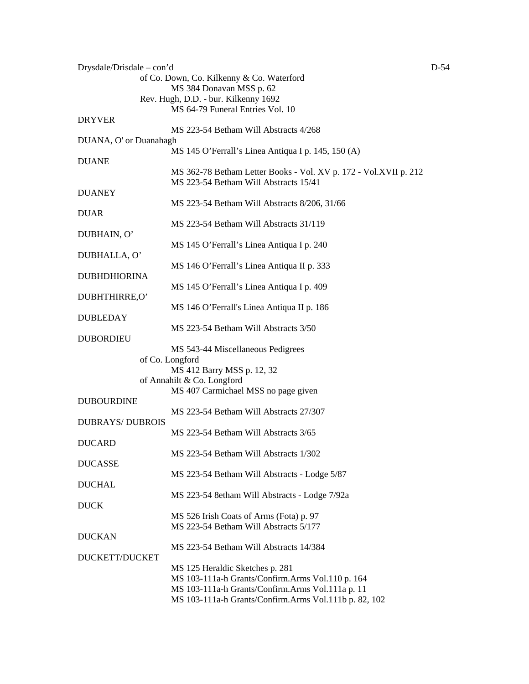| Drysdale/Drisdale – con'd |                                                                                  | $D-54$ |
|---------------------------|----------------------------------------------------------------------------------|--------|
|                           | of Co. Down, Co. Kilkenny & Co. Waterford                                        |        |
|                           | MS 384 Donavan MSS p. 62                                                         |        |
|                           | Rev. Hugh, D.D. - bur. Kilkenny 1692                                             |        |
|                           | MS 64-79 Funeral Entries Vol. 10                                                 |        |
| <b>DRYVER</b>             |                                                                                  |        |
|                           | MS 223-54 Betham Will Abstracts 4/268                                            |        |
| DUANA, O' or Duanahagh    |                                                                                  |        |
|                           | MS 145 O'Ferrall's Linea Antiqua I p. 145, 150 (A)                               |        |
| <b>DUANE</b>              |                                                                                  |        |
|                           | MS 362-78 Betham Letter Books - Vol. XV p. 172 - Vol. XVII p. 212                |        |
|                           | MS 223-54 Betham Will Abstracts 15/41                                            |        |
| <b>DUANEY</b>             |                                                                                  |        |
|                           | MS 223-54 Betham Will Abstracts 8/206, 31/66                                     |        |
| <b>DUAR</b>               | MS 223-54 Betham Will Abstracts 31/119                                           |        |
|                           |                                                                                  |        |
| DUBHAIN, O'               | MS 145 O'Ferrall's Linea Antiqua I p. 240                                        |        |
| DUBHALLA, O'              |                                                                                  |        |
|                           | MS 146 O'Ferrall's Linea Antiqua II p. 333                                       |        |
| <b>DUBHDHIORINA</b>       |                                                                                  |        |
|                           | MS 145 O'Ferrall's Linea Antiqua I p. 409                                        |        |
| DUBHTHIRRE,O'             |                                                                                  |        |
|                           | MS 146 O'Ferrall's Linea Antiqua II p. 186                                       |        |
| <b>DUBLEDAY</b>           |                                                                                  |        |
|                           | MS 223-54 Betham Will Abstracts 3/50                                             |        |
| <b>DUBORDIEU</b>          |                                                                                  |        |
|                           | MS 543-44 Miscellaneous Pedigrees                                                |        |
|                           | of Co. Longford                                                                  |        |
|                           |                                                                                  |        |
|                           | MS 412 Barry MSS p. 12, 32<br>of Annahilt & Co. Longford                         |        |
|                           | MS 407 Carmichael MSS no page given                                              |        |
| <b>DUBOURDINE</b>         |                                                                                  |        |
|                           | MS 223-54 Betham Will Abstracts 27/307                                           |        |
| <b>DUBRAYS/ DUBROIS</b>   |                                                                                  |        |
|                           | MS 223-54 Betham Will Abstracts 3/65                                             |        |
| <b>DUCARD</b>             |                                                                                  |        |
|                           | MS 223-54 Betham Will Abstracts 1/302                                            |        |
|                           |                                                                                  |        |
| <b>DUCASSE</b>            |                                                                                  |        |
|                           | MS 223-54 Betham Will Abstracts - Lodge 5/87                                     |        |
| <b>DUCHAL</b>             |                                                                                  |        |
|                           | MS 223-54 8etham Will Abstracts - Lodge 7/92a                                    |        |
| <b>DUCK</b>               |                                                                                  |        |
|                           | MS 526 Irish Coats of Arms (Fota) p. 97<br>MS 223-54 Betham Will Abstracts 5/177 |        |
|                           |                                                                                  |        |
| <b>DUCKAN</b>             | MS 223-54 Betham Will Abstracts 14/384                                           |        |
|                           |                                                                                  |        |
| DUCKETT/DUCKET            |                                                                                  |        |
|                           | MS 125 Heraldic Sketches p. 281                                                  |        |
|                           | MS 103-111a-h Grants/Confirm.Arms Vol.110 p. 164                                 |        |
|                           | MS 103-111a-h Grants/Confirm.Arms Vol.111a p. 11                                 |        |
|                           | MS 103-111a-h Grants/Confirm.Arms Vol.111b p. 82, 102                            |        |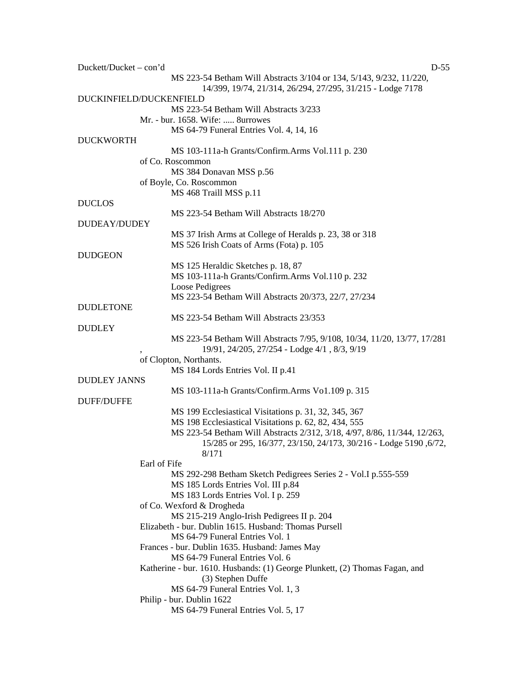| Duckett/Ducket – con'd | $D-55$                                                                      |
|------------------------|-----------------------------------------------------------------------------|
|                        | MS 223-54 Betham Will Abstracts 3/104 or 134, 5/143, 9/232, 11/220,         |
|                        | 14/399, 19/74, 21/314, 26/294, 27/295, 31/215 - Lodge 7178                  |
|                        | DUCKINFIELD/DUCKENFIELD                                                     |
|                        | MS 223-54 Betham Will Abstracts 3/233                                       |
|                        | Mr. - bur. 1658. Wife:  8urrowes                                            |
|                        | MS 64-79 Funeral Entries Vol. 4, 14, 16                                     |
| <b>DUCKWORTH</b>       |                                                                             |
|                        | MS 103-111a-h Grants/Confirm.Arms Vol.111 p. 230                            |
|                        | of Co. Roscommon                                                            |
|                        | MS 384 Donavan MSS p.56                                                     |
|                        | of Boyle, Co. Roscommon                                                     |
|                        | MS 468 Traill MSS p.11                                                      |
| <b>DUCLOS</b>          |                                                                             |
|                        | MS 223-54 Betham Will Abstracts 18/270                                      |
| DUDEAY/DUDEY           |                                                                             |
|                        | MS 37 Irish Arms at College of Heralds p. 23, 38 or 318                     |
|                        | MS 526 Irish Coats of Arms (Fota) p. 105                                    |
| <b>DUDGEON</b>         |                                                                             |
|                        | MS 125 Heraldic Sketches p. 18, 87                                          |
|                        | MS 103-111a-h Grants/Confirm.Arms Vol.110 p. 232                            |
|                        | Loose Pedigrees                                                             |
|                        | MS 223-54 Betham Will Abstracts 20/373, 22/7, 27/234                        |
| <b>DUDLETONE</b>       |                                                                             |
|                        | MS 223-54 Betham Will Abstracts 23/353                                      |
| <b>DUDLEY</b>          |                                                                             |
|                        | MS 223-54 Betham Will Abstracts 7/95, 9/108, 10/34, 11/20, 13/77, 17/281    |
|                        | 19/91, 24/205, 27/254 - Lodge 4/1, 8/3, 9/19                                |
|                        | of Clopton, Northants.                                                      |
|                        | MS 184 Lords Entries Vol. II p.41                                           |
| <b>DUDLEY JANNS</b>    |                                                                             |
|                        | MS 103-111a-h Grants/Confirm.Arms Vo1.109 p. 315                            |
| <b>DUFF/DUFFE</b>      |                                                                             |
|                        | MS 199 Ecclesiastical Visitations p. 31, 32, 345, 367                       |
|                        | MS 198 Ecclesiastical Visitations p. 62, 82, 434, 555                       |
|                        | MS 223-54 Betham Will Abstracts 2/312, 3/18, 4/97, 8/86, 11/344, 12/263,    |
|                        | 15/285 or 295, 16/377, 23/150, 24/173, 30/216 - Lodge 5190, 6/72,           |
|                        | 8/171                                                                       |
|                        | Earl of Fife                                                                |
|                        | MS 292-298 Betham Sketch Pedigrees Series 2 - Vol.I p.555-559               |
|                        | MS 185 Lords Entries Vol. III p.84                                          |
|                        | MS 183 Lords Entries Vol. I p. 259                                          |
|                        | of Co. Wexford & Drogheda                                                   |
|                        | MS 215-219 Anglo-Irish Pedigrees II p. 204                                  |
|                        | Elizabeth - bur. Dublin 1615. Husband: Thomas Pursell                       |
|                        | MS 64-79 Funeral Entries Vol. 1                                             |
|                        | Frances - bur. Dublin 1635. Husband: James May                              |
|                        | MS 64-79 Funeral Entries Vol. 6                                             |
|                        | Katherine - bur. 1610. Husbands: (1) George Plunkett, (2) Thomas Fagan, and |
|                        | (3) Stephen Duffe                                                           |
|                        | MS 64-79 Funeral Entries Vol. 1, 3                                          |
|                        | Philip - bur. Dublin 1622                                                   |
|                        | MS 64-79 Funeral Entries Vol. 5, 17                                         |
|                        |                                                                             |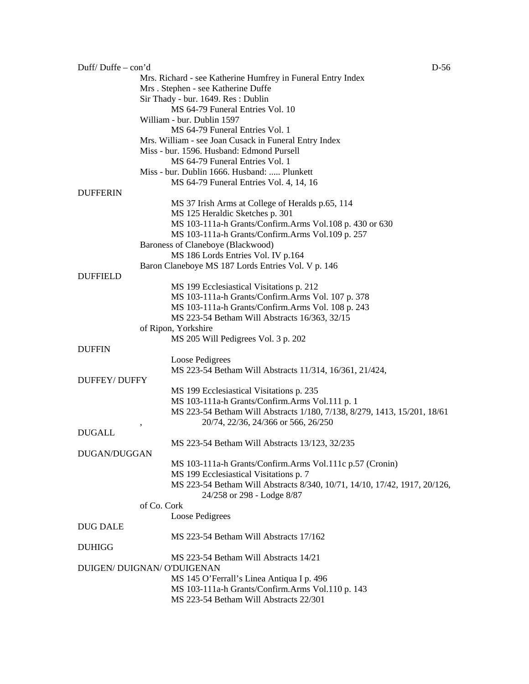| Duff/Duffe – con'd  |                                                                           | D-56 |
|---------------------|---------------------------------------------------------------------------|------|
|                     | Mrs. Richard - see Katherine Humfrey in Funeral Entry Index               |      |
|                     | Mrs. Stephen - see Katherine Duffe                                        |      |
|                     | Sir Thady - bur. 1649. Res: Dublin                                        |      |
|                     | MS 64-79 Funeral Entries Vol. 10                                          |      |
|                     | William - bur. Dublin 1597                                                |      |
|                     | MS 64-79 Funeral Entries Vol. 1                                           |      |
|                     |                                                                           |      |
|                     | Mrs. William - see Joan Cusack in Funeral Entry Index                     |      |
|                     | Miss - bur. 1596. Husband: Edmond Pursell                                 |      |
|                     | MS 64-79 Funeral Entries Vol. 1                                           |      |
|                     | Miss - bur. Dublin 1666. Husband:  Plunkett                               |      |
|                     | MS 64-79 Funeral Entries Vol. 4, 14, 16                                   |      |
| <b>DUFFERIN</b>     |                                                                           |      |
|                     | MS 37 Irish Arms at College of Heralds p.65, 114                          |      |
|                     | MS 125 Heraldic Sketches p. 301                                           |      |
|                     | MS 103-111a-h Grants/Confirm.Arms Vol.108 p. 430 or 630                   |      |
|                     | MS 103-111a-h Grants/Confirm.Arms Vol.109 p. 257                          |      |
|                     | Baroness of Claneboye (Blackwood)                                         |      |
|                     | MS 186 Lords Entries Vol. IV p.164                                        |      |
|                     | Baron Claneboye MS 187 Lords Entries Vol. V p. 146                        |      |
| <b>DUFFIELD</b>     |                                                                           |      |
|                     |                                                                           |      |
|                     | MS 199 Ecclesiastical Visitations p. 212                                  |      |
|                     | MS 103-111a-h Grants/Confirm.Arms Vol. 107 p. 378                         |      |
|                     | MS 103-111a-h Grants/Confirm.Arms Vol. 108 p. 243                         |      |
|                     | MS 223-54 Betham Will Abstracts 16/363, 32/15                             |      |
|                     | of Ripon, Yorkshire                                                       |      |
|                     | MS 205 Will Pedigrees Vol. 3 p. 202                                       |      |
| <b>DUFFIN</b>       |                                                                           |      |
|                     | Loose Pedigrees                                                           |      |
|                     | MS 223-54 Betham Will Abstracts 11/314, 16/361, 21/424,                   |      |
| <b>DUFFEY/DUFFY</b> |                                                                           |      |
|                     | MS 199 Ecclesiastical Visitations p. 235                                  |      |
|                     | MS 103-111a-h Grants/Confirm.Arms Vol.111 p. 1                            |      |
|                     | MS 223-54 Betham Will Abstracts 1/180, 7/138, 8/279, 1413, 15/201, 18/61  |      |
|                     | 20/74, 22/36, 24/366 or 566, 26/250                                       |      |
| <b>DUGALL</b>       |                                                                           |      |
|                     |                                                                           |      |
|                     | MS 223-54 Betham Will Abstracts 13/123, 32/235                            |      |
| DUGAN/DUGGAN        |                                                                           |      |
|                     | MS 103-111a-h Grants/Confirm.Arms Vol.111c p.57 (Cronin)                  |      |
|                     | MS 199 Ecclesiastical Visitations p. 7                                    |      |
|                     | MS 223-54 Betham Will Abstracts 8/340, 10/71, 14/10, 17/42, 1917, 20/126, |      |
|                     | 24/258 or 298 - Lodge 8/87                                                |      |
|                     | of Co. Cork                                                               |      |
|                     | Loose Pedigrees                                                           |      |
| <b>DUG DALE</b>     |                                                                           |      |
|                     | MS 223-54 Betham Will Abstracts 17/162                                    |      |
| <b>DUHIGG</b>       |                                                                           |      |
|                     | MS 223-54 Betham Will Abstracts 14/21                                     |      |
|                     | DUIGEN/ DUIGNAN/ O'DUIGENAN                                               |      |
|                     | MS 145 O'Ferrall's Linea Antiqua I p. 496                                 |      |
|                     |                                                                           |      |
|                     | MS 103-111a-h Grants/Confirm.Arms Vol.110 p. 143                          |      |
|                     | MS 223-54 Betham Will Abstracts 22/301                                    |      |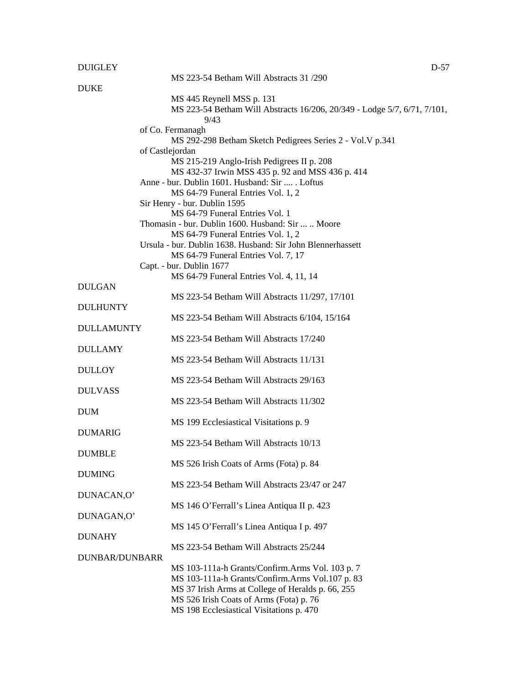## DUIGLEY D-57

|                | MS 223-54 Betham Will Abstracts 31/290                                           |
|----------------|----------------------------------------------------------------------------------|
| <b>DUKE</b>    |                                                                                  |
|                |                                                                                  |
|                | MS 445 Reynell MSS p. 131                                                        |
|                | MS 223-54 Betham Will Abstracts 16/206, 20/349 - Lodge 5/7, 6/71, 7/101,<br>9/43 |
|                | of Co. Fermanagh                                                                 |
|                | MS 292-298 Betham Sketch Pedigrees Series 2 - Vol. V p.341                       |
|                | of Castlejordan                                                                  |
|                | MS 215-219 Anglo-Irish Pedigrees II p. 208                                       |
|                | MS 432-37 Irwin MSS 435 p. 92 and MSS 436 p. 414                                 |
|                | Anne - bur. Dublin 1601. Husband: Sir  . Loftus                                  |
|                | MS 64-79 Funeral Entries Vol. 1, 2                                               |
|                | Sir Henry - bur. Dublin 1595                                                     |
|                | MS 64-79 Funeral Entries Vol. 1                                                  |
|                | Thomasin - bur. Dublin 1600. Husband: Sir   Moore                                |
|                | MS 64-79 Funeral Entries Vol. 1, 2                                               |
|                | Ursula - bur. Dublin 1638. Husband: Sir John Blennerhassett                      |
|                | MS 64-79 Funeral Entries Vol. 7, 17                                              |
|                | Capt. - bur. Dublin 1677                                                         |
|                | MS 64-79 Funeral Entries Vol. 4, 11, 14                                          |
| DULGAN         |                                                                                  |
|                | MS 223-54 Betham Will Abstracts 11/297, 17/101                                   |
| DULHUNTY       |                                                                                  |
|                | MS 223-54 Betham Will Abstracts 6/104, 15/164                                    |
| DULLAMUNTY     |                                                                                  |
|                | MS 223-54 Betham Will Abstracts 17/240                                           |
| <b>DULLAMY</b> |                                                                                  |
|                | MS 223-54 Betham Will Abstracts 11/131                                           |
| <b>DULLOY</b>  |                                                                                  |
|                | MS 223-54 Betham Will Abstracts 29/163                                           |
| DULVASS        |                                                                                  |
|                | MS 223-54 Betham Will Abstracts 11/302                                           |
| <b>DUM</b>     |                                                                                  |
|                | MS 199 Ecclesiastical Visitations p. 9                                           |
| <b>DUMARIG</b> | MS 223-54 Betham Will Abstracts 10/13                                            |
|                |                                                                                  |
| <b>DUMBLE</b>  |                                                                                  |
| <b>DUMING</b>  | MS 526 Irish Coats of Arms (Fota) p. 84                                          |
|                | MS 223-54 Betham Will Abstracts 23/47 or 247                                     |
| DUNACAN,O'     |                                                                                  |
|                | MS 146 O'Ferrall's Linea Antiqua II p. 423                                       |
| DUNAGAN,O'     |                                                                                  |
|                | MS 145 O'Ferrall's Linea Antiqua I p. 497                                        |
| DUNAHY         |                                                                                  |
|                | MS 223-54 Betham Will Abstracts 25/244                                           |
| DUNBAR/DUNBARR |                                                                                  |
|                | MS 103-111a-h Grants/Confirm.Arms Vol. 103 p. 7                                  |
|                | MS 103-111a-h Grants/Confirm.Arms Vol.107 p. 83                                  |
|                | MS 37 Irish Arms at College of Heralds p. 66, 255                                |
|                | MS 526 Irish Coats of Arms (Fota) p. 76                                          |
|                | MS 198 Ecclesiastical Visitations p. 470                                         |
|                |                                                                                  |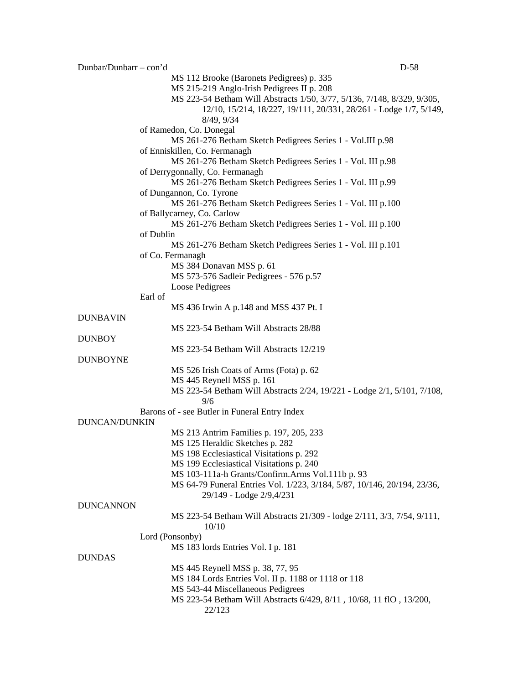Dunbar/Dunbarr – con'd D-58 MS 112 Brooke (Baronets Pedigrees) p. 335 MS 215-219 Anglo-Irish Pedigrees II p. 208 MS 223-54 Betham Will Abstracts 1/50, 3/77, 5/136, 7/148, 8/329, 9/305, 12/10, 15/214, 18/227, 19/111, 20/331, 28/261 - Lodge 1/7, 5/149, 8/49, 9/34 of Ramedon, Co. Donegal MS 261-276 Betham Sketch Pedigrees Series 1 - Vol.III p.98 of Enniskillen, Co. Fermanagh MS 261-276 Betham Sketch Pedigrees Series 1 - Vol. III p.98 of Derrygonnally, Co. Fermanagh MS 261-276 Betham Sketch Pedigrees Series 1 - Vol. III p.99 of Dungannon, Co. Tyrone MS 261-276 Betham Sketch Pedigrees Series 1 - Vol. III p.100 of Ballycarney, Co. Carlow MS 261-276 Betham Sketch Pedigrees Series 1 - Vol. III p.100 of Dublin MS 261-276 Betham Sketch Pedigrees Series 1 - Vol. III p.101 of Co. Fermanagh MS 384 Donavan MSS p. 61 MS 573-576 Sadleir Pedigrees - 576 p.57 Loose Pedigrees Earl of MS 436 Irwin A p.148 and MSS 437 Pt. I **DUNBAVIN** MS 223-54 Betham Will Abstracts 28/88 DUNBOY MS 223-54 Betham Will Abstracts 12/219 DUNBOYNE MS 526 Irish Coats of Arms (Fota) p. 62 MS 445 Reynell MSS p. 161 MS 223-54 Betham Will Abstracts 2/24, 19/221 - Lodge 2/1, 5/101, 7/108, 9/6 Barons of - see Butler in Funeral Entry Index DUNCAN/DUNKIN MS 213 Antrim Families p. 197, 205, 233 MS 125 Heraldic Sketches p. 282 MS 198 Ecclesiastical Visitations p. 292 MS 199 Ecclesiastical Visitations p. 240 MS 103-111a-h Grants/Confirm.Arms Vol.111b p. 93 MS 64-79 Funeral Entries Vol. 1/223, 3/184, 5/87, 10/146, 20/194, 23/36, 29/149 - Lodge 2/9,4/231 DUNCANNON MS 223-54 Betham Will Abstracts 21/309 - lodge 2/111, 3/3, 7/54, 9/111, 10/10 Lord (Ponsonby) MS 183 lords Entries Vol. I p. 181 DUNDAS MS 445 Reynell MSS p. 38, 77, 95 MS 184 Lords Entries Vol. II p. 1188 or 1118 or 118 MS 543-44 Miscellaneous Pedigrees MS 223-54 Betham Will Abstracts 6/429, 8/11 , 10/68, 11 flO , 13/200, 22/123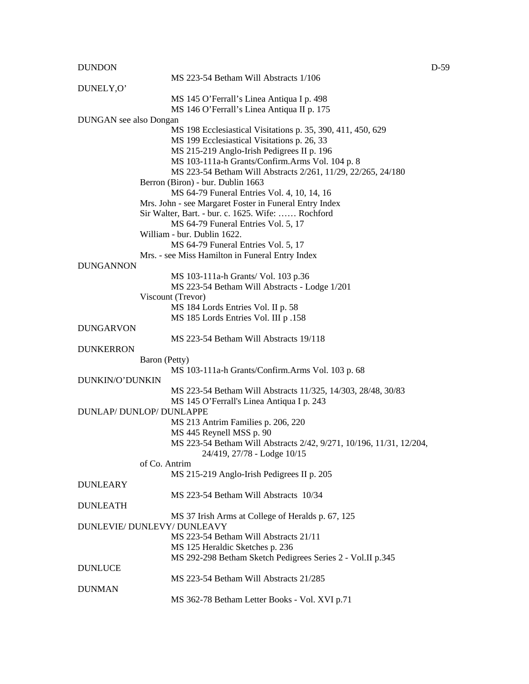## DUNDON D-59

|                               | MS 223-54 Betham Will Abstracts 1/106                               |
|-------------------------------|---------------------------------------------------------------------|
| DUNELY, O'                    |                                                                     |
|                               | MS 145 O'Ferrall's Linea Antiqua I p. 498                           |
|                               | MS 146 O'Ferrall's Linea Antiqua II p. 175                          |
| <b>DUNGAN</b> see also Dongan |                                                                     |
|                               | MS 198 Ecclesiastical Visitations p. 35, 390, 411, 450, 629         |
|                               | MS 199 Ecclesiastical Visitations p. 26, 33                         |
|                               | MS 215-219 Anglo-Irish Pedigrees II p. 196                          |
|                               | MS 103-111a-h Grants/Confirm.Arms Vol. 104 p. 8                     |
|                               | MS 223-54 Betham Will Abstracts 2/261, 11/29, 22/265, 24/180        |
|                               | Berron (Biron) - bur. Dublin 1663                                   |
|                               | MS 64-79 Funeral Entries Vol. 4, 10, 14, 16                         |
|                               |                                                                     |
|                               | Mrs. John - see Margaret Foster in Funeral Entry Index              |
|                               | Sir Walter, Bart. - bur. c. 1625. Wife:  Rochford                   |
|                               | MS 64-79 Funeral Entries Vol. 5, 17                                 |
|                               | William - bur. Dublin 1622.                                         |
|                               | MS 64-79 Funeral Entries Vol. 5, 17                                 |
|                               | Mrs. - see Miss Hamilton in Funeral Entry Index                     |
| <b>DUNGANNON</b>              |                                                                     |
|                               | MS 103-111a-h Grants/ Vol. 103 p.36                                 |
|                               | MS 223-54 Betham Will Abstracts - Lodge 1/201                       |
|                               | Viscount (Trevor)                                                   |
|                               | MS 184 Lords Entries Vol. II p. 58                                  |
|                               | MS 185 Lords Entries Vol. III p.158                                 |
| <b>DUNGARVON</b>              |                                                                     |
|                               | MS 223-54 Betham Will Abstracts 19/118                              |
| <b>DUNKERRON</b>              |                                                                     |
|                               | Baron (Petty)                                                       |
|                               | MS 103-111a-h Grants/Confirm.Arms Vol. 103 p. 68                    |
| DUNKIN/O'DUNKIN               |                                                                     |
|                               | MS 223-54 Betham Will Abstracts 11/325, 14/303, 28/48, 30/83        |
|                               | MS 145 O'Ferrall's Linea Antiqua I p. 243                           |
|                               | DUNLAP/DUNLOP/DUNLAPPE                                              |
|                               | MS 213 Antrim Families p. 206, 220                                  |
|                               | MS 445 Reynell MSS p. 90                                            |
|                               | MS 223-54 Betham Will Abstracts 2/42, 9/271, 10/196, 11/31, 12/204, |
|                               | 24/419, 27/78 - Lodge 10/15                                         |
|                               | of Co. Antrim                                                       |
|                               | MS 215-219 Anglo-Irish Pedigrees II p. 205                          |
| <b>DUNLEARY</b>               |                                                                     |
|                               | MS 223-54 Betham Will Abstracts 10/34                               |
| <b>DUNLEATH</b>               |                                                                     |
|                               | MS 37 Irish Arms at College of Heralds p. 67, 125                   |
|                               | DUNLEVIE/ DUNLEVY/ DUNLEAVY                                         |
|                               | MS 223-54 Betham Will Abstracts 21/11                               |
|                               |                                                                     |
|                               | MS 125 Heraldic Sketches p. 236                                     |
|                               | MS 292-298 Betham Sketch Pedigrees Series 2 - Vol.II p.345          |
| <b>DUNLUCE</b>                |                                                                     |
|                               | MS 223-54 Betham Will Abstracts 21/285                              |
| <b>DUNMAN</b>                 |                                                                     |
|                               | MS 362-78 Betham Letter Books - Vol. XVI p.71                       |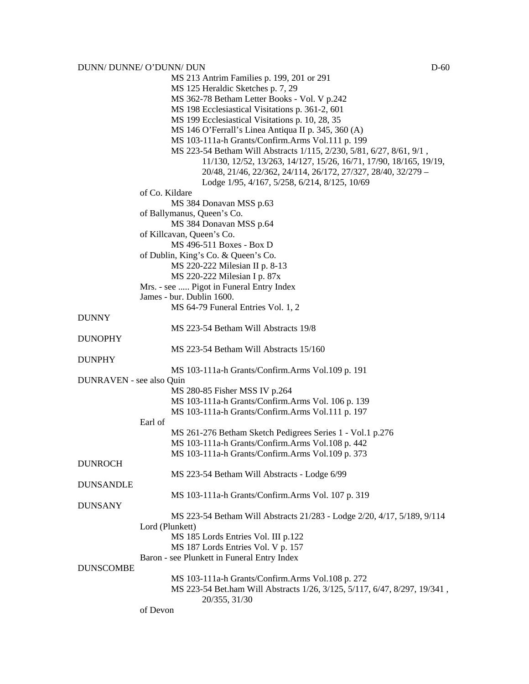MS 213 Antrim Families p. 199, 201 or 291 MS 125 Heraldic Sketches p. 7, 29 MS 362-78 Betham Letter Books - Vol. V p.242 MS 198 Ecclesiastical Visitations p. 361-2, 601 MS 199 Ecclesiastical Visitations p. 10, 28, 35 MS 146 O'Ferrall's Linea Antiqua II p. 345, 360 (A) MS 103-111a-h Grants/Confirm.Arms Vol.111 p. 199 MS 223-54 Betham Will Abstracts 1/115, 2/230, 5/81, 6/27, 8/61, 9/1 , 11/130, 12/52, 13/263, 14/127, 15/26, 16/71, 17/90, 18/165, 19/19, 20/48, 21/46, 22/362, 24/114, 26/172, 27/327, 28/40, 32/279 – Lodge 1/95, 4/167, 5/258, 6/214, 8/125, 10/69 of Co. Kildare MS 384 Donavan MSS p.63 of Ballymanus, Queen's Co. MS 384 Donavan MSS p.64 of Killcavan, Queen's Co. MS 496-511 Boxes - Box D of Dublin, King's Co. & Queen's Co. MS 220-222 Milesian II p. 8-13 MS 220-222 Milesian I p. 87x Mrs. - see ..... Pigot in Funeral Entry Index James - bur. Dublin 1600. MS 64-79 Funeral Entries Vol. 1, 2 **DUNNY** MS 223-54 Betham Will Abstracts 19/8 DUNOPHY MS 223-54 Betham Will Abstracts 15/160 DUNPHY MS 103-111a-h Grants/Confirm.Arms Vol.109 p. 191 DUNRAVEN - see also Quin MS 280-85 Fisher MSS IV p.264 MS 103-111a-h Grants/Confirm.Arms Vol. 106 p. 139 MS 103-111a-h Grants/Confirm.Arms Vol.111 p. 197 Earl of MS 261-276 Betham Sketch Pedigrees Series 1 - Vol.1 p.276 MS 103-111a-h Grants/Confirm.Arms Vol.108 p. 442 MS 103-111a-h Grants/Confirm.Arms Vol.109 p. 373 DUNROCH MS 223-54 Betham Will Abstracts - Lodge 6/99 DUNSANDLE MS 103-111a-h Grants/Confirm.Arms Vol. 107 p. 319 DUNSANY MS 223-54 Betham Will Abstracts 21/283 - Lodge 2/20, 4/17, 5/189, 9/114 Lord (Plunkett) MS 185 Lords Entries Vol. III p.122 MS 187 Lords Entries Vol. V p. 157 Baron - see Plunkett in Funeral Entry Index DUNSCOMBE MS 103-111a-h Grants/Confirm.Arms Vol.108 p. 272 MS 223-54 Bet.ham Will Abstracts 1/26, 3/125, 5/117, 6/47, 8/297, 19/341 , 20/355, 31/30

of Devon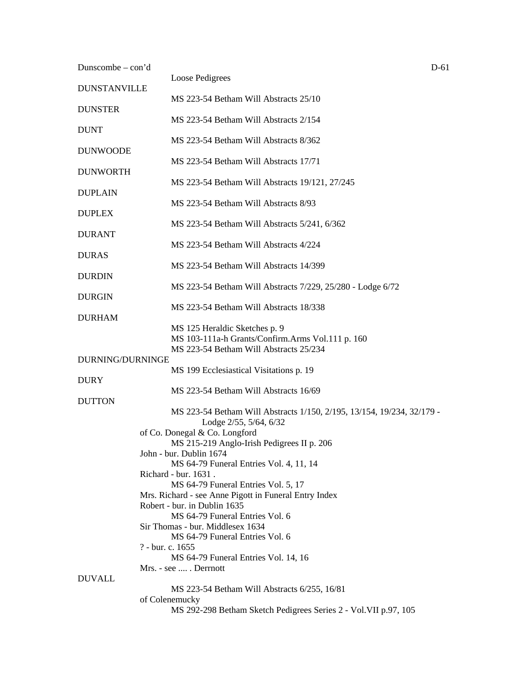| Dunscombe $-$ con'd |                                                                                                  | D-61 |
|---------------------|--------------------------------------------------------------------------------------------------|------|
| <b>DUNSTANVILLE</b> | Loose Pedigrees                                                                                  |      |
| <b>DUNSTER</b>      | MS 223-54 Betham Will Abstracts 25/10                                                            |      |
| <b>DUNT</b>         | MS 223-54 Betham Will Abstracts 2/154                                                            |      |
| <b>DUNWOODE</b>     | MS 223-54 Betham Will Abstracts 8/362                                                            |      |
|                     | MS 223-54 Betham Will Abstracts 17/71                                                            |      |
| <b>DUNWORTH</b>     | MS 223-54 Betham Will Abstracts 19/121, 27/245                                                   |      |
| <b>DUPLAIN</b>      | MS 223-54 Betham Will Abstracts 8/93                                                             |      |
| <b>DUPLEX</b>       | MS 223-54 Betham Will Abstracts 5/241, 6/362                                                     |      |
| <b>DURANT</b>       | MS 223-54 Betham Will Abstracts 4/224                                                            |      |
| <b>DURAS</b>        | MS 223-54 Betham Will Abstracts 14/399                                                           |      |
| <b>DURDIN</b>       |                                                                                                  |      |
| <b>DURGIN</b>       | MS 223-54 Betham Will Abstracts 7/229, 25/280 - Lodge 6/72                                       |      |
| <b>DURHAM</b>       | MS 223-54 Betham Will Abstracts 18/338                                                           |      |
|                     | MS 125 Heraldic Sketches p. 9<br>MS 103-111a-h Grants/Confirm.Arms Vol.111 p. 160                |      |
| DURNING/DURNINGE    | MS 223-54 Betham Will Abstracts 25/234                                                           |      |
|                     | MS 199 Ecclesiastical Visitations p. 19                                                          |      |
| <b>DURY</b>         | MS 223-54 Betham Will Abstracts 16/69                                                            |      |
| <b>DUTTON</b>       | MS 223-54 Betham Will Abstracts 1/150, 2/195, 13/154, 19/234, 32/179 -<br>Lodge 2/55, 5/64, 6/32 |      |
|                     | of Co. Donegal & Co. Longford                                                                    |      |
|                     | MS 215-219 Anglo-Irish Pedigrees II p. 206<br>John - bur. Dublin 1674                            |      |
|                     | MS 64-79 Funeral Entries Vol. 4, 11, 14                                                          |      |
|                     | Richard - bur. 1631.<br>MS 64-79 Funeral Entries Vol. 5, 17                                      |      |
|                     | Mrs. Richard - see Anne Pigott in Funeral Entry Index                                            |      |
|                     | Robert - bur. in Dublin 1635                                                                     |      |
|                     | MS 64-79 Funeral Entries Vol. 6<br>Sir Thomas - bur. Middlesex 1634                              |      |
|                     | MS 64-79 Funeral Entries Vol. 6                                                                  |      |
|                     | ? - bur. c. 1655                                                                                 |      |
|                     | MS 64-79 Funeral Entries Vol. 14, 16                                                             |      |
| <b>DUVALL</b>       | Mrs. - see  . Derrnott                                                                           |      |
|                     | MS 223-54 Betham Will Abstracts 6/255, 16/81                                                     |      |
|                     | of Colenemucky                                                                                   |      |
|                     | MS 292-298 Betham Sketch Pedigrees Series 2 - Vol. VII p.97, 105                                 |      |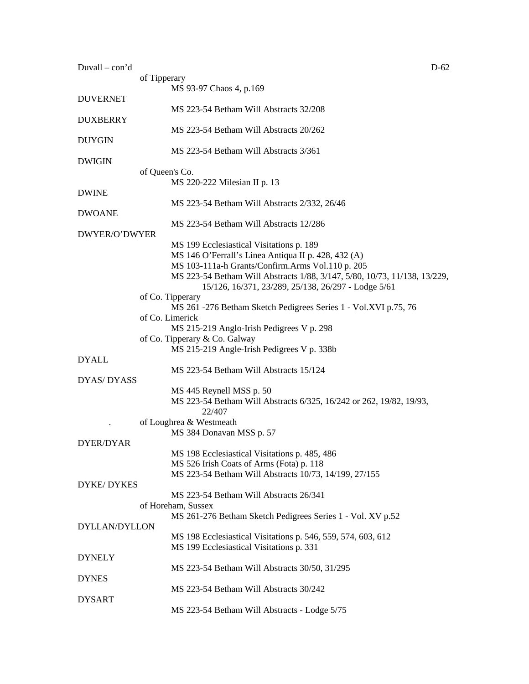| $Duvall - con'd$     | $D-62$                                                                    |
|----------------------|---------------------------------------------------------------------------|
|                      | of Tipperary                                                              |
|                      | MS 93-97 Chaos 4, p.169                                                   |
| <b>DUVERNET</b>      |                                                                           |
|                      | MS 223-54 Betham Will Abstracts 32/208                                    |
| <b>DUXBERRY</b>      |                                                                           |
|                      | MS 223-54 Betham Will Abstracts 20/262                                    |
| <b>DUYGIN</b>        |                                                                           |
|                      | MS 223-54 Betham Will Abstracts 3/361                                     |
| <b>DWIGIN</b>        |                                                                           |
|                      | of Queen's Co.                                                            |
|                      | MS 220-222 Milesian II p. 13                                              |
| <b>DWINE</b>         |                                                                           |
|                      | MS 223-54 Betham Will Abstracts 2/332, 26/46                              |
| <b>DWOANE</b>        |                                                                           |
|                      | MS 223-54 Betham Will Abstracts 12/286                                    |
| DWYER/O'DWYER        |                                                                           |
|                      | MS 199 Ecclesiastical Visitations p. 189                                  |
|                      | MS 146 O'Ferrall's Linea Antiqua II p. 428, 432 (A)                       |
|                      | MS 103-111a-h Grants/Confirm.Arms Vol.110 p. 205                          |
|                      | MS 223-54 Betham Will Abstracts 1/88, 3/147, 5/80, 10/73, 11/138, 13/229, |
|                      | 15/126, 16/371, 23/289, 25/138, 26/297 - Lodge 5/61                       |
|                      | of Co. Tipperary                                                          |
|                      | MS 261 -276 Betham Sketch Pedigrees Series 1 - Vol.XVI p.75, 76           |
|                      | of Co. Limerick                                                           |
|                      | MS 215-219 Anglo-Irish Pedigrees V p. 298                                 |
|                      | of Co. Tipperary & Co. Galway                                             |
|                      | MS 215-219 Angle-Irish Pedigrees V p. 338b                                |
| <b>DYALL</b>         |                                                                           |
|                      | MS 223-54 Betham Will Abstracts 15/124                                    |
| DYAS/DYASS           |                                                                           |
|                      | MS 445 Reynell MSS p. 50                                                  |
|                      | MS 223-54 Betham Will Abstracts 6/325, 16/242 or 262, 19/82, 19/93,       |
|                      | 22/407                                                                    |
|                      | of Loughrea & Westmeath                                                   |
|                      | MS 384 Donavan MSS p. 57                                                  |
| DYER/DYAR            |                                                                           |
|                      | MS 198 Ecclesiastical Visitations p. 485, 486                             |
|                      | MS 526 Irish Coats of Arms (Fota) p. 118                                  |
|                      | MS 223-54 Betham Will Abstracts 10/73, 14/199, 27/155                     |
| <b>DYKE/DYKES</b>    |                                                                           |
|                      | MS 223-54 Betham Will Abstracts 26/341                                    |
|                      | of Horeham, Sussex                                                        |
|                      | MS 261-276 Betham Sketch Pedigrees Series 1 - Vol. XV p.52                |
| <b>DYLLAN/DYLLON</b> |                                                                           |
|                      | MS 198 Ecclesiastical Visitations p. 546, 559, 574, 603, 612              |
|                      | MS 199 Ecclesiastical Visitations p. 331                                  |
| <b>DYNELY</b>        |                                                                           |
|                      | MS 223-54 Betham Will Abstracts 30/50, 31/295                             |
| <b>DYNES</b>         |                                                                           |
|                      | MS 223-54 Betham Will Abstracts 30/242                                    |
| <b>DYSART</b>        |                                                                           |
|                      | MS 223-54 Betham Will Abstracts - Lodge 5/75                              |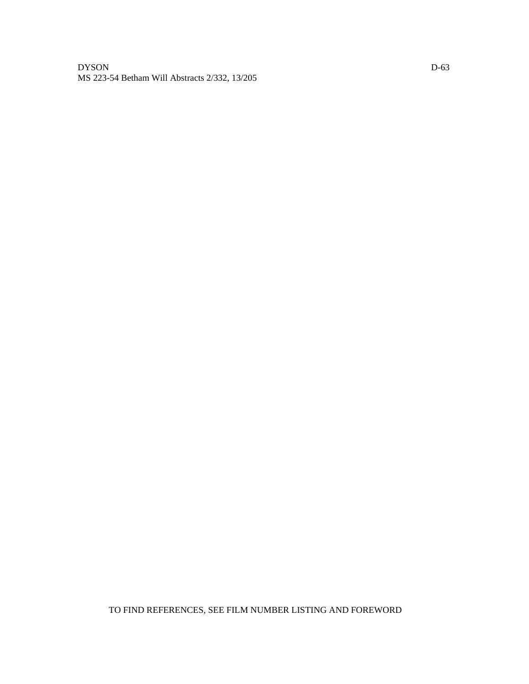## DYSON DOS MS 223-54 Betham Will Abstracts 2/332, 13/205

TO FIND REFERENCES, SEE FILM NUMBER LISTING AND FOREWORD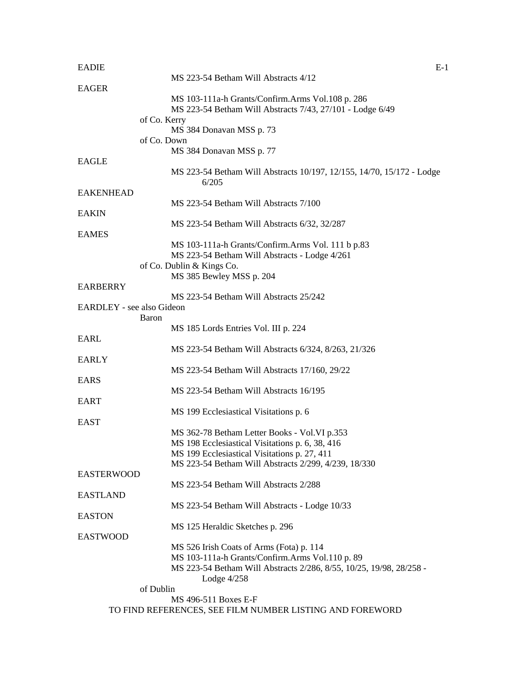| <b>EADIE</b>              |                                                                                                      | $E-1$ |
|---------------------------|------------------------------------------------------------------------------------------------------|-------|
|                           | MS 223-54 Betham Will Abstracts 4/12                                                                 |       |
| <b>EAGER</b>              |                                                                                                      |       |
|                           | MS 103-111a-h Grants/Confirm.Arms Vol.108 p. 286                                                     |       |
|                           | MS 223-54 Betham Will Abstracts 7/43, 27/101 - Lodge 6/49                                            |       |
|                           | of Co. Kerry                                                                                         |       |
|                           | MS 384 Donavan MSS p. 73<br>of Co. Down                                                              |       |
|                           | MS 384 Donavan MSS p. 77                                                                             |       |
| <b>EAGLE</b>              |                                                                                                      |       |
|                           | MS 223-54 Betham Will Abstracts 10/197, 12/155, 14/70, 15/172 - Lodge                                |       |
|                           | 6/205                                                                                                |       |
| <b>EAKENHEAD</b>          |                                                                                                      |       |
|                           | MS 223-54 Betham Will Abstracts 7/100                                                                |       |
| <b>EAKIN</b>              |                                                                                                      |       |
|                           | MS 223-54 Betham Will Abstracts 6/32, 32/287                                                         |       |
| <b>EAMES</b>              |                                                                                                      |       |
|                           | MS 103-111a-h Grants/Confirm.Arms Vol. 111 b p.83                                                    |       |
|                           | MS 223-54 Betham Will Abstracts - Lodge 4/261                                                        |       |
|                           | of Co. Dublin & Kings Co.                                                                            |       |
|                           | MS 385 Bewley MSS p. 204                                                                             |       |
| <b>EARBERRY</b>           |                                                                                                      |       |
| EARDLEY - see also Gideon | MS 223-54 Betham Will Abstracts 25/242                                                               |       |
| Baron                     |                                                                                                      |       |
|                           | MS 185 Lords Entries Vol. III p. 224                                                                 |       |
| EARL                      |                                                                                                      |       |
|                           | MS 223-54 Betham Will Abstracts 6/324, 8/263, 21/326                                                 |       |
| <b>EARLY</b>              |                                                                                                      |       |
|                           | MS 223-54 Betham Will Abstracts 17/160, 29/22                                                        |       |
| <b>EARS</b>               |                                                                                                      |       |
|                           | MS 223-54 Betham Will Abstracts 16/195                                                               |       |
| EART                      |                                                                                                      |       |
|                           | MS 199 Ecclesiastical Visitations p. 6                                                               |       |
| <b>EAST</b>               |                                                                                                      |       |
|                           | MS 362-78 Betham Letter Books - Vol. VI p.353                                                        |       |
|                           | MS 198 Ecclesiastical Visitations p. 6, 38, 416                                                      |       |
|                           | MS 199 Ecclesiastical Visitations p. 27, 411<br>MS 223-54 Betham Will Abstracts 2/299, 4/239, 18/330 |       |
| <b>EASTERWOOD</b>         |                                                                                                      |       |
|                           | MS 223-54 Betham Will Abstracts 2/288                                                                |       |
| <b>EASTLAND</b>           |                                                                                                      |       |
|                           | MS 223-54 Betham Will Abstracts - Lodge 10/33                                                        |       |
| <b>EASTON</b>             |                                                                                                      |       |
|                           | MS 125 Heraldic Sketches p. 296                                                                      |       |
| <b>EASTWOOD</b>           |                                                                                                      |       |
|                           | MS 526 Irish Coats of Arms (Fota) p. 114                                                             |       |
|                           | MS 103-111a-h Grants/Confirm.Arms Vol.110 p. 89                                                      |       |
|                           | MS 223-54 Betham Will Abstracts 2/286, 8/55, 10/25, 19/98, 28/258 -                                  |       |
|                           | Lodge $4/258$                                                                                        |       |
|                           | of Dublin                                                                                            |       |
|                           | MS 496-511 Boxes E-F                                                                                 |       |
|                           | TO FIND REFERENCES, SEE FILM NUMBER LISTING AND FOREWORD                                             |       |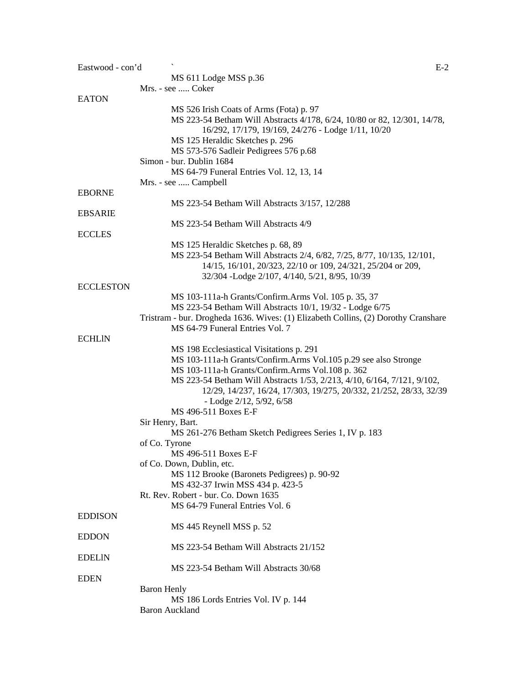| Eastwood - con'd | $E-2$                                                                              |
|------------------|------------------------------------------------------------------------------------|
|                  | MS 611 Lodge MSS p.36                                                              |
|                  | Mrs. - see  Coker                                                                  |
| <b>EATON</b>     |                                                                                    |
|                  | MS 526 Irish Coats of Arms (Fota) p. 97                                            |
|                  | MS 223-54 Betham Will Abstracts 4/178, 6/24, 10/80 or 82, 12/301, 14/78,           |
|                  | 16/292, 17/179, 19/169, 24/276 - Lodge 1/11, 10/20                                 |
|                  | MS 125 Heraldic Sketches p. 296                                                    |
|                  | MS 573-576 Sadleir Pedigrees 576 p.68                                              |
|                  | Simon - bur. Dublin 1684                                                           |
|                  | MS 64-79 Funeral Entries Vol. 12, 13, 14                                           |
|                  | Mrs. - see  Campbell                                                               |
| <b>EBORNE</b>    |                                                                                    |
|                  |                                                                                    |
|                  | MS 223-54 Betham Will Abstracts 3/157, 12/288                                      |
| <b>EBSARIE</b>   |                                                                                    |
|                  | MS 223-54 Betham Will Abstracts 4/9                                                |
| <b>ECCLES</b>    |                                                                                    |
|                  | MS 125 Heraldic Sketches p. 68, 89                                                 |
|                  | MS 223-54 Betham Will Abstracts 2/4, 6/82, 7/25, 8/77, 10/135, 12/101,             |
|                  | 14/15, 16/101, 20/323, 22/10 or 109, 24/321, 25/204 or 209,                        |
|                  | 32/304 -Lodge 2/107, 4/140, 5/21, 8/95, 10/39                                      |
| <b>ECCLESTON</b> |                                                                                    |
|                  | MS 103-111a-h Grants/Confirm.Arms Vol. 105 p. 35, 37                               |
|                  | MS 223-54 Betham Will Abstracts 10/1, 19/32 - Lodge 6/75                           |
|                  | Tristram - bur. Drogheda 1636. Wives: (1) Elizabeth Collins, (2) Dorothy Cranshare |
|                  | MS 64-79 Funeral Entries Vol. 7                                                    |
| <b>ECHLIN</b>    |                                                                                    |
|                  | MS 198 Ecclesiastical Visitations p. 291                                           |
|                  | MS 103-111a-h Grants/Confirm.Arms Vol.105 p.29 see also Stronge                    |
|                  | MS 103-111a-h Grants/Confirm.Arms Vol.108 p. 362                                   |
|                  | MS 223-54 Betham Will Abstracts 1/53, 2/213, 4/10, 6/164, 7/121, 9/102,            |
|                  | 12/29, 14/237, 16/24, 17/303, 19/275, 20/332, 21/252, 28/33, 32/39                 |
|                  | - Lodge $2/12$ , $5/92$ , $6/58$                                                   |
|                  | MS 496-511 Boxes E-F                                                               |
|                  | Sir Henry, Bart.                                                                   |
|                  | MS 261-276 Betham Sketch Pedigrees Series 1, IV p. 183                             |
|                  | of Co. Tyrone                                                                      |
|                  | MS 496-511 Boxes E-F                                                               |
|                  |                                                                                    |
|                  | of Co. Down, Dublin, etc.                                                          |
|                  | MS 112 Brooke (Baronets Pedigrees) p. 90-92                                        |
|                  | MS 432-37 Irwin MSS 434 p. 423-5                                                   |
|                  | Rt. Rev. Robert - bur. Co. Down 1635                                               |
|                  | MS 64-79 Funeral Entries Vol. 6                                                    |
| <b>EDDISON</b>   |                                                                                    |
|                  | MS 445 Reynell MSS p. 52                                                           |
| <b>EDDON</b>     |                                                                                    |
|                  | MS 223-54 Betham Will Abstracts 21/152                                             |
| <b>EDELIN</b>    |                                                                                    |
|                  | MS 223-54 Betham Will Abstracts 30/68                                              |
| <b>EDEN</b>      |                                                                                    |
|                  | <b>Baron Henly</b>                                                                 |
|                  | MS 186 Lords Entries Vol. IV p. 144                                                |
|                  | <b>Baron Auckland</b>                                                              |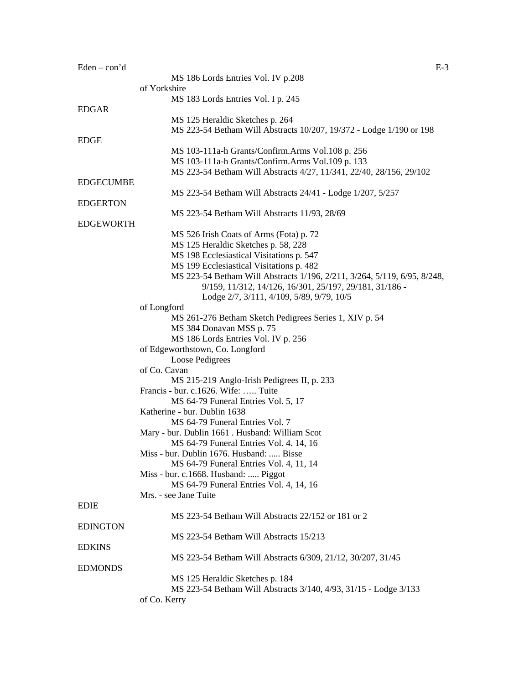| $Eden - con'd$   |                                                                          | $E-3$ |
|------------------|--------------------------------------------------------------------------|-------|
|                  | MS 186 Lords Entries Vol. IV p.208                                       |       |
|                  | of Yorkshire                                                             |       |
|                  | MS 183 Lords Entries Vol. I p. 245                                       |       |
| <b>EDGAR</b>     |                                                                          |       |
|                  | MS 125 Heraldic Sketches p. 264                                          |       |
|                  | MS 223-54 Betham Will Abstracts 10/207, 19/372 - Lodge 1/190 or 198      |       |
| <b>EDGE</b>      |                                                                          |       |
|                  | MS 103-111a-h Grants/Confirm.Arms Vol.108 p. 256                         |       |
|                  | MS 103-111a-h Grants/Confirm.Arms Vol.109 p. 133                         |       |
|                  | MS 223-54 Betham Will Abstracts 4/27, 11/341, 22/40, 28/156, 29/102      |       |
| <b>EDGECUMBE</b> |                                                                          |       |
|                  | MS 223-54 Betham Will Abstracts 24/41 - Lodge 1/207, 5/257               |       |
| <b>EDGERTON</b>  |                                                                          |       |
|                  | MS 223-54 Betham Will Abstracts 11/93, 28/69                             |       |
| <b>EDGEWORTH</b> |                                                                          |       |
|                  | MS 526 Irish Coats of Arms (Fota) p. 72                                  |       |
|                  | MS 125 Heraldic Sketches p. 58, 228                                      |       |
|                  | MS 198 Ecclesiastical Visitations p. 547                                 |       |
|                  | MS 199 Ecclesiastical Visitations p. 482                                 |       |
|                  | MS 223-54 Betham Will Abstracts 1/196, 2/211, 3/264, 5/119, 6/95, 8/248, |       |
|                  | 9/159, 11/312, 14/126, 16/301, 25/197, 29/181, 31/186 -                  |       |
|                  | Lodge 2/7, 3/111, 4/109, 5/89, 9/79, 10/5                                |       |
|                  | of Longford                                                              |       |
|                  | MS 261-276 Betham Sketch Pedigrees Series 1, XIV p. 54                   |       |
|                  | MS 384 Donavan MSS p. 75                                                 |       |
|                  | MS 186 Lords Entries Vol. IV p. 256                                      |       |
|                  | of Edgeworthstown, Co. Longford                                          |       |
|                  | Loose Pedigrees                                                          |       |
|                  | of Co. Cavan<br>MS 215-219 Anglo-Irish Pedigrees II, p. 233              |       |
|                  | Francis - bur. c.1626. Wife:  Tuite                                      |       |
|                  | MS 64-79 Funeral Entries Vol. 5, 17                                      |       |
|                  | Katherine - bur. Dublin 1638                                             |       |
|                  | MS 64-79 Funeral Entries Vol. 7                                          |       |
|                  | Mary - bur. Dublin 1661 . Husband: William Scot                          |       |
|                  | MS 64-79 Funeral Entries Vol. 4. 14, 16                                  |       |
|                  | Miss - bur. Dublin 1676. Husband:  Bisse                                 |       |
|                  | MS 64-79 Funeral Entries Vol. 4, 11, 14                                  |       |
|                  | Miss - bur. c.1668. Husband:  Piggot                                     |       |
|                  | MS 64-79 Funeral Entries Vol. 4, 14, 16                                  |       |
|                  | Mrs. - see Jane Tuite                                                    |       |
| <b>EDIE</b>      |                                                                          |       |
|                  | MS 223-54 Betham Will Abstracts 22/152 or 181 or 2                       |       |
| <b>EDINGTON</b>  |                                                                          |       |
|                  | MS 223-54 Betham Will Abstracts 15/213                                   |       |
| <b>EDKINS</b>    |                                                                          |       |
|                  | MS 223-54 Betham Will Abstracts 6/309, 21/12, 30/207, 31/45              |       |
| <b>EDMONDS</b>   |                                                                          |       |
|                  | MS 125 Heraldic Sketches p. 184                                          |       |
|                  | MS 223-54 Betham Will Abstracts 3/140, 4/93, 31/15 - Lodge 3/133         |       |
|                  | of Co. Kerry                                                             |       |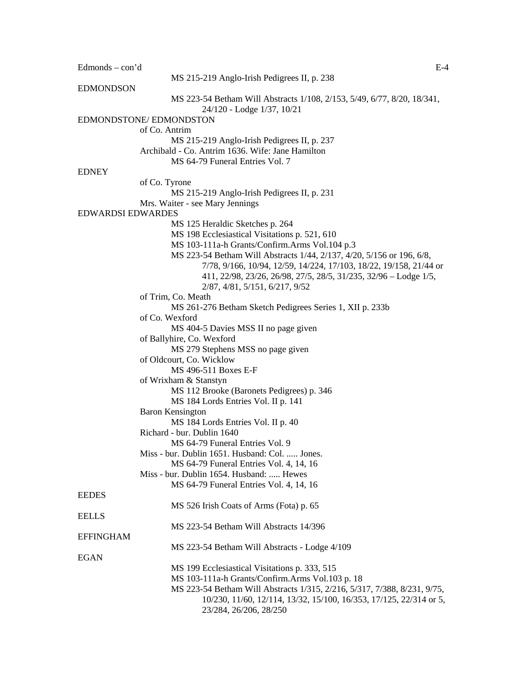$Edmonds - con'd$  E-4 MS 215-219 Anglo-Irish Pedigrees II, p. 238 EDMONDSON MS 223-54 Betham Will Abstracts 1/108, 2/153, 5/49, 6/77, 8/20, 18/341, 24/120 - Lodge 1/37, 10/21 EDMONDSTONE/ EDMONDSTON of Co. Antrim MS 215-219 Anglo-Irish Pedigrees II, p. 237 Archibald - Co. Antrim 1636. Wife: Jane Hamilton MS 64-79 Funeral Entries Vol. 7 **EDNEY** of Co. Tyrone MS 215-219 Anglo-Irish Pedigrees II, p. 231 Mrs. Waiter - see Mary Jennings EDWARDSI EDWARDES MS 125 Heraldic Sketches p. 264 MS 198 Ecclesiastical Visitations p. 521, 610 MS 103-111a-h Grants/Confirm.Arms Vol.104 p.3 MS 223-54 Betham Will Abstracts 1/44, 2/137, 4/20, 5/156 or 196, 6/8, 7/78, 9/166, 10/94, 12/59, 14/224, 17/103, 18/22, 19/158, 21/44 or 411, 22/98, 23/26, 26/98, 27/5, 28/5, 31/235, 32/96 – Lodge 1/5, 2/87, 4/81, 5/151, 6/217, 9/52 of Trim, Co. Meath MS 261-276 Betham Sketch Pedigrees Series 1, XII p. 233b of Co. Wexford MS 404-5 Davies MSS II no page given of Ballyhire, Co. Wexford MS 279 Stephens MSS no page given of Oldcourt, Co. Wicklow MS 496-511 Boxes E-F of Wrixham & Stanstyn MS 112 Brooke (Baronets Pedigrees) p. 346 MS 184 Lords Entries Vol. II p. 141 Baron Kensington MS 184 Lords Entries Vol. II p. 40 Richard - bur. Dublin 1640 MS 64-79 Funeral Entries Vol. 9 Miss - bur. Dublin 1651. Husband: Col. ..... Jones. MS 64-79 Funeral Entries Vol. 4, 14, 16 Miss - bur. Dublin 1654. Husband: ..... Hewes MS 64-79 Funeral Entries Vol. 4, 14, 16 EEDES MS 526 Irish Coats of Arms (Fota) p. 65 EELLS MS 223-54 Betham Will Abstracts 14/396 EFFINGHAM MS 223-54 Betham Will Abstracts - Lodge 4/109 EGAN MS 199 Ecclesiastical Visitations p. 333, 515 MS 103-111a-h Grants/Confirm.Arms Vol.103 p. 18 MS 223-54 Betham Will Abstracts 1/315, 2/216, 5/317, 7/388, 8/231, 9/75, 10/230, 11/60, 12/114, 13/32, 15/100, 16/353, 17/125, 22/314 or 5, 23/284, 26/206, 28/250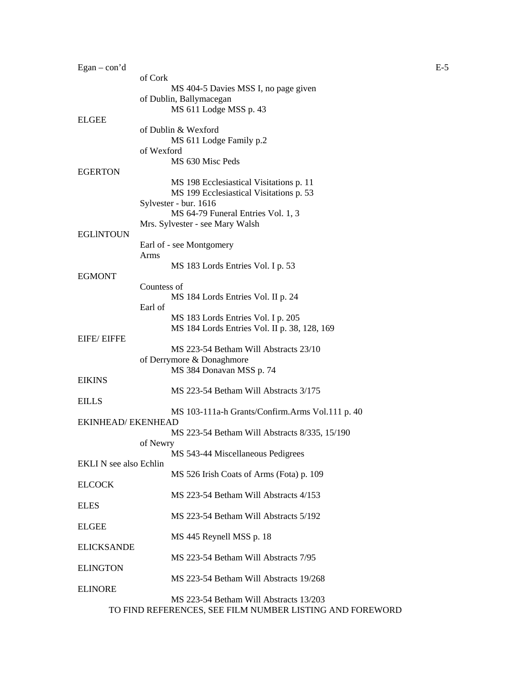| $Egan - con' d$               |                                                                                    | $E-5$ |
|-------------------------------|------------------------------------------------------------------------------------|-------|
|                               | of Cork<br>MS 404-5 Davies MSS I, no page given                                    |       |
|                               | of Dublin, Ballymacegan                                                            |       |
| <b>ELGEE</b>                  | MS 611 Lodge MSS p. 43                                                             |       |
|                               | of Dublin & Wexford                                                                |       |
|                               | MS 611 Lodge Family p.2                                                            |       |
|                               | of Wexford<br>MS 630 Misc Peds                                                     |       |
| EGERTON                       |                                                                                    |       |
|                               | MS 198 Ecclesiastical Visitations p. 11<br>MS 199 Ecclesiastical Visitations p. 53 |       |
|                               | Sylvester - bur. 1616                                                              |       |
|                               | MS 64-79 Funeral Entries Vol. 1, 3                                                 |       |
| EGLINTOUN                     | Mrs. Sylvester - see Mary Walsh                                                    |       |
|                               | Earl of - see Montgomery                                                           |       |
|                               | Arms<br>MS 183 Lords Entries Vol. I p. 53                                          |       |
| <b>EGMONT</b>                 |                                                                                    |       |
|                               | Countess of                                                                        |       |
|                               | MS 184 Lords Entries Vol. II p. 24<br>Earl of                                      |       |
|                               | MS 183 Lords Entries Vol. I p. 205                                                 |       |
| EIFE/ EIFFE                   | MS 184 Lords Entries Vol. II p. 38, 128, 169                                       |       |
|                               | MS 223-54 Betham Will Abstracts 23/10                                              |       |
|                               | of Derrymore & Donaghmore                                                          |       |
| <b>EIKINS</b>                 | MS 384 Donavan MSS p. 74                                                           |       |
|                               | MS 223-54 Betham Will Abstracts 3/175                                              |       |
| <b>EILLS</b>                  |                                                                                    |       |
| EKINHEAD/ EKENHEAD            | MS 103-111a-h Grants/Confirm.Arms Vol.111 p. 40                                    |       |
|                               | MS 223-54 Betham Will Abstracts 8/335, 15/190                                      |       |
|                               | of Newry<br>MS 543-44 Miscellaneous Pedigrees                                      |       |
| <b>EKLI N</b> see also Echlin |                                                                                    |       |
| <b>ELCOCK</b>                 | MS 526 Irish Coats of Arms (Fota) p. 109                                           |       |
|                               | MS 223-54 Betham Will Abstracts 4/153                                              |       |
| ELES                          |                                                                                    |       |
| <b>ELGEE</b>                  | MS 223-54 Betham Will Abstracts 5/192                                              |       |
|                               | MS 445 Reynell MSS p. 18                                                           |       |
| <b>ELICKSANDE</b>             | MS 223-54 Betham Will Abstracts 7/95                                               |       |
| <b>ELINGTON</b>               |                                                                                    |       |
|                               | MS 223-54 Betham Will Abstracts 19/268                                             |       |
| <b>ELINORE</b>                | MS 223-54 Betham Will Abstracts 13/203                                             |       |
|                               | TO FIND REFERENCES, SEE FILM NUMBER LISTING AND FOREWORD                           |       |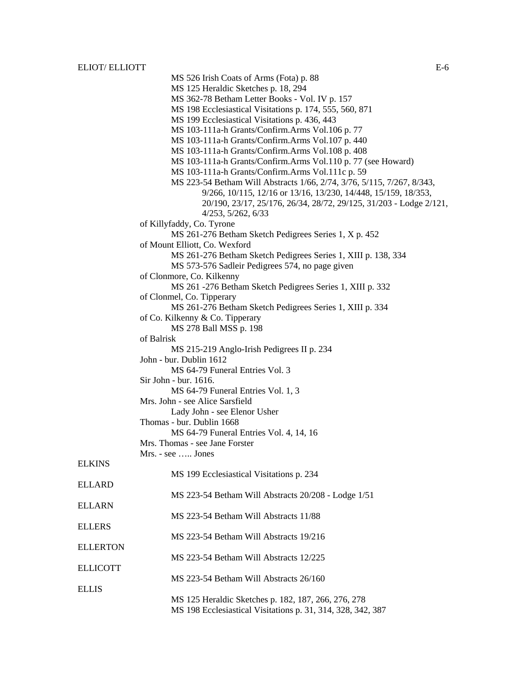|                 | MS 526 Irish Coats of Arms (Fota) p. 88                                                  |  |
|-----------------|------------------------------------------------------------------------------------------|--|
|                 | MS 125 Heraldic Sketches p. 18, 294                                                      |  |
|                 | MS 362-78 Betham Letter Books - Vol. IV p. 157                                           |  |
|                 | MS 198 Ecclesiastical Visitations p. 174, 555, 560, 871                                  |  |
|                 | MS 199 Ecclesiastical Visitations p. 436, 443                                            |  |
|                 | MS 103-111a-h Grants/Confirm.Arms Vol.106 p. 77                                          |  |
|                 | MS 103-111a-h Grants/Confirm.Arms Vol.107 p. 440                                         |  |
|                 | MS 103-111a-h Grants/Confirm.Arms Vol.108 p. 408                                         |  |
|                 |                                                                                          |  |
|                 | MS 103-111a-h Grants/Confirm.Arms Vol.110 p. 77 (see Howard)                             |  |
|                 | MS 103-111a-h Grants/Confirm.Arms Vol.111c p. 59                                         |  |
|                 | MS 223-54 Betham Will Abstracts 1/66, 2/74, 3/76, 5/115, 7/267, 8/343,                   |  |
|                 | 9/266, 10/115, 12/16 or 13/16, 13/230, 14/448, 15/159, 18/353,                           |  |
|                 | 20/190, 23/17, 25/176, 26/34, 28/72, 29/125, 31/203 - Lodge 2/121,<br>4/253, 5/262, 6/33 |  |
|                 | of Killyfaddy, Co. Tyrone                                                                |  |
|                 | MS 261-276 Betham Sketch Pedigrees Series 1, X p. 452                                    |  |
|                 | of Mount Elliott, Co. Wexford                                                            |  |
|                 | MS 261-276 Betham Sketch Pedigrees Series 1, XIII p. 138, 334                            |  |
|                 | MS 573-576 Sadleir Pedigrees 574, no page given                                          |  |
|                 | of Clonmore, Co. Kilkenny                                                                |  |
|                 |                                                                                          |  |
|                 | MS 261 -276 Betham Sketch Pedigrees Series 1, XIII p. 332                                |  |
|                 | of Clonmel, Co. Tipperary                                                                |  |
|                 | MS 261-276 Betham Sketch Pedigrees Series 1, XIII p. 334                                 |  |
|                 | of Co. Kilkenny & Co. Tipperary<br>MS 278 Ball MSS p. 198<br>of Balrisk                  |  |
|                 |                                                                                          |  |
|                 |                                                                                          |  |
|                 | MS 215-219 Anglo-Irish Pedigrees II p. 234                                               |  |
|                 | John - bur. Dublin 1612                                                                  |  |
|                 | MS 64-79 Funeral Entries Vol. 3                                                          |  |
|                 | Sir John - bur. 1616.                                                                    |  |
|                 | MS 64-79 Funeral Entries Vol. 1, 3                                                       |  |
|                 | Mrs. John - see Alice Sarsfield                                                          |  |
|                 | Lady John - see Elenor Usher                                                             |  |
|                 | Thomas - bur. Dublin 1668                                                                |  |
|                 | MS 64-79 Funeral Entries Vol. 4, 14, 16                                                  |  |
|                 | Mrs. Thomas - see Jane Forster                                                           |  |
|                 |                                                                                          |  |
|                 | Mrs. - see  Jones                                                                        |  |
| <b>ELKINS</b>   |                                                                                          |  |
|                 | MS 199 Ecclesiastical Visitations p. 234                                                 |  |
| <b>ELLARD</b>   |                                                                                          |  |
|                 | MS 223-54 Betham Will Abstracts 20/208 - Lodge 1/51                                      |  |
| <b>ELLARN</b>   |                                                                                          |  |
|                 | MS 223-54 Betham Will Abstracts 11/88                                                    |  |
| <b>ELLERS</b>   |                                                                                          |  |
|                 | MS 223-54 Betham Will Abstracts 19/216                                                   |  |
| <b>ELLERTON</b> |                                                                                          |  |
|                 | MS 223-54 Betham Will Abstracts 12/225                                                   |  |
| <b>ELLICOTT</b> |                                                                                          |  |
|                 | MS 223-54 Betham Will Abstracts 26/160                                                   |  |
| <b>ELLIS</b>    |                                                                                          |  |
|                 | MS 125 Heraldic Sketches p. 182, 187, 266, 276, 278                                      |  |
|                 | MS 198 Ecclesiastical Visitations p. 31, 314, 328, 342, 387                              |  |
|                 |                                                                                          |  |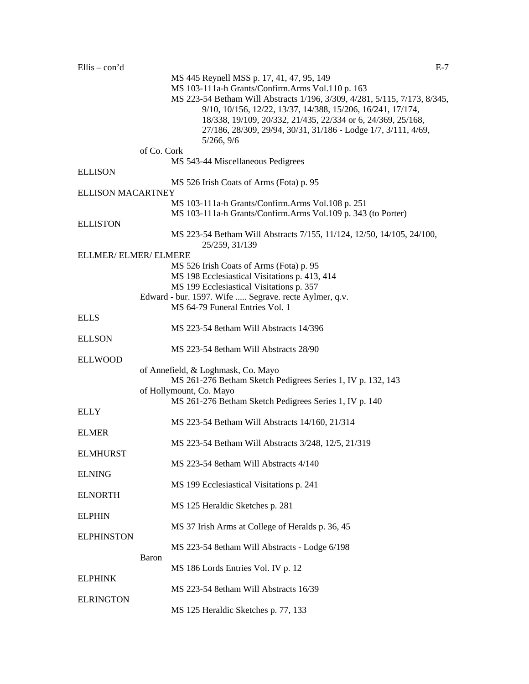|                          |              | MS 445 Reynell MSS p. 17, 41, 47, 95, 149                                                                                      |
|--------------------------|--------------|--------------------------------------------------------------------------------------------------------------------------------|
|                          |              | MS 103-111a-h Grants/Confirm.Arms Vol.110 p. 163<br>MS 223-54 Betham Will Abstracts 1/196, 3/309, 4/281, 5/115, 7/173, 8/345,  |
|                          |              | 9/10, 10/156, 12/22, 13/37, 14/388, 15/206, 16/241, 17/174,                                                                    |
|                          |              | 18/338, 19/109, 20/332, 21/435, 22/334 or 6, 24/369, 25/168,<br>27/186, 28/309, 29/94, 30/31, 31/186 - Lodge 1/7, 3/111, 4/69, |
|                          |              | 5/266, 9/6                                                                                                                     |
|                          | of Co. Cork  |                                                                                                                                |
|                          |              | MS 543-44 Miscellaneous Pedigrees                                                                                              |
| <b>ELLISON</b>           |              |                                                                                                                                |
| <b>ELLISON MACARTNEY</b> |              | MS 526 Irish Coats of Arms (Fota) p. 95                                                                                        |
|                          |              | MS 103-111a-h Grants/Confirm.Arms Vol.108 p. 251                                                                               |
|                          |              | MS 103-111a-h Grants/Confirm.Arms Vol.109 p. 343 (to Porter)                                                                   |
| <b>ELLISTON</b>          |              |                                                                                                                                |
|                          |              | MS 223-54 Betham Will Abstracts 7/155, 11/124, 12/50, 14/105, 24/100,<br>25/259, 31/139                                        |
| ELLMER/ELMER/ELMERE      |              |                                                                                                                                |
|                          |              | MS 526 Irish Coats of Arms (Fota) p. 95                                                                                        |
|                          |              | MS 198 Ecclesiastical Visitations p. 413, 414                                                                                  |
|                          |              | MS 199 Ecclesiastical Visitations p. 357<br>Edward - bur. 1597. Wife  Segrave. recte Aylmer, q.v.                              |
|                          |              | MS 64-79 Funeral Entries Vol. 1                                                                                                |
| <b>ELLS</b>              |              |                                                                                                                                |
|                          |              | MS 223-54 8etham Will Abstracts 14/396                                                                                         |
| <b>ELLSON</b>            |              |                                                                                                                                |
|                          |              | MS 223-54 8etham Will Abstracts 28/90                                                                                          |
| <b>ELLWOOD</b>           |              |                                                                                                                                |
|                          |              | of Annefield, & Loghmask, Co. Mayo<br>MS 261-276 Betham Sketch Pedigrees Series 1, IV p. 132, 143                              |
|                          |              | of Hollymount, Co. Mayo                                                                                                        |
|                          |              | MS 261-276 Betham Sketch Pedigrees Series 1, IV p. 140                                                                         |
| <b>ELLY</b>              |              |                                                                                                                                |
|                          |              | MS 223-54 Betham Will Abstracts 14/160, 21/314                                                                                 |
| <b>ELMER</b>             |              |                                                                                                                                |
|                          |              | MS 223-54 Betham Will Abstracts 3/248, 12/5, 21/319                                                                            |
| <b>ELMHURST</b>          |              | MS 223-54 8etham Will Abstracts 4/140                                                                                          |
| <b>ELNING</b>            |              |                                                                                                                                |
|                          |              | MS 199 Ecclesiastical Visitations p. 241                                                                                       |
| <b>ELNORTH</b>           |              |                                                                                                                                |
|                          |              | MS 125 Heraldic Sketches p. 281                                                                                                |
| <b>ELPHIN</b>            |              |                                                                                                                                |
| <b>ELPHINSTON</b>        |              | MS 37 Irish Arms at College of Heralds p. 36, 45                                                                               |
|                          |              | MS 223-54 8etham Will Abstracts - Lodge 6/198                                                                                  |
|                          | <b>Baron</b> |                                                                                                                                |
|                          |              | MS 186 Lords Entries Vol. IV p. 12                                                                                             |
| <b>ELPHINK</b>           |              |                                                                                                                                |
|                          |              | MS 223-54 8etham Will Abstracts 16/39                                                                                          |
| <b>ELRINGTON</b>         |              |                                                                                                                                |
|                          |              | MS 125 Heraldic Sketches p. 77, 133                                                                                            |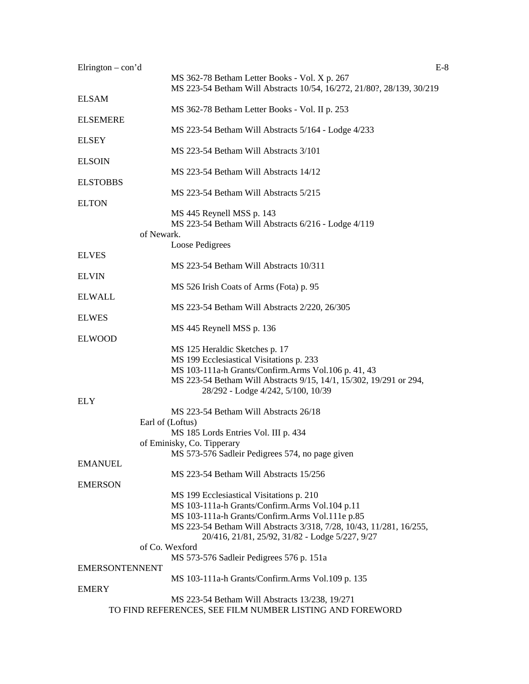| Elrington $-$ con'd   | $E-8$                                                                                                                  |
|-----------------------|------------------------------------------------------------------------------------------------------------------------|
|                       | MS 362-78 Betham Letter Books - Vol. X p. 267<br>MS 223-54 Betham Will Abstracts 10/54, 16/272, 21/80?, 28/139, 30/219 |
| <b>ELSAM</b>          |                                                                                                                        |
| <b>ELSEMERE</b>       | MS 362-78 Betham Letter Books - Vol. II p. 253                                                                         |
| <b>ELSEY</b>          | MS 223-54 Betham Will Abstracts 5/164 - Lodge 4/233                                                                    |
| <b>ELSOIN</b>         | MS 223-54 Betham Will Abstracts 3/101                                                                                  |
|                       | MS 223-54 Betham Will Abstracts 14/12                                                                                  |
| <b>ELSTOBBS</b>       | MS 223-54 Betham Will Abstracts 5/215                                                                                  |
| <b>ELTON</b>          |                                                                                                                        |
|                       | MS 445 Reynell MSS p. 143<br>MS 223-54 Betham Will Abstracts 6/216 - Lodge 4/119                                       |
| of Newark.            |                                                                                                                        |
| <b>ELVES</b>          | Loose Pedigrees                                                                                                        |
|                       | MS 223-54 Betham Will Abstracts 10/311                                                                                 |
| <b>ELVIN</b>          | MS 526 Irish Coats of Arms (Fota) p. 95                                                                                |
| <b>ELWALL</b>         |                                                                                                                        |
| <b>ELWES</b>          | MS 223-54 Betham Will Abstracts 2/220, 26/305                                                                          |
|                       | MS 445 Reynell MSS p. 136                                                                                              |
| <b>ELWOOD</b>         | MS 125 Heraldic Sketches p. 17                                                                                         |
|                       | MS 199 Ecclesiastical Visitations p. 233                                                                               |
|                       | MS 103-111a-h Grants/Confirm.Arms Vol.106 p. 41, 43                                                                    |
|                       | MS 223-54 Betham Will Abstracts 9/15, 14/1, 15/302, 19/291 or 294,                                                     |
| <b>ELY</b>            | 28/292 - Lodge 4/242, 5/100, 10/39                                                                                     |
|                       | MS 223-54 Betham Will Abstracts 26/18                                                                                  |
|                       | Earl of (Loftus)                                                                                                       |
|                       | MS 185 Lords Entries Vol. III p. 434                                                                                   |
|                       | of Eminisky, Co. Tipperary                                                                                             |
|                       | MS 573-576 Sadleir Pedigrees 574, no page given                                                                        |
| <b>EMANUEL</b>        |                                                                                                                        |
|                       | MS 223-54 Betham Will Abstracts 15/256                                                                                 |
| <b>EMERSON</b>        |                                                                                                                        |
|                       | MS 199 Ecclesiastical Visitations p. 210                                                                               |
|                       | MS 103-111a-h Grants/Confirm.Arms Vol.104 p.11                                                                         |
|                       | MS 103-111a-h Grants/Confirm.Arms Vol.111e p.85                                                                        |
|                       | MS 223-54 Betham Will Abstracts 3/318, 7/28, 10/43, 11/281, 16/255,<br>20/416, 21/81, 25/92, 31/82 - Lodge 5/227, 9/27 |
|                       | of Co. Wexford                                                                                                         |
|                       | MS 573-576 Sadleir Pedigrees 576 p. 151a                                                                               |
| <b>EMERSONTENNENT</b> |                                                                                                                        |
|                       | MS 103-111a-h Grants/Confirm.Arms Vol.109 p. 135                                                                       |
| <b>EMERY</b>          |                                                                                                                        |
|                       | MS 223-54 Betham Will Abstracts 13/238, 19/271                                                                         |
|                       | TO FIND REFERENCES, SEE FILM NUMBER LISTING AND FOREWORD                                                               |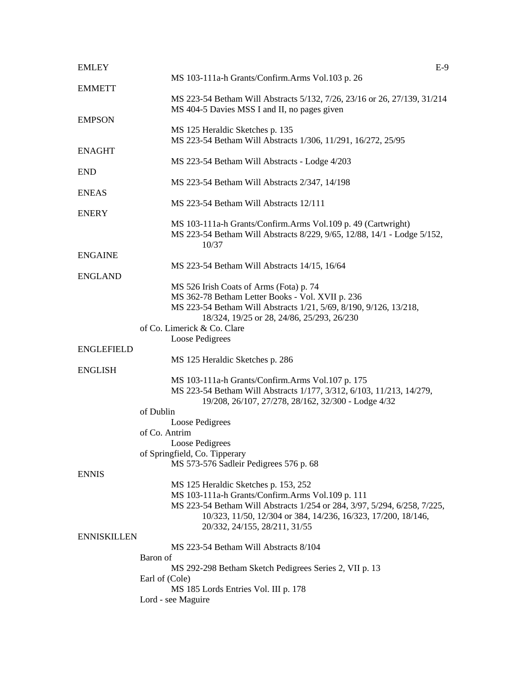| <b>EMLEY</b>       | $E-9$                                                                                                                                                                           |
|--------------------|---------------------------------------------------------------------------------------------------------------------------------------------------------------------------------|
| <b>EMMETT</b>      | MS 103-111a-h Grants/Confirm.Arms Vol.103 p. 26                                                                                                                                 |
|                    | MS 223-54 Betham Will Abstracts 5/132, 7/26, 23/16 or 26, 27/139, 31/214<br>MS 404-5 Davies MSS I and II, no pages given                                                        |
| <b>EMPSON</b>      | MS 125 Heraldic Sketches p. 135                                                                                                                                                 |
| <b>ENAGHT</b>      | MS 223-54 Betham Will Abstracts 1/306, 11/291, 16/272, 25/95                                                                                                                    |
| <b>END</b>         | MS 223-54 Betham Will Abstracts - Lodge 4/203                                                                                                                                   |
|                    | MS 223-54 Betham Will Abstracts 2/347, 14/198                                                                                                                                   |
| <b>ENEAS</b>       | MS 223-54 Betham Will Abstracts 12/111                                                                                                                                          |
| <b>ENERY</b>       | MS 103-111a-h Grants/Confirm.Arms Vol.109 p. 49 (Cartwright)                                                                                                                    |
|                    | MS 223-54 Betham Will Abstracts 8/229, 9/65, 12/88, 14/1 - Lodge 5/152,<br>10/37                                                                                                |
| <b>ENGAINE</b>     | MS 223-54 Betham Will Abstracts 14/15, 16/64                                                                                                                                    |
| <b>ENGLAND</b>     |                                                                                                                                                                                 |
|                    | MS 526 Irish Coats of Arms (Fota) p. 74                                                                                                                                         |
|                    | MS 362-78 Betham Letter Books - Vol. XVII p. 236                                                                                                                                |
|                    | MS 223-54 Betham Will Abstracts 1/21, 5/69, 8/190, 9/126, 13/218,<br>18/324, 19/25 or 28, 24/86, 25/293, 26/230                                                                 |
|                    | of Co. Limerick & Co. Clare                                                                                                                                                     |
|                    | Loose Pedigrees                                                                                                                                                                 |
| <b>ENGLEFIELD</b>  |                                                                                                                                                                                 |
|                    | MS 125 Heraldic Sketches p. 286                                                                                                                                                 |
| <b>ENGLISH</b>     |                                                                                                                                                                                 |
|                    | MS 103-111a-h Grants/Confirm.Arms Vol.107 p. 175<br>MS 223-54 Betham Will Abstracts 1/177, 3/312, 6/103, 11/213, 14/279,<br>19/208, 26/107, 27/278, 28/162, 32/300 - Lodge 4/32 |
|                    | of Dublin                                                                                                                                                                       |
|                    | Loose Pedigrees                                                                                                                                                                 |
|                    | of Co. Antrim                                                                                                                                                                   |
|                    | Loose Pedigrees                                                                                                                                                                 |
|                    | of Springfield, Co. Tipperary                                                                                                                                                   |
|                    | MS 573-576 Sadleir Pedigrees 576 p. 68                                                                                                                                          |
| <b>ENNIS</b>       |                                                                                                                                                                                 |
|                    | MS 125 Heraldic Sketches p. 153, 252                                                                                                                                            |
|                    | MS 103-111a-h Grants/Confirm.Arms Vol.109 p. 111                                                                                                                                |
|                    | MS 223-54 Betham Will Abstracts 1/254 or 284, 3/97, 5/294, 6/258, 7/225,<br>10/323, 11/50, 12/304 or 384, 14/236, 16/323, 17/200, 18/146,                                       |
|                    | 20/332, 24/155, 28/211, 31/55                                                                                                                                                   |
| <b>ENNISKILLEN</b> |                                                                                                                                                                                 |
|                    | MS 223-54 Betham Will Abstracts 8/104                                                                                                                                           |
|                    | Baron of                                                                                                                                                                        |
|                    | MS 292-298 Betham Sketch Pedigrees Series 2, VII p. 13                                                                                                                          |
|                    | Earl of (Cole)                                                                                                                                                                  |
|                    | MS 185 Lords Entries Vol. III p. 178<br>Lord - see Maguire                                                                                                                      |
|                    |                                                                                                                                                                                 |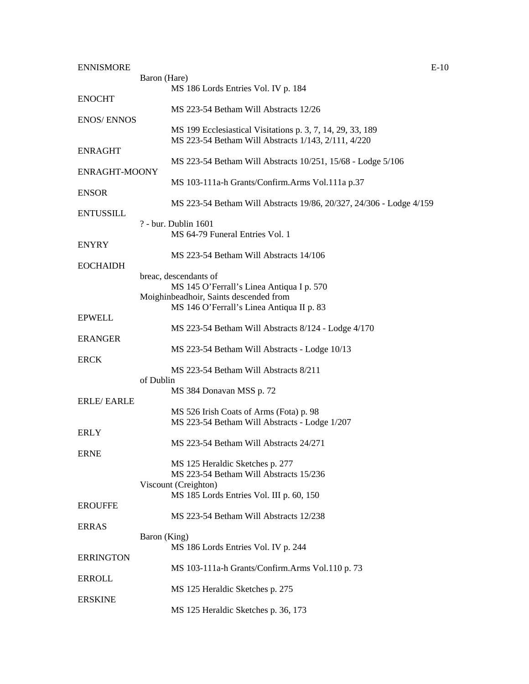| <b>ENNISMORE</b>  | $E-10$                                                              |
|-------------------|---------------------------------------------------------------------|
|                   | Baron (Hare)                                                        |
|                   | MS 186 Lords Entries Vol. IV p. 184                                 |
| <b>ENOCHT</b>     |                                                                     |
|                   | MS 223-54 Betham Will Abstracts 12/26                               |
| <b>ENOS/ENNOS</b> |                                                                     |
|                   |                                                                     |
|                   | MS 199 Ecclesiastical Visitations p. 3, 7, 14, 29, 33, 189          |
|                   | MS 223-54 Betham Will Abstracts 1/143, 2/111, 4/220                 |
| <b>ENRAGHT</b>    |                                                                     |
|                   | MS 223-54 Betham Will Abstracts 10/251, 15/68 - Lodge 5/106         |
| ENRAGHT-MOONY     |                                                                     |
|                   | MS 103-111a-h Grants/Confirm.Arms Vol.111a p.37                     |
| <b>ENSOR</b>      |                                                                     |
|                   | MS 223-54 Betham Will Abstracts 19/86, 20/327, 24/306 - Lodge 4/159 |
| <b>ENTUSSILL</b>  |                                                                     |
|                   | ? - bur. Dublin 1601                                                |
|                   | MS 64-79 Funeral Entries Vol. 1                                     |
|                   |                                                                     |
| <b>ENYRY</b>      |                                                                     |
|                   | MS 223-54 Betham Will Abstracts 14/106                              |
| <b>EOCHAIDH</b>   |                                                                     |
|                   | breac, descendants of                                               |
|                   | MS 145 O'Ferrall's Linea Antiqua I p. 570                           |
|                   | Moighinbeadhoir, Saints descended from                              |
|                   | MS 146 O'Ferrall's Linea Antiqua II p. 83                           |
| <b>EPWELL</b>     |                                                                     |
|                   | MS 223-54 Betham Will Abstracts 8/124 - Lodge 4/170                 |
|                   |                                                                     |
| <b>ERANGER</b>    |                                                                     |
|                   | MS 223-54 Betham Will Abstracts - Lodge 10/13                       |
| <b>ERCK</b>       |                                                                     |
|                   | MS 223-54 Betham Will Abstracts 8/211                               |
|                   | of Dublin                                                           |
|                   | MS 384 Donavan MSS p. 72                                            |
| <b>ERLE/EARLE</b> |                                                                     |
|                   | MS 526 Irish Coats of Arms (Fota) p. 98                             |
|                   | MS 223-54 Betham Will Abstracts - Lodge 1/207                       |
| <b>ERLY</b>       |                                                                     |
|                   | MS 223-54 Betham Will Abstracts 24/271                              |
|                   |                                                                     |
| <b>ERNE</b>       |                                                                     |
|                   | MS 125 Heraldic Sketches p. 277                                     |
|                   | MS 223-54 Betham Will Abstracts 15/236                              |
|                   | Viscount (Creighton)                                                |
|                   | MS 185 Lords Entries Vol. III p. 60, 150                            |
| <b>EROUFFE</b>    |                                                                     |
|                   | MS 223-54 Betham Will Abstracts 12/238                              |
| <b>ERRAS</b>      |                                                                     |
|                   | Baron (King)                                                        |
|                   |                                                                     |
|                   | MS 186 Lords Entries Vol. IV p. 244                                 |
| <b>ERRINGTON</b>  |                                                                     |
|                   | MS 103-111a-h Grants/Confirm.Arms Vol.110 p. 73                     |
| <b>ERROLL</b>     |                                                                     |
|                   | MS 125 Heraldic Sketches p. 275                                     |
| <b>ERSKINE</b>    |                                                                     |
|                   | MS 125 Heraldic Sketches p. 36, 173                                 |
|                   |                                                                     |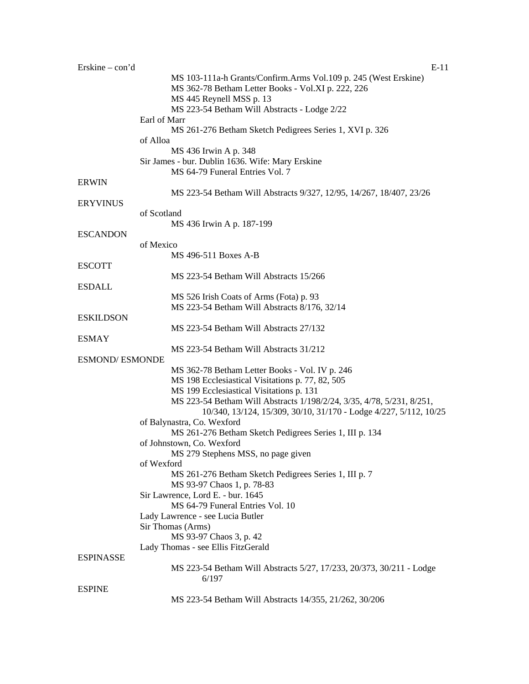| Erskine $-$ con'd      | $E-11$                                                                              |
|------------------------|-------------------------------------------------------------------------------------|
|                        | MS 103-111a-h Grants/Confirm.Arms Vol.109 p. 245 (West Erskine)                     |
|                        | MS 362-78 Betham Letter Books - Vol.XI p. 222, 226                                  |
|                        | MS 445 Reynell MSS p. 13                                                            |
|                        | MS 223-54 Betham Will Abstracts - Lodge 2/22                                        |
|                        | Earl of Marr                                                                        |
|                        | MS 261-276 Betham Sketch Pedigrees Series 1, XVI p. 326                             |
|                        | of Alloa                                                                            |
|                        | MS 436 Irwin A p. 348                                                               |
|                        | Sir James - bur. Dublin 1636. Wife: Mary Erskine<br>MS 64-79 Funeral Entries Vol. 7 |
| <b>ERWIN</b>           |                                                                                     |
|                        | MS 223-54 Betham Will Abstracts 9/327, 12/95, 14/267, 18/407, 23/26                 |
| <b>ERYVINUS</b>        |                                                                                     |
|                        | of Scotland                                                                         |
|                        | MS 436 Irwin A p. 187-199                                                           |
| <b>ESCANDON</b>        |                                                                                     |
|                        | of Mexico                                                                           |
|                        | MS 496-511 Boxes A-B                                                                |
| <b>ESCOTT</b>          |                                                                                     |
|                        | MS 223-54 Betham Will Abstracts 15/266                                              |
| <b>ESDALL</b>          |                                                                                     |
|                        | MS 526 Irish Coats of Arms (Fota) p. 93                                             |
|                        | MS 223-54 Betham Will Abstracts 8/176, 32/14                                        |
| <b>ESKILDSON</b>       |                                                                                     |
|                        | MS 223-54 Betham Will Abstracts 27/132                                              |
| <b>ESMAY</b>           | MS 223-54 Betham Will Abstracts 31/212                                              |
| <b>ESMOND/ ESMONDE</b> |                                                                                     |
|                        | MS 362-78 Betham Letter Books - Vol. IV p. 246                                      |
|                        | MS 198 Ecclesiastical Visitations p. 77, 82, 505                                    |
|                        | MS 199 Ecclesiastical Visitations p. 131                                            |
|                        | MS 223-54 Betham Will Abstracts 1/198/2/24, 3/35, 4/78, 5/231, 8/251,               |
|                        | 10/340, 13/124, 15/309, 30/10, 31/170 - Lodge 4/227, 5/112, 10/25                   |
|                        | of Balynastra, Co. Wexford                                                          |
|                        | MS 261-276 Betham Sketch Pedigrees Series 1, III p. 134                             |
|                        | of Johnstown, Co. Wexford                                                           |
|                        | MS 279 Stephens MSS, no page given                                                  |
|                        | of Wexford                                                                          |
|                        | MS 261-276 Betham Sketch Pedigrees Series 1, III p. 7                               |
|                        | MS 93-97 Chaos 1, p. 78-83                                                          |
|                        | Sir Lawrence, Lord E. - bur. 1645                                                   |
|                        | MS 64-79 Funeral Entries Vol. 10                                                    |
|                        | Lady Lawrence - see Lucia Butler<br>Sir Thomas (Arms)                               |
|                        | MS 93-97 Chaos 3, p. 42                                                             |
|                        | Lady Thomas - see Ellis FitzGerald                                                  |
| <b>ESPINASSE</b>       |                                                                                     |
|                        | MS 223-54 Betham Will Abstracts 5/27, 17/233, 20/373, 30/211 - Lodge                |
|                        | 6/197                                                                               |
| <b>ESPINE</b>          |                                                                                     |
|                        | MS 223-54 Betham Will Abstracts 14/355, 21/262, 30/206                              |
|                        |                                                                                     |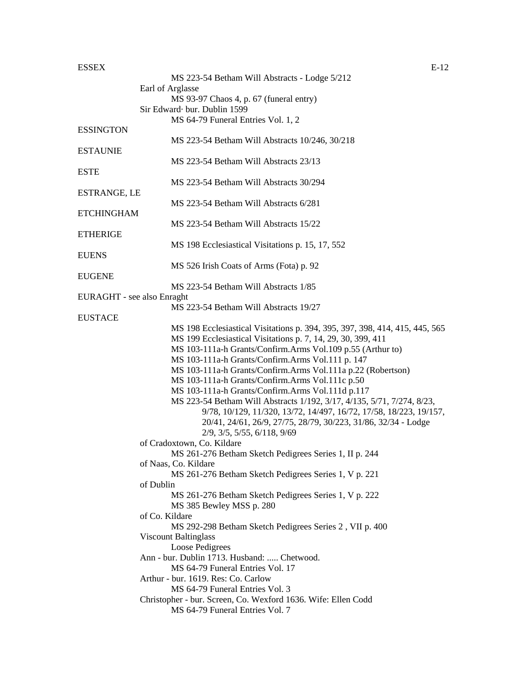#### $\text{ESSEX}$  E-12

|                            | MS 223-54 Betham Will Abstracts - Lodge 5/212                                                                                                |
|----------------------------|----------------------------------------------------------------------------------------------------------------------------------------------|
|                            | Earl of Arglasse                                                                                                                             |
|                            | MS 93-97 Chaos 4, p. 67 (funeral entry)<br>Sir Edward bur. Dublin 1599                                                                       |
|                            | MS 64-79 Funeral Entries Vol. 1, 2                                                                                                           |
| <b>ESSINGTON</b>           |                                                                                                                                              |
|                            | MS 223-54 Betham Will Abstracts 10/246, 30/218                                                                                               |
| <b>ESTAUNIE</b>            |                                                                                                                                              |
|                            | MS 223-54 Betham Will Abstracts 23/13                                                                                                        |
| <b>ESTE</b>                |                                                                                                                                              |
|                            | MS 223-54 Betham Will Abstracts 30/294                                                                                                       |
| ESTRANGE, LE               |                                                                                                                                              |
|                            | MS 223-54 Betham Will Abstracts 6/281                                                                                                        |
| <b>ETCHINGHAM</b>          |                                                                                                                                              |
|                            | MS 223-54 Betham Will Abstracts 15/22                                                                                                        |
| <b>ETHERIGE</b>            | MS 198 Ecclesiastical Visitations p. 15, 17, 552                                                                                             |
| <b>EUENS</b>               |                                                                                                                                              |
|                            | MS 526 Irish Coats of Arms (Fota) p. 92                                                                                                      |
| <b>EUGENE</b>              |                                                                                                                                              |
|                            | MS 223-54 Betham Will Abstracts 1/85                                                                                                         |
| EURAGHT - see also Enraght |                                                                                                                                              |
|                            | MS 223-54 Betham Will Abstracts 19/27                                                                                                        |
| <b>EUSTACE</b>             |                                                                                                                                              |
|                            | MS 198 Ecclesiastical Visitations p. 394, 395, 397, 398, 414, 415, 445, 565                                                                  |
|                            | MS 199 Ecclesiastical Visitations p. 7, 14, 29, 30, 399, 411                                                                                 |
|                            | MS 103-111a-h Grants/Confirm.Arms Vol.109 p.55 (Arthur to)                                                                                   |
|                            | MS 103-111a-h Grants/Confirm.Arms Vol.111 p. 147                                                                                             |
|                            | MS 103-111a-h Grants/Confirm.Arms Vol.111a p.22 (Robertson)                                                                                  |
|                            | MS 103-111a-h Grants/Confirm.Arms Vol.111c p.50                                                                                              |
|                            | MS 103-111a-h Grants/Confirm.Arms Vol.111d p.117                                                                                             |
|                            | MS 223-54 Betham Will Abstracts 1/192, 3/17, 4/135, 5/71, 7/274, 8/23,<br>9/78, 10/129, 11/320, 13/72, 14/497, 16/72, 17/58, 18/223, 19/157, |
|                            | 20/41, 24/61, 26/9, 27/75, 28/79, 30/223, 31/86, 32/34 - Lodge                                                                               |
|                            | 2/9, 3/5, 5/55, 6/118, 9/69                                                                                                                  |
|                            | of Cradoxtown, Co. Kildare                                                                                                                   |
|                            | MS 261-276 Betham Sketch Pedigrees Series 1, II p. 244                                                                                       |
|                            | of Naas, Co. Kildare                                                                                                                         |
|                            | MS 261-276 Betham Sketch Pedigrees Series 1, V p. 221                                                                                        |
|                            | of Dublin                                                                                                                                    |
|                            | MS 261-276 Betham Sketch Pedigrees Series 1, V p. 222                                                                                        |
|                            | MS 385 Bewley MSS p. 280                                                                                                                     |
|                            | of Co. Kildare                                                                                                                               |
|                            | MS 292-298 Betham Sketch Pedigrees Series 2, VII p. 400                                                                                      |
|                            | <b>Viscount Baltinglass</b>                                                                                                                  |
|                            | Loose Pedigrees                                                                                                                              |
|                            | Ann - bur. Dublin 1713. Husband:  Chetwood.<br>MS 64-79 Funeral Entries Vol. 17                                                              |
|                            | Arthur - bur. 1619. Res: Co. Carlow                                                                                                          |
|                            | MS 64-79 Funeral Entries Vol. 3                                                                                                              |
|                            | Christopher - bur. Screen, Co. Wexford 1636. Wife: Ellen Codd                                                                                |
|                            | MS 64-79 Funeral Entries Vol. 7                                                                                                              |
|                            |                                                                                                                                              |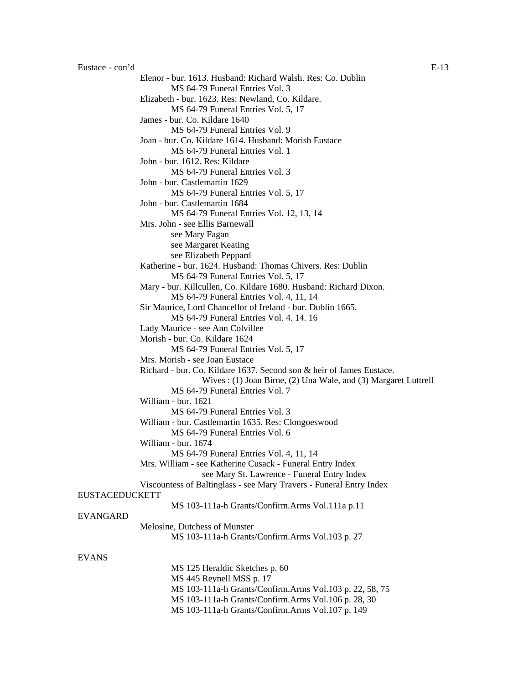Elenor - bur. 1613. Husband: Richard Walsh. Res: Co. Dublin MS 64-79 Funeral Entries Vol. 3 Elizabeth - bur. 1623. Res: Newland, Co. Kildare. MS 64-79 Funeral Entries Vol. 5, 17 James - bur. Co. Kildare 1640 MS 64-79 Funeral Entries Vol. 9 Joan - bur. Co. Kildare 1614. Husband: Morish Eustace MS 64-79 Funeral Entries Vol. 1 John - bur. 1612. Res: Kildare MS 64-79 Funeral Entries Vol. 3 John - bur. Castlemartin 1629 MS 64-79 Funeral Entries Vol. 5, 17 John - bur. Castlemartin 1684 MS 64-79 Funeral Entries Vol. 12, 13, 14 Mrs. John - see Ellis Barnewall see Mary Fagan see Margaret Keating see Elizabeth Peppard Katherine - bur. 1624. Husband: Thomas Chivers. Res: Dublin MS 64-79 Funeral Entries Vol. 5, 17 Mary - bur. Killcullen, Co. Kildare 1680. Husband: Richard Dixon. MS 64-79 Funeral Entries Vol. 4, 11, 14 Sir Maurice, Lord Chancellor of Ireland - bur. Dublin 1665. MS 64-79 Funeral Entries Vol. 4. 14. 16 Lady Maurice - see Ann Colvillee Morish - bur. Co. Kildare 1624 MS 64-79 Funeral Entries Vol. 5, 17 Mrs. Morish - see Joan Eustace Richard - bur. Co. Kildare 1637. Second son & heir of James Eustace. Wives : (1) Joan Birne, (2) Una Wale, and (3) Margaret Luttrell MS 64-79 Funeral Entries Vol. 7 William - bur. 1621 MS 64-79 Funeral Entries Vol. 3 William - bur. Castlemartin 1635. Res: Clongoeswood MS 64-79 Funeral Entries Vol. 6 William - bur. 1674 MS 64-79 Funeral Entries Vol. 4, 11, 14 Mrs. William - see Katherine Cusack - Funeral Entry Index see Mary St. Lawrence - Funeral Entry Index Viscountess of Baltinglass - see Mary Travers - Funeral Entry Index EUSTACEDUCKETT MS 103-111a-h Grants/Confirm.Arms Vol.111a p.11 EVANGARD Melosine, Dutchess of Munster MS 103-111a-h Grants/Confirm.Arms Vol.103 p. 27 MS 125 Heraldic Sketches p. 60 MS 445 Reynell MSS p. 17

#### EVANS

MS 103-111a-h Grants/Confirm.Arms Vol.103 p. 22, 58, 75 MS 103-111a-h Grants/Confirm.Arms Vol.106 p. 28, 30 MS 103-111a-h Grants/Confirm.Arms Vol.107 p. 149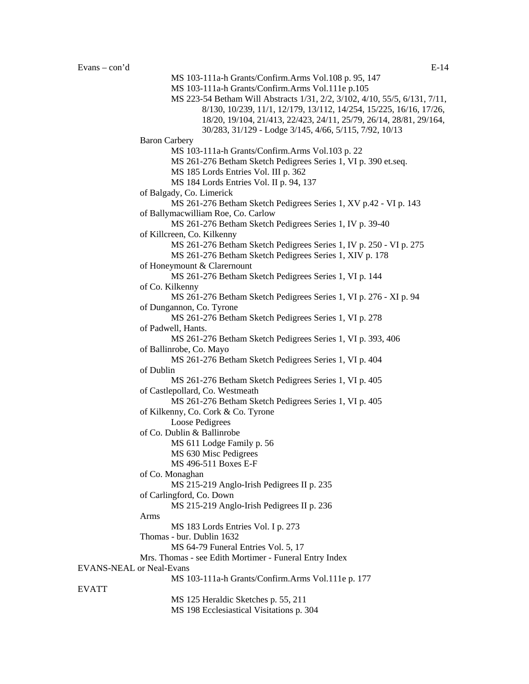EVATT

MS 103-111a-h Grants/Confirm.Arms Vol.108 p. 95, 147 MS 103-111a-h Grants/Confirm.Arms Vol.111e p.105 MS 223-54 Betham Will Abstracts 1/31, 2/2, 3/102, 4/10, 55/5, 6/131, 7/11, 8/130, 10/239, 11/1, 12/179, 13/112, 14/254, 15/225, 16/16, 17/26, 18/20, 19/104, 21/413, 22/423, 24/11, 25/79, 26/14, 28/81, 29/164, 30/283, 31/129 - Lodge 3/145, 4/66, 5/115, 7/92, 10/13 Baron Carbery MS 103-111a-h Grants/Confirm.Arms Vol.103 p. 22 MS 261-276 Betham Sketch Pedigrees Series 1, VI p. 390 et.seq. MS 185 Lords Entries Vol. III p. 362 MS 184 Lords Entries Vol. II p. 94, 137 of Balgady, Co. Limerick MS 261-276 Betham Sketch Pedigrees Series 1, XV p.42 - VI p. 143 of Ballymacwilliam Roe, Co. Carlow MS 261-276 Betham Sketch Pedigrees Series 1, IV p. 39-40 of Killcreen, Co. Kilkenny MS 261-276 Betham Sketch Pedigrees Series 1, IV p. 250 - VI p. 275 MS 261-276 Betham Sketch Pedigrees Series 1, XIV p. 178 of Honeymount & Clarernount MS 261-276 Betham Sketch Pedigrees Series 1, VI p. 144 of Co. Kilkenny MS 261-276 Betham Sketch Pedigrees Series 1, VI p. 276 - XI p. 94 of Dungannon, Co. Tyrone MS 261-276 Betham Sketch Pedigrees Series 1, VI p. 278 of Padwell, Hants. MS 261-276 Betham Sketch Pedigrees Series 1, VI p. 393, 406 of Ballinrobe, Co. Mayo MS 261-276 Betham Sketch Pedigrees Series 1, VI p. 404 of Dublin MS 261-276 Betham Sketch Pedigrees Series 1, VI p. 405 of Castlepollard, Co. Westmeath MS 261-276 Betham Sketch Pedigrees Series 1, VI p. 405 of Kilkenny, Co. Cork & Co. Tyrone Loose Pedigrees of Co. Dublin & Ballinrobe MS 611 Lodge Family p. 56 MS 630 Misc Pedigrees MS 496-511 Boxes E-F of Co. Monaghan MS 215-219 Anglo-Irish Pedigrees II p. 235 of Carlingford, Co. Down MS 215-219 Anglo-Irish Pedigrees II p. 236 Arms MS 183 Lords Entries Vol. I p. 273 Thomas - bur. Dublin 1632 MS 64-79 Funeral Entries Vol. 5, 17 Mrs. Thomas - see Edith Mortimer - Funeral Entry Index EVANS-NEAL or Neal-Evans MS 103-111a-h Grants/Confirm.Arms Vol.111e p. 177 MS 125 Heraldic Sketches p. 55, 211

MS 198 Ecclesiastical Visitations p. 304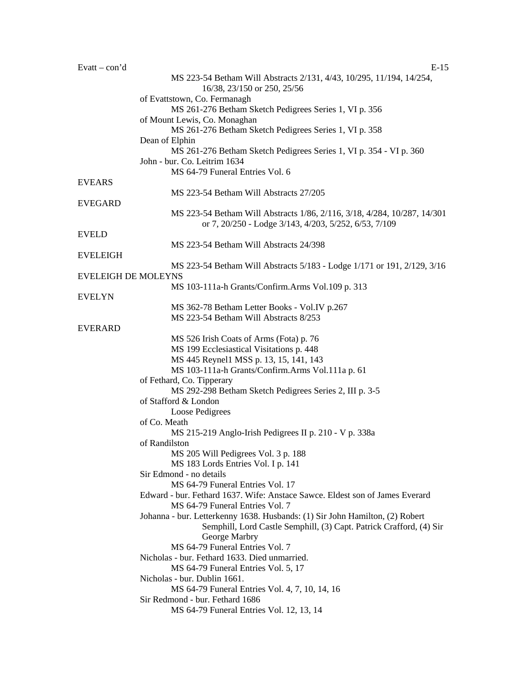| Evatt $-$ con'd            | $E-15$                                                                       |
|----------------------------|------------------------------------------------------------------------------|
|                            | MS 223-54 Betham Will Abstracts 2/131, 4/43, 10/295, 11/194, 14/254,         |
|                            | 16/38, 23/150 or 250, 25/56                                                  |
|                            | of Evattstown, Co. Fermanagh                                                 |
|                            | MS 261-276 Betham Sketch Pedigrees Series 1, VI p. 356                       |
|                            | of Mount Lewis, Co. Monaghan                                                 |
|                            | MS 261-276 Betham Sketch Pedigrees Series 1, VI p. 358                       |
|                            | Dean of Elphin                                                               |
|                            | MS 261-276 Betham Sketch Pedigrees Series 1, VI p. 354 - VI p. 360           |
|                            | John - bur. Co. Leitrim 1634<br>MS 64-79 Funeral Entries Vol. 6              |
| <b>EVEARS</b>              |                                                                              |
|                            | MS 223-54 Betham Will Abstracts 27/205                                       |
| <b>EVEGARD</b>             |                                                                              |
|                            | MS 223-54 Betham Will Abstracts 1/86, 2/116, 3/18, 4/284, 10/287, 14/301     |
|                            | or 7, 20/250 - Lodge 3/143, 4/203, 5/252, 6/53, 7/109                        |
| <b>EVELD</b>               |                                                                              |
|                            | MS 223-54 Betham Will Abstracts 24/398                                       |
| <b>EVELEIGH</b>            |                                                                              |
|                            | MS 223-54 Betham Will Abstracts 5/183 - Lodge 1/171 or 191, 2/129, 3/16      |
| <b>EVELEIGH DE MOLEYNS</b> |                                                                              |
|                            | MS 103-111a-h Grants/Confirm.Arms Vol.109 p. 313                             |
| <b>EVELYN</b>              |                                                                              |
|                            | MS 362-78 Betham Letter Books - Vol.IV p.267                                 |
| <b>EVERARD</b>             | MS 223-54 Betham Will Abstracts 8/253                                        |
|                            | MS 526 Irish Coats of Arms (Fota) p. 76                                      |
|                            | MS 199 Ecclesiastical Visitations p. 448                                     |
|                            | MS 445 Reynel1 MSS p. 13, 15, 141, 143                                       |
|                            | MS 103-111a-h Grants/Confirm.Arms Vol.111a p. 61                             |
|                            | of Fethard, Co. Tipperary                                                    |
|                            | MS 292-298 Betham Sketch Pedigrees Series 2, III p. 3-5                      |
|                            | of Stafford & London                                                         |
|                            | Loose Pedigrees                                                              |
|                            | of Co. Meath                                                                 |
|                            | MS 215-219 Anglo-Irish Pedigrees II p. 210 - V p. 338a                       |
|                            | of Randilston                                                                |
|                            | MS 205 Will Pedigrees Vol. 3 p. 188                                          |
|                            | MS 183 Lords Entries Vol. I p. 141<br>Sir Edmond - no details                |
|                            | MS 64-79 Funeral Entries Vol. 17                                             |
|                            | Edward - bur. Fethard 1637. Wife: Anstace Sawce. Eldest son of James Everard |
|                            | MS 64-79 Funeral Entries Vol. 7                                              |
|                            | Johanna - bur. Letterkenny 1638. Husbands: (1) Sir John Hamilton, (2) Robert |
|                            | Semphill, Lord Castle Semphill, (3) Capt. Patrick Crafford, (4) Sir          |
|                            | George Marbry                                                                |
|                            | MS 64-79 Funeral Entries Vol. 7                                              |
|                            | Nicholas - bur. Fethard 1633. Died unmarried.                                |
|                            | MS 64-79 Funeral Entries Vol. 5, 17                                          |
|                            | Nicholas - bur. Dublin 1661.                                                 |
|                            | MS 64-79 Funeral Entries Vol. 4, 7, 10, 14, 16                               |
|                            | Sir Redmond - bur. Fethard 1686                                              |
|                            | MS 64-79 Funeral Entries Vol. 12, 13, 14                                     |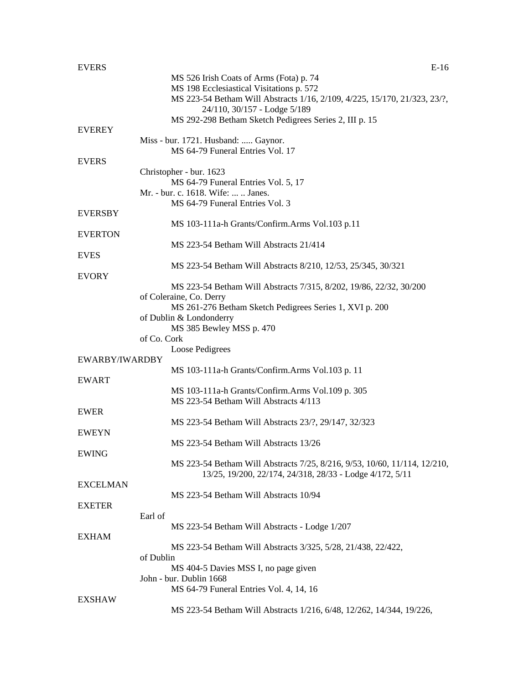| <b>EVERS</b>    | $E-16$                                                                    |
|-----------------|---------------------------------------------------------------------------|
|                 | MS 526 Irish Coats of Arms (Fota) p. 74                                   |
|                 | MS 198 Ecclesiastical Visitations p. 572                                  |
|                 | MS 223-54 Betham Will Abstracts 1/16, 2/109, 4/225, 15/170, 21/323, 23/?, |
|                 | 24/110, 30/157 - Lodge 5/189                                              |
|                 | MS 292-298 Betham Sketch Pedigrees Series 2, III p. 15                    |
| <b>EVEREY</b>   |                                                                           |
|                 | Miss - bur. 1721. Husband:  Gaynor.                                       |
|                 | MS 64-79 Funeral Entries Vol. 17                                          |
| <b>EVERS</b>    | Christopher - bur. 1623                                                   |
|                 | MS 64-79 Funeral Entries Vol. 5, 17                                       |
|                 | Mr. - bur. c. 1618. Wife:   Janes.                                        |
|                 | MS 64-79 Funeral Entries Vol. 3                                           |
| <b>EVERSBY</b>  |                                                                           |
|                 | MS 103-111a-h Grants/Confirm.Arms Vol.103 p.11                            |
| <b>EVERTON</b>  |                                                                           |
|                 | MS 223-54 Betham Will Abstracts 21/414                                    |
| <b>EVES</b>     |                                                                           |
|                 | MS 223-54 Betham Will Abstracts 8/210, 12/53, 25/345, 30/321              |
| <b>EVORY</b>    |                                                                           |
|                 | MS 223-54 Betham Will Abstracts 7/315, 8/202, 19/86, 22/32, 30/200        |
|                 | of Coleraine, Co. Derry                                                   |
|                 | MS 261-276 Betham Sketch Pedigrees Series 1, XVI p. 200                   |
|                 | of Dublin & Londonderry                                                   |
|                 | MS 385 Bewley MSS p. 470                                                  |
|                 | of Co. Cork                                                               |
|                 | Loose Pedigrees                                                           |
| EWARBY/IWARDBY  |                                                                           |
|                 | MS 103-111a-h Grants/Confirm.Arms Vol.103 p. 11                           |
| <b>EWART</b>    |                                                                           |
|                 | MS 103-111a-h Grants/Confirm.Arms Vol.109 p. 305                          |
|                 | MS 223-54 Betham Will Abstracts 4/113                                     |
| <b>EWER</b>     |                                                                           |
|                 | MS 223-54 Betham Will Abstracts 23/?, 29/147, 32/323                      |
| <b>EWEYN</b>    | MS 223-54 Betham Will Abstracts 13/26                                     |
| <b>EWING</b>    |                                                                           |
|                 | MS 223-54 Betham Will Abstracts 7/25, 8/216, 9/53, 10/60, 11/114, 12/210, |
|                 | 13/25, 19/200, 22/174, 24/318, 28/33 - Lodge 4/172, 5/11                  |
| <b>EXCELMAN</b> |                                                                           |
|                 | MS 223-54 Betham Will Abstracts 10/94                                     |
| <b>EXETER</b>   |                                                                           |
|                 | Earl of                                                                   |
|                 | MS 223-54 Betham Will Abstracts - Lodge 1/207                             |
| <b>EXHAM</b>    |                                                                           |
|                 | MS 223-54 Betham Will Abstracts 3/325, 5/28, 21/438, 22/422,              |
|                 | of Dublin                                                                 |
|                 | MS 404-5 Davies MSS I, no page given                                      |
|                 | John - bur. Dublin 1668                                                   |
|                 | MS 64-79 Funeral Entries Vol. 4, 14, 16                                   |
| <b>EXSHAW</b>   |                                                                           |
|                 | MS 223-54 Betham Will Abstracts 1/216, 6/48, 12/262, 14/344, 19/226,      |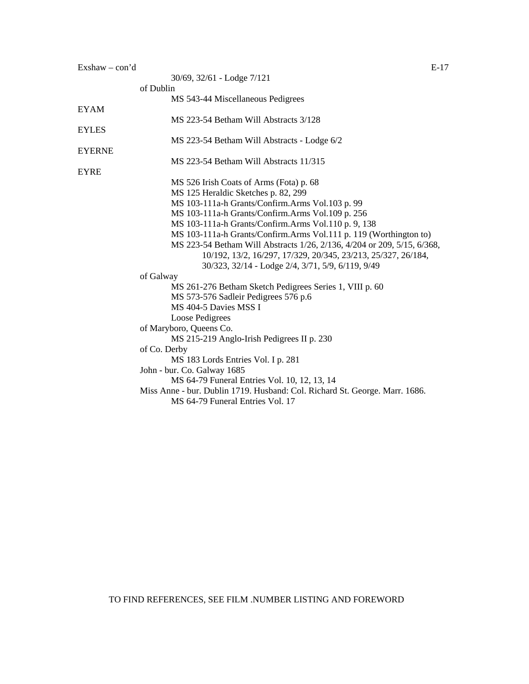| $Exshaw - con'd$ | E-17 |
|------------------|------|
|------------------|------|

|              | 30/69, 32/61 - Lodge 7/121                                                  |
|--------------|-----------------------------------------------------------------------------|
|              | of Dublin                                                                   |
|              | MS 543-44 Miscellaneous Pedigrees                                           |
| EYAM         |                                                                             |
|              | MS 223-54 Betham Will Abstracts 3/128                                       |
| <b>EYLES</b> |                                                                             |
|              | MS 223-54 Betham Will Abstracts - Lodge 6/2                                 |
| EYERNE       |                                                                             |
|              | MS 223-54 Betham Will Abstracts 11/315                                      |
| EYRE         |                                                                             |
|              | MS 526 Irish Coats of Arms (Fota) p. 68                                     |
|              | MS 125 Heraldic Sketches p. 82, 299                                         |
|              | MS 103-111a-h Grants/Confirm.Arms Vol.103 p. 99                             |
|              | MS 103-111a-h Grants/Confirm.Arms Vol.109 p. 256                            |
|              | MS 103-111a-h Grants/Confirm.Arms Vol.110 p. 9, 138                         |
|              | MS 103-111a-h Grants/Confirm.Arms Vol.111 p. 119 (Worthington to)           |
|              | MS 223-54 Betham Will Abstracts 1/26, 2/136, 4/204 or 209, 5/15, 6/368,     |
|              | 10/192, 13/2, 16/297, 17/329, 20/345, 23/213, 25/327, 26/184,               |
|              | 30/323, 32/14 - Lodge 2/4, 3/71, 5/9, 6/119, 9/49                           |
|              | of Galway                                                                   |
|              | MS 261-276 Betham Sketch Pedigrees Series 1, VIII p. 60                     |
|              | MS 573-576 Sadleir Pedigrees 576 p.6                                        |
|              | MS 404-5 Davies MSS I                                                       |
|              | Loose Pedigrees                                                             |
|              | of Maryboro, Queens Co.                                                     |
|              | MS 215-219 Anglo-Irish Pedigrees II p. 230                                  |
|              | of Co. Derby                                                                |
|              | MS 183 Lords Entries Vol. I p. 281                                          |
|              | John - bur. Co. Galway 1685                                                 |
|              | MS 64-79 Funeral Entries Vol. 10, 12, 13, 14                                |
|              | Miss Anne - bur. Dublin 1719. Husband: Col. Richard St. George. Marr. 1686. |
|              | MS 64-79 Funeral Entries Vol. 17                                            |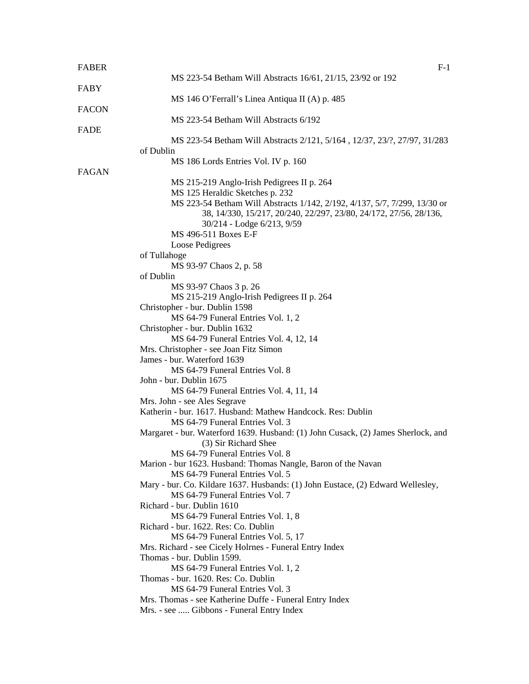| <b>FABER</b> | $F-1$                                                                                                              |
|--------------|--------------------------------------------------------------------------------------------------------------------|
|              | MS 223-54 Betham Will Abstracts 16/61, 21/15, 23/92 or 192                                                         |
| FABY         |                                                                                                                    |
|              | MS 146 O'Ferrall's Linea Antiqua II (A) p. 485                                                                     |
| <b>FACON</b> |                                                                                                                    |
|              | MS 223-54 Betham Will Abstracts 6/192                                                                              |
| <b>FADE</b>  |                                                                                                                    |
|              | MS 223-54 Betham Will Abstracts 2/121, 5/164, 12/37, 23/?, 27/97, 31/283                                           |
|              | of Dublin                                                                                                          |
|              | MS 186 Lords Entries Vol. IV p. 160                                                                                |
| <b>FAGAN</b> |                                                                                                                    |
|              | MS 215-219 Anglo-Irish Pedigrees II p. 264                                                                         |
|              | MS 125 Heraldic Sketches p. 232                                                                                    |
|              | MS 223-54 Betham Will Abstracts 1/142, 2/192, 4/137, 5/7, 7/299, 13/30 or                                          |
|              | 38, 14/330, 15/217, 20/240, 22/297, 23/80, 24/172, 27/56, 28/136,                                                  |
|              | 30/214 - Lodge 6/213, 9/59                                                                                         |
|              | MS 496-511 Boxes E-F                                                                                               |
|              | Loose Pedigrees                                                                                                    |
|              | of Tullahoge                                                                                                       |
|              | MS 93-97 Chaos 2, p. 58                                                                                            |
|              | of Dublin                                                                                                          |
|              | MS 93-97 Chaos 3 p. 26                                                                                             |
|              | MS 215-219 Anglo-Irish Pedigrees II p. 264                                                                         |
|              | Christopher - bur. Dublin 1598                                                                                     |
|              | MS 64-79 Funeral Entries Vol. 1, 2                                                                                 |
|              | Christopher - bur. Dublin 1632                                                                                     |
|              | MS 64-79 Funeral Entries Vol. 4, 12, 14                                                                            |
|              | Mrs. Christopher - see Joan Fitz Simon                                                                             |
|              | James - bur. Waterford 1639                                                                                        |
|              | MS 64-79 Funeral Entries Vol. 8                                                                                    |
|              | John - bur. Dublin 1675                                                                                            |
|              | MS 64-79 Funeral Entries Vol. 4, 11, 14                                                                            |
|              | Mrs. John - see Ales Segrave                                                                                       |
|              | Katherin - bur. 1617. Husband: Mathew Handcock. Res: Dublin                                                        |
|              | MS 64-79 Funeral Entries Vol. 3                                                                                    |
|              | Margaret - bur. Waterford 1639. Husband: (1) John Cusack, (2) James Sherlock, and                                  |
|              | (3) Sir Richard Shee                                                                                               |
|              | MS 64-79 Funeral Entries Vol. 8                                                                                    |
|              | Marion - bur 1623. Husband: Thomas Nangle, Baron of the Navan                                                      |
|              | MS 64-79 Funeral Entries Vol. 5                                                                                    |
|              | Mary - bur. Co. Kildare 1637. Husbands: (1) John Eustace, (2) Edward Wellesley,<br>MS 64-79 Funeral Entries Vol. 7 |
|              | Richard - bur. Dublin 1610                                                                                         |
|              | MS 64-79 Funeral Entries Vol. 1, 8                                                                                 |
|              | Richard - bur. 1622. Res: Co. Dublin                                                                               |
|              | MS 64-79 Funeral Entries Vol. 5, 17                                                                                |
|              | Mrs. Richard - see Cicely Holrnes - Funeral Entry Index                                                            |
|              | Thomas - bur. Dublin 1599.                                                                                         |
|              | MS 64-79 Funeral Entries Vol. 1, 2                                                                                 |
|              | Thomas - bur. 1620. Res: Co. Dublin                                                                                |
|              | MS 64-79 Funeral Entries Vol. 3                                                                                    |
|              | Mrs. Thomas - see Katherine Duffe - Funeral Entry Index                                                            |
|              | Mrs. - see  Gibbons - Funeral Entry Index                                                                          |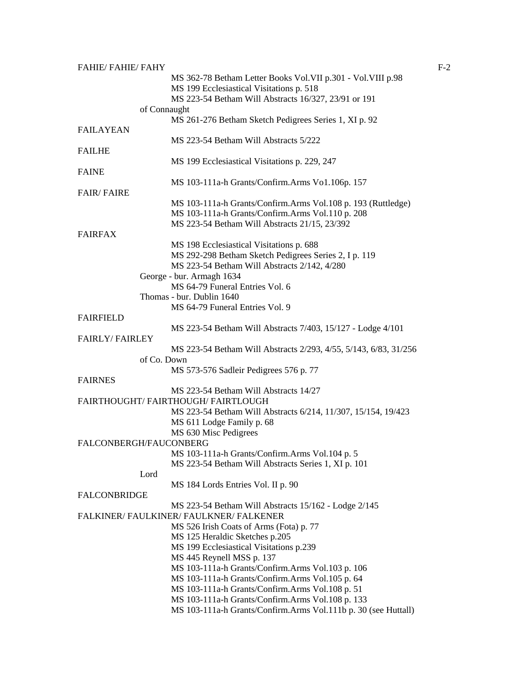| <b>FAHIE/ FAHIE/ FAHY</b> |                                                                  | $F-2$ |
|---------------------------|------------------------------------------------------------------|-------|
|                           | MS 362-78 Betham Letter Books Vol. VII p.301 - Vol. VIII p.98    |       |
|                           | MS 199 Ecclesiastical Visitations p. 518                         |       |
|                           | MS 223-54 Betham Will Abstracts 16/327, 23/91 or 191             |       |
|                           | of Connaught                                                     |       |
|                           | MS 261-276 Betham Sketch Pedigrees Series 1, XI p. 92            |       |
| <b>FAILAYEAN</b>          |                                                                  |       |
|                           | MS 223-54 Betham Will Abstracts 5/222                            |       |
| <b>FAILHE</b>             |                                                                  |       |
|                           | MS 199 Ecclesiastical Visitations p. 229, 247                    |       |
| <b>FAINE</b>              |                                                                  |       |
|                           | MS 103-111a-h Grants/Confirm.Arms Vo1.106p. 157                  |       |
| <b>FAIR/FAIRE</b>         |                                                                  |       |
|                           | MS 103-111a-h Grants/Confirm.Arms Vol.108 p. 193 (Ruttledge)     |       |
|                           | MS 103-111a-h Grants/Confirm.Arms Vol.110 p. 208                 |       |
|                           | MS 223-54 Betham Will Abstracts 21/15, 23/392                    |       |
| <b>FAIRFAX</b>            |                                                                  |       |
|                           | MS 198 Ecclesiastical Visitations p. 688                         |       |
|                           | MS 292-298 Betham Sketch Pedigrees Series 2, I p. 119            |       |
|                           | MS 223-54 Betham Will Abstracts 2/142, 4/280                     |       |
|                           | George - bur. Armagh 1634                                        |       |
|                           |                                                                  |       |
|                           | MS 64-79 Funeral Entries Vol. 6                                  |       |
|                           | Thomas - bur. Dublin 1640                                        |       |
|                           | MS 64-79 Funeral Entries Vol. 9                                  |       |
| <b>FAIRFIELD</b>          |                                                                  |       |
|                           | MS 223-54 Betham Will Abstracts 7/403, 15/127 - Lodge 4/101      |       |
| <b>FAIRLY/FAIRLEY</b>     |                                                                  |       |
|                           | MS 223-54 Betham Will Abstracts 2/293, 4/55, 5/143, 6/83, 31/256 |       |
|                           | of Co. Down                                                      |       |
|                           | MS 573-576 Sadleir Pedigrees 576 p. 77                           |       |
| <b>FAIRNES</b>            |                                                                  |       |
|                           | MS 223-54 Betham Will Abstracts 14/27                            |       |
|                           | FAIRTHOUGHT/FAIRTHOUGH/FAIRTLOUGH                                |       |
|                           | MS 223-54 Betham Will Abstracts 6/214, 11/307, 15/154, 19/423    |       |
|                           | MS 611 Lodge Family p. 68                                        |       |
|                           | MS 630 Misc Pedigrees                                            |       |
| FALCONBERGH/FAUCONBERG    |                                                                  |       |
|                           | MS 103-111a-h Grants/Confirm.Arms Vol.104 p. 5                   |       |
|                           | MS 223-54 Betham Will Abstracts Series 1, XI p. 101              |       |
| Lord                      |                                                                  |       |
|                           | MS 184 Lords Entries Vol. II p. 90                               |       |
| <b>FALCONBRIDGE</b>       |                                                                  |       |
|                           | MS 223-54 Betham Will Abstracts 15/162 - Lodge 2/145             |       |
|                           | FALKINER/ FAULKINER/ FAULKNER/ FALKENER                          |       |
|                           |                                                                  |       |
|                           | MS 526 Irish Coats of Arms (Fota) p. 77                          |       |
|                           | MS 125 Heraldic Sketches p.205                                   |       |
|                           | MS 199 Ecclesiastical Visitations p.239                          |       |
|                           | MS 445 Reynell MSS p. 137                                        |       |
|                           | MS 103-111a-h Grants/Confirm.Arms Vol.103 p. 106                 |       |
|                           | MS 103-111a-h Grants/Confirm.Arms Vol.105 p. 64                  |       |
|                           | MS 103-111a-h Grants/Confirm.Arms Vol.108 p. 51                  |       |
|                           | MS 103-111a-h Grants/Confirm.Arms Vol.108 p. 133                 |       |
|                           | MS 103-111a-h Grants/Confirm.Arms Vol.111b p. 30 (see Huttall)   |       |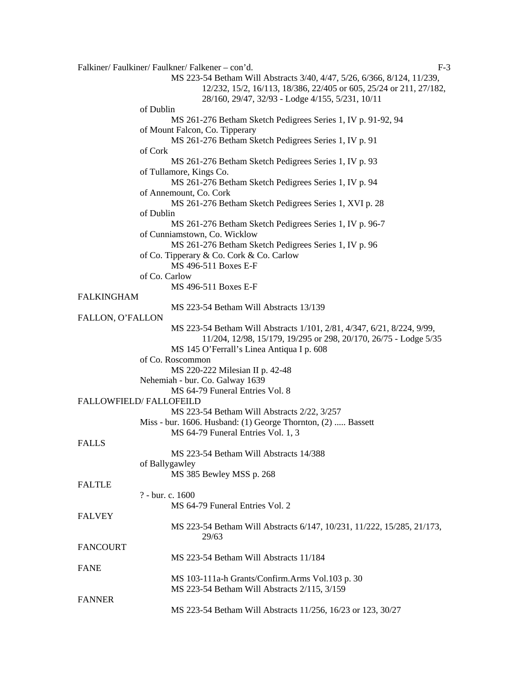Falkiner/ Faulkiner/ Faulkner/ Falkener – con'd. F-3 MS 223-54 Betham Will Abstracts 3/40, 4/47, 5/26, 6/366, 8/124, 11/239, 12/232, 15/2, 16/113, 18/386, 22/405 or 605, 25/24 or 211, 27/182, 28/160, 29/47, 32/93 - Lodge 4/155, 5/231, 10/11 of Dublin MS 261-276 Betham Sketch Pedigrees Series 1, IV p. 91-92, 94 of Mount Falcon, Co. Tipperary MS 261-276 Betham Sketch Pedigrees Series 1, IV p. 91 of Cork MS 261-276 Betham Sketch Pedigrees Series 1, IV p. 93 of Tullamore, Kings Co. MS 261-276 Betham Sketch Pedigrees Series 1, IV p. 94 of Annemount, Co. Cork MS 261-276 Betham Sketch Pedigrees Series 1, XVI p. 28 of Dublin MS 261-276 Betham Sketch Pedigrees Series 1, IV p. 96-7 of Cunniamstown, Co. Wicklow MS 261-276 Betham Sketch Pedigrees Series 1, IV p. 96 of Co. Tipperary & Co. Cork & Co. Carlow MS 496-511 Boxes E-F of Co. Carlow MS 496-511 Boxes E-F FALKINGHAM MS 223-54 Betham Will Abstracts 13/139 FALLON, O'FALLON MS 223-54 Betham Will Abstracts 1/101, 2/81, 4/347, 6/21, 8/224, 9/99, 11/204, 12/98, 15/179, 19/295 or 298, 20/170, 26/75 - Lodge 5/35 MS 145 O'Ferrall's Linea Antiqua I p. 608 of Co. Roscommon MS 220-222 Milesian II p. 42-48 Nehemiah - bur. Co. Galway 1639 MS 64-79 Funeral Entries Vol. 8 FALLOWFIELD/ FALLOFEILD MS 223-54 Betham Will Abstracts 2/22, 3/257 Miss - bur. 1606. Husband: (1) George Thornton, (2) ..... Bassett MS 64-79 Funeral Entries Vol. 1, 3 FALLS MS 223-54 Betham Will Abstracts 14/388 of Ballygawley MS 385 Bewley MSS p. 268 FALTLE ? - bur. c. 1600 MS 64-79 Funeral Entries Vol. 2 FALVEY MS 223-54 Betham Will Abstracts 6/147, 10/231, 11/222, 15/285, 21/173, 29/63 FANCOURT MS 223-54 Betham Will Abstracts 11/184 FANE MS 103-111a-h Grants/Confirm.Arms Vol.103 p. 30 MS 223-54 Betham Will Abstracts 2/115, 3/159 FANNER MS 223-54 Betham Will Abstracts 11/256, 16/23 or 123, 30/27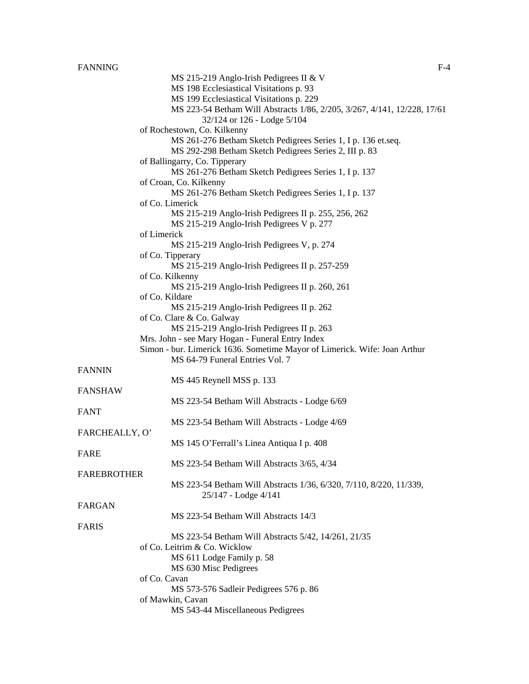MS 215-219 Anglo-Irish Pedigrees II & V MS 198 Ecclesiastical Visitations p. 93 MS 199 Ecclesiastical Visitations p. 229 MS 223-54 Betham Will Abstracts 1/86, 2/205, 3/267, 4/141, 12/228, 17/61 32/124 or 126 - Lodge 5/104 MS 261-276 Betham Sketch Pedigrees Series 1, I p. 136 et.seq. MS 292-298 Betham Sketch Pedigrees Series 2, III p. 83 MS 261-276 Betham Sketch Pedigrees Series 1, I p. 137 MS 261-276 Betham Sketch Pedigrees Series 1, I p. 137 MS 215-219 Anglo-Irish Pedigrees II p. 255, 256, 262 MS 215-219 Anglo-Irish Pedigrees V p. 277

#### of Limerick

of Rochestown, Co. Kilkenny

of Ballingarry, Co. Tipperary

of Croan, Co. Kilkenny

of Co. Limerick

of Co. Tipperary MS 215-219 Anglo-Irish Pedigrees II p. 257-259 of Co. Kilkenny MS 215-219 Anglo-Irish Pedigrees II p. 260, 261 of Co. Kildare MS 215-219 Anglo-Irish Pedigrees II p. 262 of Co. Clare & Co. Galway MS 215-219 Anglo-Irish Pedigrees II p. 263 Mrs. John - see Mary Hogan - Funeral Entry Index Simon - bur. Limerick 1636. Sometime Mayor of Limerick. Wife: Joan Arthur

MS 215-219 Anglo-Irish Pedigrees V, p. 274

MS 64-79 Funeral Entries Vol. 7

#### FANNIN

MS 445 Reynell MSS p. 133 FANSHAW

# MS 223-54 Betham Will Abstracts - Lodge 6/69

MS 223-54 Betham Will Abstracts - Lodge 4/69

FARCHEALLY, O' MS 145 O'Ferrall's Linea Antiqua I p. 408

#### FARE

FANT

MS 223-54 Betham Will Abstracts 3/65, 4/34

MS 223-54 Betham Will Abstracts 1/36, 6/320, 7/110, 8/220, 11/339, 25/147 - Lodge 4/141

# FARGAN

FAREBROTHER

MS 223-54 Betham Will Abstracts 14/3

# FARIS

MS 223-54 Betham Will Abstracts 5/42, 14/261, 21/35 of Co. Leitrim & Co. Wicklow MS 611 Lodge Family p. 58 MS 630 Misc Pedigrees of Co. Cavan MS 573-576 Sadleir Pedigrees 576 p. 86 of Mawkin, Cavan MS 543-44 Miscellaneous Pedigrees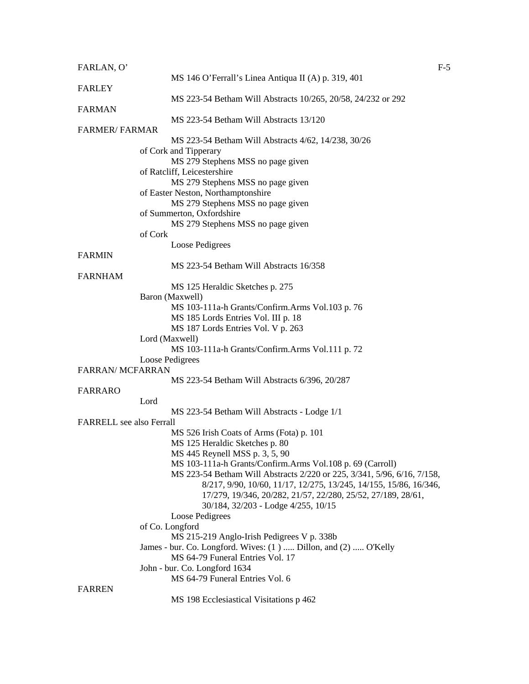| FARLAN, O'                      |                                                                         | $F-5$ |
|---------------------------------|-------------------------------------------------------------------------|-------|
|                                 | MS 146 O'Ferrall's Linea Antiqua II (A) p. 319, 401                     |       |
| <b>FARLEY</b>                   |                                                                         |       |
|                                 | MS 223-54 Betham Will Abstracts 10/265, 20/58, 24/232 or 292            |       |
| <b>FARMAN</b>                   |                                                                         |       |
|                                 | MS 223-54 Betham Will Abstracts 13/120                                  |       |
| <b>FARMER/FARMAR</b>            |                                                                         |       |
|                                 | MS 223-54 Betham Will Abstracts 4/62, 14/238, 30/26                     |       |
|                                 | of Cork and Tipperary                                                   |       |
|                                 | MS 279 Stephens MSS no page given                                       |       |
|                                 | of Ratcliff, Leicestershire                                             |       |
|                                 | MS 279 Stephens MSS no page given                                       |       |
|                                 | of Easter Neston, Northamptonshire                                      |       |
|                                 | MS 279 Stephens MSS no page given                                       |       |
|                                 | of Summerton, Oxfordshire                                               |       |
|                                 | MS 279 Stephens MSS no page given                                       |       |
|                                 | of Cork                                                                 |       |
|                                 | Loose Pedigrees                                                         |       |
| <b>FARMIN</b>                   |                                                                         |       |
|                                 | MS 223-54 Betham Will Abstracts 16/358                                  |       |
| <b>FARNHAM</b>                  |                                                                         |       |
|                                 | MS 125 Heraldic Sketches p. 275                                         |       |
|                                 | Baron (Maxwell)                                                         |       |
|                                 | MS 103-111a-h Grants/Confirm.Arms Vol.103 p. 76                         |       |
|                                 | MS 185 Lords Entries Vol. III p. 18                                     |       |
|                                 | MS 187 Lords Entries Vol. V p. 263                                      |       |
|                                 | Lord (Maxwell)                                                          |       |
|                                 | MS 103-111a-h Grants/Confirm.Arms Vol.111 p. 72                         |       |
|                                 | Loose Pedigrees                                                         |       |
| <b>FARRAN/ MCFARRAN</b>         |                                                                         |       |
|                                 | MS 223-54 Betham Will Abstracts 6/396, 20/287                           |       |
| <b>FARRARO</b>                  |                                                                         |       |
|                                 | Lord                                                                    |       |
|                                 | MS 223-54 Betham Will Abstracts - Lodge 1/1                             |       |
| <b>FARRELL</b> see also Ferrall |                                                                         |       |
|                                 | MS 526 Irish Coats of Arms (Fota) p. 101                                |       |
|                                 | MS 125 Heraldic Sketches p. 80                                          |       |
|                                 | MS 445 Reynell MSS p. 3, 5, 90                                          |       |
|                                 | MS 103-111a-h Grants/Confirm.Arms Vol.108 p. 69 (Carroll)               |       |
|                                 | MS 223-54 Betham Will Abstracts 2/220 or 225, 3/341, 5/96, 6/16, 7/158, |       |
|                                 | 8/217, 9/90, 10/60, 11/17, 12/275, 13/245, 14/155, 15/86, 16/346,       |       |
|                                 | 17/279, 19/346, 20/282, 21/57, 22/280, 25/52, 27/189, 28/61,            |       |
|                                 | 30/184, 32/203 - Lodge 4/255, 10/15                                     |       |
|                                 | Loose Pedigrees                                                         |       |
|                                 | of Co. Longford                                                         |       |
|                                 | MS 215-219 Anglo-Irish Pedigrees V p. 338b                              |       |
|                                 | James - bur. Co. Longford. Wives: (1)  Dillon, and (2)  O'Kelly         |       |
|                                 | MS 64-79 Funeral Entries Vol. 17                                        |       |
|                                 | John - bur. Co. Longford 1634                                           |       |
|                                 | MS 64-79 Funeral Entries Vol. 6                                         |       |
| <b>FARREN</b>                   |                                                                         |       |
|                                 | MS 198 Ecclesiastical Visitations p 462                                 |       |
|                                 |                                                                         |       |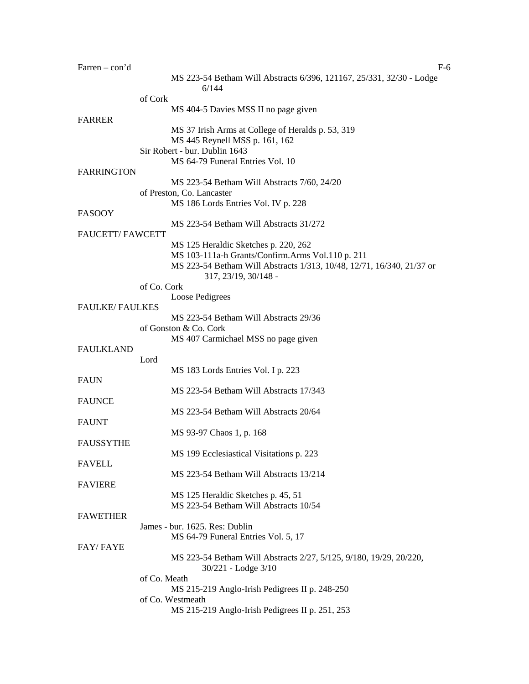| Farren $-$ con'd       | F-6                                                                                           |
|------------------------|-----------------------------------------------------------------------------------------------|
|                        | MS 223-54 Betham Will Abstracts 6/396, 121167, 25/331, 32/30 - Lodge<br>6/144                 |
|                        | of Cork                                                                                       |
| <b>FARRER</b>          | MS 404-5 Davies MSS II no page given                                                          |
|                        | MS 37 Irish Arms at College of Heralds p. 53, 319                                             |
|                        | MS 445 Reynell MSS p. 161, 162                                                                |
|                        | Sir Robert - bur. Dublin 1643                                                                 |
|                        | MS 64-79 Funeral Entries Vol. 10                                                              |
| <b>FARRINGTON</b>      |                                                                                               |
|                        | MS 223-54 Betham Will Abstracts 7/60, 24/20                                                   |
|                        | of Preston, Co. Lancaster<br>MS 186 Lords Entries Vol. IV p. 228                              |
| <b>FASOOY</b>          |                                                                                               |
|                        | MS 223-54 Betham Will Abstracts 31/272                                                        |
| <b>FAUCETT/FAWCETT</b> |                                                                                               |
|                        | MS 125 Heraldic Sketches p. 220, 262                                                          |
|                        | MS 103-111a-h Grants/Confirm.Arms Vol.110 p. 211                                              |
|                        | MS 223-54 Betham Will Abstracts 1/313, 10/48, 12/71, 16/340, 21/37 or<br>317, 23/19, 30/148 - |
|                        | of Co. Cork                                                                                   |
|                        | Loose Pedigrees                                                                               |
| <b>FAULKE/FAULKES</b>  |                                                                                               |
|                        | MS 223-54 Betham Will Abstracts 29/36                                                         |
|                        | of Gonston & Co. Cork                                                                         |
| <b>FAULKLAND</b>       | MS 407 Carmichael MSS no page given                                                           |
|                        | Lord                                                                                          |
|                        | MS 183 Lords Entries Vol. I p. 223                                                            |
| <b>FAUN</b>            |                                                                                               |
|                        | MS 223-54 Betham Will Abstracts 17/343                                                        |
| <b>FAUNCE</b>          |                                                                                               |
|                        | MS 223-54 Betham Will Abstracts 20/64                                                         |
| <b>FAUNT</b>           |                                                                                               |
|                        | MS 93-97 Chaos 1, p. 168                                                                      |
| <b>FAUSSYTHE</b>       |                                                                                               |
|                        | MS 199 Ecclesiastical Visitations p. 223                                                      |
| <b>FAVELL</b>          | MS 223-54 Betham Will Abstracts 13/214                                                        |
| <b>FAVIERE</b>         |                                                                                               |
|                        | MS 125 Heraldic Sketches p. 45, 51                                                            |
|                        | MS 223-54 Betham Will Abstracts 10/54                                                         |
| <b>FAWETHER</b>        |                                                                                               |
|                        | James - bur. 1625. Res: Dublin                                                                |
|                        | MS 64-79 Funeral Entries Vol. 5, 17                                                           |
| <b>FAY/FAYE</b>        |                                                                                               |
|                        | MS 223-54 Betham Will Abstracts 2/27, 5/125, 9/180, 19/29, 20/220,<br>30/221 - Lodge 3/10     |
|                        | of Co. Meath                                                                                  |
|                        | MS 215-219 Anglo-Irish Pedigrees II p. 248-250                                                |
|                        | of Co. Westmeath                                                                              |
|                        | MS 215-219 Anglo-Irish Pedigrees II p. 251, 253                                               |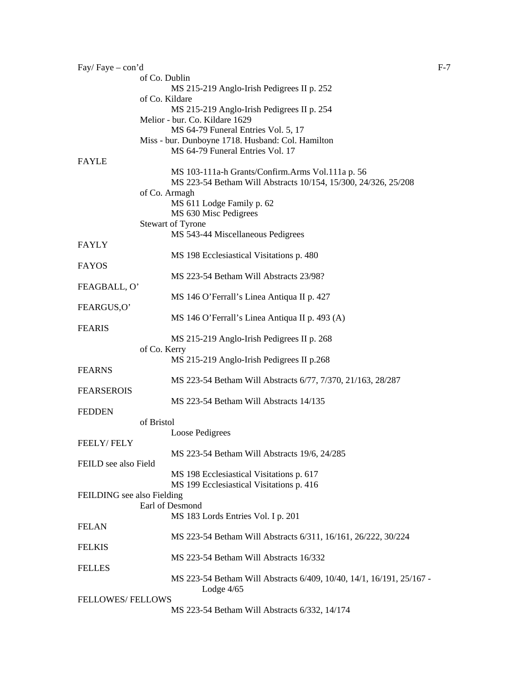| Fay/Faye - con'd           |                                                                                      | $F-7$ |
|----------------------------|--------------------------------------------------------------------------------------|-------|
|                            | of Co. Dublin                                                                        |       |
|                            | MS 215-219 Anglo-Irish Pedigrees II p. 252                                           |       |
|                            | of Co. Kildare<br>MS 215-219 Anglo-Irish Pedigrees II p. 254                         |       |
|                            | Melior - bur. Co. Kildare 1629                                                       |       |
|                            | MS 64-79 Funeral Entries Vol. 5, 17                                                  |       |
|                            | Miss - bur. Dunboyne 1718. Husband: Col. Hamilton                                    |       |
|                            | MS 64-79 Funeral Entries Vol. 17                                                     |       |
| <b>FAYLE</b>               |                                                                                      |       |
|                            | MS 103-111a-h Grants/Confirm.Arms Vol.111a p. 56                                     |       |
|                            | MS 223-54 Betham Will Abstracts 10/154, 15/300, 24/326, 25/208                       |       |
|                            | of Co. Armagh                                                                        |       |
|                            | MS 611 Lodge Family p. 62<br>MS 630 Misc Pedigrees                                   |       |
|                            | <b>Stewart of Tyrone</b>                                                             |       |
|                            | MS 543-44 Miscellaneous Pedigrees                                                    |       |
| <b>FAYLY</b>               |                                                                                      |       |
|                            | MS 198 Ecclesiastical Visitations p. 480                                             |       |
| <b>FAYOS</b>               |                                                                                      |       |
|                            | MS 223-54 Betham Will Abstracts 23/98?                                               |       |
| FEAGBALL, O'               |                                                                                      |       |
| FEARGUS,O'                 | MS 146 O'Ferrall's Linea Antiqua II p. 427                                           |       |
|                            | MS 146 O'Ferrall's Linea Antiqua II p. 493 (A)                                       |       |
| <b>FEARIS</b>              |                                                                                      |       |
|                            | MS 215-219 Anglo-Irish Pedigrees II p. 268                                           |       |
|                            | of Co. Kerry                                                                         |       |
|                            | MS 215-219 Anglo-Irish Pedigrees II p.268                                            |       |
| <b>FEARNS</b>              |                                                                                      |       |
| <b>FEARSEROIS</b>          | MS 223-54 Betham Will Abstracts 6/77, 7/370, 21/163, 28/287                          |       |
|                            | MS 223-54 Betham Will Abstracts 14/135                                               |       |
| <b>FEDDEN</b>              |                                                                                      |       |
|                            | of Bristol                                                                           |       |
|                            | Loose Pedigrees                                                                      |       |
| <b>FEELY/FELY</b>          |                                                                                      |       |
|                            | MS 223-54 Betham Will Abstracts 19/6, 24/285                                         |       |
| FEILD see also Field       |                                                                                      |       |
|                            | MS 198 Ecclesiastical Visitations p. 617                                             |       |
| FEILDING see also Fielding | MS 199 Ecclesiastical Visitations p. 416                                             |       |
|                            | Earl of Desmond                                                                      |       |
|                            | MS 183 Lords Entries Vol. I p. 201                                                   |       |
| <b>FELAN</b>               |                                                                                      |       |
|                            | MS 223-54 Betham Will Abstracts 6/311, 16/161, 26/222, 30/224                        |       |
| <b>FELKIS</b>              |                                                                                      |       |
|                            | MS 223-54 Betham Will Abstracts 16/332                                               |       |
| <b>FELLES</b>              |                                                                                      |       |
|                            | MS 223-54 Betham Will Abstracts 6/409, 10/40, 14/1, 16/191, 25/167 -<br>Lodge $4/65$ |       |
| <b>FELLOWES/FELLOWS</b>    |                                                                                      |       |
|                            | MS 223-54 Betham Will Abstracts 6/332, 14/174                                        |       |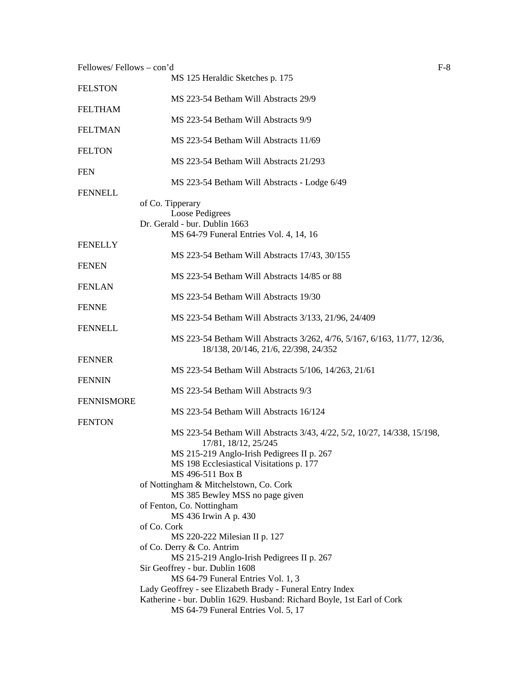| Fellowes/Fellows - con'd | $F-8$                                                                                  |
|--------------------------|----------------------------------------------------------------------------------------|
|                          | MS 125 Heraldic Sketches p. 175                                                        |
| <b>FELSTON</b>           |                                                                                        |
|                          | MS 223-54 Betham Will Abstracts 29/9                                                   |
| <b>FELTHAM</b>           |                                                                                        |
|                          | MS 223-54 Betham Will Abstracts 9/9                                                    |
| <b>FELTMAN</b>           |                                                                                        |
|                          | MS 223-54 Betham Will Abstracts 11/69                                                  |
| <b>FELTON</b>            |                                                                                        |
|                          | MS 223-54 Betham Will Abstracts 21/293                                                 |
| <b>FEN</b>               |                                                                                        |
| <b>FENNELL</b>           | MS 223-54 Betham Will Abstracts - Lodge 6/49                                           |
|                          | of Co. Tipperary                                                                       |
|                          | Loose Pedigrees                                                                        |
|                          | Dr. Gerald - bur. Dublin 1663                                                          |
|                          | MS 64-79 Funeral Entries Vol. 4, 14, 16                                                |
| <b>FENELLY</b>           |                                                                                        |
|                          | MS 223-54 Betham Will Abstracts 17/43, 30/155                                          |
| <b>FENEN</b>             |                                                                                        |
|                          | MS 223-54 Betham Will Abstracts 14/85 or 88                                            |
| <b>FENLAN</b>            |                                                                                        |
|                          | MS 223-54 Betham Will Abstracts 19/30                                                  |
| <b>FENNE</b>             |                                                                                        |
|                          | MS 223-54 Betham Will Abstracts 3/133, 21/96, 24/409                                   |
| <b>FENNELL</b>           |                                                                                        |
|                          | MS 223-54 Betham Will Abstracts 3/262, 4/76, 5/167, 6/163, 11/77, 12/36,               |
|                          | 18/138, 20/146, 21/6, 22/398, 24/352                                                   |
| <b>FENNER</b>            |                                                                                        |
|                          | MS 223-54 Betham Will Abstracts 5/106, 14/263, 21/61                                   |
| <b>FENNIN</b>            |                                                                                        |
|                          | MS 223-54 Betham Will Abstracts 9/3                                                    |
| <b>FENNISMORE</b>        |                                                                                        |
|                          | MS 223-54 Betham Will Abstracts 16/124                                                 |
| <b>FENTON</b>            |                                                                                        |
|                          | MS 223-54 Betham Will Abstracts 3/43, 4/22, 5/2, 10/27, 14/338, 15/198,                |
|                          | 17/81, 18/12, 25/245                                                                   |
|                          | MS 215-219 Anglo-Irish Pedigrees II p. 267<br>MS 198 Ecclesiastical Visitations p. 177 |
|                          | MS 496-511 Box B                                                                       |
|                          | of Nottingham & Mitchelstown, Co. Cork                                                 |
|                          | MS 385 Bewley MSS no page given                                                        |
|                          | of Fenton, Co. Nottingham                                                              |
|                          | MS 436 Irwin A p. 430                                                                  |
|                          | of Co. Cork                                                                            |
|                          | MS 220-222 Milesian II p. 127                                                          |
|                          | of Co. Derry & Co. Antrim                                                              |
|                          | MS 215-219 Anglo-Irish Pedigrees II p. 267                                             |
|                          | Sir Geoffrey - bur. Dublin 1608                                                        |
|                          | MS 64-79 Funeral Entries Vol. 1, 3                                                     |
|                          | Lady Geoffrey - see Elizabeth Brady - Funeral Entry Index                              |
|                          | Katherine - bur. Dublin 1629. Husband: Richard Boyle, 1st Earl of Cork                 |
|                          | MS 64-79 Funeral Entries Vol. 5, 17                                                    |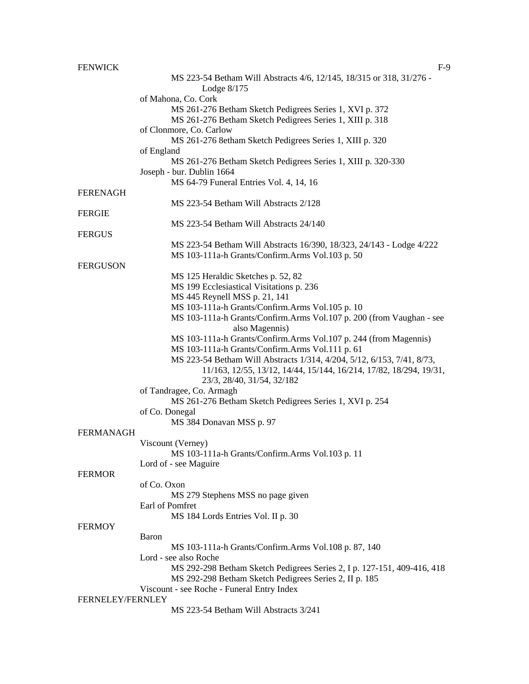## FENWICK F-9

|                  | MS 223-54 Betham Will Abstracts 4/6, 12/145, 18/315 or 318, 31/276 -<br>Lodge $8/175$  |
|------------------|----------------------------------------------------------------------------------------|
|                  | of Mahona, Co. Cork                                                                    |
|                  | MS 261-276 Betham Sketch Pedigrees Series 1, XVI p. 372                                |
|                  | MS 261-276 Betham Sketch Pedigrees Series 1, XIII p. 318                               |
|                  | of Clonmore, Co. Carlow                                                                |
|                  | MS 261-276 8etham Sketch Pedigrees Series 1, XIII p. 320                               |
|                  | of England                                                                             |
|                  | MS 261-276 Betham Sketch Pedigrees Series 1, XIII p. 320-330                           |
|                  | Joseph - bur. Dublin 1664                                                              |
|                  | MS 64-79 Funeral Entries Vol. 4, 14, 16                                                |
| <b>FERENAGH</b>  |                                                                                        |
|                  | MS 223-54 Betham Will Abstracts 2/128                                                  |
| <b>FERGIE</b>    |                                                                                        |
|                  | MS 223-54 Betham Will Abstracts 24/140                                                 |
| <b>FERGUS</b>    |                                                                                        |
|                  | MS 223-54 Betham Will Abstracts 16/390, 18/323, 24/143 - Lodge 4/222                   |
|                  | MS 103-111a-h Grants/Confirm.Arms Vol.103 p. 50                                        |
| <b>FERGUSON</b>  |                                                                                        |
|                  | MS 125 Heraldic Sketches p. 52, 82                                                     |
|                  | MS 199 Ecclesiastical Visitations p. 236                                               |
|                  | MS 445 Reynell MSS p. 21, 141                                                          |
|                  | MS 103-111a-h Grants/Confirm.Arms Vol.105 p. 10                                        |
|                  | MS 103-111a-h Grants/Confirm.Arms Vol.107 p. 200 (from Vaughan - see<br>also Magennis) |
|                  | MS 103-111a-h Grants/Confirm.Arms Vol.107 p. 244 (from Magennis)                       |
|                  | MS 103-111a-h Grants/Confirm.Arms Vol.111 p. 61                                        |
|                  | MS 223-54 Betham Will Abstracts 1/314, 4/204, 5/12, 6/153, 7/41, 8/73,                 |
|                  | 11/163, 12/55, 13/12, 14/44, 15/144, 16/214, 17/82, 18/294, 19/31,                     |
|                  | 23/3, 28/40, 31/54, 32/182                                                             |
|                  | of Tandragee, Co. Armagh                                                               |
|                  | MS 261-276 Betham Sketch Pedigrees Series 1, XVI p. 254                                |
|                  | of Co. Donegal                                                                         |
|                  | MS 384 Donavan MSS p. 97                                                               |
| <b>FERMANAGH</b> |                                                                                        |
|                  | Viscount (Verney)                                                                      |
|                  | MS 103-111a-h Grants/Confirm.Arms Vol.103 p. 11                                        |
|                  | Lord of - see Maguire                                                                  |
| <b>FERMOR</b>    |                                                                                        |
|                  | of Co. Oxon                                                                            |
|                  | MS 279 Stephens MSS no page given                                                      |
|                  | Earl of Pomfret                                                                        |
|                  | MS 184 Lords Entries Vol. II p. 30                                                     |
| <b>FERMOY</b>    |                                                                                        |
|                  | Baron                                                                                  |
|                  | MS 103-111a-h Grants/Confirm.Arms Vol.108 p. 87, 140                                   |
|                  | Lord - see also Roche                                                                  |
|                  | MS 292-298 Betham Sketch Pedigrees Series 2, I p. 127-151, 409-416, 418                |
|                  | MS 292-298 Betham Sketch Pedigrees Series 2, II p. 185                                 |
| FERNELEY/FERNLEY | Viscount - see Roche - Funeral Entry Index                                             |
|                  | MS 223-54 Betham Will Abstracts 3/241                                                  |
|                  |                                                                                        |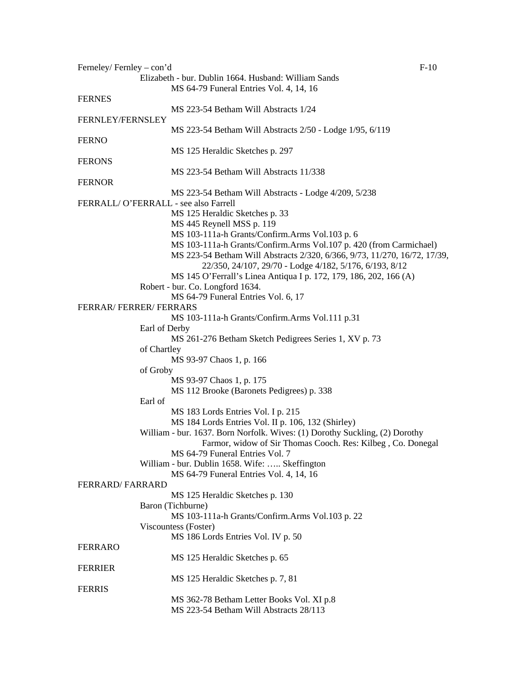| Ferneley/Fernley - con'd             |                                                                             | $F-10$ |
|--------------------------------------|-----------------------------------------------------------------------------|--------|
|                                      | Elizabeth - bur. Dublin 1664. Husband: William Sands                        |        |
|                                      | MS 64-79 Funeral Entries Vol. 4, 14, 16                                     |        |
| <b>FERNES</b>                        |                                                                             |        |
|                                      | MS 223-54 Betham Will Abstracts 1/24                                        |        |
| <b>FERNLEY/FERNSLEY</b>              |                                                                             |        |
|                                      | MS 223-54 Betham Will Abstracts 2/50 - Lodge 1/95, 6/119                    |        |
| <b>FERNO</b>                         |                                                                             |        |
|                                      | MS 125 Heraldic Sketches p. 297                                             |        |
| <b>FERONS</b>                        |                                                                             |        |
|                                      | MS 223-54 Betham Will Abstracts 11/338                                      |        |
|                                      |                                                                             |        |
| <b>FERNOR</b>                        |                                                                             |        |
|                                      | MS 223-54 Betham Will Abstracts - Lodge 4/209, 5/238                        |        |
| FERRALL/O'FERRALL - see also Farrell |                                                                             |        |
|                                      | MS 125 Heraldic Sketches p. 33                                              |        |
|                                      | MS 445 Reynell MSS p. 119                                                   |        |
|                                      | MS 103-111a-h Grants/Confirm.Arms Vol.103 p. 6                              |        |
|                                      | MS 103-111a-h Grants/Confirm.Arms Vol.107 p. 420 (from Carmichael)          |        |
|                                      | MS 223-54 Betham Will Abstracts 2/320, 6/366, 9/73, 11/270, 16/72, 17/39,   |        |
|                                      | 22/350, 24/107, 29/70 - Lodge 4/182, 5/176, 6/193, 8/12                     |        |
|                                      | MS 145 O'Ferrall's Linea Antiqua I p. 172, 179, 186, 202, 166 (A)           |        |
|                                      | Robert - bur. Co. Longford 1634.                                            |        |
|                                      | MS 64-79 Funeral Entries Vol. 6, 17                                         |        |
| <b>FERRAR/ FERRER/ FERRARS</b>       |                                                                             |        |
|                                      | MS 103-111a-h Grants/Confirm.Arms Vol.111 p.31                              |        |
|                                      | Earl of Derby                                                               |        |
|                                      | MS 261-276 Betham Sketch Pedigrees Series 1, XV p. 73                       |        |
|                                      |                                                                             |        |
|                                      | of Chartley                                                                 |        |
|                                      | MS 93-97 Chaos 1, p. 166                                                    |        |
| of Groby                             |                                                                             |        |
|                                      | MS 93-97 Chaos 1, p. 175                                                    |        |
|                                      | MS 112 Brooke (Baronets Pedigrees) p. 338                                   |        |
| Earl of                              |                                                                             |        |
|                                      | MS 183 Lords Entries Vol. I p. 215                                          |        |
|                                      | MS 184 Lords Entries Vol. II p. 106, 132 (Shirley)                          |        |
|                                      | William - bur. 1637. Born Norfolk. Wives: (1) Dorothy Suckling, (2) Dorothy |        |
|                                      | Farmor, widow of Sir Thomas Cooch. Res: Kilbeg, Co. Donegal                 |        |
|                                      | MS 64-79 Funeral Entries Vol. 7                                             |        |
|                                      | William - bur. Dublin 1658. Wife:  Skeffington                              |        |
|                                      | MS 64-79 Funeral Entries Vol. 4, 14, 16                                     |        |
| <b>FERRARD/FARRARD</b>               |                                                                             |        |
|                                      | MS 125 Heraldic Sketches p. 130                                             |        |
|                                      | Baron (Tichburne)                                                           |        |
|                                      | MS 103-111a-h Grants/Confirm.Arms Vol.103 p. 22                             |        |
|                                      | Viscountess (Foster)                                                        |        |
|                                      |                                                                             |        |
|                                      | MS 186 Lords Entries Vol. IV p. 50                                          |        |
| <b>FERRARO</b>                       |                                                                             |        |
|                                      | MS 125 Heraldic Sketches p. 65                                              |        |
| <b>FERRIER</b>                       |                                                                             |        |
|                                      | MS 125 Heraldic Sketches p. 7, 81                                           |        |
| <b>FERRIS</b>                        |                                                                             |        |
|                                      | MS 362-78 Betham Letter Books Vol. XI p.8                                   |        |
|                                      | MS 223-54 Betham Will Abstracts 28/113                                      |        |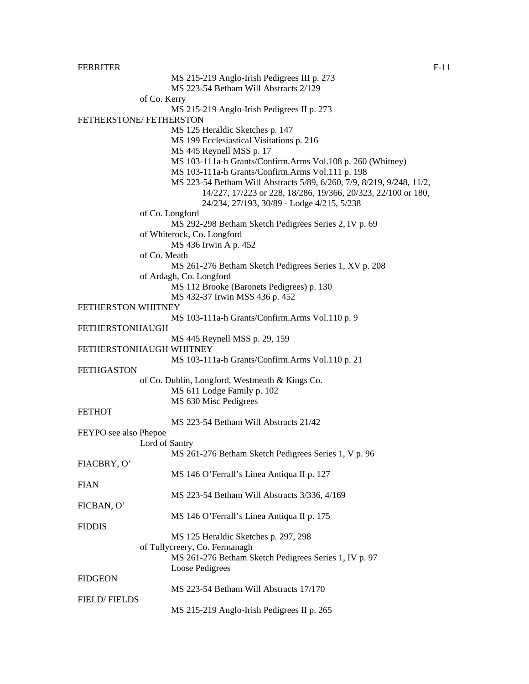FERRITER F-11

of Co. Kerry

MS 215-219 Anglo-Irish Pedigrees III p. 273 MS 223-54 Betham Will Abstracts 2/129 MS 215-219 Anglo-Irish Pedigrees II p. 273 FETHERSTONE/ FETHERSTON MS 125 Heraldic Sketches p. 147 MS 199 Ecclesiastical Visitations p. 216 MS 445 Reynell MSS p. 17 MS 103-111a-h Grants/Confirm.Arms Vol.108 p. 260 (Whitney) MS 103-111a-h Grants/Confirm.Arms Vol.111 p. 198 MS 223-54 Betham Will Abstracts 5/89, 6/260, 7/9, 8/219, 9/248, 11/2, 14/227, 17/223 or 228, 18/286, 19/366, 20/323, 22/100 or 180, 24/234, 27/193, 30/89 - Lodge 4/215, 5/238 of Co. Longford MS 292-298 Betham Sketch Pedigrees Series 2, IV p. 69 of Whiterock, Co. Longford MS 436 Irwin A p. 452 of Co. Meath MS 261-276 Betham Sketch Pedigrees Series 1, XV p. 208 of Ardagh, Co. Longford MS 112 Brooke (Baronets Pedigrees) p. 130 MS 432-37 Irwin MSS 436 p. 452 MS 103-111a-h Grants/Confirm.Arms Vol.110 p. 9 MS 445 Reynell MSS p. 29, 159 FETHERSTONHAUGH WHITNEY MS 103-111a-h Grants/Confirm.Arms Vol.110 p. 21

FETHGASTON of Co. Dublin, Longford, Westmeath & Kings Co. MS 611 Lodge Family p. 102 MS 630 Misc Pedigrees

**FETHOT** 

FETHERSTON WHITNEY

FETHERSTONHAUGH

MS 223-54 Betham Will Abstracts 21/42

| FEYPO see also Phepoe |                                                       |
|-----------------------|-------------------------------------------------------|
| Lord of Santry        |                                                       |
|                       | MS 261-276 Betham Sketch Pedigrees Series 1, V p. 96  |
| FIACBRY, O'           |                                                       |
|                       | MS 146 O'Ferrall's Linea Antiqua II p. 127            |
| <b>FIAN</b>           |                                                       |
|                       | MS 223-54 Betham Will Abstracts 3/336, 4/169          |
| FICBAN, O'            |                                                       |
|                       | MS 146 O'Ferrall's Linea Antiqua II p. 175            |
| <b>FIDDIS</b>         |                                                       |
|                       | MS 125 Heraldic Sketches p. 297, 298                  |
|                       | of Tullycreery, Co. Fermanagh                         |
|                       | MS 261-276 Betham Sketch Pedigrees Series 1, IV p. 97 |
|                       | Loose Pedigrees                                       |
| <b>FIDGEON</b>        |                                                       |
|                       | MS 223-54 Betham Will Abstracts 17/170                |
| <b>FIELD/FIELDS</b>   |                                                       |
|                       | MS 215-219 Anglo-Irish Pedigrees II p. 265            |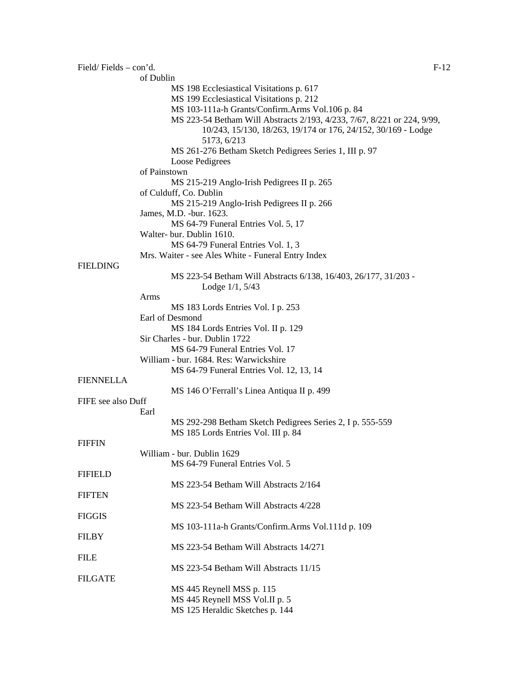| Field/Fields - con'd. | $F-12$                                                                  |
|-----------------------|-------------------------------------------------------------------------|
|                       | of Dublin                                                               |
|                       | MS 198 Ecclesiastical Visitations p. 617                                |
|                       | MS 199 Ecclesiastical Visitations p. 212                                |
|                       | MS 103-111a-h Grants/Confirm.Arms Vol.106 p. 84                         |
|                       | MS 223-54 Betham Will Abstracts 2/193, 4/233, 7/67, 8/221 or 224, 9/99, |
|                       | 10/243, 15/130, 18/263, 19/174 or 176, 24/152, 30/169 - Lodge           |
|                       | 5173, 6/213                                                             |
|                       | MS 261-276 Betham Sketch Pedigrees Series 1, III p. 97                  |
|                       | Loose Pedigrees                                                         |
|                       | of Painstown                                                            |
|                       | MS 215-219 Anglo-Irish Pedigrees II p. 265                              |
|                       | of Culduff, Co. Dublin                                                  |
|                       | MS 215-219 Anglo-Irish Pedigrees II p. 266                              |
|                       | James, M.D. - bur. 1623.                                                |
|                       | MS 64-79 Funeral Entries Vol. 5, 17                                     |
|                       | Walter- bur. Dublin 1610.                                               |
|                       | MS 64-79 Funeral Entries Vol. 1, 3                                      |
|                       |                                                                         |
|                       | Mrs. Waiter - see Ales White - Funeral Entry Index                      |
| <b>FIELDING</b>       |                                                                         |
|                       | MS 223-54 Betham Will Abstracts 6/138, 16/403, 26/177, 31/203 -         |
|                       | Lodge $1/1, 5/43$                                                       |
|                       | Arms                                                                    |
|                       | MS 183 Lords Entries Vol. I p. 253                                      |
|                       | Earl of Desmond                                                         |
|                       | MS 184 Lords Entries Vol. II p. 129                                     |
|                       | Sir Charles - bur. Dublin 1722                                          |
|                       | MS 64-79 Funeral Entries Vol. 17                                        |
|                       | William - bur. 1684. Res: Warwickshire                                  |
|                       | MS 64-79 Funeral Entries Vol. 12, 13, 14                                |
| <b>FIENNELLA</b>      |                                                                         |
|                       | MS 146 O'Ferrall's Linea Antiqua II p. 499                              |
| FIFE see also Duff    |                                                                         |
|                       | Earl                                                                    |
|                       | MS 292-298 Betham Sketch Pedigrees Series 2, I p. 555-559               |
|                       | MS 185 Lords Entries Vol. III p. 84                                     |
| <b>FIFFIN</b>         |                                                                         |
|                       | William - bur. Dublin 1629                                              |
|                       | MS 64-79 Funeral Entries Vol. 5                                         |
| <b>FIFIELD</b>        |                                                                         |
|                       | MS 223-54 Betham Will Abstracts 2/164                                   |
| <b>FIFTEN</b>         |                                                                         |
|                       | MS 223-54 Betham Will Abstracts 4/228                                   |
| <b>FIGGIS</b>         |                                                                         |
|                       | MS 103-111a-h Grants/Confirm.Arms Vol.111d p. 109                       |
| <b>FILBY</b>          |                                                                         |
|                       | MS 223-54 Betham Will Abstracts 14/271                                  |
| <b>FILE</b>           |                                                                         |
|                       | MS 223-54 Betham Will Abstracts 11/15                                   |
| <b>FILGATE</b>        |                                                                         |
|                       | MS 445 Reynell MSS p. 115                                               |
|                       | MS 445 Reynell MSS Vol.II p. 5                                          |
|                       | MS 125 Heraldic Sketches p. 144                                         |
|                       |                                                                         |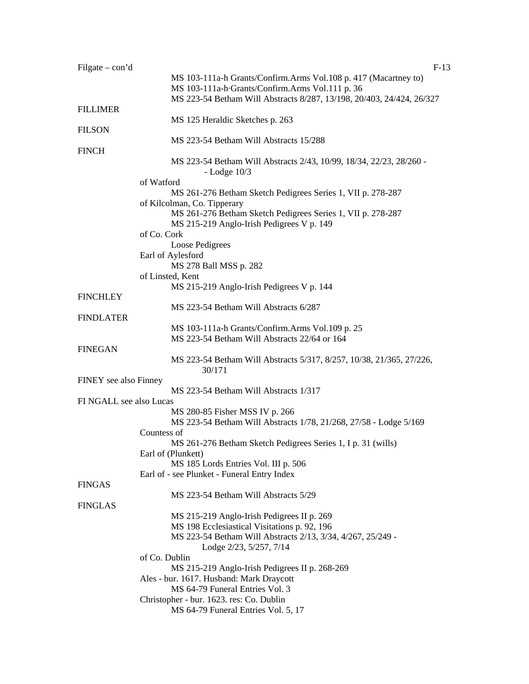| Filgate $-$ con'd       | $F-13$                                                                |  |
|-------------------------|-----------------------------------------------------------------------|--|
|                         | MS 103-111a-h Grants/Confirm.Arms Vol.108 p. 417 (Macartney to)       |  |
|                         | MS 103-111a-h-Grants/Confirm.Arms Vol.111 p. 36                       |  |
|                         | MS 223-54 Betham Will Abstracts 8/287, 13/198, 20/403, 24/424, 26/327 |  |
| <b>FILLIMER</b>         |                                                                       |  |
|                         | MS 125 Heraldic Sketches p. 263                                       |  |
| <b>FILSON</b>           |                                                                       |  |
|                         | MS 223-54 Betham Will Abstracts 15/288                                |  |
|                         |                                                                       |  |
| <b>FINCH</b>            |                                                                       |  |
|                         | MS 223-54 Betham Will Abstracts 2/43, 10/99, 18/34, 22/23, 28/260 -   |  |
|                         | $-Lodge$ 10/3                                                         |  |
|                         | of Watford                                                            |  |
|                         | MS 261-276 Betham Sketch Pedigrees Series 1, VII p. 278-287           |  |
|                         | of Kilcolman, Co. Tipperary                                           |  |
|                         | MS 261-276 Betham Sketch Pedigrees Series 1, VII p. 278-287           |  |
|                         | MS 215-219 Anglo-Irish Pedigrees V p. 149                             |  |
|                         | of Co. Cork                                                           |  |
|                         | Loose Pedigrees                                                       |  |
|                         | Earl of Aylesford                                                     |  |
|                         | MS 278 Ball MSS p. 282                                                |  |
|                         | of Linsted, Kent                                                      |  |
|                         | MS 215-219 Anglo-Irish Pedigrees V p. 144                             |  |
| <b>FINCHLEY</b>         |                                                                       |  |
|                         | MS 223-54 Betham Will Abstracts 6/287                                 |  |
| <b>FINDLATER</b>        |                                                                       |  |
|                         | MS 103-111a-h Grants/Confirm.Arms Vol.109 p. 25                       |  |
|                         | MS 223-54 Betham Will Abstracts 22/64 or 164                          |  |
| <b>FINEGAN</b>          |                                                                       |  |
|                         | MS 223-54 Betham Will Abstracts 5/317, 8/257, 10/38, 21/365, 27/226,  |  |
|                         | 30/171                                                                |  |
|                         |                                                                       |  |
| FINEY see also Finney   | MS 223-54 Betham Will Abstracts 1/317                                 |  |
|                         |                                                                       |  |
| FI NGALL see also Lucas |                                                                       |  |
|                         | MS 280-85 Fisher MSS IV p. 266                                        |  |
|                         | MS 223-54 Betham Will Abstracts 1/78, 21/268, 27/58 - Lodge 5/169     |  |
|                         | Countess of                                                           |  |
|                         | MS 261-276 Betham Sketch Pedigrees Series 1, I p. 31 (wills)          |  |
|                         | Earl of (Plunkett)                                                    |  |
|                         | MS 185 Lords Entries Vol. III p. 506                                  |  |
|                         | Earl of - see Plunket - Funeral Entry Index                           |  |
| <b>FINGAS</b>           |                                                                       |  |
|                         | MS 223-54 Betham Will Abstracts 5/29                                  |  |
| <b>FINGLAS</b>          |                                                                       |  |
|                         | MS 215-219 Anglo-Irish Pedigrees II p. 269                            |  |
|                         | MS 198 Ecclesiastical Visitations p. 92, 196                          |  |
|                         | MS 223-54 Betham Will Abstracts 2/13, 3/34, 4/267, 25/249 -           |  |
|                         | Lodge 2/23, 5/257, 7/14                                               |  |
|                         | of Co. Dublin                                                         |  |
|                         | MS 215-219 Anglo-Irish Pedigrees II p. 268-269                        |  |
|                         | Ales - bur. 1617. Husband: Mark Draycott                              |  |
|                         | MS 64-79 Funeral Entries Vol. 3                                       |  |
|                         |                                                                       |  |
|                         | Christopher - bur. 1623. res: Co. Dublin                              |  |
|                         | MS 64-79 Funeral Entries Vol. 5, 17                                   |  |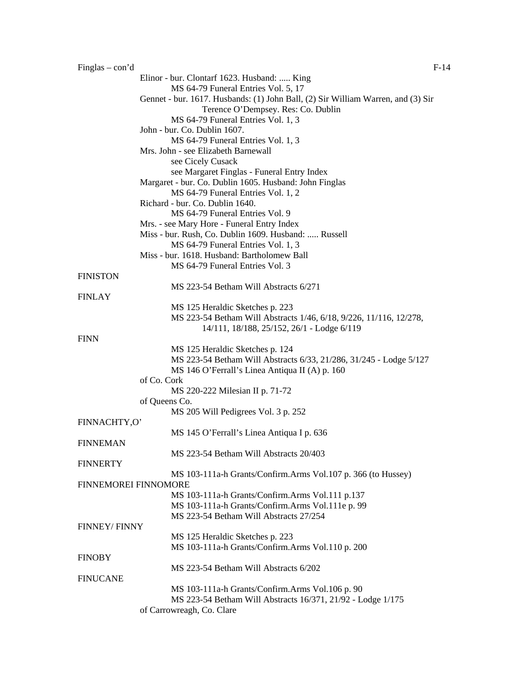| Finglas $-$ con'd           | $F-14$                                                                           |
|-----------------------------|----------------------------------------------------------------------------------|
|                             | Elinor - bur. Clontarf 1623. Husband:  King                                      |
|                             | MS 64-79 Funeral Entries Vol. 5, 17                                              |
|                             | Gennet - bur. 1617. Husbands: (1) John Ball, (2) Sir William Warren, and (3) Sir |
|                             | Terence O'Dempsey. Res: Co. Dublin                                               |
|                             | MS 64-79 Funeral Entries Vol. 1, 3                                               |
|                             | John - bur. Co. Dublin 1607.                                                     |
|                             | MS 64-79 Funeral Entries Vol. 1, 3                                               |
|                             | Mrs. John - see Elizabeth Barnewall                                              |
|                             | see Cicely Cusack                                                                |
|                             | see Margaret Finglas - Funeral Entry Index                                       |
|                             | Margaret - bur. Co. Dublin 1605. Husband: John Finglas                           |
|                             | MS 64-79 Funeral Entries Vol. 1, 2                                               |
|                             | Richard - bur. Co. Dublin 1640.                                                  |
|                             | MS 64-79 Funeral Entries Vol. 9                                                  |
|                             | Mrs. - see Mary Hore - Funeral Entry Index                                       |
|                             | Miss - bur. Rush, Co. Dublin 1609. Husband:  Russell                             |
|                             | MS 64-79 Funeral Entries Vol. 1, 3                                               |
|                             | Miss - bur. 1618. Husband: Bartholomew Ball                                      |
|                             | MS 64-79 Funeral Entries Vol. 3                                                  |
| <b>FINISTON</b>             |                                                                                  |
|                             | MS 223-54 Betham Will Abstracts 6/271                                            |
| <b>FINLAY</b>               |                                                                                  |
|                             | MS 125 Heraldic Sketches p. 223                                                  |
|                             | MS 223-54 Betham Will Abstracts 1/46, 6/18, 9/226, 11/116, 12/278,               |
|                             | 14/111, 18/188, 25/152, 26/1 - Lodge 6/119                                       |
| <b>FINN</b>                 |                                                                                  |
|                             | MS 125 Heraldic Sketches p. 124                                                  |
|                             | MS 223-54 Betham Will Abstracts 6/33, 21/286, 31/245 - Lodge 5/127               |
|                             | MS 146 O'Ferrall's Linea Antiqua II (A) p. 160                                   |
|                             | of Co. Cork                                                                      |
|                             | MS 220-222 Milesian II p. 71-72<br>of Queens Co.                                 |
|                             |                                                                                  |
| FINNACHTY,O'                | MS 205 Will Pedigrees Vol. 3 p. 252                                              |
|                             | MS 145 O'Ferrall's Linea Antiqua I p. 636                                        |
| <b>FINNEMAN</b>             |                                                                                  |
|                             | MS 223-54 Betham Will Abstracts 20/403                                           |
| <b>FINNERTY</b>             |                                                                                  |
|                             | MS 103-111a-h Grants/Confirm.Arms Vol.107 p. 366 (to Hussey)                     |
| <b>FINNEMOREI FINNOMORE</b> |                                                                                  |
|                             | MS 103-111a-h Grants/Confirm.Arms Vol.111 p.137                                  |
|                             | MS 103-111a-h Grants/Confirm.Arms Vol.111e p. 99                                 |
|                             | MS 223-54 Betham Will Abstracts 27/254                                           |
| <b>FINNEY/FINNY</b>         |                                                                                  |
|                             | MS 125 Heraldic Sketches p. 223                                                  |
|                             | MS 103-111a-h Grants/Confirm.Arms Vol.110 p. 200                                 |
| <b>FINOBY</b>               |                                                                                  |
|                             | MS 223-54 Betham Will Abstracts 6/202                                            |
| <b>FINUCANE</b>             |                                                                                  |
|                             | MS 103-111a-h Grants/Confirm.Arms Vol.106 p. 90                                  |
|                             | MS 223-54 Betham Will Abstracts 16/371, 21/92 - Lodge 1/175                      |
|                             | of Carrowreagh, Co. Clare                                                        |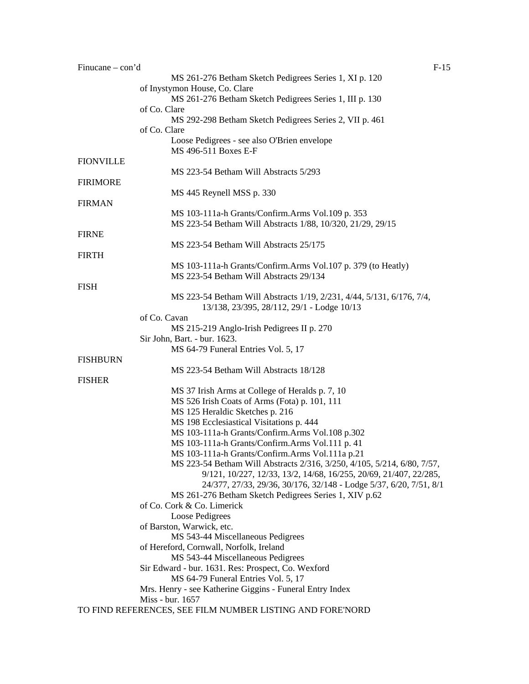| Finucane $-\text{con'}d$ |                                                                         | $F-15$ |
|--------------------------|-------------------------------------------------------------------------|--------|
|                          | MS 261-276 Betham Sketch Pedigrees Series 1, XI p. 120                  |        |
|                          | of Inystymon House, Co. Clare                                           |        |
|                          | MS 261-276 Betham Sketch Pedigrees Series 1, III p. 130                 |        |
|                          | of Co. Clare                                                            |        |
|                          | MS 292-298 Betham Sketch Pedigrees Series 2, VII p. 461                 |        |
|                          | of Co. Clare                                                            |        |
|                          | Loose Pedigrees - see also O'Brien envelope                             |        |
|                          | MS 496-511 Boxes E-F                                                    |        |
| <b>FIONVILLE</b>         |                                                                         |        |
|                          | MS 223-54 Betham Will Abstracts 5/293                                   |        |
| <b>FIRIMORE</b>          |                                                                         |        |
|                          | MS 445 Reynell MSS p. 330                                               |        |
|                          |                                                                         |        |
| <b>FIRMAN</b>            |                                                                         |        |
|                          | MS 103-111a-h Grants/Confirm.Arms Vol.109 p. 353                        |        |
|                          | MS 223-54 Betham Will Abstracts 1/88, 10/320, 21/29, 29/15              |        |
| <b>FIRNE</b>             |                                                                         |        |
|                          | MS 223-54 Betham Will Abstracts 25/175                                  |        |
| <b>FIRTH</b>             |                                                                         |        |
|                          | MS 103-111a-h Grants/Confirm.Arms Vol.107 p. 379 (to Heatly)            |        |
|                          | MS 223-54 Betham Will Abstracts 29/134                                  |        |
| <b>FISH</b>              |                                                                         |        |
|                          | MS 223-54 Betham Will Abstracts 1/19, 2/231, 4/44, 5/131, 6/176, 7/4,   |        |
|                          | 13/138, 23/395, 28/112, 29/1 - Lodge 10/13                              |        |
|                          | of Co. Cavan                                                            |        |
|                          | MS 215-219 Anglo-Irish Pedigrees II p. 270                              |        |
|                          | Sir John, Bart. - bur. 1623.                                            |        |
|                          | MS 64-79 Funeral Entries Vol. 5, 17                                     |        |
| <b>FISHBURN</b>          |                                                                         |        |
|                          | MS 223-54 Betham Will Abstracts 18/128                                  |        |
| <b>FISHER</b>            |                                                                         |        |
|                          | MS 37 Irish Arms at College of Heralds p. 7, 10                         |        |
|                          |                                                                         |        |
|                          | MS 526 Irish Coats of Arms (Fota) p. 101, 111                           |        |
|                          | MS 125 Heraldic Sketches p. 216                                         |        |
|                          | MS 198 Ecclesiastical Visitations p. 444                                |        |
|                          | MS 103-111a-h Grants/Confirm.Arms Vol.108 p.302                         |        |
|                          | MS 103-111a-h Grants/Confirm.Arms Vol.111 p. 41                         |        |
|                          | MS 103-111a-h Grants/Confirm.Arms Vol.111a p.21                         |        |
|                          | MS 223-54 Betham Will Abstracts 2/316, 3/250, 4/105, 5/214, 6/80, 7/57, |        |
|                          | 9/121, 10/227, 12/33, 13/2, 14/68, 16/255, 20/69, 21/407, 22/285,       |        |
|                          | 24/377, 27/33, 29/36, 30/176, 32/148 - Lodge 5/37, 6/20, 7/51, 8/1      |        |
|                          | MS 261-276 Betham Sketch Pedigrees Series 1, XIV p.62                   |        |
|                          | of Co. Cork & Co. Limerick                                              |        |
|                          | Loose Pedigrees                                                         |        |
|                          | of Barston, Warwick, etc.                                               |        |
|                          | MS 543-44 Miscellaneous Pedigrees                                       |        |
|                          | of Hereford, Cornwall, Norfolk, Ireland                                 |        |
|                          | MS 543-44 Miscellaneous Pedigrees                                       |        |
|                          | Sir Edward - bur. 1631. Res: Prospect, Co. Wexford                      |        |
|                          | MS 64-79 Funeral Entries Vol. 5, 17                                     |        |
|                          | Mrs. Henry - see Katherine Giggins - Funeral Entry Index                |        |
|                          | Miss - bur. 1657                                                        |        |
|                          | TO FIND REFERENCES, SEE FILM NUMBER LISTING AND FORE'NORD               |        |
|                          |                                                                         |        |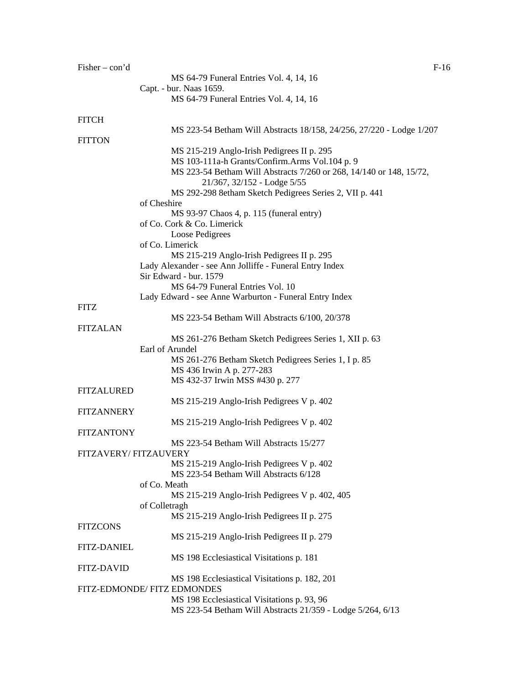| Fisher $-$ con'd     | $F-16$                                                               |
|----------------------|----------------------------------------------------------------------|
|                      | MS 64-79 Funeral Entries Vol. 4, 14, 16                              |
|                      | Capt. - bur. Naas 1659.                                              |
|                      | MS 64-79 Funeral Entries Vol. 4, 14, 16                              |
|                      |                                                                      |
| <b>FITCH</b>         |                                                                      |
|                      | MS 223-54 Betham Will Abstracts 18/158, 24/256, 27/220 - Lodge 1/207 |
| <b>FITTON</b>        |                                                                      |
|                      | MS 215-219 Anglo-Irish Pedigrees II p. 295                           |
|                      | MS 103-111a-h Grants/Confirm.Arms Vol.104 p. 9                       |
|                      | MS 223-54 Betham Will Abstracts 7/260 or 268, 14/140 or 148, 15/72,  |
|                      | 21/367, 32/152 - Lodge 5/55                                          |
|                      | MS 292-298 8etham Sketch Pedigrees Series 2, VII p. 441              |
|                      | of Cheshire                                                          |
|                      | MS 93-97 Chaos 4, p. 115 (funeral entry)                             |
|                      | of Co. Cork & Co. Limerick                                           |
|                      | Loose Pedigrees                                                      |
|                      | of Co. Limerick                                                      |
|                      | MS 215-219 Anglo-Irish Pedigrees II p. 295                           |
|                      | Lady Alexander - see Ann Jolliffe - Funeral Entry Index              |
|                      | Sir Edward - bur. 1579<br>MS 64-79 Funeral Entries Vol. 10           |
|                      | Lady Edward - see Anne Warburton - Funeral Entry Index               |
| <b>FITZ</b>          |                                                                      |
|                      | MS 223-54 Betham Will Abstracts 6/100, 20/378                        |
| <b>FITZALAN</b>      |                                                                      |
|                      | MS 261-276 Betham Sketch Pedigrees Series 1, XII p. 63               |
|                      | Earl of Arundel                                                      |
|                      | MS 261-276 Betham Sketch Pedigrees Series 1, I p. 85                 |
|                      | MS 436 Irwin A p. 277-283                                            |
|                      | MS 432-37 Irwin MSS #430 p. 277                                      |
| <b>FITZALURED</b>    |                                                                      |
|                      | MS 215-219 Anglo-Irish Pedigrees V p. 402                            |
| <b>FITZANNERY</b>    |                                                                      |
|                      | MS 215-219 Anglo-Irish Pedigrees V p. 402                            |
| <b>FITZANTONY</b>    |                                                                      |
|                      | MS 223-54 Betham Will Abstracts 15/277                               |
| FITZAVERY/FITZAUVERY |                                                                      |
|                      | MS 215-219 Anglo-Irish Pedigrees V p. 402                            |
|                      | MS 223-54 Betham Will Abstracts 6/128                                |
|                      | of Co. Meath                                                         |
|                      | MS 215-219 Anglo-Irish Pedigrees V p. 402, 405                       |
|                      | of Colletragh                                                        |
|                      | MS 215-219 Anglo-Irish Pedigrees II p. 275                           |
| <b>FITZCONS</b>      |                                                                      |
|                      | MS 215-219 Anglo-Irish Pedigrees II p. 279                           |
| <b>FITZ-DANIEL</b>   |                                                                      |
|                      | MS 198 Ecclesiastical Visitations p. 181                             |
| <b>FITZ-DAVID</b>    |                                                                      |
|                      | MS 198 Ecclesiastical Visitations p. 182, 201                        |
|                      | FITZ-EDMONDE/ FITZ EDMONDES                                          |
|                      | MS 198 Ecclesiastical Visitations p. 93, 96                          |
|                      | MS 223-54 Betham Will Abstracts 21/359 - Lodge 5/264, 6/13           |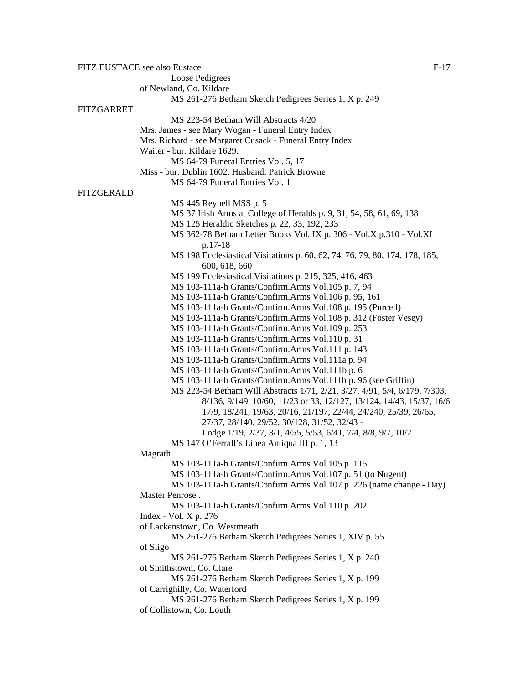FITZ EUSTACE see also Eustace F-17 Loose Pedigrees of Newland, Co. Kildare MS 261-276 Betham Sketch Pedigrees Series 1, X p. 249 FITZGARRET MS 223-54 Betham Will Abstracts 4/20 Mrs. James - see Mary Wogan - Funeral Entry Index Mrs. Richard - see Margaret Cusack - Funeral Entry Index Waiter - bur. Kildare 1629. MS 64-79 Funeral Entries Vol. 5, 17 Miss - bur. Dublin 1602. Husband: Patrick Browne MS 64-79 Funeral Entries Vol. 1 FITZGERALD MS 445 Reynell MSS p. 5 MS 37 Irish Arms at College of Heralds p. 9, 31, 54, 58, 61, 69, 138 MS 125 Heraldic Sketches p. 22, 33, 192, 233 MS 362-78 Betham Letter Books Vol. IX p. 306 - Vol.X p.310 - Vol.XI p.17-18 MS 198 Ecclesiastical Visitations p. 60, 62, 74, 76, 79, 80, 174, 178, 185, 600, 618, 660 MS 199 Ecclesiastical Visitations p. 215, 325, 416, 463 MS 103-111a-h Grants/Confirm.Arms Vol.105 p. 7, 94 MS 103-111a-h Grants/Confirm.Arms Vol.106 p. 95, 161 MS 103-111a-h Grants/Confirm.Arms Vol.108 p. 195 (Purcell) MS 103-111a-h Grants/Confirm.Arms Vol.108 p. 312 (Foster Vesey) MS 103-111a-h Grants/Confirm.Arms Vol.109 p. 253 MS 103-111a-h Grants/Confirm.Arms Vol.110 p. 31 MS 103-111a-h Grants/Confirm.Arms Vol.111 p. 143 MS 103-111a-h Grants/Confirm.Arms Vol.111a p. 94 MS 103-111a-h Grants/Confirm.Arms Vol.111b p. 6 MS 103-111a-h Grants/Confirm.Arms Vol.111b p. 96 (see Griffin) MS 223-54 Betham Will Abstracts 1/71, 2/21, 3/27, 4/91, 5/4, 6/179, 7/303, 8/136, 9/149, 10/60, 11/23 or 33, 12/127, 13/124, 14/43, 15/37, 16/6 17/9, 18/241, 19/63, 20/16, 21/197, 22/44, 24/240, 25/39, 26/65, 27/37, 28/140, 29/52, 30/128, 31/52, 32/43 - Lodge 1/19, 2/37, 3/1, 4/55, 5/53, 6/41, 7/4, 8/8, 9/7, 10/2 MS 147 O'Ferrall's Linea Antiqua III p. 1, 13 Magrath MS 103-111a-h Grants/Confirm.Arms Vol.105 p. 115 MS 103-111a-h Grants/Confirm.Arms Vol.107 p. 51 (to Nugent) MS 103-111a-h Grants/Confirm.Arms Vol.107 p. 226 (name change - Day) Master Penrose . MS 103-111a-h Grants/Confirm.Arms Vol.110 p. 202 Index - Vol. X p. 276 of Lackenstown, Co. Westmeath MS 261-276 Betham Sketch Pedigrees Series 1, XIV p. 55 of Sligo MS 261-276 Betham Sketch Pedigrees Series 1, X p. 240 of Smithstown, Co. Clare MS 261-276 Betham Sketch Pedigrees Series 1, X p. 199 of Carrighilly, Co. Waterford MS 261-276 Betham Sketch Pedigrees Series 1, X p. 199 of Collistown, Co. Louth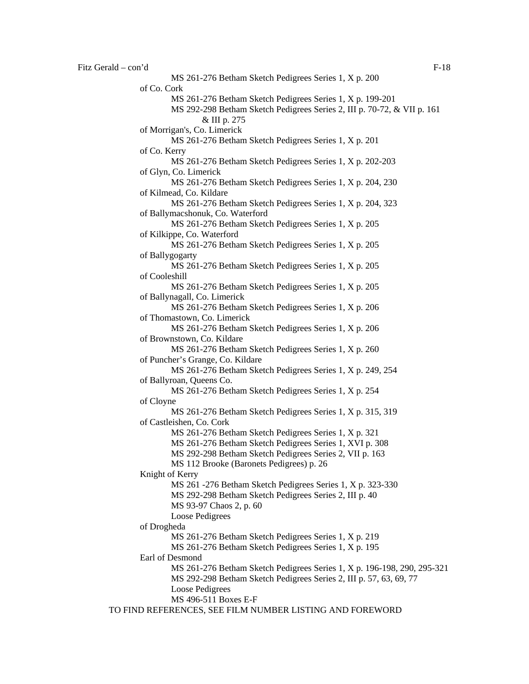Fitz Gerald – con'd F-18 MS 261-276 Betham Sketch Pedigrees Series 1, X p. 200 of Co. Cork MS 261-276 Betham Sketch Pedigrees Series 1, X p. 199-201 MS 292-298 Betham Sketch Pedigrees Series 2, III p. 70-72, & VII p. 161 & III p. 275 of Morrigan's, Co. Limerick MS 261-276 Betham Sketch Pedigrees Series 1, X p. 201 of Co. Kerry MS 261-276 Betham Sketch Pedigrees Series 1, X p. 202-203 of Glyn, Co. Limerick MS 261-276 Betham Sketch Pedigrees Series 1, X p. 204, 230 of Kilmead, Co. Kildare MS 261-276 Betham Sketch Pedigrees Series 1, X p. 204, 323 of Ballymacshonuk, Co. Waterford MS 261-276 Betham Sketch Pedigrees Series 1, X p. 205 of Kilkippe, Co. Waterford MS 261-276 Betham Sketch Pedigrees Series 1, X p. 205 of Ballygogarty MS 261-276 Betham Sketch Pedigrees Series 1, X p. 205 of Cooleshill MS 261-276 Betham Sketch Pedigrees Series 1, X p. 205 of Ballynagall, Co. Limerick MS 261-276 Betham Sketch Pedigrees Series 1, X p. 206 of Thomastown, Co. Limerick MS 261-276 Betham Sketch Pedigrees Series 1, X p. 206 of Brownstown, Co. Kildare MS 261-276 Betham Sketch Pedigrees Series 1, X p. 260 of Puncher's Grange, Co. Kildare MS 261-276 Betham Sketch Pedigrees Series 1, X p. 249, 254 of Ballyroan, Queens Co. MS 261-276 Betham Sketch Pedigrees Series 1, X p. 254 of Cloyne MS 261-276 Betham Sketch Pedigrees Series 1, X p. 315, 319 of Castleishen, Co. Cork MS 261-276 Betham Sketch Pedigrees Series 1, X p. 321 MS 261-276 Betham Sketch Pedigrees Series 1, XVI p. 308 MS 292-298 Betham Sketch Pedigrees Series 2, VII p. 163 MS 112 Brooke (Baronets Pedigrees) p. 26 Knight of Kerry MS 261 -276 Betham Sketch Pedigrees Series 1, X p. 323-330 MS 292-298 Betham Sketch Pedigrees Series 2, III p. 40 MS 93-97 Chaos 2, p. 60 Loose Pedigrees of Drogheda MS 261-276 Betham Sketch Pedigrees Series 1, X p. 219 MS 261-276 Betham Sketch Pedigrees Series 1, X p. 195 Earl of Desmond MS 261-276 Betham Sketch Pedigrees Series 1, X p. 196-198, 290, 295-321 MS 292-298 Betham Sketch Pedigrees Series 2, III p. 57, 63, 69, 77 Loose Pedigrees MS 496-511 Boxes E-F TO FIND REFERENCES, SEE FILM NUMBER LISTING AND FOREWORD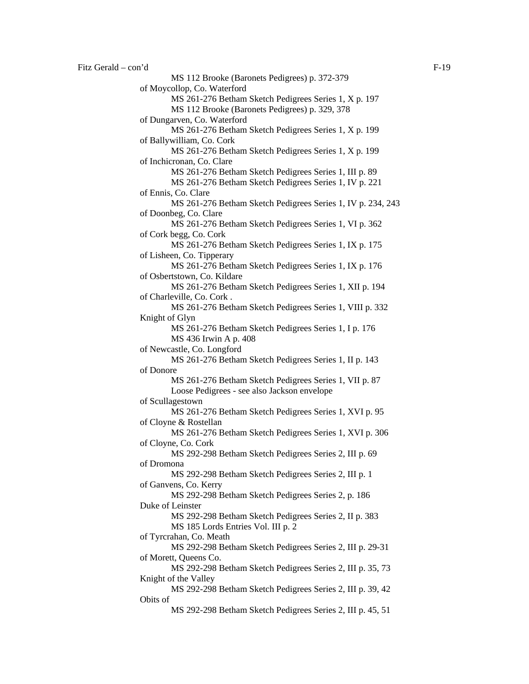MS 112 Brooke (Baronets Pedigrees) p. 372-379 of Moycollop, Co. Waterford MS 261-276 Betham Sketch Pedigrees Series 1, X p. 197 MS 112 Brooke (Baronets Pedigrees) p. 329, 378 of Dungarven, Co. Waterford MS 261-276 Betham Sketch Pedigrees Series 1, X p. 199 of Ballywilliam, Co. Cork MS 261-276 Betham Sketch Pedigrees Series 1, X p. 199 of Inchicronan, Co. Clare MS 261-276 Betham Sketch Pedigrees Series 1, III p. 89 MS 261-276 Betham Sketch Pedigrees Series 1, IV p. 221 of Ennis, Co. Clare MS 261-276 Betham Sketch Pedigrees Series 1, IV p. 234, 243 of Doonbeg, Co. Clare MS 261-276 Betham Sketch Pedigrees Series 1, VI p. 362 of Cork begg, Co. Cork MS 261-276 Betham Sketch Pedigrees Series 1, IX p. 175 of Lisheen, Co. Tipperary MS 261-276 Betham Sketch Pedigrees Series 1, IX p. 176 of Osbertstown, Co. Kildare MS 261-276 Betham Sketch Pedigrees Series 1, XII p. 194 of Charleville, Co. Cork . MS 261-276 Betham Sketch Pedigrees Series 1, VIII p. 332 Knight of Glyn MS 261-276 Betham Sketch Pedigrees Series 1, I p. 176 MS 436 Irwin A p. 408 of Newcastle, Co. Longford MS 261-276 Betham Sketch Pedigrees Series 1, II p. 143 of Donore MS 261-276 Betham Sketch Pedigrees Series 1, VII p. 87 Loose Pedigrees - see also Jackson envelope of Scullagestown MS 261-276 Betham Sketch Pedigrees Series 1, XVI p. 95 of Cloyne & Rostellan MS 261-276 Betham Sketch Pedigrees Series 1, XVI p. 306 of Cloyne, Co. Cork MS 292-298 Betham Sketch Pedigrees Series 2, III p. 69 of Dromona MS 292-298 Betham Sketch Pedigrees Series 2, III p. 1 of Ganvens, Co. Kerry MS 292-298 Betham Sketch Pedigrees Series 2, p. 186 Duke of Leinster MS 292-298 Betham Sketch Pedigrees Series 2, II p. 383 MS 185 Lords Entries Vol. III p. 2 of Tyrcrahan, Co. Meath MS 292-298 Betham Sketch Pedigrees Series 2, III p. 29-31 of Morett, Queens Co. MS 292-298 Betham Sketch Pedigrees Series 2, III p. 35, 73 Knight of the Valley MS 292-298 Betham Sketch Pedigrees Series 2, III p. 39, 42 Obits of MS 292-298 Betham Sketch Pedigrees Series 2, III p. 45, 51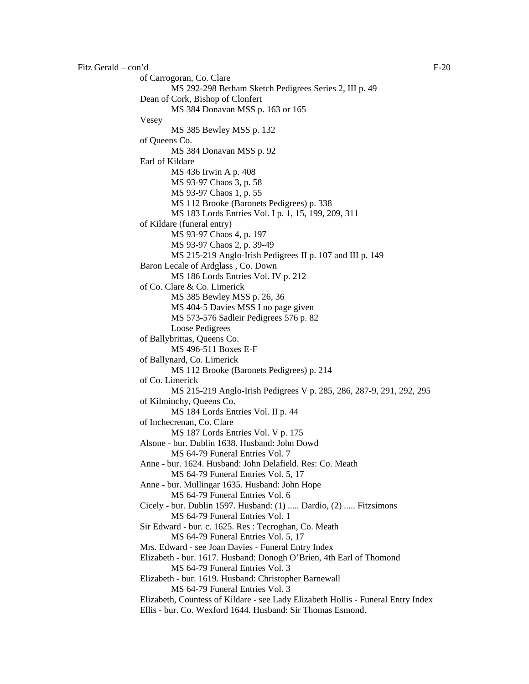```
Fitz Gerald – con'd F-20
   of Carrogoran, Co. Clare 
            MS 292-298 Betham Sketch Pedigrees Series 2, III p. 49 
   Dean of Cork, Bishop of Clonfert 
            MS 384 Donavan MSS p. 163 or 165 
   Vesey 
            MS 385 Bewley MSS p. 132 
   of Queens Co. 
            MS 384 Donavan MSS p. 92 
   Earl of Kildare 
           MS 436 Irwin A p. 408 
            MS 93-97 Chaos 3, p. 58 
            MS 93-97 Chaos 1, p. 55 
            MS 112 Brooke (Baronets Pedigrees) p. 338 
            MS 183 Lords Entries Vol. I p. 1, 15, 199, 209, 311 
   of Kildare (funeral entry) 
            MS 93-97 Chaos 4, p. 197 
            MS 93-97 Chaos 2, p. 39-49 
            MS 215-219 Anglo-Irish Pedigrees II p. 107 and III p. 149 
   Baron Lecale of Ardglass , Co. Down 
            MS 186 Lords Entries Vol. IV p. 212 
   of Co. Clare & Co. Limerick 
            MS 385 Bewley MSS p. 26, 36 
            MS 404-5 Davies MSS I no page given 
            MS 573-576 Sadleir Pedigrees 576 p. 82 
            Loose Pedigrees 
   of Ballybrittas, Queens Co. 
            MS 496-511 Boxes E-F 
   of Ballynard, Co. Limerick 
            MS 112 Brooke (Baronets Pedigrees) p. 214 
   of Co. Limerick 
            MS 215-219 Anglo-Irish Pedigrees V p. 285, 286, 287-9, 291, 292, 295 
   of Kilminchy, Queens Co. 
            MS 184 Lords Entries Vol. II p. 44 
   of Inchecrenan, Co. Clare 
            MS 187 Lords Entries Vol. V p. 175 
   Alsone - bur. Dublin 1638. Husband: John Dowd 
            MS 64-79 Funeral Entries Vol. 7 
   Anne - bur. 1624. Husband: John Delafield. Res: Co. Meath 
            MS 64-79 Funeral Entries Vol. 5, 17 
   Anne - bur. Mullingar 1635. Husband: John Hope 
            MS 64-79 Funeral Entries Vol. 6 
   Cicely - bur. Dublin 1597. Husband: (1) ..... Dardio, (2) ..... Fitzsimons 
            MS 64-79 Funeral Entries Vol. 1 
   Sir Edward - bur. c. 1625. Res : Tecroghan, Co. Meath 
            MS 64-79 Funeral Entries Vol. 5, 17 
   Mrs. Edward - see Joan Davies - Funeral Entry Index 
   Elizabeth - bur. 1617. Husband: Donogh O'Brien, 4th Earl of Thomond 
            MS 64-79 Funeral Entries Vol. 3 
   Elizabeth - bur. 1619. Husband: Christopher Barnewall 
            MS 64-79 Funeral Entries Vol. 3 
   Elizabeth, Countess of Kildare - see Lady Elizabeth Hollis - Funeral Entry Index 
   Ellis - bur. Co. Wexford 1644. Husband: Sir Thomas Esmond.
```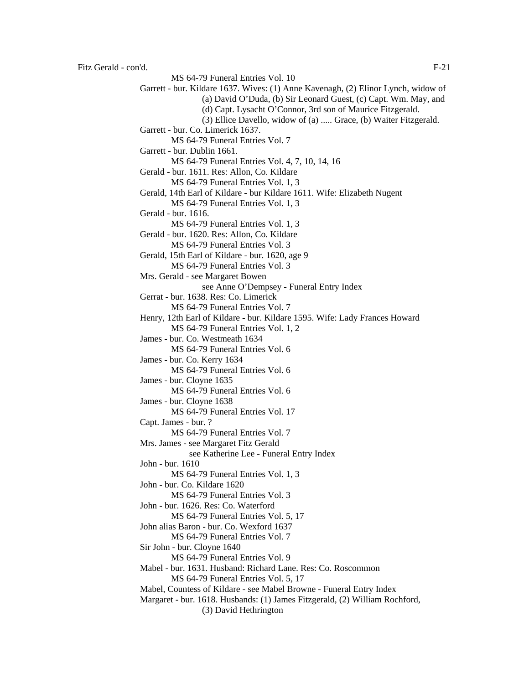MS 64-79 Funeral Entries Vol. 10 Garrett - bur. Kildare 1637. Wives: (1) Anne Kavenagh, (2) Elinor Lynch, widow of (a) David O'Duda, (b) Sir Leonard Guest, (c) Capt. Wm. May, and (d) Capt. Lysacht O'Connor, 3rd son of Maurice Fitzgerald. (3) Ellice Davello, widow of (a) ..... Grace, (b) Waiter Fitzgerald. Garrett - bur. Co. Limerick 1637. MS 64-79 Funeral Entries Vol. 7 Garrett - bur. Dublin 1661. MS 64-79 Funeral Entries Vol. 4, 7, 10, 14, 16 Gerald - bur. 1611. Res: Allon, Co. Kildare MS 64-79 Funeral Entries Vol. 1, 3 Gerald, 14th Earl of Kildare - bur Kildare 1611. Wife: Elizabeth Nugent MS 64-79 Funeral Entries Vol. 1, 3 Gerald - bur. 1616. MS 64-79 Funeral Entries Vol. 1, 3 Gerald - bur. 1620. Res: Allon, Co. Kildare MS 64-79 Funeral Entries Vol. 3 Gerald, 15th Earl of Kildare - bur. 1620, age 9 MS 64-79 Funeral Entries Vol. 3 Mrs. Gerald - see Margaret Bowen see Anne O'Dempsey - Funeral Entry Index Gerrat - bur. 1638. Res: Co. Limerick MS 64-79 Funeral Entries Vol. 7 Henry, 12th Earl of Kildare - bur. Kildare 1595. Wife: Lady Frances Howard MS 64-79 Funeral Entries Vol. 1, 2 James - bur. Co. Westmeath 1634 MS 64-79 Funeral Entries Vol. 6 James - bur. Co. Kerry 1634 MS 64-79 Funeral Entries Vol. 6 James - bur. Cloyne 1635 MS 64-79 Funeral Entries Vol. 6 James - bur. Cloyne 1638 MS 64-79 Funeral Entries Vol. 17 Capt. James - bur. ? MS 64-79 Funeral Entries Vol. 7 Mrs. James - see Margaret Fitz Gerald see Katherine Lee - Funeral Entry Index John - bur. 1610 MS 64-79 Funeral Entries Vol. 1, 3 John - bur. Co. Kildare 1620 MS 64-79 Funeral Entries Vol. 3 John - bur. 1626. Res: Co. Waterford MS 64-79 Funeral Entries Vol. 5, 17 John alias Baron - bur. Co. Wexford 1637 MS 64-79 Funeral Entries Vol. 7 Sir John - bur. Cloyne 1640 MS 64-79 Funeral Entries Vol. 9 Mabel - bur. 1631. Husband: Richard Lane. Res: Co. Roscommon MS 64-79 Funeral Entries Vol. 5, 17 Mabel, Countess of Kildare - see Mabel Browne - Funeral Entry Index Margaret - bur. 1618. Husbands: (1) James Fitzgerald, (2) William Rochford, (3) David Hethrington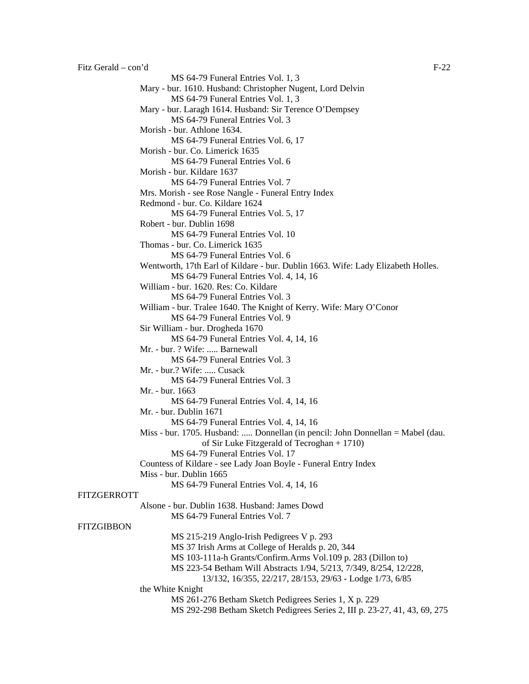MS 64-79 Funeral Entries Vol. 1, 3 Mary - bur. 1610. Husband: Christopher Nugent, Lord Delvin MS 64-79 Funeral Entries Vol. 1, 3 Mary - bur. Laragh 1614. Husband: Sir Terence O'Dempsey MS 64-79 Funeral Entries Vol. 3 Morish - bur. Athlone 1634. MS 64-79 Funeral Entries Vol. 6, 17 Morish - bur. Co. Limerick 1635 MS 64-79 Funeral Entries Vol. 6 Morish - bur. Kildare 1637 MS 64-79 Funeral Entries Vol. 7 Mrs. Morish - see Rose Nangle - Funeral Entry Index Redmond - bur. Co. Kildare 1624 MS 64-79 Funeral Entries Vol. 5, 17 Robert - bur. Dublin 1698 MS 64-79 Funeral Entries Vol. 10 Thomas - bur. Co. Limerick 1635 MS 64-79 Funeral Entries Vol. 6 Wentworth, 17th Earl of Kildare - bur. Dublin 1663. Wife: Lady Elizabeth Holles. MS 64-79 Funeral Entries Vol. 4, 14, 16 William - bur. 1620. Res: Co. Kildare MS 64-79 Funeral Entries Vol. 3 William - bur. Tralee 1640. The Knight of Kerry. Wife: Mary O'Conor MS 64-79 Funeral Entries Vol. 9 Sir William - bur. Drogheda 1670 MS 64-79 Funeral Entries Vol. 4, 14, 16 Mr. - bur. ? Wife: ..... Barnewall MS 64-79 Funeral Entries Vol. 3 Mr. - bur.? Wife: ..... Cusack MS 64-79 Funeral Entries Vol. 3 Mr. - bur. 1663 MS 64-79 Funeral Entries Vol. 4, 14, 16 Mr. - bur. Dublin 1671 MS 64-79 Funeral Entries Vol. 4, 14, 16 Miss - bur. 1705. Husband: ..... Donnellan (in pencil: John Donnellan = Mabel (dau. of Sir Luke Fitzgerald of Tecroghan + 1710) MS 64-79 Funeral Entries Vol. 17 Countess of Kildare - see Lady Joan Boyle - Funeral Entry Index Miss - bur. Dublin 1665 MS 64-79 Funeral Entries Vol. 4, 14, 16 FITZGERROTT Alsone - bur. Dublin 1638. Husband: James Dowd MS 64-79 Funeral Entries Vol. 7 **FITZGIBBON** MS 215-219 Anglo-Irish Pedigrees V p. 293 MS 37 Irish Arms at College of Heralds p. 20, 344 MS 103-111a-h Grants/Confirm.Arms Vol.109 p. 283 (Dillon to) MS 223-54 Betham Will Abstracts 1/94, 5/213, 7/349, 8/254, 12/228, 13/132, 16/355, 22/217, 28/153, 29/63 - Lodge 1/73, 6/85 the White Knight MS 261-276 Betham Sketch Pedigrees Series 1, X p. 229 MS 292-298 Betham Sketch Pedigrees Series 2, III p. 23-27, 41, 43, 69, 275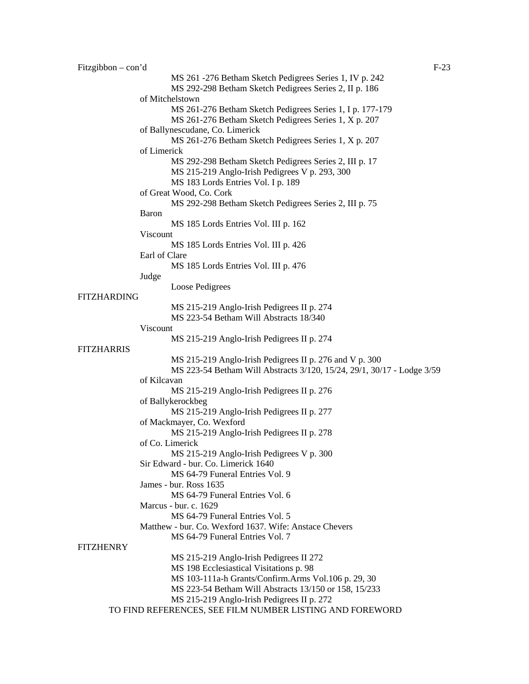| Fitzgibbon $-$ con'd | $F-23$                                                                 |  |
|----------------------|------------------------------------------------------------------------|--|
|                      | MS 261 - 276 Betham Sketch Pedigrees Series 1, IV p. 242               |  |
|                      | MS 292-298 Betham Sketch Pedigrees Series 2, II p. 186                 |  |
|                      | of Mitchelstown                                                        |  |
|                      | MS 261-276 Betham Sketch Pedigrees Series 1, I p. 177-179              |  |
|                      | MS 261-276 Betham Sketch Pedigrees Series 1, X p. 207                  |  |
|                      | of Ballynescudane, Co. Limerick                                        |  |
|                      | MS 261-276 Betham Sketch Pedigrees Series 1, X p. 207                  |  |
|                      | of Limerick                                                            |  |
|                      | MS 292-298 Betham Sketch Pedigrees Series 2, III p. 17                 |  |
|                      | MS 215-219 Anglo-Irish Pedigrees V p. 293, 300                         |  |
|                      | MS 183 Lords Entries Vol. I p. 189                                     |  |
|                      | of Great Wood, Co. Cork                                                |  |
|                      | MS 292-298 Betham Sketch Pedigrees Series 2, III p. 75                 |  |
|                      | <b>Baron</b>                                                           |  |
|                      | MS 185 Lords Entries Vol. III p. 162                                   |  |
|                      | Viscount                                                               |  |
|                      | MS 185 Lords Entries Vol. III p. 426                                   |  |
|                      | Earl of Clare                                                          |  |
|                      | MS 185 Lords Entries Vol. III p. 476                                   |  |
|                      | Judge                                                                  |  |
|                      | Loose Pedigrees                                                        |  |
| <b>FITZHARDING</b>   |                                                                        |  |
|                      | MS 215-219 Anglo-Irish Pedigrees II p. 274                             |  |
|                      | MS 223-54 Betham Will Abstracts 18/340                                 |  |
|                      | Viscount                                                               |  |
|                      | MS 215-219 Anglo-Irish Pedigrees II p. 274                             |  |
| <b>FITZHARRIS</b>    |                                                                        |  |
|                      | MS 215-219 Anglo-Irish Pedigrees II p. 276 and V p. 300                |  |
|                      | MS 223-54 Betham Will Abstracts 3/120, 15/24, 29/1, 30/17 - Lodge 3/59 |  |
|                      | of Kilcavan                                                            |  |
|                      | MS 215-219 Anglo-Irish Pedigrees II p. 276                             |  |
|                      | of Ballykerockbeg                                                      |  |
|                      | MS 215-219 Anglo-Irish Pedigrees II p. 277                             |  |
|                      | of Mackmayer, Co. Wexford                                              |  |
|                      | MS 215-219 Anglo-Irish Pedigrees II p. 278                             |  |
|                      | of Co. Limerick                                                        |  |
|                      | MS 215-219 Anglo-Irish Pedigrees V p. 300                              |  |
|                      | Sir Edward - bur. Co. Limerick 1640                                    |  |
|                      | MS 64-79 Funeral Entries Vol. 9                                        |  |
|                      | James - bur. Ross 1635                                                 |  |
|                      | MS 64-79 Funeral Entries Vol. 6                                        |  |
|                      | Marcus - bur. c. 1629                                                  |  |
|                      | MS 64-79 Funeral Entries Vol. 5                                        |  |
|                      | Matthew - bur. Co. Wexford 1637. Wife: Anstace Chevers                 |  |
|                      | MS 64-79 Funeral Entries Vol. 7                                        |  |
| <b>FITZHENRY</b>     |                                                                        |  |
|                      | MS 215-219 Anglo-Irish Pedigrees II 272                                |  |
|                      | MS 198 Ecclesiastical Visitations p. 98                                |  |
|                      | MS 103-111a-h Grants/Confirm.Arms Vol.106 p. 29, 30                    |  |
|                      | MS 223-54 Betham Will Abstracts 13/150 or 158, 15/233                  |  |
|                      | MS 215-219 Anglo-Irish Pedigrees II p. 272                             |  |
|                      | TO FIND REFERENCES, SEE FILM NUMBER LISTING AND FOREWORD               |  |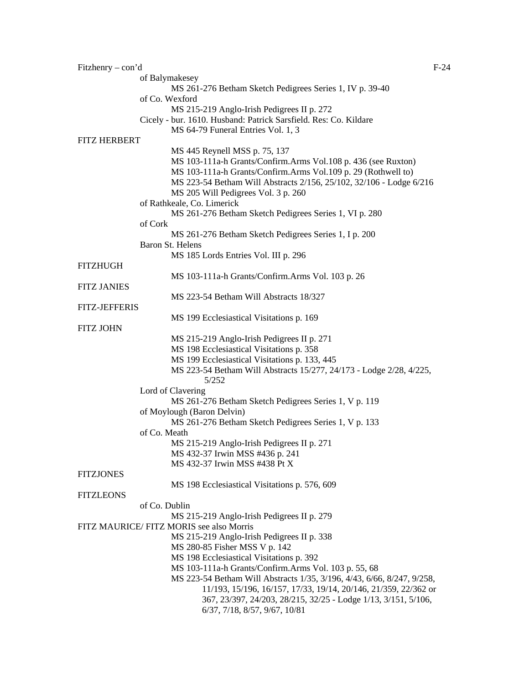| Fitzhenry $-$ con'd  |                                                                              | $F-24$ |
|----------------------|------------------------------------------------------------------------------|--------|
|                      | of Balymakesey                                                               |        |
|                      | MS 261-276 Betham Sketch Pedigrees Series 1, IV p. 39-40                     |        |
|                      | of Co. Wexford                                                               |        |
|                      | MS 215-219 Anglo-Irish Pedigrees II p. 272                                   |        |
|                      | Cicely - bur. 1610. Husband: Patrick Sarsfield. Res: Co. Kildare             |        |
|                      | MS 64-79 Funeral Entries Vol. 1, 3                                           |        |
| <b>FITZ HERBERT</b>  |                                                                              |        |
|                      | MS 445 Reynell MSS p. 75, 137                                                |        |
|                      | MS 103-111a-h Grants/Confirm.Arms Vol.108 p. 436 (see Ruxton)                |        |
|                      | MS 103-111a-h Grants/Confirm.Arms Vol.109 p. 29 (Rothwell to)                |        |
|                      | MS 223-54 Betham Will Abstracts 2/156, 25/102, 32/106 - Lodge 6/216          |        |
|                      | MS 205 Will Pedigrees Vol. 3 p. 260                                          |        |
|                      | of Rathkeale, Co. Limerick                                                   |        |
|                      | MS 261-276 Betham Sketch Pedigrees Series 1, VI p. 280                       |        |
|                      | of Cork                                                                      |        |
|                      | MS 261-276 Betham Sketch Pedigrees Series 1, I p. 200                        |        |
|                      | Baron St. Helens                                                             |        |
|                      | MS 185 Lords Entries Vol. III p. 296                                         |        |
| <b>FITZHUGH</b>      |                                                                              |        |
|                      | MS 103-111a-h Grants/Confirm.Arms Vol. 103 p. 26                             |        |
| <b>FITZ JANIES</b>   |                                                                              |        |
|                      | MS 223-54 Betham Will Abstracts 18/327                                       |        |
| <b>FITZ-JEFFERIS</b> |                                                                              |        |
|                      | MS 199 Ecclesiastical Visitations p. 169                                     |        |
| <b>FITZ JOHN</b>     |                                                                              |        |
|                      | MS 215-219 Anglo-Irish Pedigrees II p. 271                                   |        |
|                      | MS 198 Ecclesiastical Visitations p. 358                                     |        |
|                      | MS 199 Ecclesiastical Visitations p. 133, 445                                |        |
|                      | MS 223-54 Betham Will Abstracts 15/277, 24/173 - Lodge 2/28, 4/225,<br>5/252 |        |
|                      | Lord of Clavering                                                            |        |
|                      | MS 261-276 Betham Sketch Pedigrees Series 1, V p. 119                        |        |
|                      | of Moylough (Baron Delvin)                                                   |        |
|                      | MS 261-276 Betham Sketch Pedigrees Series 1, V p. 133                        |        |
|                      | of Co. Meath                                                                 |        |
|                      | MS 215-219 Anglo-Irish Pedigrees II p. 271                                   |        |
|                      | MS 432-37 Irwin MSS #436 p. 241                                              |        |
|                      | MS 432-37 Irwin MSS #438 Pt X                                                |        |
| <b>FITZJONES</b>     |                                                                              |        |
|                      | MS 198 Ecclesiastical Visitations p. 576, 609                                |        |
| <b>FITZLEONS</b>     |                                                                              |        |
|                      | of Co. Dublin                                                                |        |
|                      | MS 215-219 Anglo-Irish Pedigrees II p. 279                                   |        |
|                      | FITZ MAURICE/ FITZ MORIS see also Morris                                     |        |
|                      | MS 215-219 Anglo-Irish Pedigrees II p. 338                                   |        |
|                      | MS 280-85 Fisher MSS V p. 142                                                |        |
|                      | MS 198 Ecclesiastical Visitations p. 392                                     |        |
|                      | MS 103-111a-h Grants/Confirm.Arms Vol. 103 p. 55, 68                         |        |
|                      | MS 223-54 Betham Will Abstracts 1/35, 3/196, 4/43, 6/66, 8/247, 9/258,       |        |
|                      | 11/193, 15/196, 16/157, 17/33, 19/14, 20/146, 21/359, 22/362 or              |        |
|                      | 367, 23/397, 24/203, 28/215, 32/25 - Lodge 1/13, 3/151, 5/106,               |        |
|                      | 6/37, 7/18, 8/57, 9/67, 10/81                                                |        |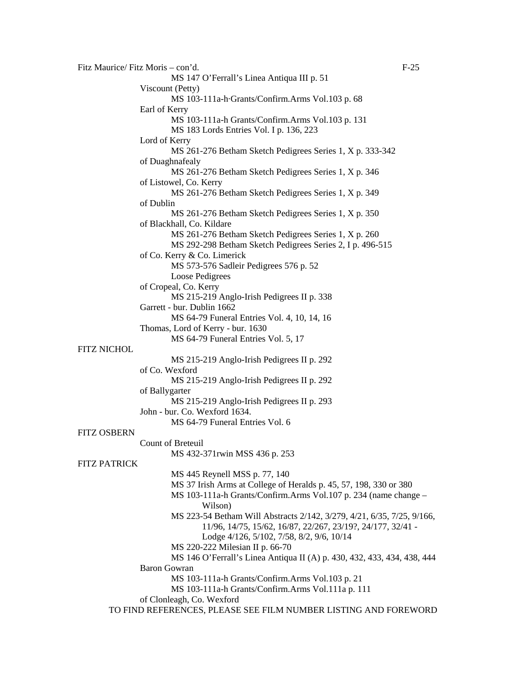Fitz Maurice/ Fitz Moris – con'd. F-25 MS 147 O'Ferrall's Linea Antiqua III p. 51 Viscount (Petty) MS 103-111a-h·Grants/Confirm.Arms Vol.103 p. 68 Earl of Kerry MS 103-111a-h Grants/Confirm.Arms Vol.103 p. 131 MS 183 Lords Entries Vol. I p. 136, 223 Lord of Kerry MS 261-276 Betham Sketch Pedigrees Series 1, X p. 333-342 of Duaghnafealy MS 261-276 Betham Sketch Pedigrees Series 1, X p. 346 of Listowel, Co. Kerry MS 261-276 Betham Sketch Pedigrees Series 1, X p. 349 of Dublin MS 261-276 Betham Sketch Pedigrees Series 1, X p. 350 of Blackhall, Co. Kildare MS 261-276 Betham Sketch Pedigrees Series 1, X p. 260 MS 292-298 Betham Sketch Pedigrees Series 2, I p. 496-515 of Co. Kerry & Co. Limerick MS 573-576 Sadleir Pedigrees 576 p. 52 Loose Pedigrees of Cropeal, Co. Kerry MS 215-219 Anglo-Irish Pedigrees II p. 338 Garrett - bur. Dublin 1662 MS 64-79 Funeral Entries Vol. 4, 10, 14, 16 Thomas, Lord of Kerry - bur. 1630 MS 64-79 Funeral Entries Vol. 5, 17 FITZ NICHOL MS 215-219 Anglo-Irish Pedigrees II p. 292 of Co. Wexford MS 215-219 Anglo-Irish Pedigrees II p. 292 of Ballygarter MS 215-219 Anglo-Irish Pedigrees II p. 293 John - bur. Co. Wexford 1634. MS 64-79 Funeral Entries Vol. 6 FITZ OSBERN Count of Breteuil MS 432-371rwin MSS 436 p. 253 FITZ PATRICK MS 445 Reynell MSS p. 77, 140 MS 37 Irish Arms at College of Heralds p. 45, 57, 198, 330 or 380 MS 103-111a-h Grants/Confirm.Arms Vol.107 p. 234 (name change – Wilson) MS 223-54 Betham Will Abstracts 2/142, 3/279, 4/21, 6/35, 7/25, 9/166, 11/96, 14/75, 15/62, 16/87, 22/267, 23/19?, 24/177, 32/41 - Lodge 4/126, 5/102, 7/58, 8/2, 9/6, 10/14 MS 220-222 Milesian II p. 66-70 MS 146 O'Ferrall's Linea Antiqua II (A) p. 430, 432, 433, 434, 438, 444 Baron Gowran MS 103-111a-h Grants/Confirm.Arms Vol.103 p. 21 MS 103-111a-h Grants/Confirm.Arms Vol.111a p. 111 of Clonleagh, Co. Wexford TO FIND REFERENCES, PLEASE SEE FILM NUMBER LISTING AND FOREWORD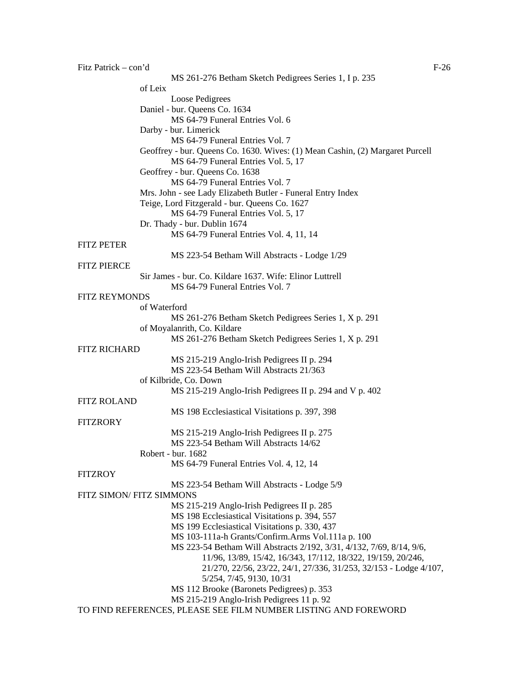| Fitz Patrick – con'd<br>$F-26$ |                                                                                      |  |
|--------------------------------|--------------------------------------------------------------------------------------|--|
|                                | MS 261-276 Betham Sketch Pedigrees Series 1, I p. 235                                |  |
|                                | of Leix                                                                              |  |
|                                | Loose Pedigrees                                                                      |  |
|                                | Daniel - bur. Queens Co. 1634                                                        |  |
|                                | MS 64-79 Funeral Entries Vol. 6                                                      |  |
|                                | Darby - bur. Limerick                                                                |  |
|                                | MS 64-79 Funeral Entries Vol. 7                                                      |  |
|                                | Geoffrey - bur. Queens Co. 1630. Wives: (1) Mean Cashin, (2) Margaret Purcell        |  |
|                                | MS 64-79 Funeral Entries Vol. 5, 17                                                  |  |
|                                | Geoffrey - bur. Queens Co. 1638                                                      |  |
|                                | MS 64-79 Funeral Entries Vol. 7                                                      |  |
|                                | Mrs. John - see Lady Elizabeth Butler - Funeral Entry Index                          |  |
|                                | Teige, Lord Fitzgerald - bur. Queens Co. 1627<br>MS 64-79 Funeral Entries Vol. 5, 17 |  |
|                                | Dr. Thady - bur. Dublin 1674                                                         |  |
|                                | MS 64-79 Funeral Entries Vol. 4, 11, 14                                              |  |
| <b>FITZ PETER</b>              |                                                                                      |  |
|                                | MS 223-54 Betham Will Abstracts - Lodge 1/29                                         |  |
| <b>FITZ PIERCE</b>             |                                                                                      |  |
|                                | Sir James - bur. Co. Kildare 1637. Wife: Elinor Luttrell                             |  |
|                                | MS 64-79 Funeral Entries Vol. 7                                                      |  |
| <b>FITZ REYMONDS</b>           |                                                                                      |  |
|                                | of Waterford                                                                         |  |
|                                | MS 261-276 Betham Sketch Pedigrees Series 1, X p. 291                                |  |
|                                | of Moyalanrith, Co. Kildare                                                          |  |
|                                | MS 261-276 Betham Sketch Pedigrees Series 1, X p. 291                                |  |
| <b>FITZ RICHARD</b>            |                                                                                      |  |
|                                | MS 215-219 Anglo-Irish Pedigrees II p. 294                                           |  |
|                                | MS 223-54 Betham Will Abstracts 21/363                                               |  |
|                                | of Kilbride, Co. Down                                                                |  |
|                                | MS 215-219 Anglo-Irish Pedigrees II p. 294 and V p. 402                              |  |
| <b>FITZ ROLAND</b>             |                                                                                      |  |
|                                | MS 198 Ecclesiastical Visitations p. 397, 398                                        |  |
| <b>FITZRORY</b>                |                                                                                      |  |
|                                | MS 215-219 Anglo-Irish Pedigrees II p. 275                                           |  |
|                                | MS 223-54 Betham Will Abstracts 14/62                                                |  |
|                                | Robert - bur. 1682                                                                   |  |
|                                | MS 64-79 Funeral Entries Vol. 4, 12, 14                                              |  |
| <b>FITZROY</b>                 |                                                                                      |  |
|                                | MS 223-54 Betham Will Abstracts - Lodge 5/9<br>FITZ SIMON/ FITZ SIMMONS              |  |
|                                | MS 215-219 Anglo-Irish Pedigrees II p. 285                                           |  |
|                                | MS 198 Ecclesiastical Visitations p. 394, 557                                        |  |
|                                | MS 199 Ecclesiastical Visitations p. 330, 437                                        |  |
|                                | MS 103-111a-h Grants/Confirm.Arms Vol.111a p. 100                                    |  |
|                                | MS 223-54 Betham Will Abstracts 2/192, 3/31, 4/132, 7/69, 8/14, 9/6,                 |  |
|                                | 11/96, 13/89, 15/42, 16/343, 17/112, 18/322, 19/159, 20/246,                         |  |
|                                | 21/270, 22/56, 23/22, 24/1, 27/336, 31/253, 32/153 - Lodge 4/107,                    |  |
|                                | 5/254, 7/45, 9130, 10/31                                                             |  |
|                                | MS 112 Brooke (Baronets Pedigrees) p. 353                                            |  |
|                                | MS 215-219 Anglo-Irish Pedigrees 11 p. 92                                            |  |
|                                | TO FIND REFERENCES, PLEASE SEE FILM NUMBER LISTING AND FOREWORD                      |  |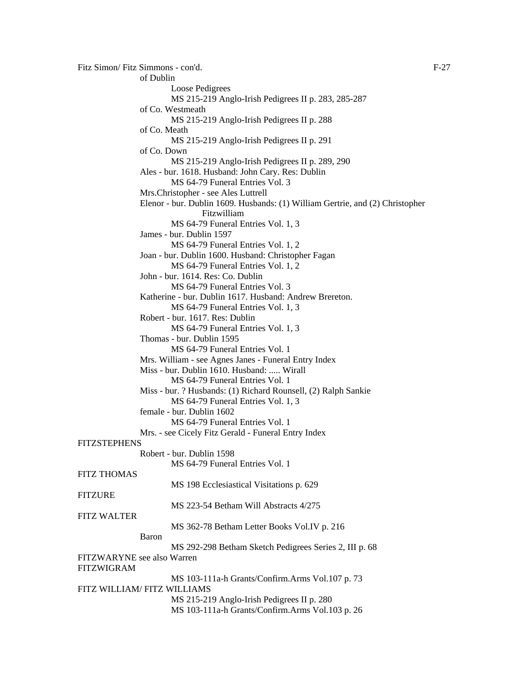```
Fitz Simon/ Fitz Simmons - con'd. F-27
                of Dublin 
                        Loose Pedigrees 
                        MS 215-219 Anglo-Irish Pedigrees II p. 283, 285-287 
                of Co. Westmeath 
                        MS 215-219 Anglo-Irish Pedigrees II p. 288 
                of Co. Meath 
                        MS 215-219 Anglo-Irish Pedigrees II p. 291 
                of Co. Down 
                        MS 215-219 Anglo-Irish Pedigrees II p. 289, 290 
                Ales - bur. 1618. Husband: John Cary. Res: Dublin 
                        MS 64-79 Funeral Entries Vol. 3 
                Mrs.Christopher - see Ales Luttrell 
                Elenor - bur. Dublin 1609. Husbands: (1) William Gertrie, and (2) Christopher 
                                 Fitzwilliam 
                        MS 64-79 Funeral Entries Vol. 1, 3 
                James - bur. Dublin 1597 
                        MS 64-79 Funeral Entries Vol. 1, 2 
                Joan - bur. Dublin 1600. Husband: Christopher Fagan 
                        MS 64-79 Funeral Entries Vol. 1, 2 
                John - bur. 1614. Res: Co. Dublin 
                        MS 64-79 Funeral Entries Vol. 3 
                Katherine - bur. Dublin 1617. Husband: Andrew Brereton. 
                        MS 64-79 Funeral Entries Vol. 1, 3 
                Robert - bur. 1617. Res: Dublin 
                        MS 64-79 Funeral Entries Vol. 1, 3 
                Thomas - bur. Dublin 1595 
                        MS 64-79 Funeral Entries Vol. 1 
                Mrs. William - see Agnes Janes - Funeral Entry Index 
                Miss - bur. Dublin 1610. Husband: ..... Wirall 
                        MS 64-79 Funeral Entries Vol. 1 
                Miss - bur. ? Husbands: (1) Richard Rounsell, (2) Ralph Sankie 
                        MS 64-79 Funeral Entries Vol. 1, 3 
                female - bur. Dublin 1602 
                        MS 64-79 Funeral Entries Vol. 1 
                Mrs. - see Cicely Fitz Gerald - Funeral Entry Index 
FITZSTEPHENS
                Robert - bur. Dublin 1598 
                        MS 64-79 Funeral Entries Vol. 1 
FITZ THOMAS 
                        MS 198 Ecclesiastical Visitations p. 629 
FITZURE
                        MS 223-54 Betham Will Abstracts 4/275
FITZ WALTER 
                        MS 362-78 Betham Letter Books Vol.IV p. 216 
                Baron 
                        MS 292-298 Betham Sketch Pedigrees Series 2, III p. 68 
FITZWARYNE see also Warren 
FITZWIGRAM 
                        MS 103-111a-h Grants/Confirm.Arms Vol.107 p. 73 
FITZ WILLIAM/ FITZ WILLIAMS 
                        MS 215-219 Anglo-Irish Pedigrees II p. 280 
                        MS 103-111a-h Grants/Confirm.Arms Vol.103 p. 26
```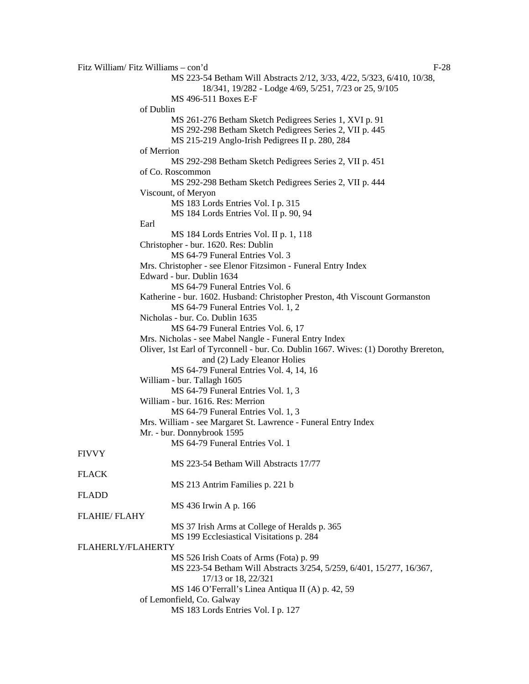Fitz William/ Fitz Williams – con'd F-28 MS 223-54 Betham Will Abstracts 2/12, 3/33, 4/22, 5/323, 6/410, 10/38, 18/341, 19/282 - Lodge 4/69, 5/251, 7/23 or 25, 9/105 MS 496-511 Boxes E-F of Dublin MS 261-276 Betham Sketch Pedigrees Series 1, XVI p. 91 MS 292-298 Betham Sketch Pedigrees Series 2, VII p. 445 MS 215-219 Anglo-Irish Pedigrees II p. 280, 284 of Merrion MS 292-298 Betham Sketch Pedigrees Series 2, VII p. 451 of Co. Roscommon MS 292-298 Betham Sketch Pedigrees Series 2, VII p. 444 Viscount, of Meryon MS 183 Lords Entries Vol. I p. 315 MS 184 Lords Entries Vol. II p. 90, 94 Earl MS 184 Lords Entries Vol. II p. 1, 118 Christopher - bur. 1620. Res: Dublin MS 64-79 Funeral Entries Vol. 3 Mrs. Christopher - see Elenor Fitzsimon - Funeral Entry Index Edward - bur. Dublin 1634 MS 64-79 Funeral Entries Vol. 6 Katherine - bur. 1602. Husband: Christopher Preston, 4th Viscount Gormanston MS 64-79 Funeral Entries Vol. 1, 2 Nicholas - bur. Co. Dublin 1635 MS 64-79 Funeral Entries Vol. 6, 17 Mrs. Nicholas - see Mabel Nangle - Funeral Entry Index Oliver, 1st Earl of Tyrconnell - bur. Co. Dublin 1667. Wives: (1) Dorothy Brereton, and (2) Lady Eleanor Holies MS 64-79 Funeral Entries Vol. 4, 14, 16 William - bur. Tallagh 1605 MS 64-79 Funeral Entries Vol. 1, 3 William - bur. 1616. Res: Merrion MS 64-79 Funeral Entries Vol. 1, 3 Mrs. William - see Margaret St. Lawrence - Funeral Entry Index Mr. - bur. Donnybrook 1595 MS 64-79 Funeral Entries Vol. 1 FIVVY MS 223-54 Betham Will Abstracts 17/77 FLACK MS 213 Antrim Families p. 221 b FLADD MS 436 Irwin A p. 166 FLAHIE/ FLAHY MS 37 Irish Arms at College of Heralds p. 365 MS 199 Ecclesiastical Visitations p. 284 FLAHERLY/FLAHERTY MS 526 Irish Coats of Arms (Fota) p. 99 MS 223-54 Betham Will Abstracts 3/254, 5/259, 6/401, 15/277, 16/367, 17/13 or 18, 22/321 MS 146 O'Ferrall's Linea Antiqua II (A) p. 42, 59 of Lemonfield, Co. Galway MS 183 Lords Entries Vol. I p. 127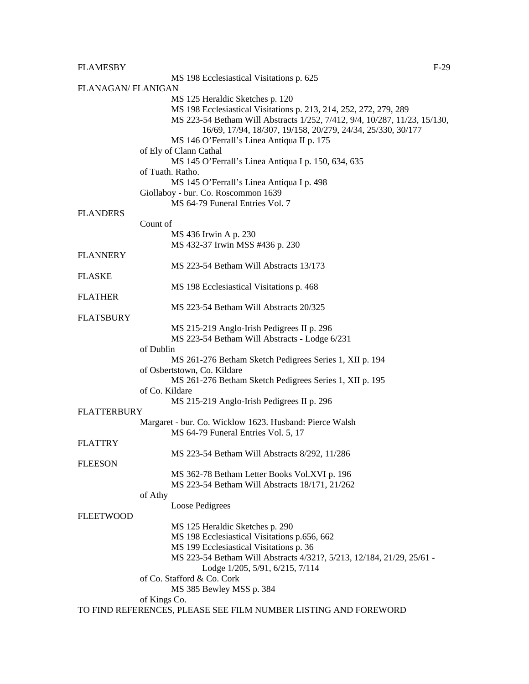| <b>FLAMESBY</b>    | $F-29$                                                                                 |
|--------------------|----------------------------------------------------------------------------------------|
|                    | MS 198 Ecclesiastical Visitations p. 625                                               |
| FLANAGAN/ FLANIGAN |                                                                                        |
|                    | MS 125 Heraldic Sketches p. 120                                                        |
|                    | MS 198 Ecclesiastical Visitations p. 213, 214, 252, 272, 279, 289                      |
|                    | MS 223-54 Betham Will Abstracts 1/252, 7/412, 9/4, 10/287, 11/23, 15/130,              |
|                    | 16/69, 17/94, 18/307, 19/158, 20/279, 24/34, 25/330, 30/177                            |
|                    | MS 146 O'Ferrall's Linea Antiqua II p. 175                                             |
|                    | of Ely of Clann Cathal                                                                 |
|                    | MS 145 O'Ferrall's Linea Antiqua I p. 150, 634, 635                                    |
|                    | of Tuath. Ratho.                                                                       |
|                    | MS 145 O'Ferrall's Linea Antiqua I p. 498                                              |
|                    | Giollaboy - bur. Co. Roscommon 1639                                                    |
|                    | MS 64-79 Funeral Entries Vol. 7                                                        |
| <b>FLANDERS</b>    |                                                                                        |
|                    | Count of                                                                               |
|                    | MS 436 Irwin A p. 230                                                                  |
|                    | MS 432-37 Irwin MSS #436 p. 230                                                        |
| <b>FLANNERY</b>    |                                                                                        |
|                    | MS 223-54 Betham Will Abstracts 13/173                                                 |
| <b>FLASKE</b>      |                                                                                        |
|                    | MS 198 Ecclesiastical Visitations p. 468                                               |
| <b>FLATHER</b>     |                                                                                        |
|                    | MS 223-54 Betham Will Abstracts 20/325                                                 |
| <b>FLATSBURY</b>   |                                                                                        |
|                    | MS 215-219 Anglo-Irish Pedigrees II p. 296                                             |
|                    | MS 223-54 Betham Will Abstracts - Lodge 6/231                                          |
|                    | of Dublin                                                                              |
|                    | MS 261-276 Betham Sketch Pedigrees Series 1, XII p. 194                                |
|                    | of Osbertstown, Co. Kildare<br>MS 261-276 Betham Sketch Pedigrees Series 1, XII p. 195 |
|                    | of Co. Kildare                                                                         |
|                    | MS 215-219 Anglo-Irish Pedigrees II p. 296                                             |
| <b>FLATTERBURY</b> |                                                                                        |
|                    | Margaret - bur. Co. Wicklow 1623. Husband: Pierce Walsh                                |
|                    | MS 64-79 Funeral Entries Vol. 5, 17                                                    |
| <b>FLATTRY</b>     |                                                                                        |
|                    | MS 223-54 Betham Will Abstracts 8/292, 11/286                                          |
| <b>FLEESON</b>     |                                                                                        |
|                    | MS 362-78 Betham Letter Books Vol.XVI p. 196                                           |
|                    | MS 223-54 Betham Will Abstracts 18/171, 21/262                                         |
|                    | of Athy                                                                                |
|                    | Loose Pedigrees                                                                        |
| <b>FLEETWOOD</b>   |                                                                                        |
|                    | MS 125 Heraldic Sketches p. 290                                                        |
|                    | MS 198 Ecclesiastical Visitations p.656, 662                                           |
|                    | MS 199 Ecclesiastical Visitations p. 36                                                |
|                    | MS 223-54 Betham Will Abstracts 4/321?, 5/213, 12/184, 21/29, 25/61 -                  |
|                    | Lodge 1/205, 5/91, 6/215, 7/114                                                        |
|                    | of Co. Stafford & Co. Cork                                                             |
|                    | MS 385 Bewley MSS p. 384                                                               |
|                    | of Kings Co.                                                                           |
|                    | TO FIND REFERENCES, PLEASE SEE FILM NUMBER LISTING AND FOREWORD                        |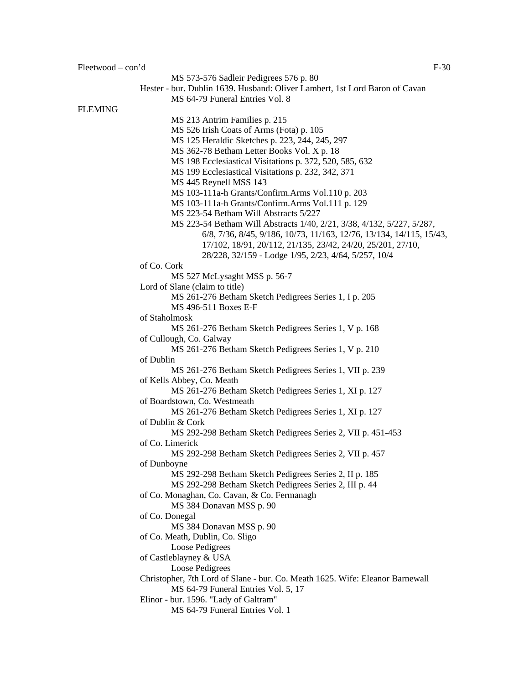MS 573-576 Sadleir Pedigrees 576 p. 80 Hester - bur. Dublin 1639. Husband: Oliver Lambert, 1st Lord Baron of Cavan MS 64-79 Funeral Entries Vol. 8 FLEMING MS 213 Antrim Families p. 215 MS 526 Irish Coats of Arms (Fota) p. 105 MS 125 Heraldic Sketches p. 223, 244, 245, 297 MS 362-78 Betham Letter Books Vol. X p. 18 MS 198 Ecclesiastical Visitations p. 372, 520, 585, 632 MS 199 Ecclesiastical Visitations p. 232, 342, 371 MS 445 Reynell MSS 143 MS 103-111a-h Grants/Confirm.Arms Vol.110 p. 203 MS 103-111a-h Grants/Confirm.Arms Vol.111 p. 129 MS 223-54 Betham Will Abstracts 5/227 MS 223-54 Betham Will Abstracts 1/40, 2/21, 3/38, 4/132, 5/227, 5/287, 6/8, 7/36, 8/45, 9/186, 10/73, 11/163, 12/76, 13/134, 14/115, 15/43, 17/102*,* 18/91, 20/112, 21/135, 23/42, 24/20, 25/201, 27/10, 28/228, 32/159 - Lodge 1/95, 2/23, 4/64, 5/257, 10/4 of Co. Cork MS 527 McLysaght MSS p. 56-7 Lord of Slane (claim to title) MS 261-276 Betham Sketch Pedigrees Series 1, I p. 205 MS 496-511 Boxes E-F of Staholmosk MS 261-276 Betham Sketch Pedigrees Series 1, V p. 168 of Cullough, Co. Galway MS 261-276 Betham Sketch Pedigrees Series 1, V p. 210 of Dublin MS 261-276 Betham Sketch Pedigrees Series 1, VII p. 239 of Kells Abbey, Co. Meath MS 261-276 Betham Sketch Pedigrees Series 1, XI p. 127 of Boardstown, Co. Westmeath MS 261-276 Betham Sketch Pedigrees Series 1, XI p. 127 of Dublin & Cork MS 292-298 Betham Sketch Pedigrees Series 2, VII p. 451-453 of Co. Limerick MS 292-298 Betham Sketch Pedigrees Series 2, VII p. 457 of Dunboyne MS 292-298 Betham Sketch Pedigrees Series 2, II p. 185 MS 292-298 Betham Sketch Pedigrees Series 2, III p. 44 of Co. Monaghan, Co. Cavan, & Co. Fermanagh MS 384 Donavan MSS p. 90 of Co. Donegal MS 384 Donavan MSS p. 90 of Co. Meath, Dublin, Co. Sligo Loose Pedigrees of Castleblayney & USA Loose Pedigrees Christopher, 7th Lord of Slane - bur. Co. Meath 1625. Wife: Eleanor Barnewall MS 64-79 Funeral Entries Vol. 5, 17 Elinor - bur. 1596. "Lady of Galtram" MS 64-79 Funeral Entries Vol. 1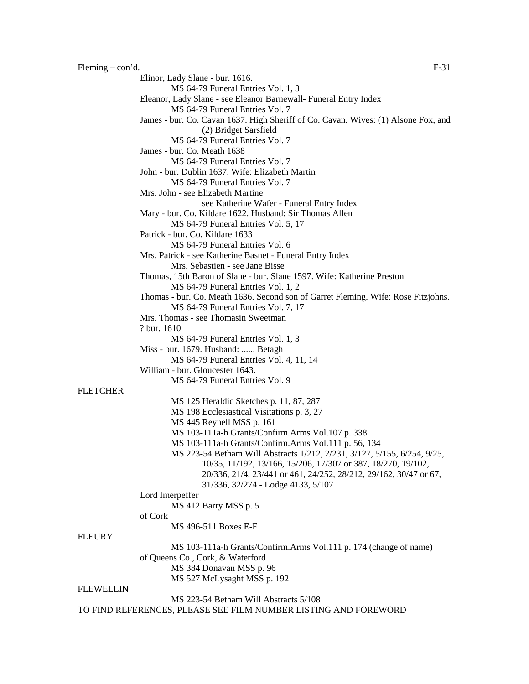**FLEURY** 

 $F=31$  Feming – con'd. Elinor, Lady Slane - bur. 1616. MS 64-79 Funeral Entries Vol. 1, 3 Eleanor, Lady Slane - see Eleanor Barnewall- Funeral Entry Index MS 64-79 Funeral Entries Vol. 7 James - bur. Co. Cavan 1637. High Sheriff of Co. Cavan. Wives: (1) Alsone Fox, and (2) Bridget Sarsfield MS 64-79 Funeral Entries Vol. 7 James - bur. Co. Meath 1638 MS 64-79 Funeral Entries Vol. 7 John - bur. Dublin 1637. Wife: Elizabeth Martin MS 64-79 Funeral Entries Vol. 7 Mrs. John - see Elizabeth Martine see Katherine Wafer - Funeral Entry Index Mary - bur. Co. Kildare 1622. Husband: Sir Thomas Allen MS 64-79 Funeral Entries Vol. 5, 17 Patrick - bur. Co. Kildare 1633 MS 64-79 Funeral Entries Vol. 6 Mrs. Patrick - see Katherine Basnet - Funeral Entry Index Mrs. Sebastien - see Jane Bisse Thomas, 15th Baron of Slane - bur. Slane 1597. Wife: Katherine Preston MS 64-79 Funeral Entries Vol. 1, 2 Thomas - bur. Co. Meath 1636. Second son of Garret Fleming. Wife: Rose Fitzjohns. MS 64-79 Funeral Entries Vol. 7, 17 Mrs. Thomas - see Thomasin Sweetman ? bur. 1610 MS 64-79 Funeral Entries Vol. 1, 3 Miss - bur. 1679. Husband: ...... Betagh MS 64-79 Funeral Entries Vol. 4, 11, 14 William - bur. Gloucester 1643. MS 64-79 Funeral Entries Vol. 9 **FLETCHER** MS 125 Heraldic Sketches p. 11, 87, 287 MS 198 Ecclesiastical Visitations p. 3, 27 MS 445 Reynell MSS p. 161 MS 103-111a-h Grants/Confirm.Arms Vol.107 p. 338 MS 103-111a-h Grants/Confirm.Arms Vol.111 p. 56, 134 MS 223-54 Betham Will Abstracts 1/212, 2/231, 3/127, 5/155, 6/254, 9/25, 10/35, 11/192, 13/166, 15/206, 17/307 or 387, 18/270, 19/102, 20/336, 21/4, 23/441 or 461, 24/252, 28/212, 29/162, 30/47 or 67, 31/336, 32/274 - Lodge 4133, 5/107 Lord Imerpeffer MS 412 Barry MSS p. 5 of Cork MS 496-511 Boxes E-F MS 103-111a-h Grants/Confirm.Arms Vol.111 p. 174 (change of name) of Queens Co., Cork, & Waterford MS 384 Donavan MSS p. 96 MS 527 McLysaght MSS p. 192 **FLEWELLIN** MS 223-54 Betham Will Abstracts 5/108

TO FIND REFERENCES, PLEASE SEE FILM NUMBER LISTING AND FOREWORD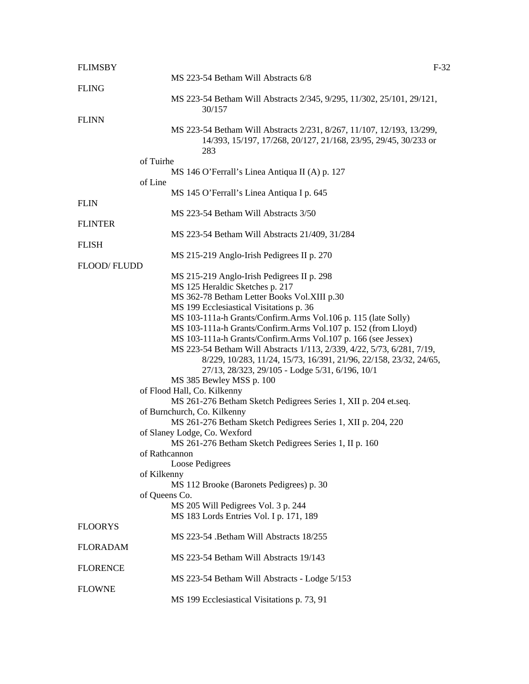| <b>FLIMSBY</b>  | $F-32$                                                                                                                                          |  |
|-----------------|-------------------------------------------------------------------------------------------------------------------------------------------------|--|
|                 | MS 223-54 Betham Will Abstracts 6/8                                                                                                             |  |
| <b>FLING</b>    |                                                                                                                                                 |  |
|                 | MS 223-54 Betham Will Abstracts 2/345, 9/295, 11/302, 25/101, 29/121,                                                                           |  |
|                 | 30/157                                                                                                                                          |  |
| <b>FLINN</b>    |                                                                                                                                                 |  |
|                 | MS 223-54 Betham Will Abstracts 2/231, 8/267, 11/107, 12/193, 13/299,<br>14/393, 15/197, 17/268, 20/127, 21/168, 23/95, 29/45, 30/233 or<br>283 |  |
|                 | of Tuirhe                                                                                                                                       |  |
|                 | MS 146 O'Ferrall's Linea Antiqua II (A) p. 127                                                                                                  |  |
|                 | of Line                                                                                                                                         |  |
|                 | MS 145 O'Ferrall's Linea Antiqua I p. 645                                                                                                       |  |
| <b>FLIN</b>     |                                                                                                                                                 |  |
|                 | MS 223-54 Betham Will Abstracts 3/50                                                                                                            |  |
| <b>FLINTER</b>  |                                                                                                                                                 |  |
|                 | MS 223-54 Betham Will Abstracts 21/409, 31/284                                                                                                  |  |
| <b>FLISH</b>    |                                                                                                                                                 |  |
|                 | MS 215-219 Anglo-Irish Pedigrees II p. 270                                                                                                      |  |
| FLOOD/FLUDD     |                                                                                                                                                 |  |
|                 | MS 215-219 Anglo-Irish Pedigrees II p. 298                                                                                                      |  |
|                 | MS 125 Heraldic Sketches p. 217                                                                                                                 |  |
|                 | MS 362-78 Betham Letter Books Vol.XIII p.30                                                                                                     |  |
|                 | MS 199 Ecclesiastical Visitations p. 36                                                                                                         |  |
|                 |                                                                                                                                                 |  |
|                 | MS 103-111a-h Grants/Confirm.Arms Vol.106 p. 115 (late Solly)                                                                                   |  |
|                 | MS 103-111a-h Grants/Confirm.Arms Vol.107 p. 152 (from Lloyd)                                                                                   |  |
|                 | MS 103-111a-h Grants/Confirm.Arms Vol.107 p. 166 (see Jessex)                                                                                   |  |
|                 | MS 223-54 Betham Will Abstracts 1/113, 2/339, 4/22, 5/73, 6/281, 7/19,                                                                          |  |
|                 | 8/229, 10/283, 11/24, 15/73, 16/391, 21/96, 22/158, 23/32, 24/65,                                                                               |  |
|                 | 27/13, 28/323, 29/105 - Lodge 5/31, 6/196, 10/1                                                                                                 |  |
|                 | MS 385 Bewley MSS p. 100                                                                                                                        |  |
|                 | of Flood Hall, Co. Kilkenny                                                                                                                     |  |
|                 | MS 261-276 Betham Sketch Pedigrees Series 1, XII p. 204 et.seq.                                                                                 |  |
|                 | of Burnchurch, Co. Kilkenny                                                                                                                     |  |
|                 | MS 261-276 Betham Sketch Pedigrees Series 1, XII p. 204, 220                                                                                    |  |
|                 | of Slaney Lodge, Co. Wexford                                                                                                                    |  |
|                 | MS 261-276 Betham Sketch Pedigrees Series 1, II p. 160                                                                                          |  |
|                 | of Rathcannon                                                                                                                                   |  |
|                 | Loose Pedigrees                                                                                                                                 |  |
|                 | of Kilkenny                                                                                                                                     |  |
|                 | MS 112 Brooke (Baronets Pedigrees) p. 30                                                                                                        |  |
|                 | of Queens Co.                                                                                                                                   |  |
|                 | MS 205 Will Pedigrees Vol. 3 p. 244                                                                                                             |  |
|                 | MS 183 Lords Entries Vol. I p. 171, 189                                                                                                         |  |
| <b>FLOORYS</b>  |                                                                                                                                                 |  |
|                 | MS 223-54 .Betham Will Abstracts 18/255                                                                                                         |  |
| <b>FLORADAM</b> |                                                                                                                                                 |  |
|                 | MS 223-54 Betham Will Abstracts 19/143                                                                                                          |  |
|                 |                                                                                                                                                 |  |
| <b>FLORENCE</b> |                                                                                                                                                 |  |
|                 | MS 223-54 Betham Will Abstracts - Lodge 5/153                                                                                                   |  |
| <b>FLOWNE</b>   |                                                                                                                                                 |  |
|                 | MS 199 Ecclesiastical Visitations p. 73, 91                                                                                                     |  |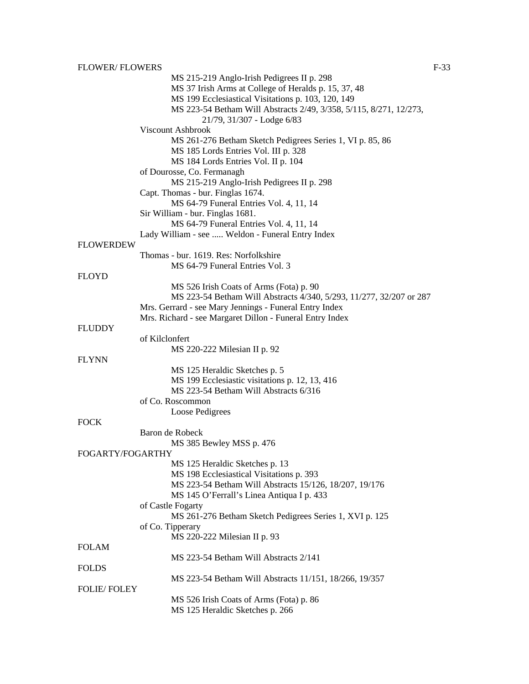|                    | MS 215-219 Anglo-Irish Pedigrees II p. 298                          |
|--------------------|---------------------------------------------------------------------|
|                    | MS 37 Irish Arms at College of Heralds p. 15, 37, 48                |
|                    | MS 199 Ecclesiastical Visitations p. 103, 120, 149                  |
|                    | MS 223-54 Betham Will Abstracts 2/49, 3/358, 5/115, 8/271, 12/273,  |
|                    | 21/79, 31/307 - Lodge 6/83                                          |
|                    | Viscount Ashbrook                                                   |
|                    | MS 261-276 Betham Sketch Pedigrees Series 1, VI p. 85, 86           |
|                    | MS 185 Lords Entries Vol. III p. 328                                |
|                    | MS 184 Lords Entries Vol. II p. 104                                 |
|                    | of Dourosse, Co. Fermanagh                                          |
|                    | MS 215-219 Anglo-Irish Pedigrees II p. 298                          |
|                    | Capt. Thomas - bur. Finglas 1674.                                   |
|                    | MS 64-79 Funeral Entries Vol. 4, 11, 14                             |
|                    | Sir William - bur. Finglas 1681.                                    |
|                    | MS 64-79 Funeral Entries Vol. 4, 11, 14                             |
|                    | Lady William - see  Weldon - Funeral Entry Index                    |
| <b>FLOWERDEW</b>   |                                                                     |
|                    | Thomas - bur. 1619. Res: Norfolkshire                               |
|                    | MS 64-79 Funeral Entries Vol. 3                                     |
| <b>FLOYD</b>       |                                                                     |
|                    | MS 526 Irish Coats of Arms (Fota) p. 90                             |
|                    | MS 223-54 Betham Will Abstracts 4/340, 5/293, 11/277, 32/207 or 287 |
|                    | Mrs. Gerrard - see Mary Jennings - Funeral Entry Index              |
|                    | Mrs. Richard - see Margaret Dillon - Funeral Entry Index            |
| <b>FLUDDY</b>      |                                                                     |
|                    | of Kilclonfert                                                      |
|                    | MS 220-222 Milesian II p. 92                                        |
| <b>FLYNN</b>       |                                                                     |
|                    | MS 125 Heraldic Sketches p. 5                                       |
|                    | MS 199 Ecclesiastic visitations p. 12, 13, 416                      |
|                    | MS 223-54 Betham Will Abstracts 6/316                               |
|                    | of Co. Roscommon                                                    |
|                    | Loose Pedigrees                                                     |
| <b>FOCK</b>        |                                                                     |
|                    | Baron de Robeck                                                     |
|                    | MS 385 Bewley MSS p. 476                                            |
| FOGARTY/FOGARTHY   |                                                                     |
|                    | MS 125 Heraldic Sketches p. 13                                      |
|                    | MS 198 Ecclesiastical Visitations p. 393                            |
|                    | MS 223-54 Betham Will Abstracts 15/126, 18/207, 19/176              |
|                    | MS 145 O'Ferrall's Linea Antiqua I p. 433                           |
|                    |                                                                     |
|                    | of Castle Fogarty                                                   |
|                    | MS 261-276 Betham Sketch Pedigrees Series 1, XVI p. 125             |
|                    | of Co. Tipperary                                                    |
| <b>FOLAM</b>       | MS 220-222 Milesian II p. 93                                        |
|                    |                                                                     |
|                    | MS 223-54 Betham Will Abstracts 2/141                               |
| <b>FOLDS</b>       |                                                                     |
|                    | MS 223-54 Betham Will Abstracts 11/151, 18/266, 19/357              |
| <b>FOLIE/FOLEY</b> |                                                                     |
|                    | MS 526 Irish Coats of Arms (Fota) p. 86                             |
|                    | MS 125 Heraldic Sketches p. 266                                     |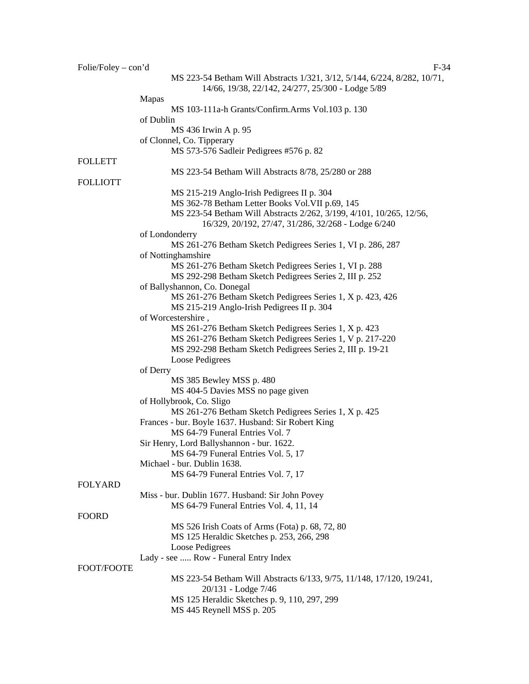| $Folie/Foley - con'd$ | $F-34$                                                                                                                        |
|-----------------------|-------------------------------------------------------------------------------------------------------------------------------|
|                       | MS 223-54 Betham Will Abstracts 1/321, 3/12, 5/144, 6/224, 8/282, 10/71,<br>14/66, 19/38, 22/142, 24/277, 25/300 - Lodge 5/89 |
|                       | <b>Mapas</b>                                                                                                                  |
|                       | MS 103-111a-h Grants/Confirm.Arms Vol.103 p. 130                                                                              |
|                       | of Dublin                                                                                                                     |
|                       | MS 436 Irwin A p. 95                                                                                                          |
|                       | of Clonnel, Co. Tipperary                                                                                                     |
|                       | MS 573-576 Sadleir Pedigrees #576 p. 82                                                                                       |
| <b>FOLLETT</b>        |                                                                                                                               |
| <b>FOLLIOTT</b>       | MS 223-54 Betham Will Abstracts 8/78, 25/280 or 288                                                                           |
|                       | MS 215-219 Anglo-Irish Pedigrees II p. 304                                                                                    |
|                       | MS 362-78 Betham Letter Books Vol. VII p.69, 145                                                                              |
|                       | MS 223-54 Betham Will Abstracts 2/262, 3/199, 4/101, 10/265, 12/56,<br>16/329, 20/192, 27/47, 31/286, 32/268 - Lodge 6/240    |
|                       | of Londonderry                                                                                                                |
|                       | MS 261-276 Betham Sketch Pedigrees Series 1, VI p. 286, 287                                                                   |
|                       | of Nottinghamshire                                                                                                            |
|                       | MS 261-276 Betham Sketch Pedigrees Series 1, VI p. 288                                                                        |
|                       | MS 292-298 Betham Sketch Pedigrees Series 2, III p. 252                                                                       |
|                       | of Ballyshannon, Co. Donegal                                                                                                  |
|                       | MS 261-276 Betham Sketch Pedigrees Series 1, X p. 423, 426                                                                    |
|                       | MS 215-219 Anglo-Irish Pedigrees II p. 304<br>of Worcestershire,                                                              |
|                       | MS 261-276 Betham Sketch Pedigrees Series 1, X p. 423                                                                         |
|                       | MS 261-276 Betham Sketch Pedigrees Series 1, V p. 217-220                                                                     |
|                       | MS 292-298 Betham Sketch Pedigrees Series 2, III p. 19-21                                                                     |
|                       | Loose Pedigrees                                                                                                               |
|                       | of Derry                                                                                                                      |
|                       | MS 385 Bewley MSS p. 480                                                                                                      |
|                       | MS 404-5 Davies MSS no page given                                                                                             |
|                       | of Hollybrook, Co. Sligo                                                                                                      |
|                       | MS 261-276 Betham Sketch Pedigrees Series 1, X p. 425                                                                         |
|                       | Frances - bur. Boyle 1637. Husband: Sir Robert King                                                                           |
|                       | MS 64-79 Funeral Entries Vol. 7                                                                                               |
|                       | Sir Henry, Lord Ballyshannon - bur. 1622.                                                                                     |
|                       | MS 64-79 Funeral Entries Vol. 5, 17                                                                                           |
|                       | Michael - bur. Dublin 1638.                                                                                                   |
|                       | MS 64-79 Funeral Entries Vol. 7, 17                                                                                           |
| <b>FOLYARD</b>        |                                                                                                                               |
|                       | Miss - bur. Dublin 1677. Husband: Sir John Povey                                                                              |
| <b>FOORD</b>          | MS 64-79 Funeral Entries Vol. 4, 11, 14                                                                                       |
|                       | MS 526 Irish Coats of Arms (Fota) p. 68, 72, 80                                                                               |
|                       | MS 125 Heraldic Sketches p. 253, 266, 298                                                                                     |
|                       | Loose Pedigrees                                                                                                               |
|                       | Lady - see  Row - Funeral Entry Index                                                                                         |
| FOOT/FOOTE            |                                                                                                                               |
|                       | MS 223-54 Betham Will Abstracts 6/133, 9/75, 11/148, 17/120, 19/241,<br>20/131 - Lodge 7/46                                   |
|                       | MS 125 Heraldic Sketches p. 9, 110, 297, 299                                                                                  |
|                       | MS 445 Reynell MSS p. 205                                                                                                     |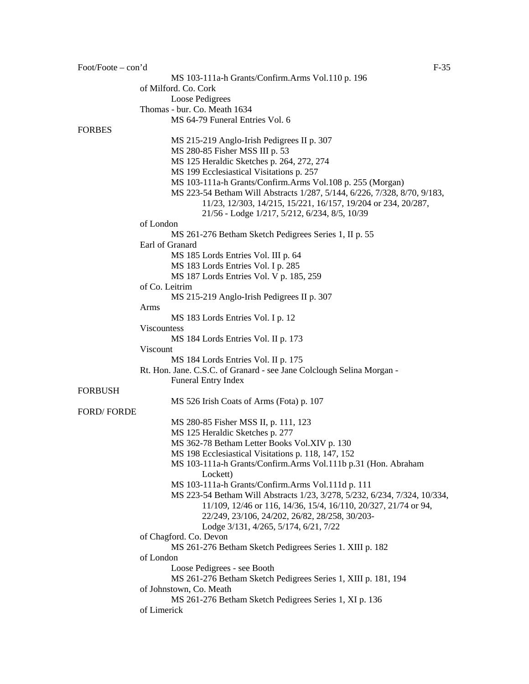Foot/Foote – con'd F-35 MS 103-111a-h Grants/Confirm.Arms Vol.110 p. 196 of Milford. Co. Cork Loose Pedigrees Thomas - bur. Co. Meath 1634 MS 64-79 Funeral Entries Vol. 6 FORBES MS 215-219 Anglo-Irish Pedigrees II p. 307 MS 280-85 Fisher MSS III p. 53 MS 125 Heraldic Sketches p. 264, 272, 274 MS 199 Ecclesiastical Visitations p. 257 MS 103-111a-h Grants/Confirm.Arms Vol.108 p. 255 (Morgan) MS 223-54 Betham Will Abstracts 1/287, 5/144, 6/226, 7/328, 8/70, 9/183, 11/23, 12/303, 14/215, 15/221, 16/157, 19/204 or 234, 20/287, 21/56 - Lodge 1/217, 5/212, 6/234, 8/5, 10/39 of London MS 261-276 Betham Sketch Pedigrees Series 1, II p. 55 Earl of Granard MS 185 Lords Entries Vol. III p. 64 MS 183 Lords Entries Vol. I p. 285 MS 187 Lords Entries Vol. V p. 185, 259 of Co. Leitrim MS 215-219 Anglo-Irish Pedigrees II p. 307 Arms MS 183 Lords Entries Vol. I p. 12 Viscountess MS 184 Lords Entries Vol. II p. 173 Viscount MS 184 Lords Entries Vol. II p. 175 Rt. Hon. Jane. C.S.C. of Granard - see Jane Colclough Selina Morgan - Funeral Entry Index FORBUSH MS 526 Irish Coats of Arms (Fota) p. 107 FORD/ FORDE MS 280-85 Fisher MSS II, p. 111, 123 MS 125 Heraldic Sketches p. 277 MS 362-78 Betham Letter Books Vol.XIV p. 130 MS 198 Ecclesiastical Visitations p. 118, 147, 152 MS 103-111a-h Grants/Confirm.Arms Vol.111b p.31 (Hon. Abraham Lockett) MS 103-111a-h Grants/Confirm.Arms Vol.111d p. 111 MS 223-54 Betham Will Abstracts 1/23, 3/278, 5/232, 6/234, 7/324, 10/334, 11/109, 12/46 or 116, 14/36, 15/4, 16/110, 20/327, 21/74 or 94, 22/249, 23/106, 24/202, 26/82, 28/258, 30/203- Lodge 3/131, 4/265, 5/174, 6/21, 7/22 of Chagford. Co. Devon MS 261-276 Betham Sketch Pedigrees Series 1. XIII p. 182 of London Loose Pedigrees - see Booth MS 261-276 Betham Sketch Pedigrees Series 1, XIII p. 181, 194 of Johnstown, Co. Meath MS 261-276 Betham Sketch Pedigrees Series 1, XI p. 136 of Limerick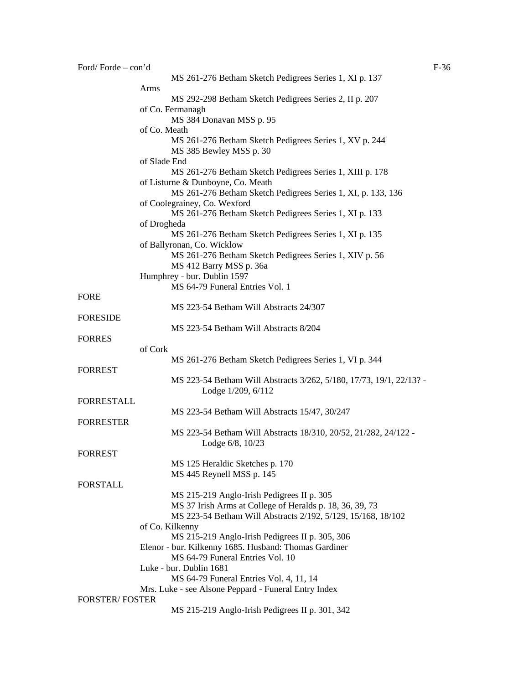| Ford/Forde-con'd      |                                                                                               | $F-36$ |
|-----------------------|-----------------------------------------------------------------------------------------------|--------|
|                       | MS 261-276 Betham Sketch Pedigrees Series 1, XI p. 137                                        |        |
|                       | Arms                                                                                          |        |
|                       | MS 292-298 Betham Sketch Pedigrees Series 2, II p. 207                                        |        |
|                       | of Co. Fermanagh<br>MS 384 Donavan MSS p. 95                                                  |        |
|                       | of Co. Meath                                                                                  |        |
|                       | MS 261-276 Betham Sketch Pedigrees Series 1, XV p. 244<br>MS 385 Bewley MSS p. 30             |        |
|                       | of Slade End                                                                                  |        |
|                       | MS 261-276 Betham Sketch Pedigrees Series 1, XIII p. 178<br>of Listurne & Dunboyne, Co. Meath |        |
|                       | MS 261-276 Betham Sketch Pedigrees Series 1, XI, p. 133, 136                                  |        |
|                       | of Coolegrainey, Co. Wexford<br>MS 261-276 Betham Sketch Pedigrees Series 1, XI p. 133        |        |
|                       | of Drogheda                                                                                   |        |
|                       | MS 261-276 Betham Sketch Pedigrees Series 1, XI p. 135<br>of Ballyronan, Co. Wicklow          |        |
|                       | MS 261-276 Betham Sketch Pedigrees Series 1, XIV p. 56                                        |        |
|                       | MS 412 Barry MSS p. 36a                                                                       |        |
|                       | Humphrey - bur. Dublin 1597                                                                   |        |
|                       | MS 64-79 Funeral Entries Vol. 1                                                               |        |
| <b>FORE</b>           |                                                                                               |        |
|                       | MS 223-54 Betham Will Abstracts 24/307                                                        |        |
| <b>FORESIDE</b>       |                                                                                               |        |
|                       | MS 223-54 Betham Will Abstracts 8/204                                                         |        |
| <b>FORRES</b>         |                                                                                               |        |
|                       | of Cork                                                                                       |        |
|                       | MS 261-276 Betham Sketch Pedigrees Series 1, VI p. 344                                        |        |
| <b>FORREST</b>        |                                                                                               |        |
|                       | MS 223-54 Betham Will Abstracts 3/262, 5/180, 17/73, 19/1, 22/13? -<br>Lodge 1/209, 6/112     |        |
| <b>FORRESTALL</b>     |                                                                                               |        |
|                       | MS 223-54 Betham Will Abstracts 15/47, 30/247                                                 |        |
| <b>FORRESTER</b>      |                                                                                               |        |
|                       | MS 223-54 Betham Will Abstracts 18/310, 20/52, 21/282, 24/122 -                               |        |
|                       | Lodge 6/8, 10/23                                                                              |        |
| <b>FORREST</b>        |                                                                                               |        |
|                       | MS 125 Heraldic Sketches p. 170                                                               |        |
|                       | MS 445 Reynell MSS p. 145                                                                     |        |
| <b>FORSTALL</b>       |                                                                                               |        |
|                       | MS 215-219 Anglo-Irish Pedigrees II p. 305                                                    |        |
|                       | MS 37 Irish Arms at College of Heralds p. 18, 36, 39, 73                                      |        |
|                       | MS 223-54 Betham Will Abstracts 2/192, 5/129, 15/168, 18/102                                  |        |
|                       | of Co. Kilkenny                                                                               |        |
|                       | MS 215-219 Anglo-Irish Pedigrees II p. 305, 306                                               |        |
|                       | Elenor - bur. Kilkenny 1685. Husband: Thomas Gardiner                                         |        |
|                       | MS 64-79 Funeral Entries Vol. 10                                                              |        |
|                       | Luke - bur. Dublin 1681                                                                       |        |
|                       | MS 64-79 Funeral Entries Vol. 4, 11, 14                                                       |        |
|                       | Mrs. Luke - see Alsone Peppard - Funeral Entry Index                                          |        |
| <b>FORSTER/FOSTER</b> |                                                                                               |        |
|                       | MS 215-219 Anglo-Irish Pedigrees II p. 301, 342                                               |        |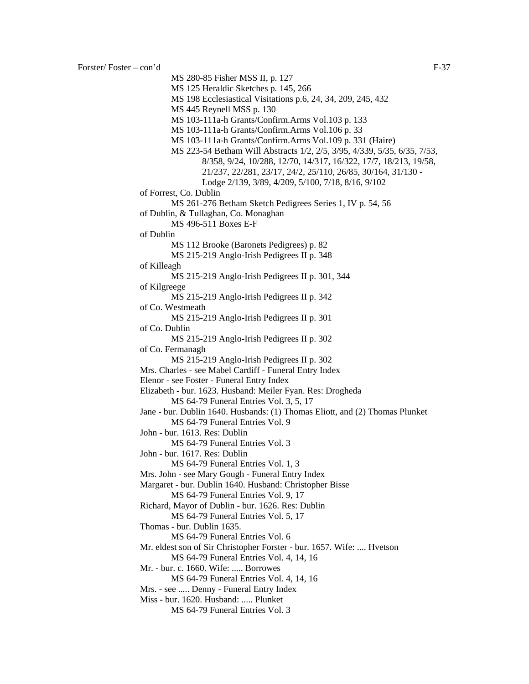MS 280-85 Fisher MSS II, p. 127 MS 125 Heraldic Sketches p. 145, 266 MS 198 Ecclesiastical Visitations p.6, 24, 34, 209, 245, 432 MS 445 Reynell MSS p. 130 MS 103-111a-h Grants/Confirm.Arms Vol.103 p. 133 MS 103-111a-h Grants/Confirm.Arms Vol.106 p. 33 MS 103-111a-h Grants/Confirm.Arms Vol.109 p. 331 (Haire) MS 223-54 Betham Will Abstracts 1/2, 2/5, 3/95, 4/339, 5/35, 6/35, 7/53, 8/358, 9/24, 10/288, 12/70, 14/317, 16/322, 17/7, 18/213, 19/58, 21/237, 22/281, 23/17, 24/2, 25/110, 26/85, 30/164, 31/130 - Lodge 2/139, 3/89, 4/209, 5/100, 7/18, 8/16, 9/102 of Forrest, Co. Dublin MS 261-276 Betham Sketch Pedigrees Series 1, IV p. 54, 56 of Dublin, & Tullaghan, Co. Monaghan MS 496-511 Boxes E-F of Dublin MS 112 Brooke (Baronets Pedigrees) p. 82 MS 215-219 Anglo-Irish Pedigrees II p. 348 of Killeagh MS 215-219 Anglo-Irish Pedigrees II p. 301, 344 of Kilgreege MS 215-219 Anglo-Irish Pedigrees II p. 342 of Co. Westmeath MS 215-219 Anglo-Irish Pedigrees II p. 301 of Co. Dublin MS 215-219 Anglo-Irish Pedigrees II p. 302 of Co. Fermanagh MS 215-219 Anglo-Irish Pedigrees II p. 302 Mrs. Charles - see Mabel Cardiff - Funeral Entry Index Elenor - see Foster - Funeral Entry Index Elizabeth - bur. 1623. Husband: Meiler Fyan. Res: Drogheda MS 64-79 Funeral Entries Vol. 3, 5, 17 Jane - bur. Dublin 1640. Husbands: (1) Thomas Eliott, and (2) Thomas Plunket MS 64-79 Funeral Entries Vol. 9 John - bur. 1613. Res: Dublin MS 64-79 Funeral Entries Vol. 3 John - bur. 1617. Res: Dublin MS 64-79 Funeral Entries Vol. 1, 3 Mrs. John - see Mary Gough - Funeral Entry Index Margaret - bur. Dublin 1640. Husband: Christopher Bisse MS 64-79 Funeral Entries Vol. 9, 17 Richard, Mayor of Dublin - bur. 1626. Res: Dublin MS 64-79 Funeral Entries Vol. 5, 17 Thomas - bur. Dublin 1635. MS 64-79 Funeral Entries Vol. 6 Mr. eldest son of Sir Christopher Forster - bur. 1657. Wife: .... Hvetson MS 64-79 Funeral Entries Vol. 4, 14, 16 Mr. - bur. c. 1660. Wife: ..... Borrowes MS 64-79 Funeral Entries Vol. 4, 14, 16 Mrs. - see ..... Denny - Funeral Entry Index Miss - bur. 1620. Husband: ..... Plunket

MS 64-79 Funeral Entries Vol. 3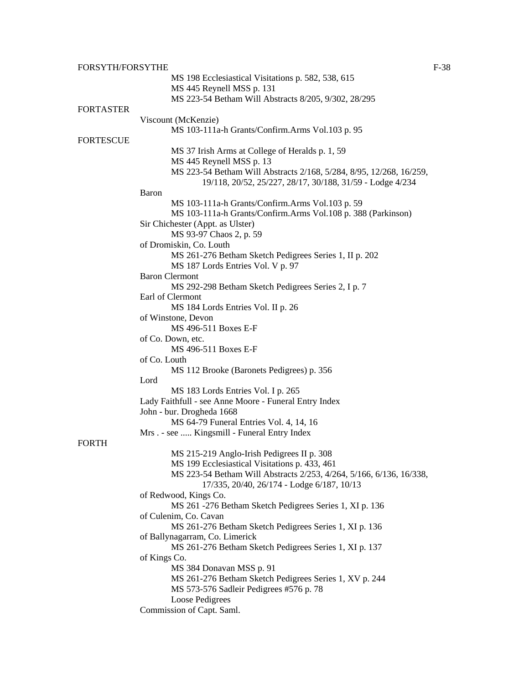| FORSYTH/FORSYTHE |                                                                     | $F-38$ |
|------------------|---------------------------------------------------------------------|--------|
|                  | MS 198 Ecclesiastical Visitations p. 582, 538, 615                  |        |
|                  | MS 445 Reynell MSS p. 131                                           |        |
|                  | MS 223-54 Betham Will Abstracts 8/205, 9/302, 28/295                |        |
| <b>FORTASTER</b> |                                                                     |        |
|                  | Viscount (McKenzie)                                                 |        |
|                  | MS 103-111a-h Grants/Confirm.Arms Vol.103 p. 95                     |        |
| <b>FORTESCUE</b> |                                                                     |        |
|                  |                                                                     |        |
|                  | MS 37 Irish Arms at College of Heralds p. 1, 59                     |        |
|                  | MS 445 Reynell MSS p. 13                                            |        |
|                  | MS 223-54 Betham Will Abstracts 2/168, 5/284, 8/95, 12/268, 16/259, |        |
|                  | 19/118, 20/52, 25/227, 28/17, 30/188, 31/59 - Lodge 4/234           |        |
|                  | Baron                                                               |        |
|                  | MS 103-111a-h Grants/Confirm.Arms Vol.103 p. 59                     |        |
|                  | MS 103-111a-h Grants/Confirm.Arms Vol.108 p. 388 (Parkinson)        |        |
|                  | Sir Chichester (Appt. as Ulster)                                    |        |
|                  | MS 93-97 Chaos 2, p. 59                                             |        |
|                  | of Dromiskin, Co. Louth                                             |        |
|                  | MS 261-276 Betham Sketch Pedigrees Series 1, II p. 202              |        |
|                  | MS 187 Lords Entries Vol. V p. 97                                   |        |
|                  | <b>Baron Clermont</b>                                               |        |
|                  | MS 292-298 Betham Sketch Pedigrees Series 2, I p. 7                 |        |
|                  | Earl of Clermont                                                    |        |
|                  | MS 184 Lords Entries Vol. II p. 26                                  |        |
|                  | of Winstone, Devon                                                  |        |
|                  | MS 496-511 Boxes E-F                                                |        |
|                  |                                                                     |        |
|                  | of Co. Down, etc.                                                   |        |
|                  | MS 496-511 Boxes E-F                                                |        |
|                  | of Co. Louth                                                        |        |
|                  | MS 112 Brooke (Baronets Pedigrees) p. 356                           |        |
|                  | Lord                                                                |        |
|                  | MS 183 Lords Entries Vol. I p. 265                                  |        |
|                  | Lady Faithfull - see Anne Moore - Funeral Entry Index               |        |
|                  | John - bur. Drogheda 1668                                           |        |
|                  | MS 64-79 Funeral Entries Vol. 4, 14, 16                             |        |
|                  | Mrs. - see  Kingsmill - Funeral Entry Index                         |        |
| <b>FORTH</b>     |                                                                     |        |
|                  | MS 215-219 Anglo-Irish Pedigrees II p. 308                          |        |
|                  | MS 199 Ecclesiastical Visitations p. 433, 461                       |        |
|                  | MS 223-54 Betham Will Abstracts 2/253, 4/264, 5/166, 6/136, 16/338, |        |
|                  | 17/335, 20/40, 26/174 - Lodge 6/187, 10/13                          |        |
|                  | of Redwood, Kings Co.                                               |        |
|                  | MS 261 -276 Betham Sketch Pedigrees Series 1, XI p. 136             |        |
|                  | of Culenim, Co. Cavan                                               |        |
|                  | MS 261-276 Betham Sketch Pedigrees Series 1, XI p. 136              |        |
|                  |                                                                     |        |
|                  | of Ballynagarram, Co. Limerick                                      |        |
|                  | MS 261-276 Betham Sketch Pedigrees Series 1, XI p. 137              |        |
|                  | of Kings Co.                                                        |        |
|                  | MS 384 Donavan MSS p. 91                                            |        |
|                  | MS 261-276 Betham Sketch Pedigrees Series 1, XV p. 244              |        |
|                  | MS 573-576 Sadleir Pedigrees #576 p. 78                             |        |
|                  | Loose Pedigrees                                                     |        |
|                  | Commission of Capt. Saml.                                           |        |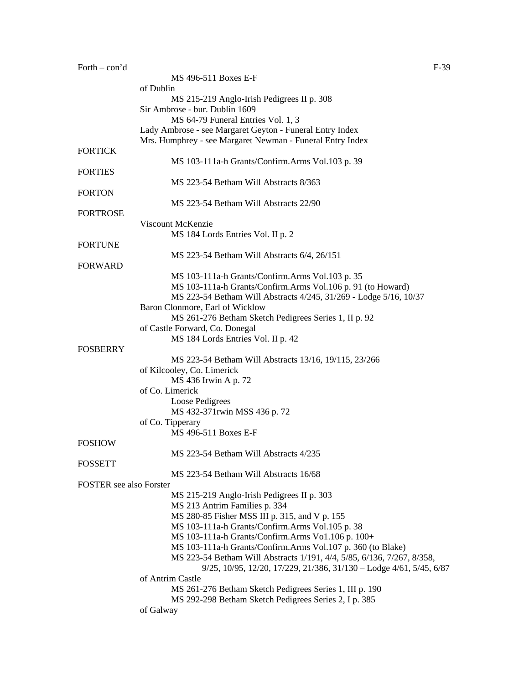| Forth $-$ con'd                |                                                                        | $F-39$ |
|--------------------------------|------------------------------------------------------------------------|--------|
|                                | MS 496-511 Boxes E-F                                                   |        |
|                                | of Dublin                                                              |        |
|                                | MS 215-219 Anglo-Irish Pedigrees II p. 308                             |        |
|                                | Sir Ambrose - bur. Dublin 1609                                         |        |
|                                | MS 64-79 Funeral Entries Vol. 1, 3                                     |        |
|                                | Lady Ambrose - see Margaret Geyton - Funeral Entry Index               |        |
|                                | Mrs. Humphrey - see Margaret Newman - Funeral Entry Index              |        |
| <b>FORTICK</b>                 |                                                                        |        |
|                                | MS 103-111a-h Grants/Confirm.Arms Vol.103 p. 39                        |        |
| <b>FORTIES</b>                 |                                                                        |        |
|                                | MS 223-54 Betham Will Abstracts 8/363                                  |        |
|                                |                                                                        |        |
| <b>FORTON</b>                  |                                                                        |        |
|                                | MS 223-54 Betham Will Abstracts 22/90                                  |        |
| <b>FORTROSE</b>                |                                                                        |        |
|                                | Viscount McKenzie                                                      |        |
|                                | MS 184 Lords Entries Vol. II p. 2                                      |        |
| <b>FORTUNE</b>                 |                                                                        |        |
|                                | MS 223-54 Betham Will Abstracts 6/4, 26/151                            |        |
| <b>FORWARD</b>                 |                                                                        |        |
|                                | MS 103-111a-h Grants/Confirm.Arms Vol.103 p. 35                        |        |
|                                | MS 103-111a-h Grants/Confirm.Arms Vol.106 p. 91 (to Howard)            |        |
|                                | MS 223-54 Betham Will Abstracts 4/245, 31/269 - Lodge 5/16, 10/37      |        |
|                                | Baron Clonmore, Earl of Wicklow                                        |        |
|                                | MS 261-276 Betham Sketch Pedigrees Series 1, II p. 92                  |        |
|                                | of Castle Forward, Co. Donegal                                         |        |
|                                | MS 184 Lords Entries Vol. II p. 42                                     |        |
| <b>FOSBERRY</b>                |                                                                        |        |
|                                | MS 223-54 Betham Will Abstracts 13/16, 19/115, 23/266                  |        |
|                                | of Kilcooley, Co. Limerick                                             |        |
|                                |                                                                        |        |
|                                | MS 436 Irwin A p. 72                                                   |        |
|                                | of Co. Limerick                                                        |        |
|                                | Loose Pedigrees                                                        |        |
|                                | MS 432-371rwin MSS 436 p. 72                                           |        |
|                                | of Co. Tipperary                                                       |        |
|                                | MS 496-511 Boxes E-F                                                   |        |
| <b>FOSHOW</b>                  |                                                                        |        |
|                                | MS 223-54 Betham Will Abstracts 4/235                                  |        |
| <b>FOSSETT</b>                 |                                                                        |        |
|                                | MS 223-54 Betham Will Abstracts 16/68                                  |        |
| <b>FOSTER</b> see also Forster |                                                                        |        |
|                                | MS 215-219 Anglo-Irish Pedigrees II p. 303                             |        |
|                                | MS 213 Antrim Families p. 334                                          |        |
|                                | MS 280-85 Fisher MSS III p. 315, and V p. 155                          |        |
|                                | MS 103-111a-h Grants/Confirm.Arms Vol.105 p. 38                        |        |
|                                | MS 103-111a-h Grants/Confirm.Arms Vo1.106 p. 100+                      |        |
|                                | MS 103-111a-h Grants/Confirm.Arms Vol.107 p. 360 (to Blake)            |        |
|                                | MS 223-54 Betham Will Abstracts 1/191, 4/4, 5/85, 6/136, 7/267, 8/358, |        |
|                                | 9/25, 10/95, 12/20, 17/229, 21/386, 31/130 - Lodge 4/61, 5/45, 6/87    |        |
|                                | of Antrim Castle                                                       |        |
|                                |                                                                        |        |
|                                | MS 261-276 Betham Sketch Pedigrees Series 1, III p. 190                |        |
|                                | MS 292-298 Betham Sketch Pedigrees Series 2, I p. 385                  |        |
|                                | of Galway                                                              |        |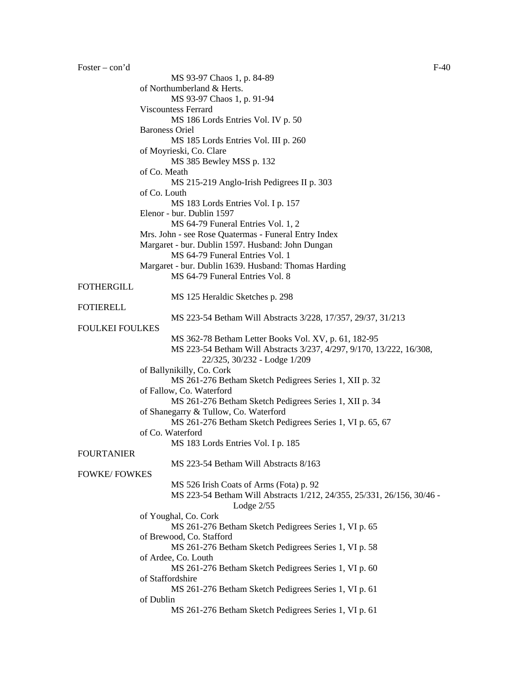Foster – con'd F-40 MS 93-97 Chaos 1, p. 84-89 of Northumberland & Herts. MS 93-97 Chaos 1, p. 91-94 Viscountess Ferrard MS 186 Lords Entries Vol. IV p. 50 Baroness Oriel MS 185 Lords Entries Vol. III p. 260 of Moyrieski, Co. Clare MS 385 Bewley MSS p. 132 of Co. Meath MS 215-219 Anglo-Irish Pedigrees II p. 303 of Co. Louth MS 183 Lords Entries Vol. I p. 157 Elenor - bur. Dublin 1597 MS 64-79 Funeral Entries Vol. 1, 2 Mrs. John - see Rose Quatermas - Funeral Entry Index Margaret - bur. Dublin 1597. Husband: John Dungan MS 64-79 Funeral Entries Vol. 1 Margaret - bur. Dublin 1639. Husband: Thomas Harding MS 64-79 Funeral Entries Vol. 8 FOTHERGILL MS 125 Heraldic Sketches p. 298 FOTIERELL MS 223-54 Betham Will Abstracts 3/228, 17/357, 29/37, 31/213 FOULKEI FOULKES MS 362-78 Betham Letter Books Vol. XV, p. 61, 182-95 MS 223-54 Betham Will Abstracts 3/237, 4/297, 9/170, 13/222, 16/308, 22/325, 30/232 - Lodge 1/209 of Ballynikilly, Co. Cork MS 261-276 Betham Sketch Pedigrees Series 1, XII p. 32 of Fallow, Co. Waterford MS 261-276 Betham Sketch Pedigrees Series 1, XII p. 34 of Shanegarry & Tullow, Co. Waterford MS 261-276 Betham Sketch Pedigrees Series 1, VI p. 65, 67 of Co. Waterford MS 183 Lords Entries Vol. I p. 185 FOURTANIER MS 223-54 Betham Will Abstracts 8/163 FOWKE/ FOWKES MS 526 Irish Coats of Arms (Fota) p. 92 MS 223-54 Betham Will Abstracts 1/212, 24/355, 25/331, 26/156, 30/46 - Lodge 2/55 of Youghal, Co. Cork MS 261-276 Betham Sketch Pedigrees Series 1, VI p. 65 of Brewood, Co. Stafford MS 261-276 Betham Sketch Pedigrees Series 1, VI p. 58 of Ardee, Co. Louth MS 261-276 Betham Sketch Pedigrees Series 1, VI p. 60 of Staffordshire MS 261-276 Betham Sketch Pedigrees Series 1, VI p. 61 of Dublin MS 261-276 Betham Sketch Pedigrees Series 1, VI p. 61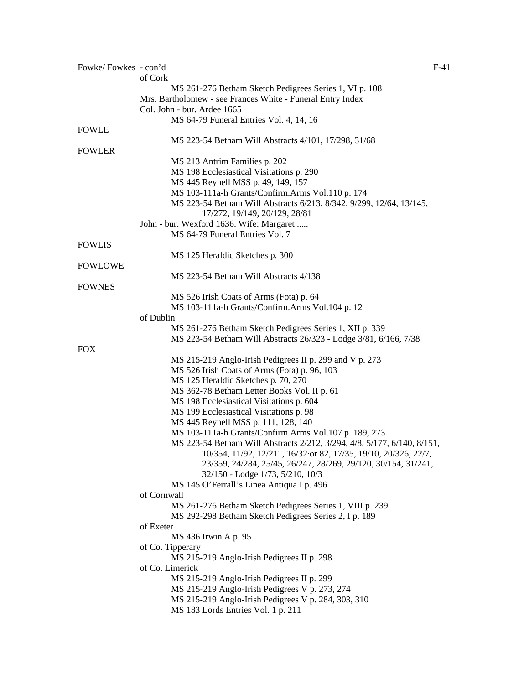| Fowke/Fowkes - con'd |                                                                                                    | $F-41$ |
|----------------------|----------------------------------------------------------------------------------------------------|--------|
|                      | of Cork                                                                                            |        |
|                      | MS 261-276 Betham Sketch Pedigrees Series 1, VI p. 108                                             |        |
|                      | Mrs. Bartholomew - see Frances White - Funeral Entry Index                                         |        |
|                      | Col. John - bur. Ardee 1665                                                                        |        |
|                      | MS 64-79 Funeral Entries Vol. 4, 14, 16                                                            |        |
| <b>FOWLE</b>         |                                                                                                    |        |
|                      | MS 223-54 Betham Will Abstracts 4/101, 17/298, 31/68                                               |        |
| <b>FOWLER</b>        |                                                                                                    |        |
|                      | MS 213 Antrim Families p. 202                                                                      |        |
|                      | MS 198 Ecclesiastical Visitations p. 290                                                           |        |
|                      | MS 445 Reynell MSS p. 49, 149, 157<br>MS 103-111a-h Grants/Confirm.Arms Vol.110 p. 174             |        |
|                      | MS 223-54 Betham Will Abstracts 6/213, 8/342, 9/299, 12/64, 13/145,                                |        |
|                      | 17/272, 19/149, 20/129, 28/81                                                                      |        |
|                      | John - bur. Wexford 1636. Wife: Margaret                                                           |        |
|                      | MS 64-79 Funeral Entries Vol. 7                                                                    |        |
| <b>FOWLIS</b>        |                                                                                                    |        |
|                      | MS 125 Heraldic Sketches p. 300                                                                    |        |
| <b>FOWLOWE</b>       |                                                                                                    |        |
|                      | MS 223-54 Betham Will Abstracts 4/138                                                              |        |
| <b>FOWNES</b>        |                                                                                                    |        |
|                      | MS 526 Irish Coats of Arms (Fota) p. 64                                                            |        |
|                      | MS 103-111a-h Grants/Confirm.Arms Vol.104 p. 12                                                    |        |
|                      | of Dublin                                                                                          |        |
|                      | MS 261-276 Betham Sketch Pedigrees Series 1, XII p. 339                                            |        |
|                      | MS 223-54 Betham Will Abstracts 26/323 - Lodge 3/81, 6/166, 7/38                                   |        |
| <b>FOX</b>           |                                                                                                    |        |
|                      | MS 215-219 Anglo-Irish Pedigrees II p. 299 and V p. 273                                            |        |
|                      | MS 526 Irish Coats of Arms (Fota) p. 96, 103                                                       |        |
|                      | MS 125 Heraldic Sketches p. 70, 270                                                                |        |
|                      | MS 362-78 Betham Letter Books Vol. II p. 61                                                        |        |
|                      | MS 198 Ecclesiastical Visitations p. 604                                                           |        |
|                      | MS 199 Ecclesiastical Visitations p. 98                                                            |        |
|                      | MS 445 Reynell MSS p. 111, 128, 140                                                                |        |
|                      | MS 103-111a-h Grants/Confirm.Arms Vol.107 p. 189, 273                                              |        |
|                      | MS 223-54 Betham Will Abstracts 2/212, 3/294, 4/8, 5/177, 6/140, 8/151,                            |        |
|                      | 10/354, 11/92, 12/211, 16/32 or 82, 17/35, 19/10, 20/326, 22/7,                                    |        |
|                      | 23/359, 24/284, 25/45, 26/247, 28/269, 29/120, 30/154, 31/241,<br>32/150 - Lodge 1/73, 5/210, 10/3 |        |
|                      | MS 145 O'Ferrall's Linea Antiqua I p. 496                                                          |        |
|                      | of Cornwall                                                                                        |        |
|                      | MS 261-276 Betham Sketch Pedigrees Series 1, VIII p. 239                                           |        |
|                      | MS 292-298 Betham Sketch Pedigrees Series 2, I p. 189                                              |        |
|                      | of Exeter                                                                                          |        |
|                      | MS 436 Irwin A p. 95                                                                               |        |
|                      | of Co. Tipperary                                                                                   |        |
|                      | MS 215-219 Anglo-Irish Pedigrees II p. 298                                                         |        |
|                      | of Co. Limerick                                                                                    |        |
|                      | MS 215-219 Anglo-Irish Pedigrees II p. 299                                                         |        |
|                      | MS 215-219 Anglo-Irish Pedigrees V p. 273, 274                                                     |        |
|                      | MS 215-219 Anglo-Irish Pedigrees V p. 284, 303, 310                                                |        |
|                      | MS 183 Lords Entries Vol. 1 p. 211                                                                 |        |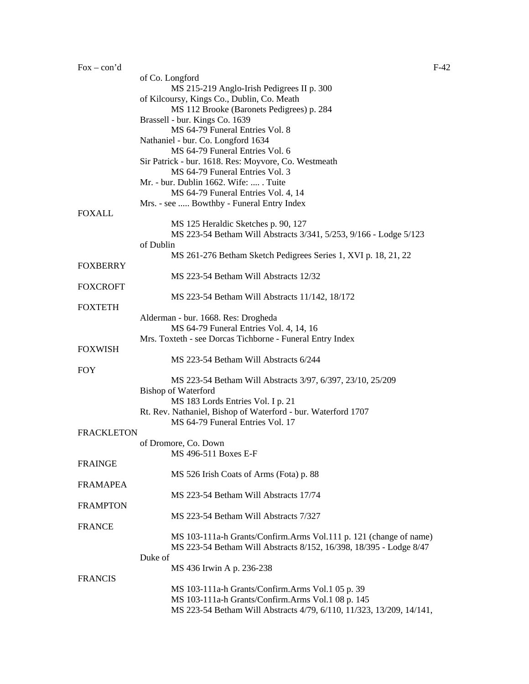|                   | of Co. Longford                                                                  |
|-------------------|----------------------------------------------------------------------------------|
|                   | MS 215-219 Anglo-Irish Pedigrees II p. 300                                       |
|                   | of Kilcoursy, Kings Co., Dublin, Co. Meath                                       |
|                   | MS 112 Brooke (Baronets Pedigrees) p. 284                                        |
|                   | Brassell - bur. Kings Co. 1639                                                   |
|                   | MS 64-79 Funeral Entries Vol. 8                                                  |
|                   | Nathaniel - bur. Co. Longford 1634                                               |
|                   | MS 64-79 Funeral Entries Vol. 6                                                  |
|                   | Sir Patrick - bur. 1618. Res: Moyvore, Co. Westmeath                             |
|                   | MS 64-79 Funeral Entries Vol. 3                                                  |
|                   | Mr. - bur. Dublin 1662. Wife:  . Tuite                                           |
|                   | MS 64-79 Funeral Entries Vol. 4, 14<br>Mrs. - see  Bowthby - Funeral Entry Index |
| <b>FOXALL</b>     |                                                                                  |
|                   | MS 125 Heraldic Sketches p. 90, 127                                              |
|                   | MS 223-54 Betham Will Abstracts 3/341, 5/253, 9/166 - Lodge 5/123                |
|                   | of Dublin                                                                        |
|                   | MS 261-276 Betham Sketch Pedigrees Series 1, XVI p. 18, 21, 22                   |
| <b>FOXBERRY</b>   |                                                                                  |
|                   | MS 223-54 Betham Will Abstracts 12/32                                            |
| <b>FOXCROFT</b>   |                                                                                  |
|                   | MS 223-54 Betham Will Abstracts 11/142, 18/172                                   |
| <b>FOXTETH</b>    |                                                                                  |
|                   | Alderman - bur. 1668. Res: Drogheda                                              |
|                   | MS 64-79 Funeral Entries Vol. 4, 14, 16                                          |
|                   | Mrs. Toxteth - see Dorcas Tichborne - Funeral Entry Index                        |
| <b>FOXWISH</b>    |                                                                                  |
|                   | MS 223-54 Betham Will Abstracts 6/244                                            |
| <b>FOY</b>        |                                                                                  |
|                   | MS 223-54 Betham Will Abstracts 3/97, 6/397, 23/10, 25/209                       |
|                   | <b>Bishop of Waterford</b>                                                       |
|                   | MS 183 Lords Entries Vol. I p. 21                                                |
|                   | Rt. Rev. Nathaniel, Bishop of Waterford - bur. Waterford 1707                    |
|                   | MS 64-79 Funeral Entries Vol. 17                                                 |
| <b>FRACKLETON</b> |                                                                                  |
|                   | of Dromore, Co. Down                                                             |
| <b>FRAINGE</b>    | MS 496-511 Boxes E-F                                                             |
|                   | MS 526 Irish Coats of Arms (Fota) p. 88                                          |
| <b>FRAMAPEA</b>   |                                                                                  |
|                   | MS 223-54 Betham Will Abstracts 17/74                                            |
| <b>FRAMPTON</b>   |                                                                                  |
|                   | MS 223-54 Betham Will Abstracts 7/327                                            |
| <b>FRANCE</b>     |                                                                                  |
|                   | MS 103-111a-h Grants/Confirm.Arms Vol.111 p. 121 (change of name)                |
|                   | MS 223-54 Betham Will Abstracts 8/152, 16/398, 18/395 - Lodge 8/47               |
|                   | Duke of                                                                          |
|                   | MS 436 Irwin A p. 236-238                                                        |
| <b>FRANCIS</b>    |                                                                                  |
|                   | MS 103-111a-h Grants/Confirm.Arms Vol.1 05 p. 39                                 |
|                   | MS 103-111a-h Grants/Confirm.Arms Vol.1 08 p. 145                                |
|                   | MS 223-54 Betham Will Abstracts 4/79, 6/110, 11/323, 13/209, 14/141,             |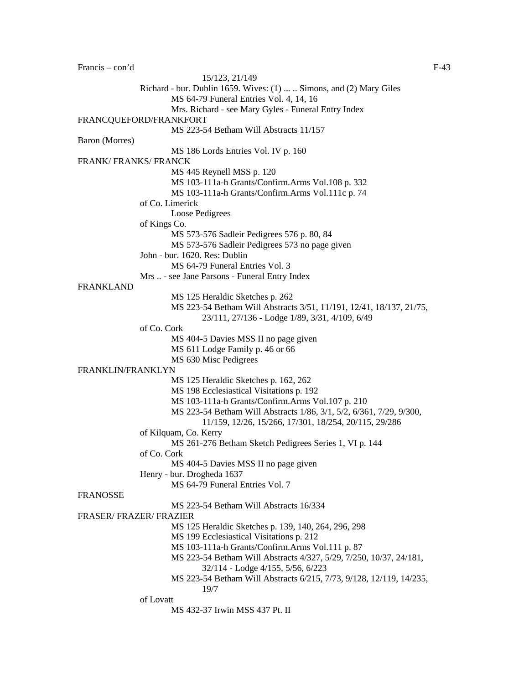Francis – con'd F-43 15/123, 21/149 Richard - bur. Dublin 1659. Wives: (1) ... .. Simons, and (2) Mary Giles MS 64-79 Funeral Entries Vol. 4, 14, 16 Mrs. Richard - see Mary Gyles - Funeral Entry Index FRANCQUEFORD/FRANKFORT MS 223-54 Betham Will Abstracts 11/157 Baron (Morres) MS 186 Lords Entries Vol. IV p. 160 FRANK/ FRANKS/ FRANCK MS 445 Reynell MSS p. 120 MS 103-111a-h Grants/Confirm.Arms Vol.108 p. 332 MS 103-111a-h Grants/Confirm.Arms Vol.111c p. 74 of Co. Limerick Loose Pedigrees of Kings Co. MS 573-576 Sadleir Pedigrees 576 p. 80, 84 MS 573-576 Sadleir Pedigrees 573 no page given John - bur. 1620. Res: Dublin MS 64-79 Funeral Entries Vol. 3 Mrs .. - see Jane Parsons - Funeral Entry Index FRANKLAND MS 125 Heraldic Sketches p. 262 MS 223-54 Betham Will Abstracts 3/51, 11/191, 12/41, 18/137, 21/75*,*  23/111, 27/136 - Lodge 1/89, 3/31, 4/109, 6/49 of Co. Cork MS 404-5 Davies MSS II no page given MS 611 Lodge Family p. 46 or 66 MS 630 Misc Pedigrees FRANKLIN/FRANKLYN MS 125 Heraldic Sketches p. 162, 262 MS 198 Ecclesiastical Visitations p. 192 MS 103-111a-h Grants/Confirm.Arms Vol.107 p. 210 MS 223-54 Betham Will Abstracts 1/86, 3/1, 5/2, 6/361, 7/29, 9/300, 11/159, 12/26, 15/266, 17/301, 18/254, 20/115, 29/286 of Kilquam, Co. Kerry MS 261-276 Betham Sketch Pedigrees Series 1, VI p. 144 of Co. Cork MS 404-5 Davies MSS II no page given Henry - bur. Drogheda 1637 MS 64-79 Funeral Entries Vol. 7 FRANOSSE MS 223-54 Betham Will Abstracts 16/334 FRASER/ FRAZER/ FRAZIER MS 125 Heraldic Sketches p. 139, 140, 264, 296, 298 MS 199 Ecclesiastical Visitations p. 212 MS 103-111a-h Grants/Confirm.Arms Vol.111 p. 87 MS 223-54 Betham Will Abstracts 4/327, 5/29, 7/250, 10/37, 24/181, 32/114 - Lodge 4/155, 5/56, 6/223 MS 223-54 Betham Will Abstracts 6/215, 7/73, 9/128, 12/119, 14/235, 19/7 of Lovatt MS 432-37 Irwin MSS 437 Pt. II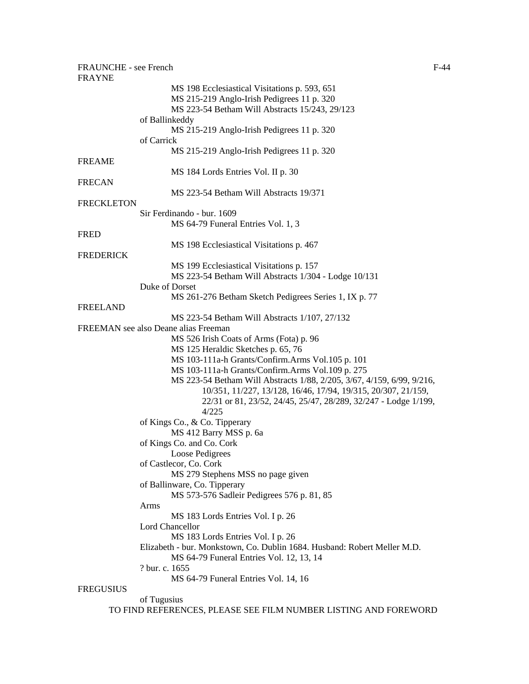| FRAUNCHE - see French<br><b>FRAYNE</b> |                                                                          | $F-44$ |
|----------------------------------------|--------------------------------------------------------------------------|--------|
|                                        | MS 198 Ecclesiastical Visitations p. 593, 651                            |        |
|                                        | MS 215-219 Anglo-Irish Pedigrees 11 p. 320                               |        |
|                                        | MS 223-54 Betham Will Abstracts 15/243, 29/123                           |        |
|                                        | of Ballinkeddy                                                           |        |
|                                        | MS 215-219 Anglo-Irish Pedigrees 11 p. 320                               |        |
|                                        | of Carrick                                                               |        |
|                                        | MS 215-219 Anglo-Irish Pedigrees 11 p. 320                               |        |
| <b>FREAME</b>                          |                                                                          |        |
|                                        | MS 184 Lords Entries Vol. II p. 30                                       |        |
| <b>FRECAN</b>                          |                                                                          |        |
|                                        | MS 223-54 Betham Will Abstracts 19/371                                   |        |
| <b>FRECKLETON</b>                      |                                                                          |        |
|                                        | Sir Ferdinando - bur. 1609                                               |        |
|                                        | MS 64-79 Funeral Entries Vol. 1, 3                                       |        |
| <b>FRED</b>                            |                                                                          |        |
|                                        | MS 198 Ecclesiastical Visitations p. 467                                 |        |
| <b>FREDERICK</b>                       |                                                                          |        |
|                                        | MS 199 Ecclesiastical Visitations p. 157                                 |        |
|                                        | MS 223-54 Betham Will Abstracts 1/304 - Lodge 10/131                     |        |
|                                        | Duke of Dorset                                                           |        |
|                                        | MS 261-276 Betham Sketch Pedigrees Series 1, IX p. 77                    |        |
| <b>FREELAND</b>                        |                                                                          |        |
|                                        | MS 223-54 Betham Will Abstracts 1/107, 27/132                            |        |
|                                        | FREEMAN see also Deane alias Freeman                                     |        |
|                                        | MS 526 Irish Coats of Arms (Fota) p. 96                                  |        |
|                                        | MS 125 Heraldic Sketches p. 65, 76                                       |        |
|                                        | MS 103-111a-h Grants/Confirm.Arms Vol.105 p. 101                         |        |
|                                        | MS 103-111a-h Grants/Confirm.Arms Vol.109 p. 275                         |        |
|                                        | MS 223-54 Betham Will Abstracts 1/88, 2/205, 3/67, 4/159, 6/99, 9/216,   |        |
|                                        | 10/351, 11/227, 13/128, 16/46, 17/94, 19/315, 20/307, 21/159,            |        |
|                                        | 22/31 or 81, 23/52, 24/45, 25/47, 28/289, 32/247 - Lodge 1/199,          |        |
|                                        | 4/225                                                                    |        |
|                                        |                                                                          |        |
|                                        | of Kings Co., & Co. Tipperary                                            |        |
|                                        | MS 412 Barry MSS p. 6a<br>of Kings Co. and Co. Cork                      |        |
|                                        |                                                                          |        |
|                                        | Loose Pedigrees                                                          |        |
|                                        | of Castlecor, Co. Cork                                                   |        |
|                                        | MS 279 Stephens MSS no page given                                        |        |
|                                        | of Ballinware, Co. Tipperary                                             |        |
|                                        | MS 573-576 Sadleir Pedigrees 576 p. 81, 85                               |        |
|                                        | Arms                                                                     |        |
|                                        | MS 183 Lords Entries Vol. I p. 26                                        |        |
|                                        | Lord Chancellor                                                          |        |
|                                        | MS 183 Lords Entries Vol. I p. 26                                        |        |
|                                        | Elizabeth - bur. Monkstown, Co. Dublin 1684. Husband: Robert Meller M.D. |        |
|                                        | MS 64-79 Funeral Entries Vol. 12, 13, 14                                 |        |
|                                        | ? bur. c. 1655                                                           |        |
|                                        | MS 64-79 Funeral Entries Vol. 14, 16                                     |        |
| <b>FREGUSIUS</b>                       |                                                                          |        |
|                                        | of Tugusius                                                              |        |
|                                        | TO FIND REFERENCES, PLEASE SEE FILM NUMBER LISTING AND FOREWORD          |        |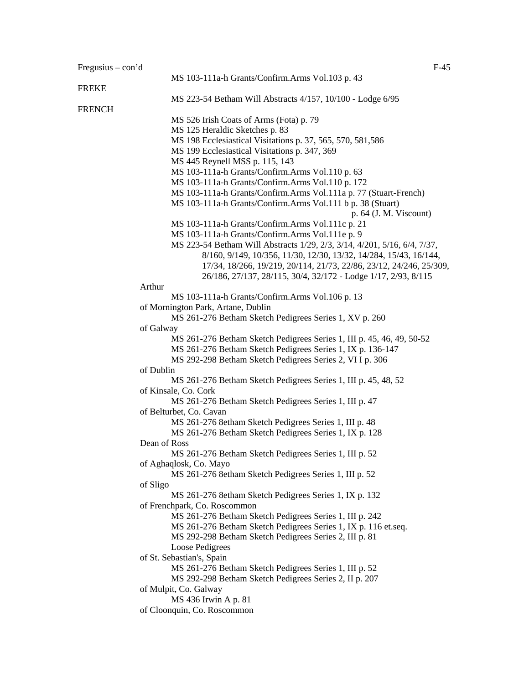| Fregusius – $con2d$ | $F-45$                                                                    |
|---------------------|---------------------------------------------------------------------------|
|                     | MS 103-111a-h Grants/Confirm.Arms Vol.103 p. 43                           |
| <b>FREKE</b>        |                                                                           |
|                     | MS 223-54 Betham Will Abstracts 4/157, 10/100 - Lodge 6/95                |
| <b>FRENCH</b>       |                                                                           |
|                     | MS 526 Irish Coats of Arms (Fota) p. 79                                   |
|                     | MS 125 Heraldic Sketches p. 83                                            |
|                     | MS 198 Ecclesiastical Visitations p. 37, 565, 570, 581,586                |
|                     | MS 199 Ecclesiastical Visitations p. 347, 369                             |
|                     | MS 445 Reynell MSS p. 115, 143                                            |
|                     | MS 103-111a-h Grants/Confirm.Arms Vol.110 p. 63                           |
|                     | MS 103-111a-h Grants/Confirm.Arms Vol.110 p. 172                          |
|                     | MS 103-111a-h Grants/Confirm.Arms Vol.111a p. 77 (Stuart-French)          |
|                     | MS 103-111a-h Grants/Confirm.Arms Vol.111 b p. 38 (Stuart)                |
|                     | $p. 64$ (J. M. Viscount)                                                  |
|                     | MS 103-111a-h Grants/Confirm.Arms Vol.111c p. 21                          |
|                     | MS 103-111a-h Grants/Confirm.Arms Vol.111e p. 9                           |
|                     | MS 223-54 Betham Will Abstracts 1/29, 2/3, 3/14, 4/201, 5/16, 6/4, 7/37,  |
|                     | 8/160, 9/149, 10/356, 11/30, 12/30, 13/32, 14/284, 15/43, 16/144,         |
|                     | 17/34, 18/266, 19/219, 20/114, 21/73, 22/86, 23/12, 24/246, 25/309,       |
|                     | 26/186, 27/137, 28/115, 30/4, 32/172 - Lodge 1/17, 2/93, 8/115            |
| Arthur              |                                                                           |
|                     | MS 103-111a-h Grants/Confirm.Arms Vol.106 p. 13                           |
|                     | of Mornington Park, Artane, Dublin                                        |
|                     | MS 261-276 Betham Sketch Pedigrees Series 1, XV p. 260                    |
| of Galway           |                                                                           |
|                     | MS 261-276 Betham Sketch Pedigrees Series 1, III p. 45, 46, 49, 50-52     |
|                     | MS 261-276 Betham Sketch Pedigrees Series 1, IX p. 136-147                |
|                     | MS 292-298 Betham Sketch Pedigrees Series 2, VI I p. 306                  |
| of Dublin           |                                                                           |
|                     | MS 261-276 Betham Sketch Pedigrees Series 1, III p. 45, 48, 52            |
|                     | of Kinsale, Co. Cork                                                      |
|                     | MS 261-276 Betham Sketch Pedigrees Series 1, III p. 47                    |
|                     | of Belturbet, Co. Cavan                                                   |
|                     | MS 261-276 8etham Sketch Pedigrees Series 1, III p. 48                    |
|                     | MS 261-276 Betham Sketch Pedigrees Series 1, IX p. 128                    |
| Dean of Ross        |                                                                           |
|                     | MS 261-276 Betham Sketch Pedigrees Series 1, III p. 52                    |
|                     | of Aghaqlosk, Co. Mayo                                                    |
|                     | MS 261-276 8etham Sketch Pedigrees Series 1, III p. 52                    |
| of Sligo            |                                                                           |
|                     | MS 261-276 8etham Sketch Pedigrees Series 1, IX p. 132                    |
|                     | of Frenchpark, Co. Roscommon                                              |
|                     | MS 261-276 Betham Sketch Pedigrees Series 1, III p. 242                   |
|                     | MS 261-276 Betham Sketch Pedigrees Series 1, IX p. 116 et.seq.            |
|                     | MS 292-298 Betham Sketch Pedigrees Series 2, III p. 81<br>Loose Pedigrees |
|                     | of St. Sebastian's, Spain                                                 |
|                     | MS 261-276 Betham Sketch Pedigrees Series 1, III p. 52                    |
|                     | MS 292-298 Betham Sketch Pedigrees Series 2, II p. 207                    |
|                     | of Mulpit, Co. Galway                                                     |
|                     | MS 436 Irwin A p. 81                                                      |
|                     | of Cloonquin, Co. Roscommon                                               |
|                     |                                                                           |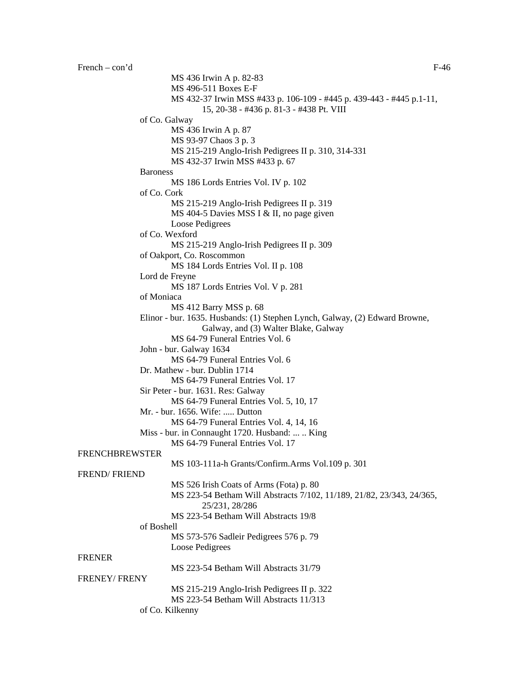```
MS 436 Irwin A p. 82-83 
                        MS 496-511 Boxes E-F 
                        MS 432-37 Irwin MSS #433 p. 106-109 - #445 p. 439-443 - #445 p.1-11, 
                                  15, 20-38 - #436 p. 81-3 - #438 Pt. VIII 
                of Co. Galway 
                        MS 436 Irwin A p. 87 
                        MS 93-97 Chaos 3 p. 3 
                        MS 215-219 Anglo-Irish Pedigrees II p. 310, 314-331 
                        MS 432-37 Irwin MSS #433 p. 67 
                Baroness 
                        MS 186 Lords Entries Vol. IV p. 102 
                of Co. Cork 
                        MS 215-219 Anglo-Irish Pedigrees II p. 319 
                        MS 404-5 Davies MSS I & II, no page given
                        Loose Pedigrees 
                of Co. Wexford 
                        MS 215-219 Anglo-Irish Pedigrees II p. 309 
                of Oakport, Co. Roscommon 
                        MS 184 Lords Entries Vol. II p. 108 
                Lord de Freyne 
                        MS 187 Lords Entries Vol. V p. 281 
                of Moniaca 
                        MS 412 Barry MSS p. 68 
                Elinor - bur. 1635. Husbands: (1) Stephen Lynch, Galway, (2) Edward Browne, 
                                  Galway, and (3) Walter Blake, Galway 
                        MS 64-79 Funeral Entries Vol. 6 
                John - bur. Galway 1634 
                        MS 64-79 Funeral Entries Vol. 6 
                Dr. Mathew - bur. Dublin 1714 
                        MS 64-79 Funeral Entries Vol. 17 
                Sir Peter - bur. 1631. Res: Galway 
                        MS 64-79 Funeral Entries Vol. 5, 10, 17 
                Mr. - bur. 1656. Wife: ..... Dutton 
                        MS 64-79 Funeral Entries Vol. 4, 14, 16 
                Miss - bur. in Connaught 1720. Husband: ... .. King 
                        MS 64-79 Funeral Entries Vol. 17 
FRENCHBREWSTER 
                        MS 103-111a-h Grants/Confirm.Arms Vol.109 p. 301 
FREND/ FRIEND 
                        MS 526 Irish Coats of Arms (Fota) p. 80 
                        MS 223-54 Betham Will Abstracts 7/102, 11/189, 21/82, 23/343, 24/365, 
                                  25/231, 28/286 
                        MS 223-54 Betham Will Abstracts 19/8
                of Boshell 
                        MS 573-576 Sadleir Pedigrees 576 p. 79 
                        Loose Pedigrees 
FRENER 
                        MS 223-54 Betham Will Abstracts 31/79
FRENEY/ FRENY 
                        MS 215-219 Anglo-Irish Pedigrees II p. 322 
                        MS 223-54 Betham Will Abstracts 11/313
```
of Co. Kilkenny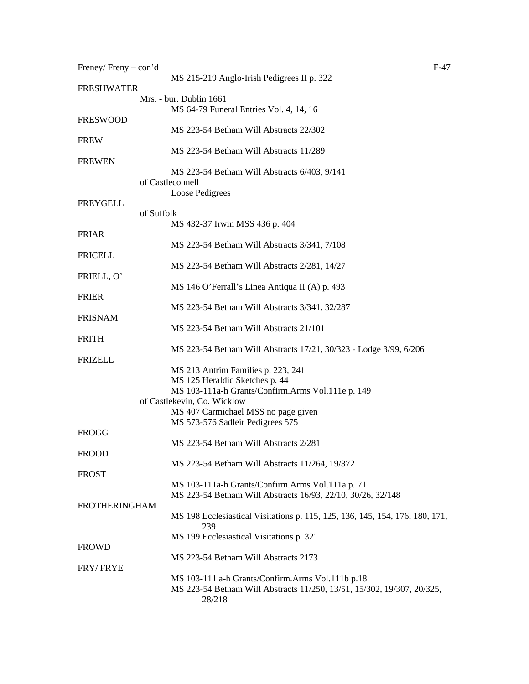| Freney/Freny – con'd |                                                                                     | F-47 |
|----------------------|-------------------------------------------------------------------------------------|------|
| <b>FRESHWATER</b>    | MS 215-219 Anglo-Irish Pedigrees II p. 322                                          |      |
|                      | Mrs. - bur. Dublin 1661<br>MS 64-79 Funeral Entries Vol. 4, 14, 16                  |      |
| <b>FRESWOOD</b>      | MS 223-54 Betham Will Abstracts 22/302                                              |      |
| <b>FREW</b>          |                                                                                     |      |
| <b>FREWEN</b>        | MS 223-54 Betham Will Abstracts 11/289                                              |      |
|                      | MS 223-54 Betham Will Abstracts 6/403, 9/141<br>of Castleconnell<br>Loose Pedigrees |      |
| FREYGELL             | of Suffolk                                                                          |      |
|                      | MS 432-37 Irwin MSS 436 p. 404                                                      |      |
| <b>FRIAR</b>         | MS 223-54 Betham Will Abstracts 3/341, 7/108                                        |      |
| <b>FRICELL</b>       | MS 223-54 Betham Will Abstracts 2/281, 14/27                                        |      |
| FRIELL, O'           |                                                                                     |      |
| <b>FRIER</b>         | MS 146 O'Ferrall's Linea Antiqua II (A) p. 493                                      |      |
| <b>FRISNAM</b>       | MS 223-54 Betham Will Abstracts 3/341, 32/287                                       |      |
|                      | MS 223-54 Betham Will Abstracts 21/101                                              |      |
| <b>FRITH</b>         | MS 223-54 Betham Will Abstracts 17/21, 30/323 - Lodge 3/99, 6/206                   |      |
| <b>FRIZELL</b>       |                                                                                     |      |
|                      | MS 213 Antrim Families p. 223, 241                                                  |      |
|                      | MS 125 Heraldic Sketches p. 44                                                      |      |
|                      | MS 103-111a-h Grants/Confirm.Arms Vol.111e p. 149<br>of Castlekevin, Co. Wicklow    |      |
|                      | MS 407 Carmichael MSS no page given                                                 |      |
|                      | MS 573-576 Sadleir Pedigrees 575                                                    |      |
| FROGG                |                                                                                     |      |
|                      | MS 223-54 Betham Will Abstracts 2/281                                               |      |
| <b>FROOD</b>         |                                                                                     |      |
|                      | MS 223-54 Betham Will Abstracts 11/264, 19/372                                      |      |
| <b>FROST</b>         |                                                                                     |      |
|                      | MS 103-111a-h Grants/Confirm.Arms Vol.111a p. 71                                    |      |
| <b>FROTHERINGHAM</b> | MS 223-54 Betham Will Abstracts 16/93, 22/10, 30/26, 32/148                         |      |
|                      | MS 198 Ecclesiastical Visitations p. 115, 125, 136, 145, 154, 176, 180, 171,<br>239 |      |
|                      | MS 199 Ecclesiastical Visitations p. 321                                            |      |
| <b>FROWD</b>         |                                                                                     |      |
|                      | MS 223-54 Betham Will Abstracts 2173                                                |      |
| FRY/FRYE             |                                                                                     |      |
|                      | MS 103-111 a-h Grants/Confirm.Arms Vol.111b p.18                                    |      |
|                      | MS 223-54 Betham Will Abstracts 11/250, 13/51, 15/302, 19/307, 20/325,<br>28/218    |      |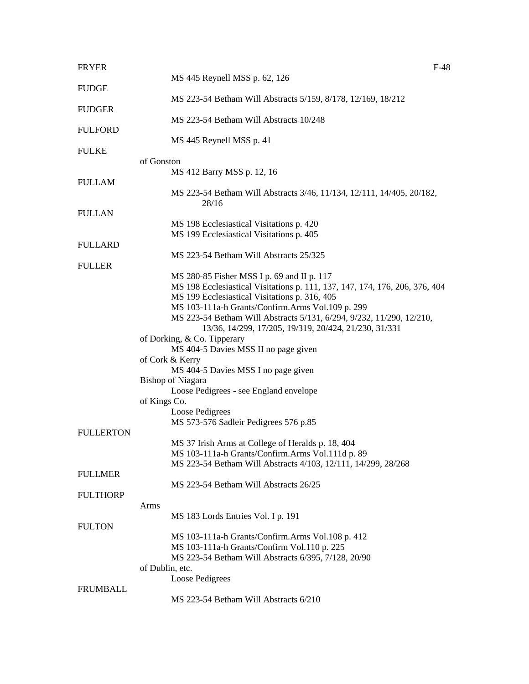| <b>FRYER</b>     | $F-48$                                                                      |
|------------------|-----------------------------------------------------------------------------|
|                  | MS 445 Reynell MSS p. 62, 126                                               |
| <b>FUDGE</b>     |                                                                             |
|                  | MS 223-54 Betham Will Abstracts 5/159, 8/178, 12/169, 18/212                |
| <b>FUDGER</b>    | MS 223-54 Betham Will Abstracts 10/248                                      |
| <b>FULFORD</b>   |                                                                             |
|                  | MS 445 Reynell MSS p. 41                                                    |
| <b>FULKE</b>     |                                                                             |
|                  | of Gonston                                                                  |
|                  | MS 412 Barry MSS p. 12, 16                                                  |
| <b>FULLAM</b>    |                                                                             |
|                  | MS 223-54 Betham Will Abstracts 3/46, 11/134, 12/111, 14/405, 20/182,       |
|                  | 28/16                                                                       |
| <b>FULLAN</b>    |                                                                             |
|                  | MS 198 Ecclesiastical Visitations p. 420                                    |
| <b>FULLARD</b>   | MS 199 Ecclesiastical Visitations p. 405                                    |
|                  | MS 223-54 Betham Will Abstracts 25/325                                      |
| <b>FULLER</b>    |                                                                             |
|                  | MS 280-85 Fisher MSS I p. 69 and II p. 117                                  |
|                  | MS 198 Ecclesiastical Visitations p. 111, 137, 147, 174, 176, 206, 376, 404 |
|                  | MS 199 Ecclesiastical Visitations p. 316, 405                               |
|                  | MS 103-111a-h Grants/Confirm.Arms Vol.109 p. 299                            |
|                  | MS 223-54 Betham Will Abstracts 5/131, 6/294, 9/232, 11/290, 12/210,        |
|                  | 13/36, 14/299, 17/205, 19/319, 20/424, 21/230, 31/331                       |
|                  | of Dorking, & Co. Tipperary                                                 |
|                  | MS 404-5 Davies MSS II no page given                                        |
|                  | of Cork & Kerry                                                             |
|                  | MS 404-5 Davies MSS I no page given                                         |
|                  | <b>Bishop of Niagara</b>                                                    |
|                  | Loose Pedigrees - see England envelope                                      |
|                  | of Kings Co.                                                                |
|                  | Loose Pedigrees                                                             |
| <b>FULLERTON</b> | MS 573-576 Sadleir Pedigrees 576 p.85                                       |
|                  | MS 37 Irish Arms at College of Heralds p. 18, 404                           |
|                  | MS 103-111a-h Grants/Confirm.Arms Vol.111d p. 89                            |
|                  | MS 223-54 Betham Will Abstracts 4/103, 12/111, 14/299, 28/268               |
| <b>FULLMER</b>   |                                                                             |
|                  | MS 223-54 Betham Will Abstracts 26/25                                       |
| <b>FULTHORP</b>  |                                                                             |
|                  | Arms                                                                        |
|                  | MS 183 Lords Entries Vol. I p. 191                                          |
| <b>FULTON</b>    |                                                                             |
|                  | MS 103-111a-h Grants/Confirm.Arms Vol.108 p. 412                            |
|                  | MS 103-111a-h Grants/Confirm Vol.110 p. 225                                 |
|                  | MS 223-54 Betham Will Abstracts 6/395, 7/128, 20/90                         |
|                  | of Dublin, etc.                                                             |
|                  | Loose Pedigrees                                                             |
| <b>FRUMBALL</b>  | MS 223-54 Betham Will Abstracts 6/210                                       |
|                  |                                                                             |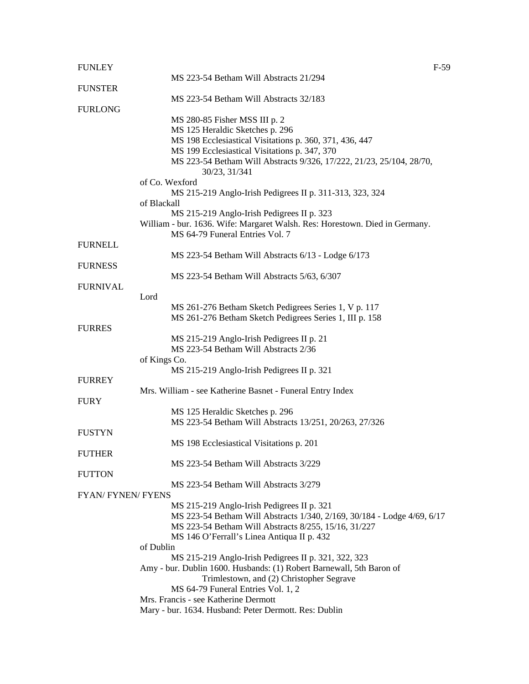| <b>FUNLEY</b>           |                                                                                                                | $F-59$ |
|-------------------------|----------------------------------------------------------------------------------------------------------------|--------|
|                         | MS 223-54 Betham Will Abstracts 21/294                                                                         |        |
| <b>FUNSTER</b>          |                                                                                                                |        |
|                         | MS 223-54 Betham Will Abstracts 32/183                                                                         |        |
| <b>FURLONG</b>          |                                                                                                                |        |
|                         | MS 280-85 Fisher MSS III p. 2                                                                                  |        |
|                         | MS 125 Heraldic Sketches p. 296                                                                                |        |
|                         | MS 198 Ecclesiastical Visitations p. 360, 371, 436, 447                                                        |        |
|                         | MS 199 Ecclesiastical Visitations p. 347, 370                                                                  |        |
|                         | MS 223-54 Betham Will Abstracts 9/326, 17/222, 21/23, 25/104, 28/70,<br>30/23, 31/341                          |        |
|                         | of Co. Wexford                                                                                                 |        |
|                         | MS 215-219 Anglo-Irish Pedigrees II p. 311-313, 323, 324                                                       |        |
|                         | of Blackall                                                                                                    |        |
|                         | MS 215-219 Anglo-Irish Pedigrees II p. 323                                                                     |        |
|                         | William - bur. 1636. Wife: Margaret Walsh. Res: Horestown. Died in Germany.<br>MS 64-79 Funeral Entries Vol. 7 |        |
| <b>FURNELL</b>          |                                                                                                                |        |
|                         | MS 223-54 Betham Will Abstracts 6/13 - Lodge 6/173                                                             |        |
| <b>FURNESS</b>          |                                                                                                                |        |
|                         | MS 223-54 Betham Will Abstracts 5/63, 6/307                                                                    |        |
| <b>FURNIVAL</b>         |                                                                                                                |        |
|                         | Lord                                                                                                           |        |
|                         | MS 261-276 Betham Sketch Pedigrees Series 1, V p. 117                                                          |        |
|                         | MS 261-276 Betham Sketch Pedigrees Series 1, III p. 158                                                        |        |
| <b>FURRES</b>           |                                                                                                                |        |
|                         | MS 215-219 Anglo-Irish Pedigrees II p. 21                                                                      |        |
|                         | MS 223-54 Betham Will Abstracts 2/36                                                                           |        |
|                         | of Kings Co.                                                                                                   |        |
|                         | MS 215-219 Anglo-Irish Pedigrees II p. 321                                                                     |        |
| <b>FURREY</b>           |                                                                                                                |        |
|                         | Mrs. William - see Katherine Basnet - Funeral Entry Index                                                      |        |
| <b>FURY</b>             |                                                                                                                |        |
|                         | MS 125 Heraldic Sketches p. 296                                                                                |        |
|                         | MS 223-54 Betham Will Abstracts 13/251, 20/263, 27/326                                                         |        |
| <b>FUSTYN</b>           |                                                                                                                |        |
|                         | MS 198 Ecclesiastical Visitations p. 201                                                                       |        |
| <b>FUTHER</b>           |                                                                                                                |        |
|                         | MS 223-54 Betham Will Abstracts 3/229                                                                          |        |
| <b>FUTTON</b>           |                                                                                                                |        |
|                         | MS 223-54 Betham Will Abstracts 3/279                                                                          |        |
| <b>FYAN/FYNEN/FYENS</b> |                                                                                                                |        |
|                         | MS 215-219 Anglo-Irish Pedigrees II p. 321                                                                     |        |
|                         | MS 223-54 Betham Will Abstracts 1/340, 2/169, 30/184 - Lodge 4/69, 6/17                                        |        |
|                         | MS 223-54 Betham Will Abstracts 8/255, 15/16, 31/227                                                           |        |
|                         | MS 146 O'Ferrall's Linea Antiqua II p. 432                                                                     |        |
|                         | of Dublin<br>MS 215-219 Anglo-Irish Pedigrees II p. 321, 322, 323                                              |        |
|                         | Amy - bur. Dublin 1600. Husbands: (1) Robert Barnewall, 5th Baron of                                           |        |
|                         | Trimlestown, and (2) Christopher Segrave                                                                       |        |
|                         | MS 64-79 Funeral Entries Vol. 1, 2                                                                             |        |
|                         | Mrs. Francis - see Katherine Dermott                                                                           |        |
|                         | Mary - bur. 1634. Husband: Peter Dermott. Res: Dublin                                                          |        |
|                         |                                                                                                                |        |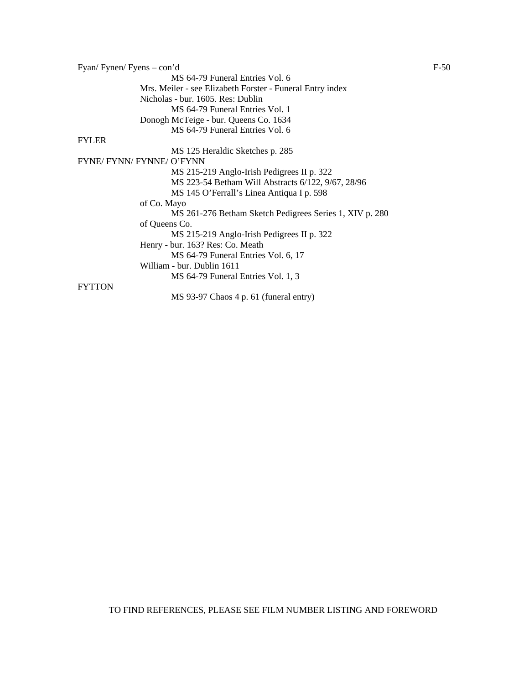Fyan/ Fynen/ Fyens – con'd F-50 MS 64-79 Funeral Entries Vol. 6 Mrs. Meiler - see Elizabeth Forster - Funeral Entry index Nicholas - bur. 1605. Res: Dublin MS 64-79 Funeral Entries Vol. 1 Donogh McTeige - bur. Queens Co. 1634 MS 64-79 Funeral Entries Vol. 6 FYLER MS 125 Heraldic Sketches p. 285 FYNE/ FYNN/ FYNNE/ O'FYNN MS 215-219 Anglo-Irish Pedigrees II p. 322 MS 223-54 Betham Will Abstracts 6/122, 9/67, 28/96 MS 145 O'Ferrall's Linea Antiqua I p. 598 of Co. Mayo MS 261-276 Betham Sketch Pedigrees Series 1, XIV p. 280 of Queens Co. MS 215-219 Anglo-Irish Pedigrees II p. 322 Henry - bur. 163? Res: Co. Meath MS 64-79 Funeral Entries Vol. 6, 17 William - bur. Dublin 1611 MS 64-79 Funeral Entries Vol. 1, 3 **FYTTON** MS 93-97 Chaos 4 p. 61 (funeral entry)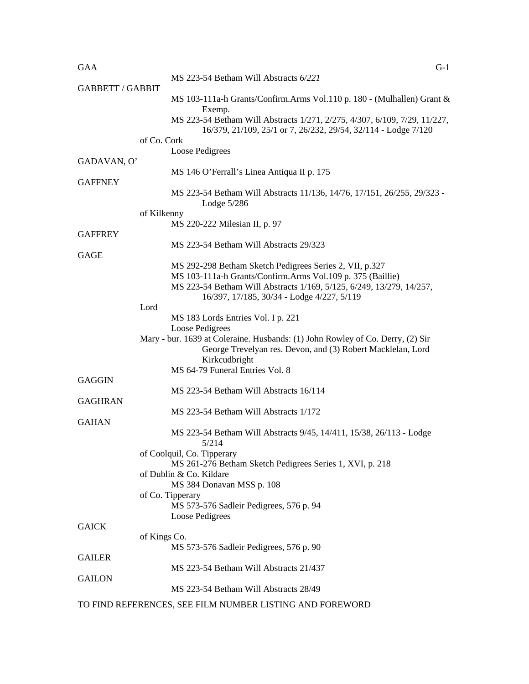## $GAA$  G-1

|                         | MS 223-54 Betham Will Abstracts 6/221                                                                                                       |
|-------------------------|---------------------------------------------------------------------------------------------------------------------------------------------|
| <b>GABBETT / GABBIT</b> |                                                                                                                                             |
|                         | MS 103-111a-h Grants/Confirm.Arms Vol.110 p. 180 - (Mulhallen) Grant &                                                                      |
|                         | Exemp.                                                                                                                                      |
|                         | MS 223-54 Betham Will Abstracts 1/271, 2/275, 4/307, 6/109, 7/29, 11/227,<br>16/379, 21/109, 25/1 or 7, 26/232, 29/54, 32/114 - Lodge 7/120 |
|                         | of Co. Cork                                                                                                                                 |
|                         | Loose Pedigrees                                                                                                                             |
| GADAVAN, O'             |                                                                                                                                             |
|                         | MS 146 O'Ferrall's Linea Antiqua II p. 175                                                                                                  |
| <b>GAFFNEY</b>          |                                                                                                                                             |
|                         | MS 223-54 Betham Will Abstracts 11/136, 14/76, 17/151, 26/255, 29/323 -<br>Lodge $5/286$                                                    |
|                         | of Kilkenny                                                                                                                                 |
|                         | MS 220-222 Milesian II, p. 97                                                                                                               |
| <b>GAFFREY</b>          |                                                                                                                                             |
|                         | MS 223-54 Betham Will Abstracts 29/323                                                                                                      |
| GAGE                    |                                                                                                                                             |
|                         | MS 292-298 Betham Sketch Pedigrees Series 2, VII, p.327<br>MS 103-111a-h Grants/Confirm.Arms Vol.109 p. 375 (Baillie)                       |
|                         | MS 223-54 Betham Will Abstracts 1/169, 5/125, 6/249, 13/279, 14/257,                                                                        |
|                         | 16/397, 17/185, 30/34 - Lodge 4/227, 5/119                                                                                                  |
|                         | Lord                                                                                                                                        |
|                         | MS 183 Lords Entries Vol. I p. 221                                                                                                          |
|                         | Loose Pedigrees                                                                                                                             |
|                         | Mary - bur. 1639 at Coleraine. Husbands: (1) John Rowley of Co. Derry, (2) Sir                                                              |
|                         | George Trevelyan res. Devon, and (3) Robert Macklelan, Lord                                                                                 |
|                         | Kirkcudbright                                                                                                                               |
|                         | MS 64-79 Funeral Entries Vol. 8                                                                                                             |
| GAGGIN                  |                                                                                                                                             |
|                         | MS 223-54 Betham Will Abstracts 16/114                                                                                                      |
| <b>GAGHRAN</b>          |                                                                                                                                             |
|                         | MS 223-54 Betham Will Abstracts 1/172                                                                                                       |
| <b>GAHAN</b>            |                                                                                                                                             |
|                         | MS 223-54 Betham Will Abstracts 9/45, 14/411, 15/38, 26/113 - Lodge<br>5/214                                                                |
|                         | of Coolquil, Co. Tipperary                                                                                                                  |
|                         | MS 261-276 Betham Sketch Pedigrees Series 1, XVI, p. 218                                                                                    |
|                         | of Dublin & Co. Kildare                                                                                                                     |
|                         | MS 384 Donavan MSS p. 108                                                                                                                   |
|                         | of Co. Tipperary                                                                                                                            |
|                         | MS 573-576 Sadleir Pedigrees, 576 p. 94                                                                                                     |
|                         | Loose Pedigrees                                                                                                                             |
| <b>GAICK</b>            |                                                                                                                                             |
|                         | of Kings Co.                                                                                                                                |
|                         | MS 573-576 Sadleir Pedigrees, 576 p. 90                                                                                                     |
| <b>GAILER</b>           |                                                                                                                                             |
|                         | MS 223-54 Betham Will Abstracts 21/437                                                                                                      |
| <b>GAILON</b>           |                                                                                                                                             |
|                         | MS 223-54 Betham Will Abstracts 28/49                                                                                                       |
|                         | TO FIND REFERENCES, SEE FILM NUMBER LISTING AND FOREWORD                                                                                    |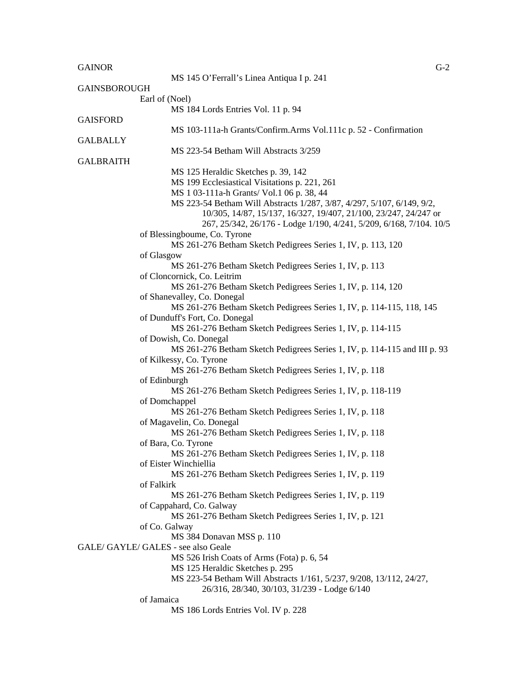GAINOR GERMAN COMMUNICATION CONTINUES ON THE CONTINUES OF A SECOND CONTINUES OF A SECOND CONTINUES OF A SECOND CONTINUES OF A SECOND CONTINUES OF A SECOND CONTINUES OF A SECOND CONTINUES OF A SECOND CONTINUES OF A SECOND C MS 145 O'Ferrall's Linea Antiqua I p. 241 GAINSBOROUGH Earl of (Noel) MS 184 Lords Entries Vol. 11 p. 94 **GAISFORD**  MS 103-111a-h Grants/Confirm.Arms Vol.111c p. 52 - Confirmation **GALBALLY**  MS 223-54 Betham Will Abstracts 3/259 GALBRAITH MS 125 Heraldic Sketches p. 39, 142 MS 199 Ecclesiastical Visitations p. 221, 261 MS 1 03-111a-h Grants/ Vol.1 06 p. 38, 44 MS 223-54 Betham Will Abstracts 1/287, 3/87, 4/297, 5/107, 6/149, 9/2, 10/305, 14/87, 15/137, 16/327, 19/407, 21/100, 23/247, 24/247 or 267, 25/342, 26/176 - Lodge 1/190, 4/241, 5/209, 6/168, 7/104. 10/5 of Blessingboume, Co. Tyrone MS 261-276 Betham Sketch Pedigrees Series 1, IV, p. 113, 120 of Glasgow MS 261-276 Betham Sketch Pedigrees Series 1, IV, p. 113 of Cloncornick, Co. Leitrim MS 261-276 Betham Sketch Pedigrees Series 1, IV, p. 114, 120 of Shanevalley, Co. Donegal MS 261-276 Betham Sketch Pedigrees Series 1, IV, p. 114-115, 118, 145 of Dunduff's Fort, Co. Donegal MS 261-276 Betham Sketch Pedigrees Series 1, IV, p. 114-115 of Dowish, Co. Donegal MS 261-276 Betham Sketch Pedigrees Series 1, IV, p. 114-115 and III p. 93 of Kilkessy, Co. Tyrone MS 261-276 Betham Sketch Pedigrees Series 1, IV, p. 118 of Edinburgh MS 261-276 Betham Sketch Pedigrees Series 1, IV, p. 118-119 of Domchappel MS 261-276 Betham Sketch Pedigrees Series 1, IV, p. 118 of Magavelin, Co. Donegal MS 261-276 Betham Sketch Pedigrees Series 1, IV, p. 118 of Bara, Co. Tyrone MS 261-276 Betham Sketch Pedigrees Series 1, IV, p. 118 of Eister Winchiellia MS 261-276 Betham Sketch Pedigrees Series 1, IV, p. 119 of Falkirk

> MS 261-276 Betham Sketch Pedigrees Series 1, IV, p. 119 of Cappahard, Co. Galway

MS 261-276 Betham Sketch Pedigrees Series 1, IV, p. 121

of Co. Galway

MS 384 Donavan MSS p. 110

GALE/ GAYLE/ GALES - see also Geale

MS 526 Irish Coats of Arms (Fota) p. 6, 54

MS 125 Heraldic Sketches p. 295

MS 223-54 Betham Will Abstracts 1/161, 5/237, 9/208, 13/112, 24/27,

26/316, 28/340, 30/103, 31/239 - Lodge 6/140

of Jamaica

MS 186 Lords Entries Vol. IV p. 228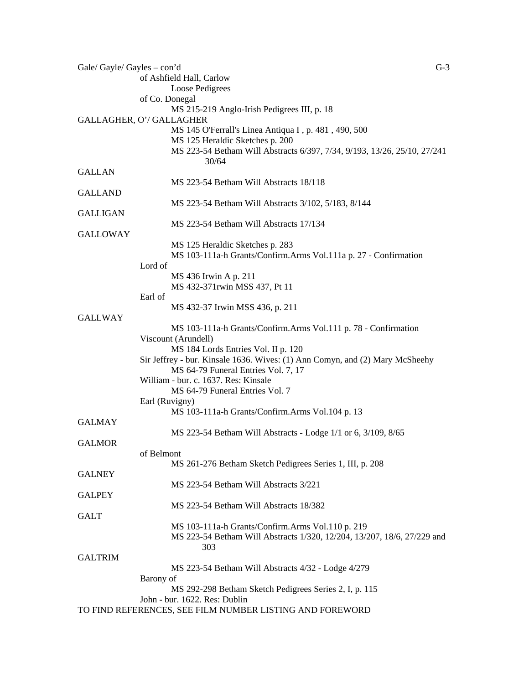| Gale/ Gayle/ Gayles – con'd | $G-3$                                                                        |
|-----------------------------|------------------------------------------------------------------------------|
|                             | of Ashfield Hall, Carlow                                                     |
|                             | Loose Pedigrees                                                              |
|                             | of Co. Donegal                                                               |
|                             | MS 215-219 Anglo-Irish Pedigrees III, p. 18                                  |
|                             | GALLAGHER, O'/ GALLAGHER                                                     |
|                             | MS 145 O'Ferrall's Linea Antiqua I, p. 481, 490, 500                         |
|                             | MS 125 Heraldic Sketches p. 200                                              |
|                             | MS 223-54 Betham Will Abstracts 6/397, 7/34, 9/193, 13/26, 25/10, 27/241     |
|                             | 30/64                                                                        |
|                             |                                                                              |
| <b>GALLAN</b>               |                                                                              |
|                             | MS 223-54 Betham Will Abstracts 18/118                                       |
| <b>GALLAND</b>              |                                                                              |
|                             | MS 223-54 Betham Will Abstracts 3/102, 5/183, 8/144                          |
| <b>GALLIGAN</b>             |                                                                              |
|                             | MS 223-54 Betham Will Abstracts 17/134                                       |
| <b>GALLOWAY</b>             |                                                                              |
|                             | MS 125 Heraldic Sketches p. 283                                              |
|                             | MS 103-111a-h Grants/Confirm.Arms Vol.111a p. 27 - Confirmation              |
|                             | Lord of                                                                      |
|                             | MS 436 Irwin A p. 211                                                        |
|                             | MS 432-371rwin MSS 437, Pt 11                                                |
|                             | Earl of                                                                      |
|                             | MS 432-37 Irwin MSS 436, p. 211                                              |
| <b>GALLWAY</b>              |                                                                              |
|                             |                                                                              |
|                             | MS 103-111a-h Grants/Confirm.Arms Vol.111 p. 78 - Confirmation               |
|                             | Viscount (Arundell)                                                          |
|                             | MS 184 Lords Entries Vol. II p. 120                                          |
|                             | Sir Jeffrey - bur. Kinsale 1636. Wives: (1) Ann Comyn, and (2) Mary McSheehy |
|                             | MS 64-79 Funeral Entries Vol. 7, 17                                          |
|                             | William - bur. c. 1637. Res: Kinsale                                         |
|                             | MS 64-79 Funeral Entries Vol. 7                                              |
|                             | Earl (Ruvigny)                                                               |
|                             | MS 103-111a-h Grants/Confirm.Arms Vol.104 p. 13                              |
| <b>GALMAY</b>               |                                                                              |
|                             | MS 223-54 Betham Will Abstracts - Lodge 1/1 or 6, 3/109, 8/65                |
| <b>GALMOR</b>               |                                                                              |
|                             | of Belmont                                                                   |
|                             | MS 261-276 Betham Sketch Pedigrees Series 1, III, p. 208                     |
| <b>GALNEY</b>               |                                                                              |
|                             | MS 223-54 Betham Will Abstracts 3/221                                        |
| <b>GALPEY</b>               |                                                                              |
|                             |                                                                              |
|                             | MS 223-54 Betham Will Abstracts 18/382                                       |
| <b>GALT</b>                 |                                                                              |
|                             | MS 103-111a-h Grants/Confirm.Arms Vol.110 p. 219                             |
|                             | MS 223-54 Betham Will Abstracts 1/320, 12/204, 13/207, 18/6, 27/229 and      |
|                             | 303                                                                          |
| <b>GALTRIM</b>              |                                                                              |
|                             | MS 223-54 Betham Will Abstracts 4/32 - Lodge 4/279                           |
|                             | Barony of                                                                    |
|                             | MS 292-298 Betham Sketch Pedigrees Series 2, I, p. 115                       |
|                             | John - bur. 1622. Res: Dublin                                                |
|                             | TO FIND REFERENCES, SEE FILM NUMBER LISTING AND FOREWORD                     |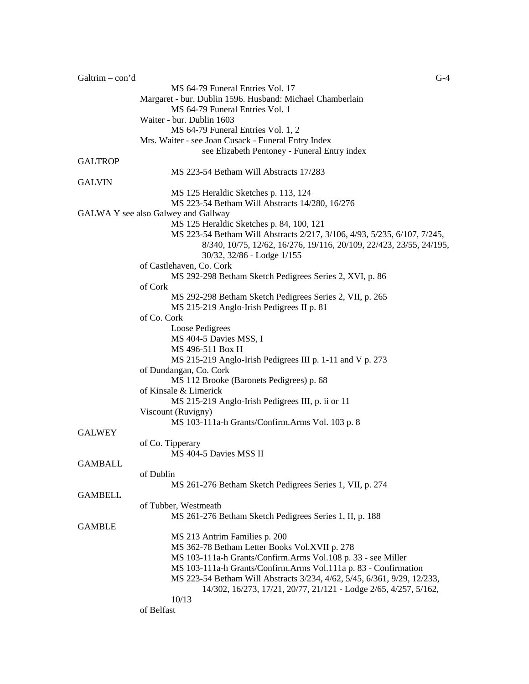| Galtrim $-$ con'd | $G-4$                                                                     |
|-------------------|---------------------------------------------------------------------------|
|                   | MS 64-79 Funeral Entries Vol. 17                                          |
|                   | Margaret - bur. Dublin 1596. Husband: Michael Chamberlain                 |
|                   | MS 64-79 Funeral Entries Vol. 1                                           |
|                   | Waiter - bur. Dublin 1603                                                 |
|                   | MS 64-79 Funeral Entries Vol. 1, 2                                        |
|                   | Mrs. Waiter - see Joan Cusack - Funeral Entry Index                       |
|                   | see Elizabeth Pentoney - Funeral Entry index                              |
| <b>GALTROP</b>    |                                                                           |
|                   | MS 223-54 Betham Will Abstracts 17/283                                    |
| <b>GALVIN</b>     |                                                                           |
|                   | MS 125 Heraldic Sketches p. 113, 124                                      |
|                   | MS 223-54 Betham Will Abstracts 14/280, 16/276                            |
|                   | GALWA Y see also Galwey and Gallway                                       |
|                   | MS 125 Heraldic Sketches p. 84, 100, 121                                  |
|                   | MS 223-54 Betham Will Abstracts 2/217, 3/106, 4/93, 5/235, 6/107, 7/245,  |
|                   | 8/340, 10/75, 12/62, 16/276, 19/116, 20/109, 22/423, 23/55, 24/195,       |
|                   | 30/32, 32/86 - Lodge 1/155                                                |
|                   | of Castlehaven, Co. Cork                                                  |
|                   | MS 292-298 Betham Sketch Pedigrees Series 2, XVI, p. 86                   |
|                   | of Cork                                                                   |
|                   |                                                                           |
|                   | MS 292-298 Betham Sketch Pedigrees Series 2, VII, p. 265                  |
|                   | MS 215-219 Anglo-Irish Pedigrees II p. 81                                 |
|                   | of Co. Cork                                                               |
|                   | Loose Pedigrees                                                           |
|                   | MS 404-5 Davies MSS, I                                                    |
|                   | MS 496-511 Box H                                                          |
|                   | MS 215-219 Anglo-Irish Pedigrees III p. 1-11 and V p. 273                 |
|                   | of Dundangan, Co. Cork                                                    |
|                   | MS 112 Brooke (Baronets Pedigrees) p. 68                                  |
|                   | of Kinsale & Limerick                                                     |
|                   | MS 215-219 Anglo-Irish Pedigrees III, p. ii or 11                         |
|                   | Viscount (Ruvigny)                                                        |
|                   | MS 103-111a-h Grants/Confirm.Arms Vol. 103 p. 8                           |
| <b>GALWEY</b>     |                                                                           |
|                   | of Co. Tipperary                                                          |
|                   | MS 404-5 Davies MSS II                                                    |
| <b>GAMBALL</b>    |                                                                           |
|                   | of Dublin                                                                 |
|                   | MS 261-276 Betham Sketch Pedigrees Series 1, VII, p. 274                  |
| <b>GAMBELL</b>    |                                                                           |
|                   | of Tubber, Westmeath                                                      |
|                   | MS 261-276 Betham Sketch Pedigrees Series 1, II, p. 188                   |
| <b>GAMBLE</b>     |                                                                           |
|                   | MS 213 Antrim Families p. 200                                             |
|                   | MS 362-78 Betham Letter Books Vol.XVII p. 278                             |
|                   | MS 103-111a-h Grants/Confirm.Arms Vol.108 p. 33 - see Miller              |
|                   | MS 103-111a-h Grants/Confirm.Arms Vol.111a p. 83 - Confirmation           |
|                   |                                                                           |
|                   | MS 223-54 Betham Will Abstracts 3/234, 4/62, 5/45, 6/361, 9/29, 12/233,   |
|                   | 14/302, 16/273, 17/21, 20/77, 21/121 - Lodge 2/65, 4/257, 5/162,<br>10/13 |
|                   |                                                                           |
|                   | of Belfast                                                                |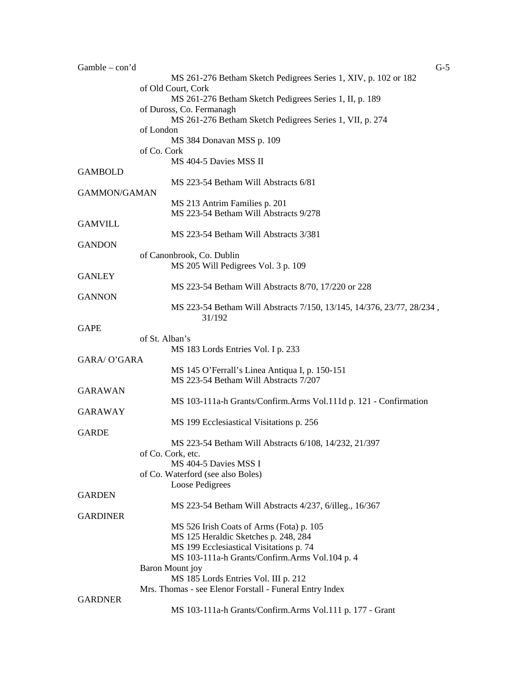| $Gamble - con'd$    |                                                                       | $G-5$ |
|---------------------|-----------------------------------------------------------------------|-------|
|                     | MS 261-276 Betham Sketch Pedigrees Series 1, XIV, p. 102 or 182       |       |
|                     | of Old Court, Cork                                                    |       |
|                     | MS 261-276 Betham Sketch Pedigrees Series 1, II, p. 189               |       |
|                     | of Duross, Co. Fermanagh                                              |       |
|                     | MS 261-276 Betham Sketch Pedigrees Series 1, VII, p. 274              |       |
|                     | of London                                                             |       |
|                     | MS 384 Donavan MSS p. 109                                             |       |
|                     | of Co. Cork                                                           |       |
|                     | MS 404-5 Davies MSS II                                                |       |
| <b>GAMBOLD</b>      | MS 223-54 Betham Will Abstracts 6/81                                  |       |
| <b>GAMMON/GAMAN</b> |                                                                       |       |
|                     | MS 213 Antrim Families p. 201                                         |       |
|                     | MS 223-54 Betham Will Abstracts 9/278                                 |       |
| <b>GAMVILL</b>      |                                                                       |       |
|                     | MS 223-54 Betham Will Abstracts 3/381                                 |       |
| <b>GANDON</b>       |                                                                       |       |
|                     | of Canonbrook, Co. Dublin                                             |       |
|                     | MS 205 Will Pedigrees Vol. 3 p. 109                                   |       |
| <b>GANLEY</b>       |                                                                       |       |
|                     | MS 223-54 Betham Will Abstracts 8/70, 17/220 or 228                   |       |
| <b>GANNON</b>       |                                                                       |       |
|                     | MS 223-54 Betham Will Abstracts 7/150, 13/145, 14/376, 23/77, 28/234, |       |
|                     | 31/192                                                                |       |
| <b>GAPE</b>         |                                                                       |       |
|                     | of St. Alban's                                                        |       |
|                     | MS 183 Lords Entries Vol. I p. 233                                    |       |
| <b>GARA/ O'GARA</b> |                                                                       |       |
|                     | MS 145 O'Ferrall's Linea Antiqua I, p. 150-151                        |       |
|                     | MS 223-54 Betham Will Abstracts 7/207                                 |       |
| <b>GARAWAN</b>      |                                                                       |       |
|                     | MS 103-111a-h Grants/Confirm.Arms Vol.111d p. 121 - Confirmation      |       |
| <b>GARAWAY</b>      |                                                                       |       |
|                     | MS 199 Ecclesiastical Visitations p. 256                              |       |
| <b>GARDE</b>        |                                                                       |       |
|                     | MS 223-54 Betham Will Abstracts 6/108, 14/232, 21/397                 |       |
|                     | of Co. Cork, etc.                                                     |       |
|                     | MS 404-5 Davies MSS I                                                 |       |
|                     | of Co. Waterford (see also Boles)                                     |       |
|                     | Loose Pedigrees                                                       |       |
| <b>GARDEN</b>       |                                                                       |       |
|                     | MS 223-54 Betham Will Abstracts 4/237, 6/illeg., 16/367               |       |
| <b>GARDINER</b>     |                                                                       |       |
|                     | MS 526 Irish Coats of Arms (Fota) p. 105                              |       |
|                     | MS 125 Heraldic Sketches p. 248, 284                                  |       |
|                     | MS 199 Ecclesiastical Visitations p. 74                               |       |
|                     | MS 103-111a-h Grants/Confirm.Arms Vol.104 p. 4                        |       |
|                     | Baron Mount joy                                                       |       |
|                     | MS 185 Lords Entries Vol. III p. 212                                  |       |
| <b>GARDNER</b>      | Mrs. Thomas - see Elenor Forstall - Funeral Entry Index               |       |
|                     |                                                                       |       |
|                     | MS 103-111a-h Grants/Confirm.Arms Vol.111 p. 177 - Grant              |       |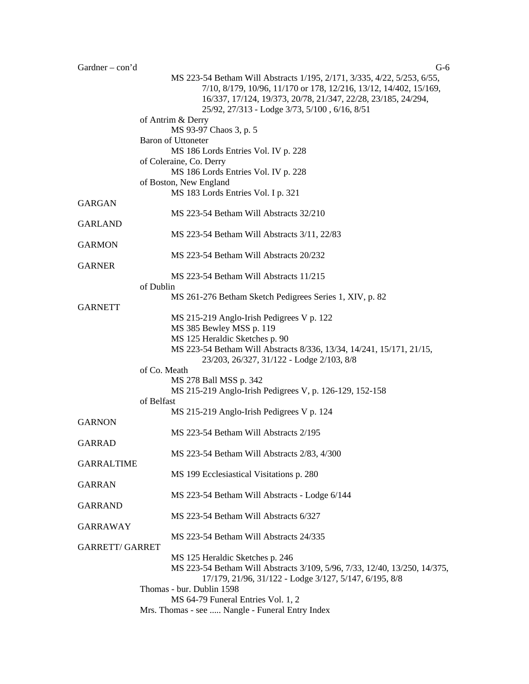Gardner – con'd G-6 MS 223-54 Betham Will Abstracts 1/195, 2/171, 3/335, 4/22, 5/253, 6/55, 7/10, 8/179, 10/96, 11/170 or 178, 12/216, 13/12, 14/402, 15/169, 16/337, 17/124, 19/373, 20/78, 21/347, 22/28, 23/185, 24/294, 25/92, 27/313 - Lodge 3/73, 5/100 , 6/16, 8/51 of Antrim & Derry MS 93-97 Chaos 3, p. 5 Baron of Uttoneter MS 186 Lords Entries Vol. IV p. 228 of Coleraine, Co. Derry MS 186 Lords Entries Vol. IV p. 228 of Boston, New England MS 183 Lords Entries Vol. I p. 321 GARGAN MS 223-54 Betham Will Abstracts 32/210 GARLAND MS 223-54 Betham Will Abstracts 3/11, 22/83 **GARMON** MS 223-54 Betham Will Abstracts 20/232 GARNER MS 223-54 Betham Will Abstracts 11/215 of Dublin MS 261-276 Betham Sketch Pedigrees Series 1, XIV, p. 82 **GARNETT** MS 215-219 Anglo-Irish Pedigrees V p. 122 MS 385 Bewley MSS p. 119 MS 125 Heraldic Sketches p. 90 MS 223-54 Betham Will Abstracts 8/336, 13/34, 14/241, 15/171, 21/15, 23/203, 26/327, 31/122 - Lodge 2/103, 8/8 of Co. Meath MS 278 Ball MSS p. 342 MS 215-219 Anglo-Irish Pedigrees V, p. 126-129, 152-158 of Belfast MS 215-219 Anglo-Irish Pedigrees V p. 124 **GARNON** MS 223-54 Betham Will Abstracts 2/195 GARRAD MS 223-54 Betham Will Abstracts 2/83, 4/300 GARRALTIME MS 199 Ecclesiastical Visitations p. 280 GARRAN MS 223-54 Betham Will Abstracts - Lodge 6/144 GARRAND MS 223-54 Betham Will Abstracts 6/327 GARRAWAY MS 223-54 Betham Will Abstracts 24/335 GARRETT/ GARRET MS 125 Heraldic Sketches p. 246 MS 223-54 Betham Will Abstracts 3/109, 5/96, 7/33, 12/40, 13/250, 14/375, 17/179, 21/96, 31/122 - Lodge 3/127, 5/147, 6/195, 8/8 Thomas - bur. Dublin 1598 MS 64-79 Funeral Entries Vol. 1, 2

Mrs. Thomas - see ..... Nangle - Funeral Entry Index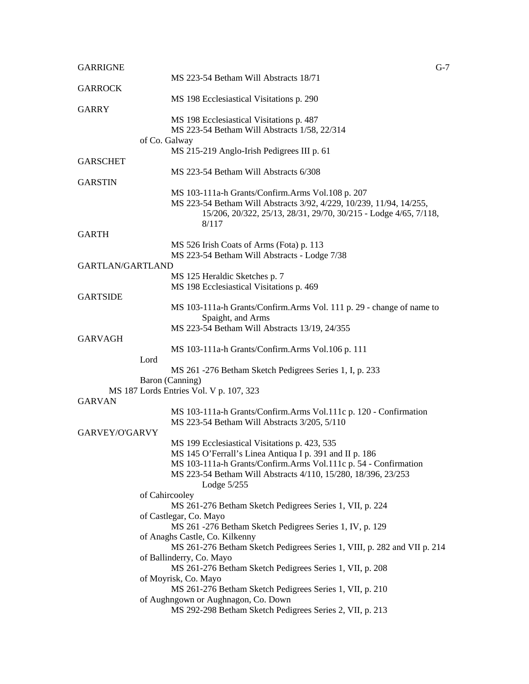| <b>GARRIGNE</b>         | $G-7$                                                                                                                   |
|-------------------------|-------------------------------------------------------------------------------------------------------------------------|
|                         | MS 223-54 Betham Will Abstracts 18/71                                                                                   |
| <b>GARROCK</b>          |                                                                                                                         |
| <b>GARRY</b>            | MS 198 Ecclesiastical Visitations p. 290                                                                                |
|                         | MS 198 Ecclesiastical Visitations p. 487                                                                                |
|                         | MS 223-54 Betham Will Abstracts 1/58, 22/314                                                                            |
|                         | of Co. Galway                                                                                                           |
|                         | MS 215-219 Anglo-Irish Pedigrees III p. 61                                                                              |
| <b>GARSCHET</b>         |                                                                                                                         |
|                         | MS 223-54 Betham Will Abstracts 6/308                                                                                   |
| <b>GARSTIN</b>          |                                                                                                                         |
|                         | MS 103-111a-h Grants/Confirm.Arms Vol.108 p. 207<br>MS 223-54 Betham Will Abstracts 3/92, 4/229, 10/239, 11/94, 14/255, |
|                         | 15/206, 20/322, 25/13, 28/31, 29/70, 30/215 - Lodge 4/65, 7/118,                                                        |
|                         | 8/117                                                                                                                   |
| <b>GARTH</b>            |                                                                                                                         |
|                         | MS 526 Irish Coats of Arms (Fota) p. 113                                                                                |
|                         | MS 223-54 Betham Will Abstracts - Lodge 7/38                                                                            |
| <b>GARTLAN/GARTLAND</b> |                                                                                                                         |
|                         | MS 125 Heraldic Sketches p. 7                                                                                           |
| <b>GARTSIDE</b>         | MS 198 Ecclesiastical Visitations p. 469                                                                                |
|                         | MS 103-111a-h Grants/Confirm.Arms Vol. 111 p. 29 - change of name to                                                    |
|                         | Spaight, and Arms                                                                                                       |
|                         | MS 223-54 Betham Will Abstracts 13/19, 24/355                                                                           |
| <b>GARVAGH</b>          |                                                                                                                         |
|                         | MS 103-111a-h Grants/Confirm.Arms Vol.106 p. 111                                                                        |
|                         | Lord                                                                                                                    |
|                         | MS 261 -276 Betham Sketch Pedigrees Series 1, I, p. 233                                                                 |
|                         | Baron (Canning)<br>MS 187 Lords Entries Vol. V p. 107, 323                                                              |
| <b>GARVAN</b>           |                                                                                                                         |
|                         | MS 103-111a-h Grants/Confirm.Arms Vol.111c p. 120 - Confirmation                                                        |
|                         | MS 223-54 Betham Will Abstracts 3/205, 5/110                                                                            |
| GARVEY/O'GARVY          |                                                                                                                         |
|                         | MS 199 Ecclesiastical Visitations p. 423, 535                                                                           |
|                         | MS 145 O'Ferrall's Linea Antiqua I p. 391 and II p. 186                                                                 |
|                         | MS 103-111a-h Grants/Confirm.Arms Vol.111c p. 54 - Confirmation                                                         |
|                         | MS 223-54 Betham Will Abstracts 4/110, 15/280, 18/396, 23/253<br>Lodge $5/255$                                          |
|                         | of Cahircooley                                                                                                          |
|                         | MS 261-276 Betham Sketch Pedigrees Series 1, VII, p. 224                                                                |
|                         | of Castlegar, Co. Mayo                                                                                                  |
|                         | MS 261 -276 Betham Sketch Pedigrees Series 1, IV, p. 129                                                                |
|                         | of Anaghs Castle, Co. Kilkenny                                                                                          |
|                         | MS 261-276 Betham Sketch Pedigrees Series 1, VIII, p. 282 and VII p. 214                                                |
|                         | of Ballinderry, Co. Mayo                                                                                                |
|                         | MS 261-276 Betham Sketch Pedigrees Series 1, VII, p. 208<br>of Moyrisk, Co. Mayo                                        |
|                         | MS 261-276 Betham Sketch Pedigrees Series 1, VII, p. 210                                                                |
|                         | of Aughngown or Aughnagon, Co. Down                                                                                     |
|                         | MS 292-298 Betham Sketch Pedigrees Series 2, VII, p. 213                                                                |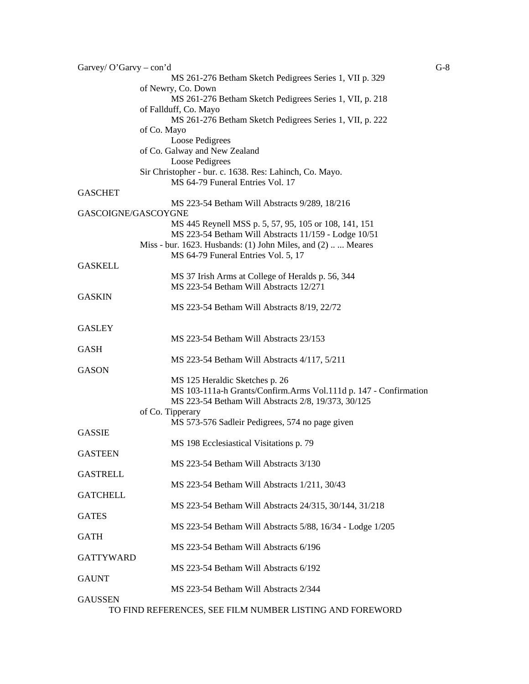| Garvey/ $O'Gary - con'd$ |                                                                  | $G-8$ |
|--------------------------|------------------------------------------------------------------|-------|
|                          | MS 261-276 Betham Sketch Pedigrees Series 1, VII p. 329          |       |
|                          | of Newry, Co. Down                                               |       |
|                          | MS 261-276 Betham Sketch Pedigrees Series 1, VII, p. 218         |       |
|                          | of Fallduff, Co. Mayo                                            |       |
|                          | MS 261-276 Betham Sketch Pedigrees Series 1, VII, p. 222         |       |
|                          | of Co. Mayo                                                      |       |
|                          | Loose Pedigrees                                                  |       |
|                          | of Co. Galway and New Zealand                                    |       |
|                          | Loose Pedigrees                                                  |       |
|                          | Sir Christopher - bur. c. 1638. Res: Lahinch, Co. Mayo.          |       |
|                          | MS 64-79 Funeral Entries Vol. 17                                 |       |
| <b>GASCHET</b>           |                                                                  |       |
|                          |                                                                  |       |
|                          | MS 223-54 Betham Will Abstracts 9/289, 18/216                    |       |
| GASCOIGNE/GASCOYGNE      |                                                                  |       |
|                          | MS 445 Reynell MSS p. 5, 57, 95, 105 or 108, 141, 151            |       |
|                          | MS 223-54 Betham Will Abstracts 11/159 - Lodge 10/51             |       |
|                          | Miss - bur. 1623. Husbands: (1) John Miles, and (2)  Meares      |       |
|                          | MS 64-79 Funeral Entries Vol. 5, 17                              |       |
| <b>GASKELL</b>           |                                                                  |       |
|                          | MS 37 Irish Arms at College of Heralds p. 56, 344                |       |
|                          | MS 223-54 Betham Will Abstracts 12/271                           |       |
| <b>GASKIN</b>            |                                                                  |       |
|                          | MS 223-54 Betham Will Abstracts 8/19, 22/72                      |       |
|                          |                                                                  |       |
| <b>GASLEY</b>            |                                                                  |       |
|                          | MS 223-54 Betham Will Abstracts 23/153                           |       |
| <b>GASH</b>              |                                                                  |       |
|                          | MS 223-54 Betham Will Abstracts 4/117, 5/211                     |       |
| <b>GASON</b>             |                                                                  |       |
|                          | MS 125 Heraldic Sketches p. 26                                   |       |
|                          | MS 103-111a-h Grants/Confirm.Arms Vol.111d p. 147 - Confirmation |       |
|                          | MS 223-54 Betham Will Abstracts 2/8, 19/373, 30/125              |       |
|                          | of Co. Tipperary                                                 |       |
|                          | MS 573-576 Sadleir Pedigrees, 574 no page given                  |       |
| <b>GASSIE</b>            |                                                                  |       |
|                          | MS 198 Ecclesiastical Visitations p. 79                          |       |
| <b>GASTEEN</b>           |                                                                  |       |
|                          | MS 223-54 Betham Will Abstracts 3/130                            |       |
| <b>GASTRELL</b>          |                                                                  |       |
|                          | MS 223-54 Betham Will Abstracts 1/211, 30/43                     |       |
| <b>GATCHELL</b>          |                                                                  |       |
|                          | MS 223-54 Betham Will Abstracts 24/315, 30/144, 31/218           |       |
| <b>GATES</b>             |                                                                  |       |
|                          | MS 223-54 Betham Will Abstracts 5/88, 16/34 - Lodge 1/205        |       |
| <b>GATH</b>              |                                                                  |       |
|                          | MS 223-54 Betham Will Abstracts 6/196                            |       |
|                          |                                                                  |       |
| <b>GATTYWARD</b>         |                                                                  |       |
|                          | MS 223-54 Betham Will Abstracts 6/192                            |       |
| <b>GAUNT</b>             |                                                                  |       |
|                          | MS 223-54 Betham Will Abstracts 2/344                            |       |
| <b>GAUSSEN</b>           |                                                                  |       |
|                          | TO FIND REFERENCES, SEE FILM NUMBER LISTING AND FOREWORD         |       |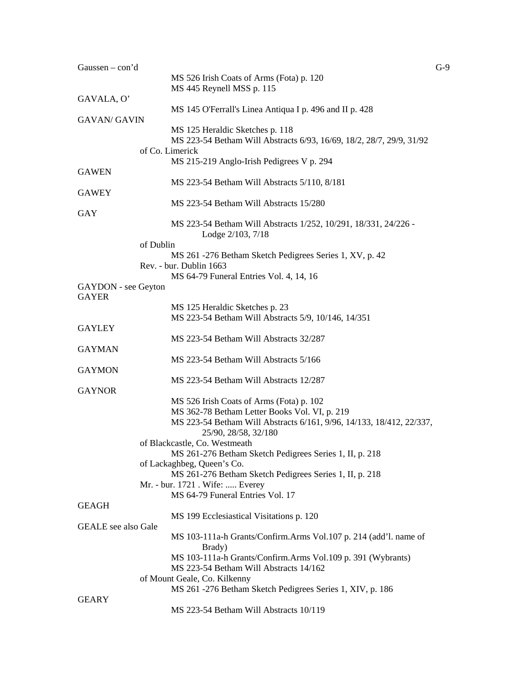| Gaussen $-$ con'd          |                                                                      | $G-9$ |
|----------------------------|----------------------------------------------------------------------|-------|
|                            | MS 526 Irish Coats of Arms (Fota) p. 120                             |       |
|                            | MS 445 Reynell MSS p. 115                                            |       |
| GAVALA, O'                 |                                                                      |       |
|                            | MS 145 O'Ferrall's Linea Antiqua I p. 496 and II p. 428              |       |
| <b>GAVAN/ GAVIN</b>        |                                                                      |       |
|                            | MS 125 Heraldic Sketches p. 118                                      |       |
|                            | MS 223-54 Betham Will Abstracts 6/93, 16/69, 18/2, 28/7, 29/9, 31/92 |       |
|                            | of Co. Limerick                                                      |       |
|                            | MS 215-219 Anglo-Irish Pedigrees V p. 294                            |       |
| <b>GAWEN</b>               |                                                                      |       |
|                            | MS 223-54 Betham Will Abstracts 5/110, 8/181                         |       |
| <b>GAWEY</b>               |                                                                      |       |
|                            | MS 223-54 Betham Will Abstracts 15/280                               |       |
| GAY                        |                                                                      |       |
|                            | MS 223-54 Betham Will Abstracts 1/252, 10/291, 18/331, 24/226 -      |       |
|                            | Lodge 2/103, 7/18                                                    |       |
|                            | of Dublin                                                            |       |
|                            | MS 261 -276 Betham Sketch Pedigrees Series 1, XV, p. 42              |       |
|                            | Rev. - bur. Dublin 1663                                              |       |
|                            | MS 64-79 Funeral Entries Vol. 4, 14, 16                              |       |
| GAYDON - see Geyton        |                                                                      |       |
| <b>GAYER</b>               |                                                                      |       |
|                            | MS 125 Heraldic Sketches p. 23                                       |       |
|                            | MS 223-54 Betham Will Abstracts 5/9, 10/146, 14/351                  |       |
| <b>GAYLEY</b>              |                                                                      |       |
|                            | MS 223-54 Betham Will Abstracts 32/287                               |       |
| <b>GAYMAN</b>              |                                                                      |       |
|                            | MS 223-54 Betham Will Abstracts 5/166                                |       |
| <b>GAYMON</b>              |                                                                      |       |
|                            | MS 223-54 Betham Will Abstracts 12/287                               |       |
| <b>GAYNOR</b>              |                                                                      |       |
|                            | MS 526 Irish Coats of Arms (Fota) p. 102                             |       |
|                            | MS 362-78 Betham Letter Books Vol. VI, p. 219                        |       |
|                            | MS 223-54 Betham Will Abstracts 6/161, 9/96, 14/133, 18/412, 22/337, |       |
|                            | 25/90, 28/58, 32/180                                                 |       |
|                            | of Blackcastle, Co. Westmeath                                        |       |
|                            | MS 261-276 Betham Sketch Pedigrees Series 1, II, p. 218              |       |
|                            | of Lackaghbeg, Queen's Co.                                           |       |
|                            | MS 261-276 Betham Sketch Pedigrees Series 1, II, p. 218              |       |
|                            | Mr. - bur. 1721 . Wife:  Everey                                      |       |
|                            | MS 64-79 Funeral Entries Vol. 17                                     |       |
| <b>GEAGH</b>               |                                                                      |       |
|                            | MS 199 Ecclesiastical Visitations p. 120                             |       |
| <b>GEALE</b> see also Gale |                                                                      |       |
|                            | MS 103-111a-h Grants/Confirm.Arms Vol.107 p. 214 (add'l. name of     |       |
|                            | Brady)                                                               |       |
|                            | MS 103-111a-h Grants/Confirm.Arms Vol.109 p. 391 (Wybrants)          |       |
|                            | MS 223-54 Betham Will Abstracts 14/162                               |       |
|                            | of Mount Geale, Co. Kilkenny                                         |       |
|                            | MS 261 -276 Betham Sketch Pedigrees Series 1, XIV, p. 186            |       |
| <b>GEARY</b>               |                                                                      |       |
|                            | MS 223-54 Betham Will Abstracts 10/119                               |       |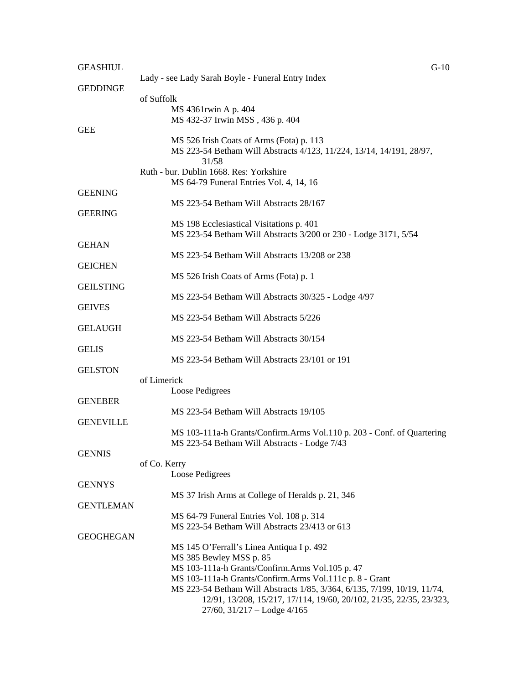| <b>GEASHIUL</b>  |                                                                                                                           | $G-10$ |
|------------------|---------------------------------------------------------------------------------------------------------------------------|--------|
| <b>GEDDINGE</b>  | Lady - see Lady Sarah Boyle - Funeral Entry Index                                                                         |        |
|                  | of Suffolk                                                                                                                |        |
|                  | MS 4361rwin A p. 404                                                                                                      |        |
| <b>GEE</b>       | MS 432-37 Irwin MSS, 436 p. 404                                                                                           |        |
|                  | MS 526 Irish Coats of Arms (Fota) p. 113<br>MS 223-54 Betham Will Abstracts 4/123, 11/224, 13/14, 14/191, 28/97,<br>31/58 |        |
|                  | Ruth - bur. Dublin 1668. Res: Yorkshire                                                                                   |        |
| <b>GEENING</b>   | MS 64-79 Funeral Entries Vol. 4, 14, 16                                                                                   |        |
|                  | MS 223-54 Betham Will Abstracts 28/167                                                                                    |        |
| <b>GEERING</b>   |                                                                                                                           |        |
|                  | MS 198 Ecclesiastical Visitations p. 401                                                                                  |        |
|                  | MS 223-54 Betham Will Abstracts 3/200 or 230 - Lodge 3171, 5/54                                                           |        |
| <b>GEHAN</b>     | MS 223-54 Betham Will Abstracts 13/208 or 238                                                                             |        |
| <b>GEICHEN</b>   |                                                                                                                           |        |
|                  | MS 526 Irish Coats of Arms (Fota) p. 1                                                                                    |        |
| <b>GEILSTING</b> |                                                                                                                           |        |
|                  | MS 223-54 Betham Will Abstracts 30/325 - Lodge 4/97                                                                       |        |
| <b>GEIVES</b>    | MS 223-54 Betham Will Abstracts 5/226                                                                                     |        |
| <b>GELAUGH</b>   |                                                                                                                           |        |
|                  | MS 223-54 Betham Will Abstracts 30/154                                                                                    |        |
| <b>GELIS</b>     |                                                                                                                           |        |
|                  | MS 223-54 Betham Will Abstracts 23/101 or 191                                                                             |        |
| <b>GELSTON</b>   | of Limerick                                                                                                               |        |
|                  | Loose Pedigrees                                                                                                           |        |
| <b>GENEBER</b>   |                                                                                                                           |        |
|                  | MS 223-54 Betham Will Abstracts 19/105                                                                                    |        |
| <b>GENEVILLE</b> |                                                                                                                           |        |
|                  | MS 103-111a-h Grants/Confirm.Arms Vol.110 p. 203 - Conf. of Quartering                                                    |        |
| <b>GENNIS</b>    | MS 223-54 Betham Will Abstracts - Lodge 7/43                                                                              |        |
|                  | of Co. Kerry                                                                                                              |        |
|                  | Loose Pedigrees                                                                                                           |        |
| <b>GENNYS</b>    |                                                                                                                           |        |
|                  | MS 37 Irish Arms at College of Heralds p. 21, 346                                                                         |        |
| <b>GENTLEMAN</b> | MS 64-79 Funeral Entries Vol. 108 p. 314                                                                                  |        |
|                  | MS 223-54 Betham Will Abstracts 23/413 or 613                                                                             |        |
| <b>GEOGHEGAN</b> |                                                                                                                           |        |
|                  | MS 145 O'Ferrall's Linea Antiqua I p. 492                                                                                 |        |
|                  | MS 385 Bewley MSS p. 85                                                                                                   |        |
|                  | MS 103-111a-h Grants/Confirm.Arms Vol.105 p. 47<br>MS 103-111a-h Grants/Confirm.Arms Vol.111c p. 8 - Grant                |        |
|                  | MS 223-54 Betham Will Abstracts 1/85, 3/364, 6/135, 7/199, 10/19, 11/74,                                                  |        |
|                  | 12/91, 13/208, 15/217, 17/114, 19/60, 20/102, 21/35, 22/35, 23/323,                                                       |        |
|                  | $27/60$ , $31/217 -$ Lodge $4/165$                                                                                        |        |
|                  |                                                                                                                           |        |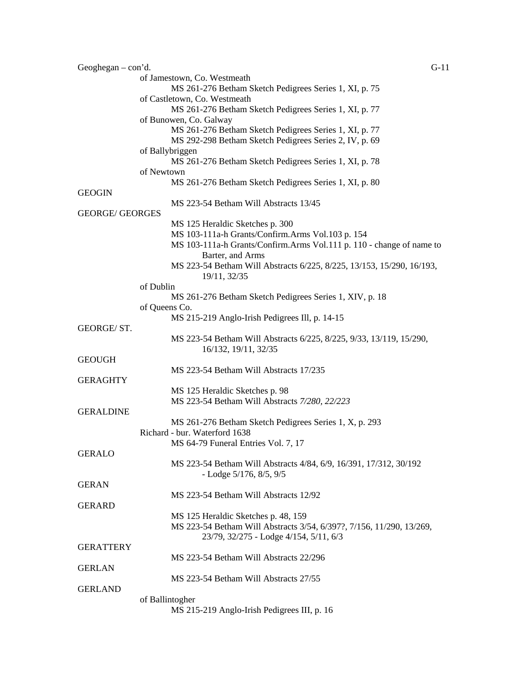| Geoghegan $-$ con'd.   | $G-11$                                                                |  |
|------------------------|-----------------------------------------------------------------------|--|
|                        | of Jamestown, Co. Westmeath                                           |  |
|                        | MS 261-276 Betham Sketch Pedigrees Series 1, XI, p. 75                |  |
|                        | of Castletown, Co. Westmeath                                          |  |
|                        | MS 261-276 Betham Sketch Pedigrees Series 1, XI, p. 77                |  |
|                        | of Bunowen, Co. Galway                                                |  |
|                        | MS 261-276 Betham Sketch Pedigrees Series 1, XI, p. 77                |  |
|                        |                                                                       |  |
|                        | MS 292-298 Betham Sketch Pedigrees Series 2, IV, p. 69                |  |
|                        | of Ballybriggen                                                       |  |
|                        | MS 261-276 Betham Sketch Pedigrees Series 1, XI, p. 78                |  |
|                        | of Newtown                                                            |  |
|                        | MS 261-276 Betham Sketch Pedigrees Series 1, XI, p. 80                |  |
| <b>GEOGIN</b>          |                                                                       |  |
|                        | MS 223-54 Betham Will Abstracts 13/45                                 |  |
| <b>GEORGE/ GEORGES</b> |                                                                       |  |
|                        | MS 125 Heraldic Sketches p. 300                                       |  |
|                        | MS 103-111a-h Grants/Confirm.Arms Vol.103 p. 154                      |  |
|                        | MS 103-111a-h Grants/Confirm.Arms Vol.111 p. 110 - change of name to  |  |
|                        | Barter, and Arms                                                      |  |
|                        |                                                                       |  |
|                        | MS 223-54 Betham Will Abstracts 6/225, 8/225, 13/153, 15/290, 16/193, |  |
|                        | 19/11, 32/35                                                          |  |
|                        | of Dublin                                                             |  |
|                        | MS 261-276 Betham Sketch Pedigrees Series 1, XIV, p. 18               |  |
|                        | of Queens Co.                                                         |  |
|                        | MS 215-219 Anglo-Irish Pedigrees III, p. 14-15                        |  |
| GEORGE/ST.             |                                                                       |  |
|                        | MS 223-54 Betham Will Abstracts 6/225, 8/225, 9/33, 13/119, 15/290,   |  |
|                        | 16/132, 19/11, 32/35                                                  |  |
| <b>GEOUGH</b>          |                                                                       |  |
|                        | MS 223-54 Betham Will Abstracts 17/235                                |  |
| <b>GERAGHTY</b>        |                                                                       |  |
|                        |                                                                       |  |
|                        | MS 125 Heraldic Sketches p. 98                                        |  |
|                        | MS 223-54 Betham Will Abstracts 7/280, 22/223                         |  |
| <b>GERALDINE</b>       |                                                                       |  |
|                        | MS 261-276 Betham Sketch Pedigrees Series 1, X, p. 293                |  |
|                        | Richard - bur. Waterford 1638                                         |  |
|                        | MS 64-79 Funeral Entries Vol. 7, 17                                   |  |
| <b>GERALO</b>          |                                                                       |  |
|                        | MS 223-54 Betham Will Abstracts 4/84, 6/9, 16/391, 17/312, 30/192     |  |
|                        | - Lodge $5/176$ , $8/5$ , $9/5$                                       |  |
| <b>GERAN</b>           |                                                                       |  |
|                        | MS 223-54 Betham Will Abstracts 12/92                                 |  |
|                        |                                                                       |  |
| <b>GERARD</b>          |                                                                       |  |
|                        | MS 125 Heraldic Sketches p. 48, 159                                   |  |
|                        | MS 223-54 Betham Will Abstracts 3/54, 6/397?, 7/156, 11/290, 13/269,  |  |
|                        | 23/79, 32/275 - Lodge 4/154, 5/11, 6/3                                |  |
| <b>GERATTERY</b>       |                                                                       |  |
|                        | MS 223-54 Betham Will Abstracts 22/296                                |  |
| <b>GERLAN</b>          |                                                                       |  |
|                        | MS 223-54 Betham Will Abstracts 27/55                                 |  |
| <b>GERLAND</b>         |                                                                       |  |
|                        | of Ballintogher                                                       |  |
|                        | MS 215-219 Anglo-Irish Pedigrees III, p. 16                           |  |
|                        |                                                                       |  |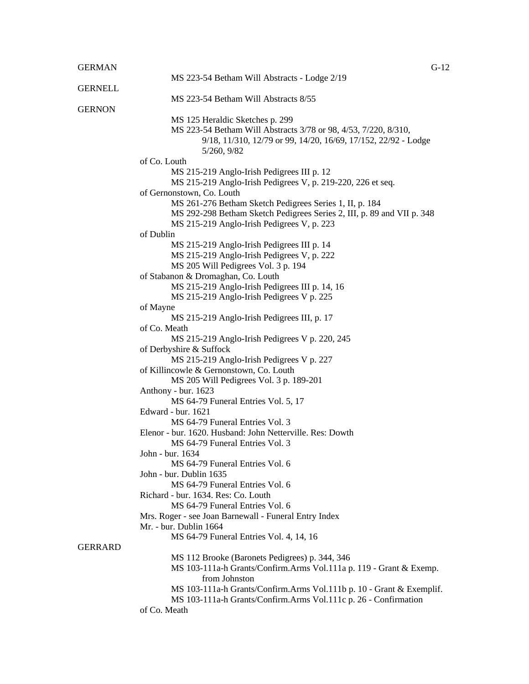## GERMAN G-12

|                | MS 223-54 Betham Will Abstracts - Lodge 2/19                                                |
|----------------|---------------------------------------------------------------------------------------------|
| <b>GERNELL</b> |                                                                                             |
|                | MS 223-54 Betham Will Abstracts 8/55                                                        |
| <b>GERNON</b>  |                                                                                             |
|                | MS 125 Heraldic Sketches p. 299                                                             |
|                | MS 223-54 Betham Will Abstracts 3/78 or 98, 4/53, 7/220, 8/310,                             |
|                | 9/18, 11/310, 12/79 or 99, 14/20, 16/69, 17/152, 22/92 - Lodge                              |
|                | 5/260, 9/82                                                                                 |
|                | of Co. Louth                                                                                |
|                | MS 215-219 Anglo-Irish Pedigrees III p. 12                                                  |
|                | MS 215-219 Anglo-Irish Pedigrees V, p. 219-220, 226 et seq.                                 |
|                | of Gernonstown, Co. Louth                                                                   |
|                | MS 261-276 Betham Sketch Pedigrees Series 1, II, p. 184                                     |
|                | MS 292-298 Betham Sketch Pedigrees Series 2, III, p. 89 and VII p. 348                      |
|                | MS 215-219 Anglo-Irish Pedigrees V, p. 223                                                  |
|                | of Dublin                                                                                   |
|                | MS 215-219 Anglo-Irish Pedigrees III p. 14                                                  |
|                | MS 215-219 Anglo-Irish Pedigrees V, p. 222                                                  |
|                | MS 205 Will Pedigrees Vol. 3 p. 194                                                         |
|                | of Stabanon & Dromaghan, Co. Louth                                                          |
|                | MS 215-219 Anglo-Irish Pedigrees III p. 14, 16<br>MS 215-219 Anglo-Irish Pedigrees V p. 225 |
|                |                                                                                             |
|                | of Mayne<br>MS 215-219 Anglo-Irish Pedigrees III, p. 17                                     |
|                | of Co. Meath                                                                                |
|                | MS 215-219 Anglo-Irish Pedigrees V p. 220, 245                                              |
|                | of Derbyshire & Suffock                                                                     |
|                | MS 215-219 Anglo-Irish Pedigrees V p. 227                                                   |
|                | of Killincowle & Gernonstown, Co. Louth                                                     |
|                | MS 205 Will Pedigrees Vol. 3 p. 189-201                                                     |
|                | Anthony - bur. 1623                                                                         |
|                | MS 64-79 Funeral Entries Vol. 5, 17                                                         |
|                | Edward - bur. 1621                                                                          |
|                | MS 64-79 Funeral Entries Vol. 3                                                             |
|                | Elenor - bur. 1620. Husband: John Netterville. Res: Dowth                                   |
|                | MS 64-79 Funeral Entries Vol. 3                                                             |
|                | John - bur. 1634                                                                            |
|                | MS 64-79 Funeral Entries Vol. 6                                                             |
|                | John - bur. Dublin 1635                                                                     |
|                | MS 64-79 Funeral Entries Vol. 6                                                             |
|                | Richard - bur. 1634. Res: Co. Louth                                                         |
|                | MS 64-79 Funeral Entries Vol. 6                                                             |
|                | Mrs. Roger - see Joan Barnewall - Funeral Entry Index                                       |
|                | Mr. - bur. Dublin 1664                                                                      |
|                | MS 64-79 Funeral Entries Vol. 4, 14, 16                                                     |
| <b>GERRARD</b> |                                                                                             |
|                | MS 112 Brooke (Baronets Pedigrees) p. 344, 346                                              |
|                | MS 103-111a-h Grants/Confirm.Arms Vol.111a p. 119 - Grant & Exemp.                          |
|                | from Johnston                                                                               |
|                | MS 103-111a-h Grants/Confirm.Arms Vol.111b p. 10 - Grant & Exemplif.                        |
|                | MS 103-111a-h Grants/Confirm.Arms Vol.111c p. 26 - Confirmation<br>of Co. Meath             |
|                |                                                                                             |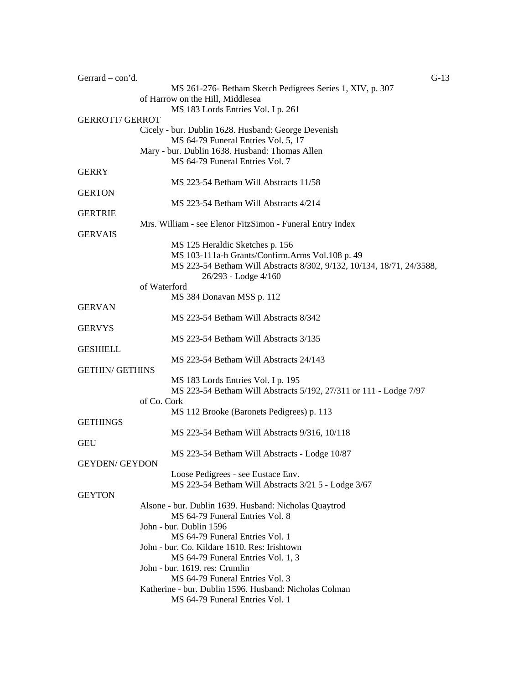| Gerrard – con'd.       | $G-13$                                                                            |
|------------------------|-----------------------------------------------------------------------------------|
|                        | MS 261-276- Betham Sketch Pedigrees Series 1, XIV, p. 307                         |
|                        | of Harrow on the Hill, Middlesea                                                  |
|                        | MS 183 Lords Entries Vol. I p. 261                                                |
| <b>GERROTT/ GERROT</b> |                                                                                   |
|                        | Cicely - bur. Dublin 1628. Husband: George Devenish                               |
|                        | MS 64-79 Funeral Entries Vol. 5, 17                                               |
|                        | Mary - bur. Dublin 1638. Husband: Thomas Allen<br>MS 64-79 Funeral Entries Vol. 7 |
| <b>GERRY</b>           |                                                                                   |
|                        | MS 223-54 Betham Will Abstracts 11/58                                             |
| <b>GERTON</b>          |                                                                                   |
|                        | MS 223-54 Betham Will Abstracts 4/214                                             |
| <b>GERTRIE</b>         |                                                                                   |
|                        | Mrs. William - see Elenor FitzSimon - Funeral Entry Index                         |
| <b>GERVAIS</b>         |                                                                                   |
|                        | MS 125 Heraldic Sketches p. 156                                                   |
|                        | MS 103-111a-h Grants/Confirm.Arms Vol.108 p. 49                                   |
|                        | MS 223-54 Betham Will Abstracts 8/302, 9/132, 10/134, 18/71, 24/3588,             |
|                        | 26/293 - Lodge 4/160                                                              |
|                        | of Waterford                                                                      |
|                        | MS 384 Donavan MSS p. 112                                                         |
| <b>GERVAN</b>          |                                                                                   |
|                        | MS 223-54 Betham Will Abstracts 8/342                                             |
| <b>GERVYS</b>          |                                                                                   |
|                        | MS 223-54 Betham Will Abstracts 3/135                                             |
| <b>GESHIELL</b>        |                                                                                   |
|                        | MS 223-54 Betham Will Abstracts 24/143                                            |
| <b>GETHIN/ GETHINS</b> |                                                                                   |
|                        | MS 183 Lords Entries Vol. I p. 195                                                |
|                        | MS 223-54 Betham Will Abstracts 5/192, 27/311 or 111 - Lodge 7/97<br>of Co. Cork  |
|                        | MS 112 Brooke (Baronets Pedigrees) p. 113                                         |
| <b>GETHINGS</b>        |                                                                                   |
|                        | MS 223-54 Betham Will Abstracts 9/316, 10/118                                     |
| <b>GEU</b>             |                                                                                   |
|                        | MS 223-54 Betham Will Abstracts - Lodge 10/87                                     |
| <b>GEYDEN/ GEYDON</b>  |                                                                                   |
|                        | Loose Pedigrees - see Eustace Env.                                                |
|                        | MS 223-54 Betham Will Abstracts 3/21 5 - Lodge 3/67                               |
| <b>GEYTON</b>          |                                                                                   |
|                        | Alsone - bur. Dublin 1639. Husband: Nicholas Quaytrod                             |
|                        | MS 64-79 Funeral Entries Vol. 8                                                   |
|                        | John - bur. Dublin 1596                                                           |
|                        | MS 64-79 Funeral Entries Vol. 1                                                   |
|                        | John - bur. Co. Kildare 1610. Res: Irishtown                                      |
|                        | MS 64-79 Funeral Entries Vol. 1, 3                                                |
|                        | John - bur. 1619. res: Crumlin                                                    |
|                        | MS 64-79 Funeral Entries Vol. 3                                                   |
|                        | Katherine - bur. Dublin 1596. Husband: Nicholas Colman                            |
|                        | MS 64-79 Funeral Entries Vol. 1                                                   |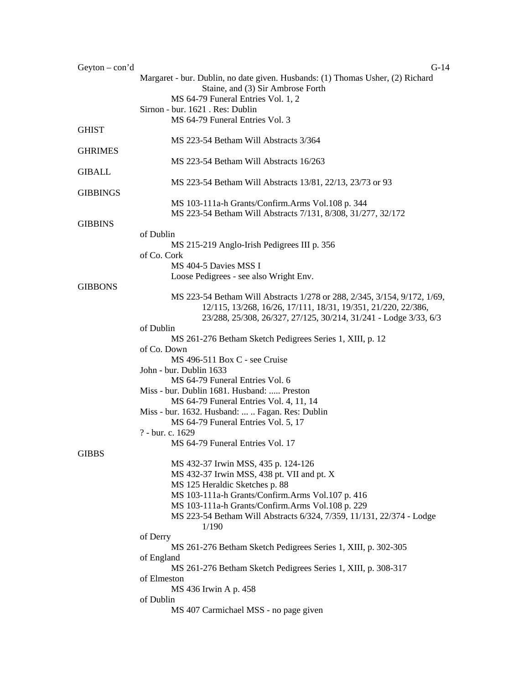| Geyton $-$ con'd | $G-14$                                                                         |
|------------------|--------------------------------------------------------------------------------|
|                  | Margaret - bur. Dublin, no date given. Husbands: (1) Thomas Usher, (2) Richard |
|                  | Staine, and (3) Sir Ambrose Forth                                              |
|                  | MS 64-79 Funeral Entries Vol. 1, 2                                             |
|                  | Sirnon - bur. 1621 . Res: Dublin                                               |
|                  |                                                                                |
|                  | MS 64-79 Funeral Entries Vol. 3                                                |
| <b>GHIST</b>     |                                                                                |
|                  | MS 223-54 Betham Will Abstracts 3/364                                          |
| <b>GHRIMES</b>   |                                                                                |
|                  | MS 223-54 Betham Will Abstracts 16/263                                         |
| <b>GIBALL</b>    |                                                                                |
|                  | MS 223-54 Betham Will Abstracts 13/81, 22/13, 23/73 or 93                      |
| <b>GIBBINGS</b>  |                                                                                |
|                  |                                                                                |
|                  | MS 103-111a-h Grants/Confirm.Arms Vol.108 p. 344                               |
|                  | MS 223-54 Betham Will Abstracts 7/131, 8/308, 31/277, 32/172                   |
| <b>GIBBINS</b>   |                                                                                |
|                  | of Dublin                                                                      |
|                  | MS 215-219 Anglo-Irish Pedigrees III p. 356                                    |
|                  | of Co. Cork                                                                    |
|                  | MS 404-5 Davies MSS I                                                          |
|                  |                                                                                |
|                  | Loose Pedigrees - see also Wright Env.                                         |
| <b>GIBBONS</b>   |                                                                                |
|                  | MS 223-54 Betham Will Abstracts 1/278 or 288, 2/345, 3/154, 9/172, 1/69,       |
|                  | 12/115, 13/268, 16/26, 17/111, 18/31, 19/351, 21/220, 22/386,                  |
|                  | 23/288, 25/308, 26/327, 27/125, 30/214, 31/241 - Lodge 3/33, 6/3               |
|                  | of Dublin                                                                      |
|                  | MS 261-276 Betham Sketch Pedigrees Series 1, XIII, p. 12                       |
|                  |                                                                                |
|                  | of Co. Down                                                                    |
|                  | MS 496-511 Box C - see Cruise                                                  |
|                  | John - bur. Dublin 1633                                                        |
|                  | MS 64-79 Funeral Entries Vol. 6                                                |
|                  | Miss - bur. Dublin 1681. Husband:  Preston                                     |
|                  | MS 64-79 Funeral Entries Vol. 4, 11, 14                                        |
|                  |                                                                                |
|                  | Miss - bur. 1632. Husband:   Fagan. Res: Dublin                                |
|                  | MS 64-79 Funeral Entries Vol. 5, 17                                            |
|                  | ? - bur. c. 1629                                                               |
|                  | MS 64-79 Funeral Entries Vol. 17                                               |
| <b>GIBBS</b>     |                                                                                |
|                  | MS 432-37 Irwin MSS, 435 p. 124-126                                            |
|                  | MS 432-37 Irwin MSS, 438 pt. VII and pt. X                                     |
|                  |                                                                                |
|                  | MS 125 Heraldic Sketches p. 88                                                 |
|                  | MS 103-111a-h Grants/Confirm.Arms Vol.107 p. 416                               |
|                  | MS 103-111a-h Grants/Confirm.Arms Vol.108 p. 229                               |
|                  | MS 223-54 Betham Will Abstracts 6/324, 7/359, 11/131, 22/374 - Lodge           |
|                  | 1/190                                                                          |
|                  | of Derry                                                                       |
|                  |                                                                                |
|                  | MS 261-276 Betham Sketch Pedigrees Series 1, XIII, p. 302-305                  |
|                  | of England                                                                     |
|                  | MS 261-276 Betham Sketch Pedigrees Series 1, XIII, p. 308-317                  |
|                  | of Elmeston                                                                    |
|                  | MS 436 Irwin A p. 458                                                          |
|                  | of Dublin                                                                      |
|                  | MS 407 Carmichael MSS - no page given                                          |
|                  |                                                                                |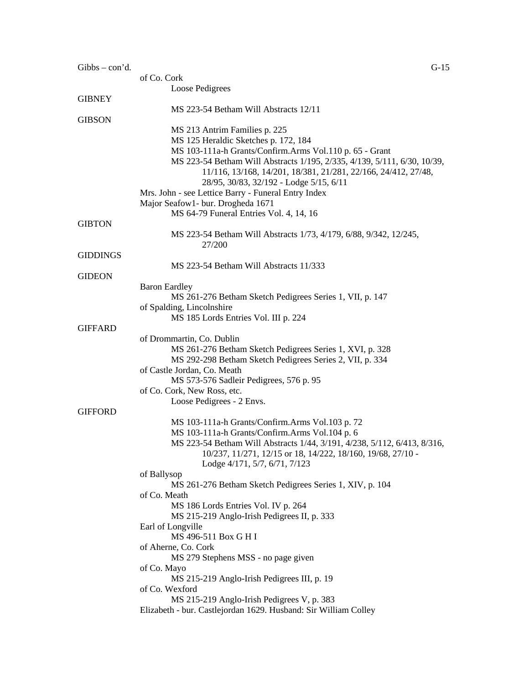| $Gibbs - con'd.$ | $G-15$                                                                   |
|------------------|--------------------------------------------------------------------------|
|                  | of Co. Cork                                                              |
|                  | Loose Pedigrees                                                          |
| <b>GIBNEY</b>    |                                                                          |
|                  | MS 223-54 Betham Will Abstracts 12/11                                    |
| <b>GIBSON</b>    |                                                                          |
|                  | MS 213 Antrim Families p. 225                                            |
|                  | MS 125 Heraldic Sketches p. 172, 184                                     |
|                  | MS 103-111a-h Grants/Confirm.Arms Vol.110 p. 65 - Grant                  |
|                  | MS 223-54 Betham Will Abstracts 1/195, 2/335, 4/139, 5/111, 6/30, 10/39, |
|                  | 11/116, 13/168, 14/201, 18/381, 21/281, 22/166, 24/412, 27/48,           |
|                  | 28/95, 30/83, 32/192 - Lodge 5/15, 6/11                                  |
|                  | Mrs. John - see Lettice Barry - Funeral Entry Index                      |
|                  | Major Seafow1- bur. Drogheda 1671                                        |
|                  | MS 64-79 Funeral Entries Vol. 4, 14, 16                                  |
| <b>GIBTON</b>    |                                                                          |
|                  | MS 223-54 Betham Will Abstracts 1/73, 4/179, 6/88, 9/342, 12/245,        |
|                  | 27/200                                                                   |
| <b>GIDDINGS</b>  |                                                                          |
|                  | MS 223-54 Betham Will Abstracts 11/333                                   |
| <b>GIDEON</b>    |                                                                          |
|                  | <b>Baron Eardley</b>                                                     |
|                  | MS 261-276 Betham Sketch Pedigrees Series 1, VII, p. 147                 |
|                  | of Spalding, Lincolnshire                                                |
|                  | MS 185 Lords Entries Vol. III p. 224                                     |
| <b>GIFFARD</b>   |                                                                          |
|                  | of Drommartin, Co. Dublin                                                |
|                  | MS 261-276 Betham Sketch Pedigrees Series 1, XVI, p. 328                 |
|                  | MS 292-298 Betham Sketch Pedigrees Series 2, VII, p. 334                 |
|                  | of Castle Jordan, Co. Meath                                              |
|                  | MS 573-576 Sadleir Pedigrees, 576 p. 95                                  |
|                  | of Co. Cork, New Ross, etc.                                              |
|                  | Loose Pedigrees - 2 Envs.                                                |
| <b>GIFFORD</b>   |                                                                          |
|                  | MS 103-111a-h Grants/Confirm.Arms Vol.103 p. 72                          |
|                  | MS 103-111a-h Grants/Confirm.Arms Vol.104 p. 6                           |
|                  | MS 223-54 Betham Will Abstracts 1/44, 3/191, 4/238, 5/112, 6/413, 8/316, |
|                  | 10/237, 11/271, 12/15 or 18, 14/222, 18/160, 19/68, 27/10 -              |
|                  | Lodge 4/171, 5/7, 6/71, 7/123                                            |
|                  | of Ballysop                                                              |
|                  | MS 261-276 Betham Sketch Pedigrees Series 1, XIV, p. 104                 |
|                  | of Co. Meath                                                             |
|                  | MS 186 Lords Entries Vol. IV p. 264                                      |
|                  | MS 215-219 Anglo-Irish Pedigrees II, p. 333                              |
|                  | Earl of Longville                                                        |
|                  | MS 496-511 Box G H I                                                     |
|                  | of Aherne, Co. Cork                                                      |
|                  | MS 279 Stephens MSS - no page given                                      |
|                  | of Co. Mayo                                                              |
|                  | MS 215-219 Anglo-Irish Pedigrees III, p. 19                              |
|                  | of Co. Wexford                                                           |
|                  | MS 215-219 Anglo-Irish Pedigrees V, p. 383                               |
|                  | Elizabeth - bur. Castlejordan 1629. Husband: Sir William Colley          |
|                  |                                                                          |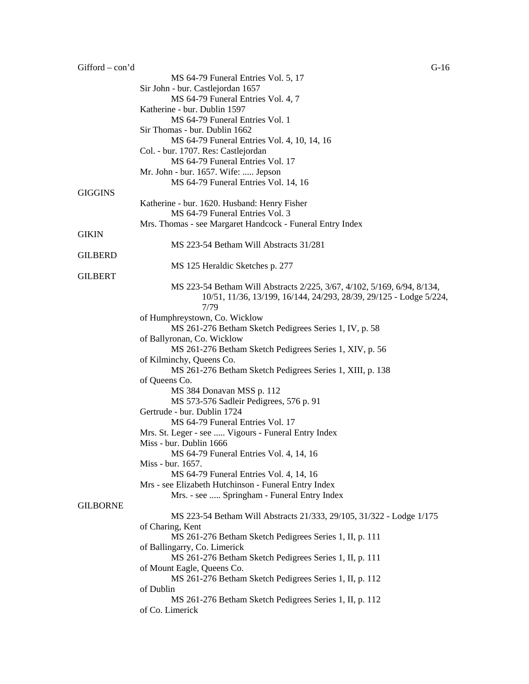| $Gifford - con' d$ | $G-16$                                                                                              |
|--------------------|-----------------------------------------------------------------------------------------------------|
|                    | MS 64-79 Funeral Entries Vol. 5, 17                                                                 |
|                    | Sir John - bur. Castlejordan 1657                                                                   |
|                    | MS 64-79 Funeral Entries Vol. 4, 7                                                                  |
|                    | Katherine - bur. Dublin 1597<br>MS 64-79 Funeral Entries Vol. 1                                     |
|                    | Sir Thomas - bur. Dublin 1662                                                                       |
|                    | MS 64-79 Funeral Entries Vol. 4, 10, 14, 16                                                         |
|                    | Col. - bur. 1707. Res: Castlejordan                                                                 |
|                    | MS 64-79 Funeral Entries Vol. 17                                                                    |
|                    | Mr. John - bur. 1657. Wife:  Jepson                                                                 |
|                    | MS 64-79 Funeral Entries Vol. 14, 16                                                                |
| <b>GIGGINS</b>     |                                                                                                     |
|                    | Katherine - bur. 1620. Husband: Henry Fisher<br>MS 64-79 Funeral Entries Vol. 3                     |
|                    | Mrs. Thomas - see Margaret Handcock - Funeral Entry Index                                           |
| <b>GIKIN</b>       |                                                                                                     |
|                    | MS 223-54 Betham Will Abstracts 31/281                                                              |
| <b>GILBERD</b>     |                                                                                                     |
|                    | MS 125 Heraldic Sketches p. 277                                                                     |
| <b>GILBERT</b>     |                                                                                                     |
|                    | MS 223-54 Betham Will Abstracts 2/225, 3/67, 4/102, 5/169, 6/94, 8/134,                             |
|                    | 10/51, 11/36, 13/199, 16/144, 24/293, 28/39, 29/125 - Lodge 5/224,<br>7/79                          |
|                    | of Humphreystown, Co. Wicklow                                                                       |
|                    | MS 261-276 Betham Sketch Pedigrees Series 1, IV, p. 58                                              |
|                    | of Ballyronan, Co. Wicklow                                                                          |
|                    | MS 261-276 Betham Sketch Pedigrees Series 1, XIV, p. 56                                             |
|                    | of Kilminchy, Queens Co.                                                                            |
|                    | MS 261-276 Betham Sketch Pedigrees Series 1, XIII, p. 138                                           |
|                    | of Queens Co.                                                                                       |
|                    | MS 384 Donavan MSS p. 112<br>MS 573-576 Sadleir Pedigrees, 576 p. 91                                |
|                    | Gertrude - bur. Dublin 1724                                                                         |
|                    | MS 64-79 Funeral Entries Vol. 17                                                                    |
|                    | Mrs. St. Leger - see  Vigours - Funeral Entry Index                                                 |
|                    | Miss - bur. Dublin 1666                                                                             |
|                    | MS 64-79 Funeral Entries Vol. 4, 14, 16                                                             |
|                    | Miss - bur. 1657.                                                                                   |
|                    | MS 64-79 Funeral Entries Vol. 4, 14, 16                                                             |
|                    | Mrs - see Elizabeth Hutchinson - Funeral Entry Index<br>Mrs. - see  Springham - Funeral Entry Index |
| <b>GILBORNE</b>    |                                                                                                     |
|                    | MS 223-54 Betham Will Abstracts 21/333, 29/105, 31/322 - Lodge 1/175                                |
|                    | of Charing, Kent                                                                                    |
|                    | MS 261-276 Betham Sketch Pedigrees Series 1, II, p. 111                                             |
|                    | of Ballingarry, Co. Limerick                                                                        |
|                    | MS 261-276 Betham Sketch Pedigrees Series 1, II, p. 111                                             |
|                    | of Mount Eagle, Queens Co.                                                                          |
|                    | MS 261-276 Betham Sketch Pedigrees Series 1, II, p. 112<br>of Dublin                                |
|                    | MS 261-276 Betham Sketch Pedigrees Series 1, II, p. 112                                             |
|                    | of Co. Limerick                                                                                     |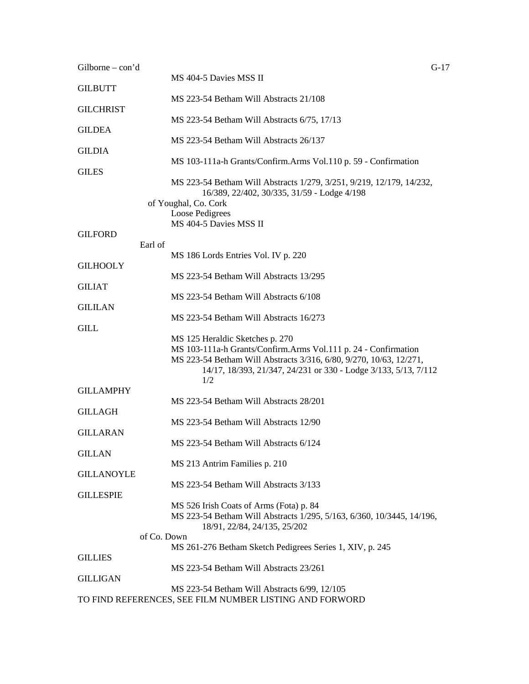| Gilborne $-\text{con'}d$ |                                                                                                                                       | $G-17$ |
|--------------------------|---------------------------------------------------------------------------------------------------------------------------------------|--------|
| <b>GILBUTT</b>           | MS 404-5 Davies MSS II                                                                                                                |        |
| <b>GILCHRIST</b>         | MS 223-54 Betham Will Abstracts 21/108                                                                                                |        |
|                          | MS 223-54 Betham Will Abstracts 6/75, 17/13                                                                                           |        |
| <b>GILDEA</b>            | MS 223-54 Betham Will Abstracts 26/137                                                                                                |        |
| <b>GILDIA</b>            |                                                                                                                                       |        |
| <b>GILES</b>             | MS 103-111a-h Grants/Confirm.Arms Vol.110 p. 59 - Confirmation                                                                        |        |
|                          | MS 223-54 Betham Will Abstracts 1/279, 3/251, 9/219, 12/179, 14/232,<br>16/389, 22/402, 30/335, 31/59 - Lodge 4/198                   |        |
|                          | of Youghal, Co. Cork                                                                                                                  |        |
|                          | Loose Pedigrees                                                                                                                       |        |
| <b>GILFORD</b>           | MS 404-5 Davies MSS II                                                                                                                |        |
|                          | Earl of                                                                                                                               |        |
|                          | MS 186 Lords Entries Vol. IV p. 220                                                                                                   |        |
| <b>GILHOOLY</b>          |                                                                                                                                       |        |
| <b>GILIAT</b>            | MS 223-54 Betham Will Abstracts 13/295                                                                                                |        |
|                          | MS 223-54 Betham Will Abstracts 6/108                                                                                                 |        |
| <b>GILILAN</b>           |                                                                                                                                       |        |
|                          | MS 223-54 Betham Will Abstracts 16/273                                                                                                |        |
| <b>GILL</b>              |                                                                                                                                       |        |
|                          | MS 125 Heraldic Sketches p. 270                                                                                                       |        |
|                          | MS 103-111a-h Grants/Confirm.Arms Vol.111 p. 24 - Confirmation                                                                        |        |
|                          | MS 223-54 Betham Will Abstracts 3/316, 6/80, 9/270, 10/63, 12/271,<br>14/17, 18/393, 21/347, 24/231 or 330 - Lodge 3/133, 5/13, 7/112 |        |
|                          | 1/2                                                                                                                                   |        |
| <b>GILLAMPHY</b>         |                                                                                                                                       |        |
|                          | MS 223-54 Betham Will Abstracts 28/201                                                                                                |        |
| <b>GILLAGH</b>           |                                                                                                                                       |        |
| <b>GILLARAN</b>          | MS 223-54 Betham Will Abstracts 12/90                                                                                                 |        |
|                          | MS 223-54 Betham Will Abstracts 6/124                                                                                                 |        |
| <b>GILLAN</b>            |                                                                                                                                       |        |
|                          | MS 213 Antrim Families p. 210                                                                                                         |        |
| <b>GILLANOYLE</b>        |                                                                                                                                       |        |
| <b>GILLESPIE</b>         | MS 223-54 Betham Will Abstracts 3/133                                                                                                 |        |
|                          | MS 526 Irish Coats of Arms (Fota) p. 84                                                                                               |        |
|                          | MS 223-54 Betham Will Abstracts 1/295, 5/163, 6/360, 10/3445, 14/196,                                                                 |        |
|                          | 18/91, 22/84, 24/135, 25/202                                                                                                          |        |
|                          | of Co. Down                                                                                                                           |        |
|                          | MS 261-276 Betham Sketch Pedigrees Series 1, XIV, p. 245                                                                              |        |
| <b>GILLIES</b>           | MS 223-54 Betham Will Abstracts 23/261                                                                                                |        |
| <b>GILLIGAN</b>          |                                                                                                                                       |        |
|                          | MS 223-54 Betham Will Abstracts 6/99, 12/105                                                                                          |        |
|                          | TO FIND REFERENCES, SEE FILM NUMBER LISTING AND FORWORD                                                                               |        |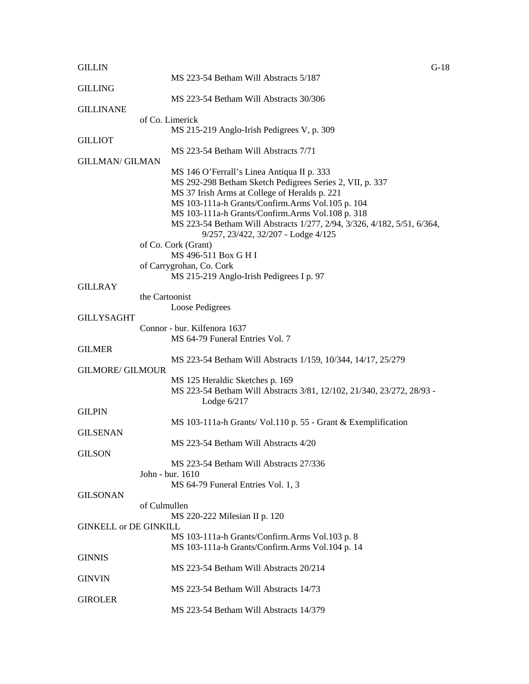| <b>GILLIN</b>                |                                                                         | $G-18$ |
|------------------------------|-------------------------------------------------------------------------|--------|
|                              | MS 223-54 Betham Will Abstracts 5/187                                   |        |
| <b>GILLING</b>               |                                                                         |        |
|                              | MS 223-54 Betham Will Abstracts 30/306                                  |        |
| <b>GILLINANE</b>             |                                                                         |        |
|                              | of Co. Limerick                                                         |        |
| <b>GILLIOT</b>               | MS 215-219 Anglo-Irish Pedigrees V, p. 309                              |        |
|                              | MS 223-54 Betham Will Abstracts 7/71                                    |        |
| <b>GILLMAN/ GILMAN</b>       |                                                                         |        |
|                              | MS 146 O'Ferrall's Linea Antiqua II p. 333                              |        |
|                              | MS 292-298 Betham Sketch Pedigrees Series 2, VII, p. 337                |        |
|                              | MS 37 Irish Arms at College of Heralds p. 221                           |        |
|                              | MS 103-111a-h Grants/Confirm.Arms Vol.105 p. 104                        |        |
|                              | MS 103-111a-h Grants/Confirm.Arms Vol.108 p. 318                        |        |
|                              | MS 223-54 Betham Will Abstracts 1/277, 2/94, 3/326, 4/182, 5/51, 6/364, |        |
|                              | 9/257, 23/422, 32/207 - Lodge 4/125                                     |        |
|                              | of Co. Cork (Grant)                                                     |        |
|                              | MS 496-511 Box G H I                                                    |        |
|                              | of Carrygrohan, Co. Cork                                                |        |
|                              | MS 215-219 Anglo-Irish Pedigrees I p. 97                                |        |
| <b>GILLRAY</b>               |                                                                         |        |
|                              | the Cartoonist                                                          |        |
| <b>GILLYSAGHT</b>            | Loose Pedigrees                                                         |        |
|                              | Connor - bur. Kilfenora 1637                                            |        |
|                              | MS 64-79 Funeral Entries Vol. 7                                         |        |
| <b>GILMER</b>                |                                                                         |        |
|                              | MS 223-54 Betham Will Abstracts 1/159, 10/344, 14/17, 25/279            |        |
| <b>GILMORE/ GILMOUR</b>      |                                                                         |        |
|                              | MS 125 Heraldic Sketches p. 169                                         |        |
|                              | MS 223-54 Betham Will Abstracts 3/81, 12/102, 21/340, 23/272, 28/93 -   |        |
|                              | Lodge $6/217$                                                           |        |
| <b>GILPIN</b>                |                                                                         |        |
|                              | MS 103-111a-h Grants/ Vol.110 p. 55 - Grant & Exemplification           |        |
| <b>GILSENAN</b>              |                                                                         |        |
|                              | MS 223-54 Betham Will Abstracts 4/20                                    |        |
| <b>GILSON</b>                |                                                                         |        |
|                              | MS 223-54 Betham Will Abstracts 27/336                                  |        |
|                              | John - bur. 1610                                                        |        |
| <b>GILSONAN</b>              | MS 64-79 Funeral Entries Vol. 1, 3                                      |        |
|                              | of Culmullen                                                            |        |
|                              | MS 220-222 Milesian II p. 120                                           |        |
| <b>GINKELL or DE GINKILL</b> |                                                                         |        |
|                              | MS 103-111a-h Grants/Confirm.Arms Vol.103 p. 8                          |        |
|                              | MS 103-111a-h Grants/Confirm.Arms Vol.104 p. 14                         |        |
| <b>GINNIS</b>                |                                                                         |        |
|                              | MS 223-54 Betham Will Abstracts 20/214                                  |        |
| <b>GINVIN</b>                |                                                                         |        |
|                              | MS 223-54 Betham Will Abstracts 14/73                                   |        |
| <b>GIROLER</b>               |                                                                         |        |
|                              | MS 223-54 Betham Will Abstracts 14/379                                  |        |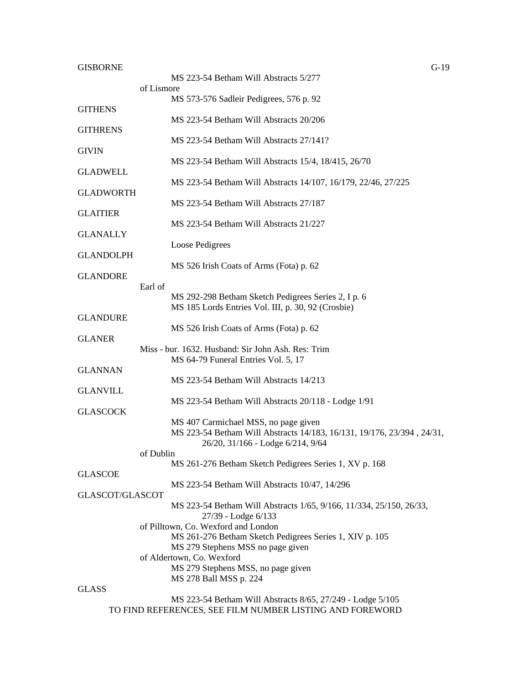## GISBORNE G-19

|                  |            | MS 223-54 Betham Will Abstracts 5/277                                                                          |
|------------------|------------|----------------------------------------------------------------------------------------------------------------|
|                  | of Lismore | MS 573-576 Sadleir Pedigrees, 576 p. 92                                                                        |
| <b>GITHENS</b>   |            |                                                                                                                |
| <b>GITHRENS</b>  |            | MS 223-54 Betham Will Abstracts 20/206                                                                         |
|                  |            | MS 223-54 Betham Will Abstracts 27/141?                                                                        |
| <b>GIVIN</b>     |            | MS 223-54 Betham Will Abstracts 15/4, 18/415, 26/70                                                            |
| <b>GLADWELL</b>  |            |                                                                                                                |
|                  |            | MS 223-54 Betham Will Abstracts 14/107, 16/179, 22/46, 27/225                                                  |
| <b>GLADWORTH</b> |            | MS 223-54 Betham Will Abstracts 27/187                                                                         |
| <b>GLAITIER</b>  |            |                                                                                                                |
| <b>GLANALLY</b>  |            | MS 223-54 Betham Will Abstracts 21/227                                                                         |
|                  |            | Loose Pedigrees                                                                                                |
| <b>GLANDOLPH</b> |            | MS 526 Irish Coats of Arms (Fota) p. 62                                                                        |
| <b>GLANDORE</b>  |            |                                                                                                                |
|                  | Earl of    | MS 292-298 Betham Sketch Pedigrees Series 2, I p. 6                                                            |
|                  |            | MS 185 Lords Entries Vol. III, p. 30, 92 (Crosbie)                                                             |
| <b>GLANDURE</b>  |            |                                                                                                                |
| <b>GLANER</b>    |            | MS 526 Irish Coats of Arms (Fota) p. 62                                                                        |
|                  |            | Miss - bur. 1632. Husband: Sir John Ash. Res: Trim                                                             |
| <b>GLANNAN</b>   |            | MS 64-79 Funeral Entries Vol. 5, 17                                                                            |
|                  |            | MS 223-54 Betham Will Abstracts 14/213                                                                         |
| <b>GLANVILL</b>  |            | MS 223-54 Betham Will Abstracts 20/118 - Lodge 1/91                                                            |
| <b>GLASCOCK</b>  |            |                                                                                                                |
|                  |            | MS 407 Carmichael MSS, no page given<br>MS 223-54 Betham Will Abstracts 14/183, 16/131, 19/176, 23/394, 24/31, |
|                  |            | 26/20, 31/166 - Lodge 6/214, 9/64                                                                              |
|                  | of Dublin  |                                                                                                                |
| <b>GLASCOE</b>   |            | MS 261-276 Betham Sketch Pedigrees Series 1, XV p. 168                                                         |
|                  |            | MS 223-54 Betham Will Abstracts 10/47, 14/296                                                                  |
| GLASCOT/GLASCOT  |            | MS 223-54 Betham Will Abstracts 1/65, 9/166, 11/334, 25/150, 26/33,                                            |
|                  |            | 27/39 - Lodge 6/133                                                                                            |
|                  |            | of Pilltown, Co. Wexford and London                                                                            |
|                  |            | MS 261-276 Betham Sketch Pedigrees Series 1, XIV p. 105<br>MS 279 Stephens MSS no page given                   |
|                  |            | of Aldertown, Co. Wexford                                                                                      |
|                  |            | MS 279 Stephens MSS, no page given<br>MS 278 Ball MSS p. 224                                                   |
| <b>GLASS</b>     |            |                                                                                                                |
|                  |            | MS 223-54 Retham Will Abstracts 8/65 27/249 - Lodge 5/105                                                      |

MS 223-54 Betham Will Abstracts 8/65, 27/249 - Lodge 5/105 TO FIND REFERENCES, SEE FILM NUMBER LISTING AND FOREWORD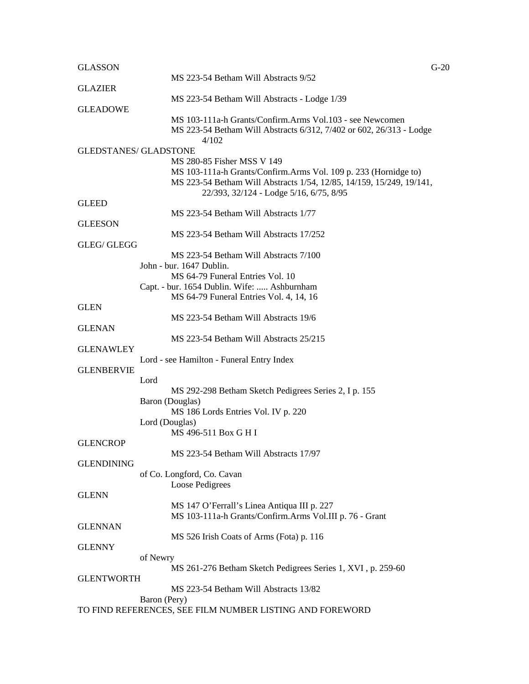| <b>GLASSON</b>               |                                                                                        | $G-20$ |
|------------------------------|----------------------------------------------------------------------------------------|--------|
|                              | MS 223-54 Betham Will Abstracts 9/52                                                   |        |
| <b>GLAZIER</b>               |                                                                                        |        |
|                              | MS 223-54 Betham Will Abstracts - Lodge 1/39                                           |        |
| <b>GLEADOWE</b>              |                                                                                        |        |
|                              | MS 103-111a-h Grants/Confirm.Arms Vol.103 - see Newcomen                               |        |
|                              | MS 223-54 Betham Will Abstracts 6/312, 7/402 or 602, 26/313 - Lodge                    |        |
|                              | 4/102                                                                                  |        |
| <b>GLEDSTANES/ GLADSTONE</b> |                                                                                        |        |
|                              | MS 280-85 Fisher MSS V 149                                                             |        |
|                              | MS 103-111a-h Grants/Confirm.Arms Vol. 109 p. 233 (Hornidge to)                        |        |
|                              | MS 223-54 Betham Will Abstracts 1/54, 12/85, 14/159, 15/249, 19/141,                   |        |
|                              | 22/393, 32/124 - Lodge 5/16, 6/75, 8/95                                                |        |
| <b>GLEED</b>                 |                                                                                        |        |
|                              | MS 223-54 Betham Will Abstracts 1/77                                                   |        |
| <b>GLEESON</b>               |                                                                                        |        |
|                              | MS 223-54 Betham Will Abstracts 17/252                                                 |        |
| GLEG/ GLEGG                  |                                                                                        |        |
|                              | MS 223-54 Betham Will Abstracts 7/100                                                  |        |
|                              | John - bur. 1647 Dublin.                                                               |        |
|                              | MS 64-79 Funeral Entries Vol. 10                                                       |        |
|                              | Capt. - bur. 1654 Dublin. Wife:  Ashburnham<br>MS 64-79 Funeral Entries Vol. 4, 14, 16 |        |
| <b>GLEN</b>                  |                                                                                        |        |
|                              | MS 223-54 Betham Will Abstracts 19/6                                                   |        |
| <b>GLENAN</b>                |                                                                                        |        |
|                              | MS 223-54 Betham Will Abstracts 25/215                                                 |        |
| <b>GLENAWLEY</b>             |                                                                                        |        |
|                              | Lord - see Hamilton - Funeral Entry Index                                              |        |
| <b>GLENBERVIE</b>            |                                                                                        |        |
|                              | Lord                                                                                   |        |
|                              | MS 292-298 Betham Sketch Pedigrees Series 2, I p. 155                                  |        |
|                              | Baron (Douglas)                                                                        |        |
|                              | MS 186 Lords Entries Vol. IV p. 220                                                    |        |
|                              | Lord (Douglas)                                                                         |        |
|                              | MS 496-511 Box G H I                                                                   |        |
| <b>GLENCROP</b>              |                                                                                        |        |
|                              | MS 223-54 Betham Will Abstracts 17/97                                                  |        |
| <b>GLENDINING</b>            |                                                                                        |        |
|                              | of Co. Longford, Co. Cavan                                                             |        |
|                              | Loose Pedigrees                                                                        |        |
| <b>GLENN</b>                 |                                                                                        |        |
|                              | MS 147 O'Ferrall's Linea Antiqua III p. 227                                            |        |
|                              | MS 103-111a-h Grants/Confirm.Arms Vol.III p. 76 - Grant                                |        |
| <b>GLENNAN</b>               |                                                                                        |        |
|                              | MS 526 Irish Coats of Arms (Fota) p. 116                                               |        |
| <b>GLENNY</b>                |                                                                                        |        |
|                              | of Newry                                                                               |        |
|                              | MS 261-276 Betham Sketch Pedigrees Series 1, XVI, p. 259-60                            |        |
| <b>GLENTWORTH</b>            |                                                                                        |        |
|                              | MS 223-54 Betham Will Abstracts 13/82                                                  |        |
|                              | Baron (Pery)                                                                           |        |
|                              | TO FIND REFERENCES, SEE FILM NUMBER LISTING AND FOREWORD                               |        |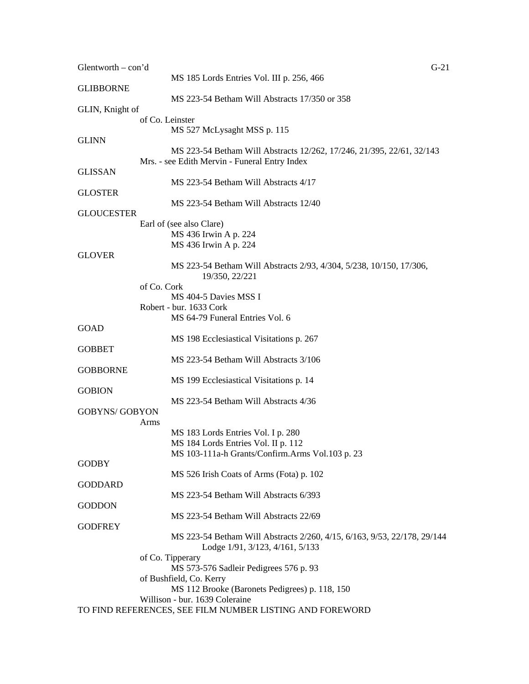| Glentworth - con'd    |                                                                           | $G-21$ |
|-----------------------|---------------------------------------------------------------------------|--------|
|                       | MS 185 Lords Entries Vol. III p. 256, 466                                 |        |
| <b>GLIBBORNE</b>      | MS 223-54 Betham Will Abstracts 17/350 or 358                             |        |
| GLIN, Knight of       |                                                                           |        |
|                       | of Co. Leinster                                                           |        |
|                       | MS 527 McLysaght MSS p. 115                                               |        |
| GLINN                 |                                                                           |        |
|                       | MS 223-54 Betham Will Abstracts 12/262, 17/246, 21/395, 22/61, 32/143     |        |
|                       | Mrs. - see Edith Mervin - Funeral Entry Index                             |        |
| GLISSAN               |                                                                           |        |
|                       | MS 223-54 Betham Will Abstracts 4/17                                      |        |
| GLOSTER               |                                                                           |        |
|                       | MS 223-54 Betham Will Abstracts 12/40                                     |        |
| GLOUCESTER            |                                                                           |        |
|                       | Earl of (see also Clare)                                                  |        |
|                       | MS 436 Irwin A p. 224<br>MS 436 Irwin A p. 224                            |        |
| <b>GLOVER</b>         |                                                                           |        |
|                       | MS 223-54 Betham Will Abstracts 2/93, 4/304, 5/238, 10/150, 17/306,       |        |
|                       | 19/350, 22/221                                                            |        |
| of Co. Cork           |                                                                           |        |
|                       | MS 404-5 Davies MSS I                                                     |        |
|                       | Robert - bur. 1633 Cork                                                   |        |
|                       | MS 64-79 Funeral Entries Vol. 6                                           |        |
| GOAD                  |                                                                           |        |
|                       | MS 198 Ecclesiastical Visitations p. 267                                  |        |
| GOBBET                |                                                                           |        |
|                       | MS 223-54 Betham Will Abstracts 3/106                                     |        |
| GOBBORNE              |                                                                           |        |
|                       | MS 199 Ecclesiastical Visitations p. 14                                   |        |
| <b>GOBION</b>         |                                                                           |        |
| <b>GOBYNS/ GOBYON</b> | MS 223-54 Betham Will Abstracts 4/36                                      |        |
| Arms                  |                                                                           |        |
|                       | MS 183 Lords Entries Vol. I p. 280                                        |        |
|                       | MS 184 Lords Entries Vol. II p. 112                                       |        |
|                       | MS 103-111a-h Grants/Confirm.Arms Vol.103 p. 23                           |        |
| <b>GODBY</b>          |                                                                           |        |
|                       | MS 526 Irish Coats of Arms (Fota) p. 102                                  |        |
| <b>GODDARD</b>        |                                                                           |        |
|                       | MS 223-54 Betham Will Abstracts 6/393                                     |        |
| GODDON                |                                                                           |        |
|                       | MS 223-54 Betham Will Abstracts 22/69                                     |        |
| <b>GODFREY</b>        |                                                                           |        |
|                       | MS 223-54 Betham Will Abstracts 2/260, 4/15, 6/163, 9/53, 22/178, 29/144  |        |
|                       | Lodge 1/91, 3/123, 4/161, 5/133                                           |        |
|                       | of Co. Tipperary                                                          |        |
|                       | MS 573-576 Sadleir Pedigrees 576 p. 93                                    |        |
|                       | of Bushfield, Co. Kerry<br>MS 112 Brooke (Baronets Pedigrees) p. 118, 150 |        |
|                       | Willison - bur. 1639 Coleraine                                            |        |
|                       | TO FIND REFERENCES, SEE FILM NUMBER LISTING AND FOREWORD                  |        |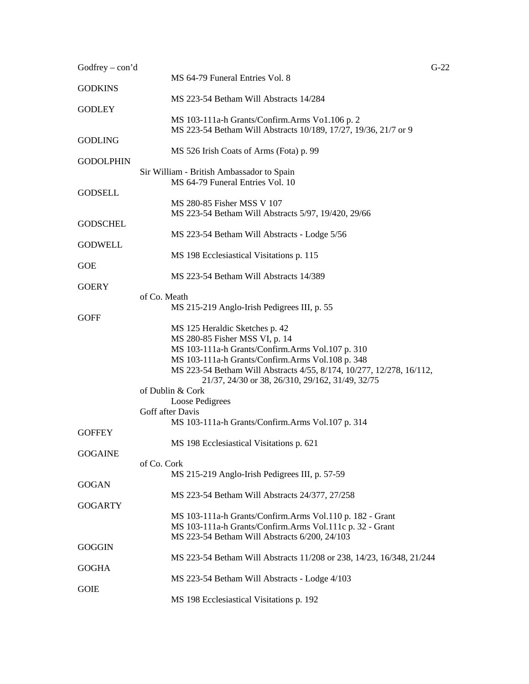| Godfrey $-$ con'd |                                                                                                                                                                              | $G-22$ |
|-------------------|------------------------------------------------------------------------------------------------------------------------------------------------------------------------------|--------|
|                   | MS 64-79 Funeral Entries Vol. 8                                                                                                                                              |        |
| <b>GODKINS</b>    | MS 223-54 Betham Will Abstracts 14/284                                                                                                                                       |        |
| <b>GODLEY</b>     | MS 103-111a-h Grants/Confirm.Arms Vo1.106 p. 2<br>MS 223-54 Betham Will Abstracts 10/189, 17/27, 19/36, 21/7 or 9                                                            |        |
| <b>GODLING</b>    | MS 526 Irish Coats of Arms (Fota) p. 99                                                                                                                                      |        |
| <b>GODOLPHIN</b>  |                                                                                                                                                                              |        |
|                   | Sir William - British Ambassador to Spain<br>MS 64-79 Funeral Entries Vol. 10                                                                                                |        |
| <b>GODSELL</b>    |                                                                                                                                                                              |        |
|                   | MS 280-85 Fisher MSS V 107<br>MS 223-54 Betham Will Abstracts 5/97, 19/420, 29/66                                                                                            |        |
| <b>GODSCHEL</b>   | MS 223-54 Betham Will Abstracts - Lodge 5/56                                                                                                                                 |        |
| <b>GODWELL</b>    |                                                                                                                                                                              |        |
| <b>GOE</b>        | MS 198 Ecclesiastical Visitations p. 115                                                                                                                                     |        |
|                   | MS 223-54 Betham Will Abstracts 14/389                                                                                                                                       |        |
| <b>GOERY</b>      | of Co. Meath                                                                                                                                                                 |        |
|                   | MS 215-219 Anglo-Irish Pedigrees III, p. 55                                                                                                                                  |        |
| <b>GOFF</b>       |                                                                                                                                                                              |        |
|                   | MS 125 Heraldic Sketches p. 42                                                                                                                                               |        |
|                   | MS 280-85 Fisher MSS VI, p. 14                                                                                                                                               |        |
|                   | MS 103-111a-h Grants/Confirm.Arms Vol.107 p. 310                                                                                                                             |        |
|                   | MS 103-111a-h Grants/Confirm.Arms Vol.108 p. 348<br>MS 223-54 Betham Will Abstracts 4/55, 8/174, 10/277, 12/278, 16/112,<br>21/37, 24/30 or 38, 26/310, 29/162, 31/49, 32/75 |        |
|                   | of Dublin & Cork                                                                                                                                                             |        |
|                   | Loose Pedigrees                                                                                                                                                              |        |
|                   | Goff after Davis                                                                                                                                                             |        |
| <b>GOFFEY</b>     | MS 103-111a-h Grants/Confirm.Arms Vol.107 p. 314                                                                                                                             |        |
|                   | MS 198 Ecclesiastical Visitations p. 621                                                                                                                                     |        |
| <b>GOGAINE</b>    | of Co. Cork                                                                                                                                                                  |        |
|                   | MS 215-219 Anglo-Irish Pedigrees III, p. 57-59                                                                                                                               |        |
| <b>GOGAN</b>      |                                                                                                                                                                              |        |
|                   | MS 223-54 Betham Will Abstracts 24/377, 27/258                                                                                                                               |        |
| <b>GOGARTY</b>    |                                                                                                                                                                              |        |
|                   | MS 103-111a-h Grants/Confirm.Arms Vol.110 p. 182 - Grant                                                                                                                     |        |
|                   | MS 103-111a-h Grants/Confirm.Arms Vol.111c p. 32 - Grant<br>MS 223-54 Betham Will Abstracts 6/200, 24/103                                                                    |        |
| <b>GOGGIN</b>     |                                                                                                                                                                              |        |
|                   | MS 223-54 Betham Will Abstracts 11/208 or 238, 14/23, 16/348, 21/244                                                                                                         |        |
| <b>GOGHA</b>      |                                                                                                                                                                              |        |
| <b>GOIE</b>       | MS 223-54 Betham Will Abstracts - Lodge 4/103                                                                                                                                |        |
|                   | MS 198 Ecclesiastical Visitations p. 192                                                                                                                                     |        |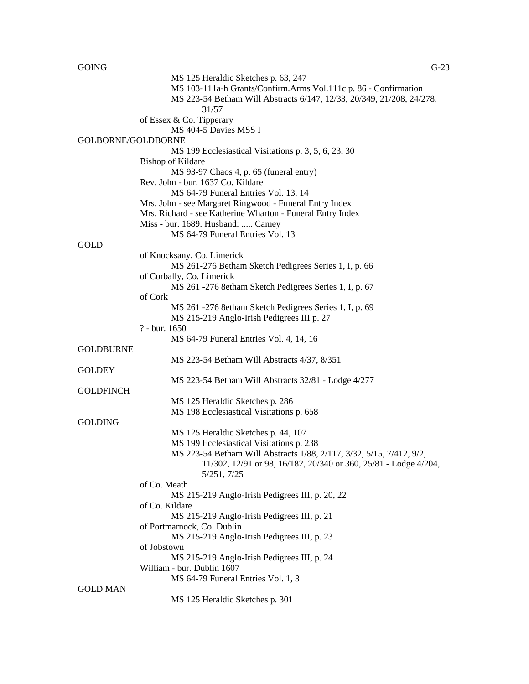| <b>GOING</b>       |                                                                       | $G-23$ |
|--------------------|-----------------------------------------------------------------------|--------|
|                    | MS 125 Heraldic Sketches p. 63, 247                                   |        |
|                    | MS 103-111a-h Grants/Confirm.Arms Vol.111c p. 86 - Confirmation       |        |
|                    | MS 223-54 Betham Will Abstracts 6/147, 12/33, 20/349, 21/208, 24/278, |        |
|                    | 31/57                                                                 |        |
|                    | of Essex & Co. Tipperary                                              |        |
|                    | MS 404-5 Davies MSS I                                                 |        |
| GOLBORNE/GOLDBORNE |                                                                       |        |
|                    |                                                                       |        |
|                    | MS 199 Ecclesiastical Visitations p. 3, 5, 6, 23, 30                  |        |
|                    | <b>Bishop of Kildare</b>                                              |        |
|                    | MS 93-97 Chaos 4, p. 65 (funeral entry)                               |        |
|                    | Rev. John - bur. 1637 Co. Kildare                                     |        |
|                    | MS 64-79 Funeral Entries Vol. 13, 14                                  |        |
|                    | Mrs. John - see Margaret Ringwood - Funeral Entry Index               |        |
|                    | Mrs. Richard - see Katherine Wharton - Funeral Entry Index            |        |
|                    | Miss - bur. 1689. Husband:  Camey                                     |        |
|                    | MS 64-79 Funeral Entries Vol. 13                                      |        |
| GOLD               |                                                                       |        |
|                    | of Knocksany, Co. Limerick                                            |        |
|                    | MS 261-276 Betham Sketch Pedigrees Series 1, I, p. 66                 |        |
|                    | of Corbally, Co. Limerick                                             |        |
|                    | MS 261 -276 8etham Sketch Pedigrees Series 1, I, p. 67                |        |
|                    | of Cork                                                               |        |
|                    | MS 261 - 276 8etham Sketch Pedigrees Series 1, I, p. 69               |        |
|                    | MS 215-219 Anglo-Irish Pedigrees III p. 27                            |        |
|                    | ? - bur. 1650                                                         |        |
|                    | MS 64-79 Funeral Entries Vol. 4, 14, 16                               |        |
| <b>GOLDBURNE</b>   |                                                                       |        |
|                    |                                                                       |        |
|                    | MS 223-54 Betham Will Abstracts 4/37, 8/351                           |        |
| <b>GOLDEY</b>      |                                                                       |        |
|                    | MS 223-54 Betham Will Abstracts 32/81 - Lodge 4/277                   |        |
| <b>GOLDFINCH</b>   |                                                                       |        |
|                    | MS 125 Heraldic Sketches p. 286                                       |        |
|                    | MS 198 Ecclesiastical Visitations p. 658                              |        |
| <b>GOLDING</b>     |                                                                       |        |
|                    | MS 125 Heraldic Sketches p. 44, 107                                   |        |
|                    | MS 199 Ecclesiastical Visitations p. 238                              |        |
|                    | MS 223-54 Betham Will Abstracts 1/88, 2/117, 3/32, 5/15, 7/412, 9/2,  |        |
|                    | 11/302, 12/91 or 98, 16/182, 20/340 or 360, 25/81 - Lodge 4/204,      |        |
|                    | 5/251, 7/25                                                           |        |
|                    | of Co. Meath                                                          |        |
|                    | MS 215-219 Anglo-Irish Pedigrees III, p. 20, 22                       |        |
|                    | of Co. Kildare                                                        |        |
|                    | MS 215-219 Anglo-Irish Pedigrees III, p. 21                           |        |
|                    | of Portmarnock, Co. Dublin                                            |        |
|                    | MS 215-219 Anglo-Irish Pedigrees III, p. 23                           |        |
|                    | of Jobstown                                                           |        |
|                    | MS 215-219 Anglo-Irish Pedigrees III, p. 24                           |        |
|                    | William - bur. Dublin 1607                                            |        |
|                    | MS 64-79 Funeral Entries Vol. 1, 3                                    |        |
| <b>GOLD MAN</b>    |                                                                       |        |
|                    | MS 125 Heraldic Sketches p. 301                                       |        |
|                    |                                                                       |        |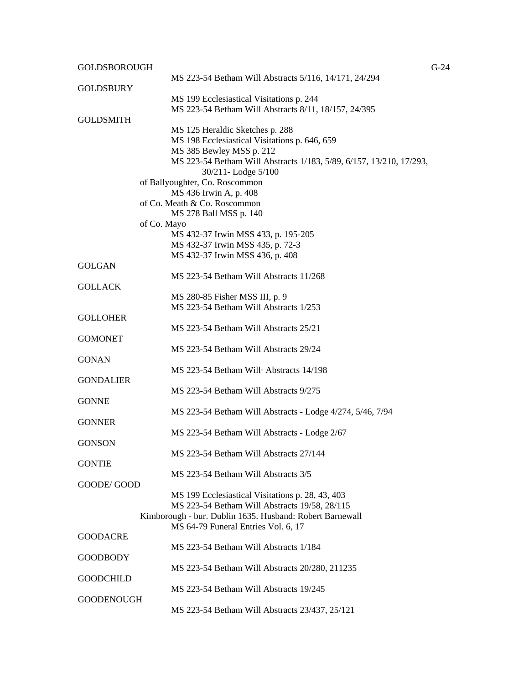| <b>GOLDSBOROUGH</b> |                                                                                                 | $G-24$ |
|---------------------|-------------------------------------------------------------------------------------------------|--------|
|                     | MS 223-54 Betham Will Abstracts 5/116, 14/171, 24/294                                           |        |
| <b>GOLDSBURY</b>    |                                                                                                 |        |
|                     | MS 199 Ecclesiastical Visitations p. 244                                                        |        |
|                     | MS 223-54 Betham Will Abstracts 8/11, 18/157, 24/395                                            |        |
| <b>GOLDSMITH</b>    |                                                                                                 |        |
|                     | MS 125 Heraldic Sketches p. 288                                                                 |        |
|                     | MS 198 Ecclesiastical Visitations p. 646, 659                                                   |        |
|                     | MS 385 Bewley MSS p. 212<br>MS 223-54 Betham Will Abstracts 1/183, 5/89, 6/157, 13/210, 17/293, |        |
|                     | 30/211-Lodge 5/100                                                                              |        |
|                     | of Ballyoughter, Co. Roscommon                                                                  |        |
|                     | MS 436 Irwin A, p. 408                                                                          |        |
|                     | of Co. Meath & Co. Roscommon                                                                    |        |
|                     | MS 278 Ball MSS p. 140                                                                          |        |
|                     | of Co. Mayo                                                                                     |        |
|                     | MS 432-37 Irwin MSS 433, p. 195-205                                                             |        |
|                     | MS 432-37 Irwin MSS 435, p. 72-3                                                                |        |
| <b>GOLGAN</b>       | MS 432-37 Irwin MSS 436, p. 408                                                                 |        |
|                     | MS 223-54 Betham Will Abstracts 11/268                                                          |        |
| <b>GOLLACK</b>      |                                                                                                 |        |
|                     | MS 280-85 Fisher MSS III, p. 9                                                                  |        |
|                     | MS 223-54 Betham Will Abstracts 1/253                                                           |        |
| <b>GOLLOHER</b>     |                                                                                                 |        |
|                     | MS 223-54 Betham Will Abstracts 25/21                                                           |        |
| <b>GOMONET</b>      |                                                                                                 |        |
|                     | MS 223-54 Betham Will Abstracts 29/24                                                           |        |
| <b>GONAN</b>        |                                                                                                 |        |
|                     | MS 223-54 Betham Will Abstracts 14/198                                                          |        |
| <b>GONDALIER</b>    |                                                                                                 |        |
|                     | MS 223-54 Betham Will Abstracts 9/275                                                           |        |
| <b>GONNE</b>        |                                                                                                 |        |
|                     | MS 223-54 Betham Will Abstracts - Lodge 4/274, 5/46, 7/94                                       |        |
| <b>GONNER</b>       |                                                                                                 |        |
|                     | MS 223-54 Betham Will Abstracts - Lodge 2/67                                                    |        |
| <b>GONSON</b>       |                                                                                                 |        |
|                     | MS 223-54 Betham Will Abstracts 27/144                                                          |        |
| <b>GONTIE</b>       |                                                                                                 |        |
|                     | MS 223-54 Betham Will Abstracts 3/5                                                             |        |
| GOODE/ GOOD         |                                                                                                 |        |
|                     | MS 199 Ecclesiastical Visitations p. 28, 43, 403                                                |        |
|                     | MS 223-54 Betham Will Abstracts 19/58, 28/115                                                   |        |
|                     | Kimborough - bur. Dublin 1635. Husband: Robert Barnewall                                        |        |
|                     | MS 64-79 Funeral Entries Vol. 6, 17                                                             |        |
| <b>GOODACRE</b>     |                                                                                                 |        |
|                     | MS 223-54 Betham Will Abstracts 1/184                                                           |        |
| <b>GOODBODY</b>     |                                                                                                 |        |
|                     | MS 223-54 Betham Will Abstracts 20/280, 211235                                                  |        |
| <b>GOODCHILD</b>    | MS 223-54 Betham Will Abstracts 19/245                                                          |        |
| <b>GOODENOUGH</b>   |                                                                                                 |        |
|                     | MS 223-54 Betham Will Abstracts 23/437, 25/121                                                  |        |
|                     |                                                                                                 |        |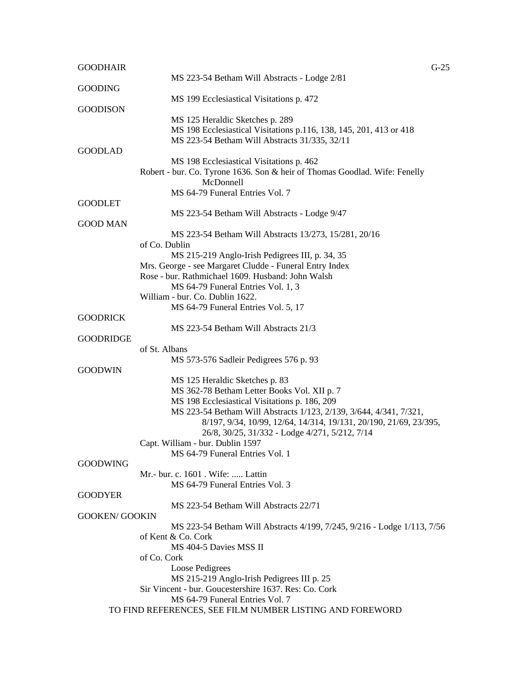| <b>GOODHAIR</b>       |                                                                                                            | $G-25$ |
|-----------------------|------------------------------------------------------------------------------------------------------------|--------|
|                       | MS 223-54 Betham Will Abstracts - Lodge 2/81                                                               |        |
| <b>GOODING</b>        |                                                                                                            |        |
|                       | MS 199 Ecclesiastical Visitations p. 472                                                                   |        |
| <b>GOODISON</b>       | MS 125 Heraldic Sketches p. 289                                                                            |        |
|                       | MS 198 Ecclesiastical Visitations p.116, 138, 145, 201, 413 or 418                                         |        |
|                       | MS 223-54 Betham Will Abstracts 31/335, 32/11                                                              |        |
| <b>GOODLAD</b>        |                                                                                                            |        |
|                       | MS 198 Ecclesiastical Visitations p. 462                                                                   |        |
|                       | Robert - bur. Co. Tyrone 1636. Son & heir of Thomas Goodlad. Wife: Fenelly                                 |        |
|                       | McDonnell                                                                                                  |        |
|                       | MS 64-79 Funeral Entries Vol. 7                                                                            |        |
| <b>GOODLET</b>        |                                                                                                            |        |
|                       | MS 223-54 Betham Will Abstracts - Lodge 9/47                                                               |        |
| <b>GOOD MAN</b>       |                                                                                                            |        |
|                       | MS 223-54 Betham Will Abstracts 13/273, 15/281, 20/16                                                      |        |
|                       | of Co. Dublin                                                                                              |        |
|                       | MS 215-219 Anglo-Irish Pedigrees III, p. 34, 35<br>Mrs. George - see Margaret Cludde - Funeral Entry Index |        |
|                       | Rose - bur. Rathmichael 1609. Husband: John Walsh                                                          |        |
|                       | MS 64-79 Funeral Entries Vol. 1, 3                                                                         |        |
|                       | William - bur. Co. Dublin 1622.                                                                            |        |
|                       | MS 64-79 Funeral Entries Vol. 5, 17                                                                        |        |
| <b>GOODRICK</b>       |                                                                                                            |        |
|                       | MS 223-54 Betham Will Abstracts 21/3                                                                       |        |
| <b>GOODRIDGE</b>      |                                                                                                            |        |
|                       | of St. Albans                                                                                              |        |
|                       | MS 573-576 Sadleir Pedigrees 576 p. 93                                                                     |        |
| <b>GOODWIN</b>        |                                                                                                            |        |
|                       | MS 125 Heraldic Sketches p. 83                                                                             |        |
|                       | MS 362-78 Betham Letter Books Vol. XII p. 7<br>MS 198 Ecclesiastical Visitations p. 186, 209               |        |
|                       | MS 223-54 Betham Will Abstracts 1/123, 2/139, 3/644, 4/341, 7/321,                                         |        |
|                       | 8/197, 9/34, 10/99, 12/64, 14/314, 19/131, 20/190, 21/69, 23/395,                                          |        |
|                       | 26/8, 30/25, 31/332 - Lodge 4/271, 5/212, 7/14                                                             |        |
|                       | Capt. William - bur. Dublin 1597                                                                           |        |
|                       | MS 64-79 Funeral Entries Vol. 1                                                                            |        |
| <b>GOODWING</b>       |                                                                                                            |        |
|                       | Mr.- bur. c. 1601 . Wife:  Lattin                                                                          |        |
|                       | MS 64-79 Funeral Entries Vol. 3                                                                            |        |
| <b>GOODYER</b>        |                                                                                                            |        |
|                       | MS 223-54 Betham Will Abstracts 22/71                                                                      |        |
| <b>GOOKEN/ GOOKIN</b> |                                                                                                            |        |
|                       | MS 223-54 Betham Will Abstracts 4/199, 7/245, 9/216 - Lodge 1/113, 7/56                                    |        |
|                       | of Kent & Co. Cork<br>MS 404-5 Davies MSS II                                                               |        |
|                       | of Co. Cork                                                                                                |        |
|                       | Loose Pedigrees                                                                                            |        |
|                       | MS 215-219 Anglo-Irish Pedigrees III p. 25                                                                 |        |
|                       | Sir Vincent - bur. Goucestershire 1637. Res: Co. Cork                                                      |        |
|                       | MS 64-79 Funeral Entries Vol. 7                                                                            |        |
|                       | TO FIND REFERENCES, SEE FILM NUMBER LISTING AND FOREWORD                                                   |        |
|                       |                                                                                                            |        |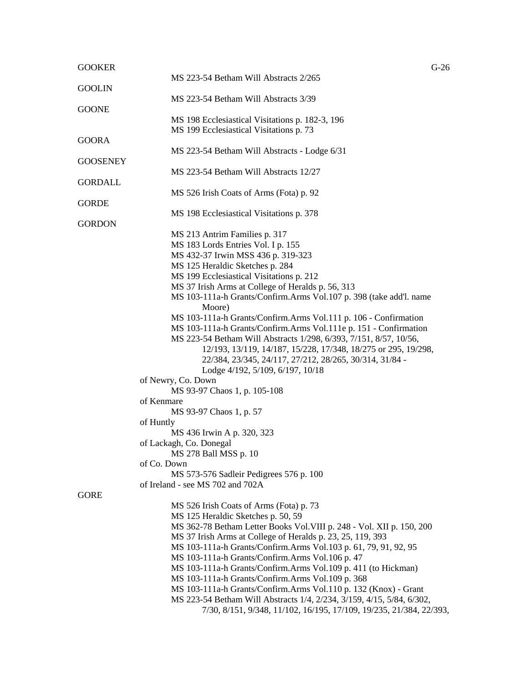| <b>GOOKER</b>   | $G-26$                                                                                                                                       |
|-----------------|----------------------------------------------------------------------------------------------------------------------------------------------|
|                 | MS 223-54 Betham Will Abstracts 2/265                                                                                                        |
| <b>GOOLIN</b>   |                                                                                                                                              |
|                 | MS 223-54 Betham Will Abstracts 3/39                                                                                                         |
| <b>GOONE</b>    |                                                                                                                                              |
|                 | MS 198 Ecclesiastical Visitations p. 182-3, 196                                                                                              |
|                 | MS 199 Ecclesiastical Visitations p. 73                                                                                                      |
| <b>GOORA</b>    |                                                                                                                                              |
|                 | MS 223-54 Betham Will Abstracts - Lodge 6/31                                                                                                 |
| <b>GOOSENEY</b> |                                                                                                                                              |
|                 | MS 223-54 Betham Will Abstracts 12/27                                                                                                        |
| <b>GORDALL</b>  |                                                                                                                                              |
| <b>GORDE</b>    | MS 526 Irish Coats of Arms (Fota) p. 92                                                                                                      |
|                 | MS 198 Ecclesiastical Visitations p. 378                                                                                                     |
| <b>GORDON</b>   |                                                                                                                                              |
|                 | MS 213 Antrim Families p. 317                                                                                                                |
|                 | MS 183 Lords Entries Vol. I p. 155                                                                                                           |
|                 | MS 432-37 Irwin MSS 436 p. 319-323                                                                                                           |
|                 | MS 125 Heraldic Sketches p. 284                                                                                                              |
|                 | MS 199 Ecclesiastical Visitations p. 212                                                                                                     |
|                 | MS 37 Irish Arms at College of Heralds p. 56, 313                                                                                            |
|                 | MS 103-111a-h Grants/Confirm.Arms Vol.107 p. 398 (take add'l. name                                                                           |
|                 | Moore)                                                                                                                                       |
|                 | MS 103-111a-h Grants/Confirm.Arms Vol.111 p. 106 - Confirmation                                                                              |
|                 | MS 103-111a-h Grants/Confirm.Arms Vol.111e p. 151 - Confirmation                                                                             |
|                 | MS 223-54 Betham Will Abstracts 1/298, 6/393, 7/151, 8/57, 10/56,                                                                            |
|                 | 12/193, 13/119, 14/187, 15/228, 17/348, 18/275 or 295, 19/298,                                                                               |
|                 | 22/384, 23/345, 24/117, 27/212, 28/265, 30/314, 31/84 -                                                                                      |
|                 | Lodge 4/192, 5/109, 6/197, 10/18                                                                                                             |
|                 | of Newry, Co. Down                                                                                                                           |
|                 | MS 93-97 Chaos 1, p. 105-108                                                                                                                 |
|                 | of Kenmare                                                                                                                                   |
|                 | MS 93-97 Chaos 1, p. 57                                                                                                                      |
|                 | of Huntly                                                                                                                                    |
|                 | MS 436 Irwin A p. 320, 323                                                                                                                   |
|                 | of Lackagh, Co. Donegal                                                                                                                      |
|                 | MS 278 Ball MSS p. 10                                                                                                                        |
|                 | of Co. Down                                                                                                                                  |
|                 | MS 573-576 Sadleir Pedigrees 576 p. 100                                                                                                      |
|                 | of Ireland - see MS 702 and 702A                                                                                                             |
| <b>GORE</b>     |                                                                                                                                              |
|                 | MS 526 Irish Coats of Arms (Fota) p. 73                                                                                                      |
|                 | MS 125 Heraldic Sketches p. 50, 59                                                                                                           |
|                 | MS 362-78 Betham Letter Books Vol. VIII p. 248 - Vol. XII p. 150, 200                                                                        |
|                 | MS 37 Irish Arms at College of Heralds p. 23, 25, 119, 393                                                                                   |
|                 | MS 103-111a-h Grants/Confirm.Arms Vol.103 p. 61, 79, 91, 92, 95                                                                              |
|                 | MS 103-111a-h Grants/Confirm.Arms Vol.106 p. 47                                                                                              |
|                 | MS 103-111a-h Grants/Confirm.Arms Vol.109 p. 411 (to Hickman)                                                                                |
|                 | MS 103-111a-h Grants/Confirm.Arms Vol.109 p. 368                                                                                             |
|                 | MS 103-111a-h Grants/Confirm.Arms Vol.110 p. 132 (Knox) - Grant                                                                              |
|                 | MS 223-54 Betham Will Abstracts 1/4, 2/234, 3/159, 4/15, 5/84, 6/302,<br>7/30, 8/151, 9/348, 11/102, 16/195, 17/109, 19/235, 21/384, 22/393, |
|                 |                                                                                                                                              |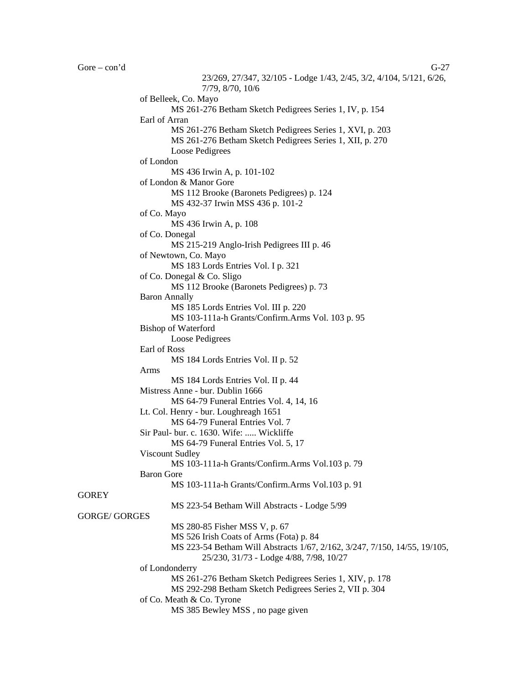Gore – con'd G-27 23/269, 27/347, 32/105 - Lodge 1/43, 2/45, 3/2, 4/104, 5/121, 6/26, 7/79, 8/70, 10/6 of Belleek, Co. Mayo MS 261-276 Betham Sketch Pedigrees Series 1, IV, p. 154 Earl of Arran MS 261-276 Betham Sketch Pedigrees Series 1, XVI, p. 203 MS 261-276 Betham Sketch Pedigrees Series 1, XII, p. 270 Loose Pedigrees of London MS 436 Irwin A, p. 101-102 of London & Manor Gore MS 112 Brooke (Baronets Pedigrees) p. 124 MS 432-37 Irwin MSS 436 p. 101-2 of Co. Mayo MS 436 Irwin A, p. 108 of Co. Donegal MS 215-219 Anglo-Irish Pedigrees III p. 46 of Newtown, Co. Mayo MS 183 Lords Entries Vol. I p. 321 of Co. Donegal & Co. Sligo MS 112 Brooke (Baronets Pedigrees) p. 73 Baron Annally MS 185 Lords Entries Vol. III p. 220 MS 103-111a-h Grants/Confirm.Arms Vol. 103 p. 95 Bishop of Waterford Loose Pedigrees Earl of Ross MS 184 Lords Entries Vol. II p. 52 Arms MS 184 Lords Entries Vol. II p. 44 Mistress Anne - bur. Dublin 1666 MS 64-79 Funeral Entries Vol. 4, 14, 16 Lt. Col. Henry - bur. Loughreagh 1651 MS 64-79 Funeral Entries Vol. 7 Sir Paul- bur. c. 1630. Wife: ..... Wickliffe MS 64-79 Funeral Entries Vol. 5, 17 Viscount Sudley MS 103-111a-h Grants/Confirm.Arms Vol.103 p. 79 Baron Gore MS 103-111a-h Grants/Confirm.Arms Vol.103 p. 91 MS 223-54 Betham Will Abstracts - Lodge 5/99 GORGE/ GORGES MS 280-85 Fisher MSS V, p. 67 MS 526 Irish Coats of Arms (Fota) p. 84 MS 223-54 Betham Will Abstracts 1/67, 2/162, 3/247, 7/150, 14/55, 19/105, 25/230, 31/73 - Lodge 4/88, 7/98, 10/27

of Londonderry

**GOREY** 

MS 261-276 Betham Sketch Pedigrees Series 1, XIV, p. 178

MS 292-298 Betham Sketch Pedigrees Series 2, VII p. 304

of Co. Meath & Co. Tyrone

MS 385 Bewley MSS , no page given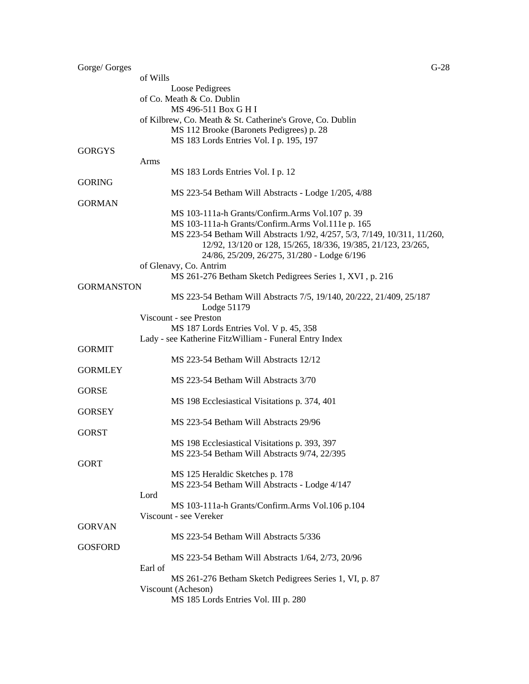| Gorge/ Gorges     |                                                                          | $G-28$ |
|-------------------|--------------------------------------------------------------------------|--------|
|                   | of Wills                                                                 |        |
|                   | Loose Pedigrees                                                          |        |
|                   | of Co. Meath & Co. Dublin                                                |        |
|                   | MS 496-511 Box G H I                                                     |        |
|                   | of Kilbrew, Co. Meath & St. Catherine's Grove, Co. Dublin                |        |
|                   | MS 112 Brooke (Baronets Pedigrees) p. 28                                 |        |
|                   | MS 183 Lords Entries Vol. I p. 195, 197                                  |        |
| <b>GORGYS</b>     |                                                                          |        |
|                   | Arms                                                                     |        |
|                   | MS 183 Lords Entries Vol. I p. 12                                        |        |
| <b>GORING</b>     |                                                                          |        |
|                   | MS 223-54 Betham Will Abstracts - Lodge 1/205, 4/88                      |        |
| <b>GORMAN</b>     |                                                                          |        |
|                   | MS 103-111a-h Grants/Confirm.Arms Vol.107 p. 39                          |        |
|                   | MS 103-111a-h Grants/Confirm.Arms Vol.111e p. 165                        |        |
|                   | MS 223-54 Betham Will Abstracts 1/92, 4/257, 5/3, 7/149, 10/311, 11/260, |        |
|                   | 12/92, 13/120 or 128, 15/265, 18/336, 19/385, 21/123, 23/265,            |        |
|                   | 24/86, 25/209, 26/275, 31/280 - Lodge 6/196                              |        |
|                   | of Glenavy, Co. Antrim                                                   |        |
|                   | MS 261-276 Betham Sketch Pedigrees Series 1, XVI, p. 216                 |        |
| <b>GORMANSTON</b> |                                                                          |        |
|                   | MS 223-54 Betham Will Abstracts 7/5, 19/140, 20/222, 21/409, 25/187      |        |
|                   | Lodge 51179                                                              |        |
|                   | Viscount - see Preston                                                   |        |
|                   | MS 187 Lords Entries Vol. V p. 45, 358                                   |        |
|                   | Lady - see Katherine FitzWilliam - Funeral Entry Index                   |        |
| <b>GORMIT</b>     |                                                                          |        |
|                   | MS 223-54 Betham Will Abstracts 12/12                                    |        |
| <b>GORMLEY</b>    |                                                                          |        |
|                   | MS 223-54 Betham Will Abstracts 3/70                                     |        |
| <b>GORSE</b>      |                                                                          |        |
|                   | MS 198 Ecclesiastical Visitations p. 374, 401                            |        |
| <b>GORSEY</b>     |                                                                          |        |
|                   | MS 223-54 Betham Will Abstracts 29/96                                    |        |
| <b>GORST</b>      |                                                                          |        |
|                   | MS 198 Ecclesiastical Visitations p. 393, 397                            |        |
|                   | MS 223-54 Betham Will Abstracts 9/74, 22/395                             |        |
| <b>GORT</b>       |                                                                          |        |
|                   | MS 125 Heraldic Sketches p. 178                                          |        |
|                   | MS 223-54 Betham Will Abstracts - Lodge 4/147                            |        |
|                   | Lord                                                                     |        |
|                   | MS 103-111a-h Grants/Confirm.Arms Vol.106 p.104                          |        |
|                   | Viscount - see Vereker                                                   |        |
| <b>GORVAN</b>     |                                                                          |        |
|                   | MS 223-54 Betham Will Abstracts 5/336                                    |        |
| <b>GOSFORD</b>    |                                                                          |        |
|                   | MS 223-54 Betham Will Abstracts 1/64, 2/73, 20/96                        |        |
|                   | Earl of                                                                  |        |
|                   | MS 261-276 Betham Sketch Pedigrees Series 1, VI, p. 87                   |        |
|                   | Viscount (Acheson)                                                       |        |
|                   | MS 185 Lords Entries Vol. III p. 280                                     |        |
|                   |                                                                          |        |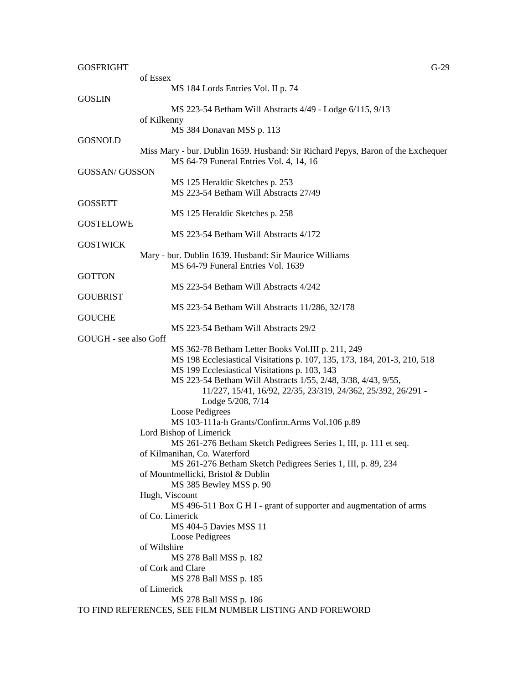| <b>GOSFRIGHT</b>      | $G-29$                                                                               |  |
|-----------------------|--------------------------------------------------------------------------------------|--|
|                       | of Essex                                                                             |  |
|                       | MS 184 Lords Entries Vol. II p. 74                                                   |  |
| <b>GOSLIN</b>         |                                                                                      |  |
|                       | MS 223-54 Betham Will Abstracts 4/49 - Lodge 6/115, 9/13                             |  |
|                       | of Kilkenny                                                                          |  |
|                       | MS 384 Donavan MSS p. 113                                                            |  |
| <b>GOSNOLD</b>        |                                                                                      |  |
|                       | Miss Mary - bur. Dublin 1659. Husband: Sir Richard Pepys, Baron of the Exchequer     |  |
|                       | MS 64-79 Funeral Entries Vol. 4, 14, 16                                              |  |
| <b>GOSSAN/ GOSSON</b> |                                                                                      |  |
|                       | MS 125 Heraldic Sketches p. 253<br>MS 223-54 Betham Will Abstracts 27/49             |  |
| <b>GOSSETT</b>        |                                                                                      |  |
|                       | MS 125 Heraldic Sketches p. 258                                                      |  |
| <b>GOSTELOWE</b>      |                                                                                      |  |
|                       | MS 223-54 Betham Will Abstracts 4/172                                                |  |
| <b>GOSTWICK</b>       |                                                                                      |  |
|                       | Mary - bur. Dublin 1639. Husband: Sir Maurice Williams                               |  |
|                       | MS 64-79 Funeral Entries Vol. 1639                                                   |  |
| <b>GOTTON</b>         |                                                                                      |  |
|                       | MS 223-54 Betham Will Abstracts 4/242                                                |  |
| <b>GOUBRIST</b>       |                                                                                      |  |
|                       | MS 223-54 Betham Will Abstracts 11/286, 32/178                                       |  |
| <b>GOUCHE</b>         |                                                                                      |  |
|                       | MS 223-54 Betham Will Abstracts 29/2                                                 |  |
| GOUGH - see also Goff |                                                                                      |  |
|                       | MS 362-78 Betham Letter Books Vol.III p. 211, 249                                    |  |
|                       | MS 198 Ecclesiastical Visitations p. 107, 135, 173, 184, 201-3, 210, 518             |  |
|                       | MS 199 Ecclesiastical Visitations p. 103, 143                                        |  |
|                       | MS 223-54 Betham Will Abstracts 1/55, 2/48, 3/38, 4/43, 9/55,                        |  |
|                       | 11/227, 15/41, 16/92, 22/35, 23/319, 24/362, 25/392, 26/291 -                        |  |
|                       | Lodge 5/208, 7/14                                                                    |  |
|                       | Loose Pedigrees                                                                      |  |
|                       | MS 103-111a-h Grants/Confirm.Arms Vol.106 p.89                                       |  |
|                       | Lord Bishop of Limerick                                                              |  |
|                       | MS 261-276 Betham Sketch Pedigrees Series 1, III, p. 111 et seq.                     |  |
|                       | of Kilmanihan, Co. Waterford                                                         |  |
|                       | MS 261-276 Betham Sketch Pedigrees Series 1, III, p. 89, 234                         |  |
|                       | of Mountmellicki, Bristol & Dublin                                                   |  |
|                       | MS 385 Bewley MSS p. 90                                                              |  |
|                       | Hugh, Viscount<br>MS 496-511 Box G H I - grant of supporter and augmentation of arms |  |
|                       | of Co. Limerick                                                                      |  |
|                       | <b>MS 404-5 Davies MSS 11</b>                                                        |  |
|                       | Loose Pedigrees                                                                      |  |
|                       | of Wiltshire                                                                         |  |
|                       | MS 278 Ball MSS p. 182                                                               |  |
|                       | of Cork and Clare                                                                    |  |
|                       | MS 278 Ball MSS p. 185                                                               |  |
|                       | of Limerick                                                                          |  |
|                       | MS 278 Ball MSS p. 186                                                               |  |
|                       | TO FIND REFERENCES, SEE FILM NUMBER LISTING AND FOREWORD                             |  |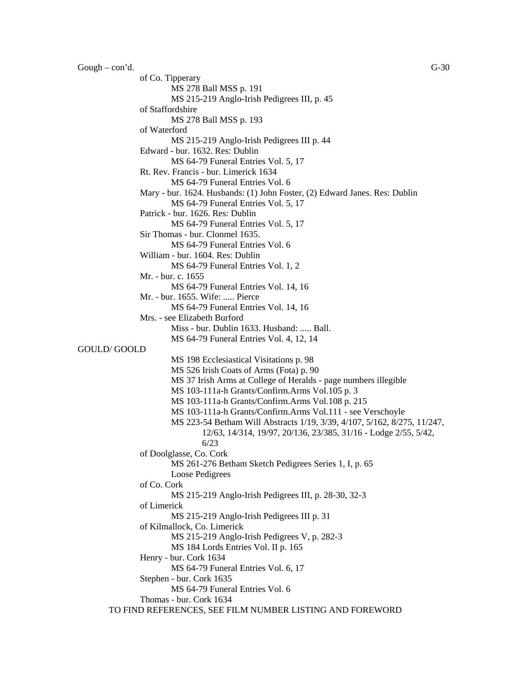Gough – con'd.  $\qquad \qquad$  G-30

of Co. Tipperary MS 278 Ball MSS p. 191 MS 215-219 Anglo-Irish Pedigrees III, p. 45 of Staffordshire MS 278 Ball MSS p. 193 of Waterford MS 215-219 Anglo-Irish Pedigrees III p. 44 Edward - bur. 1632. Res: Dublin MS 64-79 Funeral Entries Vol. 5, 17 Rt. Rev. Francis - bur. Limerick 1634 MS 64-79 Funeral Entries Vol. 6 Mary - bur. 1624. Husbands: (1) John Foster, (2) Edward Janes. Res: Dublin MS 64-79 Funeral Entries Vol. 5, 17 Patrick - bur. 1626. Res: Dublin MS 64-79 Funeral Entries Vol. 5, 17 Sir Thomas - bur. Clonmel 1635. MS 64-79 Funeral Entries Vol. 6 William - bur. 1604. Res: Dublin MS 64-79 Funeral Entries Vol. 1, 2 Mr. - bur. c. 1655 MS 64-79 Funeral Entries Vol. 14, 16 Mr. - bur. 1655. Wife: ..... Pierce MS 64-79 Funeral Entries Vol. 14, 16 Mrs. - see Elizabeth Burford Miss - bur. Dublin 1633. Husband: ..... Ball. MS 64-79 Funeral Entries Vol. 4, 12, 14 GOULD/ GOOLD MS 198 Ecclesiastical Visitations p. 98 MS 526 Irish Coats of Arms (Fota) p. 90 MS 37 Irish Arms at College of Heralds - page numbers illegible MS 103-111a-h Grants/Confirm.Arms Vol.105 p. 3 MS 103-111a-h Grants/Confirm.Arms Vol.108 p. 215 MS 103-111a-h Grants/Confirm.Arms Vol.111 - see Verschoyle MS 223-54 Betham Will Abstracts 1/19, 3/39, 4/107, 5/162, 8/275, 11/247, 12/63, 14/314, 19/97, 20/136, 23/385, 31/16 - Lodge 2/55, 5/42, 6/23 of Doolglasse, Co. Cork MS 261-276 Betham Sketch Pedigrees Series 1, I, p. 65 Loose Pedigrees of Co. Cork MS 215-219 Anglo-Irish Pedigrees III, p. 28-30, 32-3 of Limerick MS 215-219 Anglo-Irish Pedigrees III p. 31 of Kilmallock, Co. Limerick MS 215-219 Anglo-Irish Pedigrees V, p. 282-3 MS 184 Lords Entries Vol. II p. 165 Henry - bur. Cork 1634 MS 64-79 Funeral Entries Vol. 6, 17 Stephen - bur. Cork 1635 MS 64-79 Funeral Entries Vol. 6 Thomas - bur. Cork 1634 TO FIND REFERENCES, SEE FILM NUMBER LISTING AND FOREWORD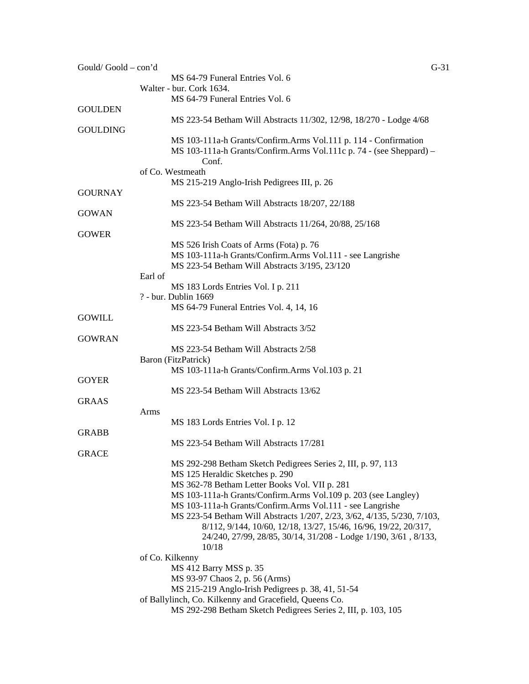| Gould/Goold-con'd | $G-31$                                                                  |  |
|-------------------|-------------------------------------------------------------------------|--|
|                   | MS 64-79 Funeral Entries Vol. 6                                         |  |
|                   | Walter - bur. Cork 1634.                                                |  |
|                   | MS 64-79 Funeral Entries Vol. 6                                         |  |
| <b>GOULDEN</b>    |                                                                         |  |
|                   | MS 223-54 Betham Will Abstracts 11/302, 12/98, 18/270 - Lodge 4/68      |  |
| <b>GOULDING</b>   |                                                                         |  |
|                   | MS 103-111a-h Grants/Confirm.Arms Vol.111 p. 114 - Confirmation         |  |
|                   | MS 103-111a-h Grants/Confirm.Arms Vol.111c p. 74 - (see Sheppard) -     |  |
|                   | Conf.                                                                   |  |
|                   | of Co. Westmeath                                                        |  |
|                   | MS 215-219 Anglo-Irish Pedigrees III, p. 26                             |  |
| <b>GOURNAY</b>    |                                                                         |  |
|                   | MS 223-54 Betham Will Abstracts 18/207, 22/188                          |  |
| <b>GOWAN</b>      |                                                                         |  |
|                   |                                                                         |  |
|                   | MS 223-54 Betham Will Abstracts 11/264, 20/88, 25/168                   |  |
| <b>GOWER</b>      |                                                                         |  |
|                   | MS 526 Irish Coats of Arms (Fota) p. 76                                 |  |
|                   | MS 103-111a-h Grants/Confirm.Arms Vol.111 - see Langrishe               |  |
|                   | MS 223-54 Betham Will Abstracts 3/195, 23/120                           |  |
|                   | Earl of                                                                 |  |
|                   | MS 183 Lords Entries Vol. I p. 211                                      |  |
|                   | ? - bur. Dublin 1669                                                    |  |
|                   | MS 64-79 Funeral Entries Vol. 4, 14, 16                                 |  |
| <b>GOWILL</b>     |                                                                         |  |
|                   | MS 223-54 Betham Will Abstracts 3/52                                    |  |
| <b>GOWRAN</b>     |                                                                         |  |
|                   | MS 223-54 Betham Will Abstracts 2/58                                    |  |
|                   | Baron (FitzPatrick)                                                     |  |
|                   | MS 103-111a-h Grants/Confirm.Arms Vol.103 p. 21                         |  |
| <b>GOYER</b>      |                                                                         |  |
|                   | MS 223-54 Betham Will Abstracts 13/62                                   |  |
| GRAAS             |                                                                         |  |
|                   | Arms                                                                    |  |
|                   | MS 183 Lords Entries Vol. I p. 12                                       |  |
| <b>GRABB</b>      |                                                                         |  |
|                   | MS 223-54 Betham Will Abstracts 17/281                                  |  |
| <b>GRACE</b>      |                                                                         |  |
|                   | MS 292-298 Betham Sketch Pedigrees Series 2, III, p. 97, 113            |  |
|                   | MS 125 Heraldic Sketches p. 290                                         |  |
|                   | MS 362-78 Betham Letter Books Vol. VII p. 281                           |  |
|                   | MS 103-111a-h Grants/Confirm.Arms Vol.109 p. 203 (see Langley)          |  |
|                   | MS 103-111a-h Grants/Confirm.Arms Vol.111 - see Langrishe               |  |
|                   | MS 223-54 Betham Will Abstracts 1/207, 2/23, 3/62, 4/135, 5/230, 7/103, |  |
|                   | 8/112, 9/144, 10/60, 12/18, 13/27, 15/46, 16/96, 19/22, 20/317,         |  |
|                   | 24/240, 27/99, 28/85, 30/14, 31/208 - Lodge 1/190, 3/61, 8/133,         |  |
|                   | 10/18                                                                   |  |
|                   | of Co. Kilkenny                                                         |  |
|                   | MS 412 Barry MSS p. 35                                                  |  |
|                   | MS 93-97 Chaos 2, p. 56 (Arms)                                          |  |
|                   | MS 215-219 Anglo-Irish Pedigrees p. 38, 41, 51-54                       |  |
|                   | of Ballylinch, Co. Kilkenny and Gracefield, Queens Co.                  |  |
|                   | MS 292-298 Betham Sketch Pedigrees Series 2, III, p. 103, 105           |  |
|                   |                                                                         |  |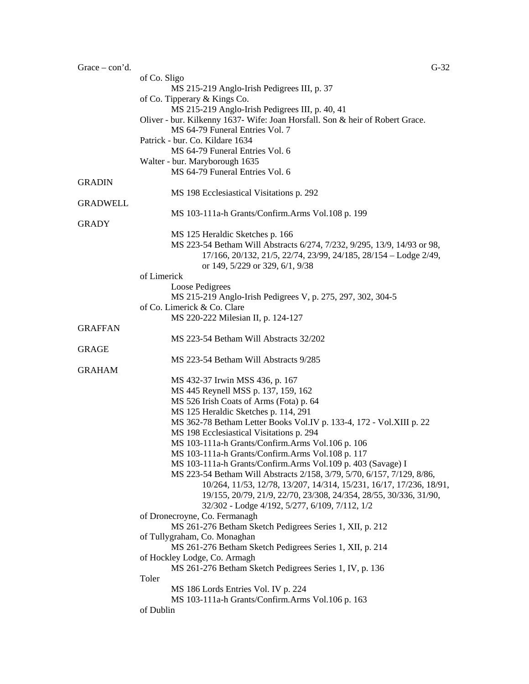| $Trace - con' d.$ | $G-32$                                                                        |
|-------------------|-------------------------------------------------------------------------------|
|                   | of Co. Sligo                                                                  |
|                   | MS 215-219 Anglo-Irish Pedigrees III, p. 37                                   |
|                   | of Co. Tipperary & Kings Co.                                                  |
|                   | MS 215-219 Anglo-Irish Pedigrees III, p. 40, 41                               |
|                   | Oliver - bur. Kilkenny 1637- Wife: Joan Horsfall. Son & heir of Robert Grace. |
|                   | MS 64-79 Funeral Entries Vol. 7                                               |
|                   | Patrick - bur. Co. Kildare 1634                                               |
|                   | MS 64-79 Funeral Entries Vol. 6                                               |
|                   | Walter - bur. Maryborough 1635                                                |
|                   | MS 64-79 Funeral Entries Vol. 6                                               |
| <b>GRADIN</b>     |                                                                               |
|                   | MS 198 Ecclesiastical Visitations p. 292                                      |
| <b>GRADWELL</b>   |                                                                               |
|                   | MS 103-111a-h Grants/Confirm.Arms Vol.108 p. 199                              |
| <b>GRADY</b>      |                                                                               |
|                   | MS 125 Heraldic Sketches p. 166                                               |
|                   | MS 223-54 Betham Will Abstracts 6/274, 7/232, 9/295, 13/9, 14/93 or 98,       |
|                   | 17/166, 20/132, 21/5, 22/74, 23/99, 24/185, 28/154 - Lodge 2/49,              |
|                   | or 149, 5/229 or 329, 6/1, 9/38                                               |
|                   | of Limerick                                                                   |
|                   | Loose Pedigrees                                                               |
|                   | MS 215-219 Anglo-Irish Pedigrees V, p. 275, 297, 302, 304-5                   |
|                   | of Co. Limerick & Co. Clare                                                   |
|                   | MS 220-222 Milesian II, p. 124-127                                            |
| <b>GRAFFAN</b>    |                                                                               |
|                   | MS 223-54 Betham Will Abstracts 32/202                                        |
| <b>GRAGE</b>      |                                                                               |
|                   | MS 223-54 Betham Will Abstracts 9/285                                         |
| <b>GRAHAM</b>     |                                                                               |
|                   | MS 432-37 Irwin MSS 436, p. 167                                               |
|                   | MS 445 Reynell MSS p. 137, 159, 162                                           |
|                   | MS 526 Irish Coats of Arms (Fota) p. 64                                       |
|                   | MS 125 Heraldic Sketches p. 114, 291                                          |
|                   | MS 362-78 Betham Letter Books Vol.IV p. 133-4, 172 - Vol.XIII p. 22           |
|                   | MS 198 Ecclesiastical Visitations p. 294                                      |
|                   | MS 103-111a-h Grants/Confirm.Arms Vol.106 p. 106                              |
|                   | MS 103-111a-h Grants/Confirm.Arms Vol.108 p. 117                              |
|                   | MS 103-111a-h Grants/Confirm.Arms Vol.109 p. 403 (Savage) I                   |
|                   | MS 223-54 Betham Will Abstracts 2/158, 3/79, 5/70, 6/157, 7/129, 8/86,        |
|                   | 10/264, 11/53, 12/78, 13/207, 14/314, 15/231, 16/17, 17/236, 18/91,           |
|                   | 19/155, 20/79, 21/9, 22/70, 23/308, 24/354, 28/55, 30/336, 31/90,             |
|                   | 32/302 - Lodge 4/192, 5/277, 6/109, 7/112, 1/2                                |
|                   | of Dronecroyne, Co. Fermanagh                                                 |
|                   | MS 261-276 Betham Sketch Pedigrees Series 1, XII, p. 212                      |
|                   | of Tullygraham, Co. Monaghan                                                  |
|                   | MS 261-276 Betham Sketch Pedigrees Series 1, XII, p. 214                      |
|                   | of Hockley Lodge, Co. Armagh                                                  |
|                   | MS 261-276 Betham Sketch Pedigrees Series 1, IV, p. 136                       |
|                   | Toler                                                                         |
|                   | MS 186 Lords Entries Vol. IV p. 224                                           |
|                   | MS 103-111a-h Grants/Confirm.Arms Vol.106 p. 163                              |
|                   | of Dublin                                                                     |
|                   |                                                                               |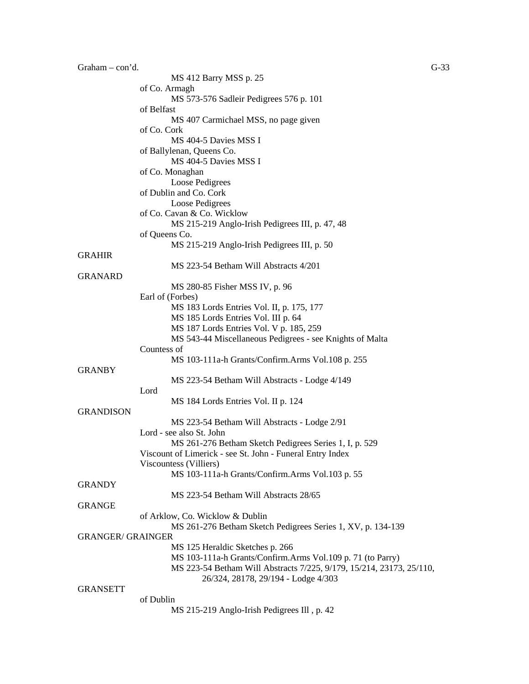| Graham $-$ con'd.        |                                                                      | $G-33$ |
|--------------------------|----------------------------------------------------------------------|--------|
|                          | MS 412 Barry MSS p. 25                                               |        |
|                          | of Co. Armagh                                                        |        |
|                          | MS 573-576 Sadleir Pedigrees 576 p. 101                              |        |
|                          | of Belfast                                                           |        |
|                          | MS 407 Carmichael MSS, no page given                                 |        |
|                          | of Co. Cork                                                          |        |
|                          | MS 404-5 Davies MSS I                                                |        |
|                          | of Ballylenan, Queens Co.                                            |        |
|                          | MS 404-5 Davies MSS I                                                |        |
|                          | of Co. Monaghan                                                      |        |
|                          | Loose Pedigrees                                                      |        |
|                          | of Dublin and Co. Cork                                               |        |
|                          | Loose Pedigrees                                                      |        |
|                          | of Co. Cavan & Co. Wicklow                                           |        |
|                          | MS 215-219 Anglo-Irish Pedigrees III, p. 47, 48                      |        |
|                          | of Queens Co.                                                        |        |
|                          | MS 215-219 Anglo-Irish Pedigrees III, p. 50                          |        |
| <b>GRAHIR</b>            |                                                                      |        |
|                          | MS 223-54 Betham Will Abstracts 4/201                                |        |
| <b>GRANARD</b>           |                                                                      |        |
|                          | MS 280-85 Fisher MSS IV, p. 96                                       |        |
|                          | Earl of (Forbes)                                                     |        |
|                          | MS 183 Lords Entries Vol. II, p. 175, 177                            |        |
|                          | MS 185 Lords Entries Vol. III p. 64                                  |        |
|                          | MS 187 Lords Entries Vol. V p. 185, 259                              |        |
|                          | MS 543-44 Miscellaneous Pedigrees - see Knights of Malta             |        |
|                          | Countess of                                                          |        |
|                          | MS 103-111a-h Grants/Confirm.Arms Vol.108 p. 255                     |        |
| <b>GRANBY</b>            |                                                                      |        |
|                          |                                                                      |        |
|                          | MS 223-54 Betham Will Abstracts - Lodge 4/149<br>Lord                |        |
|                          |                                                                      |        |
| <b>GRANDISON</b>         | MS 184 Lords Entries Vol. II p. 124                                  |        |
|                          |                                                                      |        |
|                          | MS 223-54 Betham Will Abstracts - Lodge 2/91                         |        |
|                          | Lord - see also St. John                                             |        |
|                          | MS 261-276 Betham Sketch Pedigrees Series 1, I, p. 529               |        |
|                          | Viscount of Limerick - see St. John - Funeral Entry Index            |        |
|                          | Viscountess (Villiers)                                               |        |
|                          | MS 103-111a-h Grants/Confirm.Arms Vol.103 p. 55                      |        |
| <b>GRANDY</b>            |                                                                      |        |
|                          | MS 223-54 Betham Will Abstracts 28/65                                |        |
| <b>GRANGE</b>            |                                                                      |        |
|                          | of Arklow, Co. Wicklow & Dublin                                      |        |
|                          | MS 261-276 Betham Sketch Pedigrees Series 1, XV, p. 134-139          |        |
| <b>GRANGER/ GRAINGER</b> |                                                                      |        |
|                          | MS 125 Heraldic Sketches p. 266                                      |        |
|                          | MS 103-111a-h Grants/Confirm.Arms Vol.109 p. 71 (to Parry)           |        |
|                          | MS 223-54 Betham Will Abstracts 7/225, 9/179, 15/214, 23173, 25/110, |        |
|                          | 26/324, 28178, 29/194 - Lodge 4/303                                  |        |
| <b>GRANSETT</b>          |                                                                      |        |
|                          | of Dublin                                                            |        |
|                          | MS 215-219 Anglo-Irish Pedigrees Ill, p. 42                          |        |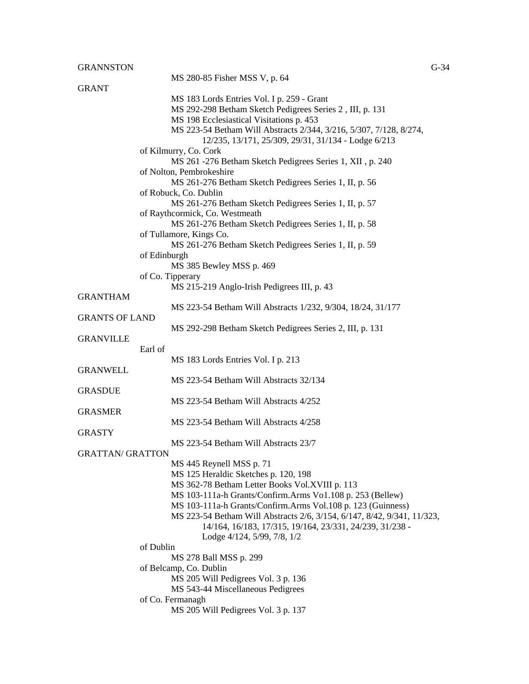|                         | MS 280-85 Fisher MSS V, p. 64                                           |
|-------------------------|-------------------------------------------------------------------------|
| <b>GRANT</b>            |                                                                         |
|                         | MS 183 Lords Entries Vol. I p. 259 - Grant                              |
|                         | MS 292-298 Betham Sketch Pedigrees Series 2, III, p. 131                |
|                         | MS 198 Ecclesiastical Visitations p. 453                                |
|                         | MS 223-54 Betham Will Abstracts 2/344, 3/216, 5/307, 7/128, 8/274,      |
|                         | 12/235, 13/171, 25/309, 29/31, 31/134 - Lodge 6/213                     |
|                         | of Kilmurry, Co. Cork                                                   |
|                         | MS 261 -276 Betham Sketch Pedigrees Series 1, XII, p. 240               |
|                         | of Nolton, Pembrokeshire                                                |
|                         | MS 261-276 Betham Sketch Pedigrees Series 1, II, p. 56                  |
|                         | of Robuck, Co. Dublin                                                   |
|                         | MS 261-276 Betham Sketch Pedigrees Series 1, II, p. 57                  |
|                         | of Raythcormick, Co. Westmeath                                          |
|                         | MS 261-276 Betham Sketch Pedigrees Series 1, II, p. 58                  |
|                         | of Tullamore, Kings Co.                                                 |
|                         | MS 261-276 Betham Sketch Pedigrees Series 1, II, p. 59                  |
|                         | of Edinburgh                                                            |
|                         | MS 385 Bewley MSS p. 469                                                |
|                         | of Co. Tipperary                                                        |
|                         | MS 215-219 Anglo-Irish Pedigrees III, p. 43                             |
| <b>GRANTHAM</b>         |                                                                         |
|                         | MS 223-54 Betham Will Abstracts 1/232, 9/304, 18/24, 31/177             |
| <b>GRANTS OF LAND</b>   |                                                                         |
|                         | MS 292-298 Betham Sketch Pedigrees Series 2, III, p. 131                |
| <b>GRANVILLE</b>        |                                                                         |
|                         | Earl of                                                                 |
|                         | MS 183 Lords Entries Vol. I p. 213                                      |
| <b>GRANWELL</b>         |                                                                         |
|                         | MS 223-54 Betham Will Abstracts 32/134                                  |
| <b>GRASDUE</b>          |                                                                         |
|                         | MS 223-54 Betham Will Abstracts 4/252                                   |
| <b>GRASMER</b>          |                                                                         |
|                         | MS 223-54 Betham Will Abstracts 4/258                                   |
| <b>GRASTY</b>           |                                                                         |
|                         | MS 223-54 Betham Will Abstracts 23/7                                    |
| <b>GRATTAN/ GRATTON</b> |                                                                         |
|                         | MS 445 Reynell MSS p. 71                                                |
|                         | MS 125 Heraldic Sketches p. 120, 198                                    |
|                         | MS 362-78 Betham Letter Books Vol.XVIII p. 113                          |
|                         | MS 103-111a-h Grants/Confirm.Arms Vo1.108 p. 253 (Bellew)               |
|                         | MS 103-111a-h Grants/Confirm.Arms Vol.108 p. 123 (Guinness)             |
|                         | MS 223-54 Betham Will Abstracts 2/6, 3/154, 6/147, 8/42, 9/341, 11/323, |
|                         | 14/164, 16/183, 17/315, 19/164, 23/331, 24/239, 31/238 -                |
|                         | Lodge 4/124, 5/99, 7/8, 1/2                                             |
|                         | of Dublin                                                               |
|                         | MS 278 Ball MSS p. 299                                                  |
|                         | of Belcamp, Co. Dublin                                                  |
|                         | MS 205 Will Pedigrees Vol. 3 p. 136                                     |
|                         | MS 543-44 Miscellaneous Pedigrees<br>of Co. Fermanagh                   |
|                         | MS 205 Will Pedigrees Vol. 3 p. 137                                     |
|                         |                                                                         |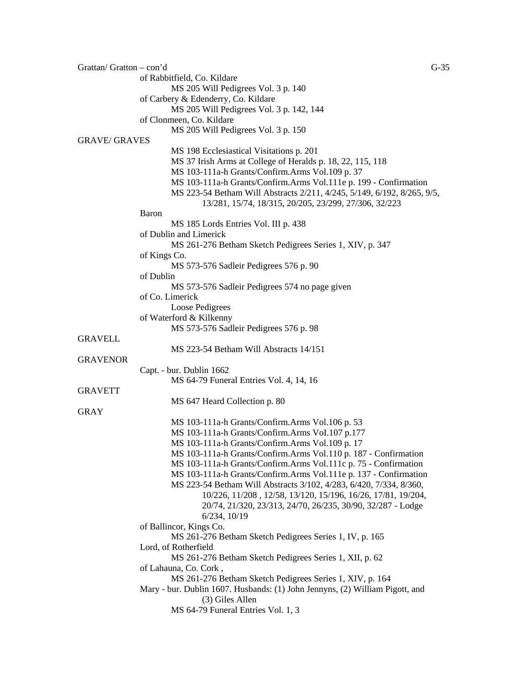| Grattan/Gratton $-$ con'd |                                                                              | $G-35$ |
|---------------------------|------------------------------------------------------------------------------|--------|
|                           | of Rabbitfield, Co. Kildare                                                  |        |
|                           | MS 205 Will Pedigrees Vol. 3 p. 140                                          |        |
|                           | of Carbery & Edenderry, Co. Kildare                                          |        |
|                           | MS 205 Will Pedigrees Vol. 3 p. 142, 144                                     |        |
|                           | of Clonmeen, Co. Kildare                                                     |        |
|                           | MS 205 Will Pedigrees Vol. 3 p. 150                                          |        |
| <b>GRAVE/ GRAVES</b>      |                                                                              |        |
|                           | MS 198 Ecclesiastical Visitations p. 201                                     |        |
|                           | MS 37 Irish Arms at College of Heralds p. 18, 22, 115, 118                   |        |
|                           | MS 103-111a-h Grants/Confirm.Arms Vol.109 p. 37                              |        |
|                           | MS 103-111a-h Grants/Confirm.Arms Vol.111e p. 199 - Confirmation             |        |
|                           | MS 223-54 Betham Will Abstracts 2/211, 4/245, 5/149, 6/192, 8/265, 9/5,      |        |
|                           | 13/281, 15/74, 18/315, 20/205, 23/299, 27/306, 32/223                        |        |
|                           | <b>Baron</b>                                                                 |        |
|                           | MS 185 Lords Entries Vol. III p. 438                                         |        |
|                           | of Dublin and Limerick                                                       |        |
|                           | MS 261-276 Betham Sketch Pedigrees Series 1, XIV, p. 347                     |        |
|                           | of Kings Co.                                                                 |        |
|                           | MS 573-576 Sadleir Pedigrees 576 p. 90                                       |        |
|                           | of Dublin                                                                    |        |
|                           | MS 573-576 Sadleir Pedigrees 574 no page given                               |        |
|                           | of Co. Limerick                                                              |        |
|                           | Loose Pedigrees                                                              |        |
|                           | of Waterford & Kilkenny                                                      |        |
|                           | MS 573-576 Sadleir Pedigrees 576 p. 98                                       |        |
| <b>GRAVELL</b>            |                                                                              |        |
|                           | MS 223-54 Betham Will Abstracts 14/151                                       |        |
| <b>GRAVENOR</b>           |                                                                              |        |
|                           | Capt. - bur. Dublin 1662                                                     |        |
|                           | MS 64-79 Funeral Entries Vol. 4, 14, 16                                      |        |
| <b>GRAVETT</b>            |                                                                              |        |
|                           | MS 647 Heard Collection p. 80                                                |        |
| <b>GRAY</b>               |                                                                              |        |
|                           | MS 103-111a-h Grants/Confirm.Arms Vol.106 p. 53                              |        |
|                           | MS 103-111a-h Grants/Confirm.Arms Vol.107 p.177                              |        |
|                           | MS 103-111a-h Grants/Confirm.Arms Vol.109 p. 17                              |        |
|                           | MS 103-111a-h Grants/Confirm.Arms Vol.110 p. 187 - Confirmation              |        |
|                           | MS 103-111a-h Grants/Confirm.Arms Vol.111c p. 75 - Confirmation              |        |
|                           | MS 103-111a-h Grants/Confirm.Arms Vol.111e p. 137 - Confirmation             |        |
|                           | MS 223-54 Betham Will Abstracts 3/102, 4/283, 6/420, 7/334, 8/360,           |        |
|                           | 10/226, 11/208, 12/58, 13/120, 15/196, 16/26, 17/81, 19/204,                 |        |
|                           |                                                                              |        |
|                           | 20/74, 21/320, 23/313, 24/70, 26/235, 30/90, 32/287 - Lodge                  |        |
|                           | $6/234$ , $10/19$                                                            |        |
|                           | of Ballincor, Kings Co.                                                      |        |
|                           | MS 261-276 Betham Sketch Pedigrees Series 1, IV, p. 165                      |        |
|                           | Lord, of Rotherfield                                                         |        |
|                           | MS 261-276 Betham Sketch Pedigrees Series 1, XII, p. 62                      |        |
|                           | of Lahauna, Co. Cork,                                                        |        |
|                           | MS 261-276 Betham Sketch Pedigrees Series 1, XIV, p. 164                     |        |
|                           | Mary - bur. Dublin 1607. Husbands: (1) John Jennyns, (2) William Pigott, and |        |
|                           | (3) Giles Allen                                                              |        |
|                           | MS 64-79 Funeral Entries Vol. 1, 3                                           |        |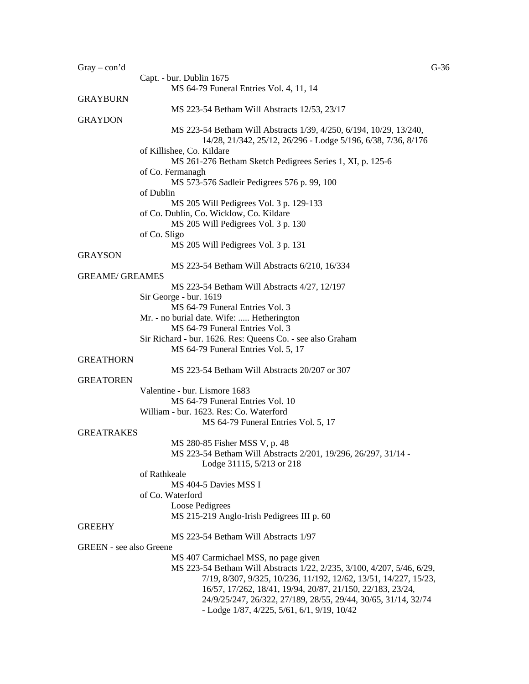| $Gray - con'd$                 |                                                                                                                                     | $G-36$ |
|--------------------------------|-------------------------------------------------------------------------------------------------------------------------------------|--------|
|                                | Capt. - bur. Dublin 1675                                                                                                            |        |
|                                | MS 64-79 Funeral Entries Vol. 4, 11, 14                                                                                             |        |
| <b>GRAYBURN</b>                |                                                                                                                                     |        |
|                                | MS 223-54 Betham Will Abstracts 12/53, 23/17                                                                                        |        |
| <b>GRAYDON</b>                 |                                                                                                                                     |        |
|                                | MS 223-54 Betham Will Abstracts 1/39, 4/250, 6/194, 10/29, 13/240,<br>14/28, 21/342, 25/12, 26/296 - Lodge 5/196, 6/38, 7/36, 8/176 |        |
|                                | of Killishee, Co. Kildare<br>MS 261-276 Betham Sketch Pedigrees Series 1, XI, p. 125-6                                              |        |
|                                | of Co. Fermanagh<br>MS 573-576 Sadleir Pedigrees 576 p. 99, 100                                                                     |        |
|                                | of Dublin                                                                                                                           |        |
|                                | MS 205 Will Pedigrees Vol. 3 p. 129-133                                                                                             |        |
|                                | of Co. Dublin, Co. Wicklow, Co. Kildare                                                                                             |        |
|                                |                                                                                                                                     |        |
|                                | MS 205 Will Pedigrees Vol. 3 p. 130                                                                                                 |        |
|                                | of Co. Sligo                                                                                                                        |        |
|                                | MS 205 Will Pedigrees Vol. 3 p. 131                                                                                                 |        |
| <b>GRAYSON</b>                 |                                                                                                                                     |        |
|                                | MS 223-54 Betham Will Abstracts 6/210, 16/334                                                                                       |        |
| <b>GREAME/ GREAMES</b>         |                                                                                                                                     |        |
|                                | MS 223-54 Betham Will Abstracts 4/27, 12/197                                                                                        |        |
|                                | Sir George - bur. 1619                                                                                                              |        |
|                                | MS 64-79 Funeral Entries Vol. 3                                                                                                     |        |
|                                | Mr. - no burial date. Wife:  Hetherington                                                                                           |        |
|                                | MS 64-79 Funeral Entries Vol. 3                                                                                                     |        |
|                                | Sir Richard - bur. 1626. Res: Queens Co. - see also Graham                                                                          |        |
|                                | MS 64-79 Funeral Entries Vol. 5, 17                                                                                                 |        |
| <b>GREATHORN</b>               |                                                                                                                                     |        |
|                                | MS 223-54 Betham Will Abstracts 20/207 or 307                                                                                       |        |
| <b>GREATOREN</b>               |                                                                                                                                     |        |
|                                | Valentine - bur. Lismore 1683                                                                                                       |        |
|                                | MS 64-79 Funeral Entries Vol. 10                                                                                                    |        |
|                                |                                                                                                                                     |        |
|                                | William - bur. 1623. Res: Co. Waterford                                                                                             |        |
|                                | MS 64-79 Funeral Entries Vol. 5, 17                                                                                                 |        |
| <b>GREATRAKES</b>              |                                                                                                                                     |        |
|                                | MS 280-85 Fisher MSS V, p. 48                                                                                                       |        |
|                                | MS 223-54 Betham Will Abstracts 2/201, 19/296, 26/297, 31/14 -                                                                      |        |
|                                | Lodge 31115, 5/213 or 218                                                                                                           |        |
|                                | of Rathkeale                                                                                                                        |        |
|                                | MS 404-5 Davies MSS I                                                                                                               |        |
|                                | of Co. Waterford                                                                                                                    |        |
|                                | Loose Pedigrees                                                                                                                     |        |
|                                | MS 215-219 Anglo-Irish Pedigrees III p. 60                                                                                          |        |
| <b>GREEHY</b>                  |                                                                                                                                     |        |
|                                | MS 223-54 Betham Will Abstracts 1/97                                                                                                |        |
| <b>GREEN</b> - see also Greene |                                                                                                                                     |        |
|                                | MS 407 Carmichael MSS, no page given                                                                                                |        |
|                                | MS 223-54 Betham Will Abstracts 1/22, 2/235, 3/100, 4/207, 5/46, 6/29,                                                              |        |
|                                | 7/19, 8/307, 9/325, 10/236, 11/192, 12/62, 13/51, 14/227, 15/23,                                                                    |        |
|                                | 16/57, 17/262, 18/41, 19/94, 20/87, 21/150, 22/183, 23/24,                                                                          |        |
|                                |                                                                                                                                     |        |
|                                | 24/9/25/247, 26/322, 27/189, 28/55, 29/44, 30/65, 31/14, 32/74                                                                      |        |
|                                | - Lodge $1/87$ , $4/225$ , $5/61$ , $6/1$ , $9/19$ , $10/42$                                                                        |        |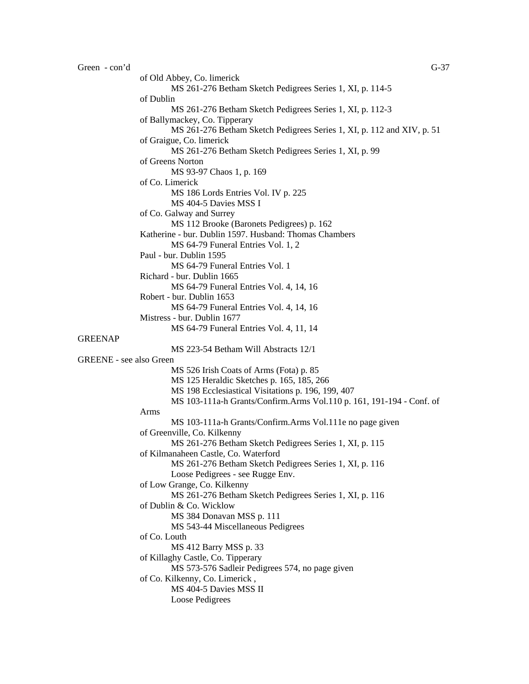GREENAP

of Old Abbey, Co. limerick MS 261-276 Betham Sketch Pedigrees Series 1, XI, p. 114-5 of Dublin MS 261-276 Betham Sketch Pedigrees Series 1, XI, p. 112-3 of Ballymackey, Co. Tipperary MS 261-276 Betham Sketch Pedigrees Series 1, XI, p. 112 and XIV, p. 51 of Graigue, Co. limerick MS 261-276 Betham Sketch Pedigrees Series 1, XI, p. 99 of Greens Norton MS 93-97 Chaos 1, p. 169 of Co. Limerick MS 186 Lords Entries Vol. IV p. 225 MS 404-5 Davies MSS I of Co. Galway and Surrey MS 112 Brooke (Baronets Pedigrees) p. 162 Katherine - bur. Dublin 1597. Husband: Thomas Chambers MS 64-79 Funeral Entries Vol. 1, 2 Paul - bur. Dublin 1595 MS 64-79 Funeral Entries Vol. 1 Richard - bur. Dublin 1665 MS 64-79 Funeral Entries Vol. 4, 14, 16 Robert - bur. Dublin 1653 MS 64-79 Funeral Entries Vol. 4, 14, 16 Mistress - bur. Dublin 1677 MS 64-79 Funeral Entries Vol. 4, 11, 14 MS 223-54 Betham Will Abstracts 12/1 GREENE - see also Green MS 526 Irish Coats of Arms (Fota) p. 85 MS 125 Heraldic Sketches p. 165, 185, 266 MS 198 Ecclesiastical Visitations p. 196, 199, 407 MS 103-111a-h Grants/Confirm.Arms Vol.110 p. 161, 191-194 - Conf. of Arms MS 103-111a-h Grants/Confirm.Arms Vol.111e no page given of Greenville, Co. Kilkenny MS 261-276 Betham Sketch Pedigrees Series 1, XI, p. 115 of Kilmanaheen Castle, Co. Waterford MS 261-276 Betham Sketch Pedigrees Series 1, XI, p. 116 Loose Pedigrees - see Rugge Env. of Low Grange, Co. Kilkenny MS 261-276 Betham Sketch Pedigrees Series 1, XI, p. 116 of Dublin & Co. Wicklow MS 384 Donavan MSS p. 111 MS 543-44 Miscellaneous Pedigrees of Co. Louth MS 412 Barry MSS p. 33 of Killaghy Castle, Co. Tipperary MS 573-576 Sadleir Pedigrees 574, no page given of Co. Kilkenny, Co. Limerick , MS 404-5 Davies MSS II Loose Pedigrees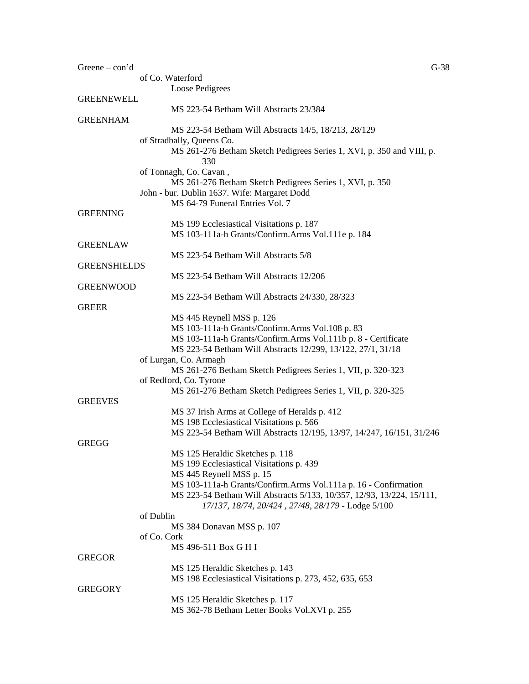| Greene $-\text{con'}d$ |                                                                                                                  | $G-38$ |
|------------------------|------------------------------------------------------------------------------------------------------------------|--------|
|                        | of Co. Waterford                                                                                                 |        |
|                        | <b>Loose Pedigrees</b>                                                                                           |        |
| <b>GREENEWELL</b>      |                                                                                                                  |        |
| <b>GREENHAM</b>        | MS 223-54 Betham Will Abstracts 23/384                                                                           |        |
|                        | MS 223-54 Betham Will Abstracts 14/5, 18/213, 28/129                                                             |        |
|                        | of Stradbally, Queens Co.                                                                                        |        |
|                        | MS 261-276 Betham Sketch Pedigrees Series 1, XVI, p. 350 and VIII, p.<br>330                                     |        |
|                        | of Tonnagh, Co. Cavan,                                                                                           |        |
|                        | MS 261-276 Betham Sketch Pedigrees Series 1, XVI, p. 350                                                         |        |
|                        | John - bur. Dublin 1637. Wife: Margaret Dodd                                                                     |        |
|                        | MS 64-79 Funeral Entries Vol. 7                                                                                  |        |
| <b>GREENING</b>        |                                                                                                                  |        |
|                        | MS 199 Ecclesiastical Visitations p. 187<br>MS 103-111a-h Grants/Confirm.Arms Vol.111e p. 184                    |        |
| <b>GREENLAW</b>        |                                                                                                                  |        |
|                        | MS 223-54 Betham Will Abstracts 5/8                                                                              |        |
| <b>GREENSHIELDS</b>    |                                                                                                                  |        |
|                        | MS 223-54 Betham Will Abstracts 12/206                                                                           |        |
| <b>GREENWOOD</b>       |                                                                                                                  |        |
|                        | MS 223-54 Betham Will Abstracts 24/330, 28/323                                                                   |        |
| <b>GREER</b>           |                                                                                                                  |        |
|                        | MS 445 Reynell MSS p. 126                                                                                        |        |
|                        | MS 103-111a-h Grants/Confirm.Arms Vol.108 p. 83<br>MS 103-111a-h Grants/Confirm.Arms Vol.111b p. 8 - Certificate |        |
|                        | MS 223-54 Betham Will Abstracts 12/299, 13/122, 27/1, 31/18                                                      |        |
|                        | of Lurgan, Co. Armagh                                                                                            |        |
|                        | MS 261-276 Betham Sketch Pedigrees Series 1, VII, p. 320-323                                                     |        |
|                        | of Redford, Co. Tyrone                                                                                           |        |
|                        | MS 261-276 Betham Sketch Pedigrees Series 1, VII, p. 320-325                                                     |        |
| <b>GREEVES</b>         |                                                                                                                  |        |
|                        | MS 37 Irish Arms at College of Heralds p. 412                                                                    |        |
|                        | MS 198 Ecclesiastical Visitations p. 566                                                                         |        |
|                        | MS 223-54 Betham Will Abstracts 12/195, 13/97, 14/247, 16/151, 31/246                                            |        |
| <b>GREGG</b>           | MS 125 Heraldic Sketches p. 118                                                                                  |        |
|                        | MS 199 Ecclesiastical Visitations p. 439                                                                         |        |
|                        | MS 445 Reynell MSS p. 15                                                                                         |        |
|                        | MS 103-111a-h Grants/Confirm.Arms Vol.111a p. 16 - Confirmation                                                  |        |
|                        | MS 223-54 Betham Will Abstracts 5/133, 10/357, 12/93, 13/224, 15/111,                                            |        |
|                        | 17/137, 18/74, 20/424, 27/48, 28/179 - Lodge 5/100                                                               |        |
| of Dublin              |                                                                                                                  |        |
|                        | MS 384 Donavan MSS p. 107                                                                                        |        |
| of Co. Cork            |                                                                                                                  |        |
|                        | MS 496-511 Box G H I                                                                                             |        |
| <b>GREGOR</b>          |                                                                                                                  |        |
|                        | MS 125 Heraldic Sketches p. 143<br>MS 198 Ecclesiastical Visitations p. 273, 452, 635, 653                       |        |
| <b>GREGORY</b>         |                                                                                                                  |        |
|                        | MS 125 Heraldic Sketches p. 117                                                                                  |        |
|                        | MS 362-78 Betham Letter Books Vol.XVI p. 255                                                                     |        |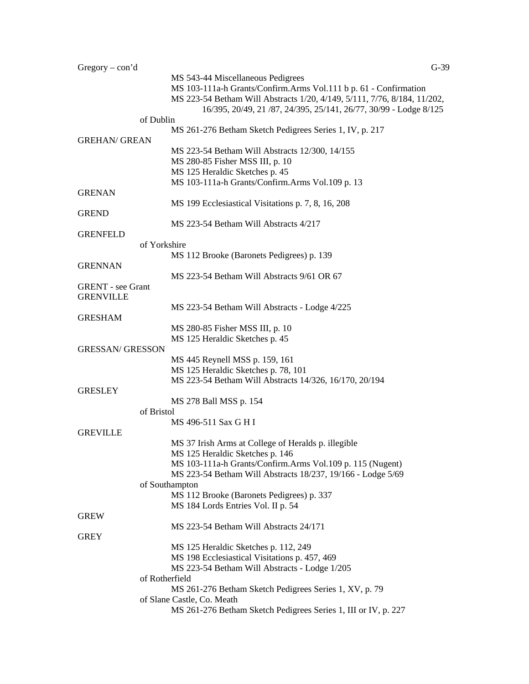| $Gregory - con'd$        | $G-39$                                                                   |  |
|--------------------------|--------------------------------------------------------------------------|--|
|                          | MS 543-44 Miscellaneous Pedigrees                                        |  |
|                          | MS 103-111a-h Grants/Confirm.Arms Vol.111 b p. 61 - Confirmation         |  |
|                          | MS 223-54 Betham Will Abstracts 1/20, 4/149, 5/111, 7/76, 8/184, 11/202, |  |
|                          | 16/395, 20/49, 21 /87, 24/395, 25/141, 26/77, 30/99 - Lodge 8/125        |  |
| of Dublin                |                                                                          |  |
|                          | MS 261-276 Betham Sketch Pedigrees Series 1, IV, p. 217                  |  |
| <b>GREHAN/ GREAN</b>     |                                                                          |  |
|                          | MS 223-54 Betham Will Abstracts 12/300, 14/155                           |  |
|                          | MS 280-85 Fisher MSS III, p. 10                                          |  |
|                          | MS 125 Heraldic Sketches p. 45                                           |  |
|                          | MS 103-111a-h Grants/Confirm.Arms Vol.109 p. 13                          |  |
| <b>GRENAN</b>            |                                                                          |  |
|                          | MS 199 Ecclesiastical Visitations p. 7, 8, 16, 208                       |  |
| <b>GREND</b>             |                                                                          |  |
|                          | MS 223-54 Betham Will Abstracts 4/217                                    |  |
| <b>GRENFELD</b>          |                                                                          |  |
| of Yorkshire             |                                                                          |  |
|                          | MS 112 Brooke (Baronets Pedigrees) p. 139                                |  |
| <b>GRENNAN</b>           |                                                                          |  |
|                          | MS 223-54 Betham Will Abstracts 9/61 OR 67                               |  |
| <b>GRENT</b> - see Grant |                                                                          |  |
| <b>GRENVILLE</b>         |                                                                          |  |
|                          | MS 223-54 Betham Will Abstracts - Lodge 4/225                            |  |
| <b>GRESHAM</b>           |                                                                          |  |
|                          | MS 280-85 Fisher MSS III, p. 10                                          |  |
|                          | MS 125 Heraldic Sketches p. 45                                           |  |
| <b>GRESSAN/ GRESSON</b>  |                                                                          |  |
|                          | MS 445 Reynell MSS p. 159, 161                                           |  |
|                          | MS 125 Heraldic Sketches p. 78, 101                                      |  |
|                          | MS 223-54 Betham Will Abstracts 14/326, 16/170, 20/194                   |  |
| <b>GRESLEY</b>           |                                                                          |  |
|                          | MS 278 Ball MSS p. 154                                                   |  |
| of Bristol               |                                                                          |  |
|                          | MS 496-511 Sax G H I                                                     |  |
| <b>GREVILLE</b>          |                                                                          |  |
|                          | MS 37 Irish Arms at College of Heralds p. illegible                      |  |
|                          | MS 125 Heraldic Sketches p. 146                                          |  |
|                          | MS 103-111a-h Grants/Confirm.Arms Vol.109 p. 115 (Nugent)                |  |
|                          | MS 223-54 Betham Will Abstracts 18/237, 19/166 - Lodge 5/69              |  |
|                          | of Southampton                                                           |  |
|                          | MS 112 Brooke (Baronets Pedigrees) p. 337                                |  |
|                          | MS 184 Lords Entries Vol. II p. 54                                       |  |
| <b>GREW</b>              |                                                                          |  |
|                          | MS 223-54 Betham Will Abstracts 24/171                                   |  |
| <b>GREY</b>              |                                                                          |  |
|                          | MS 125 Heraldic Sketches p. 112, 249                                     |  |
|                          | MS 198 Ecclesiastical Visitations p. 457, 469                            |  |
|                          |                                                                          |  |
|                          | MS 223-54 Betham Will Abstracts - Lodge 1/205                            |  |
|                          | of Rotherfield                                                           |  |
|                          | MS 261-276 Betham Sketch Pedigrees Series 1, XV, p. 79                   |  |
|                          | of Slane Castle, Co. Meath                                               |  |
|                          | MS 261-276 Betham Sketch Pedigrees Series 1, III or IV, p. 227           |  |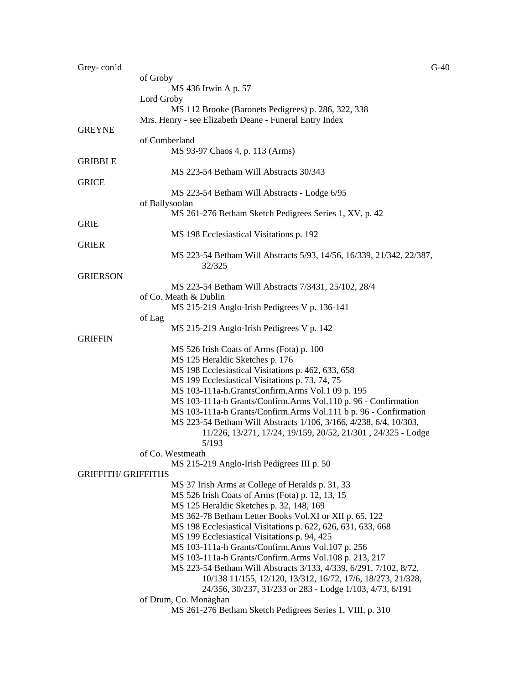| Grey-con'd                 |                                                                      | $G-40$ |
|----------------------------|----------------------------------------------------------------------|--------|
|                            | of Groby                                                             |        |
|                            | MS 436 Irwin A p. 57                                                 |        |
|                            | Lord Groby                                                           |        |
|                            | MS 112 Brooke (Baronets Pedigrees) p. 286, 322, 338                  |        |
|                            | Mrs. Henry - see Elizabeth Deane - Funeral Entry Index               |        |
| <b>GREYNE</b>              |                                                                      |        |
|                            | of Cumberland                                                        |        |
|                            | MS 93-97 Chaos 4, p. 113 (Arms)                                      |        |
| <b>GRIBBLE</b>             | MS 223-54 Betham Will Abstracts 30/343                               |        |
| <b>GRICE</b>               |                                                                      |        |
|                            | MS 223-54 Betham Will Abstracts - Lodge 6/95                         |        |
|                            | of Ballysoolan                                                       |        |
|                            | MS 261-276 Betham Sketch Pedigrees Series 1, XV, p. 42               |        |
| <b>GRIE</b>                |                                                                      |        |
|                            | MS 198 Ecclesiastical Visitations p. 192                             |        |
| <b>GRIER</b>               |                                                                      |        |
|                            | MS 223-54 Betham Will Abstracts 5/93, 14/56, 16/339, 21/342, 22/387, |        |
|                            | 32/325                                                               |        |
| <b>GRIERSON</b>            |                                                                      |        |
|                            | MS 223-54 Betham Will Abstracts 7/3431, 25/102, 28/4                 |        |
|                            | of Co. Meath & Dublin                                                |        |
|                            | MS 215-219 Anglo-Irish Pedigrees V p. 136-141                        |        |
|                            | of Lag                                                               |        |
|                            | MS 215-219 Anglo-Irish Pedigrees V p. 142                            |        |
| <b>GRIFFIN</b>             |                                                                      |        |
|                            | MS 526 Irish Coats of Arms (Fota) p. 100                             |        |
|                            | MS 125 Heraldic Sketches p. 176                                      |        |
|                            | MS 198 Ecclesiastical Visitations p. 462, 633, 658                   |        |
|                            | MS 199 Ecclesiastical Visitations p. 73, 74, 75                      |        |
|                            | MS 103-111a-h.GrantsConfirm.Arms Vol.1 09 p. 195                     |        |
|                            | MS 103-111a-h Grants/Confirm.Arms Vol.110 p. 96 - Confirmation       |        |
|                            | MS 103-111a-h Grants/Confirm.Arms Vol.111 b p. 96 - Confirmation     |        |
|                            | MS 223-54 Betham Will Abstracts 1/106, 3/166, 4/238, 6/4, 10/303,    |        |
|                            | 11/226, 13/271, 17/24, 19/159, 20/52, 21/301, 24/325 - Lodge         |        |
|                            | 5/193                                                                |        |
|                            | of Co. Westmeath                                                     |        |
|                            | MS 215-219 Anglo-Irish Pedigrees III p. 50                           |        |
| <b>GRIFFITH/ GRIFFITHS</b> | MS 37 Irish Arms at College of Heralds p. 31, 33                     |        |
|                            | MS 526 Irish Coats of Arms (Fota) p. 12, 13, 15                      |        |
|                            | MS 125 Heraldic Sketches p. 32, 148, 169                             |        |
|                            | MS 362-78 Betham Letter Books Vol.XI or XII p. 65, 122               |        |
|                            | MS 198 Ecclesiastical Visitations p. 622, 626, 631, 633, 668         |        |
|                            | MS 199 Ecclesiastical Visitations p. 94, 425                         |        |
|                            | MS 103-111a-h Grants/Confirm.Arms Vol.107 p. 256                     |        |
|                            | MS 103-111a-h Grants/Confirm.Arms Vol.108 p. 213, 217                |        |
|                            | MS 223-54 Betham Will Abstracts 3/133, 4/339, 6/291, 7/102, 8/72,    |        |
|                            | 10/138 11/155, 12/120, 13/312, 16/72, 17/6, 18/273, 21/328,          |        |
|                            | 24/356, 30/237, 31/233 or 283 - Lodge 1/103, 4/73, 6/191             |        |
|                            | of Drum, Co. Monaghan                                                |        |
|                            | MS 261-276 Betham Sketch Pedigrees Series 1, VIII, p. 310            |        |
|                            |                                                                      |        |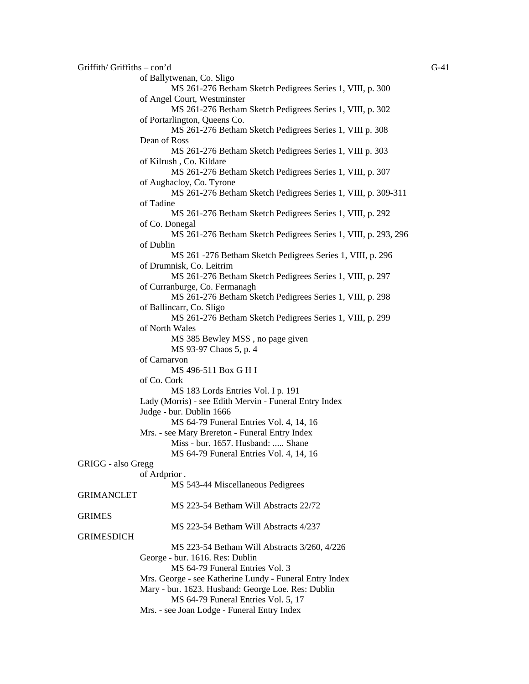$G$ -41 Griffiths – con'd G-41 of Ballytwenan, Co. Sligo MS 261-276 Betham Sketch Pedigrees Series 1, VIII, p. 300 of Angel Court, Westminster MS 261-276 Betham Sketch Pedigrees Series 1, VIII, p. 302 of Portarlington, Queens Co. MS 261-276 Betham Sketch Pedigrees Series 1, VIII p. 308 Dean of Ross MS 261-276 Betham Sketch Pedigrees Series 1, VIII p. 303 of Kilrush , Co. Kildare MS 261-276 Betham Sketch Pedigrees Series 1, VIII, p. 307 of Aughacloy, Co. Tyrone MS 261-276 Betham Sketch Pedigrees Series 1, VIII, p. 309-311 of Tadine MS 261-276 Betham Sketch Pedigrees Series 1, VIII, p. 292 of Co. Donegal MS 261-276 Betham Sketch Pedigrees Series 1, VIII, p. 293, 296 of Dublin MS 261 -276 Betham Sketch Pedigrees Series 1, VIII, p. 296 of Drumnisk, Co. Leitrim MS 261-276 Betham Sketch Pedigrees Series 1, VIII, p. 297 of Curranburge, Co. Fermanagh MS 261-276 Betham Sketch Pedigrees Series 1, VIII, p. 298 of Ballincarr, Co. Sligo MS 261-276 Betham Sketch Pedigrees Series 1, VIII, p. 299 of North Wales MS 385 Bewley MSS , no page given MS 93-97 Chaos 5, p. 4 of Carnarvon MS 496-511 Box G H I of Co. Cork MS 183 Lords Entries Vol. I p. 191 Lady (Morris) - see Edith Mervin - Funeral Entry Index Judge - bur. Dublin 1666 MS 64-79 Funeral Entries Vol. 4, 14, 16 Mrs. - see Mary Brereton - Funeral Entry Index Miss - bur. 1657. Husband: ..... Shane MS 64-79 Funeral Entries Vol. 4, 14, 16 GRIGG - also Gregg of Ardprior . MS 543-44 Miscellaneous Pedigrees GRIMANCLET MS 223-54 Betham Will Abstracts 22/72 **GRIMES** MS 223-54 Betham Will Abstracts 4/237 GRIMESDICH MS 223-54 Betham Will Abstracts 3/260, 4/226 George - bur. 1616. Res: Dublin MS 64-79 Funeral Entries Vol. 3 Mrs. George - see Katherine Lundy - Funeral Entry Index Mary - bur. 1623. Husband: George Loe. Res: Dublin MS 64-79 Funeral Entries Vol. 5, 17 Mrs. - see Joan Lodge - Funeral Entry Index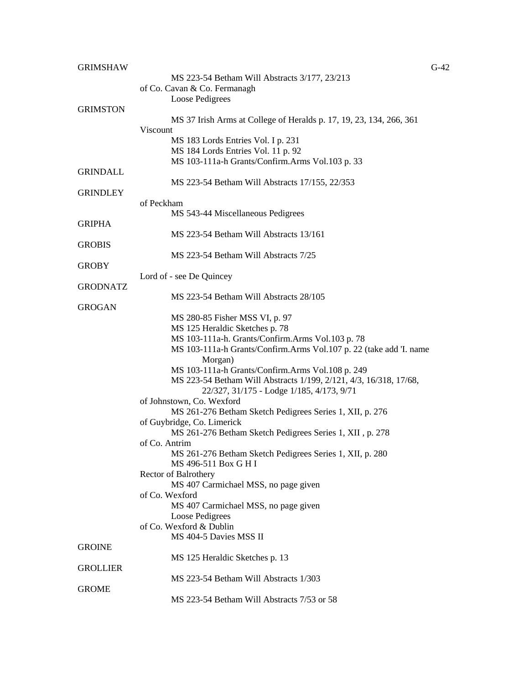| <b>GRIMSHAW</b> |                                                                                  | $G-42$ |
|-----------------|----------------------------------------------------------------------------------|--------|
|                 | MS 223-54 Betham Will Abstracts 3/177, 23/213                                    |        |
|                 | of Co. Cavan & Co. Fermanagh                                                     |        |
|                 | Loose Pedigrees                                                                  |        |
| <b>GRIMSTON</b> |                                                                                  |        |
|                 | MS 37 Irish Arms at College of Heralds p. 17, 19, 23, 134, 266, 361              |        |
|                 | Viscount                                                                         |        |
|                 | MS 183 Lords Entries Vol. I p. 231                                               |        |
|                 | MS 184 Lords Entries Vol. 11 p. 92                                               |        |
|                 | MS 103-111a-h Grants/Confirm.Arms Vol.103 p. 33                                  |        |
| <b>GRINDALL</b> |                                                                                  |        |
|                 | MS 223-54 Betham Will Abstracts 17/155, 22/353                                   |        |
| <b>GRINDLEY</b> |                                                                                  |        |
|                 | of Peckham                                                                       |        |
|                 | MS 543-44 Miscellaneous Pedigrees                                                |        |
| <b>GRIPHA</b>   |                                                                                  |        |
|                 | MS 223-54 Betham Will Abstracts 13/161                                           |        |
| <b>GROBIS</b>   |                                                                                  |        |
|                 | MS 223-54 Betham Will Abstracts 7/25                                             |        |
| <b>GROBY</b>    |                                                                                  |        |
|                 | Lord of - see De Quincey                                                         |        |
| <b>GRODNATZ</b> |                                                                                  |        |
|                 | MS 223-54 Betham Will Abstracts 28/105                                           |        |
| <b>GROGAN</b>   |                                                                                  |        |
|                 | MS 280-85 Fisher MSS VI, p. 97                                                   |        |
|                 | MS 125 Heraldic Sketches p. 78                                                   |        |
|                 | MS 103-111a-h. Grants/Confirm.Arms Vol.103 p. 78                                 |        |
|                 | MS 103-111a-h Grants/Confirm.Arms Vol.107 p. 22 (take add 'I. name               |        |
|                 | Morgan)                                                                          |        |
|                 | MS 103-111a-h Grants/Confirm.Arms Vol.108 p. 249                                 |        |
|                 | MS 223-54 Betham Will Abstracts 1/199, 2/121, 4/3, 16/318, 17/68,                |        |
|                 | 22/327, 31/175 - Lodge 1/185, 4/173, 9/71                                        |        |
|                 | of Johnstown, Co. Wexford                                                        |        |
|                 | MS 261-276 Betham Sketch Pedigrees Series 1, XII, p. 276                         |        |
|                 | of Guybridge, Co. Limerick                                                       |        |
|                 |                                                                                  |        |
|                 | MS 261-276 Betham Sketch Pedigrees Series 1, XII, p. 278                         |        |
|                 | of Co. Antrim                                                                    |        |
|                 | MS 261-276 Betham Sketch Pedigrees Series 1, XII, p. 280<br>MS 496-511 Box G H I |        |
|                 |                                                                                  |        |
|                 | Rector of Balrothery                                                             |        |
|                 | MS 407 Carmichael MSS, no page given                                             |        |
|                 | of Co. Wexford                                                                   |        |
|                 | MS 407 Carmichael MSS, no page given                                             |        |
|                 | Loose Pedigrees                                                                  |        |
|                 | of Co. Wexford & Dublin                                                          |        |
|                 | MS 404-5 Davies MSS II                                                           |        |
| <b>GROINE</b>   |                                                                                  |        |
|                 | MS 125 Heraldic Sketches p. 13                                                   |        |
| <b>GROLLIER</b> |                                                                                  |        |
|                 | MS 223-54 Betham Will Abstracts 1/303                                            |        |
| <b>GROME</b>    |                                                                                  |        |
|                 | MS 223-54 Betham Will Abstracts 7/53 or 58                                       |        |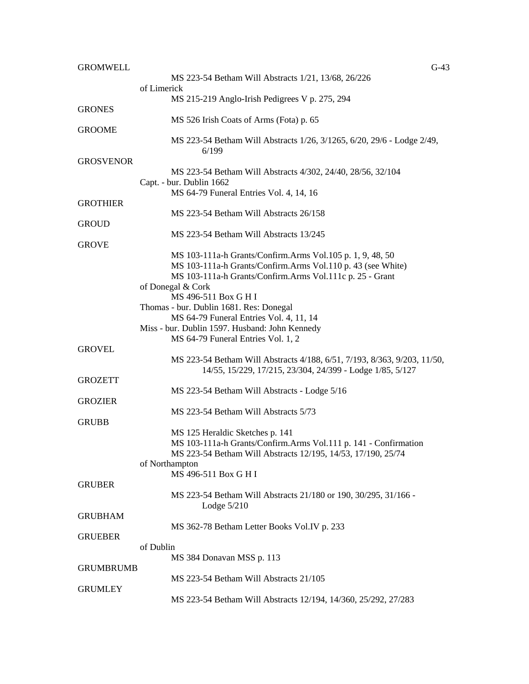| <b>GROMWELL</b>  |                                                                                         | $G-43$ |
|------------------|-----------------------------------------------------------------------------------------|--------|
|                  | MS 223-54 Betham Will Abstracts 1/21, 13/68, 26/226                                     |        |
|                  | of Limerick                                                                             |        |
|                  | MS 215-219 Anglo-Irish Pedigrees V p. 275, 294                                          |        |
| <b>GRONES</b>    |                                                                                         |        |
|                  | MS 526 Irish Coats of Arms (Fota) p. 65                                                 |        |
| <b>GROOME</b>    |                                                                                         |        |
|                  | MS 223-54 Betham Will Abstracts 1/26, 3/1265, 6/20, 29/6 - Lodge 2/49,                  |        |
|                  | 6/199                                                                                   |        |
| <b>GROSVENOR</b> |                                                                                         |        |
|                  | MS 223-54 Betham Will Abstracts 4/302, 24/40, 28/56, 32/104<br>Capt. - bur. Dublin 1662 |        |
|                  | MS 64-79 Funeral Entries Vol. 4, 14, 16                                                 |        |
| <b>GROTHIER</b>  |                                                                                         |        |
|                  | MS 223-54 Betham Will Abstracts 26/158                                                  |        |
| <b>GROUD</b>     |                                                                                         |        |
|                  | MS 223-54 Betham Will Abstracts 13/245                                                  |        |
| <b>GROVE</b>     |                                                                                         |        |
|                  | MS 103-111a-h Grants/Confirm.Arms Vol.105 p. 1, 9, 48, 50                               |        |
|                  | MS 103-111a-h Grants/Confirm.Arms Vol.110 p. 43 (see White)                             |        |
|                  | MS 103-111a-h Grants/Confirm.Arms Vol.111c p. 25 - Grant                                |        |
|                  | of Donegal & Cork                                                                       |        |
|                  | MS 496-511 Box G H I                                                                    |        |
|                  | Thomas - bur. Dublin 1681. Res: Donegal                                                 |        |
|                  | MS 64-79 Funeral Entries Vol. 4, 11, 14                                                 |        |
|                  | Miss - bur. Dublin 1597. Husband: John Kennedy                                          |        |
|                  | MS 64-79 Funeral Entries Vol. 1, 2                                                      |        |
| <b>GROVEL</b>    |                                                                                         |        |
|                  | MS 223-54 Betham Will Abstracts 4/188, 6/51, 7/193, 8/363, 9/203, 11/50,                |        |
|                  | 14/55, 15/229, 17/215, 23/304, 24/399 - Lodge 1/85, 5/127                               |        |
| <b>GROZETT</b>   |                                                                                         |        |
| <b>GROZIER</b>   | MS 223-54 Betham Will Abstracts - Lodge 5/16                                            |        |
|                  | MS 223-54 Betham Will Abstracts 5/73                                                    |        |
| <b>GRUBB</b>     |                                                                                         |        |
|                  | MS 125 Heraldic Sketches p. 141                                                         |        |
|                  | MS 103-111a-h Grants/Confirm.Arms Vol.111 p. 141 - Confirmation                         |        |
|                  | MS 223-54 Betham Will Abstracts 12/195, 14/53, 17/190, 25/74                            |        |
|                  | of Northampton                                                                          |        |
|                  | MS 496-511 Box G H I                                                                    |        |
| <b>GRUBER</b>    |                                                                                         |        |
|                  | MS 223-54 Betham Will Abstracts 21/180 or 190, 30/295, 31/166 -                         |        |
|                  | Lodge $5/210$                                                                           |        |
| <b>GRUBHAM</b>   |                                                                                         |        |
|                  | MS 362-78 Betham Letter Books Vol.IV p. 233                                             |        |
| <b>GRUEBER</b>   |                                                                                         |        |
|                  | of Dublin                                                                               |        |
|                  | MS 384 Donavan MSS p. 113                                                               |        |
| <b>GRUMBRUMB</b> |                                                                                         |        |
|                  | MS 223-54 Betham Will Abstracts 21/105                                                  |        |
| <b>GRUMLEY</b>   |                                                                                         |        |
|                  | MS 223-54 Betham Will Abstracts 12/194, 14/360, 25/292, 27/283                          |        |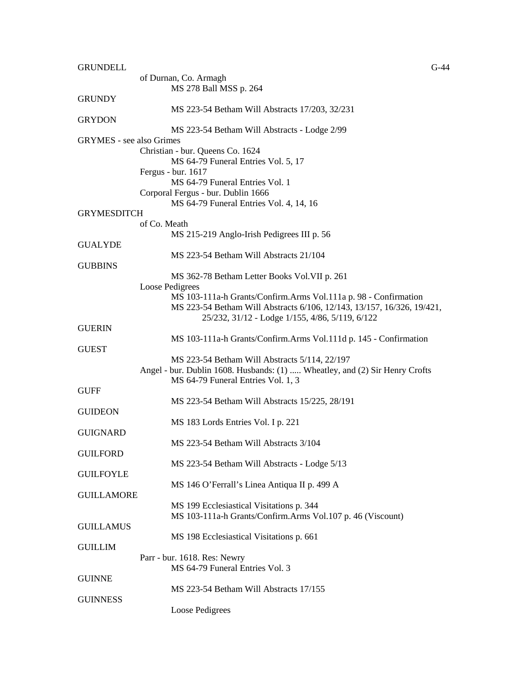| <b>GRUNDELL</b>                 | $G-44$                                                                      |
|---------------------------------|-----------------------------------------------------------------------------|
|                                 | of Durnan, Co. Armagh                                                       |
|                                 | MS 278 Ball MSS p. 264                                                      |
| <b>GRUNDY</b>                   |                                                                             |
|                                 | MS 223-54 Betham Will Abstracts 17/203, 32/231                              |
| <b>GRYDON</b>                   |                                                                             |
|                                 | MS 223-54 Betham Will Abstracts - Lodge 2/99                                |
| <b>GRYMES</b> - see also Grimes |                                                                             |
|                                 |                                                                             |
|                                 | Christian - bur. Queens Co. 1624                                            |
|                                 | MS 64-79 Funeral Entries Vol. 5, 17                                         |
|                                 | Fergus - bur. 1617                                                          |
|                                 | MS 64-79 Funeral Entries Vol. 1                                             |
|                                 | Corporal Fergus - bur. Dublin 1666                                          |
|                                 | MS 64-79 Funeral Entries Vol. 4, 14, 16                                     |
| <b>GRYMESDITCH</b>              |                                                                             |
|                                 | of Co. Meath                                                                |
|                                 | MS 215-219 Anglo-Irish Pedigrees III p. 56                                  |
| <b>GUALYDE</b>                  |                                                                             |
|                                 | MS 223-54 Betham Will Abstracts 21/104                                      |
| <b>GUBBINS</b>                  |                                                                             |
|                                 | MS 362-78 Betham Letter Books Vol. VII p. 261                               |
|                                 | Loose Pedigrees                                                             |
|                                 |                                                                             |
|                                 | MS 103-111a-h Grants/Confirm.Arms Vol.111a p. 98 - Confirmation             |
|                                 | MS 223-54 Betham Will Abstracts 6/106, 12/143, 13/157, 16/326, 19/421,      |
|                                 | 25/232, 31/12 - Lodge 1/155, 4/86, 5/119, 6/122                             |
| <b>GUERIN</b>                   |                                                                             |
|                                 | MS 103-111a-h Grants/Confirm.Arms Vol.111d p. 145 - Confirmation            |
| <b>GUEST</b>                    |                                                                             |
|                                 | MS 223-54 Betham Will Abstracts 5/114, 22/197                               |
|                                 | Angel - bur. Dublin 1608. Husbands: (1)  Wheatley, and (2) Sir Henry Crofts |
|                                 | MS 64-79 Funeral Entries Vol. 1, 3                                          |
| <b>GUFF</b>                     |                                                                             |
|                                 | MS 223-54 Betham Will Abstracts 15/225, 28/191                              |
| <b>GUIDEON</b>                  |                                                                             |
|                                 | MS 183 Lords Entries Vol. I p. 221                                          |
| <b>GUIGNARD</b>                 |                                                                             |
|                                 |                                                                             |
|                                 | MS 223-54 Betham Will Abstracts 3/104                                       |
| <b>GUILFORD</b>                 |                                                                             |
|                                 | MS 223-54 Betham Will Abstracts - Lodge 5/13                                |
| <b>GUILFOYLE</b>                |                                                                             |
|                                 | MS 146 O'Ferrall's Linea Antiqua II p. 499 A                                |
| <b>GUILLAMORE</b>               |                                                                             |
|                                 | MS 199 Ecclesiastical Visitations p. 344                                    |
|                                 | MS 103-111a-h Grants/Confirm.Arms Vol.107 p. 46 (Viscount)                  |
| <b>GUILLAMUS</b>                |                                                                             |
|                                 | MS 198 Ecclesiastical Visitations p. 661                                    |
| <b>GUILLIM</b>                  |                                                                             |
|                                 | Parr - bur. 1618. Res: Newry                                                |
|                                 | MS 64-79 Funeral Entries Vol. 3                                             |
| <b>GUINNE</b>                   |                                                                             |
|                                 | MS 223-54 Betham Will Abstracts 17/155                                      |
| <b>GUINNESS</b>                 |                                                                             |
|                                 |                                                                             |
|                                 | Loose Pedigrees                                                             |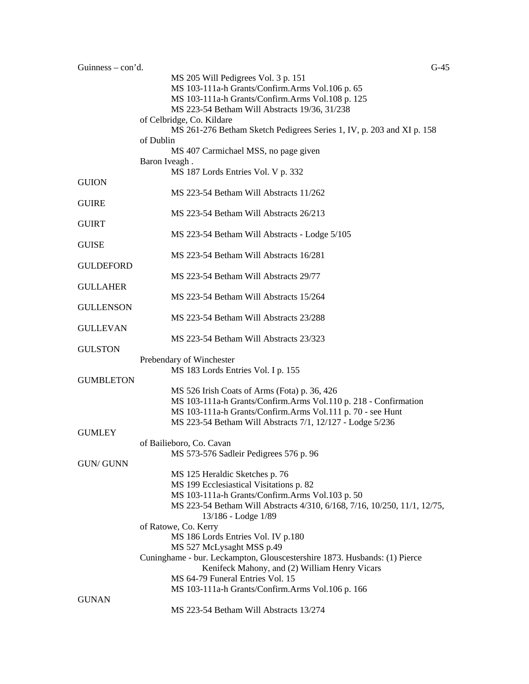| Guinness $-$ con'd. | $G-45$                                                                             |
|---------------------|------------------------------------------------------------------------------------|
|                     | MS 205 Will Pedigrees Vol. 3 p. 151                                                |
|                     | MS 103-111a-h Grants/Confirm.Arms Vol.106 p. 65                                    |
|                     | MS 103-111a-h Grants/Confirm.Arms Vol.108 p. 125                                   |
|                     | MS 223-54 Betham Will Abstracts 19/36, 31/238                                      |
|                     | of Celbridge, Co. Kildare                                                          |
|                     | MS 261-276 Betham Sketch Pedigrees Series 1, IV, p. 203 and XI p. 158<br>of Dublin |
|                     |                                                                                    |
|                     | MS 407 Carmichael MSS, no page given                                               |
|                     | Baron Iveagh.                                                                      |
|                     | MS 187 Lords Entries Vol. V p. 332                                                 |
| <b>GUION</b>        |                                                                                    |
|                     | MS 223-54 Betham Will Abstracts 11/262                                             |
| <b>GUIRE</b>        |                                                                                    |
|                     | MS 223-54 Betham Will Abstracts 26/213                                             |
| <b>GUIRT</b>        |                                                                                    |
|                     | MS 223-54 Betham Will Abstracts - Lodge 5/105                                      |
| <b>GUISE</b>        |                                                                                    |
|                     | MS 223-54 Betham Will Abstracts 16/281                                             |
| <b>GULDEFORD</b>    |                                                                                    |
|                     | MS 223-54 Betham Will Abstracts 29/77                                              |
| <b>GULLAHER</b>     |                                                                                    |
|                     | MS 223-54 Betham Will Abstracts 15/264                                             |
| <b>GULLENSON</b>    |                                                                                    |
|                     | MS 223-54 Betham Will Abstracts 23/288                                             |
| <b>GULLEVAN</b>     |                                                                                    |
|                     | MS 223-54 Betham Will Abstracts 23/323                                             |
| <b>GULSTON</b>      |                                                                                    |
|                     | Prebendary of Winchester                                                           |
|                     | MS 183 Lords Entries Vol. I p. 155                                                 |
| <b>GUMBLETON</b>    |                                                                                    |
|                     | MS 526 Irish Coats of Arms (Fota) p. 36, 426                                       |
|                     | MS 103-111a-h Grants/Confirm.Arms Vol.110 p. 218 - Confirmation                    |
|                     |                                                                                    |
|                     | MS 103-111a-h Grants/Confirm.Arms Vol.111 p. 70 - see Hunt                         |
|                     | MS 223-54 Betham Will Abstracts 7/1, 12/127 - Lodge 5/236                          |
| <b>GUMLEY</b>       |                                                                                    |
|                     | of Bailieboro, Co. Cavan                                                           |
|                     | MS 573-576 Sadleir Pedigrees 576 p. 96                                             |
| <b>GUN/ GUNN</b>    |                                                                                    |
|                     | MS 125 Heraldic Sketches p. 76                                                     |
|                     | MS 199 Ecclesiastical Visitations p. 82                                            |
|                     | MS 103-111a-h Grants/Confirm.Arms Vol.103 p. 50                                    |
|                     | MS 223-54 Betham Will Abstracts 4/310, 6/168, 7/16, 10/250, 11/1, 12/75,           |
|                     | 13/186 - Lodge 1/89                                                                |
|                     | of Ratowe, Co. Kerry                                                               |
|                     | MS 186 Lords Entries Vol. IV p.180                                                 |
|                     | MS 527 McLysaght MSS p.49                                                          |
|                     | Cuninghame - bur. Leckampton, Glouscestershire 1873. Husbands: (1) Pierce          |
|                     | Kenifeck Mahony, and (2) William Henry Vicars                                      |
|                     | MS 64-79 Funeral Entries Vol. 15                                                   |
|                     | MS 103-111a-h Grants/Confirm.Arms Vol.106 p. 166                                   |
| <b>GUNAN</b>        |                                                                                    |
|                     | MS 223-54 Betham Will Abstracts 13/274                                             |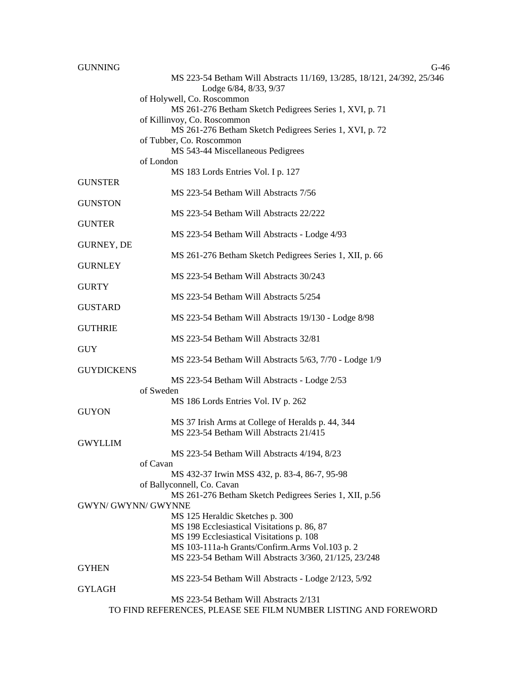| <b>GUNNING</b>      | $G-46$                                                                 |
|---------------------|------------------------------------------------------------------------|
|                     | MS 223-54 Betham Will Abstracts 11/169, 13/285, 18/121, 24/392, 25/346 |
|                     | Lodge 6/84, 8/33, 9/37                                                 |
|                     | of Holywell, Co. Roscommon                                             |
|                     | MS 261-276 Betham Sketch Pedigrees Series 1, XVI, p. 71                |
|                     | of Killinvoy, Co. Roscommon                                            |
|                     | MS 261-276 Betham Sketch Pedigrees Series 1, XVI, p. 72                |
|                     | of Tubber, Co. Roscommon                                               |
|                     | MS 543-44 Miscellaneous Pedigrees                                      |
|                     | of London                                                              |
|                     | MS 183 Lords Entries Vol. I p. 127                                     |
| <b>GUNSTER</b>      |                                                                        |
|                     | MS 223-54 Betham Will Abstracts 7/56                                   |
| <b>GUNSTON</b>      |                                                                        |
|                     | MS 223-54 Betham Will Abstracts 22/222                                 |
| <b>GUNTER</b>       |                                                                        |
|                     | MS 223-54 Betham Will Abstracts - Lodge 4/93                           |
| GURNEY, DE          |                                                                        |
|                     | MS 261-276 Betham Sketch Pedigrees Series 1, XII, p. 66                |
| <b>GURNLEY</b>      |                                                                        |
|                     | MS 223-54 Betham Will Abstracts 30/243                                 |
| <b>GURTY</b>        |                                                                        |
|                     | MS 223-54 Betham Will Abstracts 5/254                                  |
| <b>GUSTARD</b>      |                                                                        |
|                     | MS 223-54 Betham Will Abstracts 19/130 - Lodge 8/98                    |
| <b>GUTHRIE</b>      |                                                                        |
|                     | MS 223-54 Betham Will Abstracts 32/81                                  |
| <b>GUY</b>          |                                                                        |
|                     | MS 223-54 Betham Will Abstracts 5/63, 7/70 - Lodge 1/9                 |
| <b>GUYDICKENS</b>   |                                                                        |
|                     | MS 223-54 Betham Will Abstracts - Lodge 2/53                           |
|                     | of Sweden                                                              |
|                     | MS 186 Lords Entries Vol. IV p. 262                                    |
| <b>GUYON</b>        |                                                                        |
|                     | MS 37 Irish Arms at College of Heralds p. 44, 344                      |
|                     | MS 223-54 Betham Will Abstracts 21/415                                 |
| <b>GWYLLIM</b>      |                                                                        |
|                     | MS 223-54 Betham Will Abstracts 4/194, 8/23                            |
|                     | of Cavan                                                               |
|                     | MS 432-37 Irwin MSS 432, p. 83-4, 86-7, 95-98                          |
|                     | of Ballyconnell, Co. Cavan                                             |
|                     | MS 261-276 Betham Sketch Pedigrees Series 1, XII, p.56                 |
| GWYN/ GWYNN/ GWYNNE |                                                                        |
|                     | MS 125 Heraldic Sketches p. 300                                        |
|                     | MS 198 Ecclesiastical Visitations p. 86, 87                            |
|                     | MS 199 Ecclesiastical Visitations p. 108                               |
|                     | MS 103-111a-h Grants/Confirm.Arms Vol.103 p. 2                         |
|                     | MS 223-54 Betham Will Abstracts 3/360, 21/125, 23/248                  |
| <b>GYHEN</b>        |                                                                        |
|                     | MS 223-54 Betham Will Abstracts - Lodge 2/123, 5/92                    |
| <b>GYLAGH</b>       | MS 223-54 Betham Will Abstracts 2/131                                  |
|                     | TO FIND REFERENCES, PLEASE SEE FILM NUMBER LISTING AND FOREWORD        |
|                     |                                                                        |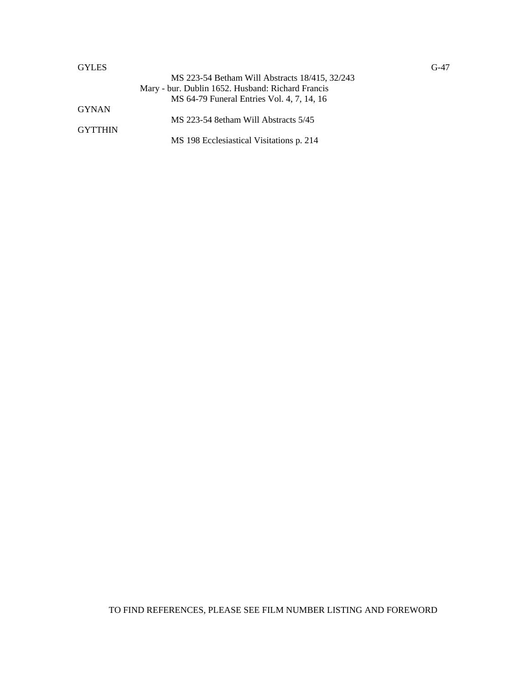## GYLES GYLES

|                  | MS 223-54 Betham Will Abstracts 18/415, 32/243<br>Mary - bur. Dublin 1652. Husband: Richard Francis<br>MS 64-79 Funeral Entries Vol. 4, 7, 14, 16 |
|------------------|---------------------------------------------------------------------------------------------------------------------------------------------------|
| GYNAN<br>GYTTHIN | MS 223-54 8etham Will Abstracts 5/45                                                                                                              |
|                  | MS 198 Ecclesiastical Visitations p. 214                                                                                                          |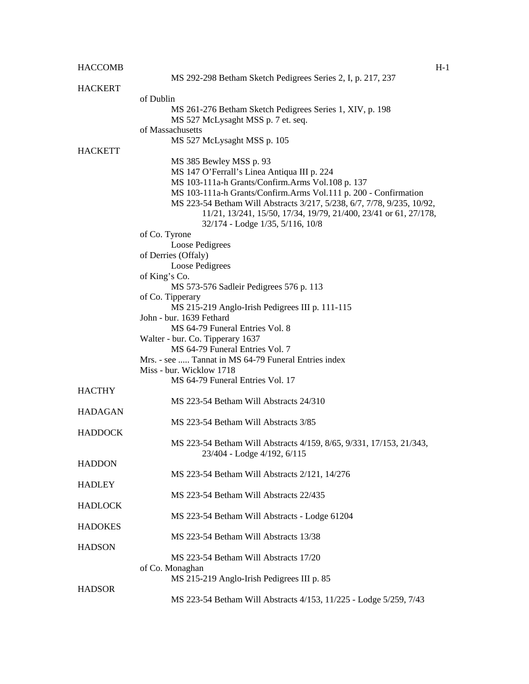| <b>HACCOMB</b> | $H-1$                                                                            |
|----------------|----------------------------------------------------------------------------------|
|                | MS 292-298 Betham Sketch Pedigrees Series 2, I, p. 217, 237                      |
| <b>HACKERT</b> |                                                                                  |
|                | of Dublin                                                                        |
|                | MS 261-276 Betham Sketch Pedigrees Series 1, XIV, p. 198                         |
|                | MS 527 McLysaght MSS p. 7 et. seq.                                               |
|                | of Massachusetts                                                                 |
|                | MS 527 McLysaght MSS p. 105                                                      |
| <b>HACKETT</b> |                                                                                  |
|                | MS 385 Bewley MSS p. 93                                                          |
|                | MS 147 O'Ferrall's Linea Antiqua III p. 224                                      |
|                | MS 103-111a-h Grants/Confirm.Arms Vol.108 p. 137                                 |
|                | MS 103-111a-h Grants/Confirm.Arms Vol.111 p. 200 - Confirmation                  |
|                | MS 223-54 Betham Will Abstracts 3/217, 5/238, 6/7, 7/78, 9/235, 10/92,           |
|                | 11/21, 13/241, 15/50, 17/34, 19/79, 21/400, 23/41 or 61, 27/178,                 |
|                | 32/174 - Lodge 1/35, 5/116, 10/8                                                 |
|                | of Co. Tyrone                                                                    |
|                | Loose Pedigrees                                                                  |
|                | of Derries (Offaly)                                                              |
|                | Loose Pedigrees                                                                  |
|                | of King's Co.                                                                    |
|                | MS 573-576 Sadleir Pedigrees 576 p. 113                                          |
|                | of Co. Tipperary                                                                 |
|                | MS 215-219 Anglo-Irish Pedigrees III p. 111-115                                  |
|                | John - bur. 1639 Fethard                                                         |
|                | MS 64-79 Funeral Entries Vol. 8                                                  |
|                | Walter - bur. Co. Tipperary 1637<br>MS 64-79 Funeral Entries Vol. 7              |
|                |                                                                                  |
|                | Mrs. - see  Tannat in MS 64-79 Funeral Entries index<br>Miss - bur. Wicklow 1718 |
|                | MS 64-79 Funeral Entries Vol. 17                                                 |
| <b>HACTHY</b>  |                                                                                  |
|                | MS 223-54 Betham Will Abstracts 24/310                                           |
| <b>HADAGAN</b> |                                                                                  |
|                | MS 223-54 Betham Will Abstracts 3/85                                             |
| <b>HADDOCK</b> |                                                                                  |
|                | MS 223-54 Betham Will Abstracts 4/159, 8/65, 9/331, 17/153, 21/343,              |
|                | 23/404 - Lodge 4/192, 6/115                                                      |
| <b>HADDON</b>  |                                                                                  |
|                | MS 223-54 Betham Will Abstracts 2/121, 14/276                                    |
| <b>HADLEY</b>  |                                                                                  |
|                | MS 223-54 Betham Will Abstracts 22/435                                           |
| <b>HADLOCK</b> |                                                                                  |
|                | MS 223-54 Betham Will Abstracts - Lodge 61204                                    |
| <b>HADOKES</b> |                                                                                  |
|                | MS 223-54 Betham Will Abstracts 13/38                                            |
| <b>HADSON</b>  |                                                                                  |
|                | MS 223-54 Betham Will Abstracts 17/20                                            |
|                | of Co. Monaghan                                                                  |
|                | MS 215-219 Anglo-Irish Pedigrees III p. 85                                       |
| <b>HADSOR</b>  |                                                                                  |
|                | MS 223-54 Betham Will Abstracts 4/153, 11/225 - Lodge 5/259, 7/43                |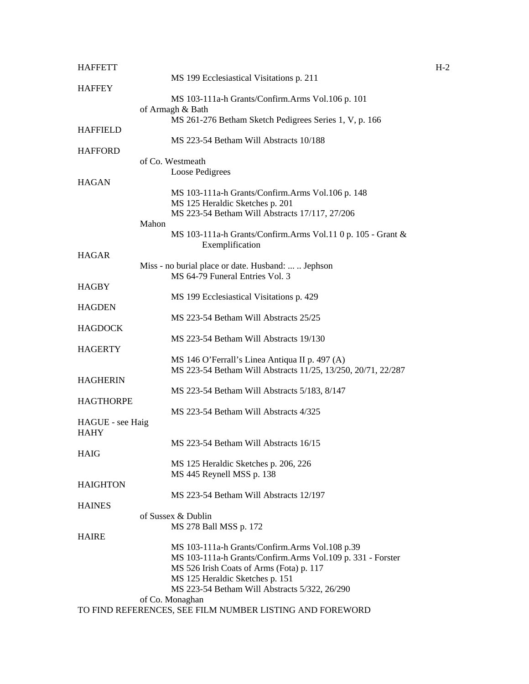| <b>HAFFETT</b>   |                    |                                                                                                                | $H-2$ |
|------------------|--------------------|----------------------------------------------------------------------------------------------------------------|-------|
|                  |                    | MS 199 Ecclesiastical Visitations p. 211                                                                       |       |
| <b>HAFFEY</b>    |                    |                                                                                                                |       |
|                  |                    | MS 103-111a-h Grants/Confirm.Arms Vol.106 p. 101                                                               |       |
|                  | of Armagh & Bath   | MS 261-276 Betham Sketch Pedigrees Series 1, V, p. 166                                                         |       |
| <b>HAFFIELD</b>  |                    |                                                                                                                |       |
|                  |                    | MS 223-54 Betham Will Abstracts 10/188                                                                         |       |
| <b>HAFFORD</b>   |                    |                                                                                                                |       |
|                  | of Co. Westmeath   |                                                                                                                |       |
|                  |                    | Loose Pedigrees                                                                                                |       |
| <b>HAGAN</b>     |                    |                                                                                                                |       |
|                  |                    | MS 103-111a-h Grants/Confirm.Arms Vol.106 p. 148                                                               |       |
|                  |                    | MS 125 Heraldic Sketches p. 201                                                                                |       |
|                  | Mahon              | MS 223-54 Betham Will Abstracts 17/117, 27/206                                                                 |       |
|                  |                    | MS 103-111a-h Grants/Confirm.Arms Vol.11 0 p. 105 - Grant &                                                    |       |
|                  |                    | Exemplification                                                                                                |       |
| <b>HAGAR</b>     |                    |                                                                                                                |       |
|                  |                    | Miss - no burial place or date. Husband:   Jephson                                                             |       |
|                  |                    | MS 64-79 Funeral Entries Vol. 3                                                                                |       |
| <b>HAGBY</b>     |                    |                                                                                                                |       |
|                  |                    | MS 199 Ecclesiastical Visitations p. 429                                                                       |       |
| <b>HAGDEN</b>    |                    |                                                                                                                |       |
|                  |                    | MS 223-54 Betham Will Abstracts 25/25                                                                          |       |
| <b>HAGDOCK</b>   |                    |                                                                                                                |       |
|                  |                    | MS 223-54 Betham Will Abstracts 19/130                                                                         |       |
| <b>HAGERTY</b>   |                    |                                                                                                                |       |
|                  |                    | MS 146 O'Ferrall's Linea Antiqua II p. 497 (A)<br>MS 223-54 Betham Will Abstracts 11/25, 13/250, 20/71, 22/287 |       |
| <b>HAGHERIN</b>  |                    |                                                                                                                |       |
|                  |                    | MS 223-54 Betham Will Abstracts 5/183, 8/147                                                                   |       |
| <b>HAGTHORPE</b> |                    |                                                                                                                |       |
|                  |                    | MS 223-54 Betham Will Abstracts 4/325                                                                          |       |
| HAGUE - see Haig |                    |                                                                                                                |       |
| <b>HAHY</b>      |                    |                                                                                                                |       |
|                  |                    | MS 223-54 Betham Will Abstracts 16/15                                                                          |       |
| <b>HAIG</b>      |                    |                                                                                                                |       |
|                  |                    | MS 125 Heraldic Sketches p. 206, 226                                                                           |       |
|                  |                    | MS 445 Reynell MSS p. 138                                                                                      |       |
| <b>HAIGHTON</b>  |                    | MS 223-54 Betham Will Abstracts 12/197                                                                         |       |
| <b>HAINES</b>    |                    |                                                                                                                |       |
|                  | of Sussex & Dublin |                                                                                                                |       |
|                  |                    | MS 278 Ball MSS p. 172                                                                                         |       |
| <b>HAIRE</b>     |                    |                                                                                                                |       |
|                  |                    | MS 103-111a-h Grants/Confirm.Arms Vol.108 p.39                                                                 |       |
|                  |                    | MS 103-111a-h Grants/Confirm.Arms Vol.109 p. 331 - Forster                                                     |       |
|                  |                    | MS 526 Irish Coats of Arms (Fota) p. 117                                                                       |       |
|                  |                    | MS 125 Heraldic Sketches p. 151                                                                                |       |
|                  |                    | MS 223-54 Betham Will Abstracts 5/322, 26/290                                                                  |       |
|                  | of Co. Monaghan    |                                                                                                                |       |
|                  |                    | TO FIND REFERENCES, SEE FILM NUMBER LISTING AND FOREWORD                                                       |       |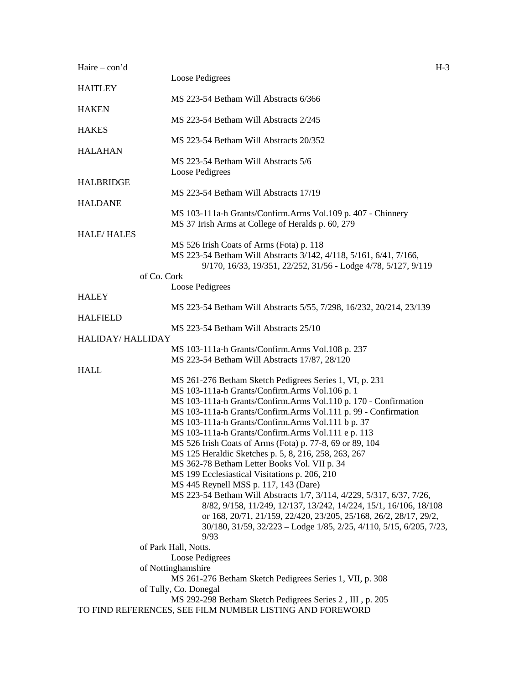| Haire $-$ con'd   |                                                                                                                                          | $H-3$ |
|-------------------|------------------------------------------------------------------------------------------------------------------------------------------|-------|
| <b>HAITLEY</b>    | Loose Pedigrees                                                                                                                          |       |
|                   | MS 223-54 Betham Will Abstracts 6/366                                                                                                    |       |
| <b>HAKEN</b>      |                                                                                                                                          |       |
|                   | MS 223-54 Betham Will Abstracts 2/245                                                                                                    |       |
| <b>HAKES</b>      | MS 223-54 Betham Will Abstracts 20/352                                                                                                   |       |
| <b>HALAHAN</b>    |                                                                                                                                          |       |
|                   | MS 223-54 Betham Will Abstracts 5/6                                                                                                      |       |
|                   | Loose Pedigrees                                                                                                                          |       |
| <b>HALBRIDGE</b>  | MS 223-54 Betham Will Abstracts 17/19                                                                                                    |       |
| <b>HALDANE</b>    |                                                                                                                                          |       |
|                   | MS 103-111a-h Grants/Confirm.Arms Vol.109 p. 407 - Chinnery                                                                              |       |
|                   | MS 37 Irish Arms at College of Heralds p. 60, 279                                                                                        |       |
| <b>HALE/HALES</b> | MS 526 Irish Coats of Arms (Fota) p. 118                                                                                                 |       |
|                   | MS 223-54 Betham Will Abstracts 3/142, 4/118, 5/161, 6/41, 7/166,                                                                        |       |
|                   | 9/170, 16/33, 19/351, 22/252, 31/56 - Lodge 4/78, 5/127, 9/119                                                                           |       |
| of Co. Cork       |                                                                                                                                          |       |
| <b>HALEY</b>      | Loose Pedigrees                                                                                                                          |       |
|                   | MS 223-54 Betham Will Abstracts 5/55, 7/298, 16/232, 20/214, 23/139                                                                      |       |
| <b>HALFIELD</b>   |                                                                                                                                          |       |
| HALIDAY/ HALLIDAY | MS 223-54 Betham Will Abstracts 25/10                                                                                                    |       |
|                   | MS 103-111a-h Grants/Confirm.Arms Vol.108 p. 237                                                                                         |       |
|                   | MS 223-54 Betham Will Abstracts 17/87, 28/120                                                                                            |       |
| <b>HALL</b>       |                                                                                                                                          |       |
|                   | MS 261-276 Betham Sketch Pedigrees Series 1, VI, p. 231<br>MS 103-111a-h Grants/Confirm.Arms Vol.106 p. 1                                |       |
|                   | MS 103-111a-h Grants/Confirm.Arms Vol.110 p. 170 - Confirmation                                                                          |       |
|                   | MS 103-111a-h Grants/Confirm.Arms Vol.111 p. 99 - Confirmation                                                                           |       |
|                   | MS 103-111a-h Grants/Confirm.Arms Vol.111 b p. 37                                                                                        |       |
|                   | MS 103-111a-h Grants/Confirm.Arms Vol.111 e p. 113                                                                                       |       |
|                   | MS 526 Irish Coats of Arms (Fota) p. 77-8, 69 or 89, 104                                                                                 |       |
|                   | MS 125 Heraldic Sketches p. 5, 8, 216, 258, 263, 267                                                                                     |       |
|                   | MS 362-78 Betham Letter Books Vol. VII p. 34                                                                                             |       |
|                   | MS 199 Ecclesiastical Visitations p. 206, 210                                                                                            |       |
|                   | MS 445 Reynell MSS p. 117, 143 (Dare)                                                                                                    |       |
|                   | MS 223-54 Betham Will Abstracts 1/7, 3/114, 4/229, 5/317, 6/37, 7/26,                                                                    |       |
|                   | 8/82, 9/158, 11/249, 12/137, 13/242, 14/224, 15/1, 16/106, 18/108                                                                        |       |
|                   | or 168, 20/71, 21/159, 22/420, 23/205, 25/168, 26/2, 28/17, 29/2,<br>30/180, 31/59, 32/223 - Lodge 1/85, 2/25, 4/110, 5/15, 6/205, 7/23, |       |
|                   | 9/93                                                                                                                                     |       |
|                   | of Park Hall, Notts.                                                                                                                     |       |
|                   | Loose Pedigrees                                                                                                                          |       |
|                   | of Nottinghamshire                                                                                                                       |       |
|                   | MS 261-276 Betham Sketch Pedigrees Series 1, VII, p. 308                                                                                 |       |
|                   | of Tully, Co. Donegal                                                                                                                    |       |
|                   | MS 292-298 Betham Sketch Pedigrees Series 2, III, p. 205                                                                                 |       |
|                   | TO FIND REFERENCES, SEE FILM NUMBER LISTING AND FOREWORD                                                                                 |       |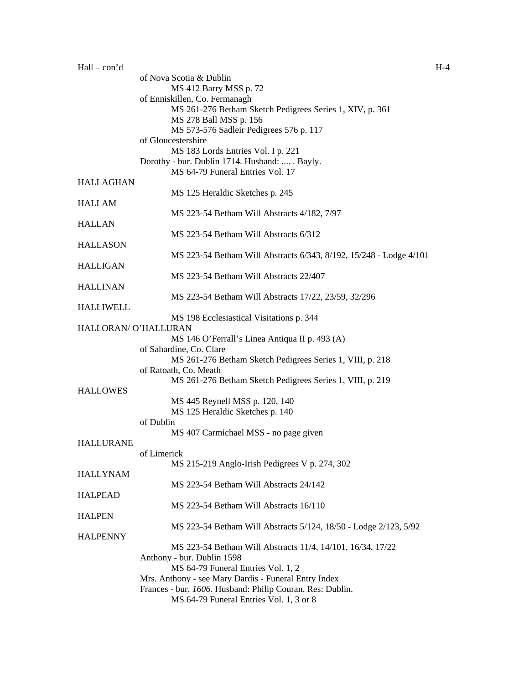| $Hall - con'd$       |                                                                    | $H-4$ |
|----------------------|--------------------------------------------------------------------|-------|
|                      | of Nova Scotia & Dublin                                            |       |
|                      | MS 412 Barry MSS p. 72                                             |       |
|                      | of Enniskillen, Co. Fermanagh                                      |       |
|                      | MS 261-276 Betham Sketch Pedigrees Series 1, XIV, p. 361           |       |
|                      | MS 278 Ball MSS p. 156                                             |       |
|                      | MS 573-576 Sadleir Pedigrees 576 p. 117                            |       |
|                      | of Gloucestershire                                                 |       |
|                      | MS 183 Lords Entries Vol. I p. 221                                 |       |
|                      | Dorothy - bur. Dublin 1714. Husband:  . Bayly.                     |       |
|                      | MS 64-79 Funeral Entries Vol. 17                                   |       |
| <b>HALLAGHAN</b>     |                                                                    |       |
|                      | MS 125 Heraldic Sketches p. 245                                    |       |
| <b>HALLAM</b>        |                                                                    |       |
|                      | MS 223-54 Betham Will Abstracts 4/182, 7/97                        |       |
| <b>HALLAN</b>        |                                                                    |       |
|                      | MS 223-54 Betham Will Abstracts 6/312                              |       |
| <b>HALLASON</b>      |                                                                    |       |
|                      | MS 223-54 Betham Will Abstracts 6/343, 8/192, 15/248 - Lodge 4/101 |       |
| <b>HALLIGAN</b>      |                                                                    |       |
|                      | MS 223-54 Betham Will Abstracts 22/407                             |       |
| <b>HALLINAN</b>      |                                                                    |       |
|                      | MS 223-54 Betham Will Abstracts 17/22, 23/59, 32/296               |       |
| <b>HALLIWELL</b>     |                                                                    |       |
|                      | MS 198 Ecclesiastical Visitations p. 344                           |       |
| HALLORAN/ O'HALLURAN |                                                                    |       |
|                      | MS 146 O'Ferrall's Linea Antiqua II p. 493 (A)                     |       |
|                      |                                                                    |       |
|                      | of Sahardine, Co. Clare                                            |       |
|                      | MS 261-276 Betham Sketch Pedigrees Series 1, VIII, p. 218          |       |
|                      | of Ratoath, Co. Meath                                              |       |
|                      | MS 261-276 Betham Sketch Pedigrees Series 1, VIII, p. 219          |       |
| <b>HALLOWES</b>      |                                                                    |       |
|                      | MS 445 Reynell MSS p. 120, 140                                     |       |
|                      | MS 125 Heraldic Sketches p. 140                                    |       |
|                      | of Dublin                                                          |       |
|                      | MS 407 Carmichael MSS - no page given                              |       |
| <b>HALLURANE</b>     |                                                                    |       |
|                      | of Limerick                                                        |       |
|                      | MS 215-219 Anglo-Irish Pedigrees V p. 274, 302                     |       |
| <b>HALLYNAM</b>      |                                                                    |       |
|                      | MS 223-54 Betham Will Abstracts 24/142                             |       |
| <b>HALPEAD</b>       |                                                                    |       |
|                      | MS 223-54 Betham Will Abstracts 16/110                             |       |
| <b>HALPEN</b>        |                                                                    |       |
|                      | MS 223-54 Betham Will Abstracts 5/124, 18/50 - Lodge 2/123, 5/92   |       |
| <b>HALPENNY</b>      |                                                                    |       |
|                      | MS 223-54 Betham Will Abstracts 11/4, 14/101, 16/34, 17/22         |       |
|                      | Anthony - bur. Dublin 1598                                         |       |
|                      | MS 64-79 Funeral Entries Vol. 1, 2                                 |       |
|                      | Mrs. Anthony - see Mary Dardis - Funeral Entry Index               |       |
|                      | Frances - bur. 1606. Husband: Philip Couran. Res: Dublin.          |       |
|                      | MS 64-79 Funeral Entries Vol. 1, 3 or 8                            |       |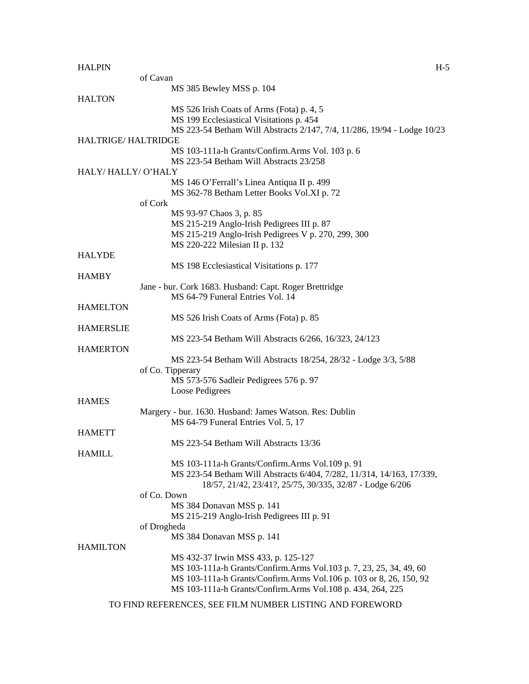| <b>HALPIN</b>              | $H-5$                                                                                      |
|----------------------------|--------------------------------------------------------------------------------------------|
|                            | of Cavan                                                                                   |
|                            | MS 385 Bewley MSS p. 104                                                                   |
| <b>HALTON</b>              |                                                                                            |
|                            | MS 526 Irish Coats of Arms (Fota) p. 4, 5                                                  |
|                            | MS 199 Ecclesiastical Visitations p. 454                                                   |
|                            | MS 223-54 Betham Will Abstracts 2/147, 7/4, 11/286, 19/94 - Lodge 10/23                    |
| <b>HALTRIGE/ HALTRIDGE</b> |                                                                                            |
|                            | MS 103-111a-h Grants/Confirm.Arms Vol. 103 p. 6                                            |
|                            | MS 223-54 Betham Will Abstracts 23/258                                                     |
|                            |                                                                                            |
| HALY/HALLY/O'HALY          |                                                                                            |
|                            | MS 146 O'Ferrall's Linea Antiqua II p. 499                                                 |
|                            | MS 362-78 Betham Letter Books Vol.XI p. 72                                                 |
|                            | of Cork                                                                                    |
|                            | MS 93-97 Chaos 3, p. 85                                                                    |
|                            | MS 215-219 Anglo-Irish Pedigrees III p. 87                                                 |
|                            | MS 215-219 Anglo-Irish Pedigrees V p. 270, 299, 300                                        |
|                            | MS 220-222 Milesian II p. 132                                                              |
| <b>HALYDE</b>              |                                                                                            |
|                            | MS 198 Ecclesiastical Visitations p. 177                                                   |
| <b>HAMBY</b>               |                                                                                            |
|                            |                                                                                            |
|                            | Jane - bur. Cork 1683. Husband: Capt. Roger Brettridge<br>MS 64-79 Funeral Entries Vol. 14 |
|                            |                                                                                            |
| <b>HAMELTON</b>            |                                                                                            |
|                            | MS 526 Irish Coats of Arms (Fota) p. 85                                                    |
| <b>HAMERSLIE</b>           |                                                                                            |
|                            | MS 223-54 Betham Will Abstracts 6/266, 16/323, 24/123                                      |
| <b>HAMERTON</b>            |                                                                                            |
|                            | MS 223-54 Betham Will Abstracts 18/254, 28/32 - Lodge 3/3, 5/88                            |
|                            | of Co. Tipperary                                                                           |
|                            | MS 573-576 Sadleir Pedigrees 576 p. 97                                                     |
|                            | Loose Pedigrees                                                                            |
| <b>HAMES</b>               |                                                                                            |
|                            | Margery - bur. 1630. Husband: James Watson. Res: Dublin                                    |
|                            | MS 64-79 Funeral Entries Vol. 5, 17                                                        |
| <b>HAMETT</b>              |                                                                                            |
|                            | MS 223-54 Betham Will Abstracts 13/36                                                      |
|                            |                                                                                            |
| <b>HAMILL</b>              |                                                                                            |
|                            | MS 103-111a-h Grants/Confirm.Arms Vol.109 p. 91                                            |
|                            | MS 223-54 Betham Will Abstracts 6/404, 7/282, 11/314, 14/163, 17/339,                      |
|                            | 18/57, 21/42, 23/41?, 25/75, 30/335, 32/87 - Lodge 6/206                                   |
|                            | of Co. Down                                                                                |
|                            | MS 384 Donavan MSS p. 141                                                                  |
|                            | MS 215-219 Anglo-Irish Pedigrees III p. 91                                                 |
|                            | of Drogheda                                                                                |
|                            | MS 384 Donavan MSS p. 141                                                                  |
| <b>HAMILTON</b>            |                                                                                            |
|                            | MS 432-37 Irwin MSS 433, p. 125-127                                                        |
|                            | MS 103-111a-h Grants/Confirm.Arms Vol.103 p. 7, 23, 25, 34, 49, 60                         |
|                            | MS 103-111a-h Grants/Confirm.Arms Vol.106 p. 103 or 8, 26, 150, 92                         |
|                            | MS 103-111a-h Grants/Confirm.Arms Vol.108 p. 434, 264, 225                                 |
|                            |                                                                                            |
|                            | TO FIND REFERENCES, SEE FILM NUMBER LISTING AND FOREWORD                                   |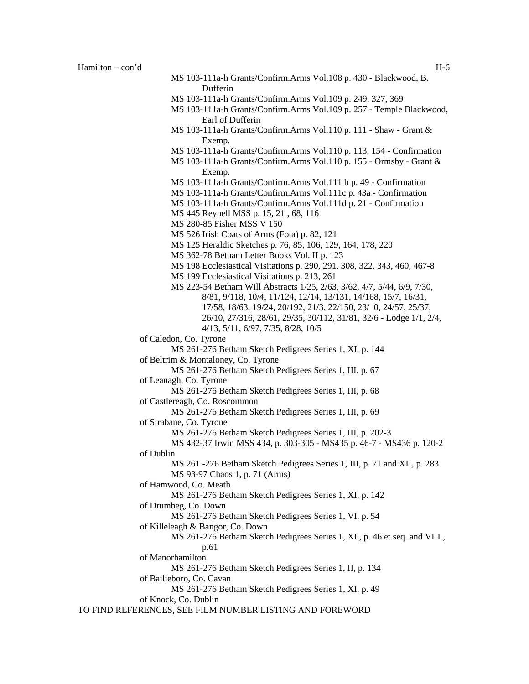- MS 103-111a-h Grants/Confirm.Arms Vol.109 p. 249, 327, 369
- MS 103-111a-h Grants/Confirm.Arms Vol.109 p. 257 Temple Blackwood, Earl of Dufferin
- MS 103-111a-h Grants/Confirm.Arms Vol.110 p. 111 Shaw Grant & Exemp.
- MS 103-111a-h Grants/Confirm.Arms Vol.110 p. 113, 154 Confirmation
- MS 103-111a-h Grants/Confirm.Arms Vol.110 p. 155 Ormsby Grant & Exemp.
- MS 103-111a-h Grants/Confirm.Arms Vol.111 b p. 49 Confirmation
- MS 103-111a-h Grants/Confirm.Arms Vol.111c p. 43a Confirmation
- MS 103-111a-h Grants/Confirm.Arms Vol.111d p. 21 Confirmation
- MS 445 Reynell MSS p. 15, 21 , 68, 116
- MS 280-85 Fisher MSS V 150
- MS 526 Irish Coats of Arms (Fota) p. 82, 121
- MS 125 Heraldic Sketches p. 76, 85, 106, 129, 164, 178, 220
- MS 362-78 Betham Letter Books Vol. II p. 123
- MS 198 Ecclesiastical Visitations p. 290, 291, 308, 322, 343, 460, 467-8
- MS 199 Ecclesiastical Visitations p. 213, 261
- MS 223-54 Betham Will Abstracts 1/25, 2/63, 3/62, 4/7, 5/44, 6/9, 7/30, 8/81, 9/118, 10/4, 11/124, 12/14, 13/131, 14/168, 15/7, 16/31, 17/58, 18/63, 19/24, 20/192, 21/3, 22/150, 23/\_0, 24/57, 25/37, 26/10, 27/316, 28/61, 29/35, 30/112, 31/81, 32/6 - Lodge 1/1, 2/4, 4/13, 5/11, 6/97, 7/35, 8/28, 10/5
- of Caledon, Co. Tyrone
	- MS 261-276 Betham Sketch Pedigrees Series 1, XI, p. 144
- of Beltrim & Montaloney, Co. Tyrone
	- MS 261-276 Betham Sketch Pedigrees Series 1, III, p. 67
- of Leanagh, Co. Tyrone
	- MS 261-276 Betham Sketch Pedigrees Series 1, III, p. 68
- of Castlereagh, Co. Roscommon
	- MS 261-276 Betham Sketch Pedigrees Series 1, III, p. 69
- of Strabane, Co. Tyrone
	- MS 261-276 Betham Sketch Pedigrees Series 1, III, p. 202-3
- MS 432-37 Irwin MSS 434, p. 303-305 MS435 p. 46-7 MS436 p. 120-2 of Dublin
	- MS 261 -276 Betham Sketch Pedigrees Series 1, III, p. 71 and XII, p. 283 MS 93-97 Chaos 1, p. 71 (Arms)
	-
- of Hamwood, Co. Meath
	- MS 261-276 Betham Sketch Pedigrees Series 1, XI, p. 142
- of Drumbeg, Co. Down
	- MS 261-276 Betham Sketch Pedigrees Series 1, VI, p. 54
- of Killeleagh & Bangor, Co. Down
	- MS 261-276 Betham Sketch Pedigrees Series 1, XI , p. 46 et.seq. and VIII ,
		- p.61
- of Manorhamilton
- MS 261-276 Betham Sketch Pedigrees Series 1, II, p. 134
- of Bailieboro, Co. Cavan
	- MS 261-276 Betham Sketch Pedigrees Series 1, XI, p. 49

```
of Knock, Co. Dublin
```
TO FIND REFERENCES, SEE FILM NUMBER LISTING AND FOREWORD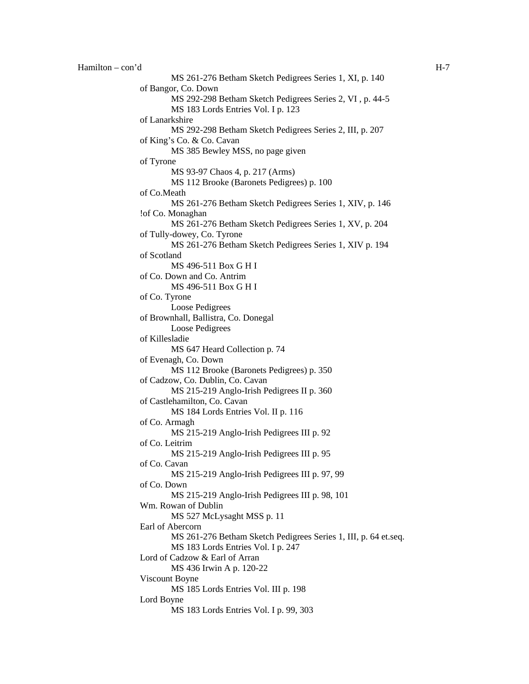```
Hamilton – con'd H-7 
           MS 261-276 Betham Sketch Pedigrees Series 1, XI, p. 140 
   of Bangor, Co. Down 
           MS 292-298 Betham Sketch Pedigrees Series 2, VI , p. 44-5 
           MS 183 Lords Entries Vol. I p. 123 
   of Lanarkshire 
           MS 292-298 Betham Sketch Pedigrees Series 2, III, p. 207 
   of King's Co. & Co. Cavan 
           MS 385 Bewley MSS, no page given 
   of Tyrone 
           MS 93-97 Chaos 4, p. 217 (Arms) 
           MS 112 Brooke (Baronets Pedigrees) p. 100 
   of Co.Meath 
           MS 261-276 Betham Sketch Pedigrees Series 1, XIV, p. 146 
   !of Co. Monaghan 
           MS 261-276 Betham Sketch Pedigrees Series 1, XV, p. 204 
   of Tully-dowey, Co. Tyrone 
           MS 261-276 Betham Sketch Pedigrees Series 1, XIV p. 194 
   of Scotland 
           MS 496-511 Box G H I 
   of Co. Down and Co. Antrim 
           MS 496-511 Box G H I 
   of Co. Tyrone 
           Loose Pedigrees 
   of Brownhall, Ballistra, Co. Donegal 
           Loose Pedigrees 
   of Killesladie 
           MS 647 Heard Collection p. 74 
   of Evenagh, Co. Down 
           MS 112 Brooke (Baronets Pedigrees) p. 350 
   of Cadzow, Co. Dublin, Co. Cavan 
           MS 215-219 Anglo-Irish Pedigrees II p. 360 
   of Castlehamilton, Co. Cavan 
           MS 184 Lords Entries Vol. II p. 116 
   of Co. Armagh 
           MS 215-219 Anglo-Irish Pedigrees III p. 92 
   of Co. Leitrim 
           MS 215-219 Anglo-Irish Pedigrees III p. 95 
   of Co. Cavan 
           MS 215-219 Anglo-Irish Pedigrees III p. 97, 99 
   of Co. Down 
           MS 215-219 Anglo-Irish Pedigrees III p. 98, 101 
   Wm. Rowan of Dublin 
           MS 527 McLysaght MSS p. 11 
   Earl of Abercorn 
           MS 261-276 Betham Sketch Pedigrees Series 1, III, p. 64 et.seq. 
           MS 183 Lords Entries Vol. I p. 247 
   Lord of Cadzow & Earl of Arran 
           MS 436 Irwin A p. 120-22 
   Viscount Boyne 
           MS 185 Lords Entries Vol. III p. 198 
   Lord Boyne 
           MS 183 Lords Entries Vol. I p. 99, 303
```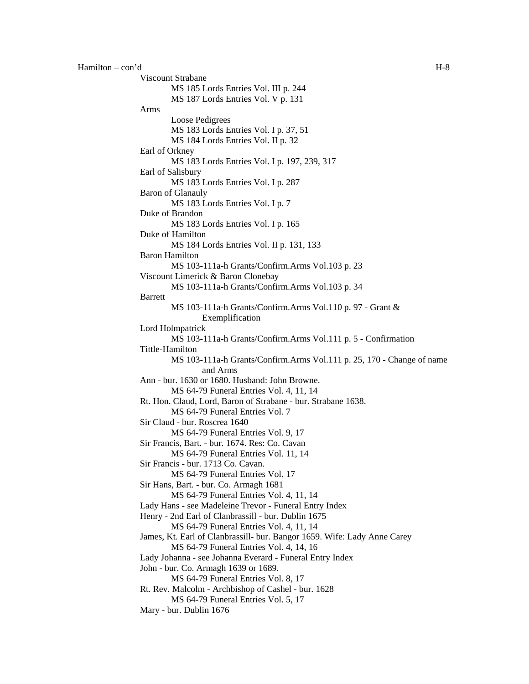Viscount Strabane MS 185 Lords Entries Vol. III p. 244 MS 187 Lords Entries Vol. V p. 131 Arms Loose Pedigrees MS 183 Lords Entries Vol. I p. 37, 51 MS 184 Lords Entries Vol. II p. 32 Earl of Orkney MS 183 Lords Entries Vol. I p. 197, 239, 317 Earl of Salisbury MS 183 Lords Entries Vol. I p. 287 Baron of Glanauly MS 183 Lords Entries Vol. I p. 7 Duke of Brandon MS 183 Lords Entries Vol. I p. 165 Duke of Hamilton MS 184 Lords Entries Vol. II p. 131, 133 Baron Hamilton MS 103-111a-h Grants/Confirm.Arms Vol.103 p. 23 Viscount Limerick & Baron Clonebay MS 103-111a-h Grants/Confirm.Arms Vol.103 p. 34 Barrett MS 103-111a-h Grants/Confirm.Arms Vol.110 p. 97 - Grant & Exemplification Lord Holmpatrick MS 103-111a-h Grants/Confirm.Arms Vol.111 p. 5 - Confirmation Tittle-Hamilton MS 103-111a-h Grants/Confirm.Arms Vol.111 p. 25, 170 - Change of name and Arms Ann - bur. 1630 or 1680. Husband: John Browne. MS 64-79 Funeral Entries Vol. 4, 11, 14 Rt. Hon. Claud, Lord, Baron of Strabane - bur. Strabane 1638. MS 64-79 Funeral Entries Vol. 7 Sir Claud - bur. Roscrea 1640 MS 64-79 Funeral Entries Vol. 9, 17 Sir Francis, Bart. - bur. 1674. Res: Co. Cavan MS 64-79 Funeral Entries Vol. 11, 14 Sir Francis - bur. 1713 Co. Cavan. MS 64-79 Funeral Entries Vol. 17 Sir Hans, Bart. - bur. Co. Armagh 1681 MS 64-79 Funeral Entries Vol. 4, 11, 14 Lady Hans - see Madeleine Trevor - Funeral Entry Index Henry - 2nd Earl of Clanbrassill - bur. Dublin 1675 MS 64-79 Funeral Entries Vol. 4, 11, 14 James, Kt. Earl of Clanbrassill- bur. Bangor 1659. Wife: Lady Anne Carey MS 64-79 Funeral Entries Vol. 4, 14, 16 Lady Johanna - see Johanna Everard - Funeral Entry Index John - bur. Co. Armagh 1639 or 1689. MS 64-79 Funeral Entries Vol. 8, 17 Rt. Rev. Malcolm - Archbishop of Cashel - bur. 1628 MS 64-79 Funeral Entries Vol. 5, 17 Mary - bur. Dublin 1676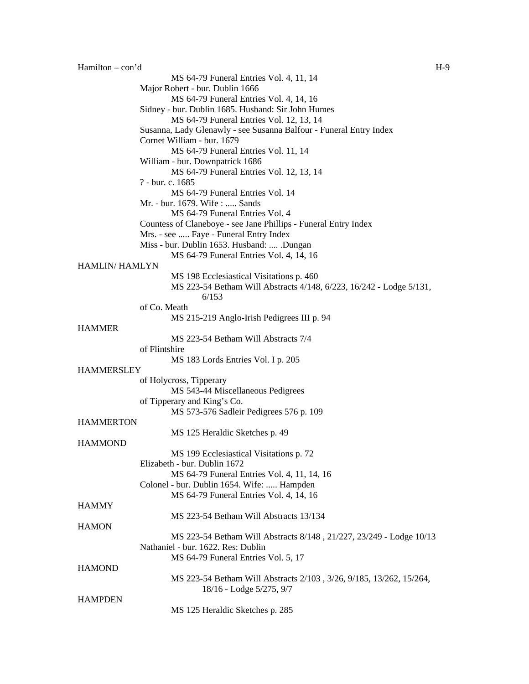Hamilton – con'd H-9 MS 64-79 Funeral Entries Vol. 4, 11, 14 Major Robert - bur. Dublin 1666 MS 64-79 Funeral Entries Vol. 4, 14, 16 Sidney - bur. Dublin 1685. Husband: Sir John Humes MS 64-79 Funeral Entries Vol. 12, 13, 14 Susanna, Lady Glenawly - see Susanna Balfour - Funeral Entry Index Cornet William - bur. 1679 MS 64-79 Funeral Entries Vol. 11, 14 William - bur. Downpatrick 1686 MS 64-79 Funeral Entries Vol. 12, 13, 14 ? - bur. c. 1685 MS 64-79 Funeral Entries Vol. 14 Mr. - bur. 1679. Wife : ..... Sands MS 64-79 Funeral Entries Vol. 4 Countess of Claneboye - see Jane Phillips - Funeral Entry Index Mrs. - see ..... Faye - Funeral Entry Index Miss - bur. Dublin 1653. Husband: .... .Dungan MS 64-79 Funeral Entries Vol. 4, 14, 16 HAMLIN/ HAMLYN MS 198 Ecclesiastical Visitations p. 460 MS 223-54 Betham Will Abstracts 4/148, 6/223, 16/242 - Lodge 5/131, 6/153 of Co. Meath MS 215-219 Anglo-Irish Pedigrees III p. 94 HAMMER MS 223-54 Betham Will Abstracts 7/4 of Flintshire MS 183 Lords Entries Vol. I p. 205 **HAMMERSLEY** of Holycross, Tipperary MS 543-44 Miscellaneous Pedigrees of Tipperary and King's Co. MS 573-576 Sadleir Pedigrees 576 p. 109 **HAMMERTON** MS 125 Heraldic Sketches p. 49 **HAMMOND** MS 199 Ecclesiastical Visitations p. 72 Elizabeth - bur. Dublin 1672 MS 64-79 Funeral Entries Vol. 4, 11, 14, 16 Colonel - bur. Dublin 1654. Wife: ..... Hampden MS 64-79 Funeral Entries Vol. 4, 14, 16 **HAMMY** MS 223-54 Betham Will Abstracts 13/134 **HAMON** MS 223-54 Betham Will Abstracts 8/148 , 21/227, 23/249 - Lodge 10/13 Nathaniel - bur. 1622. Res: Dublin MS 64-79 Funeral Entries Vol. 5, 17 **HAMOND** MS 223-54 Betham Will Abstracts 2/103 , 3/26, 9/185, 13/262, 15/264, 18/16 - Lodge 5/275, 9/7 **HAMPDEN** MS 125 Heraldic Sketches p. 285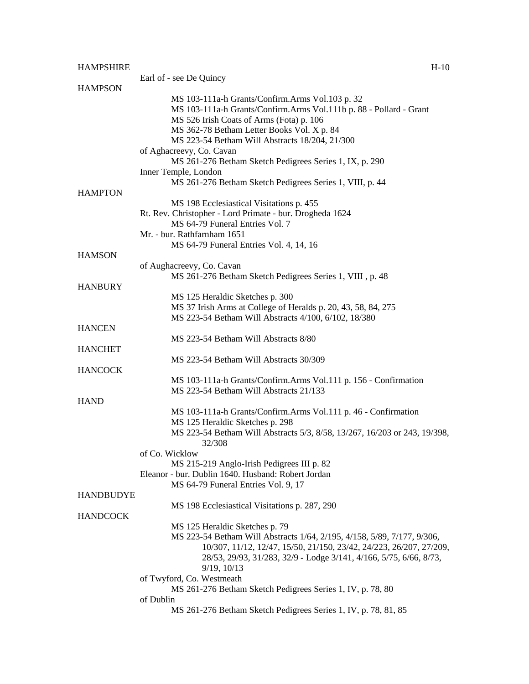|                  | Earl of - see De Quincy                                                               |
|------------------|---------------------------------------------------------------------------------------|
| HAMPSON          |                                                                                       |
|                  | MS 103-111a-h Grants/Confirm.Arms Vol.103 p. 32                                       |
|                  | MS 103-111a-h Grants/Confirm.Arms Vol.111b p. 88 - Pollard - Grant                    |
|                  | MS 526 Irish Coats of Arms (Fota) p. 106                                              |
|                  | MS 362-78 Betham Letter Books Vol. X p. 84                                            |
|                  | MS 223-54 Betham Will Abstracts 18/204, 21/300                                        |
|                  | of Aghacreevy, Co. Cavan<br>MS 261-276 Betham Sketch Pedigrees Series 1, IX, p. 290   |
|                  | Inner Temple, London                                                                  |
|                  | MS 261-276 Betham Sketch Pedigrees Series 1, VIII, p. 44                              |
| <b>HAMPTON</b>   |                                                                                       |
|                  | MS 198 Ecclesiastical Visitations p. 455                                              |
|                  | Rt. Rev. Christopher - Lord Primate - bur. Drogheda 1624                              |
|                  | MS 64-79 Funeral Entries Vol. 7                                                       |
|                  | Mr. - bur. Rathfarnham 1651                                                           |
|                  | MS 64-79 Funeral Entries Vol. 4, 14, 16                                               |
| <b>HAMSON</b>    |                                                                                       |
|                  | of Aughacreevy, Co. Cavan<br>MS 261-276 Betham Sketch Pedigrees Series 1, VIII, p. 48 |
| <b>HANBURY</b>   |                                                                                       |
|                  | MS 125 Heraldic Sketches p. 300                                                       |
|                  | MS 37 Irish Arms at College of Heralds p. 20, 43, 58, 84, 275                         |
|                  | MS 223-54 Betham Will Abstracts 4/100, 6/102, 18/380                                  |
| <b>HANCEN</b>    |                                                                                       |
|                  | MS 223-54 Betham Will Abstracts 8/80                                                  |
| <b>HANCHET</b>   |                                                                                       |
| <b>HANCOCK</b>   | MS 223-54 Betham Will Abstracts 30/309                                                |
|                  | MS 103-111a-h Grants/Confirm.Arms Vol.111 p. 156 - Confirmation                       |
|                  | MS 223-54 Betham Will Abstracts 21/133                                                |
| <b>HAND</b>      |                                                                                       |
|                  | MS 103-111a-h Grants/Confirm.Arms Vol.111 p. 46 - Confirmation                        |
|                  | MS 125 Heraldic Sketches p. 298                                                       |
|                  | MS 223-54 Betham Will Abstracts 5/3, 8/58, 13/267, 16/203 or 243, 19/398,<br>32/308   |
|                  | of Co. Wicklow                                                                        |
|                  | MS 215-219 Anglo-Irish Pedigrees III p. 82                                            |
|                  | Eleanor - bur. Dublin 1640. Husband: Robert Jordan                                    |
|                  | MS 64-79 Funeral Entries Vol. 9, 17                                                   |
| <b>HANDBUDYE</b> |                                                                                       |
| HANDCOCK         | MS 198 Ecclesiastical Visitations p. 287, 290                                         |
|                  | MS 125 Heraldic Sketches p. 79                                                        |
|                  | MS 223-54 Betham Will Abstracts 1/64, 2/195, 4/158, 5/89, 7/177, 9/306,               |
|                  | 10/307, 11/12, 12/47, 15/50, 21/150, 23/42, 24/223, 26/207, 27/209,                   |
|                  | 28/53, 29/93, 31/283, 32/9 - Lodge 3/141, 4/166, 5/75, 6/66, 8/73,                    |
|                  | $9/19$ , $10/13$                                                                      |
|                  | of Twyford, Co. Westmeath                                                             |
|                  | MS 261-276 Betham Sketch Pedigrees Series 1, IV, p. 78, 80                            |
|                  | of Dublin                                                                             |
|                  | MS 261-276 Betham Sketch Pedigrees Series 1, IV, p. 78, 81, 85                        |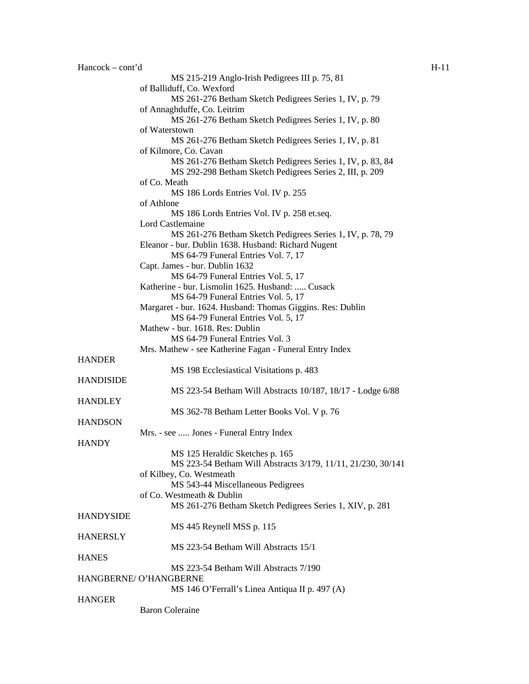| $Hancock - cont'd$ |                                                              | $H-11$ |
|--------------------|--------------------------------------------------------------|--------|
|                    | MS 215-219 Anglo-Irish Pedigrees III p. 75, 81               |        |
|                    | of Balliduff, Co. Wexford                                    |        |
|                    | MS 261-276 Betham Sketch Pedigrees Series 1, IV, p. 79       |        |
|                    | of Annaghduffe, Co. Leitrim                                  |        |
|                    | MS 261-276 Betham Sketch Pedigrees Series 1, IV, p. 80       |        |
|                    | of Waterstown                                                |        |
|                    |                                                              |        |
|                    | MS 261-276 Betham Sketch Pedigrees Series 1, IV, p. 81       |        |
|                    | of Kilmore, Co. Cavan                                        |        |
|                    | MS 261-276 Betham Sketch Pedigrees Series 1, IV, p. 83, 84   |        |
|                    | MS 292-298 Betham Sketch Pedigrees Series 2, III, p. 209     |        |
|                    | of Co. Meath                                                 |        |
|                    | MS 186 Lords Entries Vol. IV p. 255                          |        |
|                    | of Athlone                                                   |        |
|                    | MS 186 Lords Entries Vol. IV p. 258 et.seq.                  |        |
|                    | Lord Castlemaine                                             |        |
|                    | MS 261-276 Betham Sketch Pedigrees Series 1, IV, p. 78, 79   |        |
|                    | Eleanor - bur. Dublin 1638. Husband: Richard Nugent          |        |
|                    | MS 64-79 Funeral Entries Vol. 7, 17                          |        |
|                    | Capt. James - bur. Dublin 1632                               |        |
|                    |                                                              |        |
|                    | MS 64-79 Funeral Entries Vol. 5, 17                          |        |
|                    | Katherine - bur. Lismolin 1625. Husband:  Cusack             |        |
|                    | MS 64-79 Funeral Entries Vol. 5, 17                          |        |
|                    | Margaret - bur. 1624. Husband: Thomas Giggins. Res: Dublin   |        |
|                    | MS 64-79 Funeral Entries Vol. 5, 17                          |        |
|                    | Mathew - bur. 1618. Res: Dublin                              |        |
|                    | MS 64-79 Funeral Entries Vol. 3                              |        |
|                    | Mrs. Mathew - see Katherine Fagan - Funeral Entry Index      |        |
| <b>HANDER</b>      |                                                              |        |
|                    | MS 198 Ecclesiastical Visitations p. 483                     |        |
| <b>HANDISIDE</b>   |                                                              |        |
|                    | MS 223-54 Betham Will Abstracts 10/187, 18/17 - Lodge 6/88   |        |
| <b>HANDLEY</b>     |                                                              |        |
|                    | MS 362-78 Betham Letter Books Vol. V p. 76                   |        |
| <b>HANDSON</b>     |                                                              |        |
|                    |                                                              |        |
|                    | Mrs. - see  Jones - Funeral Entry Index                      |        |
| <b>HANDY</b>       |                                                              |        |
|                    | MS 125 Heraldic Sketches p. 165                              |        |
|                    | MS 223-54 Betham Will Abstracts 3/179, 11/11, 21/230, 30/141 |        |
|                    | of Kilbey, Co. Westmeath                                     |        |
|                    | MS 543-44 Miscellaneous Pedigrees                            |        |
|                    | of Co. Westmeath & Dublin                                    |        |
|                    | MS 261-276 Betham Sketch Pedigrees Series 1, XIV, p. 281     |        |
| <b>HANDYSIDE</b>   |                                                              |        |
|                    | MS 445 Reynell MSS p. 115                                    |        |
| <b>HANERSLY</b>    |                                                              |        |
|                    | MS 223-54 Betham Will Abstracts 15/1                         |        |
| <b>HANES</b>       |                                                              |        |
|                    | MS 223-54 Betham Will Abstracts 7/190                        |        |
|                    | HANGBERNE/ O'HANGBERNE                                       |        |
|                    | MS 146 O'Ferrall's Linea Antiqua II p. 497 (A)               |        |
| <b>HANGER</b>      |                                                              |        |
|                    |                                                              |        |
|                    | <b>Baron Coleraine</b>                                       |        |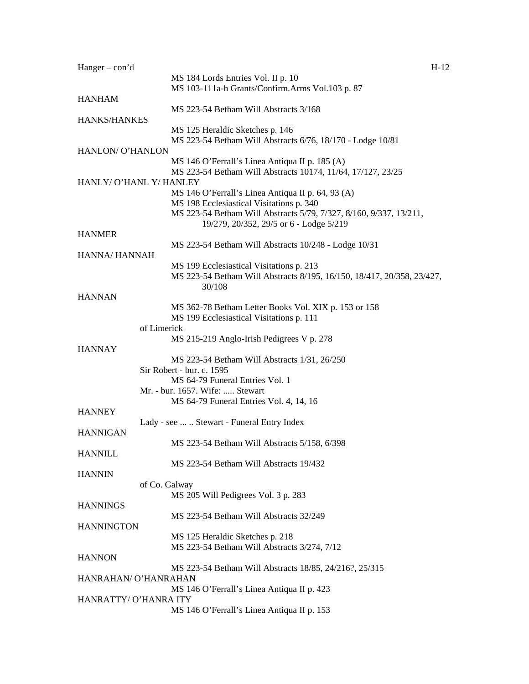| $Hanger - con'd$        |                                                                        | $H-12$ |
|-------------------------|------------------------------------------------------------------------|--------|
|                         | MS 184 Lords Entries Vol. II p. 10                                     |        |
|                         | MS 103-111a-h Grants/Confirm.Arms Vol.103 p. 87                        |        |
| <b>HANHAM</b>           |                                                                        |        |
|                         | MS 223-54 Betham Will Abstracts 3/168                                  |        |
|                         |                                                                        |        |
| HANKS/HANKES            |                                                                        |        |
|                         | MS 125 Heraldic Sketches p. 146                                        |        |
|                         | MS 223-54 Betham Will Abstracts 6/76, 18/170 - Lodge 10/81             |        |
| HANLON/ O'HANLON        |                                                                        |        |
|                         | MS 146 O'Ferrall's Linea Antiqua II p. 185 (A)                         |        |
|                         | MS 223-54 Betham Will Abstracts 10174, 11/64, 17/127, 23/25            |        |
| HANLY/ O'HANL Y/ HANLEY |                                                                        |        |
|                         |                                                                        |        |
|                         | MS 146 O'Ferrall's Linea Antiqua II p. 64, 93 (A)                      |        |
|                         | MS 198 Ecclesiastical Visitations p. 340                               |        |
|                         | MS 223-54 Betham Will Abstracts 5/79, 7/327, 8/160, 9/337, 13/211,     |        |
|                         | 19/279, 20/352, 29/5 or 6 - Lodge 5/219                                |        |
| <b>HANMER</b>           |                                                                        |        |
|                         | MS 223-54 Betham Will Abstracts 10/248 - Lodge 10/31                   |        |
| HANNA/ HANNAH           |                                                                        |        |
|                         |                                                                        |        |
|                         | MS 199 Ecclesiastical Visitations p. 213                               |        |
|                         | MS 223-54 Betham Will Abstracts 8/195, 16/150, 18/417, 20/358, 23/427, |        |
|                         | 30/108                                                                 |        |
| <b>HANNAN</b>           |                                                                        |        |
|                         | MS 362-78 Betham Letter Books Vol. XIX p. 153 or 158                   |        |
|                         | MS 199 Ecclesiastical Visitations p. 111                               |        |
|                         | of Limerick                                                            |        |
|                         |                                                                        |        |
|                         | MS 215-219 Anglo-Irish Pedigrees V p. 278                              |        |
| <b>HANNAY</b>           |                                                                        |        |
|                         | MS 223-54 Betham Will Abstracts 1/31, 26/250                           |        |
|                         | Sir Robert - bur. c. 1595                                              |        |
|                         | MS 64-79 Funeral Entries Vol. 1                                        |        |
|                         | Mr. - bur. 1657. Wife:  Stewart                                        |        |
|                         | MS 64-79 Funeral Entries Vol. 4, 14, 16                                |        |
| <b>HANNEY</b>           |                                                                        |        |
|                         |                                                                        |        |
|                         | Lady - see   Stewart - Funeral Entry Index                             |        |
| <b>HANNIGAN</b>         |                                                                        |        |
|                         | MS 223-54 Betham Will Abstracts 5/158, 6/398                           |        |
| <b>HANNILL</b>          |                                                                        |        |
|                         | MS 223-54 Betham Will Abstracts 19/432                                 |        |
| <b>HANNIN</b>           |                                                                        |        |
|                         | of Co. Galway                                                          |        |
|                         |                                                                        |        |
|                         | MS 205 Will Pedigrees Vol. 3 p. 283                                    |        |
| <b>HANNINGS</b>         |                                                                        |        |
|                         | MS 223-54 Betham Will Abstracts 32/249                                 |        |
| <b>HANNINGTON</b>       |                                                                        |        |
|                         | MS 125 Heraldic Sketches p. 218                                        |        |
|                         | MS 223-54 Betham Will Abstracts 3/274, 7/12                            |        |
| <b>HANNON</b>           |                                                                        |        |
|                         |                                                                        |        |
|                         | MS 223-54 Betham Will Abstracts 18/85, 24/216?, 25/315                 |        |
| HANRAHAN/ O'HANRAHAN    |                                                                        |        |
|                         | MS 146 O'Ferrall's Linea Antiqua II p. 423                             |        |
| HANRATTY/ O'HANRA ITY   |                                                                        |        |
|                         | MS 146 O'Ferrall's Linea Antiqua II p. 153                             |        |
|                         |                                                                        |        |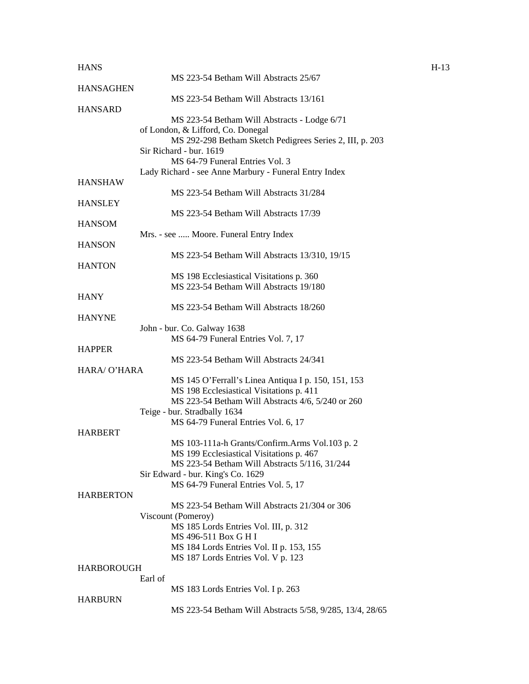## $H-13$   $H-13$

|                  | MS 223-54 Betham Will Abstracts 25/67                                                         |
|------------------|-----------------------------------------------------------------------------------------------|
| <b>HANSAGHEN</b> | MS 223-54 Betham Will Abstracts 13/161                                                        |
| <b>HANSARD</b>   |                                                                                               |
|                  | MS 223-54 Betham Will Abstracts - Lodge 6/71                                                  |
|                  | of London, & Lifford, Co. Donegal                                                             |
|                  | MS 292-298 Betham Sketch Pedigrees Series 2, III, p. 203                                      |
|                  | Sir Richard - bur. 1619                                                                       |
|                  | MS 64-79 Funeral Entries Vol. 3<br>Lady Richard - see Anne Marbury - Funeral Entry Index      |
| HANSHAW          |                                                                                               |
|                  | MS 223-54 Betham Will Abstracts 31/284                                                        |
| <b>HANSLEY</b>   |                                                                                               |
|                  | MS 223-54 Betham Will Abstracts 17/39                                                         |
| HANSOM           |                                                                                               |
| <b>HANSON</b>    | Mrs. - see  Moore. Funeral Entry Index                                                        |
|                  | MS 223-54 Betham Will Abstracts 13/310, 19/15                                                 |
| <b>HANTON</b>    |                                                                                               |
|                  | MS 198 Ecclesiastical Visitations p. 360                                                      |
|                  | MS 223-54 Betham Will Abstracts 19/180                                                        |
| HANY             |                                                                                               |
|                  | MS 223-54 Betham Will Abstracts 18/260                                                        |
| <b>HANYNE</b>    | John - bur. Co. Galway 1638                                                                   |
|                  | MS 64-79 Funeral Entries Vol. 7, 17                                                           |
| <b>HAPPER</b>    |                                                                                               |
|                  | MS 223-54 Betham Will Abstracts 24/341                                                        |
| HARA/ O'HARA     |                                                                                               |
|                  | MS 145 O'Ferrall's Linea Antiqua I p. 150, 151, 153                                           |
|                  | MS 198 Ecclesiastical Visitations p. 411<br>MS 223-54 Betham Will Abstracts 4/6, 5/240 or 260 |
|                  | Teige - bur. Stradbally 1634                                                                  |
|                  | MS 64-79 Funeral Entries Vol. 6, 17                                                           |
| HARBERT          |                                                                                               |
|                  | MS 103-111a-h Grants/Confirm.Arms Vol.103 p. 2                                                |
|                  | MS 199 Ecclesiastical Visitations p. 467                                                      |
|                  | MS 223-54 Betham Will Abstracts 5/116, 31/244<br>Sir Edward - bur. King's Co. 1629            |
|                  | MS 64-79 Funeral Entries Vol. 5, 17                                                           |
| <b>HARBERTON</b> |                                                                                               |
|                  | MS 223-54 Betham Will Abstracts 21/304 or 306                                                 |
|                  | Viscount (Pomeroy)                                                                            |
|                  | MS 185 Lords Entries Vol. III, p. 312                                                         |
|                  | MS 496-511 Box G H I<br>MS 184 Lords Entries Vol. II p. 153, 155                              |
|                  | MS 187 Lords Entries Vol. V p. 123                                                            |
| HARBOROUGH       |                                                                                               |
|                  | Earl of                                                                                       |
|                  | MS 183 Lords Entries Vol. I p. 263                                                            |
| HARBURN          |                                                                                               |
|                  | MS 223-54 Betham Will Abstracts 5/58, 9/285, 13/4, 28/65                                      |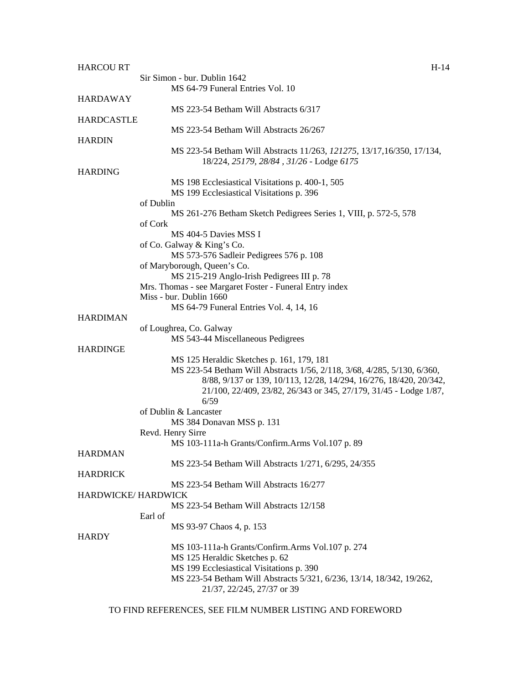| <b>HARCOURT</b>    | $H-14$                                                                  |
|--------------------|-------------------------------------------------------------------------|
|                    | Sir Simon - bur. Dublin 1642                                            |
|                    | MS 64-79 Funeral Entries Vol. 10                                        |
| <b>HARDAWAY</b>    |                                                                         |
|                    | MS 223-54 Betham Will Abstracts 6/317                                   |
| <b>HARDCASTLE</b>  |                                                                         |
|                    | MS 223-54 Betham Will Abstracts 26/267                                  |
| <b>HARDIN</b>      |                                                                         |
|                    | MS 223-54 Betham Will Abstracts 11/263, 121275, 13/17, 16/350, 17/134,  |
|                    | 18/224, 25179, 28/84, 31/26 - Lodge 6175                                |
| <b>HARDING</b>     |                                                                         |
|                    | MS 198 Ecclesiastical Visitations p. 400-1, 505                         |
|                    | MS 199 Ecclesiastical Visitations p. 396                                |
|                    | of Dublin                                                               |
|                    | MS 261-276 Betham Sketch Pedigrees Series 1, VIII, p. 572-5, 578        |
|                    | of Cork                                                                 |
|                    | MS 404-5 Davies MSS I                                                   |
|                    | of Co. Galway & King's Co.                                              |
|                    | MS 573-576 Sadleir Pedigrees 576 p. 108                                 |
|                    | of Maryborough, Queen's Co.                                             |
|                    | MS 215-219 Anglo-Irish Pedigrees III p. 78                              |
|                    | Mrs. Thomas - see Margaret Foster - Funeral Entry index                 |
|                    | Miss - bur. Dublin 1660                                                 |
|                    | MS 64-79 Funeral Entries Vol. 4, 14, 16                                 |
| <b>HARDIMAN</b>    |                                                                         |
|                    | of Loughrea, Co. Galway                                                 |
|                    | MS 543-44 Miscellaneous Pedigrees                                       |
| <b>HARDINGE</b>    |                                                                         |
|                    | MS 125 Heraldic Sketches p. 161, 179, 181                               |
|                    | MS 223-54 Betham Will Abstracts 1/56, 2/118, 3/68, 4/285, 5/130, 6/360, |
|                    | 8/88, 9/137 or 139, 10/113, 12/28, 14/294, 16/276, 18/420, 20/342,      |
|                    | 21/100, 22/409, 23/82, 26/343 or 345, 27/179, 31/45 - Lodge 1/87,       |
|                    | 6/59                                                                    |
|                    | of Dublin & Lancaster                                                   |
|                    | MS 384 Donavan MSS p. 131                                               |
|                    | Revd. Henry Sirre                                                       |
|                    | MS 103-111a-h Grants/Confirm.Arms Vol.107 p. 89                         |
| <b>HARDMAN</b>     |                                                                         |
|                    | MS 223-54 Betham Will Abstracts 1/271, 6/295, 24/355                    |
| <b>HARDRICK</b>    |                                                                         |
|                    | MS 223-54 Betham Will Abstracts 16/277                                  |
| HARDWICKE/HARDWICK |                                                                         |
|                    | MS 223-54 Betham Will Abstracts 12/158                                  |
|                    | Earl of                                                                 |
|                    | MS 93-97 Chaos 4, p. 153                                                |
| <b>HARDY</b>       |                                                                         |
|                    | MS 103-111a-h Grants/Confirm.Arms Vol.107 p. 274                        |
|                    | MS 125 Heraldic Sketches p. 62                                          |
|                    | MS 199 Ecclesiastical Visitations p. 390                                |
|                    | MS 223-54 Betham Will Abstracts 5/321, 6/236, 13/14, 18/342, 19/262,    |
|                    | 21/37, 22/245, 27/37 or 39                                              |
|                    |                                                                         |

TO FIND REFERENCES, SEE FILM NUMBER LISTING AND FOREWORD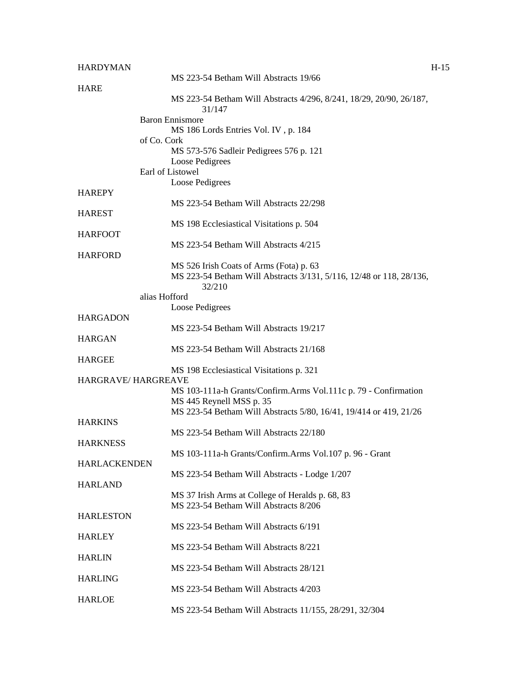| <b>HARDYMAN</b>           |                                                                               | $H-15$ |
|---------------------------|-------------------------------------------------------------------------------|--------|
|                           | MS 223-54 Betham Will Abstracts 19/66                                         |        |
| <b>HARE</b>               | MS 223-54 Betham Will Abstracts 4/296, 8/241, 18/29, 20/90, 26/187,<br>31/147 |        |
|                           | <b>Baron Ennismore</b>                                                        |        |
|                           | MS 186 Lords Entries Vol. IV, p. 184                                          |        |
|                           | of Co. Cork                                                                   |        |
|                           | MS 573-576 Sadleir Pedigrees 576 p. 121<br>Loose Pedigrees                    |        |
|                           | Earl of Listowel                                                              |        |
|                           | Loose Pedigrees                                                               |        |
| <b>HAREPY</b>             |                                                                               |        |
| <b>HAREST</b>             | MS 223-54 Betham Will Abstracts 22/298                                        |        |
|                           | MS 198 Ecclesiastical Visitations p. 504                                      |        |
| <b>HARFOOT</b>            |                                                                               |        |
|                           | MS 223-54 Betham Will Abstracts 4/215                                         |        |
| <b>HARFORD</b>            | MS 526 Irish Coats of Arms (Fota) p. 63                                       |        |
|                           | MS 223-54 Betham Will Abstracts 3/131, 5/116, 12/48 or 118, 28/136,<br>32/210 |        |
|                           | alias Hofford                                                                 |        |
|                           | Loose Pedigrees                                                               |        |
| <b>HARGADON</b>           | MS 223-54 Betham Will Abstracts 19/217                                        |        |
| <b>HARGAN</b>             |                                                                               |        |
|                           | MS 223-54 Betham Will Abstracts 21/168                                        |        |
| <b>HARGEE</b>             | MS 198 Ecclesiastical Visitations p. 321                                      |        |
| <b>HARGRAVE/HARGREAVE</b> |                                                                               |        |
|                           | MS 103-111a-h Grants/Confirm.Arms Vol.111c p. 79 - Confirmation               |        |
|                           | MS 445 Reynell MSS p. 35                                                      |        |
| <b>HARKINS</b>            | MS 223-54 Betham Will Abstracts 5/80, 16/41, 19/414 or 419, 21/26             |        |
|                           | MS 223-54 Betham Will Abstracts 22/180                                        |        |
| <b>HARKNESS</b>           |                                                                               |        |
|                           | MS 103-111a-h Grants/Confirm.Arms Vol.107 p. 96 - Grant                       |        |
| <b>HARLACKENDEN</b>       | MS 223-54 Betham Will Abstracts - Lodge 1/207                                 |        |
| <b>HARLAND</b>            |                                                                               |        |
|                           | MS 37 Irish Arms at College of Heralds p. 68, 83                              |        |
|                           | MS 223-54 Betham Will Abstracts 8/206                                         |        |
| <b>HARLESTON</b>          | MS 223-54 Betham Will Abstracts 6/191                                         |        |
| <b>HARLEY</b>             |                                                                               |        |
|                           | MS 223-54 Betham Will Abstracts 8/221                                         |        |
| <b>HARLIN</b>             |                                                                               |        |
| <b>HARLING</b>            | MS 223-54 Betham Will Abstracts 28/121                                        |        |
|                           | MS 223-54 Betham Will Abstracts 4/203                                         |        |
| <b>HARLOE</b>             |                                                                               |        |
|                           | MS 223-54 Betham Will Abstracts 11/155, 28/291, 32/304                        |        |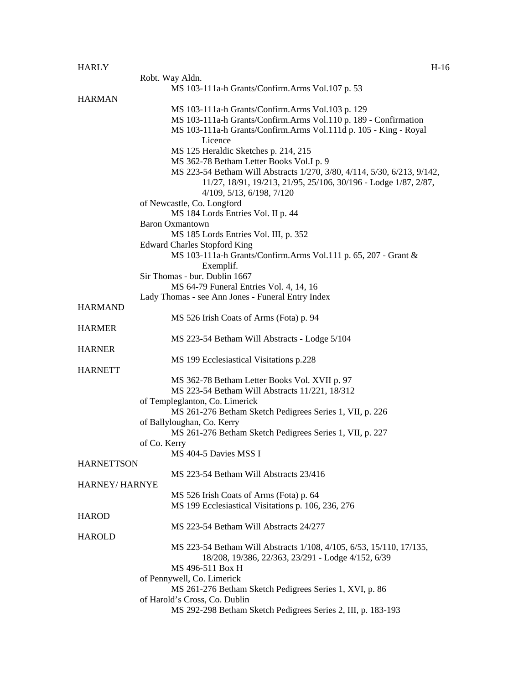## HARLY FIGURE 1.16

|                   | Robt. Way Aldn.                                                         |
|-------------------|-------------------------------------------------------------------------|
|                   | MS 103-111a-h Grants/Confirm.Arms Vol.107 p. 53                         |
|                   |                                                                         |
| <b>HARMAN</b>     |                                                                         |
|                   | MS 103-111a-h Grants/Confirm.Arms Vol.103 p. 129                        |
|                   | MS 103-111a-h Grants/Confirm.Arms Vol.110 p. 189 - Confirmation         |
|                   | MS 103-111a-h Grants/Confirm.Arms Vol.111d p. 105 - King - Royal        |
|                   | Licence                                                                 |
|                   | MS 125 Heraldic Sketches p. 214, 215                                    |
|                   | MS 362-78 Betham Letter Books Vol.I p. 9                                |
|                   | MS 223-54 Betham Will Abstracts 1/270, 3/80, 4/114, 5/30, 6/213, 9/142, |
|                   | 11/27, 18/91, 19/213, 21/95, 25/106, 30/196 - Lodge 1/87, 2/87,         |
|                   | $4/109$ , $5/13$ , $6/198$ , $7/120$                                    |
|                   | of Newcastle, Co. Longford                                              |
|                   | MS 184 Lords Entries Vol. II p. 44                                      |
|                   | <b>Baron Oxmantown</b>                                                  |
|                   | MS 185 Lords Entries Vol. III, p. 352                                   |
|                   | <b>Edward Charles Stopford King</b>                                     |
|                   | MS 103-111a-h Grants/Confirm.Arms Vol.111 p. 65, 207 - Grant &          |
|                   | Exemplif.                                                               |
|                   | Sir Thomas - bur. Dublin 1667                                           |
|                   | MS 64-79 Funeral Entries Vol. 4, 14, 16                                 |
|                   |                                                                         |
|                   | Lady Thomas - see Ann Jones - Funeral Entry Index                       |
| <b>HARMAND</b>    |                                                                         |
|                   | MS 526 Irish Coats of Arms (Fota) p. 94                                 |
| <b>HARMER</b>     |                                                                         |
|                   | MS 223-54 Betham Will Abstracts - Lodge 5/104                           |
| <b>HARNER</b>     |                                                                         |
|                   | MS 199 Ecclesiastical Visitations p.228                                 |
| <b>HARNETT</b>    |                                                                         |
|                   | MS 362-78 Betham Letter Books Vol. XVII p. 97                           |
|                   | MS 223-54 Betham Will Abstracts 11/221, 18/312                          |
|                   | of Templeglanton, Co. Limerick                                          |
|                   | MS 261-276 Betham Sketch Pedigrees Series 1, VII, p. 226                |
|                   | of Ballyloughan, Co. Kerry                                              |
|                   | MS 261-276 Betham Sketch Pedigrees Series 1, VII, p. 227                |
|                   | of Co. Kerry                                                            |
|                   | MS 404-5 Davies MSS I                                                   |
| <b>HARNETTSON</b> |                                                                         |
|                   | MS 223-54 Betham Will Abstracts 23/416                                  |
| HARNEY/HARNYE     |                                                                         |
|                   |                                                                         |
|                   | MS 526 Irish Coats of Arms (Fota) p. 64                                 |
|                   | MS 199 Ecclesiastical Visitations p. 106, 236, 276                      |
| <b>HAROD</b>      |                                                                         |
|                   | MS 223-54 Betham Will Abstracts 24/277                                  |
| <b>HAROLD</b>     |                                                                         |
|                   | MS 223-54 Betham Will Abstracts 1/108, 4/105, 6/53, 15/110, 17/135,     |
|                   | 18/208, 19/386, 22/363, 23/291 - Lodge 4/152, 6/39                      |
|                   | MS 496-511 Box H                                                        |
|                   | of Pennywell, Co. Limerick                                              |
|                   | MS 261-276 Betham Sketch Pedigrees Series 1, XVI, p. 86                 |
|                   | of Harold's Cross, Co. Dublin                                           |
|                   | MS 292-298 Betham Sketch Pedigrees Series 2, III, p. 183-193            |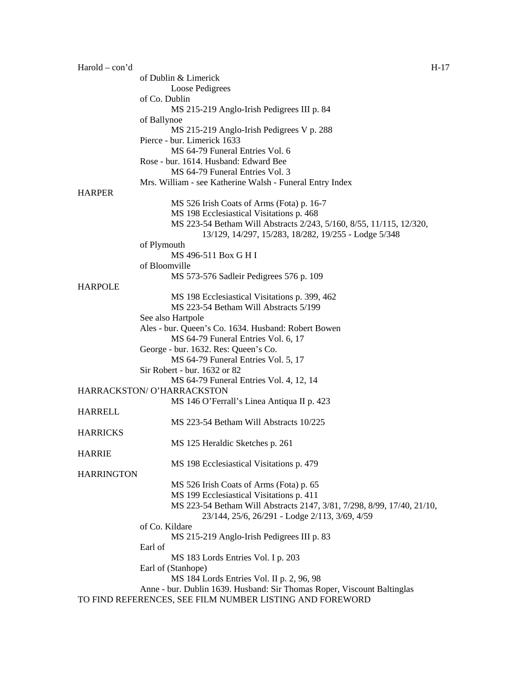| $Harold - con'd$  |                                                                         | H-17 |
|-------------------|-------------------------------------------------------------------------|------|
|                   | of Dublin & Limerick                                                    |      |
|                   | Loose Pedigrees                                                         |      |
|                   | of Co. Dublin                                                           |      |
|                   | MS 215-219 Anglo-Irish Pedigrees III p. 84                              |      |
|                   | of Ballynoe                                                             |      |
|                   | MS 215-219 Anglo-Irish Pedigrees V p. 288                               |      |
|                   | Pierce - bur. Limerick 1633                                             |      |
|                   | MS 64-79 Funeral Entries Vol. 6                                         |      |
|                   |                                                                         |      |
|                   | Rose - bur. 1614. Husband: Edward Bee                                   |      |
|                   | MS 64-79 Funeral Entries Vol. 3                                         |      |
|                   | Mrs. William - see Katherine Walsh - Funeral Entry Index                |      |
| <b>HARPER</b>     |                                                                         |      |
|                   | MS 526 Irish Coats of Arms (Fota) p. 16-7                               |      |
|                   | MS 198 Ecclesiastical Visitations p. 468                                |      |
|                   | MS 223-54 Betham Will Abstracts 2/243, 5/160, 8/55, 11/115, 12/320,     |      |
|                   | 13/129, 14/297, 15/283, 18/282, 19/255 - Lodge 5/348                    |      |
|                   | of Plymouth                                                             |      |
|                   | MS 496-511 Box G H I                                                    |      |
|                   | of Bloomville                                                           |      |
|                   | MS 573-576 Sadleir Pedigrees 576 p. 109                                 |      |
| <b>HARPOLE</b>    |                                                                         |      |
|                   | MS 198 Ecclesiastical Visitations p. 399, 462                           |      |
|                   | MS 223-54 Betham Will Abstracts 5/199                                   |      |
|                   | See also Hartpole                                                       |      |
|                   |                                                                         |      |
|                   | Ales - bur. Queen's Co. 1634. Husband: Robert Bowen                     |      |
|                   | MS 64-79 Funeral Entries Vol. 6, 17                                     |      |
|                   | George - bur. 1632. Res: Queen's Co.                                    |      |
|                   | MS 64-79 Funeral Entries Vol. 5, 17                                     |      |
|                   | Sir Robert - bur. 1632 or 82                                            |      |
|                   | MS 64-79 Funeral Entries Vol. 4, 12, 14                                 |      |
|                   | HARRACKSTON/ O'HARRACKSTON                                              |      |
|                   | MS 146 O'Ferrall's Linea Antiqua II p. 423                              |      |
| <b>HARRELL</b>    |                                                                         |      |
|                   | MS 223-54 Betham Will Abstracts 10/225                                  |      |
| <b>HARRICKS</b>   |                                                                         |      |
|                   | MS 125 Heraldic Sketches p. 261                                         |      |
| <b>HARRIE</b>     |                                                                         |      |
|                   | MS 198 Ecclesiastical Visitations p. 479                                |      |
| <b>HARRINGTON</b> |                                                                         |      |
|                   | MS 526 Irish Coats of Arms (Fota) p. 65                                 |      |
|                   |                                                                         |      |
|                   | MS 199 Ecclesiastical Visitations p. 411                                |      |
|                   | MS 223-54 Betham Will Abstracts 2147, 3/81, 7/298, 8/99, 17/40, 21/10,  |      |
|                   | 23/144, 25/6, 26/291 - Lodge 2/113, 3/69, 4/59                          |      |
|                   | of Co. Kildare                                                          |      |
|                   | MS 215-219 Anglo-Irish Pedigrees III p. 83                              |      |
|                   | Earl of                                                                 |      |
|                   | MS 183 Lords Entries Vol. I p. 203                                      |      |
|                   | Earl of (Stanhope)                                                      |      |
|                   | MS 184 Lords Entries Vol. II p. 2, 96, 98                               |      |
|                   | Anne - bur. Dublin 1639. Husband: Sir Thomas Roper, Viscount Baltinglas |      |
|                   | TO FIND REFERENCES, SEE FILM NUMBER LISTING AND FOREWORD                |      |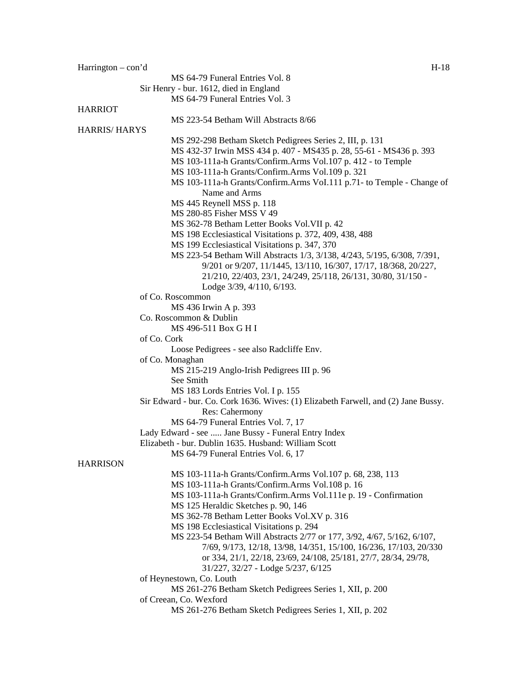Harrington – con'd H-18 MS 64-79 Funeral Entries Vol. 8 Sir Henry - bur. 1612, died in England MS 64-79 Funeral Entries Vol. 3 HARRIOT MS 223-54 Betham Will Abstracts 8/66 HARRIS/ HARYS MS 292-298 Betham Sketch Pedigrees Series 2, III, p. 131 MS 432-37 Irwin MSS 434 p. 407 - MS435 p. 28, 55-61 - MS436 p. 393 MS 103-111a-h Grants/Confirm.Arms Vol.107 p. 412 - to Temple MS 103-111a-h Grants/Confirm.Arms Vol.109 p. 321 MS 103-111a-h Grants/Confirm.Arms VoI.111 p.71- to Temple - Change of Name and Arms MS 445 Reynell MSS p. 118 MS 280-85 Fisher MSS V 49 MS 362-78 Betham Letter Books Vol.VII p. 42 MS 198 Ecclesiastical Visitations p. 372, 409, 438, 488 MS 199 Ecclesiastical Visitations p. 347, 370 MS 223-54 Betham Will Abstracts 1/3, 3/138, 4/243, 5/195, 6/308, 7/391, 9/201 or 9/207, 11/1445, 13/110, 16/307, 17/17, 18/368, 20/227, 21/210, 22/403, 23/1, 24/249, 25/118, 26/131, 30/80, 31/150 - Lodge 3/39, 4/110, 6/193. of Co. Roscommon MS 436 Irwin A p. 393 Co. Roscommon & Dublin MS 496-511 Box G H I of Co. Cork Loose Pedigrees - see also Radcliffe Env. of Co. Monaghan MS 215-219 Anglo-Irish Pedigrees III p. 96 See Smith MS 183 Lords Entries Vol. I p. 155 Sir Edward - bur. Co. Cork 1636. Wives: (1) Elizabeth Farwell, and (2) Jane Bussy. Res: Cahermony MS 64-79 Funeral Entries Vol. 7, 17 Lady Edward - see ..... Jane Bussy - Funeral Entry Index Elizabeth - bur. Dublin 1635. Husband: William Scott MS 64-79 Funeral Entries Vol. 6, 17 **HARRISON** MS 103-111a-h Grants/Confirm.Arms Vol.107 p. 68, 238, 113 MS 103-111a-h Grants/Confirm.Arms Vol.108 p. 16 MS 103-111a-h Grants/Confirm.Arms Vol.111e p. 19 - Confirmation MS 125 Heraldic Sketches p. 90, 146 MS 362-78 Betham Letter Books Vol.XV p. 316 MS 198 Ecclesiastical Visitations p. 294 MS 223-54 Betham Will Abstracts 2/77 or 177, 3/92, 4/67, 5/162, 6/107, 7/69, 9/173, 12/18, 13/98, 14/351, 15/100, 16/236, 17/103, 20/330 or 334, 21/1, 22/18, 23/69, 24/108, 25/181, 27/7, 28/34, 29/78, 31/227, 32/27 - Lodge 5/237, 6/125 of Heynestown, Co. Louth MS 261-276 Betham Sketch Pedigrees Series 1, XII, p. 200 of Creean, Co. Wexford MS 261-276 Betham Sketch Pedigrees Series 1, XII*,* p. 202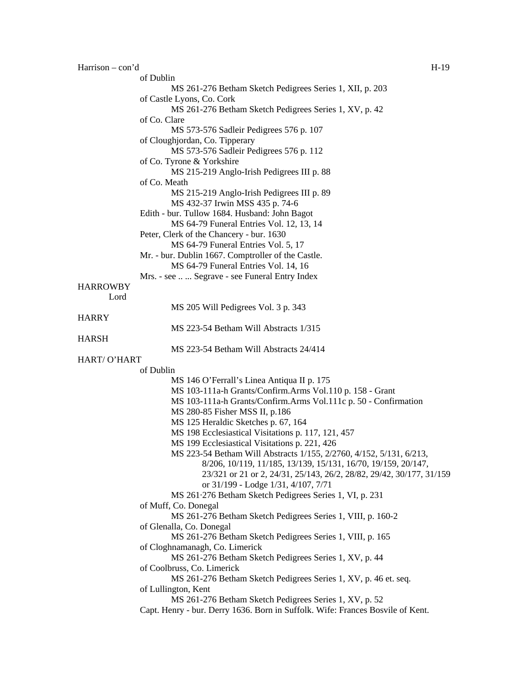| $Harrison - con'd$ |                                                                                | $H-19$ |
|--------------------|--------------------------------------------------------------------------------|--------|
|                    | of Dublin                                                                      |        |
|                    | MS 261-276 Betham Sketch Pedigrees Series 1, XII, p. 203                       |        |
|                    | of Castle Lyons, Co. Cork                                                      |        |
|                    | MS 261-276 Betham Sketch Pedigrees Series 1, XV, p. 42                         |        |
|                    | of Co. Clare                                                                   |        |
|                    | MS 573-576 Sadleir Pedigrees 576 p. 107                                        |        |
|                    | of Cloughjordan, Co. Tipperary                                                 |        |
|                    | MS 573-576 Sadleir Pedigrees 576 p. 112                                        |        |
|                    | of Co. Tyrone & Yorkshire                                                      |        |
|                    | MS 215-219 Anglo-Irish Pedigrees III p. 88                                     |        |
|                    | of Co. Meath                                                                   |        |
|                    | MS 215-219 Anglo-Irish Pedigrees III p. 89                                     |        |
|                    | MS 432-37 Irwin MSS 435 p. 74-6                                                |        |
|                    | Edith - bur. Tullow 1684. Husband: John Bagot                                  |        |
|                    | MS 64-79 Funeral Entries Vol. 12, 13, 14                                       |        |
|                    | Peter, Clerk of the Chancery - bur. 1630                                       |        |
|                    | MS 64-79 Funeral Entries Vol. 5, 17                                            |        |
|                    | Mr. - bur. Dublin 1667. Comptroller of the Castle.                             |        |
|                    | MS 64-79 Funeral Entries Vol. 14, 16                                           |        |
|                    | Mrs. - see   Segrave - see Funeral Entry Index                                 |        |
| <b>HARROWBY</b>    |                                                                                |        |
| Lord               |                                                                                |        |
|                    | MS 205 Will Pedigrees Vol. 3 p. 343                                            |        |
| <b>HARRY</b>       | MS 223-54 Betham Will Abstracts 1/315                                          |        |
| <b>HARSH</b>       |                                                                                |        |
|                    | MS 223-54 Betham Will Abstracts 24/414                                         |        |
| HART/ O'HART       |                                                                                |        |
|                    | of Dublin                                                                      |        |
|                    | MS 146 O'Ferrall's Linea Antiqua II p. 175                                     |        |
|                    | MS 103-111a-h Grants/Confirm.Arms Vol.110 p. 158 - Grant                       |        |
|                    | MS 103-111a-h Grants/Confirm.Arms Vol.111c p. 50 - Confirmation                |        |
|                    | MS 280-85 Fisher MSS II, p.186                                                 |        |
|                    | MS 125 Heraldic Sketches p. 67, 164                                            |        |
|                    | MS 198 Ecclesiastical Visitations p. 117, 121, 457                             |        |
|                    | MS 199 Ecclesiastical Visitations p. 221, 426                                  |        |
|                    | MS 223-54 Betham Will Abstracts 1/155, 2/2760, 4/152, 5/131, 6/213,            |        |
|                    | 8/206, 10/119, 11/185, 13/139, 15/131, 16/70, 19/159, 20/147,                  |        |
|                    | 23/321 or 21 or 2, 24/31, 25/143, 26/2, 28/82, 29/42, 30/177, 31/159           |        |
|                    | or 31/199 - Lodge 1/31, 4/107, 7/71                                            |        |
|                    | MS 261.276 Betham Sketch Pedigrees Series 1, VI, p. 231                        |        |
|                    | of Muff, Co. Donegal                                                           |        |
|                    | MS 261-276 Betham Sketch Pedigrees Series 1, VIII, p. 160-2                    |        |
|                    | of Glenalla, Co. Donegal                                                       |        |
|                    | MS 261-276 Betham Sketch Pedigrees Series 1, VIII, p. 165                      |        |
|                    | of Cloghnamanagh, Co. Limerick                                                 |        |
|                    | MS 261-276 Betham Sketch Pedigrees Series 1, XV, p. 44                         |        |
|                    | of Coolbruss, Co. Limerick                                                     |        |
|                    | MS 261-276 Betham Sketch Pedigrees Series 1, XV, p. 46 et. seq.                |        |
|                    | of Lullington, Kent                                                            |        |
|                    | MS 261-276 Betham Sketch Pedigrees Series 1, XV, p. 52                         |        |
|                    | Capt. Henry - bur. Derry 1636. Born in Suffolk. Wife: Frances Bosvile of Kent. |        |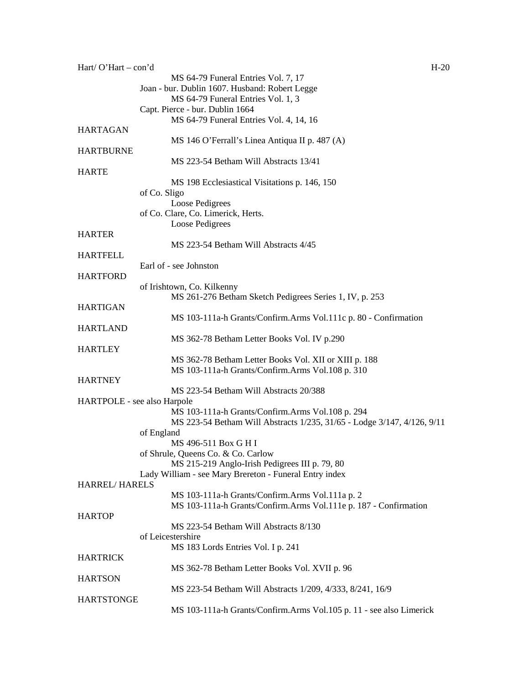| Hart/ $O'$ Hart – con'd     |                                                                                                                             | $H-20$ |
|-----------------------------|-----------------------------------------------------------------------------------------------------------------------------|--------|
|                             | MS 64-79 Funeral Entries Vol. 7, 17                                                                                         |        |
|                             | Joan - bur. Dublin 1607. Husband: Robert Legge                                                                              |        |
|                             | MS 64-79 Funeral Entries Vol. 1, 3                                                                                          |        |
|                             | Capt. Pierce - bur. Dublin 1664                                                                                             |        |
|                             | MS 64-79 Funeral Entries Vol. 4, 14, 16                                                                                     |        |
| <b>HARTAGAN</b>             |                                                                                                                             |        |
|                             | MS 146 O'Ferrall's Linea Antiqua II p. 487 (A)                                                                              |        |
| <b>HARTBURNE</b>            | MS 223-54 Betham Will Abstracts 13/41                                                                                       |        |
| <b>HARTE</b>                |                                                                                                                             |        |
|                             | MS 198 Ecclesiastical Visitations p. 146, 150                                                                               |        |
|                             | of Co. Sligo                                                                                                                |        |
|                             | Loose Pedigrees                                                                                                             |        |
|                             | of Co. Clare, Co. Limerick, Herts.                                                                                          |        |
|                             | Loose Pedigrees                                                                                                             |        |
| <b>HARTER</b>               |                                                                                                                             |        |
|                             | MS 223-54 Betham Will Abstracts 4/45                                                                                        |        |
| <b>HARTFELL</b>             |                                                                                                                             |        |
|                             | Earl of - see Johnston                                                                                                      |        |
| <b>HARTFORD</b>             |                                                                                                                             |        |
|                             | of Irishtown, Co. Kilkenny                                                                                                  |        |
|                             | MS 261-276 Betham Sketch Pedigrees Series 1, IV, p. 253                                                                     |        |
| <b>HARTIGAN</b>             |                                                                                                                             |        |
|                             | MS 103-111a-h Grants/Confirm.Arms Vol.111c p. 80 - Confirmation                                                             |        |
| <b>HARTLAND</b>             |                                                                                                                             |        |
|                             | MS 362-78 Betham Letter Books Vol. IV p.290                                                                                 |        |
| <b>HARTLEY</b>              |                                                                                                                             |        |
|                             | MS 362-78 Betham Letter Books Vol. XII or XIII p. 188                                                                       |        |
|                             | MS 103-111a-h Grants/Confirm.Arms Vol.108 p. 310                                                                            |        |
| <b>HARTNEY</b>              |                                                                                                                             |        |
|                             | MS 223-54 Betham Will Abstracts 20/388                                                                                      |        |
| HARTPOLE - see also Harpole |                                                                                                                             |        |
|                             | MS 103-111a-h Grants/Confirm.Arms Vol.108 p. 294<br>MS 223-54 Betham Will Abstracts 1/235, 31/65 - Lodge 3/147, 4/126, 9/11 |        |
|                             | of England                                                                                                                  |        |
|                             | MS 496-511 Box G H I                                                                                                        |        |
|                             | of Shrule, Queens Co. & Co. Carlow                                                                                          |        |
|                             | MS 215-219 Anglo-Irish Pedigrees III p. 79, 80                                                                              |        |
|                             | Lady William - see Mary Brereton - Funeral Entry index                                                                      |        |
| <b>HARREL/HARELS</b>        |                                                                                                                             |        |
|                             | MS 103-111a-h Grants/Confirm.Arms Vol.111a p. 2                                                                             |        |
|                             | MS 103-111a-h Grants/Confirm.Arms Vol.111e p. 187 - Confirmation                                                            |        |
| <b>HARTOP</b>               |                                                                                                                             |        |
|                             | MS 223-54 Betham Will Abstracts 8/130                                                                                       |        |
|                             | of Leicestershire                                                                                                           |        |
|                             | MS 183 Lords Entries Vol. I p. 241                                                                                          |        |
| <b>HARTRICK</b>             |                                                                                                                             |        |
|                             | MS 362-78 Betham Letter Books Vol. XVII p. 96                                                                               |        |
| <b>HARTSON</b>              |                                                                                                                             |        |
|                             | MS 223-54 Betham Will Abstracts 1/209, 4/333, 8/241, 16/9                                                                   |        |
| <b>HARTSTONGE</b>           |                                                                                                                             |        |
|                             | MS 103-111a-h Grants/Confirm.Arms Vol.105 p. 11 - see also Limerick                                                         |        |
|                             |                                                                                                                             |        |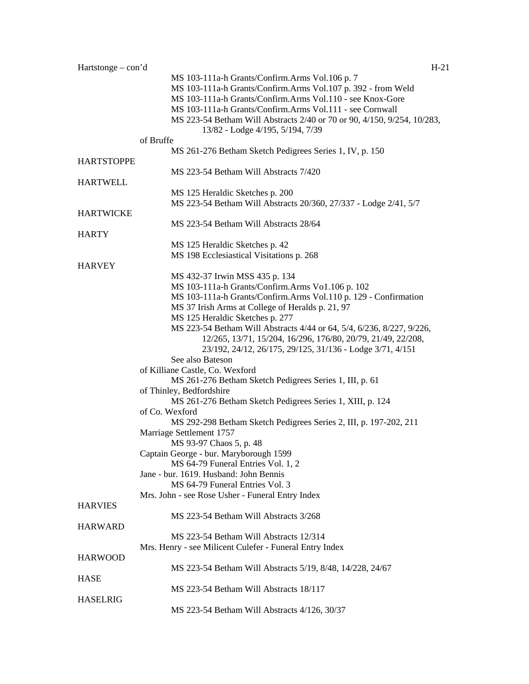| $Hartstone - con'd$ |                                                                         | $H-21$ |
|---------------------|-------------------------------------------------------------------------|--------|
|                     | MS 103-111a-h Grants/Confirm.Arms Vol.106 p. 7                          |        |
|                     | MS 103-111a-h Grants/Confirm.Arms Vol.107 p. 392 - from Weld            |        |
|                     | MS 103-111a-h Grants/Confirm.Arms Vol.110 - see Knox-Gore               |        |
|                     | MS 103-111a-h Grants/Confirm.Arms Vol.111 - see Cornwall                |        |
|                     | MS 223-54 Betham Will Abstracts 2/40 or 70 or 90, 4/150, 9/254, 10/283, |        |
|                     |                                                                         |        |
|                     | 13/82 - Lodge 4/195, 5/194, 7/39                                        |        |
|                     | of Bruffe                                                               |        |
|                     | MS 261-276 Betham Sketch Pedigrees Series 1, IV, p. 150                 |        |
| <b>HARTSTOPPE</b>   |                                                                         |        |
|                     | MS 223-54 Betham Will Abstracts 7/420                                   |        |
| <b>HARTWELL</b>     |                                                                         |        |
|                     | MS 125 Heraldic Sketches p. 200                                         |        |
|                     | MS 223-54 Betham Will Abstracts 20/360, 27/337 - Lodge 2/41, 5/7        |        |
| <b>HARTWICKE</b>    |                                                                         |        |
|                     | MS 223-54 Betham Will Abstracts 28/64                                   |        |
| <b>HARTY</b>        |                                                                         |        |
|                     | MS 125 Heraldic Sketches p. 42                                          |        |
|                     | MS 198 Ecclesiastical Visitations p. 268                                |        |
| <b>HARVEY</b>       |                                                                         |        |
|                     |                                                                         |        |
|                     | MS 432-37 Irwin MSS 435 p. 134                                          |        |
|                     | MS 103-111a-h Grants/Confirm.Arms Vo1.106 p. 102                        |        |
|                     | MS 103-111a-h Grants/Confirm.Arms Vol.110 p. 129 - Confirmation         |        |
|                     | MS 37 Irish Arms at College of Heralds p. 21, 97                        |        |
|                     | MS 125 Heraldic Sketches p. 277                                         |        |
|                     | MS 223-54 Betham Will Abstracts 4/44 or 64, 5/4, 6/236, 8/227, 9/226,   |        |
|                     | 12/265, 13/71, 15/204, 16/296, 176/80, 20/79, 21/49, 22/208,            |        |
|                     | 23/192, 24/12, 26/175, 29/125, 31/136 - Lodge 3/71, 4/151               |        |
|                     | See also Bateson                                                        |        |
|                     | of Killiane Castle, Co. Wexford                                         |        |
|                     |                                                                         |        |
|                     | MS 261-276 Betham Sketch Pedigrees Series 1, III, p. 61                 |        |
|                     | of Thinley, Bedfordshire                                                |        |
|                     | MS 261-276 Betham Sketch Pedigrees Series 1, XIII, p. 124               |        |
|                     | of Co. Wexford                                                          |        |
|                     | MS 292-298 Betham Sketch Pedigrees Series 2, III, p. 197-202, 211       |        |
|                     | Marriage Settlement 1757                                                |        |
|                     | MS 93-97 Chaos 5, p. 48                                                 |        |
|                     | Captain George - bur. Maryborough 1599                                  |        |
|                     | MS 64-79 Funeral Entries Vol. 1, 2                                      |        |
|                     | Jane - bur. 1619. Husband: John Bennis                                  |        |
|                     | MS 64-79 Funeral Entries Vol. 3                                         |        |
|                     |                                                                         |        |
|                     | Mrs. John - see Rose Usher - Funeral Entry Index                        |        |
| <b>HARVIES</b>      |                                                                         |        |
|                     | MS 223-54 Betham Will Abstracts 3/268                                   |        |
| <b>HARWARD</b>      |                                                                         |        |
|                     | MS 223-54 Betham Will Abstracts 12/314                                  |        |
|                     | Mrs. Henry - see Milicent Culefer - Funeral Entry Index                 |        |
| <b>HARWOOD</b>      |                                                                         |        |
|                     | MS 223-54 Betham Will Abstracts 5/19, 8/48, 14/228, 24/67               |        |
| <b>HASE</b>         |                                                                         |        |
|                     | MS 223-54 Betham Will Abstracts 18/117                                  |        |
|                     |                                                                         |        |
| <b>HASELRIG</b>     |                                                                         |        |
|                     | MS 223-54 Betham Will Abstracts 4/126, 30/37                            |        |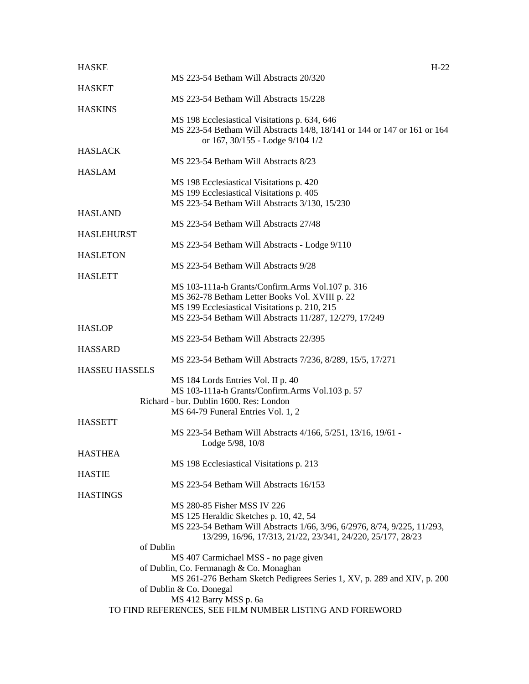| <b>HASKE</b>          | $H-22$                                                                                                                    |  |
|-----------------------|---------------------------------------------------------------------------------------------------------------------------|--|
|                       | MS 223-54 Betham Will Abstracts 20/320                                                                                    |  |
| <b>HASKET</b>         |                                                                                                                           |  |
|                       | MS 223-54 Betham Will Abstracts 15/228                                                                                    |  |
| <b>HASKINS</b>        |                                                                                                                           |  |
|                       | MS 198 Ecclesiastical Visitations p. 634, 646<br>MS 223-54 Betham Will Abstracts 14/8, 18/141 or 144 or 147 or 161 or 164 |  |
|                       | or 167, 30/155 - Lodge 9/104 1/2                                                                                          |  |
| <b>HASLACK</b>        |                                                                                                                           |  |
|                       | MS 223-54 Betham Will Abstracts 8/23                                                                                      |  |
| <b>HASLAM</b>         |                                                                                                                           |  |
|                       | MS 198 Ecclesiastical Visitations p. 420                                                                                  |  |
|                       | MS 199 Ecclesiastical Visitations p. 405                                                                                  |  |
|                       | MS 223-54 Betham Will Abstracts 3/130, 15/230                                                                             |  |
| <b>HASLAND</b>        |                                                                                                                           |  |
|                       | MS 223-54 Betham Will Abstracts 27/48                                                                                     |  |
| <b>HASLEHURST</b>     |                                                                                                                           |  |
|                       | MS 223-54 Betham Will Abstracts - Lodge 9/110                                                                             |  |
| <b>HASLETON</b>       |                                                                                                                           |  |
|                       | MS 223-54 Betham Will Abstracts 9/28                                                                                      |  |
| <b>HASLETT</b>        |                                                                                                                           |  |
|                       | MS 103-111a-h Grants/Confirm.Arms Vol.107 p. 316<br>MS 362-78 Betham Letter Books Vol. XVIII p. 22                        |  |
|                       | MS 199 Ecclesiastical Visitations p. 210, 215                                                                             |  |
|                       | MS 223-54 Betham Will Abstracts 11/287, 12/279, 17/249                                                                    |  |
| <b>HASLOP</b>         |                                                                                                                           |  |
|                       | MS 223-54 Betham Will Abstracts 22/395                                                                                    |  |
| <b>HASSARD</b>        |                                                                                                                           |  |
|                       | MS 223-54 Betham Will Abstracts 7/236, 8/289, 15/5, 17/271                                                                |  |
| <b>HASSEU HASSELS</b> |                                                                                                                           |  |
|                       | MS 184 Lords Entries Vol. II p. 40                                                                                        |  |
|                       | MS 103-111a-h Grants/Confirm.Arms Vol.103 p. 57                                                                           |  |
|                       | Richard - bur. Dublin 1600. Res: London                                                                                   |  |
|                       | MS 64-79 Funeral Entries Vol. 1, 2                                                                                        |  |
| <b>HASSETT</b>        |                                                                                                                           |  |
|                       | MS 223-54 Betham Will Abstracts 4/166, 5/251, 13/16, 19/61 -                                                              |  |
| <b>HASTHEA</b>        | Lodge 5/98, 10/8                                                                                                          |  |
|                       | MS 198 Ecclesiastical Visitations p. 213                                                                                  |  |
| <b>HASTIE</b>         |                                                                                                                           |  |
|                       | MS 223-54 Betham Will Abstracts 16/153                                                                                    |  |
| <b>HASTINGS</b>       |                                                                                                                           |  |
|                       | MS 280-85 Fisher MSS IV 226                                                                                               |  |
|                       | MS 125 Heraldic Sketches p. 10, 42, 54                                                                                    |  |
|                       | MS 223-54 Betham Will Abstracts 1/66, 3/96, 6/2976, 8/74, 9/225, 11/293,                                                  |  |
|                       | 13/299, 16/96, 17/313, 21/22, 23/341, 24/220, 25/177, 28/23                                                               |  |
|                       | of Dublin                                                                                                                 |  |
|                       | MS 407 Carmichael MSS - no page given                                                                                     |  |
|                       | of Dublin, Co. Fermanagh & Co. Monaghan                                                                                   |  |
|                       | MS 261-276 Betham Sketch Pedigrees Series 1, XV, p. 289 and XIV, p. 200                                                   |  |
|                       | of Dublin & Co. Donegal<br>MS 412 Barry MSS p. 6a                                                                         |  |
|                       | TO FIND REFERENCES, SEE FILM NUMBER LISTING AND FOREWORD                                                                  |  |
|                       |                                                                                                                           |  |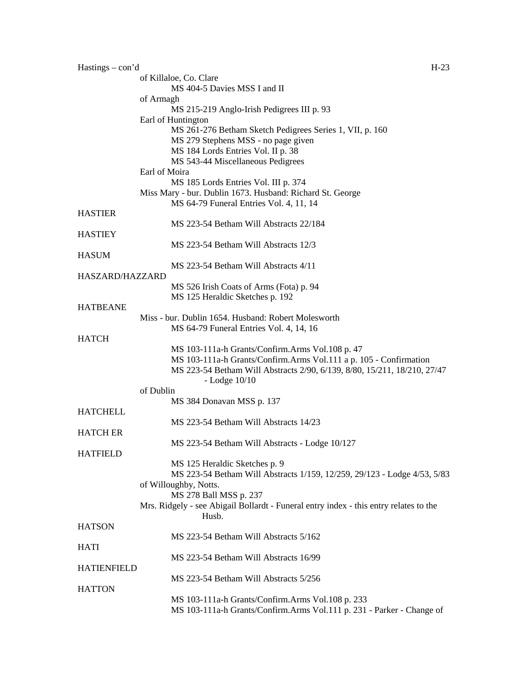| $Hastings - con'd$ | $H-23$                                                                                |
|--------------------|---------------------------------------------------------------------------------------|
|                    | of Killaloe, Co. Clare                                                                |
|                    | MS 404-5 Davies MSS I and II                                                          |
|                    | of Armagh                                                                             |
|                    | MS 215-219 Anglo-Irish Pedigrees III p. 93                                            |
|                    | Earl of Huntington                                                                    |
|                    | MS 261-276 Betham Sketch Pedigrees Series 1, VII, p. 160                              |
|                    | MS 279 Stephens MSS - no page given                                                   |
|                    | MS 184 Lords Entries Vol. II p. 38                                                    |
|                    |                                                                                       |
|                    | MS 543-44 Miscellaneous Pedigrees                                                     |
|                    | Earl of Moira                                                                         |
|                    | MS 185 Lords Entries Vol. III p. 374                                                  |
|                    | Miss Mary - bur. Dublin 1673. Husband: Richard St. George                             |
|                    | MS 64-79 Funeral Entries Vol. 4, 11, 14                                               |
| <b>HASTIER</b>     |                                                                                       |
|                    | MS 223-54 Betham Will Abstracts 22/184                                                |
| <b>HASTIEY</b>     |                                                                                       |
|                    | MS 223-54 Betham Will Abstracts 12/3                                                  |
| <b>HASUM</b>       |                                                                                       |
|                    | MS 223-54 Betham Will Abstracts 4/11                                                  |
|                    |                                                                                       |
| HASZARD/HAZZARD    |                                                                                       |
|                    | MS 526 Irish Coats of Arms (Fota) p. 94                                               |
|                    | MS 125 Heraldic Sketches p. 192                                                       |
| <b>HATBEANE</b>    |                                                                                       |
|                    | Miss - bur. Dublin 1654. Husband: Robert Molesworth                                   |
|                    | MS 64-79 Funeral Entries Vol. 4, 14, 16                                               |
| <b>HATCH</b>       |                                                                                       |
|                    | MS 103-111a-h Grants/Confirm.Arms Vol.108 p. 47                                       |
|                    | MS 103-111a-h Grants/Confirm.Arms Vol.111 a p. 105 - Confirmation                     |
|                    | MS 223-54 Betham Will Abstracts 2/90, 6/139, 8/80, 15/211, 18/210, 27/47              |
|                    |                                                                                       |
|                    | $-Lodge$ 10/10                                                                        |
|                    | of Dublin                                                                             |
|                    | MS 384 Donavan MSS p. 137                                                             |
| <b>HATCHELL</b>    |                                                                                       |
|                    | MS 223-54 Betham Will Abstracts 14/23                                                 |
| <b>HATCH ER</b>    |                                                                                       |
|                    | MS 223-54 Betham Will Abstracts - Lodge 10/127                                        |
| <b>HATFIELD</b>    |                                                                                       |
|                    | MS 125 Heraldic Sketches p. 9                                                         |
|                    | MS 223-54 Betham Will Abstracts 1/159, 12/259, 29/123 - Lodge 4/53, 5/83              |
|                    |                                                                                       |
|                    | of Willoughby, Notts.                                                                 |
|                    | MS 278 Ball MSS p. 237                                                                |
|                    | Mrs. Ridgely - see Abigail Bollardt - Funeral entry index - this entry relates to the |
|                    | Husb.                                                                                 |
| <b>HATSON</b>      |                                                                                       |
|                    | MS 223-54 Betham Will Abstracts 5/162                                                 |
| <b>HATI</b>        |                                                                                       |
|                    | MS 223-54 Betham Will Abstracts 16/99                                                 |
| <b>HATIENFIELD</b> |                                                                                       |
|                    | MS 223-54 Betham Will Abstracts 5/256                                                 |
| <b>HATTON</b>      |                                                                                       |
|                    |                                                                                       |
|                    | MS 103-111a-h Grants/Confirm.Arms Vol.108 p. 233                                      |
|                    | MS 103-111a-h Grants/Confirm.Arms Vol.111 p. 231 - Parker - Change of                 |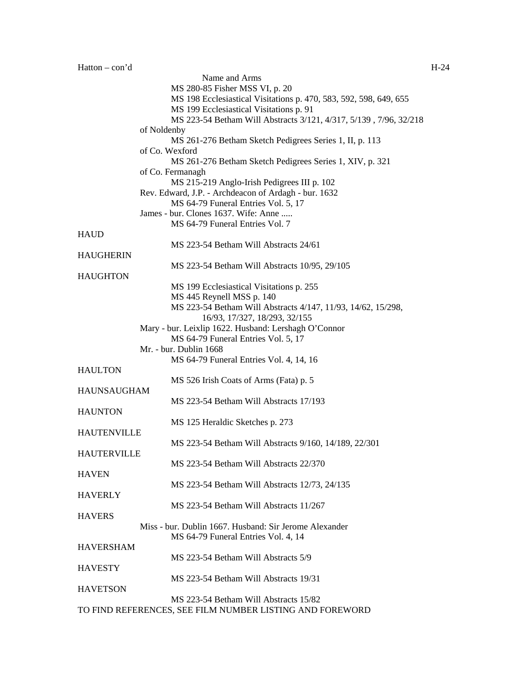|                    | Name and Arms                                                     |
|--------------------|-------------------------------------------------------------------|
|                    | MS 280-85 Fisher MSS VI, p. 20                                    |
|                    | MS 198 Ecclesiastical Visitations p. 470, 583, 592, 598, 649, 655 |
|                    | MS 199 Ecclesiastical Visitations p. 91                           |
|                    | MS 223-54 Betham Will Abstracts 3/121, 4/317, 5/139, 7/96, 32/218 |
|                    | of Noldenby                                                       |
|                    | MS 261-276 Betham Sketch Pedigrees Series 1, II, p. 113           |
|                    | of Co. Wexford                                                    |
|                    |                                                                   |
|                    | MS 261-276 Betham Sketch Pedigrees Series 1, XIV, p. 321          |
|                    | of Co. Fermanagh                                                  |
|                    | MS 215-219 Anglo-Irish Pedigrees III p. 102                       |
|                    | Rev. Edward, J.P. - Archdeacon of Ardagh - bur. 1632              |
|                    | MS 64-79 Funeral Entries Vol. 5, 17                               |
|                    | James - bur. Clones 1637. Wife: Anne                              |
|                    | MS 64-79 Funeral Entries Vol. 7                                   |
| <b>HAUD</b>        |                                                                   |
|                    | MS 223-54 Betham Will Abstracts 24/61                             |
| <b>HAUGHERIN</b>   |                                                                   |
|                    | MS 223-54 Betham Will Abstracts 10/95, 29/105                     |
|                    |                                                                   |
| <b>HAUGHTON</b>    |                                                                   |
|                    | MS 199 Ecclesiastical Visitations p. 255                          |
|                    | MS 445 Reynell MSS p. 140                                         |
|                    | MS 223-54 Betham Will Abstracts 4/147, 11/93, 14/62, 15/298,      |
|                    | 16/93, 17/327, 18/293, 32/155                                     |
|                    | Mary - bur. Leixlip 1622. Husband: Lershagh O'Connor              |
|                    | MS 64-79 Funeral Entries Vol. 5, 17                               |
|                    | Mr. - bur. Dublin 1668                                            |
|                    | MS 64-79 Funeral Entries Vol. 4, 14, 16                           |
| <b>HAULTON</b>     |                                                                   |
|                    |                                                                   |
|                    | MS 526 Irish Coats of Arms (Fata) p. 5                            |
| <b>HAUNSAUGHAM</b> |                                                                   |
|                    | MS 223-54 Betham Will Abstracts 17/193                            |
| <b>HAUNTON</b>     |                                                                   |
|                    | MS 125 Heraldic Sketches p. 273                                   |
| <b>HAUTENVILLE</b> |                                                                   |
|                    | MS 223-54 Betham Will Abstracts 9/160, 14/189, 22/301             |
| <b>HAUTERVILLE</b> |                                                                   |
|                    | MS 223-54 Betham Will Abstracts 22/370                            |
|                    |                                                                   |
| <b>HAVEN</b>       |                                                                   |
|                    | MS 223-54 Betham Will Abstracts 12/73, 24/135                     |
| <b>HAVERLY</b>     |                                                                   |
|                    | MS 223-54 Betham Will Abstracts 11/267                            |
| <b>HAVERS</b>      |                                                                   |
|                    | Miss - bur. Dublin 1667. Husband: Sir Jerome Alexander            |
|                    | MS 64-79 Funeral Entries Vol. 4, 14                               |
| <b>HAVERSHAM</b>   |                                                                   |
|                    | MS 223-54 Betham Will Abstracts 5/9                               |
| <b>HAVESTY</b>     |                                                                   |
|                    |                                                                   |
|                    | MS 223-54 Betham Will Abstracts 19/31                             |
| <b>HAVETSON</b>    |                                                                   |
|                    | MS 223-54 Betham Will Abstracts 15/82                             |
|                    | TO FIND REFERENCES, SEE FILM NUMBER LISTING AND FOREWORD          |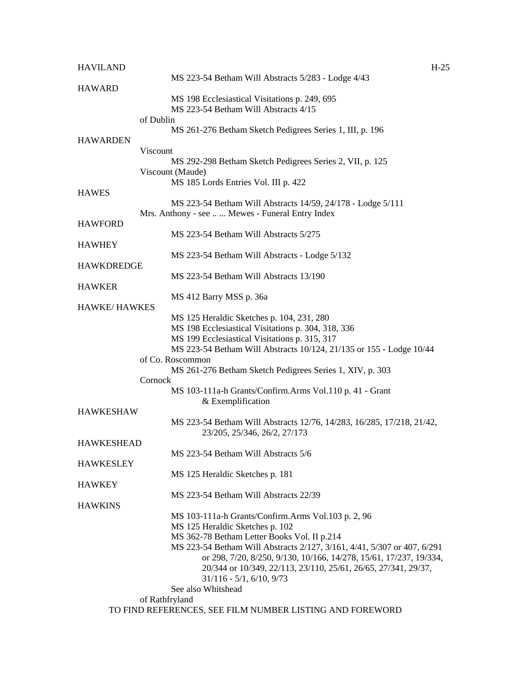| <b>HAVILAND</b>     |                                                                              | $H-25$ |
|---------------------|------------------------------------------------------------------------------|--------|
|                     | MS 223-54 Betham Will Abstracts 5/283 - Lodge 4/43                           |        |
| <b>HAWARD</b>       |                                                                              |        |
|                     | MS 198 Ecclesiastical Visitations p. 249, 695                                |        |
|                     | MS 223-54 Betham Will Abstracts 4/15                                         |        |
|                     | of Dublin                                                                    |        |
|                     | MS 261-276 Betham Sketch Pedigrees Series 1, III, p. 196                     |        |
| <b>HAWARDEN</b>     |                                                                              |        |
|                     | Viscount                                                                     |        |
|                     | MS 292-298 Betham Sketch Pedigrees Series 2, VII, p. 125<br>Viscount (Maude) |        |
|                     | MS 185 Lords Entries Vol. III p. 422                                         |        |
| <b>HAWES</b>        |                                                                              |        |
|                     | MS 223-54 Betham Will Abstracts 14/59, 24/178 - Lodge 5/111                  |        |
|                     | Mrs. Anthony - see  Mewes - Funeral Entry Index                              |        |
| <b>HAWFORD</b>      |                                                                              |        |
|                     | MS 223-54 Betham Will Abstracts 5/275                                        |        |
| <b>HAWHEY</b>       |                                                                              |        |
|                     | MS 223-54 Betham Will Abstracts - Lodge 5/132                                |        |
| <b>HAWKDREDGE</b>   |                                                                              |        |
|                     | MS 223-54 Betham Will Abstracts 13/190                                       |        |
| <b>HAWKER</b>       |                                                                              |        |
|                     | MS 412 Barry MSS p. 36a                                                      |        |
| <b>HAWKE/HAWKES</b> |                                                                              |        |
|                     | MS 125 Heraldic Sketches p. 104, 231, 280                                    |        |
|                     | MS 198 Ecclesiastical Visitations p. 304, 318, 336                           |        |
|                     | MS 199 Ecclesiastical Visitations p. 315, 317                                |        |
|                     | MS 223-54 Betham Will Abstracts 10/124, 21/135 or 155 - Lodge 10/44          |        |
|                     | of Co. Roscommon                                                             |        |
|                     | MS 261-276 Betham Sketch Pedigrees Series 1, XIV, p. 303                     |        |
|                     | Cornock                                                                      |        |
|                     | MS 103-111a-h Grants/Confirm.Arms Vol.110 p. 41 - Grant                      |        |
|                     | & Exemplification                                                            |        |
| <b>HAWKESHAW</b>    |                                                                              |        |
|                     | MS 223-54 Betham Will Abstracts 12/76, 14/283, 16/285, 17/218, 21/42,        |        |
|                     | 23/205, 25/346, 26/2, 27/173                                                 |        |
| <b>HAWKESHEAD</b>   | MS 223-54 Betham Will Abstracts 5/6                                          |        |
| <b>HAWKESLEY</b>    |                                                                              |        |
|                     | MS 125 Heraldic Sketches p. 181                                              |        |
| <b>HAWKEY</b>       |                                                                              |        |
|                     | MS 223-54 Betham Will Abstracts 22/39                                        |        |
| <b>HAWKINS</b>      |                                                                              |        |
|                     | MS 103-111a-h Grants/Confirm.Arms Vol.103 p. 2, 96                           |        |
|                     | MS 125 Heraldic Sketches p. 102                                              |        |
|                     | MS 362-78 Betham Letter Books Vol. II p.214                                  |        |
|                     | MS 223-54 Betham Will Abstracts 2/127, 3/161, 4/41, 5/307 or 407, 6/291      |        |
|                     | or 298, 7/20, 8/250, 9/130, 10/166, 14/278, 15/61, 17/237, 19/334,           |        |
|                     | 20/344 or 10/349, 22/113, 23/110, 25/61, 26/65, 27/341, 29/37,               |        |
|                     | $31/116 - 5/1, 6/10, 9/73$                                                   |        |
|                     | See also Whitshead                                                           |        |
|                     | of Rathfryland                                                               |        |
|                     | TO FIND REFERENCES, SEE FILM NUMBER LISTING AND FOREWORD                     |        |
|                     |                                                                              |        |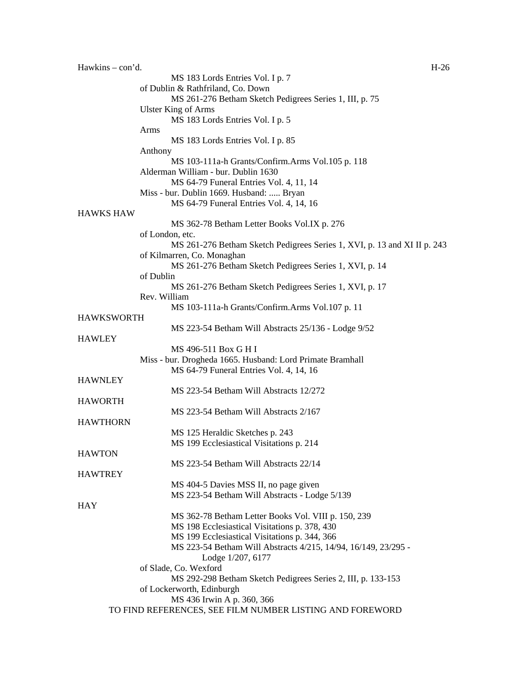Hawkins – con'd. H-26 MS 183 Lords Entries Vol. I p. 7 of Dublin & Rathfriland, Co. Down MS 261-276 Betham Sketch Pedigrees Series 1, III, p. 75 Ulster King of Arms MS 183 Lords Entries Vol. I p. 5 Arms MS 183 Lords Entries Vol. I p. 85 Anthony MS 103-111a-h Grants/Confirm.Arms Vol.105 p. 118 Alderman William - bur. Dublin 1630 MS 64-79 Funeral Entries Vol. 4, 11, 14 Miss - bur. Dublin 1669. Husband: ..... Bryan MS 64-79 Funeral Entries Vol. 4, 14, 16 HAWKS HAW MS 362-78 Betham Letter Books Vol.IX p. 276 of London, etc. MS 261-276 Betham Sketch Pedigrees Series 1, XVI, p. 13 and XI II p. 243 of Kilmarren, Co. Monaghan MS 261-276 Betham Sketch Pedigrees Series 1, XVI, p. 14 of Dublin MS 261-276 Betham Sketch Pedigrees Series 1, XVI, p. 17 Rev. William MS 103-111a-h Grants/Confirm.Arms Vol.107 p. 11 HAWKSWORTH MS 223-54 Betham Will Abstracts 25/136 - Lodge 9/52 **HAWLEY** MS 496-511 Box G H I Miss - bur. Drogheda 1665. Husband: Lord Primate Bramhall MS 64-79 Funeral Entries Vol. 4, 14, 16 **HAWNLEY** MS 223-54 Betham Will Abstracts 12/272 HAWORTH MS 223-54 Betham Will Abstracts 2/167 **HAWTHORN** MS 125 Heraldic Sketches p. 243 MS 199 Ecclesiastical Visitations p. 214 **HAWTON** MS 223-54 Betham Will Abstracts 22/14 HAWTREY MS 404-5 Davies MSS II, no page given MS 223-54 Betham Will Abstracts - Lodge 5/139 **HAY** MS 362-78 Betham Letter Books Vol. VIII p. 150, 239 MS 198 Ecclesiastical Visitations p. 378, 430 MS 199 Ecclesiastical Visitations p. 344, 366 MS 223-54 Betham Will Abstracts 4/215, 14/94, 16/149, 23/295 - Lodge 1/207, 6177 of Slade, Co. Wexford MS 292-298 Betham Sketch Pedigrees Series 2, III, p. 133-153 of Lockerworth, Edinburgh MS 436 Irwin A p. 360, 366 TO FIND REFERENCES, SEE FILM NUMBER LISTING AND FOREWORD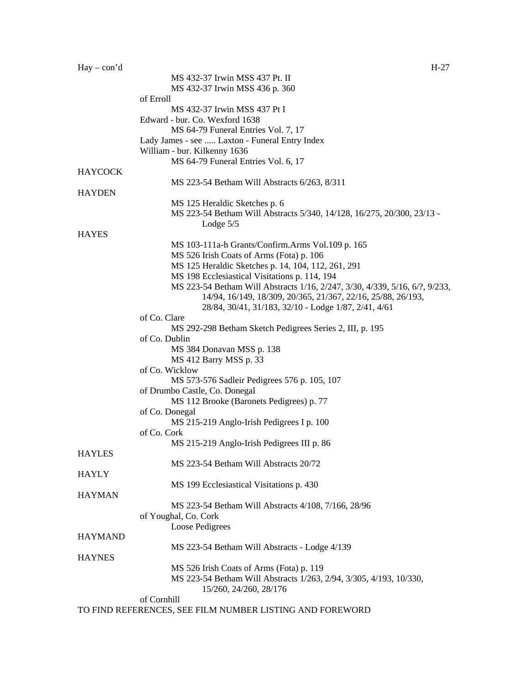| $Hay - con'd$  | $H-27$                                                                      |
|----------------|-----------------------------------------------------------------------------|
|                | MS 432-37 Irwin MSS 437 Pt. II                                              |
|                | MS 432-37 Irwin MSS 436 p. 360                                              |
|                | of Erroll                                                                   |
|                | MS 432-37 Irwin MSS 437 Pt I                                                |
|                | Edward - bur. Co. Wexford 1638                                              |
|                | MS 64-79 Funeral Entries Vol. 7, 17                                         |
|                | Lady James - see  Laxton - Funeral Entry Index                              |
|                | William - bur. Kilkenny 1636                                                |
|                | MS 64-79 Funeral Entries Vol. 6, 17                                         |
| <b>HAYCOCK</b> |                                                                             |
|                | MS 223-54 Betham Will Abstracts 6/263, 8/311                                |
| <b>HAYDEN</b>  |                                                                             |
|                | MS 125 Heraldic Sketches p. 6                                               |
|                | MS 223-54 Betham Will Abstracts 5/340, 14/128, 16/275, 20/300, 23/13 -      |
|                | Lodge $5/5$                                                                 |
| <b>HAYES</b>   |                                                                             |
|                | MS 103-111a-h Grants/Confirm.Arms Vol.109 p. 165                            |
|                | MS 526 Irish Coats of Arms (Fota) p. 106                                    |
|                | MS 125 Heraldic Sketches p. 14, 104, 112, 261, 291                          |
|                | MS 198 Ecclesiastical Visitations p. 114, 194                               |
|                | MS 223-54 Betham Will Abstracts 1/16, 2/247, 3/30, 4/339, 5/16, 6/?, 9/233, |
|                | 14/94, 16/149, 18/309, 20/365, 21/367, 22/16, 25/88, 26/193,                |
|                | 28/84, 30/41, 31/183, 32/10 - Lodge 1/87, 2/41, 4/61                        |
|                | of Co. Clare                                                                |
|                | MS 292-298 Betham Sketch Pedigrees Series 2, III, p. 195                    |
|                | of Co. Dublin                                                               |
|                | MS 384 Donavan MSS p. 138                                                   |
|                | MS 412 Barry MSS p. 33                                                      |
|                | of Co. Wicklow                                                              |
|                | MS 573-576 Sadleir Pedigrees 576 p. 105, 107                                |
|                | of Drumbo Castle, Co. Donegal                                               |
|                | MS 112 Brooke (Baronets Pedigrees) p. 77                                    |
|                | of Co. Donegal<br>MS 215-219 Anglo-Irish Pedigrees I p. 100                 |
|                | of Co. Cork                                                                 |
|                | MS 215-219 Anglo-Irish Pedigrees III p. 86                                  |
| <b>HAYLES</b>  |                                                                             |
|                | MS 223-54 Betham Will Abstracts 20/72                                       |
| <b>HAYLY</b>   |                                                                             |
|                | MS 199 Ecclesiastical Visitations p. 430                                    |
| <b>HAYMAN</b>  |                                                                             |
|                | MS 223-54 Betham Will Abstracts 4/108, 7/166, 28/96                         |
|                | of Youghal, Co. Cork                                                        |
|                | Loose Pedigrees                                                             |
| <b>HAYMAND</b> |                                                                             |
|                | MS 223-54 Betham Will Abstracts - Lodge 4/139                               |
| <b>HAYNES</b>  |                                                                             |
|                | MS 526 Irish Coats of Arms (Fota) p. 119                                    |
|                | MS 223-54 Betham Will Abstracts 1/263, 2/94, 3/305, 4/193, 10/330,          |
|                | 15/260, 24/260, 28/176                                                      |
|                | of Cornhill                                                                 |
|                | TO FIND REFERENCES, SEE FILM NUMBER LISTING AND FOREWORD                    |
|                |                                                                             |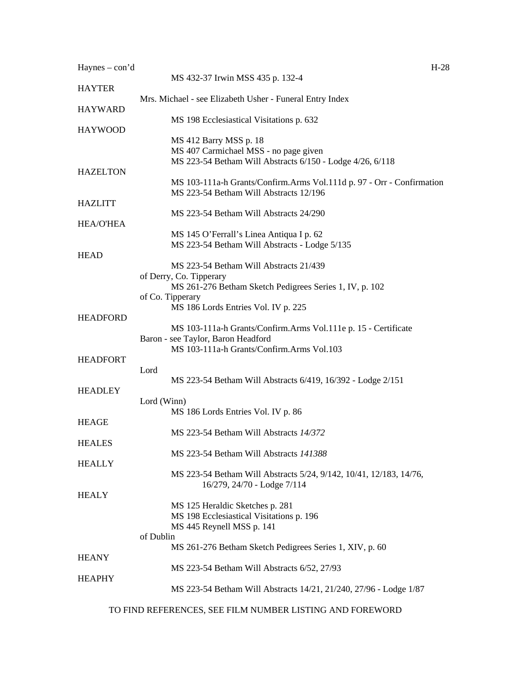| $Haynes - con'd$                                                           | $H-28$                                                                |
|----------------------------------------------------------------------------|-----------------------------------------------------------------------|
| MS 432-37 Irwin MSS 435 p. 132-4<br><b>HAYTER</b>                          |                                                                       |
| Mrs. Michael - see Elizabeth Usher - Funeral Entry Index<br><b>HAYWARD</b> |                                                                       |
| MS 198 Ecclesiastical Visitations p. 632                                   |                                                                       |
| <b>HAYWOOD</b><br>MS 412 Barry MSS p. 18                                   |                                                                       |
| MS 407 Carmichael MSS - no page given                                      |                                                                       |
| <b>HAZELTON</b>                                                            | MS 223-54 Betham Will Abstracts 6/150 - Lodge 4/26, 6/118             |
|                                                                            | MS 103-111a-h Grants/Confirm.Arms Vol.111d p. 97 - Orr - Confirmation |
| MS 223-54 Betham Will Abstracts 12/196<br><b>HAZLITT</b>                   |                                                                       |
| MS 223-54 Betham Will Abstracts 24/290                                     |                                                                       |
| <b>HEA/O'HEA</b>                                                           |                                                                       |
| MS 145 O'Ferrall's Linea Antiqua I p. 62                                   |                                                                       |
|                                                                            | MS 223-54 Betham Will Abstracts - Lodge 5/135                         |
| <b>HEAD</b>                                                                |                                                                       |
| MS 223-54 Betham Will Abstracts 21/439<br>of Derry, Co. Tipperary          |                                                                       |
|                                                                            | MS 261-276 Betham Sketch Pedigrees Series 1, IV, p. 102               |
| of Co. Tipperary                                                           |                                                                       |
| MS 186 Lords Entries Vol. IV p. 225                                        |                                                                       |
| <b>HEADFORD</b>                                                            |                                                                       |
|                                                                            | MS 103-111a-h Grants/Confirm.Arms Vol.111e p. 15 - Certificate        |
| Baron - see Taylor, Baron Headford                                         |                                                                       |
| MS 103-111a-h Grants/Confirm.Arms Vol.103                                  |                                                                       |
| <b>HEADFORT</b><br>Lord                                                    |                                                                       |
|                                                                            | MS 223-54 Betham Will Abstracts 6/419, 16/392 - Lodge 2/151           |
| <b>HEADLEY</b>                                                             |                                                                       |
| Lord (Winn)                                                                |                                                                       |
| MS 186 Lords Entries Vol. IV p. 86                                         |                                                                       |
| <b>HEAGE</b>                                                               |                                                                       |
| MS 223-54 Betham Will Abstracts 14/372                                     |                                                                       |
| <b>HEALES</b>                                                              |                                                                       |
| MS 223-54 Betham Will Abstracts 141388<br><b>HEALLY</b>                    |                                                                       |
|                                                                            | MS 223-54 Betham Will Abstracts 5/24, 9/142, 10/41, 12/183, 14/76,    |
| 16/279, 24/70 - Lodge 7/114                                                |                                                                       |
| <b>HEALY</b>                                                               |                                                                       |
| MS 125 Heraldic Sketches p. 281                                            |                                                                       |
| MS 198 Ecclesiastical Visitations p. 196                                   |                                                                       |
| MS 445 Reynell MSS p. 141                                                  |                                                                       |
| of Dublin                                                                  | MS 261-276 Betham Sketch Pedigrees Series 1, XIV, p. 60               |
| <b>HEANY</b>                                                               |                                                                       |
| MS 223-54 Betham Will Abstracts 6/52, 27/93                                |                                                                       |
| <b>HEAPHY</b>                                                              |                                                                       |
|                                                                            | MS 223-54 Betham Will Abstracts 14/21, 21/240, 27/96 - Lodge 1/87     |
| TO FIND REFERENCES, SEE FILM NUMBER LISTING AND FOREWORD                   |                                                                       |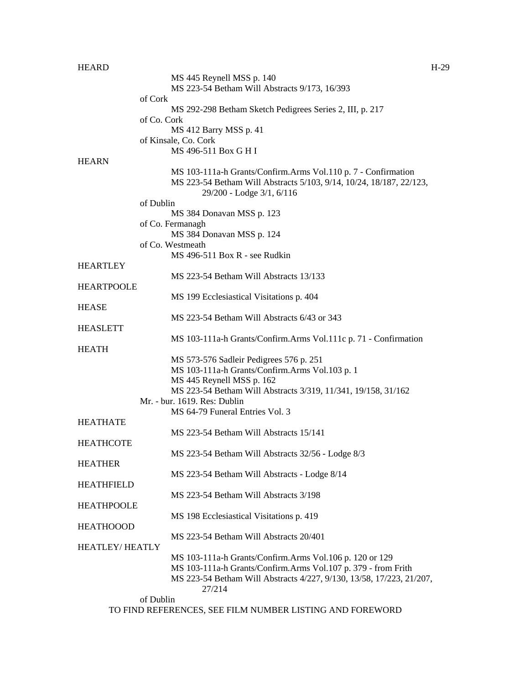| <b>HEARD</b>          |                                                                      | $H-29$ |
|-----------------------|----------------------------------------------------------------------|--------|
|                       | MS 445 Reynell MSS p. 140                                            |        |
|                       | MS 223-54 Betham Will Abstracts 9/173, 16/393                        |        |
|                       | of Cork                                                              |        |
|                       | MS 292-298 Betham Sketch Pedigrees Series 2, III, p. 217             |        |
|                       | of Co. Cork                                                          |        |
|                       | MS 412 Barry MSS p. 41                                               |        |
|                       | of Kinsale, Co. Cork                                                 |        |
|                       | MS 496-511 Box G H I                                                 |        |
| <b>HEARN</b>          |                                                                      |        |
|                       | MS 103-111a-h Grants/Confirm.Arms Vol.110 p. 7 - Confirmation        |        |
|                       | MS 223-54 Betham Will Abstracts 5/103, 9/14, 10/24, 18/187, 22/123,  |        |
|                       | 29/200 - Lodge 3/1, 6/116                                            |        |
|                       | of Dublin                                                            |        |
|                       | MS 384 Donavan MSS p. 123                                            |        |
|                       | of Co. Fermanagh                                                     |        |
|                       | MS 384 Donavan MSS p. 124                                            |        |
|                       | of Co. Westmeath                                                     |        |
|                       | MS 496-511 Box R - see Rudkin                                        |        |
| <b>HEARTLEY</b>       |                                                                      |        |
|                       | MS 223-54 Betham Will Abstracts 13/133                               |        |
| <b>HEARTPOOLE</b>     |                                                                      |        |
|                       | MS 199 Ecclesiastical Visitations p. 404                             |        |
| <b>HEASE</b>          |                                                                      |        |
|                       | MS 223-54 Betham Will Abstracts 6/43 or 343                          |        |
| <b>HEASLETT</b>       |                                                                      |        |
|                       | MS 103-111a-h Grants/Confirm.Arms Vol.111c p. 71 - Confirmation      |        |
| <b>HEATH</b>          |                                                                      |        |
|                       | MS 573-576 Sadleir Pedigrees 576 p. 251                              |        |
|                       | MS 103-111a-h Grants/Confirm.Arms Vol.103 p. 1                       |        |
|                       | MS 445 Reynell MSS p. 162                                            |        |
|                       | MS 223-54 Betham Will Abstracts 3/319, 11/341, 19/158, 31/162        |        |
|                       | Mr. - bur. 1619. Res: Dublin                                         |        |
|                       | MS 64-79 Funeral Entries Vol. 3                                      |        |
| <b>HEATHATE</b>       |                                                                      |        |
|                       | MS 223-54 Betham Will Abstracts 15/141                               |        |
| <b>HEATHCOTE</b>      |                                                                      |        |
|                       | MS 223-54 Betham Will Abstracts 32/56 - Lodge 8/3                    |        |
| <b>HEATHER</b>        |                                                                      |        |
|                       | MS 223-54 Betham Will Abstracts - Lodge 8/14                         |        |
| <b>HEATHFIELD</b>     |                                                                      |        |
|                       | MS 223-54 Betham Will Abstracts 3/198                                |        |
| <b>HEATHPOOLE</b>     |                                                                      |        |
|                       | MS 198 Ecclesiastical Visitations p. 419                             |        |
| <b>HEATHOOOD</b>      |                                                                      |        |
|                       | MS 223-54 Betham Will Abstracts 20/401                               |        |
| <b>HEATLEY/HEATLY</b> |                                                                      |        |
|                       | MS 103-111a-h Grants/Confirm.Arms Vol.106 p. 120 or 129              |        |
|                       | MS 103-111a-h Grants/Confirm.Arms Vol.107 p. 379 - from Frith        |        |
|                       | MS 223-54 Betham Will Abstracts 4/227, 9/130, 13/58, 17/223, 21/207, |        |
|                       | 27/214                                                               |        |
|                       | of Dublin                                                            |        |
|                       | TO FIND REFERENCES, SEE FILM NUMBER LISTING AND FOREWORD             |        |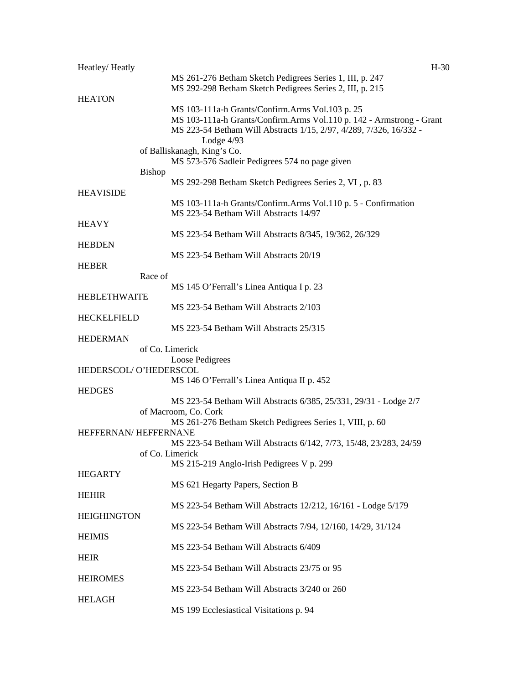| Heatley/Heatly        | $H-30$                                                                           |  |
|-----------------------|----------------------------------------------------------------------------------|--|
|                       | MS 261-276 Betham Sketch Pedigrees Series 1, III, p. 247                         |  |
|                       | MS 292-298 Betham Sketch Pedigrees Series 2, III, p. 215                         |  |
| <b>HEATON</b>         |                                                                                  |  |
|                       | MS 103-111a-h Grants/Confirm.Arms Vol.103 p. 25                                  |  |
|                       | MS 103-111a-h Grants/Confirm.Arms Vol.110 p. 142 - Armstrong - Grant             |  |
|                       | MS 223-54 Betham Will Abstracts 1/15, 2/97, 4/289, 7/326, 16/332 -<br>Lodge 4/93 |  |
|                       | of Balliskanagh, King's Co.                                                      |  |
|                       | MS 573-576 Sadleir Pedigrees 574 no page given                                   |  |
|                       | <b>Bishop</b>                                                                    |  |
|                       | MS 292-298 Betham Sketch Pedigrees Series 2, VI, p. 83                           |  |
| <b>HEAVISIDE</b>      |                                                                                  |  |
|                       | MS 103-111a-h Grants/Confirm.Arms Vol.110 p. 5 - Confirmation                    |  |
|                       | MS 223-54 Betham Will Abstracts 14/97                                            |  |
| <b>HEAVY</b>          |                                                                                  |  |
|                       | MS 223-54 Betham Will Abstracts 8/345, 19/362, 26/329                            |  |
| <b>HEBDEN</b>         |                                                                                  |  |
|                       | MS 223-54 Betham Will Abstracts 20/19                                            |  |
| <b>HEBER</b>          |                                                                                  |  |
|                       | Race of                                                                          |  |
|                       | MS 145 O'Ferrall's Linea Antiqua I p. 23                                         |  |
| <b>HEBLETHWAITE</b>   |                                                                                  |  |
|                       | MS 223-54 Betham Will Abstracts 2/103                                            |  |
| <b>HECKELFIELD</b>    | MS 223-54 Betham Will Abstracts 25/315                                           |  |
| <b>HEDERMAN</b>       |                                                                                  |  |
|                       | of Co. Limerick                                                                  |  |
|                       | Loose Pedigrees                                                                  |  |
| HEDERSCOL/O'HEDERSCOL |                                                                                  |  |
|                       | MS 146 O'Ferrall's Linea Antiqua II p. 452                                       |  |
| <b>HEDGES</b>         |                                                                                  |  |
|                       | MS 223-54 Betham Will Abstracts 6/385, 25/331, 29/31 - Lodge 2/7                 |  |
|                       | of Macroom, Co. Cork                                                             |  |
|                       | MS 261-276 Betham Sketch Pedigrees Series 1, VIII, p. 60                         |  |
| HEFFERNAN/HEFFERNANE  |                                                                                  |  |
|                       | MS 223-54 Betham Will Abstracts 6/142, 7/73, 15/48, 23/283, 24/59                |  |
|                       | of Co. Limerick                                                                  |  |
|                       | MS 215-219 Anglo-Irish Pedigrees V p. 299                                        |  |
| <b>HEGARTY</b>        |                                                                                  |  |
| <b>HEHIR</b>          | MS 621 Hegarty Papers, Section B                                                 |  |
|                       | MS 223-54 Betham Will Abstracts 12/212, 16/161 - Lodge 5/179                     |  |
| <b>HEIGHINGTON</b>    |                                                                                  |  |
|                       | MS 223-54 Betham Will Abstracts 7/94, 12/160, 14/29, 31/124                      |  |
| <b>HEIMIS</b>         |                                                                                  |  |
|                       | MS 223-54 Betham Will Abstracts 6/409                                            |  |
| <b>HEIR</b>           |                                                                                  |  |
|                       | MS 223-54 Betham Will Abstracts 23/75 or 95                                      |  |
| <b>HEIROMES</b>       |                                                                                  |  |
|                       | MS 223-54 Betham Will Abstracts 3/240 or 260                                     |  |
| <b>HELAGH</b>         |                                                                                  |  |
|                       | MS 199 Ecclesiastical Visitations p. 94                                          |  |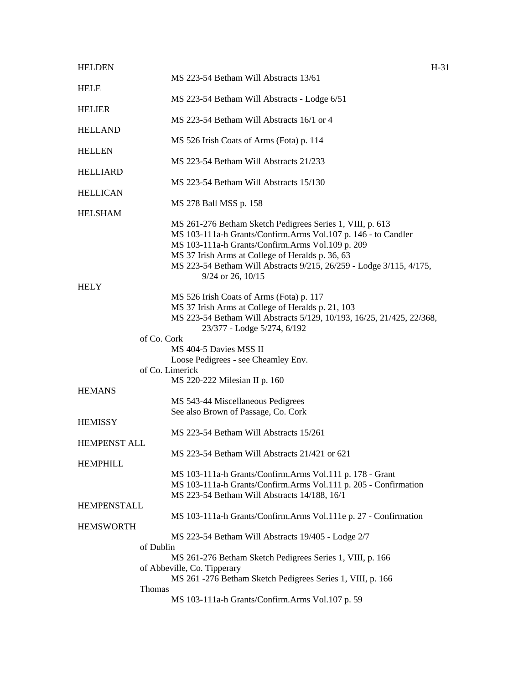| <b>HELDEN</b>       | $H-31$                                                                |  |
|---------------------|-----------------------------------------------------------------------|--|
|                     | MS 223-54 Betham Will Abstracts 13/61                                 |  |
| <b>HELE</b>         | MS 223-54 Betham Will Abstracts - Lodge 6/51                          |  |
| <b>HELIER</b>       |                                                                       |  |
|                     | MS 223-54 Betham Will Abstracts 16/1 or 4                             |  |
| <b>HELLAND</b>      | MS 526 Irish Coats of Arms (Fota) p. 114                              |  |
| <b>HELLEN</b>       |                                                                       |  |
|                     | MS 223-54 Betham Will Abstracts 21/233                                |  |
| <b>HELLIARD</b>     |                                                                       |  |
| <b>HELLICAN</b>     | MS 223-54 Betham Will Abstracts 15/130                                |  |
|                     | MS 278 Ball MSS p. 158                                                |  |
| <b>HELSHAM</b>      |                                                                       |  |
|                     | MS 261-276 Betham Sketch Pedigrees Series 1, VIII, p. 613             |  |
|                     | MS 103-111a-h Grants/Confirm.Arms Vol.107 p. 146 - to Candler         |  |
|                     | MS 103-111a-h Grants/Confirm.Arms Vol.109 p. 209                      |  |
|                     | MS 37 Irish Arms at College of Heralds p. 36, 63                      |  |
|                     | MS 223-54 Betham Will Abstracts 9/215, 26/259 - Lodge 3/115, 4/175,   |  |
|                     | $9/24$ or 26, $10/15$                                                 |  |
| <b>HELY</b>         |                                                                       |  |
|                     | MS 526 Irish Coats of Arms (Fota) p. 117                              |  |
|                     | MS 37 Irish Arms at College of Heralds p. 21, 103                     |  |
|                     | MS 223-54 Betham Will Abstracts 5/129, 10/193, 16/25, 21/425, 22/368, |  |
|                     | 23/377 - Lodge 5/274, 6/192                                           |  |
|                     | of Co. Cork                                                           |  |
|                     | MS 404-5 Davies MSS II                                                |  |
|                     | Loose Pedigrees - see Cheamley Env.                                   |  |
|                     | of Co. Limerick                                                       |  |
|                     | MS 220-222 Milesian II p. 160                                         |  |
| <b>HEMANS</b>       |                                                                       |  |
|                     | MS 543-44 Miscellaneous Pedigrees                                     |  |
|                     | See also Brown of Passage, Co. Cork                                   |  |
| <b>HEMISSY</b>      |                                                                       |  |
|                     | MS 223-54 Betham Will Abstracts 15/261                                |  |
| <b>HEMPENST ALL</b> |                                                                       |  |
|                     |                                                                       |  |
|                     | MS 223-54 Betham Will Abstracts 21/421 or 621                         |  |
| <b>HEMPHILL</b>     |                                                                       |  |
|                     | MS 103-111a-h Grants/Confirm.Arms Vol.111 p. 178 - Grant              |  |
|                     | MS 103-111a-h Grants/Confirm.Arms Vol.111 p. 205 - Confirmation       |  |
|                     | MS 223-54 Betham Will Abstracts 14/188, 16/1                          |  |
| <b>HEMPENSTALL</b>  |                                                                       |  |
|                     | MS 103-111a-h Grants/Confirm.Arms Vol.111e p. 27 - Confirmation       |  |
| <b>HEMSWORTH</b>    |                                                                       |  |
|                     | MS 223-54 Betham Will Abstracts 19/405 - Lodge 2/7                    |  |
|                     | of Dublin                                                             |  |
|                     | MS 261-276 Betham Sketch Pedigrees Series 1, VIII, p. 166             |  |
|                     | of Abbeville, Co. Tipperary                                           |  |
|                     | MS 261 -276 Betham Sketch Pedigrees Series 1, VIII, p. 166            |  |
|                     | <b>Thomas</b>                                                         |  |
|                     | MS 103-111a-h Grants/Confirm.Arms Vol.107 p. 59                       |  |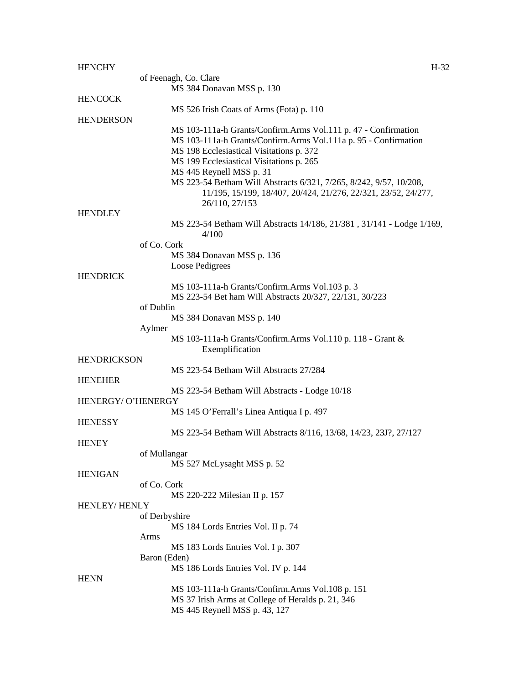| <b>HENCHY</b>      |                                                                                                                                      | $H-32$ |
|--------------------|--------------------------------------------------------------------------------------------------------------------------------------|--------|
|                    | of Feenagh, Co. Clare                                                                                                                |        |
|                    | MS 384 Donavan MSS p. 130                                                                                                            |        |
| <b>HENCOCK</b>     |                                                                                                                                      |        |
|                    | MS 526 Irish Coats of Arms (Fota) p. 110                                                                                             |        |
| <b>HENDERSON</b>   |                                                                                                                                      |        |
|                    | MS 103-111a-h Grants/Confirm.Arms Vol.111 p. 47 - Confirmation                                                                       |        |
|                    | MS 103-111a-h Grants/Confirm.Arms Vol.111a p. 95 - Confirmation                                                                      |        |
|                    | MS 198 Ecclesiastical Visitations p. 372                                                                                             |        |
|                    | MS 199 Ecclesiastical Visitations p. 265                                                                                             |        |
|                    | MS 445 Reynell MSS p. 31                                                                                                             |        |
|                    | MS 223-54 Betham Will Abstracts 6/321, 7/265, 8/242, 9/57, 10/208,<br>11/195, 15/199, 18/407, 20/424, 21/276, 22/321, 23/52, 24/277, |        |
|                    | 26/110, 27/153                                                                                                                       |        |
| <b>HENDLEY</b>     |                                                                                                                                      |        |
|                    | MS 223-54 Betham Will Abstracts 14/186, 21/381, 31/141 - Lodge 1/169,                                                                |        |
|                    | 4/100                                                                                                                                |        |
|                    | of Co. Cork                                                                                                                          |        |
|                    | MS 384 Donavan MSS p. 136                                                                                                            |        |
|                    | Loose Pedigrees                                                                                                                      |        |
| <b>HENDRICK</b>    |                                                                                                                                      |        |
|                    | MS 103-111a-h Grants/Confirm.Arms Vol.103 p. 3                                                                                       |        |
|                    | MS 223-54 Bet ham Will Abstracts 20/327, 22/131, 30/223                                                                              |        |
|                    | of Dublin                                                                                                                            |        |
|                    | MS 384 Donavan MSS p. 140                                                                                                            |        |
|                    | Aylmer                                                                                                                               |        |
|                    | MS 103-111a-h Grants/Confirm.Arms Vol.110 p. 118 - Grant &                                                                           |        |
|                    | Exemplification                                                                                                                      |        |
| <b>HENDRICKSON</b> |                                                                                                                                      |        |
| <b>HENEHER</b>     | MS 223-54 Betham Will Abstracts 27/284                                                                                               |        |
|                    | MS 223-54 Betham Will Abstracts - Lodge 10/18                                                                                        |        |
| HENERGY/ O'HENERGY |                                                                                                                                      |        |
|                    | MS 145 O'Ferrall's Linea Antiqua I p. 497                                                                                            |        |
| <b>HENESSY</b>     |                                                                                                                                      |        |
|                    | MS 223-54 Betham Will Abstracts 8/116, 13/68, 14/23, 23J?, 27/127                                                                    |        |
| <b>HENEY</b>       |                                                                                                                                      |        |
|                    | of Mullangar                                                                                                                         |        |
|                    | MS 527 McLysaght MSS p. 52                                                                                                           |        |
| <b>HENIGAN</b>     |                                                                                                                                      |        |
|                    | of Co. Cork                                                                                                                          |        |
|                    | MS 220-222 Milesian II p. 157                                                                                                        |        |
| HENLEY/HENLY       |                                                                                                                                      |        |
|                    | of Derbyshire                                                                                                                        |        |
|                    | MS 184 Lords Entries Vol. II p. 74                                                                                                   |        |
|                    | Arms                                                                                                                                 |        |
|                    | MS 183 Lords Entries Vol. I p. 307                                                                                                   |        |
|                    | Baron (Eden)                                                                                                                         |        |
| <b>HENN</b>        | MS 186 Lords Entries Vol. IV p. 144                                                                                                  |        |
|                    | MS 103-111a-h Grants/Confirm.Arms Vol.108 p. 151                                                                                     |        |
|                    | MS 37 Irish Arms at College of Heralds p. 21, 346                                                                                    |        |
|                    | MS 445 Reynell MSS p. 43, 127                                                                                                        |        |
|                    |                                                                                                                                      |        |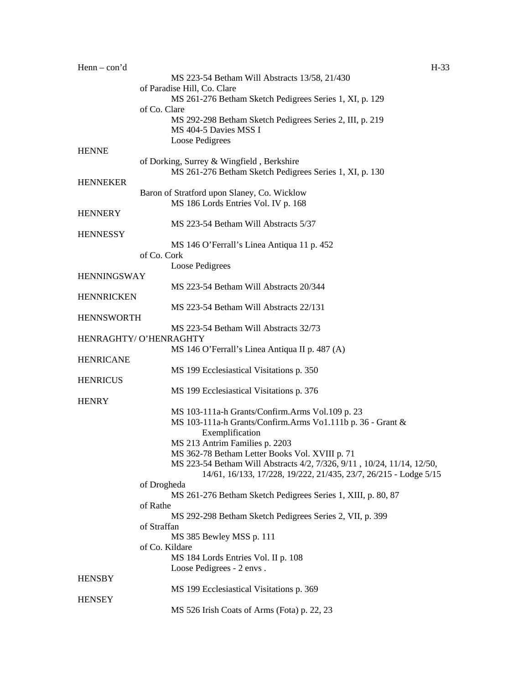| $Henn - con'd$     |                                                                                                      | $H-33$ |
|--------------------|------------------------------------------------------------------------------------------------------|--------|
|                    | MS 223-54 Betham Will Abstracts 13/58, 21/430                                                        |        |
|                    | of Paradise Hill, Co. Clare                                                                          |        |
|                    | MS 261-276 Betham Sketch Pedigrees Series 1, XI, p. 129                                              |        |
|                    | of Co. Clare                                                                                         |        |
|                    | MS 292-298 Betham Sketch Pedigrees Series 2, III, p. 219                                             |        |
|                    | MS 404-5 Davies MSS I                                                                                |        |
|                    | Loose Pedigrees                                                                                      |        |
| HENNE              |                                                                                                      |        |
|                    | of Dorking, Surrey & Wingfield, Berkshire<br>MS 261-276 Betham Sketch Pedigrees Series 1, XI, p. 130 |        |
| <b>HENNEKER</b>    |                                                                                                      |        |
|                    | Baron of Stratford upon Slaney, Co. Wicklow                                                          |        |
|                    | MS 186 Lords Entries Vol. IV p. 168                                                                  |        |
| <b>HENNERY</b>     |                                                                                                      |        |
|                    | MS 223-54 Betham Will Abstracts 5/37                                                                 |        |
| <b>HENNESSY</b>    |                                                                                                      |        |
|                    | MS 146 O'Ferrall's Linea Antiqua 11 p. 452                                                           |        |
|                    | of Co. Cork                                                                                          |        |
|                    | Loose Pedigrees                                                                                      |        |
| <b>HENNINGSWAY</b> |                                                                                                      |        |
|                    | MS 223-54 Betham Will Abstracts 20/344                                                               |        |
| <b>HENNRICKEN</b>  |                                                                                                      |        |
|                    | MS 223-54 Betham Will Abstracts 22/131                                                               |        |
| HENNSWORTH         |                                                                                                      |        |
|                    | MS 223-54 Betham Will Abstracts 32/73                                                                |        |
|                    | HENRAGHTY/O'HENRAGHTY                                                                                |        |
|                    | MS 146 O'Ferrall's Linea Antiqua II p. 487 (A)                                                       |        |
| HENRICANE          |                                                                                                      |        |
|                    | MS 199 Ecclesiastical Visitations p. 350                                                             |        |
| <b>HENRICUS</b>    |                                                                                                      |        |
|                    | MS 199 Ecclesiastical Visitations p. 376                                                             |        |
| HENRY              |                                                                                                      |        |
|                    | MS 103-111a-h Grants/Confirm.Arms Vol.109 p. 23                                                      |        |
|                    | MS 103-111a-h Grants/Confirm.Arms Vo1.111b p. 36 - Grant &                                           |        |
|                    | Exemplification<br>MS 213 Antrim Families p. 2203                                                    |        |
|                    | MS 362-78 Betham Letter Books Vol. XVIII p. 71                                                       |        |
|                    | MS 223-54 Betham Will Abstracts 4/2, 7/326, 9/11, 10/24, 11/14, 12/50,                               |        |
|                    | 14/61, 16/133, 17/228, 19/222, 21/435, 23/7, 26/215 - Lodge 5/15                                     |        |
|                    | of Drogheda                                                                                          |        |
|                    | MS 261-276 Betham Sketch Pedigrees Series 1, XIII, p. 80, 87                                         |        |
|                    | of Rathe                                                                                             |        |
|                    | MS 292-298 Betham Sketch Pedigrees Series 2, VII, p. 399                                             |        |
|                    | of Straffan                                                                                          |        |
|                    | MS 385 Bewley MSS p. 111                                                                             |        |
|                    | of Co. Kildare                                                                                       |        |
|                    | MS 184 Lords Entries Vol. II p. 108                                                                  |        |
|                    | Loose Pedigrees - 2 envs.                                                                            |        |
| <b>HENSBY</b>      |                                                                                                      |        |
|                    | MS 199 Ecclesiastical Visitations p. 369                                                             |        |
| <b>HENSEY</b>      |                                                                                                      |        |
|                    | MS 526 Irish Coats of Arms (Fota) p. 22, 23                                                          |        |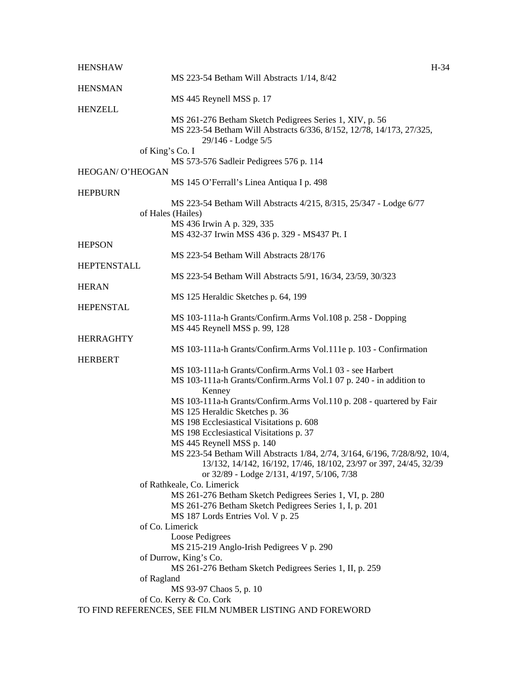| <b>HENSHAW</b>     |                                                                                                                                                       | H-34 |
|--------------------|-------------------------------------------------------------------------------------------------------------------------------------------------------|------|
|                    | MS 223-54 Betham Will Abstracts 1/14, 8/42                                                                                                            |      |
| <b>HENSMAN</b>     | MS 445 Reynell MSS p. 17                                                                                                                              |      |
| <b>HENZELL</b>     |                                                                                                                                                       |      |
|                    | MS 261-276 Betham Sketch Pedigrees Series 1, XIV, p. 56<br>MS 223-54 Betham Will Abstracts 6/336, 8/152, 12/78, 14/173, 27/325,<br>29/146 - Lodge 5/5 |      |
| of King's Co. I    |                                                                                                                                                       |      |
|                    | MS 573-576 Sadleir Pedigrees 576 p. 114                                                                                                               |      |
| HEOGAN/ O'HEOGAN   | MS 145 O'Ferrall's Linea Antiqua I p. 498                                                                                                             |      |
| <b>HEPBURN</b>     |                                                                                                                                                       |      |
|                    | MS 223-54 Betham Will Abstracts 4/215, 8/315, 25/347 - Lodge 6/77                                                                                     |      |
|                    | of Hales (Hailes)                                                                                                                                     |      |
|                    | MS 436 Irwin A p. 329, 335                                                                                                                            |      |
| <b>HEPSON</b>      | MS 432-37 Irwin MSS 436 p. 329 - MS437 Pt. I                                                                                                          |      |
|                    | MS 223-54 Betham Will Abstracts 28/176                                                                                                                |      |
| <b>HEPTENSTALL</b> |                                                                                                                                                       |      |
|                    | MS 223-54 Betham Will Abstracts 5/91, 16/34, 23/59, 30/323                                                                                            |      |
| <b>HERAN</b>       |                                                                                                                                                       |      |
|                    | MS 125 Heraldic Sketches p. 64, 199                                                                                                                   |      |
| <b>HEPENSTAL</b>   |                                                                                                                                                       |      |
|                    | MS 103-111a-h Grants/Confirm.Arms Vol.108 p. 258 - Dopping<br>MS 445 Reynell MSS p. 99, 128                                                           |      |
| <b>HERRAGHTY</b>   |                                                                                                                                                       |      |
|                    | MS 103-111a-h Grants/Confirm.Arms Vol.111e p. 103 - Confirmation                                                                                      |      |
| <b>HERBERT</b>     |                                                                                                                                                       |      |
|                    | MS 103-111a-h Grants/Confirm.Arms Vol.1 03 - see Harbert                                                                                              |      |
|                    | MS 103-111a-h Grants/Confirm.Arms Vol.1 07 p. 240 - in addition to                                                                                    |      |
|                    | Kenney                                                                                                                                                |      |
|                    | MS 103-111a-h Grants/Confirm.Arms Vol.110 p. 208 - quartered by Fair                                                                                  |      |
|                    | MS 125 Heraldic Sketches p. 36<br>MS 198 Ecclesiastical Visitations p. 608                                                                            |      |
|                    | MS 198 Ecclesiastical Visitations p. 37                                                                                                               |      |
|                    | MS 445 Reynell MSS p. 140                                                                                                                             |      |
|                    | MS 223-54 Betham Will Abstracts 1/84, 2/74, 3/164, 6/196, 7/28/8/92, 10/4,                                                                            |      |
|                    | 13/132, 14/142, 16/192, 17/46, 18/102, 23/97 or 397, 24/45, 32/39                                                                                     |      |
|                    | or 32/89 - Lodge 2/131, 4/197, 5/106, 7/38                                                                                                            |      |
|                    | of Rathkeale, Co. Limerick                                                                                                                            |      |
|                    | MS 261-276 Betham Sketch Pedigrees Series 1, VI, p. 280                                                                                               |      |
|                    | MS 261-276 Betham Sketch Pedigrees Series 1, I, p. 201<br>MS 187 Lords Entries Vol. V p. 25                                                           |      |
|                    | of Co. Limerick                                                                                                                                       |      |
|                    | Loose Pedigrees                                                                                                                                       |      |
|                    | MS 215-219 Anglo-Irish Pedigrees V p. 290                                                                                                             |      |
|                    | of Durrow, King's Co.                                                                                                                                 |      |
|                    | MS 261-276 Betham Sketch Pedigrees Series 1, II, p. 259                                                                                               |      |
| of Ragland         |                                                                                                                                                       |      |
|                    | MS 93-97 Chaos 5, p. 10                                                                                                                               |      |
|                    | of Co. Kerry & Co. Cork<br>TO FIND REFERENCES, SEE FILM NUMBER LISTING AND FOREWORD                                                                   |      |
|                    |                                                                                                                                                       |      |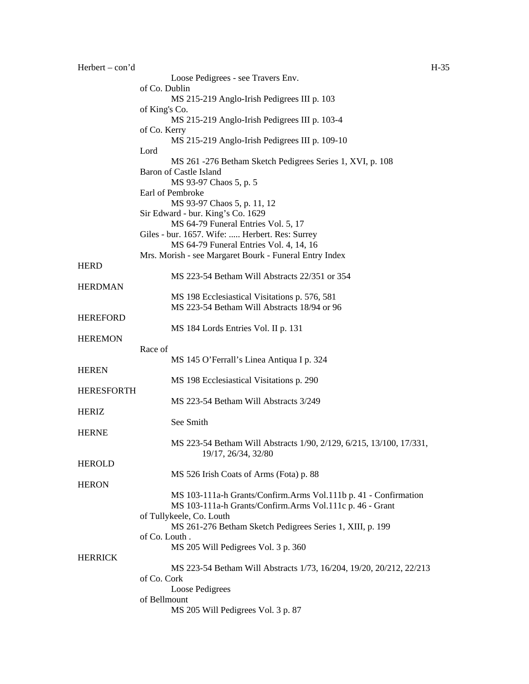| $Herbert - con'd$ |                                                                                       | $H-35$ |
|-------------------|---------------------------------------------------------------------------------------|--------|
|                   | Loose Pedigrees - see Travers Env.                                                    |        |
|                   | of Co. Dublin                                                                         |        |
|                   | MS 215-219 Anglo-Irish Pedigrees III p. 103                                           |        |
|                   | of King's Co.                                                                         |        |
|                   | MS 215-219 Anglo-Irish Pedigrees III p. 103-4                                         |        |
|                   | of Co. Kerry                                                                          |        |
|                   | MS 215-219 Anglo-Irish Pedigrees III p. 109-10<br>Lord                                |        |
|                   | MS 261 -276 Betham Sketch Pedigrees Series 1, XVI, p. 108                             |        |
|                   | <b>Baron of Castle Island</b>                                                         |        |
|                   | MS 93-97 Chaos 5, p. 5                                                                |        |
|                   | Earl of Pembroke                                                                      |        |
|                   | MS 93-97 Chaos 5, p. 11, 12                                                           |        |
|                   | Sir Edward - bur. King's Co. 1629                                                     |        |
|                   | MS 64-79 Funeral Entries Vol. 5, 17                                                   |        |
|                   | Giles - bur. 1657. Wife:  Herbert. Res: Surrey                                        |        |
|                   | MS 64-79 Funeral Entries Vol. 4, 14, 16                                               |        |
|                   | Mrs. Morish - see Margaret Bourk - Funeral Entry Index                                |        |
| <b>HERD</b>       | MS 223-54 Betham Will Abstracts 22/351 or 354                                         |        |
| <b>HERDMAN</b>    |                                                                                       |        |
|                   | MS 198 Ecclesiastical Visitations p. 576, 581                                         |        |
|                   | MS 223-54 Betham Will Abstracts 18/94 or 96                                           |        |
| <b>HEREFORD</b>   |                                                                                       |        |
|                   | MS 184 Lords Entries Vol. II p. 131                                                   |        |
| <b>HEREMON</b>    |                                                                                       |        |
|                   | Race of                                                                               |        |
|                   | MS 145 O'Ferrall's Linea Antiqua I p. 324                                             |        |
| <b>HEREN</b>      |                                                                                       |        |
|                   | MS 198 Ecclesiastical Visitations p. 290                                              |        |
| <b>HERESFORTH</b> | MS 223-54 Betham Will Abstracts 3/249                                                 |        |
| <b>HERIZ</b>      |                                                                                       |        |
|                   | See Smith                                                                             |        |
| <b>HERNE</b>      |                                                                                       |        |
|                   | MS 223-54 Betham Will Abstracts 1/90, 2/129, 6/215, 13/100, 17/331,                   |        |
|                   | 19/17, 26/34, 32/80                                                                   |        |
| <b>HEROLD</b>     |                                                                                       |        |
|                   | MS 526 Irish Coats of Arms (Fota) p. 88                                               |        |
| <b>HERON</b>      |                                                                                       |        |
|                   | MS 103-111a-h Grants/Confirm.Arms Vol.111b p. 41 - Confirmation                       |        |
|                   | MS 103-111a-h Grants/Confirm.Arms Vol.111c p. 46 - Grant                              |        |
|                   | of Tullykeele, Co. Louth<br>MS 261-276 Betham Sketch Pedigrees Series 1, XIII, p. 199 |        |
|                   | of Co. Louth.                                                                         |        |
|                   | MS 205 Will Pedigrees Vol. 3 p. 360                                                   |        |
| <b>HERRICK</b>    |                                                                                       |        |
|                   | MS 223-54 Betham Will Abstracts 1/73, 16/204, 19/20, 20/212, 22/213                   |        |
|                   | of Co. Cork                                                                           |        |
|                   | Loose Pedigrees                                                                       |        |
|                   | of Bellmount                                                                          |        |
|                   | MS 205 Will Pedigrees Vol. 3 p. 87                                                    |        |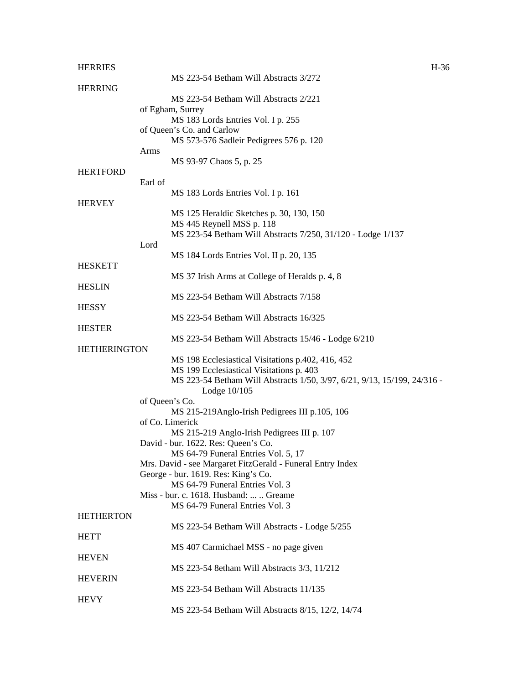| <b>HERRIES</b>      |                |                                                                                                   | $H-36$ |
|---------------------|----------------|---------------------------------------------------------------------------------------------------|--------|
|                     |                | MS 223-54 Betham Will Abstracts 3/272                                                             |        |
| <b>HERRING</b>      |                |                                                                                                   |        |
|                     |                | MS 223-54 Betham Will Abstracts 2/221                                                             |        |
|                     |                | of Egham, Surrey<br>MS 183 Lords Entries Vol. I p. 255                                            |        |
|                     |                | of Queen's Co. and Carlow                                                                         |        |
|                     |                | MS 573-576 Sadleir Pedigrees 576 p. 120                                                           |        |
|                     | Arms           |                                                                                                   |        |
|                     |                | MS 93-97 Chaos 5, p. 25                                                                           |        |
| <b>HERTFORD</b>     |                |                                                                                                   |        |
|                     | Earl of        |                                                                                                   |        |
|                     |                | MS 183 Lords Entries Vol. I p. 161                                                                |        |
| <b>HERVEY</b>       |                |                                                                                                   |        |
|                     |                | MS 125 Heraldic Sketches p. 30, 130, 150<br>MS 445 Reynell MSS p. 118                             |        |
|                     |                | MS 223-54 Betham Will Abstracts 7/250, 31/120 - Lodge 1/137                                       |        |
|                     | Lord           |                                                                                                   |        |
|                     |                | MS 184 Lords Entries Vol. II p. 20, 135                                                           |        |
| <b>HESKETT</b>      |                |                                                                                                   |        |
|                     |                | MS 37 Irish Arms at College of Heralds p. 4, 8                                                    |        |
| <b>HESLIN</b>       |                |                                                                                                   |        |
|                     |                | MS 223-54 Betham Will Abstracts 7/158                                                             |        |
| <b>HESSY</b>        |                |                                                                                                   |        |
|                     |                | MS 223-54 Betham Will Abstracts 16/325                                                            |        |
| <b>HESTER</b>       |                | MS 223-54 Betham Will Abstracts 15/46 - Lodge 6/210                                               |        |
| <b>HETHERINGTON</b> |                |                                                                                                   |        |
|                     |                | MS 198 Ecclesiastical Visitations p.402, 416, 452                                                 |        |
|                     |                | MS 199 Ecclesiastical Visitations p. 403                                                          |        |
|                     |                | MS 223-54 Betham Will Abstracts 1/50, 3/97, 6/21, 9/13, 15/199, 24/316 -                          |        |
|                     |                | Lodge 10/105                                                                                      |        |
|                     | of Queen's Co. |                                                                                                   |        |
|                     |                | MS 215-219Anglo-Irish Pedigrees III p.105, 106                                                    |        |
|                     |                | of Co. Limerick                                                                                   |        |
|                     |                | MS 215-219 Anglo-Irish Pedigrees III p. 107                                                       |        |
|                     |                | David - bur. 1622. Res: Queen's Co.                                                               |        |
|                     |                | MS 64-79 Funeral Entries Vol. 5, 17<br>Mrs. David - see Margaret FitzGerald - Funeral Entry Index |        |
|                     |                | George - bur. 1619. Res: King's Co.                                                               |        |
|                     |                | MS 64-79 Funeral Entries Vol. 3                                                                   |        |
|                     |                | Miss - bur. c. 1618. Husband:   Greame                                                            |        |
|                     |                | MS 64-79 Funeral Entries Vol. 3                                                                   |        |
| <b>HETHERTON</b>    |                |                                                                                                   |        |
|                     |                | MS 223-54 Betham Will Abstracts - Lodge 5/255                                                     |        |
| <b>HETT</b>         |                |                                                                                                   |        |
|                     |                | MS 407 Carmichael MSS - no page given                                                             |        |
| <b>HEVEN</b>        |                |                                                                                                   |        |
|                     |                | MS 223-54 8etham Will Abstracts 3/3, 11/212                                                       |        |
| <b>HEVERIN</b>      |                | MS 223-54 Betham Will Abstracts 11/135                                                            |        |
| <b>HEVY</b>         |                |                                                                                                   |        |
|                     |                | MS 223-54 Betham Will Abstracts 8/15, 12/2, 14/74                                                 |        |
|                     |                |                                                                                                   |        |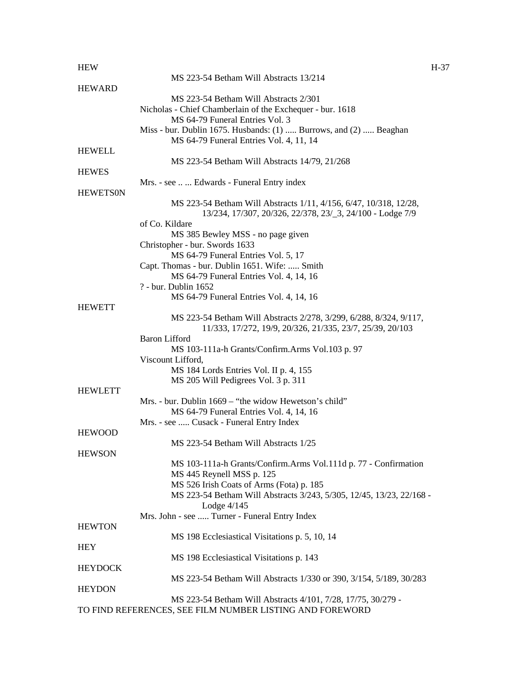## HEW H-37 MS 223-54 Betham Will Abstracts 13/214 **HEWARD** MS 223-54 Betham Will Abstracts 2/301 Nicholas - Chief Chamberlain of the Exchequer - bur. 1618 MS 64-79 Funeral Entries Vol. 3 Miss - bur. Dublin 1675. Husbands: (1) ..... Burrows, and (2) ..... Beaghan MS 64-79 Funeral Entries Vol. 4, 11, 14 HEWELL MS 223-54 Betham Will Abstracts 14/79, 21/268 **HEWES** Mrs. - see .. ... Edwards - Funeral Entry index **HEWETSON** MS 223-54 Betham Will Abstracts 1/11, 4/156, 6/47, 10/318, 12/28, 13/234, 17/307, 20/326, 22/378, 23/\_3, 24/100 - Lodge 7/9 of Co. Kildare MS 385 Bewley MSS - no page given Christopher - bur. Swords 1633 MS 64-79 Funeral Entries Vol. 5, 17 Capt. Thomas - bur. Dublin 1651. Wife: ..... Smith MS 64-79 Funeral Entries Vol. 4, 14, 16 ? - bur. Dublin 1652 MS 64-79 Funeral Entries Vol. 4, 14, 16 **HEWETT** MS 223-54 Betham Will Abstracts 2/278, 3/299, 6/288, 8/324, 9/117, 11/333, 17/272, 19/9, 20/326, 21/335, 23/7, 25/39, 20/103 Baron Lifford MS 103-111a-h Grants/Confirm.Arms Vol.103 p. 97 Viscount Lifford, MS 184 Lords Entries Vol. II p. 4, 155 MS 205 Will Pedigrees Vol. 3 p. 311 HEWLETT Mrs. - bur. Dublin 1669 – "the widow Hewetson's child" MS 64-79 Funeral Entries Vol. 4, 14, 16 Mrs. - see ..... Cusack - Funeral Entry Index **HEWOOD** MS 223-54 Betham Will Abstracts 1/25 **HEWSON** MS 103-111a-h Grants/Confirm.Arms Vol.111d p. 77 - Confirmation MS 445 Reynell MSS p. 125 MS 526 Irish Coats of Arms (Fota) p. 185 MS 223-54 Betham Will Abstracts 3/243, 5/305, 12/45, 13/23, 22/168 - Lodge 4/145 Mrs. John - see ..... Turner - Funeral Entry Index **HEWTON** MS 198 Ecclesiastical Visitations p. 5, 10, 14 **HEY** MS 198 Ecclesiastical Visitations p. 143 **HEYDOCK** MS 223-54 Betham Will Abstracts 1/330 or 390, 3/154, 5/189, 30/283 **HEYDON**

MS 223-54 Betham Will Abstracts 4/101, 7/28, 17/75, 30/279 - TO FIND REFERENCES, SEE FILM NUMBER LISTING AND FOREWORD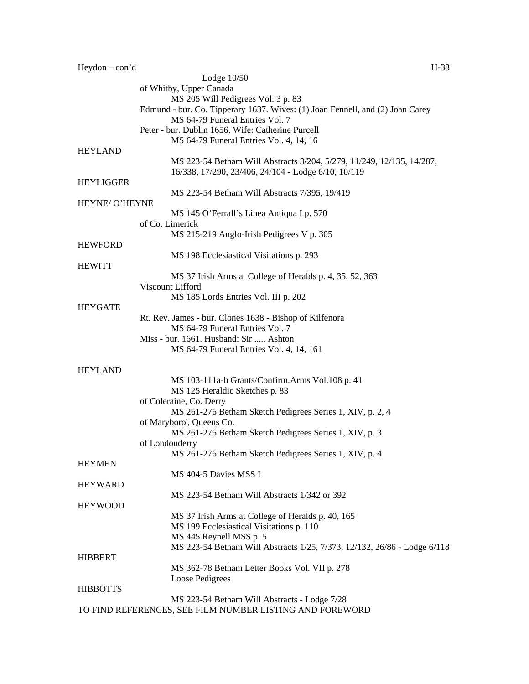| $Heydon - con'd$ | $H-38$                                                                                                           |
|------------------|------------------------------------------------------------------------------------------------------------------|
|                  | Lodge $10/50$                                                                                                    |
|                  | of Whitby, Upper Canada                                                                                          |
|                  | MS 205 Will Pedigrees Vol. 3 p. 83                                                                               |
|                  | Edmund - bur. Co. Tipperary 1637. Wives: (1) Joan Fennell, and (2) Joan Carey<br>MS 64-79 Funeral Entries Vol. 7 |
|                  | Peter - bur. Dublin 1656. Wife: Catherine Purcell                                                                |
|                  | MS 64-79 Funeral Entries Vol. 4, 14, 16                                                                          |
| <b>HEYLAND</b>   |                                                                                                                  |
|                  | MS 223-54 Betham Will Abstracts 3/204, 5/279, 11/249, 12/135, 14/287,                                            |
| <b>HEYLIGGER</b> | 16/338, 17/290, 23/406, 24/104 - Lodge 6/10, 10/119                                                              |
|                  | MS 223-54 Betham Will Abstracts 7/395, 19/419                                                                    |
| HEYNE/ O'HEYNE   |                                                                                                                  |
|                  | MS 145 O'Ferrall's Linea Antiqua I p. 570                                                                        |
|                  | of Co. Limerick                                                                                                  |
|                  | MS 215-219 Anglo-Irish Pedigrees V p. 305                                                                        |
| <b>HEWFORD</b>   |                                                                                                                  |
|                  | MS 198 Ecclesiastical Visitations p. 293                                                                         |
| <b>HEWITT</b>    |                                                                                                                  |
|                  | MS 37 Irish Arms at College of Heralds p. 4, 35, 52, 363                                                         |
|                  | Viscount Lifford                                                                                                 |
|                  | MS 185 Lords Entries Vol. III p. 202                                                                             |
| <b>HEYGATE</b>   |                                                                                                                  |
|                  | Rt. Rev. James - bur. Clones 1638 - Bishop of Kilfenora<br>MS 64-79 Funeral Entries Vol. 7                       |
|                  | Miss - bur. 1661. Husband: Sir  Ashton                                                                           |
|                  | MS 64-79 Funeral Entries Vol. 4, 14, 161                                                                         |
|                  |                                                                                                                  |
| <b>HEYLAND</b>   |                                                                                                                  |
|                  | MS 103-111a-h Grants/Confirm.Arms Vol.108 p. 41                                                                  |
|                  | MS 125 Heraldic Sketches p. 83                                                                                   |
|                  | of Coleraine, Co. Derry                                                                                          |
|                  | MS 261-276 Betham Sketch Pedigrees Series 1, XIV, p. 2, 4                                                        |
|                  | of Maryboro', Queens Co.                                                                                         |
|                  | MS 261-276 Betham Sketch Pedigrees Series 1, XIV, p. 3                                                           |
|                  | of Londonderry                                                                                                   |
|                  | MS 261-276 Betham Sketch Pedigrees Series 1, XIV, p. 4                                                           |
| <b>HEYMEN</b>    | MS 404-5 Davies MSS I                                                                                            |
| <b>HEYWARD</b>   |                                                                                                                  |
|                  | MS 223-54 Betham Will Abstracts 1/342 or 392                                                                     |
| <b>HEYWOOD</b>   |                                                                                                                  |
|                  | MS 37 Irish Arms at College of Heralds p. 40, 165                                                                |
|                  | MS 199 Ecclesiastical Visitations p. 110                                                                         |
|                  | MS 445 Reynell MSS p. 5                                                                                          |
|                  | MS 223-54 Betham Will Abstracts 1/25, 7/373, 12/132, 26/86 - Lodge 6/118                                         |
| <b>HIBBERT</b>   |                                                                                                                  |
|                  | MS 362-78 Betham Letter Books Vol. VII p. 278                                                                    |
|                  | Loose Pedigrees                                                                                                  |
| <b>HIBBOTTS</b>  |                                                                                                                  |
|                  | MS 223-54 Betham Will Abstracts - Lodge 7/28                                                                     |
|                  | TO FIND REFERENCES, SEE FILM NUMBER LISTING AND FOREWORD                                                         |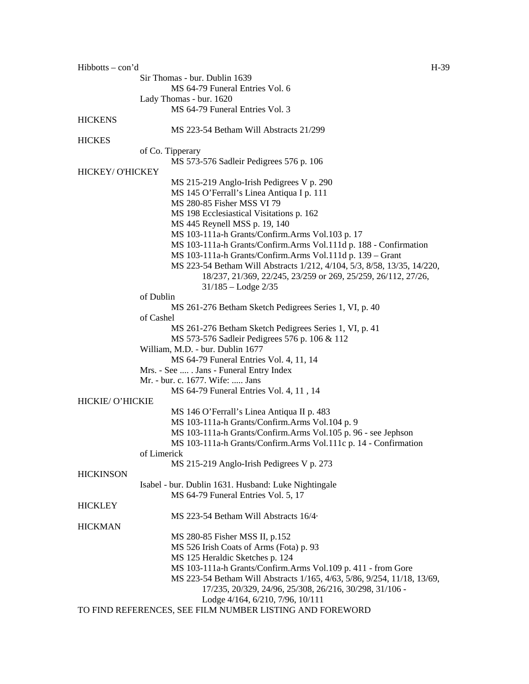Hibbotts – con'd H-39 Sir Thomas - bur. Dublin 1639 MS 64-79 Funeral Entries Vol. 6 Lady Thomas - bur. 1620 MS 64-79 Funeral Entries Vol. 3 **HICKENS** MS 223-54 Betham Will Abstracts 21/299 **HICKES** of Co. Tipperary MS 573-576 Sadleir Pedigrees 576 p. 106 HICKEY/ O'HICKEY MS 215-219 Anglo-Irish Pedigrees V p. 290 MS 145 O'Ferrall's Linea Antiqua I p. 111 MS 280-85 Fisher MSS VI 79 MS 198 Ecclesiastical Visitations p. 162 MS 445 Reynell MSS p. 19, 140 MS 103-111a-h Grants/Confirm.Arms Vol.103 p. 17 MS 103-111a-h Grants/Confirm.Arms Vol.111d p. 188 - Confirmation MS 103-111a-h Grants/Confirm.Arms Vol.111d p. 139 – Grant MS 223-54 Betham Will Abstracts 1/212, 4/104, 5/3, 8/58, 13/35, 14/220, 18/237, 21/369, 22/245, 23/259 or 269, 25/259, 26/112, 27/26, 31/185 – Lodge 2/35 of Dublin MS 261-276 Betham Sketch Pedigrees Series 1, VI, p. 40 of Cashel MS 261-276 Betham Sketch Pedigrees Series 1, VI, p. 41 MS 573-576 Sadleir Pedigrees 576 p. 106 & 112 William, M.D. - bur. Dublin 1677 MS 64-79 Funeral Entries Vol. 4, 11, 14 Mrs. - See .... . Jans - Funeral Entry Index Mr. - bur. c. 1677. Wife: ..... Jans MS 64-79 Funeral Entries Vol. 4, 11 , 14 HICKIE/ O'HICKIE MS 146 O'Ferrall's Linea Antiqua II p. 483 MS 103-111a-h Grants/Confirm.Arms Vol.104 p. 9 MS 103-111a-h Grants/Confirm.Arms Vol.105 p. 96 - see Jephson MS 103-111a-h Grants/Confirm.Arms Vol.111c p. 14 - Confirmation of Limerick MS 215-219 Anglo-Irish Pedigrees V p. 273 **HICKINSON** Isabel - bur. Dublin 1631. Husband: Luke Nightingale MS 64-79 Funeral Entries Vol. 5, 17 HICKLEY MS 223-54 Betham Will Abstracts 16/4· **HICKMAN** MS 280-85 Fisher MSS II, p.152 MS 526 Irish Coats of Arms (Fota) p. 93 MS 125 Heraldic Sketches p. 124 MS 103-111a-h Grants/Confirm.Arms Vol.109 p. 411 - from Gore MS 223-54 Betham Will Abstracts 1/165, 4/63, 5/86, 9/254, 11/18, 13/69, 17/235, 20/329, 24/96, 25/308, 26/216, 30/298, 31/106 - Lodge 4/164, 6/210, 7/96, 10/111 TO FIND REFERENCES, SEE FILM NUMBER LISTING AND FOREWORD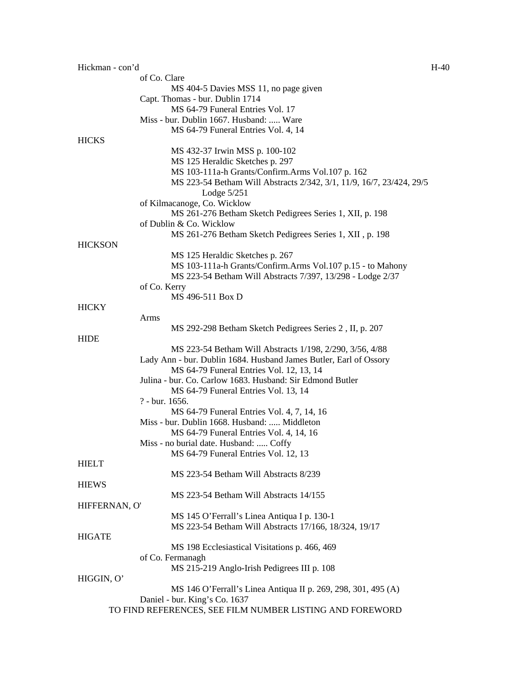| Hickman - con'd |                                                                      | $H-40$ |
|-----------------|----------------------------------------------------------------------|--------|
|                 | of Co. Clare                                                         |        |
|                 | MS 404-5 Davies MSS 11, no page given                                |        |
|                 | Capt. Thomas - bur. Dublin 1714                                      |        |
|                 | MS 64-79 Funeral Entries Vol. 17                                     |        |
|                 | Miss - bur. Dublin 1667. Husband:  Ware                              |        |
|                 | MS 64-79 Funeral Entries Vol. 4, 14                                  |        |
| <b>HICKS</b>    |                                                                      |        |
|                 | MS 432-37 Irwin MSS p. 100-102                                       |        |
|                 | MS 125 Heraldic Sketches p. 297                                      |        |
|                 | MS 103-111a-h Grants/Confirm.Arms Vol.107 p. 162                     |        |
|                 | MS 223-54 Betham Will Abstracts 2/342, 3/1, 11/9, 16/7, 23/424, 29/5 |        |
|                 | Lodge $5/251$                                                        |        |
|                 | of Kilmacanoge, Co. Wicklow                                          |        |
|                 | MS 261-276 Betham Sketch Pedigrees Series 1, XII, p. 198             |        |
|                 | of Dublin & Co. Wicklow                                              |        |
|                 | MS 261-276 Betham Sketch Pedigrees Series 1, XII, p. 198             |        |
| <b>HICKSON</b>  |                                                                      |        |
|                 | MS 125 Heraldic Sketches p. 267                                      |        |
|                 | MS 103-111a-h Grants/Confirm.Arms Vol.107 p.15 - to Mahony           |        |
|                 | MS 223-54 Betham Will Abstracts 7/397, 13/298 - Lodge 2/37           |        |
|                 | of Co. Kerry                                                         |        |
|                 | MS 496-511 Box D                                                     |        |
| <b>HICKY</b>    |                                                                      |        |
|                 | Arms                                                                 |        |
|                 | MS 292-298 Betham Sketch Pedigrees Series 2, II, p. 207              |        |
| <b>HIDE</b>     |                                                                      |        |
|                 | MS 223-54 Betham Will Abstracts 1/198, 2/290, 3/56, 4/88             |        |
|                 | Lady Ann - bur. Dublin 1684. Husband James Butler, Earl of Ossory    |        |
|                 | MS 64-79 Funeral Entries Vol. 12, 13, 14                             |        |
|                 | Julina - bur. Co. Carlow 1683. Husband: Sir Edmond Butler            |        |
|                 | MS 64-79 Funeral Entries Vol. 13, 14                                 |        |
|                 | ? - bur. 1656.                                                       |        |
|                 | MS 64-79 Funeral Entries Vol. 4, 7, 14, 16                           |        |
|                 | Miss - bur. Dublin 1668. Husband:  Middleton                         |        |
|                 | MS 64-79 Funeral Entries Vol. 4, 14, 16                              |        |
|                 | Miss - no burial date. Husband:  Coffy                               |        |
|                 | MS 64-79 Funeral Entries Vol. 12, 13                                 |        |
| <b>HIELT</b>    |                                                                      |        |
|                 | MS 223-54 Betham Will Abstracts 8/239                                |        |
| <b>HIEWS</b>    |                                                                      |        |
|                 | MS 223-54 Betham Will Abstracts 14/155                               |        |
| HIFFERNAN, O'   |                                                                      |        |
|                 | MS 145 O'Ferrall's Linea Antiqua I p. 130-1                          |        |
|                 | MS 223-54 Betham Will Abstracts 17/166, 18/324, 19/17                |        |
| <b>HIGATE</b>   |                                                                      |        |
|                 | MS 198 Ecclesiastical Visitations p. 466, 469                        |        |
|                 | of Co. Fermanagh                                                     |        |
|                 | MS 215-219 Anglo-Irish Pedigrees III p. 108                          |        |
| HIGGIN, O'      |                                                                      |        |
|                 | MS 146 O'Ferrall's Linea Antiqua II p. 269, 298, 301, 495 (A)        |        |
|                 | Daniel - bur. King's Co. 1637                                        |        |
|                 | TO FIND REFERENCES, SEE FILM NUMBER LISTING AND FOREWORD             |        |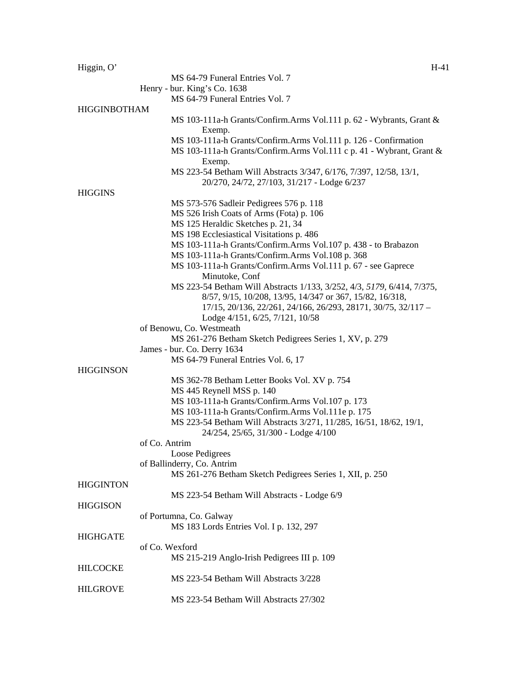| Higgin, O'          | $H-41$                                                                                                           |
|---------------------|------------------------------------------------------------------------------------------------------------------|
|                     | MS 64-79 Funeral Entries Vol. 7                                                                                  |
|                     | Henry - bur. King's Co. 1638                                                                                     |
|                     | MS 64-79 Funeral Entries Vol. 7                                                                                  |
| <b>HIGGINBOTHAM</b> |                                                                                                                  |
|                     | MS 103-111a-h Grants/Confirm.Arms Vol.111 p. 62 - Wybrants, Grant &<br>Exemp.                                    |
|                     | MS 103-111a-h Grants/Confirm.Arms Vol.111 p. 126 - Confirmation                                                  |
|                     | MS 103-111a-h Grants/Confirm.Arms Vol.111 c p. 41 - Wybrant, Grant &<br>Exemp.                                   |
|                     | MS 223-54 Betham Will Abstracts 3/347, 6/176, 7/397, 12/58, 13/1,<br>20/270, 24/72, 27/103, 31/217 - Lodge 6/237 |
| <b>HIGGINS</b>      |                                                                                                                  |
|                     |                                                                                                                  |
|                     | MS 573-576 Sadleir Pedigrees 576 p. 118<br>MS 526 Irish Coats of Arms (Fota) p. 106                              |
|                     |                                                                                                                  |
|                     | MS 125 Heraldic Sketches p. 21, 34                                                                               |
|                     | MS 198 Ecclesiastical Visitations p. 486                                                                         |
|                     | MS 103-111a-h Grants/Confirm.Arms Vol.107 p. 438 - to Brabazon                                                   |
|                     | MS 103-111a-h Grants/Confirm.Arms Vol.108 p. 368                                                                 |
|                     | MS 103-111a-h Grants/Confirm.Arms Vol.111 p. 67 - see Gaprece                                                    |
|                     | Minutoke, Conf                                                                                                   |
|                     | MS 223-54 Betham Will Abstracts 1/133, 3/252, 4/3, 5179, 6/414, 7/375,                                           |
|                     | 8/57, 9/15, 10/208, 13/95, 14/347 or 367, 15/82, 16/318,                                                         |
|                     | 17/15, 20/136, 22/261, 24/166, 26/293, 28171, 30/75, 32/117 -                                                    |
|                     | Lodge 4/151, 6/25, 7/121, 10/58                                                                                  |
|                     | of Benowu, Co. Westmeath                                                                                         |
|                     | MS 261-276 Betham Sketch Pedigrees Series 1, XV, p. 279                                                          |
|                     | James - bur. Co. Derry 1634                                                                                      |
|                     | MS 64-79 Funeral Entries Vol. 6, 17                                                                              |
| <b>HIGGINSON</b>    |                                                                                                                  |
|                     | MS 362-78 Betham Letter Books Vol. XV p. 754                                                                     |
|                     | MS 445 Reynell MSS p. 140                                                                                        |
|                     | MS 103-111a-h Grants/Confirm.Arms Vol.107 p. 173                                                                 |
|                     | MS 103-111a-h Grants/Confirm.Arms Vol.111e p. 175                                                                |
|                     | MS 223-54 Betham Will Abstracts 3/271, 11/285, 16/51, 18/62, 19/1,                                               |
|                     | 24/254, 25/65, 31/300 - Lodge 4/100                                                                              |
|                     | of Co. Antrim                                                                                                    |
|                     | <b>Loose Pedigrees</b>                                                                                           |
|                     | of Ballinderry, Co. Antrim                                                                                       |
|                     | MS 261-276 Betham Sketch Pedigrees Series 1, XII, p. 250                                                         |
| <b>HIGGINTON</b>    |                                                                                                                  |
|                     | MS 223-54 Betham Will Abstracts - Lodge 6/9                                                                      |
| <b>HIGGISON</b>     |                                                                                                                  |
|                     | of Portumna, Co. Galway                                                                                          |
|                     | MS 183 Lords Entries Vol. I p. 132, 297                                                                          |
| <b>HIGHGATE</b>     |                                                                                                                  |
|                     | of Co. Wexford                                                                                                   |
|                     | MS 215-219 Anglo-Irish Pedigrees III p. 109                                                                      |
| <b>HILCOCKE</b>     |                                                                                                                  |
|                     | MS 223-54 Betham Will Abstracts 3/228                                                                            |
| <b>HILGROVE</b>     |                                                                                                                  |
|                     | MS 223-54 Betham Will Abstracts 27/302                                                                           |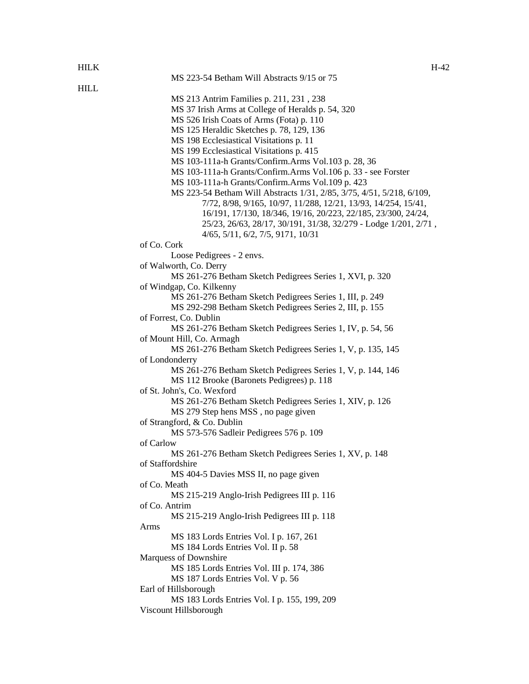| <b>HILK</b> |                                                                                        | $H-42$ |
|-------------|----------------------------------------------------------------------------------------|--------|
|             | MS 223-54 Betham Will Abstracts 9/15 or 75                                             |        |
| <b>HILL</b> |                                                                                        |        |
|             | MS 213 Antrim Families p. 211, 231, 238                                                |        |
|             | MS 37 Irish Arms at College of Heralds p. 54, 320                                      |        |
|             | MS 526 Irish Coats of Arms (Fota) p. 110                                               |        |
|             | MS 125 Heraldic Sketches p. 78, 129, 136                                               |        |
|             | MS 198 Ecclesiastical Visitations p. 11                                                |        |
|             | MS 199 Ecclesiastical Visitations p. 415                                               |        |
|             | MS 103-111a-h Grants/Confirm.Arms Vol.103 p. 28, 36                                    |        |
|             | MS 103-111a-h Grants/Confirm.Arms Vol.106 p. 33 - see Forster                          |        |
|             | MS 103-111a-h Grants/Confirm.Arms Vol.109 p. 423                                       |        |
|             | MS 223-54 Betham Will Abstracts 1/31, 2/85, 3/75, 4/51, 5/218, 6/109,                  |        |
|             | 7/72, 8/98, 9/165, 10/97, 11/288, 12/21, 13/93, 14/254, 15/41,                         |        |
|             | 16/191, 17/130, 18/346, 19/16, 20/223, 22/185, 23/300, 24/24,                          |        |
|             | 25/23, 26/63, 28/17, 30/191, 31/38, 32/279 - Lodge 1/201, 2/71,                        |        |
|             | 4/65, 5/11, 6/2, 7/5, 9171, 10/31                                                      |        |
|             | of Co. Cork                                                                            |        |
|             | Loose Pedigrees - 2 envs.                                                              |        |
|             | of Walworth, Co. Derry                                                                 |        |
|             | MS 261-276 Betham Sketch Pedigrees Series 1, XVI, p. 320                               |        |
|             | of Windgap, Co. Kilkenny                                                               |        |
|             | MS 261-276 Betham Sketch Pedigrees Series 1, III, p. 249                               |        |
|             | MS 292-298 Betham Sketch Pedigrees Series 2, III, p. 155                               |        |
|             | of Forrest, Co. Dublin                                                                 |        |
|             | MS 261-276 Betham Sketch Pedigrees Series 1, IV, p. 54, 56                             |        |
|             | of Mount Hill, Co. Armagh                                                              |        |
|             | MS 261-276 Betham Sketch Pedigrees Series 1, V, p. 135, 145                            |        |
|             | of Londonderry                                                                         |        |
|             | MS 261-276 Betham Sketch Pedigrees Series 1, V, p. 144, 146                            |        |
|             | MS 112 Brooke (Baronets Pedigrees) p. 118                                              |        |
|             |                                                                                        |        |
|             | of St. John's, Co. Wexford<br>MS 261-276 Betham Sketch Pedigrees Series 1, XIV, p. 126 |        |
|             |                                                                                        |        |
|             | MS 279 Step hens MSS, no page given                                                    |        |
|             | of Strangford, & Co. Dublin                                                            |        |
|             | MS 573-576 Sadleir Pedigrees 576 p. 109                                                |        |
|             | of Carlow<br>MS 261-276 Betham Sketch Pedigrees Series 1, XV, p. 148                   |        |
|             |                                                                                        |        |
|             | of Staffordshire                                                                       |        |
|             | MS 404-5 Davies MSS II, no page given                                                  |        |
|             | of Co. Meath                                                                           |        |
|             | MS 215-219 Anglo-Irish Pedigrees III p. 116                                            |        |
|             | of Co. Antrim                                                                          |        |
|             | MS 215-219 Anglo-Irish Pedigrees III p. 118                                            |        |
|             | Arms                                                                                   |        |
|             | MS 183 Lords Entries Vol. I p. 167, 261                                                |        |
|             | MS 184 Lords Entries Vol. II p. 58                                                     |        |
|             | Marquess of Downshire                                                                  |        |
|             | MS 185 Lords Entries Vol. III p. 174, 386                                              |        |
|             | MS 187 Lords Entries Vol. V p. 56                                                      |        |
|             | Earl of Hillsborough                                                                   |        |
|             | MS 183 Lords Entries Vol. I p. 155, 199, 209                                           |        |
|             | Viscount Hillsborough                                                                  |        |
|             |                                                                                        |        |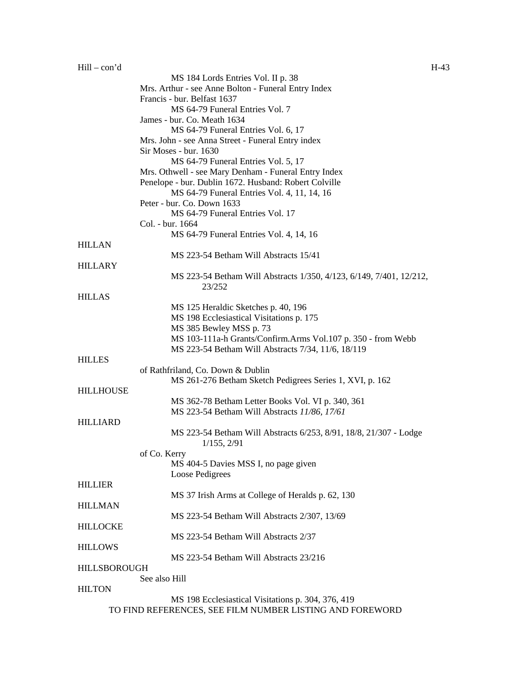|                     | MS 184 Lords Entries Vol. II p. 38                                  |
|---------------------|---------------------------------------------------------------------|
|                     | Mrs. Arthur - see Anne Bolton - Funeral Entry Index                 |
|                     | Francis - bur. Belfast 1637                                         |
|                     | MS 64-79 Funeral Entries Vol. 7                                     |
|                     | James - bur. Co. Meath 1634                                         |
|                     | MS 64-79 Funeral Entries Vol. 6, 17                                 |
|                     | Mrs. John - see Anna Street - Funeral Entry index                   |
|                     | Sir Moses - bur. 1630                                               |
|                     | MS 64-79 Funeral Entries Vol. 5, 17                                 |
|                     | Mrs. Othwell - see Mary Denham - Funeral Entry Index                |
|                     | Penelope - bur. Dublin 1672. Husband: Robert Colville               |
|                     | MS 64-79 Funeral Entries Vol. 4, 11, 14, 16                         |
|                     | Peter - bur. Co. Down 1633                                          |
|                     | MS 64-79 Funeral Entries Vol. 17                                    |
|                     | Col. - bur. 1664                                                    |
|                     | MS 64-79 Funeral Entries Vol. 4, 14, 16                             |
| <b>HILLAN</b>       |                                                                     |
|                     | MS 223-54 Betham Will Abstracts 15/41                               |
| <b>HILLARY</b>      |                                                                     |
|                     | MS 223-54 Betham Will Abstracts 1/350, 4/123, 6/149, 7/401, 12/212, |
|                     | 23/252                                                              |
| <b>HILLAS</b>       |                                                                     |
|                     | MS 125 Heraldic Sketches p. 40, 196                                 |
|                     | MS 198 Ecclesiastical Visitations p. 175                            |
|                     | MS 385 Bewley MSS p. 73                                             |
|                     | MS 103-111a-h Grants/Confirm.Arms Vol.107 p. 350 - from Webb        |
|                     | MS 223-54 Betham Will Abstracts 7/34, 11/6, 18/119                  |
| <b>HILLES</b>       |                                                                     |
|                     | of Rathfriland, Co. Down & Dublin                                   |
|                     | MS 261-276 Betham Sketch Pedigrees Series 1, XVI, p. 162            |
| <b>HILLHOUSE</b>    |                                                                     |
|                     | MS 362-78 Betham Letter Books Vol. VI p. 340, 361                   |
|                     | MS 223-54 Betham Will Abstracts 11/86, 17/61                        |
| <b>HILLIARD</b>     |                                                                     |
|                     | MS 223-54 Betham Will Abstracts 6/253, 8/91, 18/8, 21/307 - Lodge   |
|                     | 1/155, 2/91                                                         |
|                     | of Co. Kerry                                                        |
|                     | MS 404-5 Davies MSS I, no page given                                |
|                     | Loose Pedigrees                                                     |
| <b>HILLIER</b>      |                                                                     |
|                     | MS 37 Irish Arms at College of Heralds p. 62, 130                   |
| <b>HILLMAN</b>      |                                                                     |
|                     | MS 223-54 Betham Will Abstracts 2/307, 13/69                        |
| <b>HILLOCKE</b>     |                                                                     |
|                     | MS 223-54 Betham Will Abstracts 2/37                                |
| <b>HILLOWS</b>      |                                                                     |
|                     | MS 223-54 Betham Will Abstracts 23/216                              |
| <b>HILLSBOROUGH</b> |                                                                     |
|                     | See also Hill                                                       |
| <b>HILTON</b>       |                                                                     |
|                     | MS 198 Ecclesiastical Visitations p. 304, 376, 419                  |

MS 198 Ecclesiastical Visitations p. 304, 376, 419 TO FIND REFERENCES, SEE FILM NUMBER LISTING AND FOREWORD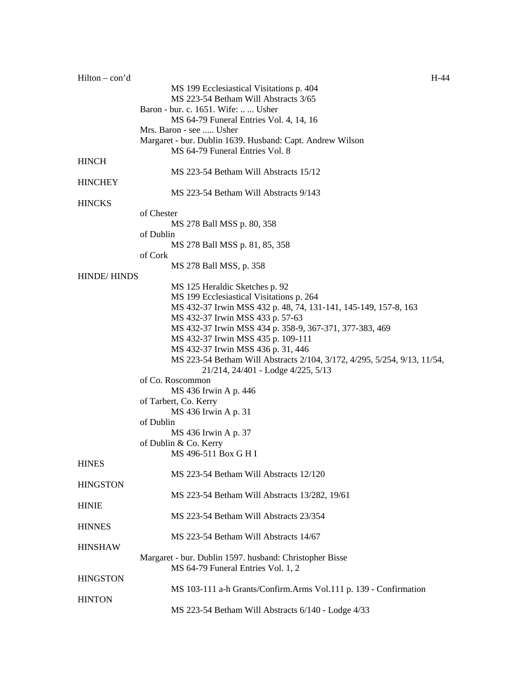| $H-44$                                                                   |
|--------------------------------------------------------------------------|
| MS 199 Ecclesiastical Visitations p. 404                                 |
| MS 223-54 Betham Will Abstracts 3/65                                     |
| Baron - bur. c. 1651. Wife:   Usher                                      |
| MS 64-79 Funeral Entries Vol. 4, 14, 16                                  |
| Mrs. Baron - see  Usher                                                  |
| Margaret - bur. Dublin 1639. Husband: Capt. Andrew Wilson                |
| MS 64-79 Funeral Entries Vol. 8                                          |
|                                                                          |
| MS 223-54 Betham Will Abstracts 15/12                                    |
|                                                                          |
| MS 223-54 Betham Will Abstracts 9/143                                    |
|                                                                          |
| of Chester                                                               |
| MS 278 Ball MSS p. 80, 358                                               |
| of Dublin                                                                |
| MS 278 Ball MSS p. 81, 85, 358                                           |
| of Cork                                                                  |
| MS 278 Ball MSS, p. 358                                                  |
| <b>HINDE/HINDS</b>                                                       |
| MS 125 Heraldic Sketches p. 92                                           |
| MS 199 Ecclesiastical Visitations p. 264                                 |
| MS 432-37 Irwin MSS 432 p. 48, 74, 131-141, 145-149, 157-8, 163          |
| MS 432-37 Irwin MSS 433 p. 57-63                                         |
|                                                                          |
| MS 432-37 Irwin MSS 434 p. 358-9, 367-371, 377-383, 469                  |
| MS 432-37 Irwin MSS 435 p. 109-111                                       |
| MS 432-37 Irwin MSS 436 p. 31, 446                                       |
| MS 223-54 Betham Will Abstracts 2/104, 3/172, 4/295, 5/254, 9/13, 11/54, |
| 21/214, 24/401 - Lodge 4/225, 5/13                                       |
| of Co. Roscommon                                                         |
| MS 436 Irwin A p. 446                                                    |
| of Tarbert, Co. Kerry                                                    |
| MS 436 Irwin A p. 31                                                     |
| of Dublin                                                                |
| MS 436 Irwin A p. 37                                                     |
| of Dublin & Co. Kerry                                                    |
| MS 496-511 Box G H I                                                     |
|                                                                          |
| MS 223-54 Betham Will Abstracts 12/120                                   |
|                                                                          |
| MS 223-54 Betham Will Abstracts 13/282, 19/61                            |
|                                                                          |
| MS 223-54 Betham Will Abstracts 23/354                                   |
|                                                                          |
| MS 223-54 Betham Will Abstracts 14/67                                    |
|                                                                          |
|                                                                          |
| Margaret - bur. Dublin 1597. husband: Christopher Bisse                  |
| MS 64-79 Funeral Entries Vol. 1, 2                                       |
|                                                                          |
| MS 103-111 a-h Grants/Confirm.Arms Vol.111 p. 139 - Confirmation         |
|                                                                          |
| MS 223-54 Betham Will Abstracts 6/140 - Lodge 4/33                       |
|                                                                          |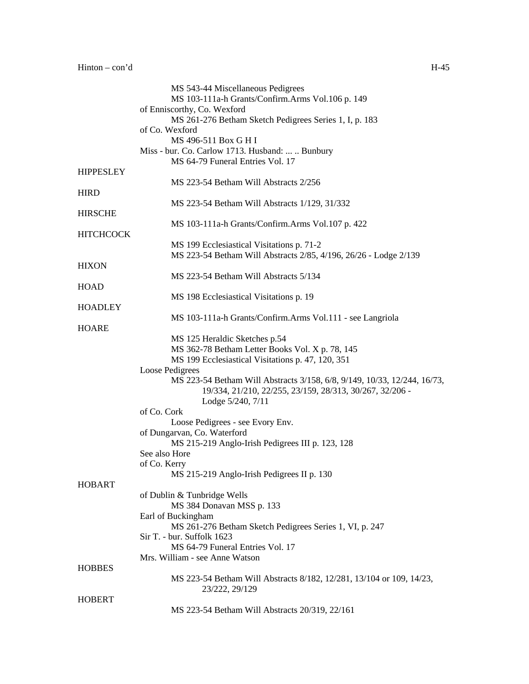|                  | MS 543-44 Miscellaneous Pedigrees                                        |
|------------------|--------------------------------------------------------------------------|
|                  | MS 103-111a-h Grants/Confirm.Arms Vol.106 p. 149                         |
|                  | of Enniscorthy, Co. Wexford                                              |
|                  | MS 261-276 Betham Sketch Pedigrees Series 1, I, p. 183                   |
|                  | of Co. Wexford                                                           |
|                  | MS 496-511 Box G H I                                                     |
|                  | Miss - bur. Co. Carlow 1713. Husband:   Bunbury                          |
|                  | MS 64-79 Funeral Entries Vol. 17                                         |
| <b>HIPPESLEY</b> |                                                                          |
|                  | MS 223-54 Betham Will Abstracts 2/256                                    |
| <b>HIRD</b>      |                                                                          |
|                  | MS 223-54 Betham Will Abstracts 1/129, 31/332                            |
| <b>HIRSCHE</b>   |                                                                          |
|                  | MS 103-111a-h Grants/Confirm.Arms Vol.107 p. 422                         |
| <b>HITCHCOCK</b> |                                                                          |
|                  | MS 199 Ecclesiastical Visitations p. 71-2                                |
|                  | MS 223-54 Betham Will Abstracts 2/85, 4/196, 26/26 - Lodge 2/139         |
| <b>HIXON</b>     |                                                                          |
| <b>HOAD</b>      | MS 223-54 Betham Will Abstracts 5/134                                    |
|                  |                                                                          |
| <b>HOADLEY</b>   | MS 198 Ecclesiastical Visitations p. 19                                  |
|                  |                                                                          |
| <b>HOARE</b>     | MS 103-111a-h Grants/Confirm.Arms Vol.111 - see Langriola                |
|                  | MS 125 Heraldic Sketches p.54                                            |
|                  | MS 362-78 Betham Letter Books Vol. X p. 78, 145                          |
|                  | MS 199 Ecclesiastical Visitations p. 47, 120, 351                        |
|                  | Loose Pedigrees                                                          |
|                  | MS 223-54 Betham Will Abstracts 3/158, 6/8, 9/149, 10/33, 12/244, 16/73, |
|                  | 19/334, 21/210, 22/255, 23/159, 28/313, 30/267, 32/206 -                 |
|                  | Lodge 5/240, 7/11                                                        |
|                  | of Co. Cork                                                              |
|                  | Loose Pedigrees - see Evory Env.                                         |
|                  | of Dungarvan, Co. Waterford                                              |
|                  | MS 215-219 Anglo-Irish Pedigrees III p. 123, 128                         |
|                  | See also Hore                                                            |
|                  | of Co. Kerry                                                             |
|                  | MS 215-219 Anglo-Irish Pedigrees II p. 130                               |
| <b>HOBART</b>    |                                                                          |
|                  | of Dublin & Tunbridge Wells                                              |
|                  | MS 384 Donavan MSS p. 133                                                |
|                  | Earl of Buckingham                                                       |
|                  | MS 261-276 Betham Sketch Pedigrees Series 1, VI, p. 247                  |
|                  | Sir T. - bur. Suffolk 1623                                               |
|                  | MS 64-79 Funeral Entries Vol. 17                                         |
|                  | Mrs. William - see Anne Watson                                           |
| <b>HOBBES</b>    |                                                                          |
|                  | MS 223-54 Betham Will Abstracts 8/182, 12/281, 13/104 or 109, 14/23,     |
|                  | 23/222, 29/129                                                           |
| <b>HOBERT</b>    |                                                                          |
|                  | MS 223-54 Betham Will Abstracts 20/319, 22/161                           |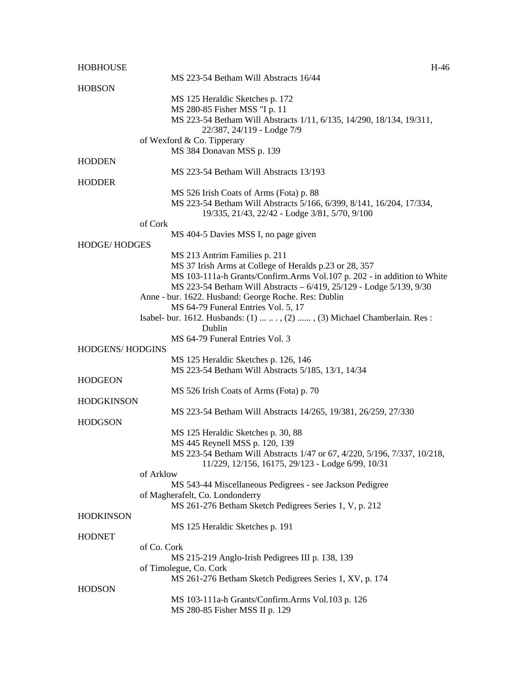| <b>HOBHOUSE</b>        | H-46                                                                     |
|------------------------|--------------------------------------------------------------------------|
|                        | MS 223-54 Betham Will Abstracts 16/44                                    |
| <b>HOBSON</b>          |                                                                          |
|                        | MS 125 Heraldic Sketches p. 172                                          |
|                        | MS 280-85 Fisher MSS "I p. 11                                            |
|                        | MS 223-54 Betham Will Abstracts 1/11, 6/135, 14/290, 18/134, 19/311,     |
|                        | 22/387, 24/119 - Lodge 7/9                                               |
|                        | of Wexford & Co. Tipperary                                               |
|                        | MS 384 Donavan MSS p. 139                                                |
| <b>HODDEN</b>          | MS 223-54 Betham Will Abstracts 13/193                                   |
| <b>HODDER</b>          |                                                                          |
|                        | MS 526 Irish Coats of Arms (Fota) p. 88                                  |
|                        | MS 223-54 Betham Will Abstracts 5/166, 6/399, 8/141, 16/204, 17/334,     |
|                        | 19/335, 21/43, 22/42 - Lodge 3/81, 5/70, 9/100                           |
|                        | of Cork                                                                  |
|                        | MS 404-5 Davies MSS I, no page given                                     |
| <b>HODGE/HODGES</b>    |                                                                          |
|                        | MS 213 Antrim Families p. 211                                            |
|                        | MS 37 Irish Arms at College of Heralds p.23 or 28, 357                   |
|                        | MS 103-111a-h Grants/Confirm.Arms Vol.107 p. 202 - in addition to White  |
|                        | MS 223-54 Betham Will Abstracts - 6/419, 25/129 - Lodge 5/139, 9/30      |
|                        | Anne - bur. 1622. Husband: George Roche. Res: Dublin                     |
|                        | MS 64-79 Funeral Entries Vol. 5, 17                                      |
|                        | Isabel- bur. 1612. Husbands: (1)  , (2) , (3) Michael Chamberlain. Res:  |
|                        | Dublin                                                                   |
|                        | MS 64-79 Funeral Entries Vol. 3                                          |
| <b>HODGENS/HODGINS</b> |                                                                          |
|                        | MS 125 Heraldic Sketches p. 126, 146                                     |
|                        | MS 223-54 Betham Will Abstracts 5/185, 13/1, 14/34                       |
| <b>HODGEON</b>         |                                                                          |
|                        | MS 526 Irish Coats of Arms (Fota) p. 70                                  |
| <b>HODGKINSON</b>      |                                                                          |
|                        | MS 223-54 Betham Will Abstracts 14/265, 19/381, 26/259, 27/330           |
| <b>HODGSON</b>         |                                                                          |
|                        | MS 125 Heraldic Sketches p. 30, 88                                       |
|                        | MS 445 Reynell MSS p. 120, 139                                           |
|                        | MS 223-54 Betham Will Abstracts 1/47 or 67, 4/220, 5/196, 7/337, 10/218, |
|                        | 11/229, 12/156, 16175, 29/123 - Lodge 6/99, 10/31                        |
|                        | of Arklow                                                                |
|                        | MS 543-44 Miscellaneous Pedigrees - see Jackson Pedigree                 |
|                        | of Magherafelt, Co. Londonderry                                          |
|                        | MS 261-276 Betham Sketch Pedigrees Series 1, V, p. 212                   |
| <b>HODKINSON</b>       |                                                                          |
|                        | MS 125 Heraldic Sketches p. 191                                          |
| <b>HODNET</b>          |                                                                          |
|                        | of Co. Cork                                                              |
|                        | MS 215-219 Anglo-Irish Pedigrees III p. 138, 139                         |
|                        | of Timolegue, Co. Cork                                                   |
|                        | MS 261-276 Betham Sketch Pedigrees Series 1, XV, p. 174                  |
| <b>HODSON</b>          |                                                                          |
|                        | MS 103-111a-h Grants/Confirm.Arms Vol.103 p. 126                         |
|                        | MS 280-85 Fisher MSS II p. 129                                           |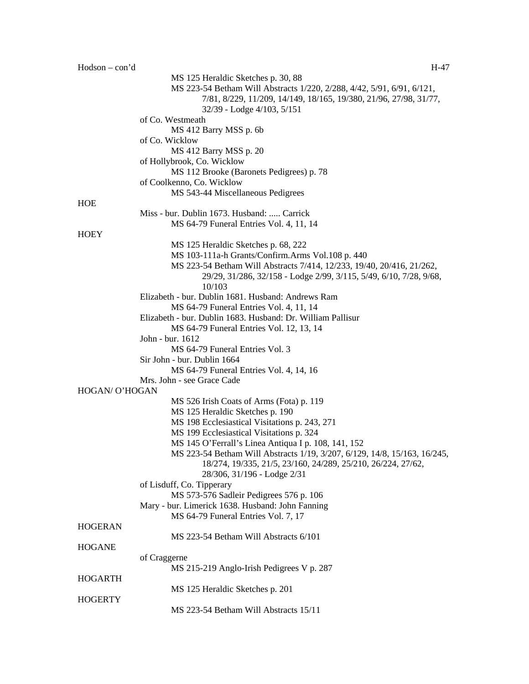| $Hodson - con'd$ | H-47                                                                      |
|------------------|---------------------------------------------------------------------------|
|                  | MS 125 Heraldic Sketches p. 30, 88                                        |
|                  | MS 223-54 Betham Will Abstracts 1/220, 2/288, 4/42, 5/91, 6/91, 6/121,    |
|                  | 7/81, 8/229, 11/209, 14/149, 18/165, 19/380, 21/96, 27/98, 31/77,         |
|                  | 32/39 - Lodge 4/103, 5/151                                                |
|                  | of Co. Westmeath                                                          |
|                  | MS 412 Barry MSS p. 6b                                                    |
|                  | of Co. Wicklow                                                            |
|                  | MS 412 Barry MSS p. 20                                                    |
|                  | of Hollybrook, Co. Wicklow                                                |
|                  | MS 112 Brooke (Baronets Pedigrees) p. 78                                  |
|                  | of Coolkenno, Co. Wicklow                                                 |
|                  | MS 543-44 Miscellaneous Pedigrees                                         |
| HOE              |                                                                           |
|                  | Miss - bur. Dublin 1673. Husband:  Carrick                                |
|                  | MS 64-79 Funeral Entries Vol. 4, 11, 14                                   |
| <b>HOEY</b>      |                                                                           |
|                  | MS 125 Heraldic Sketches p. 68, 222                                       |
|                  | MS 103-111a-h Grants/Confirm.Arms Vol.108 p. 440                          |
|                  | MS 223-54 Betham Will Abstracts 7/414, 12/233, 19/40, 20/416, 21/262,     |
|                  | 29/29, 31/286, 32/158 - Lodge 2/99, 3/115, 5/49, 6/10, 7/28, 9/68,        |
|                  | 10/103                                                                    |
|                  | Elizabeth - bur. Dublin 1681. Husband: Andrews Ram                        |
|                  | MS 64-79 Funeral Entries Vol. 4, 11, 14                                   |
|                  | Elizabeth - bur. Dublin 1683. Husband: Dr. William Pallisur               |
|                  | MS 64-79 Funeral Entries Vol. 12, 13, 14                                  |
|                  | John - bur. 1612                                                          |
|                  | MS 64-79 Funeral Entries Vol. 3                                           |
|                  | Sir John - bur. Dublin 1664                                               |
|                  | MS 64-79 Funeral Entries Vol. 4, 14, 16                                   |
|                  | Mrs. John - see Grace Cade                                                |
| HOGAN/ O'HOGAN   |                                                                           |
|                  | MS 526 Irish Coats of Arms (Fota) p. 119                                  |
|                  | MS 125 Heraldic Sketches p. 190                                           |
|                  | MS 198 Ecclesiastical Visitations p. 243, 271                             |
|                  | MS 199 Ecclesiastical Visitations p. 324                                  |
|                  | MS 145 O'Ferrall's Linea Antiqua I p. 108, 141, 152                       |
|                  | MS 223-54 Betham Will Abstracts 1/19, 3/207, 6/129, 14/8, 15/163, 16/245, |
|                  | 18/274, 19/335, 21/5, 23/160, 24/289, 25/210, 26/224, 27/62,              |
|                  | 28/306, 31/196 - Lodge 2/31                                               |
|                  | of Lisduff, Co. Tipperary                                                 |
|                  | MS 573-576 Sadleir Pedigrees 576 p. 106                                   |
|                  | Mary - bur. Limerick 1638. Husband: John Fanning                          |
|                  | MS 64-79 Funeral Entries Vol. 7, 17                                       |
| <b>HOGERAN</b>   |                                                                           |
|                  | MS 223-54 Betham Will Abstracts 6/101                                     |
| <b>HOGANE</b>    |                                                                           |
|                  | of Craggerne                                                              |
|                  | MS 215-219 Anglo-Irish Pedigrees V p. 287                                 |
| <b>HOGARTH</b>   |                                                                           |
|                  | MS 125 Heraldic Sketches p. 201                                           |
| <b>HOGERTY</b>   |                                                                           |
|                  | MS 223-54 Betham Will Abstracts 15/11                                     |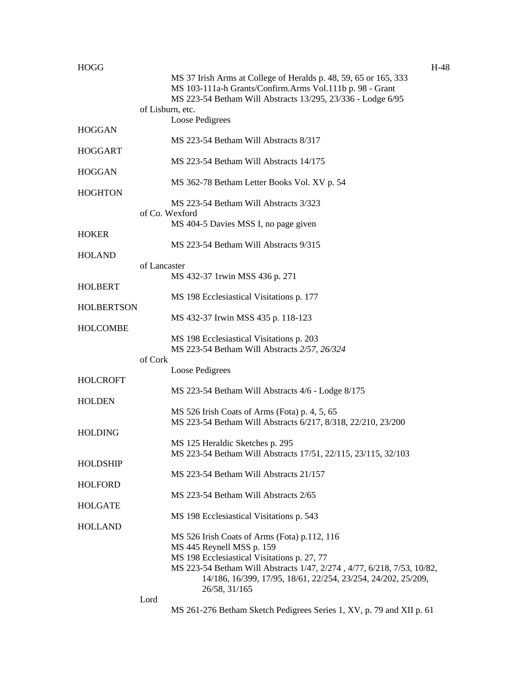| <b>HOGG</b>       | $H-48$                                                                                                                       |  |
|-------------------|------------------------------------------------------------------------------------------------------------------------------|--|
|                   | MS 37 Irish Arms at College of Heralds p. 48, 59, 65 or 165, 333<br>MS 103-111a-h Grants/Confirm.Arms Vol.111b p. 98 - Grant |  |
|                   | MS 223-54 Betham Will Abstracts 13/295, 23/336 - Lodge 6/95<br>of Lisburn, etc.                                              |  |
|                   | Loose Pedigrees                                                                                                              |  |
| <b>HOGGAN</b>     |                                                                                                                              |  |
|                   | MS 223-54 Betham Will Abstracts 8/317                                                                                        |  |
| <b>HOGGART</b>    |                                                                                                                              |  |
|                   | MS 223-54 Betham Will Abstracts 14/175                                                                                       |  |
| <b>HOGGAN</b>     |                                                                                                                              |  |
|                   | MS 362-78 Betham Letter Books Vol. XV p. 54                                                                                  |  |
| <b>HOGHTON</b>    |                                                                                                                              |  |
|                   | MS 223-54 Betham Will Abstracts 3/323                                                                                        |  |
|                   | of Co. Wexford                                                                                                               |  |
|                   | MS 404-5 Davies MSS I, no page given                                                                                         |  |
| <b>HOKER</b>      |                                                                                                                              |  |
|                   | MS 223-54 Betham Will Abstracts 9/315                                                                                        |  |
| <b>HOLAND</b>     |                                                                                                                              |  |
|                   | of Lancaster                                                                                                                 |  |
|                   | MS 432-37 1rwin MSS 436 p. 271                                                                                               |  |
| <b>HOLBERT</b>    |                                                                                                                              |  |
|                   | MS 198 Ecclesiastical Visitations p. 177                                                                                     |  |
| <b>HOLBERTSON</b> |                                                                                                                              |  |
|                   | MS 432-37 Irwin MSS 435 p. 118-123                                                                                           |  |
| HOLCOMBE          |                                                                                                                              |  |
|                   | MS 198 Ecclesiastical Visitations p. 203                                                                                     |  |
|                   | MS 223-54 Betham Will Abstracts 2/57, 26/324                                                                                 |  |
|                   | of Cork                                                                                                                      |  |
|                   | Loose Pedigrees                                                                                                              |  |
| <b>HOLCROFT</b>   |                                                                                                                              |  |
|                   | MS 223-54 Betham Will Abstracts 4/6 - Lodge 8/175                                                                            |  |
| <b>HOLDEN</b>     |                                                                                                                              |  |
|                   | MS 526 Irish Coats of Arms (Fota) p. 4, 5, 65                                                                                |  |
| <b>HOLDING</b>    | MS 223-54 Betham Will Abstracts 6/217, 8/318, 22/210, 23/200                                                                 |  |
|                   | MS 125 Heraldic Sketches p. 295                                                                                              |  |
|                   | MS 223-54 Betham Will Abstracts 17/51, 22/115, 23/115, 32/103                                                                |  |
| <b>HOLDSHIP</b>   |                                                                                                                              |  |
|                   | MS 223-54 Betham Will Abstracts 21/157                                                                                       |  |
| <b>HOLFORD</b>    |                                                                                                                              |  |
|                   | MS 223-54 Betham Will Abstracts 2/65                                                                                         |  |
| <b>HOLGATE</b>    |                                                                                                                              |  |
|                   | MS 198 Ecclesiastical Visitations p. 543                                                                                     |  |
| <b>HOLLAND</b>    |                                                                                                                              |  |
|                   | MS 526 Irish Coats of Arms (Fota) p.112, 116                                                                                 |  |
|                   | MS 445 Reynell MSS p. 159                                                                                                    |  |
|                   | MS 198 Ecclesiastical Visitations p. 27, 77                                                                                  |  |
|                   | MS 223-54 Betham Will Abstracts 1/47, 2/274, 4/77, 6/218, 7/53, 10/82,                                                       |  |
|                   | 14/186, 16/399, 17/95, 18/61, 22/254, 23/254, 24/202, 25/209,                                                                |  |
|                   | 26/58, 31/165                                                                                                                |  |
|                   | Lord                                                                                                                         |  |

MS 261-276 Betham Sketch Pedigrees Series 1, XV, p. 79 and XII p. 61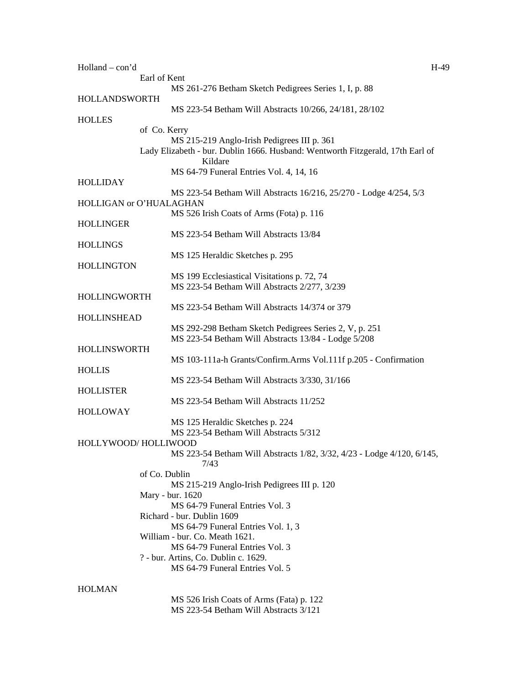| Holland - con'd      |                                                                                | $H-49$ |
|----------------------|--------------------------------------------------------------------------------|--------|
|                      | Earl of Kent                                                                   |        |
|                      | MS 261-276 Betham Sketch Pedigrees Series 1, I, p. 88                          |        |
| <b>HOLLANDSWORTH</b> |                                                                                |        |
|                      | MS 223-54 Betham Will Abstracts 10/266, 24/181, 28/102                         |        |
| <b>HOLLES</b>        |                                                                                |        |
|                      | of Co. Kerry                                                                   |        |
|                      | MS 215-219 Anglo-Irish Pedigrees III p. 361                                    |        |
|                      |                                                                                |        |
|                      | Lady Elizabeth - bur. Dublin 1666. Husband: Wentworth Fitzgerald, 17th Earl of |        |
|                      | Kildare                                                                        |        |
|                      | MS 64-79 Funeral Entries Vol. 4, 14, 16                                        |        |
| <b>HOLLIDAY</b>      |                                                                                |        |
|                      | MS 223-54 Betham Will Abstracts 16/216, 25/270 - Lodge 4/254, 5/3              |        |
|                      | HOLLIGAN or O'HUALAGHAN                                                        |        |
|                      | MS 526 Irish Coats of Arms (Fota) p. 116                                       |        |
| HOLLINGER            |                                                                                |        |
|                      | MS 223-54 Betham Will Abstracts 13/84                                          |        |
| <b>HOLLINGS</b>      |                                                                                |        |
|                      | MS 125 Heraldic Sketches p. 295                                                |        |
| <b>HOLLINGTON</b>    |                                                                                |        |
|                      | MS 199 Ecclesiastical Visitations p. 72, 74                                    |        |
|                      | MS 223-54 Betham Will Abstracts 2/277, 3/239                                   |        |
|                      |                                                                                |        |
| <b>HOLLINGWORTH</b>  |                                                                                |        |
|                      | MS 223-54 Betham Will Abstracts 14/374 or 379                                  |        |
| <b>HOLLINSHEAD</b>   |                                                                                |        |
|                      | MS 292-298 Betham Sketch Pedigrees Series 2, V, p. 251                         |        |
|                      | MS 223-54 Betham Will Abstracts 13/84 - Lodge 5/208                            |        |
| <b>HOLLINSWORTH</b>  |                                                                                |        |
|                      | MS 103-111a-h Grants/Confirm.Arms Vol.111f p.205 - Confirmation                |        |
| <b>HOLLIS</b>        |                                                                                |        |
|                      | MS 223-54 Betham Will Abstracts 3/330, 31/166                                  |        |
| <b>HOLLISTER</b>     |                                                                                |        |
|                      | MS 223-54 Betham Will Abstracts 11/252                                         |        |
| <b>HOLLOWAY</b>      |                                                                                |        |
|                      | MS 125 Heraldic Sketches p. 224                                                |        |
|                      | MS 223-54 Betham Will Abstracts 5/312                                          |        |
|                      |                                                                                |        |
| HOLLYWOOD/HOLLIWOOD  |                                                                                |        |
|                      | MS 223-54 Betham Will Abstracts 1/82, 3/32, 4/23 - Lodge 4/120, 6/145,         |        |
|                      | 7/43                                                                           |        |
|                      | of Co. Dublin                                                                  |        |
|                      | MS 215-219 Anglo-Irish Pedigrees III p. 120                                    |        |
|                      | Mary - bur. 1620                                                               |        |
|                      | MS 64-79 Funeral Entries Vol. 3                                                |        |
|                      | Richard - bur. Dublin 1609                                                     |        |
|                      | MS 64-79 Funeral Entries Vol. 1, 3                                             |        |
|                      | William - bur. Co. Meath 1621.                                                 |        |
|                      | MS 64-79 Funeral Entries Vol. 3                                                |        |
|                      | ? - bur. Artins, Co. Dublin c. 1629.                                           |        |
|                      | MS 64-79 Funeral Entries Vol. 5                                                |        |
|                      |                                                                                |        |
|                      |                                                                                |        |
| <b>HOLMAN</b>        |                                                                                |        |
|                      | MS 526 Irish Coats of Arms (Fata) p. 122                                       |        |

MS 223-54 Betham Will Abstracts 3/121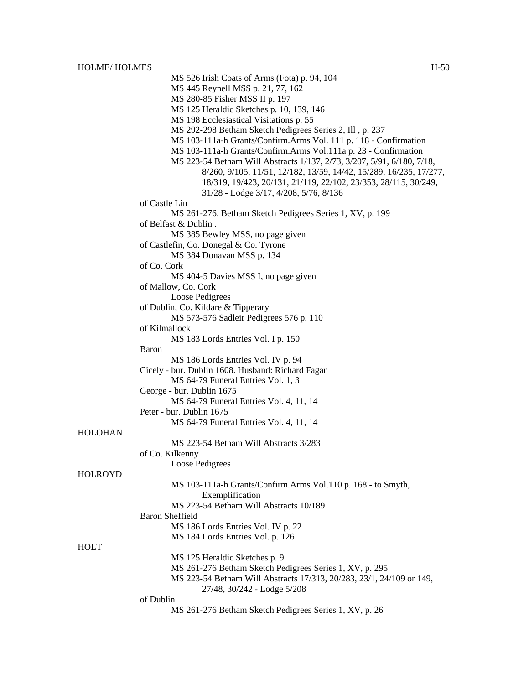HOLT

HOLME/HOLMES H-50 MS 526 Irish Coats of Arms (Fota) p. 94, 104 MS 445 Reynell MSS p. 21, 77, 162 MS 280-85 Fisher MSS II p. 197 MS 125 Heraldic Sketches p. 10, 139, 146 MS 198 Ecclesiastical Visitations p. 55 MS 292-298 Betham Sketch Pedigrees Series 2, Ill , p. 237 MS 103-111a-h Grants/Confirm.Arms Vol. 111 p. 118 - Confirmation MS 103-111a-h Grants/Confirm.Arms Vol.111a p. 23 - Confirmation MS 223-54 Betham Will Abstracts 1/137, 2/73, 3/207, 5/91, 6/180, 7/18, 8/260, 9/105, 11/51, 12/182, 13/59, 14/42, 15/289, 16/235, 17/277, 18/319, 19/423, 20/131, 21/119, 22/102, 23/353, 28/115, 30/249, 31/28 - Lodge 3/17, 4/208, 5/76, 8/136 of Castle Lin MS 261-276. Betham Sketch Pedigrees Series 1, XV, p. 199 of Belfast & Dublin . MS 385 Bewley MSS, no page given of Castlefin, Co. Donegal & Co. Tyrone MS 384 Donavan MSS p. 134 of Co. Cork MS 404-5 Davies MSS I, no page given of Mallow, Co. Cork Loose Pedigrees of Dublin, Co. Kildare & Tipperary MS 573-576 Sadleir Pedigrees 576 p. 110 of Kilmallock MS 183 Lords Entries Vol. I p. 150 Baron MS 186 Lords Entries Vol. IV p. 94 Cicely - bur. Dublin 1608. Husband: Richard Fagan MS 64-79 Funeral Entries Vol. 1, 3 George - bur. Dublin 1675 MS 64-79 Funeral Entries Vol. 4, 11, 14 Peter - bur. Dublin 1675 MS 64-79 Funeral Entries Vol. 4, 11, 14 HOLOHAN MS 223-54 Betham Will Abstracts 3/283 of Co. Kilkenny Loose Pedigrees HOLROYD MS 103-111a-h Grants/Confirm.Arms Vol.110 p. 168 - to Smyth, Exemplification MS 223-54 Betham Will Abstracts 10/189 Baron Sheffield MS 186 Lords Entries Vol. IV p. 22 MS 184 Lords Entries Vol. p. 126 MS 125 Heraldic Sketches p. 9 MS 261-276 Betham Sketch Pedigrees Series 1, XV, p. 295 MS 223-54 Betham Will Abstracts 17/313, 20/283, 23/1, 24/109 or 149, 27/48, 30/242 - Lodge 5/208 of Dublin

MS 261-276 Betham Sketch Pedigrees Series 1, XV, p. 26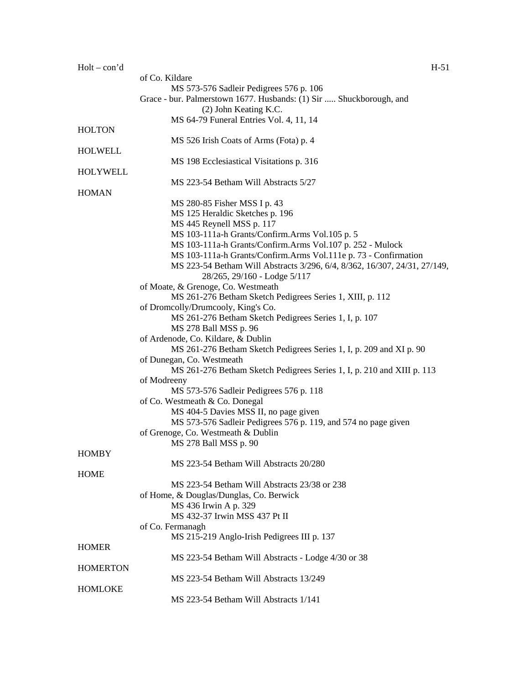|                 | of Co. Kildare                                                                               |
|-----------------|----------------------------------------------------------------------------------------------|
|                 | MS 573-576 Sadleir Pedigrees 576 p. 106                                                      |
|                 | Grace - bur. Palmerstown 1677. Husbands: (1) Sir  Shuckborough, and<br>(2) John Keating K.C. |
|                 | MS 64-79 Funeral Entries Vol. 4, 11, 14                                                      |
| <b>HOLTON</b>   |                                                                                              |
|                 | MS 526 Irish Coats of Arms (Fota) p. 4                                                       |
| <b>HOLWELL</b>  |                                                                                              |
|                 | MS 198 Ecclesiastical Visitations p. 316                                                     |
| HOLYWELL        |                                                                                              |
|                 | MS 223-54 Betham Will Abstracts 5/27                                                         |
| <b>HOMAN</b>    |                                                                                              |
|                 | MS 280-85 Fisher MSS I p. 43                                                                 |
|                 | MS 125 Heraldic Sketches p. 196                                                              |
|                 | MS 445 Reynell MSS p. 117                                                                    |
|                 | MS 103-111a-h Grants/Confirm.Arms Vol.105 p. 5                                               |
|                 | MS 103-111a-h Grants/Confirm.Arms Vol.107 p. 252 - Mulock                                    |
|                 | MS 103-111a-h Grants/Confirm.Arms Vol.111e p. 73 - Confirmation                              |
|                 | MS 223-54 Betham Will Abstracts 3/296, 6/4, 8/362, 16/307, 24/31, 27/149,                    |
|                 | 28/265, 29/160 - Lodge 5/117                                                                 |
|                 | of Moate, & Grenoge, Co. Westmeath                                                           |
|                 |                                                                                              |
|                 | MS 261-276 Betham Sketch Pedigrees Series 1, XIII, p. 112                                    |
|                 | of Dromcolly/Drumcooly, King's Co.                                                           |
|                 | MS 261-276 Betham Sketch Pedigrees Series 1, I, p. 107                                       |
|                 | MS 278 Ball MSS p. 96                                                                        |
|                 | of Ardenode, Co. Kildare, & Dublin                                                           |
|                 | MS 261-276 Betham Sketch Pedigrees Series 1, I, p. 209 and XI p. 90                          |
|                 | of Dunegan, Co. Westmeath                                                                    |
|                 | MS 261-276 Betham Sketch Pedigrees Series 1, I, p. 210 and XIII p. 113                       |
|                 | of Modreeny                                                                                  |
|                 | MS 573-576 Sadleir Pedigrees 576 p. 118                                                      |
|                 | of Co. Westmeath & Co. Donegal                                                               |
|                 | MS 404-5 Davies MSS II, no page given                                                        |
|                 | MS 573-576 Sadleir Pedigrees 576 p. 119, and 574 no page given                               |
|                 | of Grenoge, Co. Westmeath & Dublin                                                           |
|                 | MS 278 Ball MSS p. 90                                                                        |
| <b>HOMBY</b>    |                                                                                              |
|                 | MS 223-54 Betham Will Abstracts 20/280                                                       |
| <b>HOME</b>     |                                                                                              |
|                 |                                                                                              |
|                 | MS 223-54 Betham Will Abstracts 23/38 or 238                                                 |
|                 | of Home, & Douglas/Dunglas, Co. Berwick                                                      |
|                 | MS 436 Irwin A p. 329                                                                        |
|                 | MS 432-37 Irwin MSS 437 Pt II                                                                |
|                 | of Co. Fermanagh                                                                             |
|                 | MS 215-219 Anglo-Irish Pedigrees III p. 137                                                  |
| <b>HOMER</b>    |                                                                                              |
|                 | MS 223-54 Betham Will Abstracts - Lodge 4/30 or 38                                           |
| <b>HOMERTON</b> |                                                                                              |
|                 | MS 223-54 Betham Will Abstracts 13/249                                                       |
| <b>HOMLOKE</b>  |                                                                                              |
|                 | MS 223-54 Betham Will Abstracts 1/141                                                        |
|                 |                                                                                              |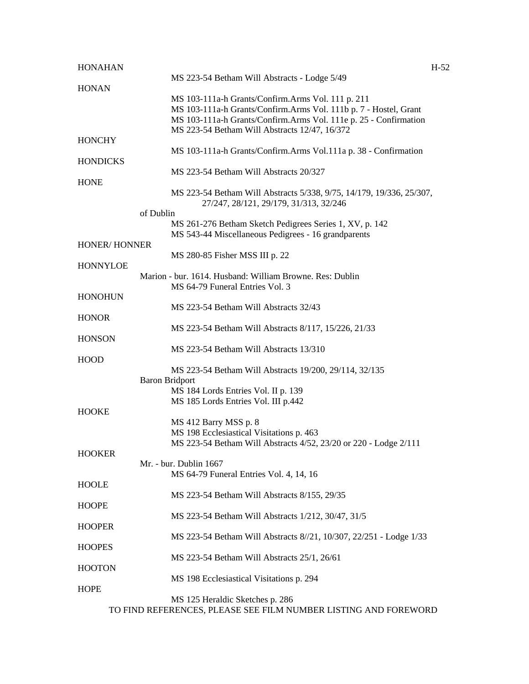| <b>HONAHAN</b>      |                                                                                                                | $H-52$ |
|---------------------|----------------------------------------------------------------------------------------------------------------|--------|
| <b>HONAN</b>        | MS 223-54 Betham Will Abstracts - Lodge 5/49                                                                   |        |
|                     | MS 103-111a-h Grants/Confirm.Arms Vol. 111 p. 211                                                              |        |
|                     | MS 103-111a-h Grants/Confirm.Arms Vol. 111b p. 7 - Hostel, Grant                                               |        |
|                     | MS 103-111a-h Grants/Confirm.Arms Vol. 111e p. 25 - Confirmation                                               |        |
|                     | MS 223-54 Betham Will Abstracts 12/47, 16/372                                                                  |        |
| <b>HONCHY</b>       |                                                                                                                |        |
|                     | MS 103-111a-h Grants/Confirm.Arms Vol.111a p. 38 - Confirmation                                                |        |
| <b>HONDICKS</b>     |                                                                                                                |        |
|                     | MS 223-54 Betham Will Abstracts 20/327                                                                         |        |
| <b>HONE</b>         |                                                                                                                |        |
|                     | MS 223-54 Betham Will Abstracts 5/338, 9/75, 14/179, 19/336, 25/307,<br>27/247, 28/121, 29/179, 31/313, 32/246 |        |
|                     | of Dublin                                                                                                      |        |
|                     | MS 261-276 Betham Sketch Pedigrees Series 1, XV, p. 142                                                        |        |
|                     | MS 543-44 Miscellaneous Pedigrees - 16 grandparents                                                            |        |
| <b>HONER/HONNER</b> |                                                                                                                |        |
|                     | MS 280-85 Fisher MSS III p. 22                                                                                 |        |
| <b>HONNYLOE</b>     |                                                                                                                |        |
|                     | Marion - bur. 1614. Husband: William Browne. Res: Dublin                                                       |        |
|                     | MS 64-79 Funeral Entries Vol. 3                                                                                |        |
| <b>HONOHUN</b>      |                                                                                                                |        |
|                     | MS 223-54 Betham Will Abstracts 32/43                                                                          |        |
| <b>HONOR</b>        | MS 223-54 Betham Will Abstracts 8/117, 15/226, 21/33                                                           |        |
| <b>HONSON</b>       |                                                                                                                |        |
|                     | MS 223-54 Betham Will Abstracts 13/310                                                                         |        |
| <b>HOOD</b>         |                                                                                                                |        |
|                     | MS 223-54 Betham Will Abstracts 19/200, 29/114, 32/135                                                         |        |
|                     | <b>Baron Bridport</b>                                                                                          |        |
|                     | MS 184 Lords Entries Vol. II p. 139                                                                            |        |
|                     | MS 185 Lords Entries Vol. III p.442                                                                            |        |
| <b>HOOKE</b>        |                                                                                                                |        |
|                     | MS 412 Barry MSS p. 8                                                                                          |        |
|                     | MS 198 Ecclesiastical Visitations p. 463                                                                       |        |
|                     | MS 223-54 Betham Will Abstracts 4/52, 23/20 or 220 - Lodge 2/111                                               |        |
| <b>HOOKER</b>       |                                                                                                                |        |
|                     | Mr. - bur. Dublin 1667                                                                                         |        |
|                     | MS 64-79 Funeral Entries Vol. 4, 14, 16                                                                        |        |
| <b>HOOLE</b>        |                                                                                                                |        |
|                     | MS 223-54 Betham Will Abstracts 8/155, 29/35                                                                   |        |
| <b>HOOPE</b>        |                                                                                                                |        |
|                     | MS 223-54 Betham Will Abstracts 1/212, 30/47, 31/5                                                             |        |
| <b>HOOPER</b>       | MS 223-54 Betham Will Abstracts 8//21, 10/307, 22/251 - Lodge 1/33                                             |        |
| <b>HOOPES</b>       |                                                                                                                |        |
|                     | MS 223-54 Betham Will Abstracts 25/1, 26/61                                                                    |        |
| <b>HOOTON</b>       |                                                                                                                |        |
|                     | MS 198 Ecclesiastical Visitations p. 294                                                                       |        |
| <b>HOPE</b>         |                                                                                                                |        |
|                     | MS 125 Heraldic Sketches p. 286                                                                                |        |
|                     | TO FIND REFERENCES, PLEASE SEE FILM NUMBER LISTING AND FOREWORD                                                |        |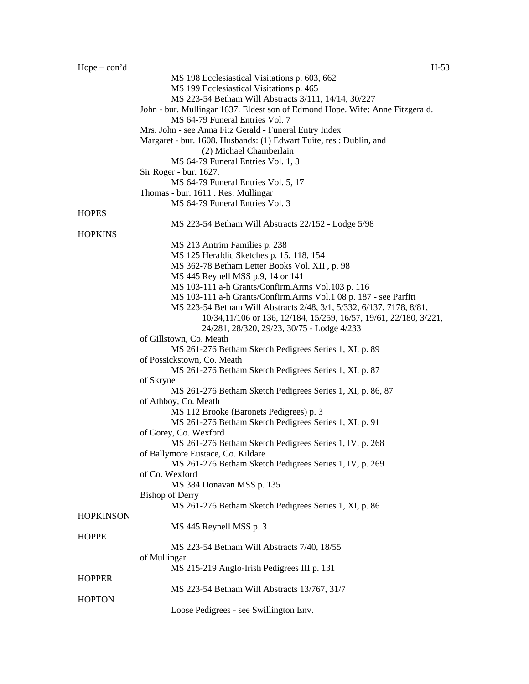HOPPE

HOPPER

**HOPTON** 

of Mullingar

| $Hope - con'd$   | $H-53$                                                                        |
|------------------|-------------------------------------------------------------------------------|
|                  | MS 198 Ecclesiastical Visitations p. 603, 662                                 |
|                  | MS 199 Ecclesiastical Visitations p. 465                                      |
|                  | MS 223-54 Betham Will Abstracts 3/111, 14/14, 30/227                          |
|                  | John - bur. Mullingar 1637. Eldest son of Edmond Hope. Wife: Anne Fitzgerald. |
|                  | MS 64-79 Funeral Entries Vol. 7                                               |
|                  | Mrs. John - see Anna Fitz Gerald - Funeral Entry Index                        |
|                  | Margaret - bur. 1608. Husbands: (1) Edwart Tuite, res : Dublin, and           |
|                  | (2) Michael Chamberlain                                                       |
|                  | MS 64-79 Funeral Entries Vol. 1, 3                                            |
|                  | Sir Roger - bur. 1627.                                                        |
|                  | MS 64-79 Funeral Entries Vol. 5, 17                                           |
|                  | Thomas - bur. 1611 . Res: Mullingar                                           |
|                  | MS 64-79 Funeral Entries Vol. 3                                               |
| <b>HOPES</b>     |                                                                               |
|                  | MS 223-54 Betham Will Abstracts 22/152 - Lodge 5/98                           |
| <b>HOPKINS</b>   |                                                                               |
|                  | MS 213 Antrim Families p. 238                                                 |
|                  | MS 125 Heraldic Sketches p. 15, 118, 154                                      |
|                  | MS 362-78 Betham Letter Books Vol. XII, p. 98                                 |
|                  | MS 445 Reynell MSS p.9, 14 or 141                                             |
|                  | MS 103-111 a-h Grants/Confirm.Arms Vol.103 p. 116                             |
|                  | MS 103-111 a-h Grants/Confirm.Arms Vol.1 08 p. 187 - see Parfitt              |
|                  | MS 223-54 Betham Will Abstracts 2/48, 3/1, 5/332, 6/137, 7178, 8/81,          |
|                  | 10/34, 11/106 or 136, 12/184, 15/259, 16/57, 19/61, 22/180, 3/221,            |
|                  | 24/281, 28/320, 29/23, 30/75 - Lodge 4/233                                    |
|                  | of Gillstown, Co. Meath                                                       |
|                  | MS 261-276 Betham Sketch Pedigrees Series 1, XI, p. 89                        |
|                  | of Possickstown, Co. Meath                                                    |
|                  | MS 261-276 Betham Sketch Pedigrees Series 1, XI, p. 87<br>of Skryne           |
|                  | MS 261-276 Betham Sketch Pedigrees Series 1, XI, p. 86, 87                    |
|                  | of Athboy, Co. Meath                                                          |
|                  | MS 112 Brooke (Baronets Pedigrees) p. 3                                       |
|                  | MS 261-276 Betham Sketch Pedigrees Series 1, XI, p. 91                        |
|                  | of Gorey, Co. Wexford                                                         |
|                  | MS 261-276 Betham Sketch Pedigrees Series 1, IV, p. 268                       |
|                  | of Ballymore Eustace, Co. Kildare                                             |
|                  | MS 261-276 Betham Sketch Pedigrees Series 1, IV, p. 269                       |
|                  | of Co. Wexford                                                                |
|                  | MS 384 Donavan MSS p. 135                                                     |
|                  | <b>Bishop of Derry</b>                                                        |
|                  | MS 261-276 Betham Sketch Pedigrees Series 1, XI, p. 86                        |
| <b>HOPKINSON</b> |                                                                               |
|                  | MS 445 Reynell MSS p. 3                                                       |

MS 223-54 Betham Will Abstracts 7/40, 18/55

MS 215-219 Anglo-Irish Pedigrees III p. 131

Loose Pedigrees - see Swillington Env.

MS 223-54 Betham Will Abstracts 13/767, 31/7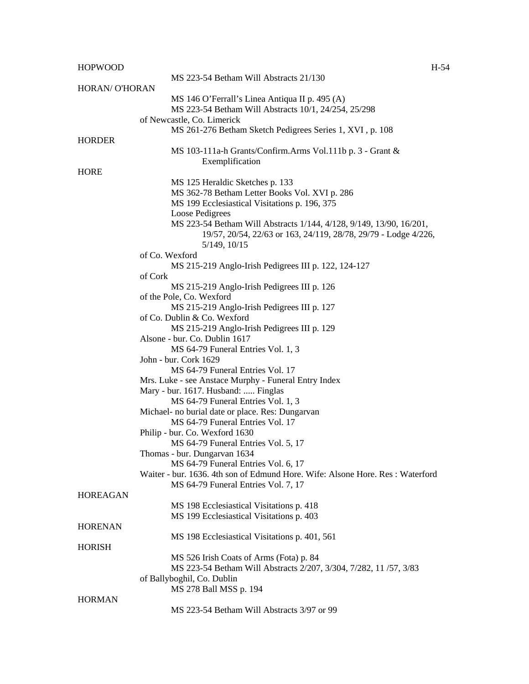| <b>HOPWOOD</b>        | $H-54$                                                                        |
|-----------------------|-------------------------------------------------------------------------------|
|                       | MS 223-54 Betham Will Abstracts 21/130                                        |
| <b>HORAN/ O'HORAN</b> |                                                                               |
|                       | MS 146 O'Ferrall's Linea Antiqua II p. 495 (A)                                |
|                       | MS 223-54 Betham Will Abstracts 10/1, 24/254, 25/298                          |
|                       | of Newcastle, Co. Limerick                                                    |
|                       | MS 261-276 Betham Sketch Pedigrees Series 1, XVI, p. 108                      |
| <b>HORDER</b>         |                                                                               |
|                       | MS 103-111a-h Grants/Confirm.Arms Vol.111b p. 3 - Grant &                     |
|                       | Exemplification                                                               |
| <b>HORE</b>           |                                                                               |
|                       | MS 125 Heraldic Sketches p. 133                                               |
|                       | MS 362-78 Betham Letter Books Vol. XVI p. 286                                 |
|                       | MS 199 Ecclesiastical Visitations p. 196, 375                                 |
|                       | Loose Pedigrees                                                               |
|                       | MS 223-54 Betham Will Abstracts 1/144, 4/128, 9/149, 13/90, 16/201,           |
|                       | 19/57, 20/54, 22/63 or 163, 24/119, 28/78, 29/79 - Lodge 4/226,               |
|                       | 5/149, 10/15                                                                  |
|                       | of Co. Wexford                                                                |
|                       | MS 215-219 Anglo-Irish Pedigrees III p. 122, 124-127                          |
|                       | of Cork                                                                       |
|                       | MS 215-219 Anglo-Irish Pedigrees III p. 126                                   |
|                       | of the Pole, Co. Wexford                                                      |
|                       | MS 215-219 Anglo-Irish Pedigrees III p. 127                                   |
|                       | of Co. Dublin & Co. Wexford                                                   |
|                       | MS 215-219 Anglo-Irish Pedigrees III p. 129                                   |
|                       | Alsone - bur. Co. Dublin 1617                                                 |
|                       | MS 64-79 Funeral Entries Vol. 1, 3                                            |
|                       | John - bur. Cork 1629                                                         |
|                       | MS 64-79 Funeral Entries Vol. 17                                              |
|                       | Mrs. Luke - see Anstace Murphy - Funeral Entry Index                          |
|                       | Mary - bur. 1617. Husband:  Finglas                                           |
|                       | MS 64-79 Funeral Entries Vol. 1, 3                                            |
|                       | Michael- no burial date or place. Res: Dungarvan                              |
|                       | MS 64-79 Funeral Entries Vol. 17                                              |
|                       | Philip - bur. Co. Wexford 1630                                                |
|                       | MS 64-79 Funeral Entries Vol. 5, 17                                           |
|                       | Thomas - bur. Dungarvan 1634                                                  |
|                       | MS 64-79 Funeral Entries Vol. 6, 17                                           |
|                       | Waiter - bur. 1636. 4th son of Edmund Hore. Wife: Alsone Hore. Res: Waterford |
|                       | MS 64-79 Funeral Entries Vol. 7, 17                                           |
| <b>HOREAGAN</b>       |                                                                               |
|                       | MS 198 Ecclesiastical Visitations p. 418                                      |
|                       | MS 199 Ecclesiastical Visitations p. 403                                      |
| <b>HORENAN</b>        |                                                                               |
|                       | MS 198 Ecclesiastical Visitations p. 401, 561                                 |
| <b>HORISH</b>         |                                                                               |
|                       | MS 526 Irish Coats of Arms (Fota) p. 84                                       |
|                       | MS 223-54 Betham Will Abstracts 2/207, 3/304, 7/282, 11/57, 3/83              |
|                       | of Ballyboghil, Co. Dublin                                                    |
|                       | MS 278 Ball MSS p. 194                                                        |
| <b>HORMAN</b>         |                                                                               |

MS 223-54 Betham Will Abstracts 3/97 or 99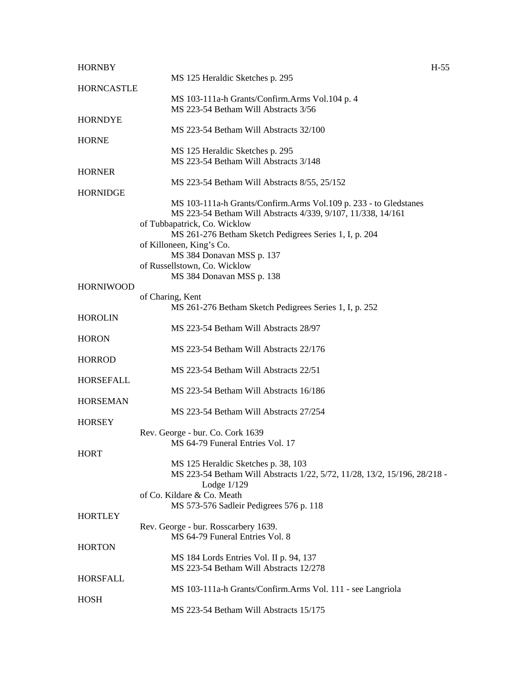| <b>HORNBY</b>     |                                                                                        | $H-55$ |
|-------------------|----------------------------------------------------------------------------------------|--------|
|                   | MS 125 Heraldic Sketches p. 295                                                        |        |
| <b>HORNCASTLE</b> |                                                                                        |        |
|                   | MS 103-111a-h Grants/Confirm.Arms Vol.104 p. 4<br>MS 223-54 Betham Will Abstracts 3/56 |        |
| <b>HORNDYE</b>    |                                                                                        |        |
|                   | MS 223-54 Betham Will Abstracts 32/100                                                 |        |
| <b>HORNE</b>      |                                                                                        |        |
|                   | MS 125 Heraldic Sketches p. 295                                                        |        |
|                   | MS 223-54 Betham Will Abstracts 3/148                                                  |        |
| <b>HORNER</b>     |                                                                                        |        |
|                   | MS 223-54 Betham Will Abstracts 8/55, 25/152                                           |        |
| <b>HORNIDGE</b>   |                                                                                        |        |
|                   | MS 103-111a-h Grants/Confirm.Arms Vol.109 p. 233 - to Gledstanes                       |        |
|                   | MS 223-54 Betham Will Abstracts 4/339, 9/107, 11/338, 14/161                           |        |
|                   | of Tubbapatrick, Co. Wicklow                                                           |        |
|                   | MS 261-276 Betham Sketch Pedigrees Series 1, I, p. 204                                 |        |
|                   | of Killoneen, King's Co.<br>MS 384 Donavan MSS p. 137                                  |        |
|                   | of Russellstown, Co. Wicklow                                                           |        |
|                   | MS 384 Donavan MSS p. 138                                                              |        |
| <b>HORNIWOOD</b>  |                                                                                        |        |
|                   | of Charing, Kent                                                                       |        |
|                   | MS 261-276 Betham Sketch Pedigrees Series 1, I, p. 252                                 |        |
| <b>HOROLIN</b>    |                                                                                        |        |
|                   | MS 223-54 Betham Will Abstracts 28/97                                                  |        |
| <b>HORON</b>      |                                                                                        |        |
|                   | MS 223-54 Betham Will Abstracts 22/176                                                 |        |
| <b>HORROD</b>     |                                                                                        |        |
|                   | MS 223-54 Betham Will Abstracts 22/51                                                  |        |
| HORSEFALL         |                                                                                        |        |
|                   | MS 223-54 Betham Will Abstracts 16/186                                                 |        |
| <b>HORSEMAN</b>   |                                                                                        |        |
|                   | MS 223-54 Betham Will Abstracts 27/254                                                 |        |
| <b>HORSEY</b>     | Rev. George - bur. Co. Cork 1639                                                       |        |
|                   | MS 64-79 Funeral Entries Vol. 17                                                       |        |
| <b>HORT</b>       |                                                                                        |        |
|                   | MS 125 Heraldic Sketches p. 38, 103                                                    |        |
|                   | MS 223-54 Betham Will Abstracts 1/22, 5/72, 11/28, 13/2, 15/196, 28/218 -              |        |
|                   | Lodge $1/129$                                                                          |        |
|                   | of Co. Kildare & Co. Meath                                                             |        |
|                   | MS 573-576 Sadleir Pedigrees 576 p. 118                                                |        |
| <b>HORTLEY</b>    |                                                                                        |        |
|                   | Rev. George - bur. Rosscarbery 1639.                                                   |        |
|                   | MS 64-79 Funeral Entries Vol. 8                                                        |        |
| <b>HORTON</b>     |                                                                                        |        |
|                   | MS 184 Lords Entries Vol. II p. 94, 137                                                |        |
|                   | MS 223-54 Betham Will Abstracts 12/278                                                 |        |
| <b>HORSFALL</b>   |                                                                                        |        |
|                   | MS 103-111a-h Grants/Confirm.Arms Vol. 111 - see Langriola                             |        |
| <b>HOSH</b>       | MS 223-54 Betham Will Abstracts 15/175                                                 |        |
|                   |                                                                                        |        |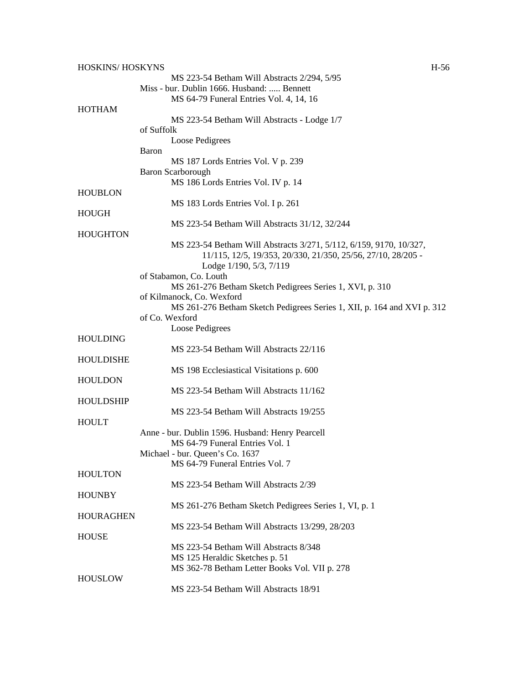| HOSKINS/HOSKYNS  |                                                                         | $H-56$ |
|------------------|-------------------------------------------------------------------------|--------|
|                  | MS 223-54 Betham Will Abstracts 2/294, 5/95                             |        |
|                  | Miss - bur. Dublin 1666. Husband:  Bennett                              |        |
|                  | MS 64-79 Funeral Entries Vol. 4, 14, 16                                 |        |
| <b>HOTHAM</b>    |                                                                         |        |
|                  | MS 223-54 Betham Will Abstracts - Lodge 1/7                             |        |
|                  | of Suffolk                                                              |        |
|                  |                                                                         |        |
|                  | Loose Pedigrees                                                         |        |
|                  | Baron                                                                   |        |
|                  | MS 187 Lords Entries Vol. V p. 239                                      |        |
|                  | <b>Baron Scarborough</b>                                                |        |
|                  | MS 186 Lords Entries Vol. IV p. 14                                      |        |
| <b>HOUBLON</b>   |                                                                         |        |
|                  | MS 183 Lords Entries Vol. I p. 261                                      |        |
| <b>HOUGH</b>     |                                                                         |        |
|                  | MS 223-54 Betham Will Abstracts 31/12, 32/244                           |        |
| <b>HOUGHTON</b>  |                                                                         |        |
|                  |                                                                         |        |
|                  | MS 223-54 Betham Will Abstracts 3/271, 5/112, 6/159, 9170, 10/327,      |        |
|                  | 11/115, 12/5, 19/353, 20/330, 21/350, 25/56, 27/10, 28/205 -            |        |
|                  | Lodge 1/190, 5/3, 7/119                                                 |        |
|                  | of Stabamon, Co. Louth                                                  |        |
|                  | MS 261-276 Betham Sketch Pedigrees Series 1, XVI, p. 310                |        |
|                  | of Kilmanock, Co. Wexford                                               |        |
|                  | MS 261-276 Betham Sketch Pedigrees Series 1, XII, p. 164 and XVI p. 312 |        |
|                  | of Co. Wexford                                                          |        |
|                  | Loose Pedigrees                                                         |        |
|                  |                                                                         |        |
| <b>HOULDING</b>  |                                                                         |        |
|                  | MS 223-54 Betham Will Abstracts 22/116                                  |        |
| HOULDISHE        |                                                                         |        |
|                  | MS 198 Ecclesiastical Visitations p. 600                                |        |
| <b>HOULDON</b>   |                                                                         |        |
|                  | MS 223-54 Betham Will Abstracts 11/162                                  |        |
| <b>HOULDSHIP</b> |                                                                         |        |
|                  | MS 223-54 Betham Will Abstracts 19/255                                  |        |
| <b>HOULT</b>     |                                                                         |        |
|                  | Anne - bur. Dublin 1596. Husband: Henry Pearcell                        |        |
|                  |                                                                         |        |
|                  | MS 64-79 Funeral Entries Vol. 1                                         |        |
|                  | Michael - bur. Queen's Co. 1637                                         |        |
|                  | MS 64-79 Funeral Entries Vol. 7                                         |        |
| <b>HOULTON</b>   |                                                                         |        |
|                  | MS 223-54 Betham Will Abstracts 2/39                                    |        |
| <b>HOUNBY</b>    |                                                                         |        |
|                  | MS 261-276 Betham Sketch Pedigrees Series 1, VI, p. 1                   |        |
| <b>HOURAGHEN</b> |                                                                         |        |
|                  | MS 223-54 Betham Will Abstracts 13/299, 28/203                          |        |
| <b>HOUSE</b>     |                                                                         |        |
|                  | MS 223-54 Betham Will Abstracts 8/348                                   |        |
|                  |                                                                         |        |
|                  | MS 125 Heraldic Sketches p. 51                                          |        |
|                  | MS 362-78 Betham Letter Books Vol. VII p. 278                           |        |
| <b>HOUSLOW</b>   |                                                                         |        |
|                  | MS 223-54 Betham Will Abstracts 18/91                                   |        |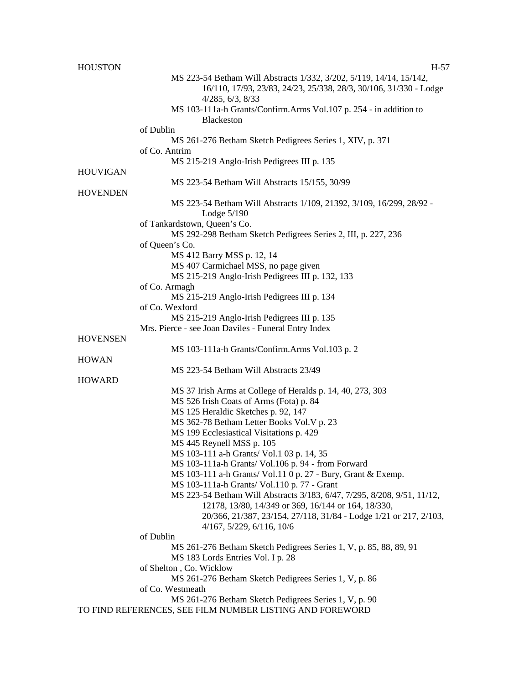| <b>HOUSTON</b>  | H-57                                                                      |
|-----------------|---------------------------------------------------------------------------|
|                 | MS 223-54 Betham Will Abstracts 1/332, 3/202, 5/119, 14/14, 15/142,       |
|                 | 16/110, 17/93, 23/83, 24/23, 25/338, 28/3, 30/106, 31/330 - Lodge         |
|                 | 4/285, 6/3, 8/33                                                          |
|                 | MS 103-111a-h Grants/Confirm.Arms Vol.107 p. 254 - in addition to         |
|                 | <b>Blackeston</b>                                                         |
|                 | of Dublin                                                                 |
|                 | MS 261-276 Betham Sketch Pedigrees Series 1, XIV, p. 371                  |
|                 | of Co. Antrim                                                             |
|                 | MS 215-219 Anglo-Irish Pedigrees III p. 135                               |
| <b>HOUVIGAN</b> |                                                                           |
|                 | MS 223-54 Betham Will Abstracts 15/155, 30/99                             |
| <b>HOVENDEN</b> |                                                                           |
|                 | MS 223-54 Betham Will Abstracts 1/109, 21392, 3/109, 16/299, 28/92 -      |
|                 | Lodge $5/190$                                                             |
|                 | of Tankardstown, Queen's Co.                                              |
|                 | MS 292-298 Betham Sketch Pedigrees Series 2, III, p. 227, 236             |
|                 | of Queen's Co.                                                            |
|                 | MS 412 Barry MSS p. 12, 14                                                |
|                 | MS 407 Carmichael MSS, no page given                                      |
|                 | MS 215-219 Anglo-Irish Pedigrees III p. 132, 133                          |
|                 | of Co. Armagh                                                             |
|                 | MS 215-219 Anglo-Irish Pedigrees III p. 134                               |
|                 | of Co. Wexford                                                            |
|                 | MS 215-219 Anglo-Irish Pedigrees III p. 135                               |
|                 | Mrs. Pierce - see Joan Daviles - Funeral Entry Index                      |
| <b>HOVENSEN</b> |                                                                           |
|                 | MS 103-111a-h Grants/Confirm.Arms Vol.103 p. 2                            |
| <b>HOWAN</b>    |                                                                           |
|                 | MS 223-54 Betham Will Abstracts 23/49                                     |
| <b>HOWARD</b>   |                                                                           |
|                 | MS 37 Irish Arms at College of Heralds p. 14, 40, 273, 303                |
|                 | MS 526 Irish Coats of Arms (Fota) p. 84                                   |
|                 | MS 125 Heraldic Sketches p. 92, 147                                       |
|                 | MS 362-78 Betham Letter Books Vol.V p. 23                                 |
|                 | MS 199 Ecclesiastical Visitations p. 429                                  |
|                 | MS 445 Reynell MSS p. 105                                                 |
|                 | MS 103-111 a-h Grants/ Vol.1 03 p. 14, 35                                 |
|                 | MS 103-111a-h Grants/ Vol.106 p. 94 - from Forward                        |
|                 | MS 103-111 a-h Grants/ Vol.11 0 p. 27 - Bury, Grant & Exemp.              |
|                 | MS 103-111a-h Grants/ Vol.110 p. 77 - Grant                               |
|                 | MS 223-54 Betham Will Abstracts 3/183, 6/47, 7/295, 8/208, 9/51, 11/12,   |
|                 | 12178, 13/80, 14/349 or 369, 16/144 or 164, 18/330,                       |
|                 | 20/366, 21/387, 23/154, 27/118, 31/84 - Lodge 1/21 or 217, 2/103,         |
|                 | 4/167, 5/229, 6/116, 10/6                                                 |
|                 | of Dublin                                                                 |
|                 | MS 261-276 Betham Sketch Pedigrees Series 1, V, p. 85, 88, 89, 91         |
|                 | MS 183 Lords Entries Vol. I p. 28                                         |
|                 | of Shelton, Co. Wicklow                                                   |
|                 | MS 261-276 Betham Sketch Pedigrees Series 1, V, p. 86<br>of Co. Westmeath |
|                 | MS 261-276 Betham Sketch Pedigrees Series 1, V, p. 90                     |
|                 | TO FIND REFERENCES, SEE FILM NUMBER LISTING AND FOREWORD                  |
|                 |                                                                           |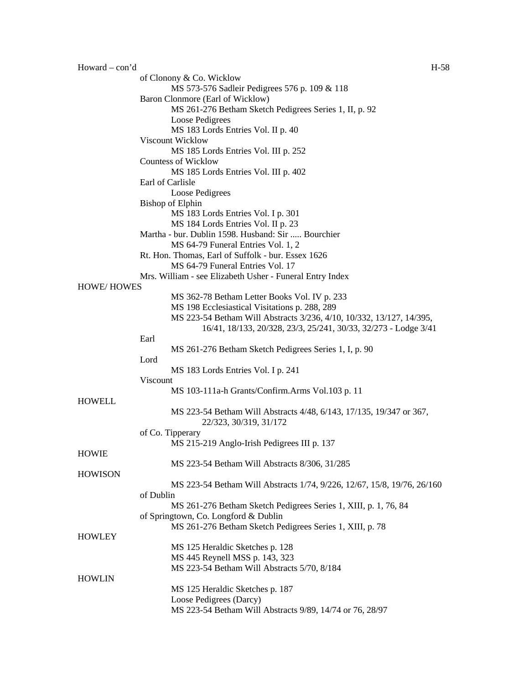| $However How and — con' d$ | H-58                                                                    |
|----------------------------|-------------------------------------------------------------------------|
|                            | of Clonony & Co. Wicklow                                                |
|                            | MS 573-576 Sadleir Pedigrees 576 p. 109 & 118                           |
|                            | Baron Clonmore (Earl of Wicklow)                                        |
|                            | MS 261-276 Betham Sketch Pedigrees Series 1, II, p. 92                  |
|                            | Loose Pedigrees                                                         |
|                            | MS 183 Lords Entries Vol. II p. 40                                      |
|                            | Viscount Wicklow                                                        |
|                            | MS 185 Lords Entries Vol. III p. 252                                    |
|                            | <b>Countess of Wicklow</b>                                              |
|                            |                                                                         |
|                            | MS 185 Lords Entries Vol. III p. 402                                    |
|                            | Earl of Carlisle                                                        |
|                            | Loose Pedigrees                                                         |
|                            | <b>Bishop of Elphin</b>                                                 |
|                            | MS 183 Lords Entries Vol. I p. 301                                      |
|                            | MS 184 Lords Entries Vol. II p. 23                                      |
|                            | Martha - bur. Dublin 1598. Husband: Sir  Bourchier                      |
|                            | MS 64-79 Funeral Entries Vol. 1, 2                                      |
|                            | Rt. Hon. Thomas, Earl of Suffolk - bur. Essex 1626                      |
|                            | MS 64-79 Funeral Entries Vol. 17                                        |
|                            | Mrs. William - see Elizabeth Usher - Funeral Entry Index                |
| <b>HOWE/HOWES</b>          |                                                                         |
|                            | MS 362-78 Betham Letter Books Vol. IV p. 233                            |
|                            | MS 198 Ecclesiastical Visitations p. 288, 289                           |
|                            | MS 223-54 Betham Will Abstracts 3/236, 4/10, 10/332, 13/127, 14/395,    |
|                            | 16/41, 18/133, 20/328, 23/3, 25/241, 30/33, 32/273 - Lodge 3/41         |
|                            | Earl                                                                    |
|                            | MS 261-276 Betham Sketch Pedigrees Series 1, I, p. 90                   |
|                            | Lord                                                                    |
|                            | MS 183 Lords Entries Vol. I p. 241                                      |
|                            | Viscount                                                                |
|                            | MS 103-111a-h Grants/Confirm.Arms Vol.103 p. 11                         |
| <b>HOWELL</b>              |                                                                         |
|                            | MS 223-54 Betham Will Abstracts 4/48, 6/143, 17/135, 19/347 or 367,     |
|                            | 22/323, 30/319, 31/172                                                  |
|                            |                                                                         |
|                            | of Co. Tipperary                                                        |
|                            | MS 215-219 Anglo-Irish Pedigrees III p. 137                             |
| HOWIE                      |                                                                         |
|                            | MS 223-54 Betham Will Abstracts 8/306, 31/285                           |
| <b>HOWISON</b>             |                                                                         |
|                            | MS 223-54 Betham Will Abstracts 1/74, 9/226, 12/67, 15/8, 19/76, 26/160 |
|                            | of Dublin                                                               |
|                            | MS 261-276 Betham Sketch Pedigrees Series 1, XIII, p. 1, 76, 84         |
|                            | of Springtown, Co. Longford & Dublin                                    |
|                            | MS 261-276 Betham Sketch Pedigrees Series 1, XIII, p. 78                |
| <b>HOWLEY</b>              |                                                                         |
|                            | MS 125 Heraldic Sketches p. 128                                         |
|                            | MS 445 Reynell MSS p. 143, 323                                          |
|                            | MS 223-54 Betham Will Abstracts 5/70, 8/184                             |
| <b>HOWLIN</b>              |                                                                         |
|                            | MS 125 Heraldic Sketches p. 187                                         |
|                            | Loose Pedigrees (Darcy)                                                 |
|                            | MS 223-54 Betham Will Abstracts 9/89, 14/74 or 76, 28/97                |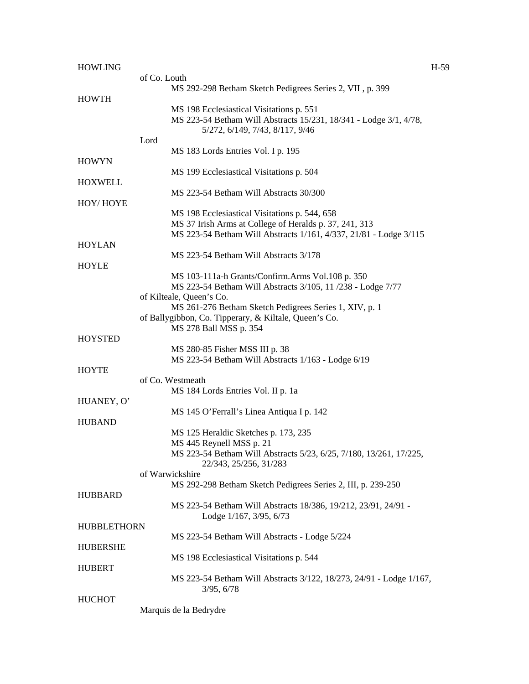| <b>HOWLING</b>     |                                                                     | $H-59$ |
|--------------------|---------------------------------------------------------------------|--------|
|                    | of Co. Louth                                                        |        |
|                    | MS 292-298 Betham Sketch Pedigrees Series 2, VII, p. 399            |        |
| <b>HOWTH</b>       |                                                                     |        |
|                    | MS 198 Ecclesiastical Visitations p. 551                            |        |
|                    | MS 223-54 Betham Will Abstracts 15/231, 18/341 - Lodge 3/1, 4/78,   |        |
|                    | 5/272, 6/149, 7/43, 8/117, 9/46                                     |        |
|                    | Lord                                                                |        |
|                    | MS 183 Lords Entries Vol. I p. 195                                  |        |
| <b>HOWYN</b>       |                                                                     |        |
|                    |                                                                     |        |
|                    | MS 199 Ecclesiastical Visitations p. 504                            |        |
| <b>HOXWELL</b>     |                                                                     |        |
|                    | MS 223-54 Betham Will Abstracts 30/300                              |        |
| HOY/HOYE           |                                                                     |        |
|                    | MS 198 Ecclesiastical Visitations p. 544, 658                       |        |
|                    | MS 37 Irish Arms at College of Heralds p. 37, 241, 313              |        |
|                    | MS 223-54 Betham Will Abstracts 1/161, 4/337, 21/81 - Lodge 3/115   |        |
| <b>HOYLAN</b>      |                                                                     |        |
|                    | MS 223-54 Betham Will Abstracts 3/178                               |        |
| HOYLE              |                                                                     |        |
|                    | MS 103-111a-h Grants/Confirm.Arms Vol.108 p. 350                    |        |
|                    | MS 223-54 Betham Will Abstracts 3/105, 11 /238 - Lodge 7/77         |        |
|                    | of Kilteale, Queen's Co.                                            |        |
|                    | MS 261-276 Betham Sketch Pedigrees Series 1, XIV, p. 1              |        |
|                    | of Ballygibbon, Co. Tipperary, & Kiltale, Queen's Co.               |        |
|                    | MS 278 Ball MSS p. 354                                              |        |
|                    |                                                                     |        |
| <b>HOYSTED</b>     |                                                                     |        |
|                    | MS 280-85 Fisher MSS III p. 38                                      |        |
|                    | MS 223-54 Betham Will Abstracts 1/163 - Lodge 6/19                  |        |
| <b>HOYTE</b>       |                                                                     |        |
|                    | of Co. Westmeath                                                    |        |
|                    | MS 184 Lords Entries Vol. II p. 1a                                  |        |
| HUANEY, O'         |                                                                     |        |
|                    | MS 145 O'Ferrall's Linea Antiqua I p. 142                           |        |
| <b>HUBAND</b>      |                                                                     |        |
|                    | MS 125 Heraldic Sketches p. 173, 235                                |        |
|                    | MS 445 Reynell MSS p. 21                                            |        |
|                    | MS 223-54 Betham Will Abstracts 5/23, 6/25, 7/180, 13/261, 17/225,  |        |
|                    | 22/343, 25/256, 31/283                                              |        |
|                    | of Warwickshire                                                     |        |
|                    | MS 292-298 Betham Sketch Pedigrees Series 2, III, p. 239-250        |        |
|                    |                                                                     |        |
| <b>HUBBARD</b>     |                                                                     |        |
|                    | MS 223-54 Betham Will Abstracts 18/386, 19/212, 23/91, 24/91 -      |        |
|                    | Lodge 1/167, 3/95, 6/73                                             |        |
| <b>HUBBLETHORN</b> |                                                                     |        |
|                    | MS 223-54 Betham Will Abstracts - Lodge 5/224                       |        |
| <b>HUBERSHE</b>    |                                                                     |        |
|                    | MS 198 Ecclesiastical Visitations p. 544                            |        |
| <b>HUBERT</b>      |                                                                     |        |
|                    | MS 223-54 Betham Will Abstracts 3/122, 18/273, 24/91 - Lodge 1/167, |        |
|                    | 3/95, 6/78                                                          |        |
| <b>HUCHOT</b>      |                                                                     |        |
|                    | Marquis de la Bedrydre                                              |        |
|                    |                                                                     |        |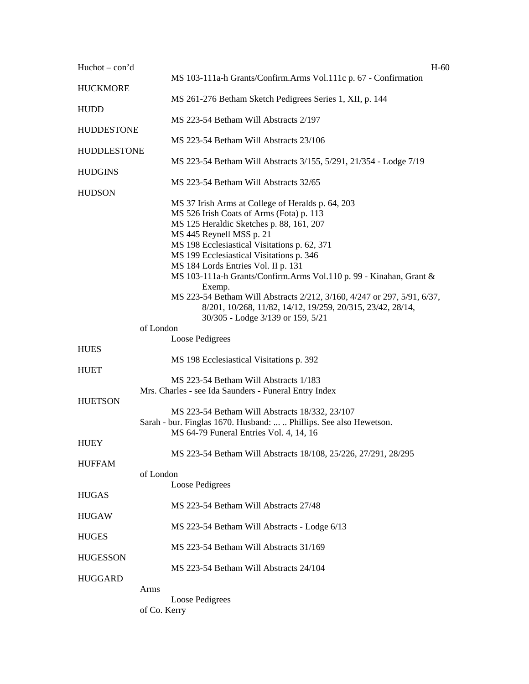| $Huchot - con'd$              | $H-60$                                                                                                                                                                                                                                                                                                                                                                                                                                                                                                                                                                 |
|-------------------------------|------------------------------------------------------------------------------------------------------------------------------------------------------------------------------------------------------------------------------------------------------------------------------------------------------------------------------------------------------------------------------------------------------------------------------------------------------------------------------------------------------------------------------------------------------------------------|
| <b>HUCKMORE</b>               | MS 103-111a-h Grants/Confirm.Arms Vol.111c p. 67 - Confirmation                                                                                                                                                                                                                                                                                                                                                                                                                                                                                                        |
| <b>HUDD</b>                   | MS 261-276 Betham Sketch Pedigrees Series 1, XII, p. 144                                                                                                                                                                                                                                                                                                                                                                                                                                                                                                               |
| <b>HUDDESTONE</b>             | MS 223-54 Betham Will Abstracts 2/197                                                                                                                                                                                                                                                                                                                                                                                                                                                                                                                                  |
| <b>HUDDLESTONE</b>            | MS 223-54 Betham Will Abstracts 23/106                                                                                                                                                                                                                                                                                                                                                                                                                                                                                                                                 |
|                               | MS 223-54 Betham Will Abstracts 3/155, 5/291, 21/354 - Lodge 7/19                                                                                                                                                                                                                                                                                                                                                                                                                                                                                                      |
| <b>HUDGINS</b>                | MS 223-54 Betham Will Abstracts 32/65                                                                                                                                                                                                                                                                                                                                                                                                                                                                                                                                  |
| <b>HUDSON</b>                 | MS 37 Irish Arms at College of Heralds p. 64, 203<br>MS 526 Irish Coats of Arms (Fota) p. 113<br>MS 125 Heraldic Sketches p. 88, 161, 207<br>MS 445 Reynell MSS p. 21<br>MS 198 Ecclesiastical Visitations p. 62, 371<br>MS 199 Ecclesiastical Visitations p. 346<br>MS 184 Lords Entries Vol. II p. 131<br>MS 103-111a-h Grants/Confirm.Arms Vol.110 p. 99 - Kinahan, Grant &<br>Exemp.<br>MS 223-54 Betham Will Abstracts 2/212, 3/160, 4/247 or 297, 5/91, 6/37,<br>8/201, 10/268, 11/82, 14/12, 19/259, 20/315, 23/42, 28/14,<br>30/305 - Lodge 3/139 or 159, 5/21 |
|                               | of London                                                                                                                                                                                                                                                                                                                                                                                                                                                                                                                                                              |
|                               | Loose Pedigrees                                                                                                                                                                                                                                                                                                                                                                                                                                                                                                                                                        |
| <b>HUES</b>                   | MS 198 Ecclesiastical Visitations p. 392                                                                                                                                                                                                                                                                                                                                                                                                                                                                                                                               |
| <b>HUET</b><br><b>HUETSON</b> | MS 223-54 Betham Will Abstracts 1/183<br>Mrs. Charles - see Ida Saunders - Funeral Entry Index                                                                                                                                                                                                                                                                                                                                                                                                                                                                         |
|                               | MS 223-54 Betham Will Abstracts 18/332, 23/107<br>Sarah - bur. Finglas 1670. Husband:   Phillips. See also Hewetson.<br>MS 64-79 Funeral Entries Vol. 4, 14, 16                                                                                                                                                                                                                                                                                                                                                                                                        |
| <b>HUEY</b>                   | MS 223-54 Betham Will Abstracts 18/108, 25/226, 27/291, 28/295                                                                                                                                                                                                                                                                                                                                                                                                                                                                                                         |
| <b>HUFFAM</b>                 | of London                                                                                                                                                                                                                                                                                                                                                                                                                                                                                                                                                              |
|                               | <b>Loose Pedigrees</b>                                                                                                                                                                                                                                                                                                                                                                                                                                                                                                                                                 |
| <b>HUGAS</b>                  | MS 223-54 Betham Will Abstracts 27/48                                                                                                                                                                                                                                                                                                                                                                                                                                                                                                                                  |
| <b>HUGAW</b>                  | MS 223-54 Betham Will Abstracts - Lodge 6/13                                                                                                                                                                                                                                                                                                                                                                                                                                                                                                                           |
| <b>HUGES</b>                  | MS 223-54 Betham Will Abstracts 31/169                                                                                                                                                                                                                                                                                                                                                                                                                                                                                                                                 |
| <b>HUGESSON</b>               | MS 223-54 Betham Will Abstracts 24/104                                                                                                                                                                                                                                                                                                                                                                                                                                                                                                                                 |
| <b>HUGGARD</b>                |                                                                                                                                                                                                                                                                                                                                                                                                                                                                                                                                                                        |
|                               | Arms<br>Loose Pedigrees                                                                                                                                                                                                                                                                                                                                                                                                                                                                                                                                                |
|                               | of Co. Kerry                                                                                                                                                                                                                                                                                                                                                                                                                                                                                                                                                           |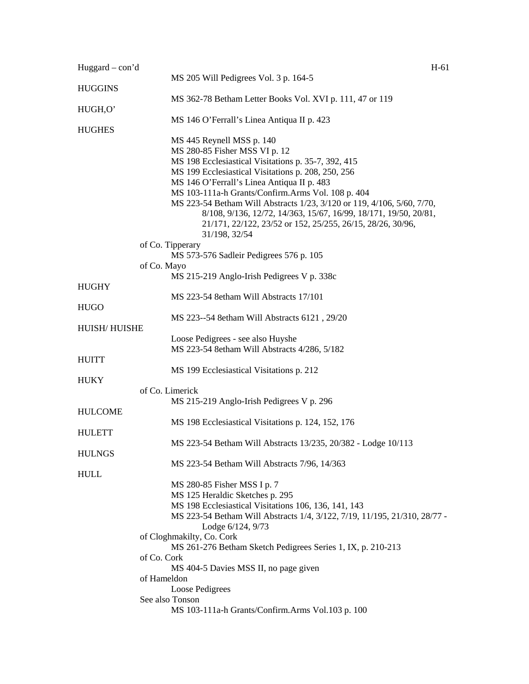| Huggard $-$ con'd    |                                                                           | $H-61$ |
|----------------------|---------------------------------------------------------------------------|--------|
|                      | MS 205 Will Pedigrees Vol. 3 p. 164-5                                     |        |
| <b>HUGGINS</b>       |                                                                           |        |
|                      | MS 362-78 Betham Letter Books Vol. XVI p. 111, 47 or 119                  |        |
| HUGH,O'              |                                                                           |        |
|                      | MS 146 O'Ferrall's Linea Antiqua II p. 423                                |        |
| <b>HUGHES</b>        |                                                                           |        |
|                      | MS 445 Reynell MSS p. 140                                                 |        |
|                      | MS 280-85 Fisher MSS VI p. 12                                             |        |
|                      | MS 198 Ecclesiastical Visitations p. 35-7, 392, 415                       |        |
|                      | MS 199 Ecclesiastical Visitations p. 208, 250, 256                        |        |
|                      | MS 146 O'Ferrall's Linea Antiqua II p. 483                                |        |
|                      | MS 103-111a-h Grants/Confirm.Arms Vol. 108 p. 404                         |        |
|                      | MS 223-54 Betham Will Abstracts 1/23, 3/120 or 119, 4/106, 5/60, 7/70,    |        |
|                      | 8/108, 9/136, 12/72, 14/363, 15/67, 16/99, 18/171, 19/50, 20/81,          |        |
|                      | 21/171, 22/122, 23/52 or 152, 25/255, 26/15, 28/26, 30/96,                |        |
|                      | 31/198, 32/54                                                             |        |
|                      | of Co. Tipperary                                                          |        |
|                      | MS 573-576 Sadleir Pedigrees 576 p. 105                                   |        |
|                      | of Co. Mayo                                                               |        |
|                      | MS 215-219 Anglo-Irish Pedigrees V p. 338c                                |        |
| <b>HUGHY</b>         | MS 223-54 8etham Will Abstracts 17/101                                    |        |
|                      |                                                                           |        |
| <b>HUGO</b>          |                                                                           |        |
| <b>HUISH/ HUISHE</b> | MS 223--54 8etham Will Abstracts 6121, 29/20                              |        |
|                      | Loose Pedigrees - see also Huyshe                                         |        |
|                      | MS 223-54 8etham Will Abstracts 4/286, 5/182                              |        |
| <b>HUITT</b>         |                                                                           |        |
|                      | MS 199 Ecclesiastical Visitations p. 212                                  |        |
| <b>HUKY</b>          |                                                                           |        |
|                      | of Co. Limerick                                                           |        |
|                      | MS 215-219 Anglo-Irish Pedigrees V p. 296                                 |        |
| <b>HULCOME</b>       |                                                                           |        |
|                      | MS 198 Ecclesiastical Visitations p. 124, 152, 176                        |        |
| <b>HULETT</b>        |                                                                           |        |
|                      | MS 223-54 Betham Will Abstracts 13/235, 20/382 - Lodge 10/113             |        |
| <b>HULNGS</b>        |                                                                           |        |
|                      | MS 223-54 Betham Will Abstracts 7/96, 14/363                              |        |
| <b>HULL</b>          |                                                                           |        |
|                      | MS 280-85 Fisher MSS I p. 7                                               |        |
|                      | MS 125 Heraldic Sketches p. 295                                           |        |
|                      | MS 198 Ecclesiastical Visitations 106, 136, 141, 143                      |        |
|                      | MS 223-54 Betham Will Abstracts 1/4, 3/122, 7/19, 11/195, 21/310, 28/77 - |        |
|                      | Lodge 6/124, 9/73                                                         |        |
|                      | of Cloghmakilty, Co. Cork                                                 |        |
|                      | MS 261-276 Betham Sketch Pedigrees Series 1, IX, p. 210-213               |        |
|                      | of Co. Cork                                                               |        |
|                      | MS 404-5 Davies MSS II, no page given                                     |        |
|                      | of Hameldon                                                               |        |
|                      | Loose Pedigrees                                                           |        |
|                      | See also Tonson                                                           |        |
|                      | MS 103-111a-h Grants/Confirm.Arms Vol.103 p. 100                          |        |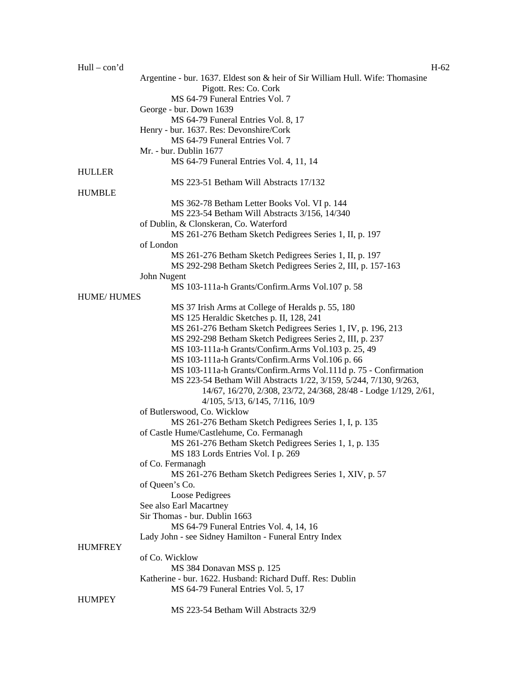| $Hull - con'd$    |                                                                               | $H-62$ |
|-------------------|-------------------------------------------------------------------------------|--------|
|                   | Argentine - bur. 1637. Eldest son & heir of Sir William Hull. Wife: Thomasine |        |
|                   | Pigott. Res: Co. Cork                                                         |        |
|                   | MS 64-79 Funeral Entries Vol. 7                                               |        |
|                   | George - bur. Down 1639                                                       |        |
|                   |                                                                               |        |
|                   | MS 64-79 Funeral Entries Vol. 8, 17                                           |        |
|                   | Henry - bur. 1637. Res: Devonshire/Cork                                       |        |
|                   | MS 64-79 Funeral Entries Vol. 7                                               |        |
|                   | Mr. - bur. Dublin 1677                                                        |        |
|                   | MS 64-79 Funeral Entries Vol. 4, 11, 14                                       |        |
| <b>HULLER</b>     |                                                                               |        |
|                   | MS 223-51 Betham Will Abstracts 17/132                                        |        |
| <b>HUMBLE</b>     |                                                                               |        |
|                   | MS 362-78 Betham Letter Books Vol. VI p. 144                                  |        |
|                   | MS 223-54 Betham Will Abstracts 3/156, 14/340                                 |        |
|                   |                                                                               |        |
|                   | of Dublin, & Clonskeran, Co. Waterford                                        |        |
|                   | MS 261-276 Betham Sketch Pedigrees Series 1, II, p. 197                       |        |
|                   | of London                                                                     |        |
|                   | MS 261-276 Betham Sketch Pedigrees Series 1, II, p. 197                       |        |
|                   | MS 292-298 Betham Sketch Pedigrees Series 2, III, p. 157-163                  |        |
|                   | John Nugent                                                                   |        |
|                   | MS 103-111a-h Grants/Confirm.Arms Vol.107 p. 58                               |        |
| <b>HUME/HUMES</b> |                                                                               |        |
|                   | MS 37 Irish Arms at College of Heralds p. 55, 180                             |        |
|                   | MS 125 Heraldic Sketches p. II, 128, 241                                      |        |
|                   |                                                                               |        |
|                   | MS 261-276 Betham Sketch Pedigrees Series 1, IV, p. 196, 213                  |        |
|                   | MS 292-298 Betham Sketch Pedigrees Series 2, III, p. 237                      |        |
|                   | MS 103-111a-h Grants/Confirm.Arms Vol.103 p. 25, 49                           |        |
|                   | MS 103-111a-h Grants/Confirm.Arms Vol.106 p. 66                               |        |
|                   | MS 103-111a-h Grants/Confirm.Arms Vol.111d p. 75 - Confirmation               |        |
|                   | MS 223-54 Betham Will Abstracts 1/22, 3/159, 5/244, 7/130, 9/263,             |        |
|                   | 14/67, 16/270, 2/308, 23/72, 24/368, 28/48 - Lodge 1/129, 2/61,               |        |
|                   | $4/105$ , $5/13$ , $6/145$ , $7/116$ , $10/9$                                 |        |
|                   | of Butlerswood, Co. Wicklow                                                   |        |
|                   | MS 261-276 Betham Sketch Pedigrees Series 1, I, p. 135                        |        |
|                   |                                                                               |        |
|                   | of Castle Hume/Castlehume, Co. Fermanagh                                      |        |
|                   | MS 261-276 Betham Sketch Pedigrees Series 1, 1, p. 135                        |        |
|                   | MS 183 Lords Entries Vol. I p. 269                                            |        |
|                   | of Co. Fermanagh                                                              |        |
|                   | MS 261-276 Betham Sketch Pedigrees Series 1, XIV, p. 57                       |        |
|                   | of Queen's Co.                                                                |        |
|                   | Loose Pedigrees                                                               |        |
|                   | See also Earl Macartney                                                       |        |
|                   | Sir Thomas - bur. Dublin 1663                                                 |        |
|                   | MS 64-79 Funeral Entries Vol. 4, 14, 16                                       |        |
|                   |                                                                               |        |
|                   | Lady John - see Sidney Hamilton - Funeral Entry Index                         |        |
| <b>HUMFREY</b>    |                                                                               |        |
|                   | of Co. Wicklow                                                                |        |
|                   | MS 384 Donavan MSS p. 125                                                     |        |
|                   | Katherine - bur. 1622. Husband: Richard Duff. Res: Dublin                     |        |
|                   | MS 64-79 Funeral Entries Vol. 5, 17                                           |        |
| <b>HUMPEY</b>     |                                                                               |        |
|                   | MS 223-54 Betham Will Abstracts 32/9                                          |        |
|                   |                                                                               |        |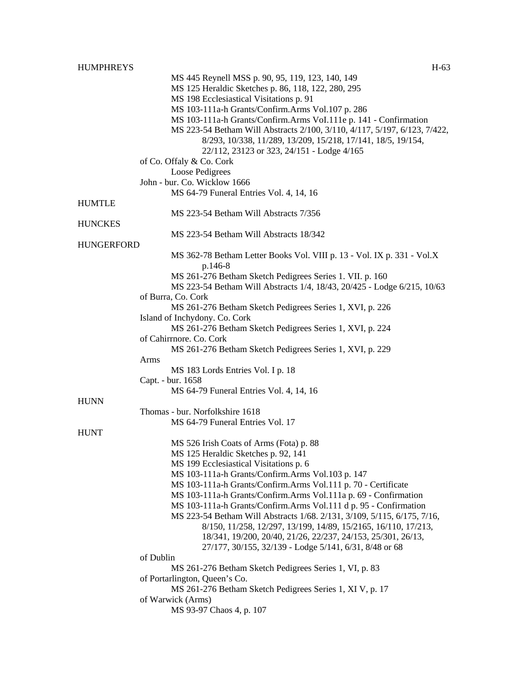| <b>HUMPHREYS</b>  | $H-63$                                                                                                                              |
|-------------------|-------------------------------------------------------------------------------------------------------------------------------------|
|                   | MS 445 Reynell MSS p. 90, 95, 119, 123, 140, 149                                                                                    |
|                   | MS 125 Heraldic Sketches p. 86, 118, 122, 280, 295                                                                                  |
|                   | MS 198 Ecclesiastical Visitations p. 91                                                                                             |
|                   | MS 103-111a-h Grants/Confirm.Arms Vol.107 p. 286                                                                                    |
|                   | MS 103-111a-h Grants/Confirm.Arms VoI.111e p. 141 - Confirmation                                                                    |
|                   | MS 223-54 Betham Will Abstracts 2/100, 3/110, 4/117, 5/197, 6/123, 7/422,                                                           |
|                   | 8/293, 10/338, 11/289, 13/209, 15/218, 17/141, 18/5, 19/154,                                                                        |
|                   | 22/112, 23123 or 323, 24/151 - Lodge 4/165                                                                                          |
|                   | of Co. Offaly & Co. Cork                                                                                                            |
|                   | Loose Pedigrees                                                                                                                     |
|                   | John - bur. Co. Wicklow 1666                                                                                                        |
|                   | MS 64-79 Funeral Entries Vol. 4, 14, 16                                                                                             |
| <b>HUMTLE</b>     |                                                                                                                                     |
|                   | MS 223-54 Betham Will Abstracts 7/356                                                                                               |
| <b>HUNCKES</b>    |                                                                                                                                     |
|                   | MS 223-54 Betham Will Abstracts 18/342                                                                                              |
| <b>HUNGERFORD</b> |                                                                                                                                     |
|                   | MS 362-78 Betham Letter Books Vol. VIII p. 13 - Vol. IX p. 331 - Vol.X                                                              |
|                   | p.146-8                                                                                                                             |
|                   | MS 261-276 Betham Sketch Pedigrees Series 1. VII. p. 160<br>MS 223-54 Betham Will Abstracts 1/4, 18/43, 20/425 - Lodge 6/215, 10/63 |
|                   | of Burra, Co. Cork                                                                                                                  |
|                   | MS 261-276 Betham Sketch Pedigrees Series 1, XVI, p. 226                                                                            |
|                   | Island of Inchydony. Co. Cork                                                                                                       |
|                   | MS 261-276 Betham Sketch Pedigrees Series 1, XVI, p. 224                                                                            |
|                   | of Cahirrnore. Co. Cork                                                                                                             |
|                   | MS 261-276 Betham Sketch Pedigrees Series 1, XVI, p. 229                                                                            |
|                   | Arms                                                                                                                                |
|                   | MS 183 Lords Entries Vol. I p. 18                                                                                                   |
|                   | Capt. - bur. 1658                                                                                                                   |
|                   | MS 64-79 Funeral Entries Vol. 4, 14, 16                                                                                             |
| <b>HUNN</b>       |                                                                                                                                     |
|                   | Thomas - bur. Norfolkshire 1618                                                                                                     |
|                   | MS 64-79 Funeral Entries Vol. 17                                                                                                    |
| <b>HUNT</b>       |                                                                                                                                     |
|                   | MS 526 Irish Coats of Arms (Fota) p. 88                                                                                             |
|                   | MS 125 Heraldic Sketches p. 92, 141                                                                                                 |
|                   | MS 199 Ecclesiastical Visitations p. 6                                                                                              |
|                   | MS 103-111a-h Grants/Confirm.Arms Vol.103 p. 147                                                                                    |
|                   | MS 103-111a-h Grants/Confirm.Arms Vol.111 p. 70 - Certificate                                                                       |
|                   | MS 103-111a-h Grants/Confirm.Arms Vol.111a p. 69 - Confirmation                                                                     |
|                   | MS 103-111a-h Grants/Confirm.Arms Vol.111 d p. 95 - Confirmation                                                                    |
|                   | MS 223-54 Betham Will Abstracts 1/68. 2/131, 3/109, 5/115, 6/175, 7/16,                                                             |
|                   | 8/150, 11/258, 12/297, 13/199, 14/89, 15/2165, 16/110, 17/213,                                                                      |
|                   | 18/341, 19/200, 20/40, 21/26, 22/237, 24/153, 25/301, 26/13,                                                                        |
|                   | 27/177, 30/155, 32/139 - Lodge 5/141, 6/31, 8/48 or 68                                                                              |
|                   | of Dublin<br>MS 261-276 Betham Sketch Pedigrees Series 1, VI, p. 83                                                                 |
|                   | of Portarlington, Queen's Co.                                                                                                       |
|                   | MS 261-276 Betham Sketch Pedigrees Series 1, XI V, p. 17                                                                            |
|                   | of Warwick (Arms)                                                                                                                   |
|                   | MS 93-97 Chaos 4, p. 107                                                                                                            |
|                   |                                                                                                                                     |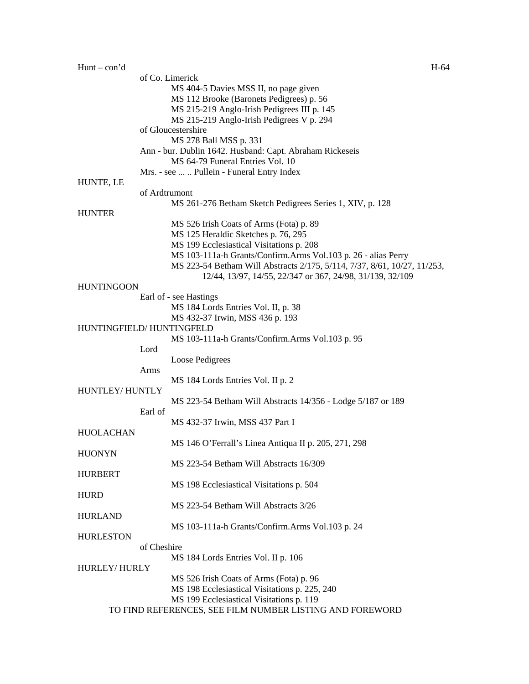| $Hunt - con' d$          |               |                                                                                                                                       | H-64 |
|--------------------------|---------------|---------------------------------------------------------------------------------------------------------------------------------------|------|
|                          |               | of Co. Limerick                                                                                                                       |      |
|                          |               | MS 404-5 Davies MSS II, no page given                                                                                                 |      |
|                          |               | MS 112 Brooke (Baronets Pedigrees) p. 56                                                                                              |      |
|                          |               | MS 215-219 Anglo-Irish Pedigrees III p. 145                                                                                           |      |
|                          |               | MS 215-219 Anglo-Irish Pedigrees V p. 294                                                                                             |      |
|                          |               | of Gloucestershire                                                                                                                    |      |
|                          |               | MS 278 Ball MSS p. 331                                                                                                                |      |
|                          |               | Ann - bur. Dublin 1642. Husband: Capt. Abraham Rickeseis                                                                              |      |
|                          |               | MS 64-79 Funeral Entries Vol. 10                                                                                                      |      |
|                          |               | Mrs. - see   Pullein - Funeral Entry Index                                                                                            |      |
| HUNTE, LE                |               |                                                                                                                                       |      |
|                          | of Ardtrumont |                                                                                                                                       |      |
|                          |               | MS 261-276 Betham Sketch Pedigrees Series 1, XIV, p. 128                                                                              |      |
| <b>HUNTER</b>            |               |                                                                                                                                       |      |
|                          |               | MS 526 Irish Coats of Arms (Fota) p. 89                                                                                               |      |
|                          |               | MS 125 Heraldic Sketches p. 76, 295                                                                                                   |      |
|                          |               | MS 199 Ecclesiastical Visitations p. 208                                                                                              |      |
|                          |               | MS 103-111a-h Grants/Confirm.Arms Vol.103 p. 26 - alias Perry                                                                         |      |
|                          |               | MS 223-54 Betham Will Abstracts 2/175, 5/114, 7/37, 8/61, 10/27, 11/253,<br>12/44, 13/97, 14/55, 22/347 or 367, 24/98, 31/139, 32/109 |      |
| <b>HUNTINGOON</b>        |               |                                                                                                                                       |      |
|                          |               | Earl of - see Hastings                                                                                                                |      |
|                          |               | MS 184 Lords Entries Vol. II, p. 38                                                                                                   |      |
|                          |               | MS 432-37 Irwin, MSS 436 p. 193                                                                                                       |      |
| HUNTINGFIELD/HUNTINGFELD |               |                                                                                                                                       |      |
|                          |               | MS 103-111a-h Grants/Confirm.Arms Vol.103 p. 95                                                                                       |      |
|                          | Lord          |                                                                                                                                       |      |
|                          |               | Loose Pedigrees                                                                                                                       |      |
|                          | Arms          |                                                                                                                                       |      |
|                          |               | MS 184 Lords Entries Vol. II p. 2                                                                                                     |      |
| HUNTLEY/ HUNTLY          |               |                                                                                                                                       |      |
|                          |               | MS 223-54 Betham Will Abstracts 14/356 - Lodge 5/187 or 189                                                                           |      |
|                          | Earl of       |                                                                                                                                       |      |
|                          |               | MS 432-37 Irwin, MSS 437 Part I                                                                                                       |      |
| <b>HUOLACHAN</b>         |               |                                                                                                                                       |      |
|                          |               | MS 146 O'Ferrall's Linea Antiqua II p. 205, 271, 298                                                                                  |      |
| <b>HUONYN</b>            |               |                                                                                                                                       |      |
|                          |               | MS 223-54 Betham Will Abstracts 16/309                                                                                                |      |
| <b>HURBERT</b>           |               |                                                                                                                                       |      |
|                          |               | MS 198 Ecclesiastical Visitations p. 504                                                                                              |      |
| <b>HURD</b>              |               |                                                                                                                                       |      |
|                          |               | MS 223-54 Betham Will Abstracts 3/26                                                                                                  |      |
| <b>HURLAND</b>           |               |                                                                                                                                       |      |
|                          |               | MS 103-111a-h Grants/Confirm.Arms Vol.103 p. 24                                                                                       |      |
| <b>HURLESTON</b>         |               |                                                                                                                                       |      |
|                          | of Cheshire   |                                                                                                                                       |      |
|                          |               | MS 184 Lords Entries Vol. II p. 106                                                                                                   |      |
| HURLEY/HURLY             |               |                                                                                                                                       |      |
|                          |               | MS 526 Irish Coats of Arms (Fota) p. 96                                                                                               |      |
|                          |               | MS 198 Ecclesiastical Visitations p. 225, 240                                                                                         |      |
|                          |               | MS 199 Ecclesiastical Visitations p. 119                                                                                              |      |
|                          |               | TO FIND REFERENCES, SEE FILM NUMBER LISTING AND FOREWORD                                                                              |      |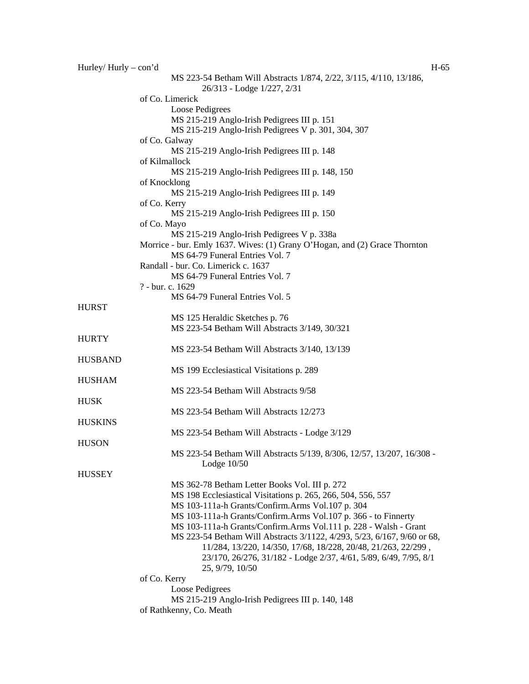| Hurley/Hurly $-$ con'd |                                                                                                  | $H-65$ |
|------------------------|--------------------------------------------------------------------------------------------------|--------|
|                        | MS 223-54 Betham Will Abstracts 1/874, 2/22, 3/115, 4/110, 13/186,<br>26/313 - Lodge 1/227, 2/31 |        |
|                        | of Co. Limerick                                                                                  |        |
|                        | Loose Pedigrees                                                                                  |        |
|                        | MS 215-219 Anglo-Irish Pedigrees III p. 151                                                      |        |
|                        | MS 215-219 Anglo-Irish Pedigrees V p. 301, 304, 307                                              |        |
|                        | of Co. Galway                                                                                    |        |
|                        | MS 215-219 Anglo-Irish Pedigrees III p. 148                                                      |        |
|                        | of Kilmallock                                                                                    |        |
|                        | MS 215-219 Anglo-Irish Pedigrees III p. 148, 150                                                 |        |
|                        | of Knocklong                                                                                     |        |
|                        | MS 215-219 Anglo-Irish Pedigrees III p. 149                                                      |        |
|                        | of Co. Kerry                                                                                     |        |
|                        | MS 215-219 Anglo-Irish Pedigrees III p. 150                                                      |        |
|                        | of Co. Mayo                                                                                      |        |
|                        | MS 215-219 Anglo-Irish Pedigrees V p. 338a                                                       |        |
|                        | Morrice - bur. Emly 1637. Wives: (1) Grany O'Hogan, and (2) Grace Thornton                       |        |
|                        | MS 64-79 Funeral Entries Vol. 7                                                                  |        |
|                        | Randall - bur. Co. Limerick c. 1637                                                              |        |
|                        | MS 64-79 Funeral Entries Vol. 7                                                                  |        |
|                        | ? - bur. c. 1629                                                                                 |        |
|                        | MS 64-79 Funeral Entries Vol. 5                                                                  |        |
| <b>HURST</b>           |                                                                                                  |        |
|                        | MS 125 Heraldic Sketches p. 76                                                                   |        |
|                        | MS 223-54 Betham Will Abstracts 3/149, 30/321                                                    |        |
| <b>HURTY</b>           |                                                                                                  |        |
|                        | MS 223-54 Betham Will Abstracts 3/140, 13/139                                                    |        |
| <b>HUSBAND</b>         |                                                                                                  |        |
| <b>HUSHAM</b>          | MS 199 Ecclesiastical Visitations p. 289                                                         |        |
|                        | MS 223-54 Betham Will Abstracts 9/58                                                             |        |
| <b>HUSK</b>            |                                                                                                  |        |
|                        | MS 223-54 Betham Will Abstracts 12/273                                                           |        |
| <b>HUSKINS</b>         |                                                                                                  |        |
|                        | MS 223-54 Betham Will Abstracts - Lodge 3/129                                                    |        |
| <b>HUSON</b>           |                                                                                                  |        |
|                        | MS 223-54 Betham Will Abstracts 5/139, 8/306, 12/57, 13/207, 16/308 -                            |        |
|                        | Lodge $10/50$                                                                                    |        |
| <b>HUSSEY</b>          |                                                                                                  |        |
|                        | MS 362-78 Betham Letter Books Vol. III p. 272                                                    |        |
|                        | MS 198 Ecclesiastical Visitations p. 265, 266, 504, 556, 557                                     |        |
|                        | MS 103-111a-h Grants/Confirm.Arms Vol.107 p. 304                                                 |        |
|                        | MS 103-111a-h Grants/Confirm.Arms Vol.107 p. 366 - to Finnerty                                   |        |
|                        | MS 103-111a-h Grants/Confirm.Arms Vol.111 p. 228 - Walsh - Grant                                 |        |
|                        | MS 223-54 Betham Will Abstracts 3/1122, 4/293, 5/23, 6/167, 9/60 or 68,                          |        |
|                        | 11/284, 13/220, 14/350, 17/68, 18/228, 20/48, 21/263, 22/299,                                    |        |
|                        | 23/170, 26/276, 31/182 - Lodge 2/37, 4/61, 5/89, 6/49, 7/95, 8/1                                 |        |
|                        | 25, 9/79, 10/50                                                                                  |        |
|                        | of Co. Kerry                                                                                     |        |
|                        | Loose Pedigrees                                                                                  |        |
|                        | MS 215-219 Anglo-Irish Pedigrees III p. 140, 148                                                 |        |
|                        | of Rathkenny, Co. Meath                                                                          |        |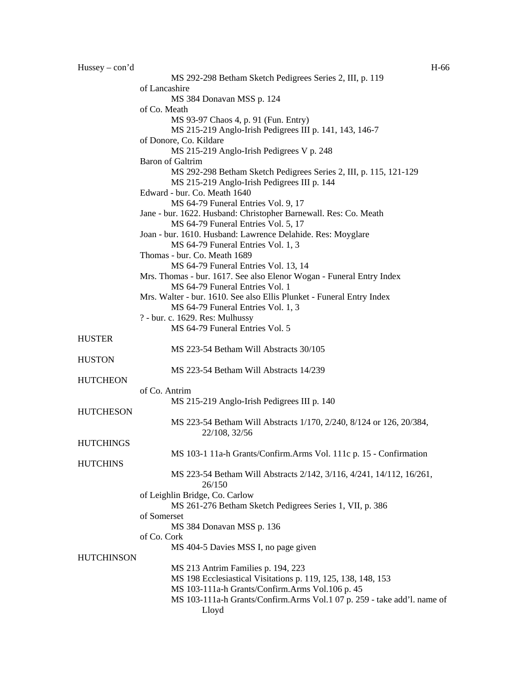Hussey – con'd H-66

MS 292-298 Betham Sketch Pedigrees Series 2, III, p. 119 of Lancashire MS 384 Donavan MSS p. 124 of Co. Meath MS 93-97 Chaos 4, p. 91 (Fun. Entry) MS 215-219 Anglo-Irish Pedigrees III p. 141, 143, 146-7 of Donore, Co. Kildare MS 215-219 Anglo-Irish Pedigrees V p. 248 Baron of Galtrim MS 292-298 Betham Sketch Pedigrees Series 2, III, p. 115, 121-129 MS 215-219 Anglo-Irish Pedigrees III p. 144 Edward - bur. Co. Meath 1640 MS 64-79 Funeral Entries Vol. 9, 17 Jane - bur. 1622. Husband: Christopher Barnewall. Res: Co. Meath MS 64-79 Funeral Entries Vol. 5, 17 Joan - bur. 1610. Husband: Lawrence Delahide. Res: Moyglare MS 64-79 Funeral Entries Vol. 1, 3 Thomas - bur. Co. Meath 1689 MS 64-79 Funeral Entries Vol. 13, 14 Mrs. Thomas - bur. 1617. See also Elenor Wogan - Funeral Entry Index MS 64-79 Funeral Entries Vol. 1 Mrs. Walter - bur. 1610. See also Ellis Plunket - Funeral Entry Index MS 64-79 Funeral Entries Vol. 1, 3 ? - bur. c. 1629. Res: Mulhussy MS 64-79 Funeral Entries Vol. 5 HUSTER MS 223-54 Betham Will Abstracts 30/105 **HUSTON** MS 223-54 Betham Will Abstracts 14/239 **HUTCHEON** of Co. Antrim MS 215-219 Anglo-Irish Pedigrees III p. 140 **HUTCHESON** MS 223-54 Betham Will Abstracts 1/170, 2/240, 8/124 or 126, 20/384, 22/108, 32/56 **HUTCHINGS** MS 103-1 11a-h Grants/Confirm.Arms Vol. 111c p. 15 - Confirmation **HUTCHINS** MS 223-54 Betham Will Abstracts 2/142, 3/116, 4/241, 14/112, 16/261, 26/150 of Leighlin Bridge, Co. Carlow MS 261-276 Betham Sketch Pedigrees Series 1, VII, p. 386 of Somerset MS 384 Donavan MSS p. 136 of Co. Cork MS 404-5 Davies MSS I, no page given **HUTCHINSON** MS 213 Antrim Families p. 194, 223 MS 198 Ecclesiastical Visitations p. 119, 125, 138, 148, 153 MS 103-111a-h Grants/Confirm.Arms Vol.106 p. 45 MS 103-111a-h Grants/Confirm.Arms Vol.1 07 p. 259 - take add'l. name of Lloyd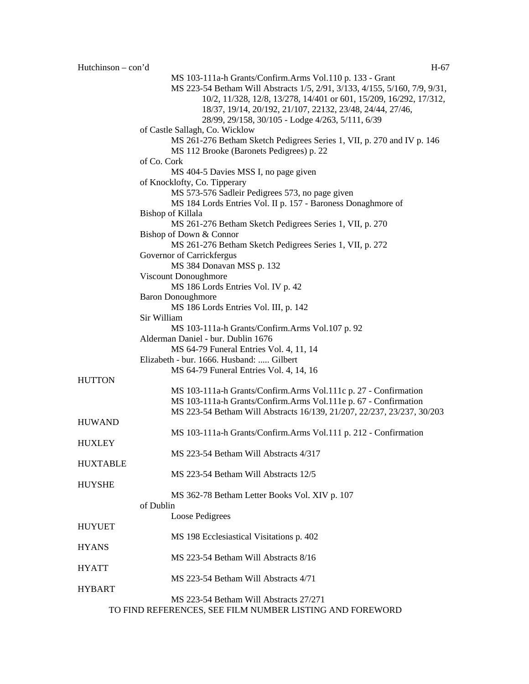|                 | MS 103-111a-h Grants/Confirm.Arms Vol.110 p. 133 - Grant<br>MS 223-54 Betham Will Abstracts 1/5, 2/91, 3/133, 4/155, 5/160, 7/9, 9/31,<br>10/2, 11/328, 12/8, 13/278, 14/401 or 601, 15/209, 16/292, 17/312,<br>18/37, 19/14, 20/192, 21/107, 22132, 23/48, 24/44, 27/46,<br>28/99, 29/158, 30/105 - Lodge 4/263, 5/111, 6/39 |
|-----------------|-------------------------------------------------------------------------------------------------------------------------------------------------------------------------------------------------------------------------------------------------------------------------------------------------------------------------------|
|                 | of Castle Sallagh, Co. Wicklow<br>MS 261-276 Betham Sketch Pedigrees Series 1, VII, p. 270 and IV p. 146<br>MS 112 Brooke (Baronets Pedigrees) p. 22                                                                                                                                                                          |
|                 | of Co. Cork                                                                                                                                                                                                                                                                                                                   |
|                 | MS 404-5 Davies MSS I, no page given<br>of Knocklofty, Co. Tipperary                                                                                                                                                                                                                                                          |
|                 | MS 573-576 Sadleir Pedigrees 573, no page given                                                                                                                                                                                                                                                                               |
|                 | MS 184 Lords Entries Vol. II p. 157 - Baroness Donaghmore of                                                                                                                                                                                                                                                                  |
|                 | Bishop of Killala                                                                                                                                                                                                                                                                                                             |
|                 | MS 261-276 Betham Sketch Pedigrees Series 1, VII, p. 270                                                                                                                                                                                                                                                                      |
|                 | Bishop of Down & Connor                                                                                                                                                                                                                                                                                                       |
|                 | MS 261-276 Betham Sketch Pedigrees Series 1, VII, p. 272                                                                                                                                                                                                                                                                      |
|                 | Governor of Carrickfergus                                                                                                                                                                                                                                                                                                     |
|                 | MS 384 Donavan MSS p. 132                                                                                                                                                                                                                                                                                                     |
|                 | Viscount Donoughmore<br>MS 186 Lords Entries Vol. IV p. 42                                                                                                                                                                                                                                                                    |
|                 | <b>Baron Donoughmore</b>                                                                                                                                                                                                                                                                                                      |
|                 | MS 186 Lords Entries Vol. III, p. 142                                                                                                                                                                                                                                                                                         |
|                 | Sir William                                                                                                                                                                                                                                                                                                                   |
|                 | MS 103-111a-h Grants/Confirm.Arms Vol.107 p. 92                                                                                                                                                                                                                                                                               |
|                 | Alderman Daniel - bur. Dublin 1676                                                                                                                                                                                                                                                                                            |
|                 | MS 64-79 Funeral Entries Vol. 4, 11, 14                                                                                                                                                                                                                                                                                       |
|                 | Elizabeth - bur. 1666. Husband:  Gilbert                                                                                                                                                                                                                                                                                      |
|                 | MS 64-79 Funeral Entries Vol. 4, 14, 16                                                                                                                                                                                                                                                                                       |
| <b>HUTTON</b>   | MS 103-111a-h Grants/Confirm.Arms Vol.111c p. 27 - Confirmation                                                                                                                                                                                                                                                               |
|                 | MS 103-111a-h Grants/Confirm.Arms Vol.111e p. 67 - Confirmation                                                                                                                                                                                                                                                               |
|                 | MS 223-54 Betham Will Abstracts 16/139, 21/207, 22/237, 23/237, 30/203                                                                                                                                                                                                                                                        |
| <b>HUWAND</b>   |                                                                                                                                                                                                                                                                                                                               |
|                 | MS 103-111a-h Grants/Confirm.Arms Vol.111 p. 212 - Confirmation                                                                                                                                                                                                                                                               |
| <b>HUXLEY</b>   |                                                                                                                                                                                                                                                                                                                               |
|                 | MS 223-54 Betham Will Abstracts 4/317                                                                                                                                                                                                                                                                                         |
| <b>HUXTABLE</b> |                                                                                                                                                                                                                                                                                                                               |
|                 | MS 223-54 Betham Will Abstracts 12/5                                                                                                                                                                                                                                                                                          |
| <b>HUYSHE</b>   | MS 362-78 Betham Letter Books Vol. XIV p. 107                                                                                                                                                                                                                                                                                 |
|                 | of Dublin                                                                                                                                                                                                                                                                                                                     |
|                 | Loose Pedigrees                                                                                                                                                                                                                                                                                                               |
| <b>HUYUET</b>   |                                                                                                                                                                                                                                                                                                                               |
|                 | MS 198 Ecclesiastical Visitations p. 402                                                                                                                                                                                                                                                                                      |
| <b>HYANS</b>    |                                                                                                                                                                                                                                                                                                                               |
|                 | MS 223-54 Betham Will Abstracts 8/16                                                                                                                                                                                                                                                                                          |
| <b>HYATT</b>    |                                                                                                                                                                                                                                                                                                                               |
|                 | MS 223-54 Betham Will Abstracts 4/71                                                                                                                                                                                                                                                                                          |
| <b>HYBART</b>   | MS 223-54 Betham Will Abstracts 27/271                                                                                                                                                                                                                                                                                        |
|                 | TO FIND REFERENCES, SEE FILM NUMBER LISTING AND FOREWORD                                                                                                                                                                                                                                                                      |
|                 |                                                                                                                                                                                                                                                                                                                               |